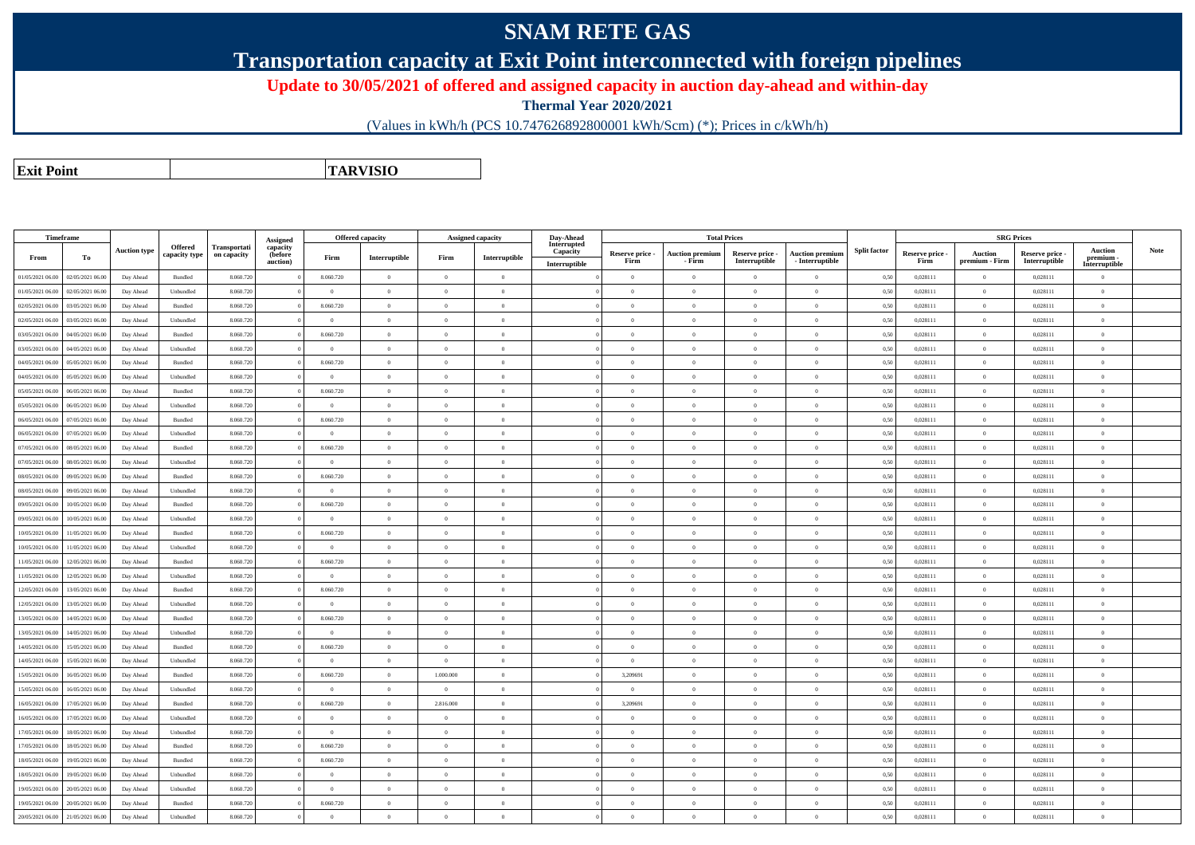## **SNAM RETE GAS**

**Transportation capacity at Exit Point interconnected with foreign pipelines**

**Update to 30/05/2021 of offered and assigned capacity in auction day-ahead and within-day**

**Thermal Year 2020/2021**

(Values in kWh/h (PCS 10.747626892800001 kWh/Scm) (\*); Prices in c/kWh/h)

**Exit PointTARVISIO**

| Timeframe        |                  |                     |                                 |                             | Assigned                        |                | <b>Offered capacity</b>                 |                | Assigned capacity | Day-Ahead                                |                         |                                  | <b>Total Prices</b>              |                                           |                     |                         | <b>SRG Prices</b>                |                                  |                                              |             |
|------------------|------------------|---------------------|---------------------------------|-----------------------------|---------------------------------|----------------|-----------------------------------------|----------------|-------------------|------------------------------------------|-------------------------|----------------------------------|----------------------------------|-------------------------------------------|---------------------|-------------------------|----------------------------------|----------------------------------|----------------------------------------------|-------------|
| From             | To               | <b>Auction type</b> | <b>Offered</b><br>capacity type | Transportati<br>on capacity | capacity<br>(before<br>auction) | Firm           | $\label{prop:1} \textbf{Interruptible}$ | Firm           | Interruptible     | Interrupted<br>Capacity<br>Interruptible | Reserve price -<br>Firm | <b>Auction premium</b><br>- Firm | Reserve price -<br>Interruptible | <b>Auction premium</b><br>- Interruptible | <b>Split factor</b> | Reserve price -<br>Firm | <b>Auction</b><br>premium - Firm | Reserve price -<br>Interruptible | <b>Auction</b><br>premium -<br>Interruptible | <b>Note</b> |
| 01/05/2021 06:00 | 02/05/2021 06:00 | Day Ahead           | Bundled                         | 8.060.720                   |                                 | 8.060.720      | $\overline{0}$                          | $\theta$       | $\overline{0}$    |                                          | $\overline{0}$          | $\theta$                         | $\Omega$                         | $\theta$                                  | 0,50                | 0.028111                | $\theta$                         | 0.028111                         | $\theta$                                     |             |
| 01/05/2021 06:00 | 02/05/2021 06:00 | Day Ahead           | Unbundled                       | 8.060.72                    |                                 | $\bf{0}$       | $\theta$                                | $\theta$       | $\theta$          |                                          | $\theta$                | $\theta$                         | $\Omega$                         | $\overline{0}$                            | 0,50                | 0,028111                | $\overline{0}$                   | 0,028111                         | $\overline{0}$                               |             |
| 02/05/2021 06:00 | 03/05/2021 06:00 | Day Ahead           | Bundled                         | 8.060.72                    |                                 | 8.060.720      | $\overline{0}$                          | $\theta$       | $\Omega$          |                                          | $\theta$                | $\theta$                         | $\overline{0}$                   | $\Omega$                                  | 0,50                | 0,028111                | $\overline{0}$                   | 0,028111                         | $\overline{0}$                               |             |
| 02/05/2021 06:00 | 03/05/2021 06:00 | Day Ahead           | Unbundled                       | 8.060.72                    |                                 | $\theta$       | $\theta$                                | $\Omega$       | $\Omega$          |                                          | $\Omega$                | $\Omega$                         | $\Omega$                         | $\Omega$                                  | 0,50                | 0,028111                | $\theta$                         | 0,028111                         | $\theta$                                     |             |
| 03/05/2021 06:00 | 04/05/2021 06.00 | Day Ahead           | Bundled                         | 8.060.72                    |                                 | 8.060.720      | $\overline{0}$                          | $\theta$       | $\Omega$          |                                          | $\theta$                | $\theta$                         | $\overline{0}$                   | $\Omega$                                  | 0,50                | 0,028111                | $\overline{0}$                   | 0,028111                         | $\overline{0}$                               |             |
| 03/05/2021 06:00 | 04/05/2021 06:00 | Day Ahead           | Unbundled                       | 8.060.72                    |                                 | $\overline{0}$ | $\overline{0}$                          | $\theta$       | $\overline{0}$    |                                          | $\overline{0}$          | $\theta$                         | $\overline{0}$                   | $\mathbf{0}$                              | 0,50                | 0,028111                | $\overline{0}$                   | 0,028111                         | $\mathbf{0}$                                 |             |
| 04/05/2021 06:00 | 05/05/2021 06.0  | Day Ahead           | Bundled                         | 8.060.72                    |                                 | 8.060.720      | $\overline{0}$                          | $\theta$       | $\overline{0}$    |                                          | $\overline{0}$          | $\theta$                         | $\overline{0}$                   | $\mathbf{0}$                              | 0,50                | 0,028111                | $\overline{0}$                   | 0,028111                         | $\overline{0}$                               |             |
| 04/05/2021 06:00 | 05/05/2021 06:00 | Day Ahead           | Unbundled                       | 8.060.720                   |                                 | $\theta$       | $\overline{0}$                          | $\theta$       | $\theta$          |                                          | $\Omega$                | $\theta$                         | $\overline{0}$                   | $\Omega$                                  | 0,50                | 0,028111                | $\overline{0}$                   | 0,028111                         | $\overline{0}$                               |             |
| 05/05/2021 06:00 | 06/05/2021 06:00 | Day Ahead           | Bundled                         | 8.060.720                   |                                 | 8.060.720      | $\theta$                                | $\theta$       | $\Omega$          |                                          | $\overline{0}$          | $\theta$                         | $\theta$                         | $\theta$                                  | 0,50                | 0.028111                | $\Omega$                         | 0.028111                         | $\Omega$                                     |             |
| 05/05/2021 06:00 | 06/05/2021 06:00 | Day Ahead           | Unbundled                       | 8.060.72                    |                                 | $\overline{0}$ | $\overline{0}$                          | $\theta$       | $\overline{0}$    |                                          | $\overline{0}$          | $\theta$                         | $\theta$                         | $\Omega$                                  | 0,50                | 0,028111                | $\overline{0}$                   | 0,028111                         | $\theta$                                     |             |
| 06/05/2021 06:00 | 07/05/2021 06:00 | Day Ahead           | Bundled                         | 8.060.72                    |                                 | 8.060.720      | $\theta$                                | $\theta$       | $\overline{0}$    |                                          | $\theta$                | $\theta$                         | $\theta$                         | $\Omega$                                  | 0,50                | 0,028111                | $\overline{0}$                   | 0,028111                         | $\mathbf{0}$                                 |             |
| 06/05/2021 06:00 | 07/05/2021 06:00 | Day Ahead           | Unbundled                       | 8.060.72                    |                                 | $\theta$       | $\overline{0}$                          | $\theta$       | $\Omega$          |                                          | $\theta$                | $\Omega$                         | $\overline{0}$                   | $\Omega$                                  | 0,50                | 0,028111                | $\overline{0}$                   | 0,028111                         | $\overline{0}$                               |             |
| 07/05/2021 06:00 | 08/05/2021 06:00 | Day Ahead           | Bundled                         | 8.060.72                    |                                 | 8.060.720      | $\theta$                                | $\theta$       | $\theta$          |                                          | $\Omega$                | $\Omega$                         | $\Omega$                         | $\Omega$                                  | 0,50                | 0,028111                | $\overline{0}$                   | 0,028111                         | $\overline{0}$                               |             |
| 07/05/2021 06:00 | 08/05/2021 06.0  | Day Ahead           | Unbundled                       | 8.060.72                    |                                 | $\theta$       | $\overline{0}$                          | $\theta$       | $\Omega$          |                                          | $\theta$                | $\Omega$                         | $\overline{0}$                   | $\Omega$                                  | 0,50                | 0,028111                | $\overline{0}$                   | 0,028111                         | $\overline{0}$                               |             |
| 08/05/2021 06:00 | 09/05/2021 06:00 | Day Ahead           | Bundled                         | 8.060.72                    |                                 | 8.060.720      | $\overline{0}$                          | $\theta$       | $\overline{0}$    |                                          | $\overline{0}$          | $\theta$                         | $\overline{0}$                   | $\mathbf{0}$                              | 0,50                | 0,028111                | $\overline{0}$                   | 0,028111                         | $\mathbf{0}$                                 |             |
| 08/05/2021 06:00 | 09/05/2021 06:00 | Day Ahead           | Unbundled                       | 8.060.72                    |                                 | $\theta$       | $\overline{0}$                          | $\theta$       | $\theta$          |                                          | $\Omega$                | $\theta$                         | $\overline{0}$                   | $\theta$                                  | 0,50                | 0,028111                | $\mathbf{0}$                     | 0,028111                         | $\overline{0}$                               |             |
| 09/05/2021 06:00 | 10/05/2021 06:00 | Day Ahead           | Bundled                         | 8.060.720                   |                                 | 8.060.720      | $\overline{0}$                          | $\theta$       | $\theta$          |                                          | $\Omega$                | $\Omega$                         | $\overline{0}$                   | $\Omega$                                  | 0,50                | 0,028111                | $\overline{0}$                   | 0,028111                         | $\overline{0}$                               |             |
| 09/05/2021 06:00 | 10/05/2021 06:00 | Day Ahead           | Unbundled                       | 8.060.720                   |                                 | $\theta$       | $\theta$                                | $\Omega$       | $\theta$          |                                          | $\overline{0}$          | $\Omega$                         | $\Omega$                         | $\theta$                                  | 0,50                | 0.028111                | $\Omega$                         | 0.028111                         | $\theta$                                     |             |
| 10/05/2021 06:00 | 11/05/2021 06:00 | Day Ahead           | Bundled                         | 8.060.72                    |                                 | 8.060.720      | $\overline{0}$                          | $\theta$       | $\overline{0}$    |                                          | $\overline{0}$          | $\bf{0}$                         | $\overline{0}$                   | $\overline{0}$                            | 0,50                | 0,028111                | $\overline{0}$                   | 0,028111                         | $\mathbf{0}$                                 |             |
| 10/05/2021 06:00 | 11/05/2021 06:00 | Day Ahead           | Unbundled                       | 8.060.720                   |                                 | $\bf{0}$       | $\overline{0}$                          | $\theta$       | $\overline{0}$    |                                          | $\overline{0}$          | $\theta$                         | $\theta$                         | $\overline{0}$                            | 0,50                | 0,028111                | $\overline{0}$                   | 0,028111                         | $\mathbf{0}$                                 |             |
| 11/05/2021 06:00 | 12/05/2021 06:00 | Day Ahead           | Bundled                         | 8.060.72                    |                                 | 8.060.720      | $\overline{0}$                          | $\theta$       | $\theta$          |                                          | $\overline{0}$          | $\Omega$                         | $\overline{0}$                   | $\Omega$                                  | 0,50                | 0,028111                | $\overline{0}$                   | 0,028111                         | $\overline{0}$                               |             |
| 11/05/2021 06:00 | 12/05/2021 06:00 | Day Ahead           | Unbundled                       | 8.060.72                    |                                 | $\overline{0}$ | $\overline{0}$                          | $\theta$       | $\theta$          |                                          | $\theta$                | $\theta$                         | $\overline{0}$                   | $\Omega$                                  | 0,50                | 0,028111                | $\overline{0}$                   | 0,028111                         | $\overline{0}$                               |             |
| 12/05/2021 06:00 | 13/05/2021 06.0  | Day Ahead           | Bundled                         | 8.060.72                    |                                 | 8.060.720      | $\overline{0}$                          | $\theta$       | $\Omega$          |                                          | $\theta$                | $\Omega$                         | $\overline{0}$                   | $\theta$                                  | 0,50                | 0,028111                | $\overline{0}$                   | 0,028111                         | $\overline{0}$                               |             |
| 12/05/2021 06:00 | 13/05/2021 06:00 | Day Ahead           | Unbundled                       | 8.060.72                    |                                 | $\overline{0}$ | $\overline{0}$                          | $\theta$       | $\overline{0}$    |                                          | $\overline{0}$          | $\theta$                         | $\overline{0}$                   | $\mathbf{0}$                              | 0,50                | 0,028111                | $\overline{0}$                   | 0,028111                         | $\mathbf{0}$                                 |             |
| 13/05/2021 06:00 | 14/05/2021 06:00 | Day Ahead           | Bundled                         | 8.060.720                   |                                 | 8.060.720      | $\overline{0}$                          | $\theta$       | $\Omega$          |                                          | $\Omega$                | $\Omega$                         | $\overline{0}$                   | $\theta$                                  | 0,50                | 0,028111                | $\mathbf{0}$                     | 0,028111                         | $\overline{0}$                               |             |
| 13/05/2021 06:00 | 14/05/2021 06:00 | Day Ahead           | Unbundled                       | 8.060.720                   |                                 | $\theta$       | $\overline{0}$                          | $\theta$       | $\theta$          |                                          | $\Omega$                | $\Omega$                         | $\overline{0}$                   | $\Omega$                                  | 0,50                | 0,028111                | $\overline{0}$                   | 0,028111                         | $\mathbf{0}$                                 |             |
| 14/05/2021 06:00 | 15/05/2021 06:00 | Day Ahead           | Bundled                         | 8.060.720                   |                                 | 8.060.720      | $\theta$                                | $\theta$       | $\theta$          |                                          | $\overline{0}$          | $\Omega$                         | $\theta$                         | $\theta$                                  | 0.50                | 0.028111                | $\Omega$                         | 0.028111                         | $\theta$                                     |             |
| 14/05/2021 06:00 | 15/05/2021 06:00 | Day Ahead           | Unbundled                       | 8.060.72                    |                                 | $\overline{0}$ | $\overline{0}$                          | $\overline{0}$ | $\overline{0}$    |                                          | $\overline{0}$          | $\bf{0}$                         | $\theta$                         | $\overline{0}$                            | 0,50                | 0,028111                | $\overline{0}$                   | 0,028111                         | $\mathbf{0}$                                 |             |
| 15/05/2021 06:00 | 16/05/2021 06:00 | Day Ahead           | Bundled                         | 8.060.720                   |                                 | 8.060.720      | $\overline{0}$                          | 1.000.000      | $\overline{0}$    |                                          | 3,209691                | $\mathbf{0}$                     | $\overline{0}$                   | $\overline{0}$                            | 0,50                | 0,028111                | $\overline{0}$                   | 0,028111                         | $\mathbf{0}$                                 |             |
| 15/05/2021 06:00 | 16/05/2021 06:00 | Day Ahead           | Unbundled                       | 8.060.72                    |                                 | $\overline{0}$ | $\overline{0}$                          | $\theta$       | $\theta$          |                                          | $\overline{0}$          | $\Omega$                         | $\overline{0}$                   | $\Omega$                                  | 0,50                | 0,028111                | $\overline{0}$                   | 0,028111                         | $\overline{0}$                               |             |
| 16/05/2021 06:00 | 17/05/2021 06:00 | Day Ahead           | Bundled                         | 8.060.72                    |                                 | 8.060.720      | $\overline{0}$                          | 2.816.000      | $\overline{0}$    |                                          | 3,209691                | $\theta$                         | $\overline{0}$                   | $\mathbf{0}$                              | 0,50                | 0,028111                | $\overline{0}$                   | 0,028111                         | $\overline{0}$                               |             |
| 16/05/2021 06:00 | 17/05/2021 06.0  | Day Ahead           | Unbundled                       | 8.060.72                    |                                 | $\theta$       | $\overline{0}$                          | $\Omega$       | $\Omega$          |                                          | $\Omega$                | $\Omega$                         | $\overline{0}$                   | $\Omega$                                  | 0,50                | 0,028111                | $\overline{0}$                   | 0,028111                         | $\overline{0}$                               |             |
| 17/05/2021 06:00 | 18/05/2021 06:00 | Day Ahead           | Unbundled                       | 8.060.72                    |                                 | $\overline{0}$ | $\overline{0}$                          | $\theta$       | $\overline{0}$    |                                          | $\overline{0}$          | $\theta$                         | $\overline{0}$                   | $\mathbf{0}$                              | 0,50                | 0,028111                | $\overline{0}$                   | 0,028111                         | $\mathbf{0}$                                 |             |
| 17/05/2021 06:00 | 18/05/2021 06:00 | Day Ahead           | Bundled                         | 8.060.720                   |                                 | 8.060.720      | $\overline{0}$                          | $\theta$       | $\Omega$          |                                          | $\Omega$                | $\theta$                         | $\overline{0}$                   | $\theta$                                  | 0,50                | 0,028111                | $\mathbf{0}$                     | 0,028111                         | $\overline{0}$                               |             |
| 18/05/2021 06:00 | 19/05/2021 06:00 | Day Ahead           | Bundled                         | 8.060.720                   |                                 | 8.060.720      | $\overline{0}$                          | $\overline{0}$ | $\theta$          |                                          | $\overline{0}$          | $\theta$                         | $\overline{0}$                   | $\overline{0}$                            | 0,50                | 0,028111                | $\overline{0}$                   | 0,028111                         | $\mathbf{0}$                                 |             |
| 18/05/2021 06:00 | 19/05/2021 06:00 | Day Ahead           | Unbundled                       | 8.060.720                   |                                 | $\Omega$       | $\theta$                                | $\theta$       | $\Omega$          |                                          | $\Omega$                | $\Omega$                         | $\theta$                         | $\theta$                                  | 0.50                | 0.028111                | $\Omega$                         | 0.028111                         | $\theta$                                     |             |
| 19/05/2021 06:00 | 20/05/2021 06:00 | Day Ahead           | Unbundled                       | 8.060.72                    |                                 | $\overline{0}$ | $\theta$                                | $\overline{0}$ | $\Omega$          |                                          | $\overline{0}$          | $\mathbf{0}$                     | $\overline{0}$                   | $\Omega$                                  | 0,50                | 0,028111                | $\overline{0}$                   | 0,028111                         | $\mathbf{0}$                                 |             |
| 19/05/2021 06:00 | 20/05/2021 06:00 | Day Ahead           | Bundled                         | 8.060.720                   |                                 | 8.060.720      | $\theta$                                | $\theta$       | $\Omega$          |                                          | $\theta$                | $\theta$                         | $\overline{0}$                   | $\mathbf{0}$                              | 0,50                | 0,028111                | $\mathbf{0}$                     | 0,028111                         | $\mathbf{0}$                                 |             |
| 20/05/2021 06:00 | 21/05/2021 06:00 | Day Ahead           | Unbundled                       | 8.060.720                   |                                 | $\theta$       | $\Omega$                                | $\theta$       | $\Omega$          |                                          | $\Omega$                | $\theta$                         | $\Omega$                         | $\theta$                                  | 0,50                | 0,028111                | $\Omega$                         | 0,028111                         | $\theta$                                     |             |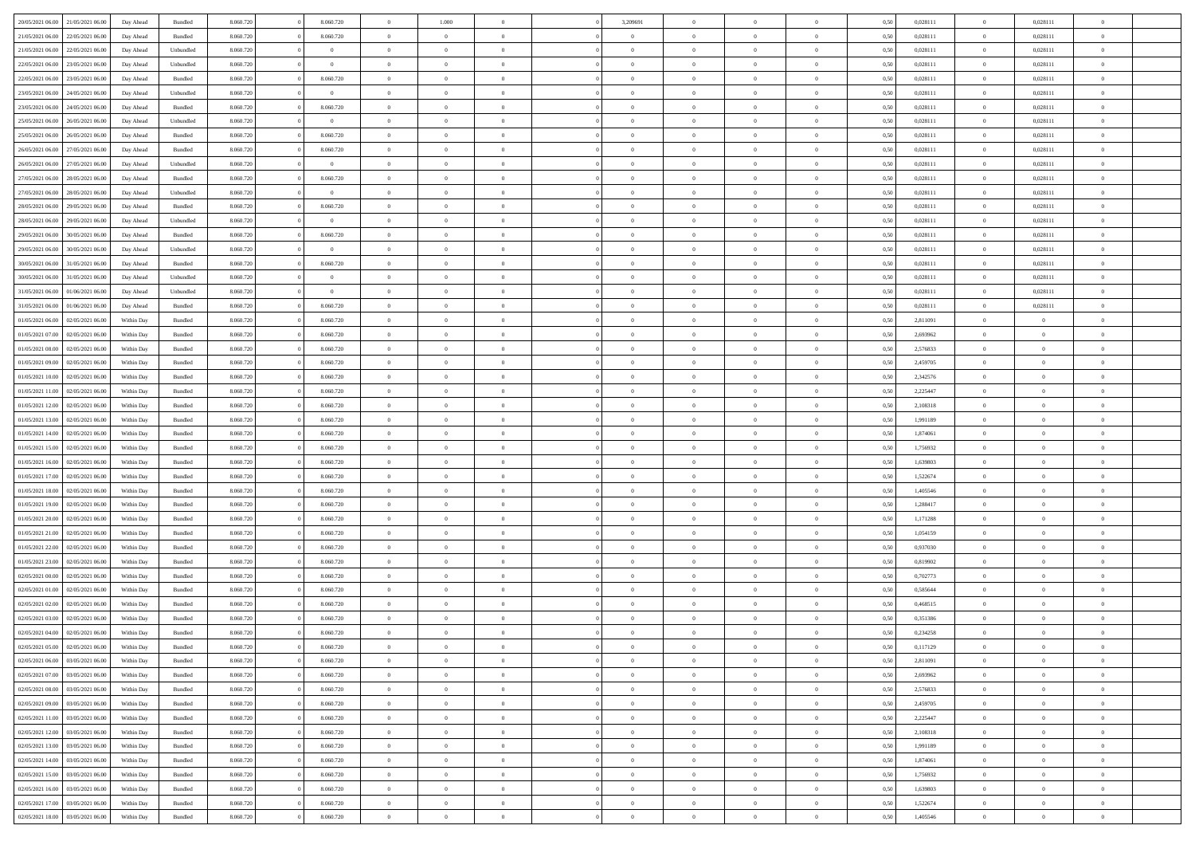| 20/05/2021 06:00<br>21/05/2021 06:00 | Day Ahead |            | Bundled            | 8.060.720 | 8.060.720      | $\overline{0}$ | 1.000          |                | 3,209691       | $\Omega$       | $\theta$       | $\theta$       | 0,50 | 0,028111 | $\theta$       | 0,028111       | $\overline{0}$           |  |
|--------------------------------------|-----------|------------|--------------------|-----------|----------------|----------------|----------------|----------------|----------------|----------------|----------------|----------------|------|----------|----------------|----------------|--------------------------|--|
| 21/05/2021 06:00<br>22/05/2021 06:00 |           | Day Ahead  | Bundled            | 8.060.720 | 8.060.720      | $\overline{0}$ | $\theta$       | $\overline{0}$ | $\overline{0}$ | $\bf{0}$       | $\overline{0}$ | $\bf{0}$       | 0,50 | 0,028111 | $\theta$       | 0,028111       | $\overline{0}$           |  |
| 21/05/2021 06:00<br>22/05/2021 06:00 |           | Day Ahead  | Unbundled          | 8.060.720 | $\bf{0}$       | $\overline{0}$ | $\overline{0}$ | $\overline{0}$ | $\bf{0}$       | $\bf{0}$       | $\bf{0}$       | $\mathbf{0}$   | 0,50 | 0,028111 | $\overline{0}$ | 0,028111       | $\overline{0}$           |  |
|                                      |           |            |                    |           | $\overline{0}$ |                |                |                |                |                |                |                |      |          | $\overline{0}$ |                | $\overline{0}$           |  |
| 22/05/2021 06:00<br>23/05/2021 06:00 |           | Day Ahead  | Unbundled          | 8.060.720 |                | $\overline{0}$ | $\overline{0}$ | $\overline{0}$ | $\overline{0}$ | $\bf{0}$       | $\overline{0}$ | $\overline{0}$ | 0.50 | 0.028111 |                | 0,028111       |                          |  |
| 22/05/2021 06:00<br>23/05/2021 06:00 |           | Day Ahead  | Bundled            | 8.060.720 | 8.060.720      | $\overline{0}$ | $\overline{0}$ | $\overline{0}$ | $\overline{0}$ | $\bf{0}$       | $\overline{0}$ | $\bf{0}$       | 0,50 | 0,028111 | $\,$ 0 $\,$    | 0,028111       | $\overline{0}$           |  |
| 23/05/2021 06:00<br>24/05/2021 06:00 |           | Day Ahead  | Unbundled          | 8.060.720 | $\mathbf{0}$   | $\overline{0}$ | $\overline{0}$ | $\overline{0}$ | $\bf{0}$       | $\overline{0}$ | $\overline{0}$ | $\mathbf{0}$   | 0,50 | 0,028111 | $\overline{0}$ | 0,028111       | $\bf{0}$                 |  |
| 23/05/2021 06:00<br>24/05/2021 06.00 |           | Day Ahead  | Bundled            | 8.060.720 | 8.060.720      | $\overline{0}$ | $\overline{0}$ | $\overline{0}$ | $\overline{0}$ | $\overline{0}$ | $\overline{0}$ | $\overline{0}$ | 0.50 | 0,028111 | $\overline{0}$ | 0,028111       | $\overline{0}$           |  |
|                                      |           |            |                    |           |                |                |                |                |                |                |                |                |      |          |                |                |                          |  |
| 25/05/2021 06:00<br>26/05/2021 06:00 |           | Day Ahead  | Unbundled          | 8.060.720 | $\theta$       | $\overline{0}$ | $\theta$       | $\overline{0}$ | $\overline{0}$ | $\bf{0}$       | $\overline{0}$ | $\bf{0}$       | 0,50 | 0,028111 | $\,$ 0 $\,$    | 0,028111       | $\overline{0}$           |  |
| 25/05/2021 06:00<br>26/05/2021 06:00 |           | Day Ahead  | Bundled            | 8.060.720 | 8.060.720      | $\overline{0}$ | $\overline{0}$ | $\overline{0}$ | $\bf{0}$       | $\bf{0}$       | $\bf{0}$       | $\bf{0}$       | 0,50 | 0,028111 | $\bf{0}$       | 0,028111       | $\overline{0}$           |  |
| 26/05/2021 06:00<br>27/05/2021 06:00 |           | Day Ahead  | Bundled            | 8.060.720 | 8.060.720      | $\overline{0}$ | $\overline{0}$ | $\overline{0}$ | $\overline{0}$ | $\overline{0}$ | $\overline{0}$ | $\overline{0}$ | 0.50 | 0,028111 | $\overline{0}$ | 0,028111       | $\overline{0}$           |  |
| 26/05/2021 06:00<br>27/05/2021 06:00 |           |            |                    | 8.060.720 | $\theta$       | $\overline{0}$ | $\theta$       | $\overline{0}$ | $\overline{0}$ | $\bf{0}$       | $\overline{0}$ |                |      | 0,028111 | $\,$ 0 $\,$    | 0,028111       | $\overline{0}$           |  |
|                                      |           | Day Ahead  | Unbundled          |           |                |                |                |                |                |                |                | $\bf{0}$       | 0,50 |          |                |                |                          |  |
| 27/05/2021 06:00<br>28/05/2021 06:00 |           | Day Ahead  | Bundled            | 8.060.720 | 8.060.720      | $\overline{0}$ | $\overline{0}$ | $\overline{0}$ | $\bf{0}$       | $\bf{0}$       | $\bf{0}$       | $\mathbf{0}$   | 0,50 | 0,028111 | $\bf{0}$       | 0,028111       | $\overline{\phantom{a}}$ |  |
| 27/05/2021 06:00<br>28/05/2021 06:00 |           | Day Ahead  | Unbundled          | 8.060.720 | $\overline{0}$ | $\overline{0}$ | $\overline{0}$ | $\overline{0}$ | $\overline{0}$ | $\bf{0}$       | $\overline{0}$ | $\overline{0}$ | 0.50 | 0,028111 | $\overline{0}$ | 0.028111       | $\overline{0}$           |  |
| 28/05/2021 06:00<br>29/05/2021 06:00 |           | Day Ahead  | Bundled            | 8.060.720 | 8.060.720      | $\overline{0}$ | $\theta$       | $\overline{0}$ | $\overline{0}$ | $\bf{0}$       | $\overline{0}$ | $\bf{0}$       | 0,50 | 0,028111 | $\,$ 0 $\,$    | 0,028111       | $\overline{0}$           |  |
|                                      |           |            |                    |           |                |                |                |                |                |                |                |                |      |          |                |                |                          |  |
| 28/05/2021 06:00<br>29/05/2021 06:00 |           | Day Ahead  | Unbundled          | 8.060.720 | $\mathbf{0}$   | $\overline{0}$ | $\overline{0}$ | $\overline{0}$ | $\bf{0}$       | $\overline{0}$ | $\overline{0}$ | $\mathbf{0}$   | 0,50 | 0,028111 | $\overline{0}$ | 0,028111       | $\bf{0}$                 |  |
| 29/05/2021 06:00<br>30/05/2021 06:00 |           | Day Ahead  | Bundled            | 8.060.720 | 8.060.720      | $\overline{0}$ | $\overline{0}$ | $\overline{0}$ | $\overline{0}$ | $\overline{0}$ | $\overline{0}$ | $\overline{0}$ | 0.50 | 0,028111 | $\overline{0}$ | 0,028111       | $\overline{0}$           |  |
| 29/05/2021 06:00<br>30/05/2021 06:00 |           | Day Ahead  | Unbundled          | 8.060.720 | $\overline{0}$ | $\overline{0}$ | $\theta$       | $\overline{0}$ | $\overline{0}$ | $\bf{0}$       | $\overline{0}$ | $\bf{0}$       | 0,50 | 0,028111 | $\,$ 0 $\,$    | 0,028111       | $\overline{0}$           |  |
| 30/05/2021 06:00<br>31/05/2021 06:00 |           | Day Ahead  | Bundled            | 8.060.720 | 8.060.720      | $\overline{0}$ | $\overline{0}$ | $\overline{0}$ | $\bf{0}$       | $\bf{0}$       | $\bf{0}$       | $\mathbf{0}$   | 0,50 | 0,028111 | $\overline{0}$ | 0,028111       | $\overline{\phantom{a}}$ |  |
|                                      |           |            |                    |           |                |                |                |                |                |                |                |                |      |          |                |                |                          |  |
| 30/05/2021 06:00<br>31/05/2021 06:00 |           | Day Ahead  | Unbundled          | 8.060.720 | $\overline{0}$ | $\overline{0}$ | $\overline{0}$ | $\overline{0}$ | $\overline{0}$ | $\overline{0}$ | $\overline{0}$ | $\overline{0}$ | 0.50 | 0,028111 | $\overline{0}$ | 0,028111       | $\overline{0}$           |  |
| 31/05/2021 06:00<br>01/06/2021 06:00 |           | Day Ahead  | Unbundled          | 8.060.720 | $\theta$       | $\overline{0}$ | $\theta$       | $\overline{0}$ | $\overline{0}$ | $\bf{0}$       | $\overline{0}$ | $\bf{0}$       | 0,50 | 0,028111 | $\,$ 0 $\,$    | 0,028111       | $\overline{0}$           |  |
| 31/05/2021 06:00<br>01/06/2021 06:00 |           | Day Ahead  | Bundled            | 8.060.720 | 8.060.720      | $\overline{0}$ | $\overline{0}$ | $\overline{0}$ | $\bf{0}$       | $\bf{0}$       | $\bf{0}$       | $\mathbf{0}$   | 0,50 | 0,028111 | $\overline{0}$ | 0,028111       | $\overline{0}$           |  |
| 01/05/2021 06:00<br>02/05/2021 06:00 |           | Within Dav | Bundled            | 8.060.720 | 8.060.720      | $\overline{0}$ | $\overline{0}$ | $\overline{0}$ | $\overline{0}$ | $\bf{0}$       | $\overline{0}$ | $\overline{0}$ | 0.50 | 2,811091 | $\theta$       | $\overline{0}$ | $\overline{0}$           |  |
|                                      |           |            |                    |           |                |                |                |                |                |                |                |                |      |          |                |                |                          |  |
| 01/05/2021 07:00<br>02/05/2021 06:00 |           | Within Day | Bundled            | 8.060.720 | 8.060.720      | $\overline{0}$ | $\theta$       | $\overline{0}$ | $\overline{0}$ | $\bf{0}$       | $\overline{0}$ | $\bf{0}$       | 0,50 | 2,693962 | $\,$ 0 $\,$    | $\overline{0}$ | $\overline{0}$           |  |
| 01/05/2021 08:00<br>02/05/2021 06:00 |           | Within Day | Bundled            | 8.060.720 | 8.060.720      | $\overline{0}$ | $\overline{0}$ | $\overline{0}$ | $\bf{0}$       | $\overline{0}$ | $\overline{0}$ | $\mathbf{0}$   | 0,50 | 2,576833 | $\bf{0}$       | $\overline{0}$ | $\bf{0}$                 |  |
| 01/05/2021 09:00<br>02/05/2021 06:00 |           | Within Dav | Bundled            | 8.060.720 | 8.060.720      | $\overline{0}$ | $\overline{0}$ | $\overline{0}$ | $\overline{0}$ | $\overline{0}$ | $\overline{0}$ | $\overline{0}$ | 0.50 | 2,459705 | $\theta$       | $\overline{0}$ | $\overline{0}$           |  |
| 01/05/2021 10:00<br>02/05/2021 06:00 |           | Within Day | Bundled            | 8.060.720 | 8.060.720      | $\overline{0}$ | $\theta$       | $\overline{0}$ | $\overline{0}$ | $\bf{0}$       | $\overline{0}$ | $\bf{0}$       | 0,50 | 2,342576 | $\theta$       | $\theta$       | $\overline{0}$           |  |
|                                      |           |            |                    |           |                |                |                |                |                |                |                |                |      |          |                |                |                          |  |
| 01/05/2021 11:00<br>02/05/2021 06:00 |           | Within Day | Bundled            | 8.060.720 | 8.060.720      | $\overline{0}$ | $\overline{0}$ | $\overline{0}$ | $\bf{0}$       | $\bf{0}$       | $\bf{0}$       | $\bf{0}$       | 0,50 | 2,225447 | $\,0\,$        | $\overline{0}$ | $\bf{0}$                 |  |
| 01/05/2021 12:00<br>02/05/2021 06:00 |           | Within Day | Bundled            | 8.060.720 | 8.060.720      | $\overline{0}$ | $\overline{0}$ | $\overline{0}$ | $\overline{0}$ | $\overline{0}$ | $\overline{0}$ | $\overline{0}$ | 0.50 | 2,108318 | $\theta$       | $\overline{0}$ | $\overline{0}$           |  |
| 01/05/2021 13:00<br>02/05/2021 06:00 |           | Within Day | Bundled            | 8.060.720 | 8.060.720      | $\overline{0}$ | $\theta$       | $\overline{0}$ | $\overline{0}$ | $\bf{0}$       | $\overline{0}$ | $\bf{0}$       | 0,50 | 1,991189 | $\,$ 0 $\,$    | $\overline{0}$ | $\overline{0}$           |  |
| 01/05/2021 14:00<br>02/05/2021 06:00 |           | Within Day | Bundled            | 8.060.720 | 8.060.720      | $\overline{0}$ | $\bf{0}$       | $\overline{0}$ | $\bf{0}$       | $\bf{0}$       | $\bf{0}$       | $\bf{0}$       | 0,50 | 1,874061 | $\bf{0}$       | $\overline{0}$ | $\bf{0}$                 |  |
|                                      |           |            |                    |           |                |                |                |                |                |                |                |                |      |          |                |                |                          |  |
| 01/05/2021 15:00<br>02/05/2021 06:00 |           | Within Day | Bundled            | 8.060.720 | 8.060.720      | $\overline{0}$ | $\Omega$       | $\Omega$       | $\Omega$       | $\Omega$       | $\Omega$       | $\overline{0}$ | 0,50 | 1,756932 | $\,0\,$        | $\theta$       | $\theta$                 |  |
| 01/05/2021 16:00<br>02/05/2021 06:00 |           | Within Day | Bundled            | 8.060.720 | 8.060.720      | $\overline{0}$ | $\theta$       | $\overline{0}$ | $\overline{0}$ | $\bf{0}$       | $\overline{0}$ | $\bf{0}$       | 0,50 | 1,639803 | $\theta$       | $\overline{0}$ | $\overline{0}$           |  |
| 01/05/2021 17.00<br>02/05/2021 06:00 |           | Within Day | Bundled            | 8.060.720 | 8.060.720      | $\overline{0}$ | $\overline{0}$ | $\overline{0}$ | $\bf{0}$       | $\bf{0}$       | $\overline{0}$ | $\mathbf{0}$   | 0,50 | 1,522674 | $\bf{0}$       | $\overline{0}$ | $\bf{0}$                 |  |
| 01/05/2021 18:00<br>02/05/2021 06:00 |           | Within Day | Bundled            | 8.060.720 | 8.060.720      | $\overline{0}$ | $\Omega$       | $\Omega$       | $\Omega$       | $\bf{0}$       | $\overline{0}$ | $\overline{0}$ | 0.50 | 1,405546 | $\,0\,$        | $\theta$       | $\theta$                 |  |
|                                      |           |            |                    |           |                |                |                |                |                |                |                |                |      |          |                |                |                          |  |
| 01/05/2021 19:00<br>02/05/2021 06:00 |           | Within Day | Bundled            | 8.060.720 | 8.060.720      | $\overline{0}$ | $\theta$       | $\overline{0}$ | $\overline{0}$ | $\bf{0}$       | $\overline{0}$ | $\bf{0}$       | 0,50 | 1,288417 | $\,$ 0 $\,$    | $\overline{0}$ | $\overline{0}$           |  |
| 01/05/2021 20.00<br>02/05/2021 06:00 |           | Within Day | Bundled            | 8.060.720 | 8.060.720      | $\overline{0}$ | $\overline{0}$ | $\overline{0}$ | $\bf{0}$       | $\bf{0}$       | $\bf{0}$       | $\bf{0}$       | 0,50 | 1,171288 | $\bf{0}$       | $\overline{0}$ | $\bf{0}$                 |  |
| 01/05/2021 21:00<br>02/05/2021 06:00 |           | Within Day | Bundled            | 8.060.720 | 8.060.720      | $\overline{0}$ | $\Omega$       | $\Omega$       | $\Omega$       | $\theta$       | $\theta$       | $\overline{0}$ | 0.50 | 1.054159 | $\theta$       | $\theta$       | $\theta$                 |  |
| 01/05/2021 22:00<br>02/05/2021 06:00 |           | Within Day | Bundled            | 8.060.720 | 8.060.720      | $\overline{0}$ | $\overline{0}$ | $\overline{0}$ | $\overline{0}$ | $\bf{0}$       | $\overline{0}$ | $\bf{0}$       | 0,50 | 0,937030 | $\,$ 0 $\,$    | $\overline{0}$ | $\overline{0}$           |  |
|                                      |           |            |                    |           |                |                |                |                |                |                |                |                |      |          |                |                |                          |  |
| 01/05/2021 23.00<br>02/05/2021 06:00 |           | Within Day | Bundled            | 8.060.720 | 8.060.720      | $\overline{0}$ | $\overline{0}$ | $\overline{0}$ | $\bf{0}$       | $\bf{0}$       | $\bf{0}$       | $\mathbf{0}$   | 0,50 | 0,819902 | $\overline{0}$ | $\overline{0}$ | $\bf{0}$                 |  |
| 02/05/2021 00:00<br>02/05/2021 06:00 |           | Within Day | Bundled            | 8.060.720 | 8.060.720      | $\overline{0}$ | $\Omega$       | $\Omega$       | $\Omega$       | $\overline{0}$ | $\overline{0}$ | $\overline{0}$ | 0,50 | 0,702773 | $\,0\,$        | $\theta$       | $\theta$                 |  |
| 02/05/2021 01:00<br>02/05/2021 06:00 |           | Within Day | Bundled            | 8.060.720 | 8.060.720      | $\overline{0}$ | $\overline{0}$ | $\overline{0}$ | $\overline{0}$ | $\bf{0}$       | $\overline{0}$ | $\bf{0}$       | 0,50 | 0,585644 | $\,$ 0 $\,$    | $\overline{0}$ | $\overline{0}$           |  |
| 02/05/2021 02:00<br>02/05/2021 06:00 |           | Within Day | Bundled            | 8.060.720 | 8.060.720      | $\overline{0}$ | $\overline{0}$ | $\overline{0}$ | $\bf{0}$       | $\bf{0}$       | $\overline{0}$ | $\mathbf{0}$   | 0,50 | 0,468515 | $\overline{0}$ | $\overline{0}$ | $\bf{0}$                 |  |
|                                      |           |            |                    |           |                |                |                |                |                |                |                |                |      |          |                |                |                          |  |
| 02/05/2021 03:00<br>02/05/2021 06:00 |           | Within Day | Bundled            | 8.060.720 | 8.060.720      | $\overline{0}$ | $\Omega$       | $\Omega$       | $\Omega$       | $\Omega$       | $\Omega$       | $\overline{0}$ | 0.50 | 0,351386 | $\theta$       | $\theta$       | $\theta$                 |  |
| 02/05/2021 04:00<br>02/05/2021 06:00 |           | Within Day | Bundled            | 8.060.720 | 8.060.720      | $\overline{0}$ | $\overline{0}$ | $\overline{0}$ | $\bf{0}$       | $\bf{0}$       | $\bf{0}$       | $\bf{0}$       | 0,50 | 0,234258 | $\,0\,$        | $\,$ 0 $\,$    | $\overline{0}$           |  |
| 02/05/2021 05:00<br>02/05/2021 06:00 |           | Within Day | $\mathbf B$ undled | 8.060.720 | 8.060.720      | $\bf{0}$       | $\bf{0}$       |                |                | $\bf{0}$       |                |                | 0,50 | 0,117129 | $\bf{0}$       | $\overline{0}$ |                          |  |
| 02/05/2021 06:00<br>03/05/2021 06:00 |           | Within Day | Bundled            | 8.060.720 | 8.060.720      | $\overline{0}$ | $\overline{0}$ | $\overline{0}$ | $\Omega$       | $\overline{0}$ | $\overline{0}$ | $\overline{0}$ | 0,50 | 2,811091 | $\theta$       | $\theta$       | $\theta$                 |  |
|                                      |           |            |                    |           |                |                |                |                |                |                |                |                |      |          |                |                |                          |  |
| 02/05/2021 07:00<br>03/05/2021 06:00 |           | Within Day | Bundled            | 8.060.720 | 8.060.720      | $\overline{0}$ | $\,$ 0         | $\overline{0}$ | $\bf{0}$       | $\,$ 0 $\,$    | $\overline{0}$ | $\mathbf{0}$   | 0,50 | 2,693962 | $\,$ 0 $\,$    | $\,$ 0 $\,$    | $\,$ 0                   |  |
| 02/05/2021 08:00<br>03/05/2021 06:00 |           | Within Day | Bundled            | 8.060.720 | 8.060.720      | $\overline{0}$ | $\overline{0}$ | $\overline{0}$ | $\overline{0}$ | $\overline{0}$ | $\overline{0}$ | $\mathbf{0}$   | 0,50 | 2,576833 | $\overline{0}$ | $\bf{0}$       | $\bf{0}$                 |  |
| 02/05/2021 09:00<br>03/05/2021 06:00 |           | Within Day | Bundled            | 8.060.720 | 8.060.720      | $\overline{0}$ | $\overline{0}$ | $\overline{0}$ | $\Omega$       | $\overline{0}$ | $\overline{0}$ | $\overline{0}$ | 0,50 | 2,459705 | $\overline{0}$ | $\theta$       | $\overline{0}$           |  |
| 02/05/2021 11:00<br>03/05/2021 06:00 |           | Within Day | Bundled            | 8.060.720 | 8.060.720      | $\overline{0}$ | $\,$ 0         | $\overline{0}$ | $\overline{0}$ | $\,$ 0 $\,$    | $\overline{0}$ | $\mathbf{0}$   | 0,50 | 2,225447 | $\,$ 0 $\,$    | $\overline{0}$ | $\overline{0}$           |  |
|                                      |           |            |                    |           |                |                |                |                |                |                |                |                |      |          |                |                |                          |  |
| 02/05/2021 12:00<br>03/05/2021 06:00 |           | Within Day | Bundled            | 8.060.720 | 8.060.720      | $\overline{0}$ | $\overline{0}$ | $\overline{0}$ | $\overline{0}$ | $\overline{0}$ | $\overline{0}$ | $\mathbf{0}$   | 0,50 | 2,108318 | $\overline{0}$ | $\overline{0}$ | $\bf{0}$                 |  |
| 02/05/2021 13:00<br>03/05/2021 06:00 |           | Within Day | Bundled            | 8.060.720 | 8.060.720      | $\overline{0}$ | $\overline{0}$ | $\overline{0}$ | $\Omega$       | $\overline{0}$ | $\overline{0}$ | $\bf{0}$       | 0.50 | 1,991189 | $\overline{0}$ | $\theta$       | $\overline{0}$           |  |
| 02/05/2021 14:00<br>03/05/2021 06:00 |           | Within Day | Bundled            | 8.060.720 | 8.060.720      | $\overline{0}$ | $\,$ 0         | $\overline{0}$ | $\bf{0}$       | $\bf{0}$       | $\bf{0}$       | $\bf{0}$       | 0,50 | 1,874061 | $\,$ 0 $\,$    | $\overline{0}$ | $\overline{0}$           |  |
| 02/05/2021 15:00<br>03/05/2021 06:00 |           | Within Day | Bundled            | 8.060.720 | 8.060.720      | $\overline{0}$ | $\bf{0}$       | $\overline{0}$ | $\overline{0}$ | $\overline{0}$ | $\overline{0}$ | $\mathbf{0}$   | 0,50 | 1,756932 | $\overline{0}$ | $\overline{0}$ | $\bf{0}$                 |  |
|                                      |           |            |                    |           |                |                |                |                |                |                |                |                |      |          |                |                |                          |  |
| 02/05/2021 16:00<br>03/05/2021 06:00 |           | Within Day | Bundled            | 8.060.720 | 8.060.720      | $\overline{0}$ | $\overline{0}$ | $\overline{0}$ | $\Omega$       | $\overline{0}$ | $\overline{0}$ | $\overline{0}$ | 0.50 | 1,639803 | $\overline{0}$ | $\overline{0}$ | $\overline{0}$           |  |
| 02/05/2021 17:00<br>03/05/2021 06:00 |           | Within Day | Bundled            | 8.060.720 | 8.060.720      | $\overline{0}$ | $\bf{0}$       | $\overline{0}$ | $\overline{0}$ | $\bf{0}$       | $\bf{0}$       | $\mathbf{0}$   | 0,50 | 1,522674 | $\,$ 0 $\,$    | $\,$ 0 $\,$    | $\bf{0}$                 |  |
| 02/05/2021 18:00<br>03/05/2021 06:00 |           | Within Day | Bundled            | 8.060.720 | 8.060.720      | $\overline{0}$ | $\overline{0}$ | $\overline{0}$ | $\overline{0}$ | $\overline{0}$ | $\bf{0}$       | $\mathbf{0}$   | 0,50 | 1,405546 | $\overline{0}$ | $\bf{0}$       | $\bf{0}$                 |  |
|                                      |           |            |                    |           |                |                |                |                |                |                |                |                |      |          |                |                |                          |  |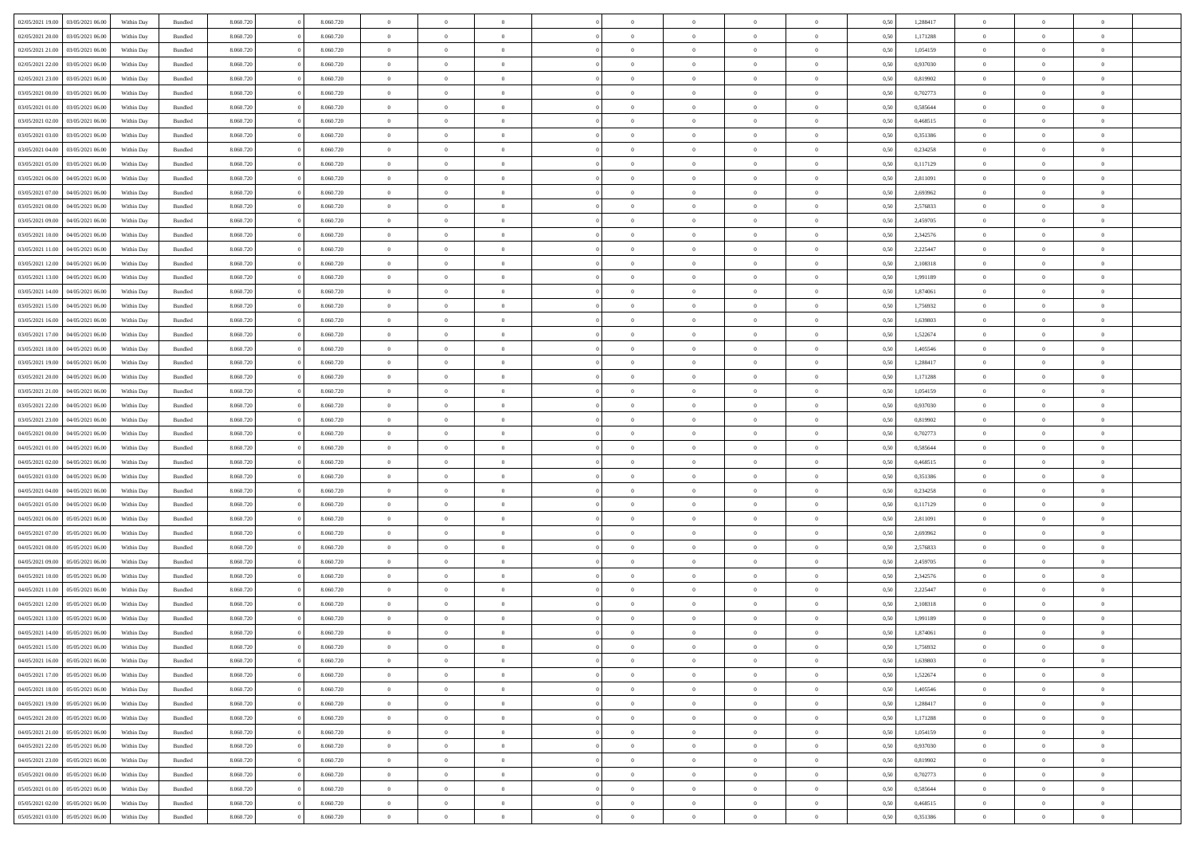| 02/05/2021 19:00 | 03/05/2021 06:00 | Within Day | Bundled            | 8.060.720 | 8.060.720 | $\overline{0}$ | $\Omega$       |                | $\Omega$       | $\Omega$       | $\theta$       | $\theta$       | 0.50 | 1,288417 | $\theta$       | $\theta$       | $\theta$       |  |
|------------------|------------------|------------|--------------------|-----------|-----------|----------------|----------------|----------------|----------------|----------------|----------------|----------------|------|----------|----------------|----------------|----------------|--|
| 02/05/2021 20:00 | 03/05/2021 06:00 | Within Day | Bundled            | 8.060.720 | 8.060.720 | $\overline{0}$ | $\theta$       | $\overline{0}$ | $\overline{0}$ | $\bf{0}$       | $\overline{0}$ | $\bf{0}$       | 0,50 | 1,171288 | $\theta$       | $\theta$       | $\overline{0}$ |  |
| 02/05/2021 21.00 | 03/05/2021 06:00 | Within Day | Bundled            | 8.060.720 | 8.060.720 | $\overline{0}$ | $\overline{0}$ | $\overline{0}$ | $\overline{0}$ | $\bf{0}$       | $\overline{0}$ | $\bf{0}$       | 0,50 | 1,054159 | $\overline{0}$ | $\overline{0}$ | $\overline{0}$ |  |
|                  |                  |            |                    |           |           |                |                |                |                |                |                |                |      |          |                |                |                |  |
| 02/05/2021 22:00 | 03/05/2021 06:00 | Within Dav | Bundled            | 8.060.720 | 8.060.720 | $\overline{0}$ | $\overline{0}$ | $\overline{0}$ | $\overline{0}$ | $\bf{0}$       | $\overline{0}$ | $\overline{0}$ | 0.50 | 0,937030 | $\theta$       | $\theta$       | $\overline{0}$ |  |
| 02/05/2021 23:00 | 03/05/2021 06.00 | Within Day | Bundled            | 8.060.720 | 8.060.720 | $\overline{0}$ | $\theta$       | $\overline{0}$ | $\overline{0}$ | $\bf{0}$       | $\overline{0}$ | $\bf{0}$       | 0,50 | 0,819902 | $\theta$       | $\theta$       | $\overline{0}$ |  |
| 03/05/2021 00:00 | 03/05/2021 06:00 | Within Day | Bundled            | 8.060.720 | 8.060.720 | $\overline{0}$ | $\bf{0}$       | $\overline{0}$ | $\overline{0}$ | $\overline{0}$ | $\overline{0}$ | $\mathbf{0}$   | 0,50 | 0,702773 | $\overline{0}$ | $\overline{0}$ | $\bf{0}$       |  |
| 03/05/2021 01:00 | 03/05/2021 06:00 | Within Dav | Bundled            | 8.060.720 | 8.060.720 | $\overline{0}$ | $\overline{0}$ | $\overline{0}$ | $\overline{0}$ | $\overline{0}$ | $\overline{0}$ | $\overline{0}$ | 0.50 | 0.585644 | $\theta$       | $\overline{0}$ | $\overline{0}$ |  |
|                  |                  |            |                    |           |           |                |                |                |                |                |                |                |      |          |                |                |                |  |
| 03/05/2021 02:00 | 03/05/2021 06:00 | Within Day | Bundled            | 8.060.720 | 8.060.720 | $\overline{0}$ | $\theta$       | $\overline{0}$ | $\overline{0}$ | $\bf{0}$       | $\overline{0}$ | $\bf{0}$       | 0,50 | 0,468515 | $\theta$       | $\theta$       | $\overline{0}$ |  |
| 03/05/2021 03:00 | 03/05/2021 06:00 | Within Day | Bundled            | 8.060.720 | 8.060.720 | $\overline{0}$ | $\overline{0}$ | $\overline{0}$ | $\overline{0}$ | $\bf{0}$       | $\overline{0}$ | $\bf{0}$       | 0,50 | 0,351386 | $\,0\,$        | $\overline{0}$ | $\overline{0}$ |  |
| 03/05/2021 04:00 | 03/05/2021 06:00 | Within Dav | Bundled            | 8.060.720 | 8.060.720 | $\overline{0}$ | $\overline{0}$ | $\overline{0}$ | $\overline{0}$ | $\overline{0}$ | $\overline{0}$ | $\overline{0}$ | 0.50 | 0,234258 | $\theta$       | $\overline{0}$ | $\overline{0}$ |  |
|                  |                  |            |                    |           |           |                |                |                |                |                |                |                |      |          |                |                |                |  |
| 03/05/2021 05:00 | 03/05/2021 06:00 | Within Day | Bundled            | 8.060.720 | 8.060.720 | $\overline{0}$ | $\theta$       | $\overline{0}$ | $\overline{0}$ | $\bf{0}$       | $\overline{0}$ | $\bf{0}$       | 0,50 | 0,117129 | $\,$ 0 $\,$    | $\theta$       | $\overline{0}$ |  |
| 03/05/2021 06:00 | 04/05/2021 06.00 | Within Day | Bundled            | 8.060.720 | 8.060.720 | $\overline{0}$ | $\overline{0}$ | $\overline{0}$ | $\overline{0}$ | $\bf{0}$       | $\overline{0}$ | $\bf{0}$       | 0,50 | 2,811091 | $\overline{0}$ | $\overline{0}$ | $\overline{0}$ |  |
| 03/05/2021 07:00 | 04/05/2021 06:00 | Within Dav | Bundled            | 8.060.720 | 8.060.720 | $\overline{0}$ | $\overline{0}$ | $\overline{0}$ | $\overline{0}$ | $\bf{0}$       | $\overline{0}$ | $\overline{0}$ | 0.50 | 2,693962 | $\theta$       | $\theta$       | $\overline{0}$ |  |
| 03/05/2021 08:00 | 04/05/2021 06.00 | Within Day | Bundled            | 8.060.720 | 8.060.720 | $\overline{0}$ | $\theta$       | $\overline{0}$ | $\overline{0}$ | $\bf{0}$       | $\overline{0}$ | $\overline{0}$ | 0,50 | 2,576833 | $\theta$       | $\theta$       | $\overline{0}$ |  |
|                  |                  |            |                    |           |           |                |                |                |                |                |                |                |      |          |                |                |                |  |
| 03/05/2021 09:00 | 04/05/2021 06.00 | Within Day | Bundled            | 8.060.720 | 8.060.720 | $\overline{0}$ | $\bf{0}$       | $\overline{0}$ | $\overline{0}$ | $\overline{0}$ | $\overline{0}$ | $\mathbf{0}$   | 0,50 | 2,459705 | $\overline{0}$ | $\overline{0}$ | $\bf{0}$       |  |
| 03/05/2021 10:00 | 04/05/2021 06:00 | Within Dav | Bundled            | 8.060.720 | 8.060.720 | $\overline{0}$ | $\overline{0}$ | $\overline{0}$ | $\overline{0}$ | $\overline{0}$ | $\overline{0}$ | $\overline{0}$ | 0.50 | 2,342576 | $\theta$       | $\overline{0}$ | $\overline{0}$ |  |
| 03/05/2021 11:00 | 04/05/2021 06.00 | Within Day | Bundled            | 8.060.720 | 8.060.720 | $\overline{0}$ | $\theta$       | $\overline{0}$ | $\overline{0}$ | $\bf{0}$       | $\overline{0}$ | $\bf{0}$       | 0,50 | 2,225447 | $\theta$       | $\theta$       | $\overline{0}$ |  |
|                  |                  |            |                    |           |           |                |                |                |                |                |                |                |      |          |                |                |                |  |
| 03/05/2021 12:00 | 04/05/2021 06.00 | Within Day | Bundled            | 8.060.720 | 8.060.720 | $\overline{0}$ | $\overline{0}$ | $\overline{0}$ | $\overline{0}$ | $\bf{0}$       | $\overline{0}$ | $\bf{0}$       | 0,50 | 2,108318 | $\,0\,$        | $\overline{0}$ | $\overline{0}$ |  |
| 03/05/2021 13:00 | 04/05/2021 06:00 | Within Dav | Bundled            | 8.060.720 | 8.060.720 | $\overline{0}$ | $\overline{0}$ | $\overline{0}$ | $\overline{0}$ | $\overline{0}$ | $\overline{0}$ | $\overline{0}$ | 0.50 | 1,991189 | $\theta$       | $\overline{0}$ | $\overline{0}$ |  |
| 03/05/2021 14:00 | 04/05/2021 06.00 | Within Day | Bundled            | 8.060.720 | 8.060.720 | $\overline{0}$ | $\theta$       | $\overline{0}$ | $\overline{0}$ | $\bf{0}$       | $\overline{0}$ | $\bf{0}$       | 0,50 | 1,874061 | $\,$ 0 $\,$    | $\theta$       | $\overline{0}$ |  |
| 03/05/2021 15:00 | 04/05/2021 06.00 | Within Day | Bundled            | 8.060.720 | 8.060.720 | $\overline{0}$ | $\overline{0}$ | $\overline{0}$ | $\bf{0}$       | $\bf{0}$       | $\bf{0}$       | $\bf{0}$       | 0,50 | 1,756932 | $\bf{0}$       | $\overline{0}$ | $\overline{0}$ |  |
|                  |                  |            |                    |           |           |                |                |                |                |                |                |                |      |          |                |                |                |  |
| 03/05/2021 16:00 | 04/05/2021 06:00 | Within Day | Bundled            | 8.060.720 | 8.060.720 | $\overline{0}$ | $\overline{0}$ | $\overline{0}$ | $\overline{0}$ | $\bf{0}$       | $\overline{0}$ | $\overline{0}$ | 0.50 | 1,639803 | $\theta$       | $\theta$       | $\overline{0}$ |  |
| 03/05/2021 17:00 | 04/05/2021 06.00 | Within Day | Bundled            | 8.060.720 | 8.060.720 | $\overline{0}$ | $\theta$       | $\overline{0}$ | $\overline{0}$ | $\bf{0}$       | $\overline{0}$ | $\bf{0}$       | 0,50 | 1,522674 | $\,$ 0 $\,$    | $\overline{0}$ | $\overline{0}$ |  |
| 03/05/2021 18:00 | 04/05/2021 06.00 | Within Day | Bundled            | 8.060.720 | 8.060.720 | $\overline{0}$ | $\bf{0}$       | $\overline{0}$ | $\bf{0}$       | $\overline{0}$ | $\overline{0}$ | $\mathbf{0}$   | 0,50 | 1,405546 | $\bf{0}$       | $\overline{0}$ | $\bf{0}$       |  |
| 03/05/2021 19:00 | 04/05/2021 06:00 | Within Dav | Bundled            | 8.060.720 | 8.060.720 | $\overline{0}$ | $\overline{0}$ | $\overline{0}$ | $\overline{0}$ | $\overline{0}$ | $\overline{0}$ | $\overline{0}$ | 0.50 | 1,288417 | $\theta$       | $\theta$       | $\overline{0}$ |  |
|                  |                  |            |                    |           |           |                |                |                |                |                |                |                |      |          |                |                |                |  |
| 03/05/2021 20:00 | 04/05/2021 06.00 | Within Day | Bundled            | 8.060.720 | 8.060.720 | $\overline{0}$ | $\theta$       | $\overline{0}$ | $\overline{0}$ | $\bf{0}$       | $\overline{0}$ | $\bf{0}$       | 0,50 | 1,171288 | $\theta$       | $\theta$       | $\overline{0}$ |  |
| 03/05/2021 21.00 | 04/05/2021 06.00 | Within Day | Bundled            | 8.060.720 | 8.060.720 | $\overline{0}$ | $\overline{0}$ | $\overline{0}$ | $\bf{0}$       | $\bf{0}$       | $\bf{0}$       | $\bf{0}$       | 0,50 | 1,054159 | $\,0\,$        | $\overline{0}$ | $\overline{0}$ |  |
| 03/05/2021 22.00 | 04/05/2021 06:00 | Within Day | Bundled            | 8.060.720 | 8.060.720 | $\overline{0}$ | $\overline{0}$ | $\overline{0}$ | $\overline{0}$ | $\overline{0}$ | $\overline{0}$ | $\overline{0}$ | 0.50 | 0,937030 | $\theta$       | $\overline{0}$ | $\overline{0}$ |  |
| 03/05/2021 23:00 | 04/05/2021 06.00 |            |                    | 8.060.720 | 8.060.720 | $\overline{0}$ | $\theta$       | $\overline{0}$ | $\overline{0}$ | $\bf{0}$       | $\overline{0}$ |                |      | 0,819902 | $\,$ 0 $\,$    | $\overline{0}$ | $\overline{0}$ |  |
|                  |                  | Within Day | Bundled            |           |           |                |                |                |                |                |                | $\bf{0}$       | 0,50 |          |                |                |                |  |
| 04/05/2021 00:00 | 04/05/2021 06.00 | Within Day | Bundled            | 8.060.720 | 8.060.720 | $\overline{0}$ | $\overline{0}$ | $\overline{0}$ | $\bf{0}$       | $\bf{0}$       | $\bf{0}$       | $\bf{0}$       | 0,50 | 0,702773 | $\bf{0}$       | $\overline{0}$ | $\overline{0}$ |  |
| 04/05/2021 01:00 | 04/05/2021 06.00 | Within Day | Bundled            | 8.060.720 | 8.060.720 | $\overline{0}$ | $\Omega$       | $\Omega$       | $\Omega$       | $\Omega$       | $\Omega$       | $\overline{0}$ | 0.50 | 0,585644 | $\,0\,$        | $\theta$       | $\theta$       |  |
| 04/05/2021 02.00 | 04/05/2021 06.00 | Within Day | Bundled            | 8.060.720 | 8.060.720 | $\overline{0}$ | $\theta$       | $\overline{0}$ | $\overline{0}$ | $\bf{0}$       | $\overline{0}$ | $\bf{0}$       | 0,50 | 0,468515 | $\theta$       | $\theta$       | $\overline{0}$ |  |
|                  |                  |            |                    |           |           |                |                |                |                |                |                |                |      |          |                |                |                |  |
| 04/05/2021 03:00 | 04/05/2021 06.00 | Within Day | Bundled            | 8.060.720 | 8.060.720 | $\overline{0}$ | $\overline{0}$ | $\overline{0}$ | $\bf{0}$       | $\bf{0}$       | $\overline{0}$ | $\mathbf{0}$   | 0,50 | 0,351386 | $\bf{0}$       | $\overline{0}$ | $\bf{0}$       |  |
| 04/05/2021 04:00 | 04/05/2021 06:00 | Within Day | Bundled            | 8.060.720 | 8.060.720 | $\overline{0}$ | $\Omega$       | $\Omega$       | $\Omega$       | $\bf{0}$       | $\overline{0}$ | $\overline{0}$ | 0.50 | 0,234258 | $\,0\,$        | $\theta$       | $\theta$       |  |
| 04/05/2021 05:00 | 04/05/2021 06.00 | Within Day | Bundled            | 8.060.720 | 8.060.720 | $\overline{0}$ | $\theta$       | $\overline{0}$ | $\overline{0}$ | $\bf{0}$       | $\overline{0}$ | $\bf{0}$       | 0,50 | 0,117129 | $\,$ 0 $\,$    | $\theta$       | $\overline{0}$ |  |
| 04/05/2021 06.00 | 05/05/2021 06:00 | Within Day | Bundled            | 8.060.720 | 8.060.720 | $\overline{0}$ | $\overline{0}$ | $\overline{0}$ | $\bf{0}$       | $\bf{0}$       | $\bf{0}$       | $\bf{0}$       | 0,50 | 2,811091 | $\,0\,$        | $\overline{0}$ | $\overline{0}$ |  |
|                  |                  |            |                    |           |           |                |                |                |                |                |                |                |      |          |                |                |                |  |
| 04/05/2021 07:00 | 05/05/2021 06:00 | Within Day | Bundled            | 8.060.720 | 8.060.720 | $\overline{0}$ | $\Omega$       | $\Omega$       | $\Omega$       | $\theta$       | $\theta$       | $\overline{0}$ | 0.50 | 2,693962 | $\theta$       | $\theta$       | $\theta$       |  |
| 04/05/2021 08:00 | 05/05/2021 06:00 | Within Day | Bundled            | 8.060.720 | 8.060.720 | $\overline{0}$ | $\theta$       | $\overline{0}$ | $\overline{0}$ | $\bf{0}$       | $\overline{0}$ | $\bf{0}$       | 0,50 | 2,576833 | $\,$ 0 $\,$    | $\overline{0}$ | $\overline{0}$ |  |
| 04/05/2021 09:00 | 05/05/2021 06:00 | Within Day | Bundled            | 8.060.720 | 8.060.720 | $\overline{0}$ | $\overline{0}$ | $\overline{0}$ | $\bf{0}$       | $\bf{0}$       | $\bf{0}$       | $\bf{0}$       | 0,50 | 2,459705 | $\overline{0}$ | $\overline{0}$ | $\overline{0}$ |  |
| 04/05/2021 10:00 | 05/05/2021 06:00 |            |                    | 8.060.720 | 8.060.720 | $\overline{0}$ | $\Omega$       | $\Omega$       | $\Omega$       | $\overline{0}$ | $\overline{0}$ | $\overline{0}$ | 0.50 | 2,342576 | $\,0\,$        | $\theta$       | $\theta$       |  |
|                  |                  | Within Day | Bundled            |           |           |                |                |                |                |                |                |                |      |          |                |                |                |  |
| 04/05/2021 11:00 | 05/05/2021 06:00 | Within Day | Bundled            | 8.060.720 | 8.060.720 | $\overline{0}$ | $\theta$       | $\overline{0}$ | $\overline{0}$ | $\bf{0}$       | $\overline{0}$ | $\bf{0}$       | 0,50 | 2,225447 | $\,$ 0 $\,$    | $\overline{0}$ | $\overline{0}$ |  |
| 04/05/2021 12:00 | 05/05/2021 06:00 | Within Day | Bundled            | 8.060.720 | 8.060.720 | $\overline{0}$ | $\overline{0}$ | $\overline{0}$ | $\bf{0}$       | $\bf{0}$       | $\bf{0}$       | $\mathbf{0}$   | 0,50 | 2,108318 | $\overline{0}$ | $\overline{0}$ | $\bf{0}$       |  |
| 04/05/2021 13:00 | 05/05/2021 06:00 | Within Day | Bundled            | 8.060.720 | 8.060.720 | $\overline{0}$ | $\Omega$       | $\Omega$       | $\Omega$       | $\Omega$       | $\Omega$       | $\overline{0}$ | 0.50 | 1,991189 | $\theta$       | $\theta$       | $\theta$       |  |
| 04/05/2021 14:00 | 05/05/2021 06:00 | Within Day | Bundled            | 8.060.720 | 8.060.720 | $\overline{0}$ | $\overline{0}$ | $\bf{0}$       | $\bf{0}$       | $\,$ 0         | $\bf{0}$       | $\bf{0}$       | 0,50 | 1,874061 | $\,0\,$        | $\,$ 0 $\,$    | $\overline{0}$ |  |
|                  |                  |            |                    |           |           |                |                |                |                |                |                |                |      |          |                |                |                |  |
| 04/05/2021 15:00 | 05/05/2021 06:00 | Within Day | $\mathbf B$ undled | 8.060.720 | 8.060.720 | $\bf{0}$       | $\bf{0}$       |                |                | $\bf{0}$       |                |                | 0,50 | 1,756932 | $\bf{0}$       | $\overline{0}$ |                |  |
| 04/05/2021 16:00 | 05/05/2021 06:00 | Within Day | Bundled            | 8.060.720 | 8.060.720 | $\overline{0}$ | $\overline{0}$ | $\overline{0}$ | $\Omega$       | $\overline{0}$ | $\overline{0}$ | $\overline{0}$ | 0.50 | 1.639803 | $\theta$       | $\theta$       | $\theta$       |  |
| 04/05/2021 17:00 | 05/05/2021 06:00 | Within Day | Bundled            | 8.060.720 | 8.060.720 | $\overline{0}$ | $\,$ 0         | $\overline{0}$ | $\bf{0}$       | $\,$ 0 $\,$    | $\overline{0}$ | $\mathbf{0}$   | 0,50 | 1,522674 | $\,$ 0 $\,$    | $\,$ 0 $\,$    | $\,$ 0         |  |
|                  |                  |            |                    |           |           |                |                |                |                |                |                |                |      |          |                |                |                |  |
| 04/05/2021 18:00 | 05/05/2021 06:00 | Within Day | Bundled            | 8.060.720 | 8.060.720 | $\overline{0}$ | $\overline{0}$ | $\overline{0}$ | $\overline{0}$ | $\overline{0}$ | $\overline{0}$ | $\mathbf{0}$   | 0,50 | 1,405546 | $\overline{0}$ | $\bf{0}$       | $\overline{0}$ |  |
| 04/05/2021 19:00 | 05/05/2021 06:00 | Within Day | Bundled            | 8.060.720 | 8.060.720 | $\overline{0}$ | $\overline{0}$ | $\overline{0}$ | $\Omega$       | $\overline{0}$ | $\overline{0}$ | $\overline{0}$ | 0,50 | 1,288417 | $\overline{0}$ | $\theta$       | $\overline{0}$ |  |
| 04/05/2021 20:00 | 05/05/2021 06:00 | Within Day | Bundled            | 8.060.720 | 8.060.720 | $\overline{0}$ | $\,$ 0         | $\overline{0}$ | $\overline{0}$ | $\,$ 0 $\,$    | $\overline{0}$ | $\mathbf{0}$   | 0,50 | 1,171288 | $\,$ 0 $\,$    | $\overline{0}$ | $\overline{0}$ |  |
| 04/05/2021 21:00 | 05/05/2021 06:00 | Within Day | Bundled            | 8.060.720 | 8.060.720 | $\overline{0}$ | $\overline{0}$ | $\overline{0}$ | $\overline{0}$ | $\overline{0}$ | $\overline{0}$ | $\mathbf{0}$   | 0,50 | 1,054159 | $\overline{0}$ | $\overline{0}$ | $\bf{0}$       |  |
|                  |                  |            |                    |           |           |                |                |                |                |                |                |                |      |          |                |                |                |  |
| 04/05/2021 22.00 | 05/05/2021 06:00 | Within Day | Bundled            | 8.060.720 | 8.060.720 | $\overline{0}$ | $\overline{0}$ | $\overline{0}$ | $\overline{0}$ | $\overline{0}$ | $\overline{0}$ | $\bf{0}$       | 0.50 | 0,937030 | $\overline{0}$ | $\theta$       | $\overline{0}$ |  |
| 04/05/2021 23:00 | 05/05/2021 06:00 | Within Day | Bundled            | 8.060.720 | 8.060.720 | $\overline{0}$ | $\,$ 0         | $\overline{0}$ | $\bf{0}$       | $\bf{0}$       | $\bf{0}$       | $\bf{0}$       | 0,50 | 0,819902 | $\,$ 0 $\,$    | $\overline{0}$ | $\overline{0}$ |  |
| 05/05/2021 00:00 | 05/05/2021 06:00 | Within Day | Bundled            | 8.060.720 | 8.060.720 | $\overline{0}$ | $\bf{0}$       | $\overline{0}$ | $\overline{0}$ | $\overline{0}$ | $\overline{0}$ | $\mathbf{0}$   | 0,50 | 0,702773 | $\overline{0}$ | $\overline{0}$ | $\bf{0}$       |  |
| 05/05/2021 01:00 | 05/05/2021 06:00 | Within Day | Bundled            | 8.060.720 | 8.060.720 | $\overline{0}$ | $\overline{0}$ | $\overline{0}$ | $\Omega$       | $\overline{0}$ | $\overline{0}$ | $\overline{0}$ | 0.50 | 0,585644 | $\overline{0}$ | $\overline{0}$ | $\overline{0}$ |  |
|                  |                  |            |                    |           |           |                |                |                |                |                |                |                |      |          |                |                |                |  |
| 05/05/2021 02:00 | 05/05/2021 06:00 | Within Day | Bundled            | 8.060.720 | 8.060.720 | $\overline{0}$ | $\bf{0}$       | $\overline{0}$ | $\overline{0}$ | $\bf{0}$       | $\bf{0}$       | $\bf{0}$       | 0,50 | 0,468515 | $\,$ 0 $\,$    | $\,$ 0 $\,$    | $\bf{0}$       |  |
| 05/05/2021 03:00 | 05/05/2021 06:00 | Within Day | Bundled            | 8.060.720 | 8.060.720 | $\overline{0}$ | $\bf{0}$       | $\overline{0}$ | $\bf{0}$       | $\bf{0}$       | $\bf{0}$       | $\bf{0}$       | 0,50 | 0,351386 | $\overline{0}$ | $\overline{0}$ | $\bf{0}$       |  |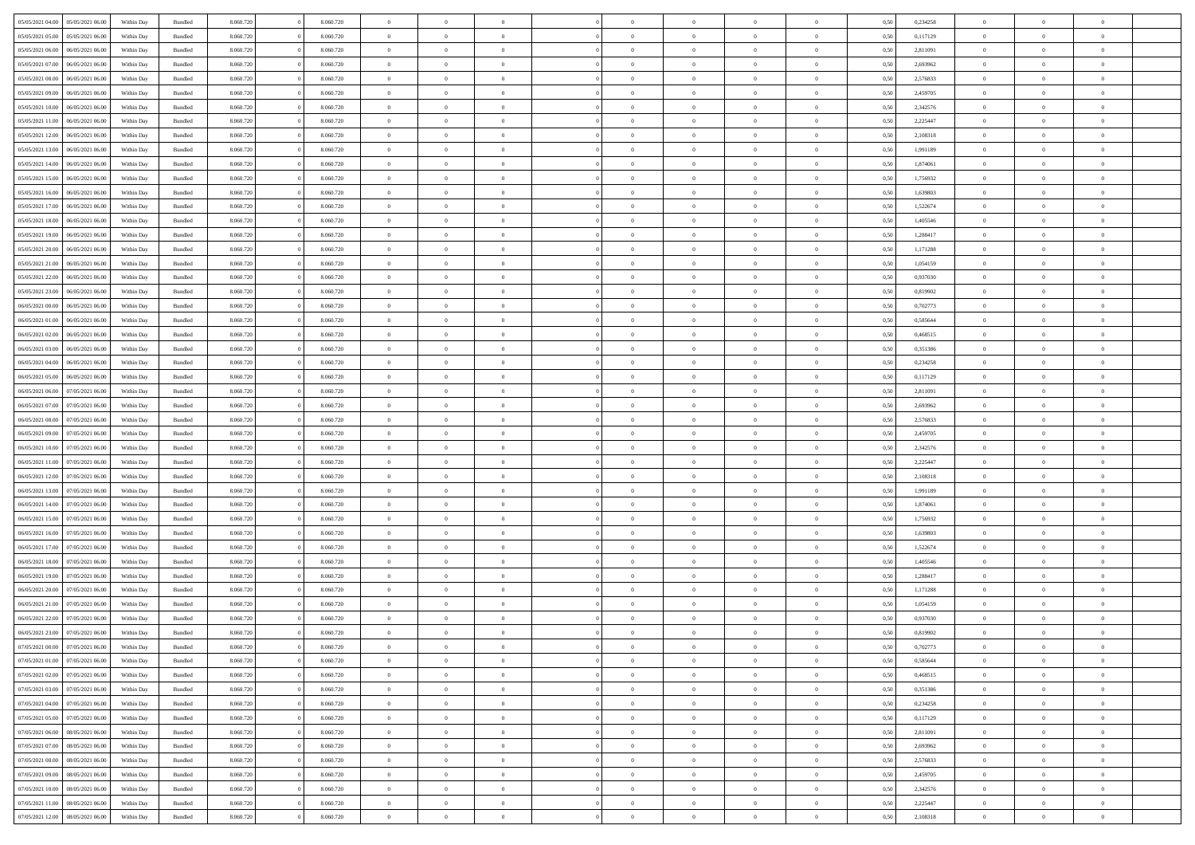| 05/05/2021 04:00                  | 05/05/2021 06:00 | Within Day | Bundled            | 8.060.720 | 8.060.720 | $\overline{0}$ | $\Omega$       |                | $\Omega$       | $\Omega$       | $\theta$       | $\theta$       | 0.50 | 0,234258 | $\theta$       | $\theta$       | $\theta$       |  |
|-----------------------------------|------------------|------------|--------------------|-----------|-----------|----------------|----------------|----------------|----------------|----------------|----------------|----------------|------|----------|----------------|----------------|----------------|--|
| 05/05/2021 05:00                  | 05/05/2021 06:00 | Within Day | Bundled            | 8.060.720 | 8.060.720 | $\overline{0}$ | $\theta$       | $\overline{0}$ | $\overline{0}$ | $\bf{0}$       | $\overline{0}$ | $\overline{0}$ | 0,50 | 0,117129 | $\theta$       | $\theta$       | $\overline{0}$ |  |
| 05/05/2021 06:00                  | 06/05/2021 06:00 | Within Day | Bundled            | 8.060.720 | 8.060.720 | $\overline{0}$ | $\overline{0}$ | $\overline{0}$ | $\bf{0}$       | $\bf{0}$       | $\bf{0}$       | $\bf{0}$       | 0,50 | 2,811091 | $\overline{0}$ | $\overline{0}$ | $\overline{0}$ |  |
|                                   |                  |            |                    |           |           |                |                |                |                |                |                |                |      |          |                |                |                |  |
| 05/05/2021 07:00                  | 06/05/2021 06:00 | Within Dav | Bundled            | 8.060.720 | 8.060.720 | $\overline{0}$ | $\overline{0}$ | $\overline{0}$ | $\overline{0}$ | $\bf{0}$       | $\overline{0}$ | $\overline{0}$ | 0.50 | 2,693962 | $\theta$       | $\theta$       | $\overline{0}$ |  |
| 05/05/2021 08:00                  | 06/05/2021 06:00 | Within Day | Bundled            | 8.060.720 | 8.060.720 | $\overline{0}$ | $\theta$       | $\overline{0}$ | $\overline{0}$ | $\bf{0}$       | $\overline{0}$ | $\bf{0}$       | 0,50 | 2,576833 | $\theta$       | $\theta$       | $\overline{0}$ |  |
| 05/05/2021 09:00                  | 06/05/2021 06:00 | Within Day | Bundled            | 8.060.720 | 8.060.720 | $\overline{0}$ | $\bf{0}$       | $\overline{0}$ | $\overline{0}$ | $\overline{0}$ | $\overline{0}$ | $\mathbf{0}$   | 0,50 | 2,459705 | $\bf{0}$       | $\overline{0}$ | $\bf{0}$       |  |
| 05/05/2021 10:00                  | 06/05/2021 06:00 | Within Dav | Bundled            | 8.060.720 | 8.060.720 | $\overline{0}$ | $\overline{0}$ | $\overline{0}$ | $\overline{0}$ | $\overline{0}$ | $\overline{0}$ | $\overline{0}$ | 0.50 | 2,342576 | $\theta$       | $\overline{0}$ | $\overline{0}$ |  |
|                                   |                  |            |                    |           |           |                |                |                |                |                |                |                |      |          |                |                |                |  |
| 05/05/2021 11:00                  | 06/05/2021 06:00 | Within Day | Bundled            | 8.060.720 | 8.060.720 | $\overline{0}$ | $\theta$       | $\overline{0}$ | $\overline{0}$ | $\bf{0}$       | $\overline{0}$ | $\bf{0}$       | 0,50 | 2,225447 | $\theta$       | $\theta$       | $\overline{0}$ |  |
| 05/05/2021 12:00                  | 06/05/2021 06:00 | Within Day | Bundled            | 8.060.720 | 8.060.720 | $\overline{0}$ | $\overline{0}$ | $\overline{0}$ | $\overline{0}$ | $\bf{0}$       | $\overline{0}$ | $\bf{0}$       | 0,50 | 2,108318 | $\,0\,$        | $\overline{0}$ | $\overline{0}$ |  |
| 05/05/2021 13:00                  | 06/05/2021 06:00 | Within Dav | Bundled            | 8.060.720 | 8.060.720 | $\overline{0}$ | $\overline{0}$ | $\overline{0}$ | $\overline{0}$ | $\overline{0}$ | $\overline{0}$ | $\overline{0}$ | 0.50 | 1,991189 | $\theta$       | $\overline{0}$ | $\overline{0}$ |  |
|                                   |                  |            |                    |           |           |                |                |                |                |                |                |                |      |          |                |                |                |  |
| 05/05/2021 14:00                  | 06/05/2021 06:00 | Within Day | Bundled            | 8.060.720 | 8.060.720 | $\overline{0}$ | $\theta$       | $\overline{0}$ | $\overline{0}$ | $\bf{0}$       | $\overline{0}$ | $\bf{0}$       | 0,50 | 1,874061 | $\,$ 0 $\,$    | $\theta$       | $\overline{0}$ |  |
| 05/05/2021 15:00                  | 06/05/2021 06:00 | Within Day | Bundled            | 8.060.720 | 8.060.720 | $\overline{0}$ | $\overline{0}$ | $\overline{0}$ | $\overline{0}$ | $\bf{0}$       | $\overline{0}$ | $\bf{0}$       | 0,50 | 1,756932 | $\bf{0}$       | $\overline{0}$ | $\overline{0}$ |  |
| 05/05/2021 16:00                  | 06/05/2021 06:00 | Within Dav | Bundled            | 8.060.720 | 8.060.720 | $\overline{0}$ | $\overline{0}$ | $\overline{0}$ | $\overline{0}$ | $\bf{0}$       | $\overline{0}$ | $\overline{0}$ | 0.50 | 1.639803 | $\theta$       | $\theta$       | $\overline{0}$ |  |
| 05/05/2021 17:00                  | 06/05/2021 06:00 | Within Day | Bundled            | 8.060.720 | 8.060.720 | $\overline{0}$ | $\theta$       | $\overline{0}$ | $\overline{0}$ | $\bf{0}$       | $\overline{0}$ | $\overline{0}$ | 0,50 | 1,522674 | $\theta$       | $\theta$       | $\overline{0}$ |  |
|                                   |                  |            |                    |           |           |                |                |                |                |                |                |                |      |          |                |                |                |  |
| 05/05/2021 18:00                  | 06/05/2021 06:00 | Within Day | Bundled            | 8.060.720 | 8.060.720 | $\overline{0}$ | $\bf{0}$       | $\overline{0}$ | $\bf{0}$       | $\overline{0}$ | $\overline{0}$ | $\mathbf{0}$   | 0,50 | 1,405546 | $\bf{0}$       | $\overline{0}$ | $\bf{0}$       |  |
| 05/05/2021 19:00                  | 06/05/2021 06:00 | Within Dav | Bundled            | 8.060.720 | 8.060.720 | $\overline{0}$ | $\overline{0}$ | $\overline{0}$ | $\overline{0}$ | $\overline{0}$ | $\overline{0}$ | $\overline{0}$ | 0.50 | 1,288417 | $\theta$       | $\overline{0}$ | $\overline{0}$ |  |
| 05/05/2021 20:00                  | 06/05/2021 06:00 | Within Day | Bundled            | 8.060.720 | 8.060.720 | $\overline{0}$ | $\theta$       | $\overline{0}$ | $\overline{0}$ | $\bf{0}$       | $\overline{0}$ | $\bf{0}$       | 0,50 | 1,171288 | $\theta$       | $\theta$       | $\overline{0}$ |  |
|                                   |                  |            |                    |           |           |                |                |                |                |                |                |                |      |          |                |                |                |  |
| 05/05/2021 21.00                  | 06/05/2021 06:00 | Within Day | Bundled            | 8.060.720 | 8.060.720 | $\overline{0}$ | $\overline{0}$ | $\overline{0}$ | $\bf{0}$       | $\bf{0}$       | $\bf{0}$       | $\bf{0}$       | 0,50 | 1,054159 | $\,0\,$        | $\overline{0}$ | $\overline{0}$ |  |
| 05/05/2021 22:00                  | 06/05/2021 06:00 | Within Dav | Bundled            | 8.060.720 | 8.060.720 | $\overline{0}$ | $\overline{0}$ | $\overline{0}$ | $\overline{0}$ | $\overline{0}$ | $\overline{0}$ | $\overline{0}$ | 0.50 | 0,937030 | $\theta$       | $\overline{0}$ | $\overline{0}$ |  |
| 05/05/2021 23:00                  | 06/05/2021 06:00 | Within Day | Bundled            | 8.060.720 | 8.060.720 | $\overline{0}$ | $\theta$       | $\overline{0}$ | $\overline{0}$ | $\bf{0}$       | $\overline{0}$ | $\bf{0}$       | 0,50 | 0,819902 | $\,$ 0 $\,$    | $\theta$       | $\overline{0}$ |  |
| 06/05/2021 00:00                  | 06/05/2021 06:00 | Within Day | Bundled            | 8.060.720 | 8.060.720 | $\overline{0}$ | $\overline{0}$ | $\overline{0}$ | $\bf{0}$       | $\bf{0}$       | $\bf{0}$       | $\bf{0}$       | 0,50 | 0,702773 | $\bf{0}$       | $\overline{0}$ | $\overline{0}$ |  |
| 06/05/2021 01:00                  | 06/05/2021 06:00 |            | Bundled            | 8.060.720 | 8.060.720 | $\overline{0}$ | $\overline{0}$ |                |                | $\bf{0}$       | $\overline{0}$ |                | 0.50 | 0.585644 | $\theta$       | $\theta$       | $\overline{0}$ |  |
|                                   |                  | Within Day |                    |           |           |                |                | $\overline{0}$ | $\overline{0}$ |                |                | $\overline{0}$ |      |          |                |                |                |  |
| 06/05/2021 02:00                  | 06/05/2021 06:00 | Within Day | Bundled            | 8.060.720 | 8.060.720 | $\overline{0}$ | $\theta$       | $\overline{0}$ | $\overline{0}$ | $\bf{0}$       | $\overline{0}$ | $\bf{0}$       | 0,50 | 0,468515 | $\theta$       | $\overline{0}$ | $\overline{0}$ |  |
| 06/05/2021 03:00                  | 06/05/2021 06:00 | Within Day | Bundled            | 8.060.720 | 8.060.720 | $\overline{0}$ | $\bf{0}$       | $\overline{0}$ | $\bf{0}$       | $\overline{0}$ | $\overline{0}$ | $\mathbf{0}$   | 0,50 | 0,351386 | $\bf{0}$       | $\overline{0}$ | $\bf{0}$       |  |
| 06/05/2021 04:00                  | 06/05/2021 06:00 | Within Dav | Bundled            | 8.060.720 | 8.060.720 | $\overline{0}$ | $\overline{0}$ | $\overline{0}$ | $\overline{0}$ | $\overline{0}$ | $\overline{0}$ | $\overline{0}$ | 0.50 | 0,234258 | $\theta$       | $\theta$       | $\overline{0}$ |  |
|                                   |                  |            |                    |           |           |                |                |                |                |                |                |                |      |          |                |                |                |  |
| 06/05/2021 05:00                  | 06/05/2021 06:00 | Within Day | Bundled            | 8.060.720 | 8.060.720 | $\overline{0}$ | $\theta$       | $\overline{0}$ | $\overline{0}$ | $\bf{0}$       | $\overline{0}$ | $\bf{0}$       | 0,50 | 0,117129 | $\theta$       | $\theta$       | $\overline{0}$ |  |
| 06/05/2021 06:00                  | 07/05/2021 06:00 | Within Day | Bundled            | 8.060.720 | 8.060.720 | $\overline{0}$ | $\overline{0}$ | $\overline{0}$ | $\bf{0}$       | $\bf{0}$       | $\bf{0}$       | $\bf{0}$       | 0,50 | 2,811091 | $\,0\,$        | $\overline{0}$ | $\overline{0}$ |  |
| 06/05/2021 07:00                  | 07/05/2021 06:00 | Within Day | Bundled            | 8.060.720 | 8.060.720 | $\overline{0}$ | $\overline{0}$ | $\overline{0}$ | $\overline{0}$ | $\overline{0}$ | $\overline{0}$ | $\overline{0}$ | 0.50 | 2,693962 | $\theta$       | $\overline{0}$ | $\overline{0}$ |  |
| 06/05/2021 08:00                  | 07/05/2021 06:00 | Within Day | Bundled            | 8.060.720 | 8.060.720 | $\overline{0}$ | $\theta$       | $\overline{0}$ | $\overline{0}$ | $\bf{0}$       | $\overline{0}$ | $\bf{0}$       | 0,50 | 2,576833 | $\,$ 0 $\,$    | $\overline{0}$ | $\overline{0}$ |  |
|                                   |                  |            |                    |           |           |                |                |                |                |                |                |                |      |          |                |                |                |  |
| 06/05/2021 09:00                  | 07/05/2021 06:00 | Within Day | Bundled            | 8.060.720 | 8.060.720 | $\overline{0}$ | $\overline{0}$ | $\overline{0}$ | $\bf{0}$       | $\bf{0}$       | $\bf{0}$       | $\bf{0}$       | 0,50 | 2,459705 | $\bf{0}$       | $\overline{0}$ | $\overline{0}$ |  |
| 06/05/2021 10:00                  | 07/05/2021 06:00 | Within Day | Bundled            | 8.060.720 | 8.060.720 | $\overline{0}$ | $\Omega$       | $\Omega$       | $\Omega$       | $\Omega$       | $\Omega$       | $\overline{0}$ | 0.50 | 2,342576 | $\,0\,$        | $\theta$       | $\theta$       |  |
| 06/05/2021 11:00                  | 07/05/2021 06:00 | Within Day | Bundled            | 8.060.720 | 8.060.720 | $\overline{0}$ | $\theta$       | $\overline{0}$ | $\overline{0}$ | $\bf{0}$       | $\overline{0}$ | $\bf{0}$       | 0,50 | 2,225447 | $\theta$       | $\theta$       | $\overline{0}$ |  |
| 06/05/2021 12:00                  | 07/05/2021 06:00 | Within Day | Bundled            | 8.060.720 | 8.060.720 | $\overline{0}$ | $\overline{0}$ | $\overline{0}$ | $\bf{0}$       | $\bf{0}$       | $\overline{0}$ | $\mathbf{0}$   | 0,50 | 2,108318 | $\bf{0}$       | $\overline{0}$ | $\bf{0}$       |  |
|                                   |                  |            |                    |           |           |                |                |                |                |                |                |                |      |          |                |                |                |  |
| 06/05/2021 13:00                  | 07/05/2021 06:00 | Within Day | Bundled            | 8.060.720 | 8.060.720 | $\overline{0}$ | $\Omega$       | $\Omega$       | $\Omega$       | $\bf{0}$       | $\overline{0}$ | $\overline{0}$ | 0.50 | 1,991189 | $\,0\,$        | $\theta$       | $\theta$       |  |
| 06/05/2021 14:00                  | 07/05/2021 06:00 | Within Day | Bundled            | 8.060.720 | 8.060.720 | $\overline{0}$ | $\theta$       | $\overline{0}$ | $\overline{0}$ | $\bf{0}$       | $\overline{0}$ | $\bf{0}$       | 0,50 | 1,874061 | $\,$ 0 $\,$    | $\theta$       | $\overline{0}$ |  |
| 06/05/2021 15:00                  | 07/05/2021 06:00 | Within Day | Bundled            | 8.060.720 | 8.060.720 | $\overline{0}$ | $\overline{0}$ | $\overline{0}$ | $\bf{0}$       | $\bf{0}$       | $\bf{0}$       | $\bf{0}$       | 0,50 | 1,756932 | $\,0\,$        | $\overline{0}$ | $\overline{0}$ |  |
|                                   | 07/05/2021 06:00 |            |                    | 8.060.720 | 8.060.720 | $\overline{0}$ | $\Omega$       | $\Omega$       | $\Omega$       | $\theta$       | $\theta$       |                |      | 1.639803 | $\theta$       | $\theta$       | $\theta$       |  |
| 06/05/2021 16:00                  |                  | Within Day | Bundled            |           |           |                |                |                |                |                |                | $\overline{0}$ | 0.50 |          |                |                |                |  |
| 06/05/2021 17:00                  | 07/05/2021 06:00 | Within Day | Bundled            | 8.060.720 | 8.060.720 | $\overline{0}$ | $\theta$       | $\overline{0}$ | $\overline{0}$ | $\bf{0}$       | $\overline{0}$ | $\bf{0}$       | 0,50 | 1,522674 | $\,$ 0 $\,$    | $\overline{0}$ | $\overline{0}$ |  |
| 06/05/2021 18:00                  | 07/05/2021 06:00 | Within Day | Bundled            | 8.060.720 | 8.060.720 | $\overline{0}$ | $\overline{0}$ | $\overline{0}$ | $\bf{0}$       | $\bf{0}$       | $\bf{0}$       | $\bf{0}$       | 0,50 | 1,405546 | $\bf{0}$       | $\overline{0}$ | $\overline{0}$ |  |
| 06/05/2021 19:00                  | 07/05/2021 06:00 | Within Day | Bundled            | 8.060.720 | 8.060.720 | $\overline{0}$ | $\Omega$       | $\Omega$       | $\Omega$       | $\Omega$       | $\overline{0}$ | $\overline{0}$ | 0.50 | 1,288417 | $\,0\,$        | $\theta$       | $\theta$       |  |
|                                   |                  |            |                    |           |           | $\overline{0}$ | $\theta$       | $\overline{0}$ | $\overline{0}$ | $\bf{0}$       | $\overline{0}$ |                |      |          | $\,$ 0 $\,$    | $\overline{0}$ | $\overline{0}$ |  |
| 06/05/2021 20:00                  | 07/05/2021 06:00 | Within Day | Bundled            | 8.060.720 | 8.060.720 |                |                |                |                |                |                | $\bf{0}$       | 0,50 | 1,171288 |                |                |                |  |
| 06/05/2021 21.00                  | 07/05/2021 06:00 | Within Day | Bundled            | 8.060.720 | 8.060.720 | $\overline{0}$ | $\overline{0}$ | $\overline{0}$ | $\bf{0}$       | $\bf{0}$       | $\bf{0}$       | $\mathbf{0}$   | 0,50 | 1,054159 | $\bf{0}$       | $\overline{0}$ | $\bf{0}$       |  |
| 06/05/2021 22.00                  | 07/05/2021 06:00 | Within Day | Bundled            | 8.060.720 | 8.060.720 | $\overline{0}$ | $\Omega$       | $\Omega$       | $\Omega$       | $\Omega$       | $\Omega$       | $\overline{0}$ | 0.50 | 0.937030 | $\theta$       | $\theta$       | $\theta$       |  |
| 06/05/2021 23:00                  | 07/05/2021 06:00 | Within Day | Bundled            | 8.060.720 | 8.060.720 | $\overline{0}$ | $\overline{0}$ | $\overline{0}$ | $\bf{0}$       | $\,$ 0         | $\bf{0}$       | $\bf{0}$       | 0,50 | 0,819902 | $\,0\,$        | $\,$ 0 $\,$    | $\overline{0}$ |  |
| 07/05/2021 00:00 07/05/2021 06:00 |                  |            |                    |           |           |                |                |                |                |                |                |                |      |          |                |                |                |  |
|                                   |                  | Within Day | $\mathbf B$ undled | 8.060.720 | 8.060.720 | $\bf{0}$       | $\bf{0}$       |                |                | $\bf{0}$       |                |                | 0,50 | 0,702773 | $\bf{0}$       | $\overline{0}$ |                |  |
| 07/05/2021 01:00                  | 07/05/2021 06:00 | Within Day | Bundled            | 8.060.720 | 8.060.720 | $\overline{0}$ | $\overline{0}$ | $\overline{0}$ | $\Omega$       | $\overline{0}$ | $\overline{0}$ | $\overline{0}$ | 0.50 | 0.585644 | $\theta$       | $\theta$       | $\theta$       |  |
| 07/05/2021 02:00                  | 07/05/2021 06:00 | Within Day | Bundled            | 8.060.720 | 8.060.720 | $\overline{0}$ | $\,$ 0         | $\overline{0}$ | $\bf{0}$       | $\,$ 0 $\,$    | $\overline{0}$ | $\mathbf{0}$   | 0,50 | 0,468515 | $\,$ 0 $\,$    | $\,$ 0 $\,$    | $\,$ 0         |  |
| 07/05/2021 03:00                  | 07/05/2021 06:00 | Within Day | Bundled            | 8.060.720 | 8.060.720 | $\overline{0}$ | $\overline{0}$ | $\overline{0}$ | $\overline{0}$ | $\overline{0}$ | $\overline{0}$ | $\mathbf{0}$   | 0,50 | 0,351386 | $\overline{0}$ | $\bf{0}$       | $\bf{0}$       |  |
|                                   |                  |            |                    |           |           |                |                |                |                |                |                |                |      |          |                |                |                |  |
| 07/05/2021 04:00                  | 07/05/2021 06:00 | Within Day | Bundled            | 8.060.720 | 8.060.720 | $\overline{0}$ | $\overline{0}$ | $\overline{0}$ | $\Omega$       | $\overline{0}$ | $\overline{0}$ | $\overline{0}$ | 0,50 | 0,234258 | $\overline{0}$ | $\theta$       | $\overline{0}$ |  |
| 07/05/2021 05:00                  | 07/05/2021 06:00 | Within Day | Bundled            | 8.060.720 | 8.060.720 | $\overline{0}$ | $\,$ 0         | $\overline{0}$ | $\overline{0}$ | $\,$ 0 $\,$    | $\overline{0}$ | $\mathbf{0}$   | 0,50 | 0,117129 | $\,$ 0 $\,$    | $\overline{0}$ | $\overline{0}$ |  |
| 07/05/2021 06:00                  | 08/05/2021 06:00 | Within Day | Bundled            | 8.060.720 | 8.060.720 | $\overline{0}$ | $\overline{0}$ | $\overline{0}$ | $\overline{0}$ | $\overline{0}$ | $\overline{0}$ | $\mathbf{0}$   | 0,50 | 2,811091 | $\overline{0}$ | $\overline{0}$ | $\bf{0}$       |  |
| 07/05/2021 07:00                  | 08/05/2021 06:00 | Within Day | Bundled            | 8.060.720 | 8.060.720 | $\overline{0}$ | $\overline{0}$ | $\overline{0}$ | $\Omega$       | $\overline{0}$ | $\overline{0}$ | $\bf{0}$       | 0.50 | 2,693962 | $\overline{0}$ | $\theta$       | $\overline{0}$ |  |
|                                   |                  |            |                    |           |           |                |                |                |                |                |                |                |      |          |                |                |                |  |
| 07/05/2021 08:00                  | 08/05/2021 06:00 | Within Day | Bundled            | 8.060.720 | 8.060.720 | $\overline{0}$ | $\,$ 0         | $\overline{0}$ | $\bf{0}$       | $\bf{0}$       | $\bf{0}$       | $\bf{0}$       | 0,50 | 2,576833 | $\,$ 0 $\,$    | $\overline{0}$ | $\overline{0}$ |  |
| 07/05/2021 09:00                  | 08/05/2021 06:00 | Within Day | Bundled            | 8.060.720 | 8.060.720 | $\overline{0}$ | $\bf{0}$       | $\overline{0}$ | $\overline{0}$ | $\overline{0}$ | $\overline{0}$ | $\mathbf{0}$   | 0,50 | 2,459705 | $\overline{0}$ | $\overline{0}$ | $\bf{0}$       |  |
| 07/05/2021 10:00                  | 08/05/2021 06:00 | Within Day | Bundled            | 8.060.720 | 8.060.720 | $\overline{0}$ | $\overline{0}$ | $\overline{0}$ | $\Omega$       | $\overline{0}$ | $\overline{0}$ | $\overline{0}$ | 0.50 | 2,342576 | $\overline{0}$ | $\overline{0}$ | $\overline{0}$ |  |
| 07/05/2021 11:00                  | 08/05/2021 06:00 | Within Day | Bundled            | 8.060.720 | 8.060.720 | $\overline{0}$ | $\bf{0}$       | $\overline{0}$ | $\overline{0}$ | $\bf{0}$       | $\bf{0}$       | $\bf{0}$       | 0,50 | 2,225447 | $\,$ 0 $\,$    | $\,$ 0 $\,$    | $\bf{0}$       |  |
|                                   |                  |            |                    |           |           |                |                |                |                |                |                |                |      |          |                |                |                |  |
| 07/05/2021 12:00                  | 08/05/2021 06:00 | Within Day | Bundled            | 8.060.720 | 8.060.720 | $\overline{0}$ | $\bf{0}$       | $\overline{0}$ | $\bf{0}$       | $\bf{0}$       | $\bf{0}$       | $\bf{0}$       | 0,50 | 2,108318 | $\overline{0}$ | $\overline{0}$ | $\bf{0}$       |  |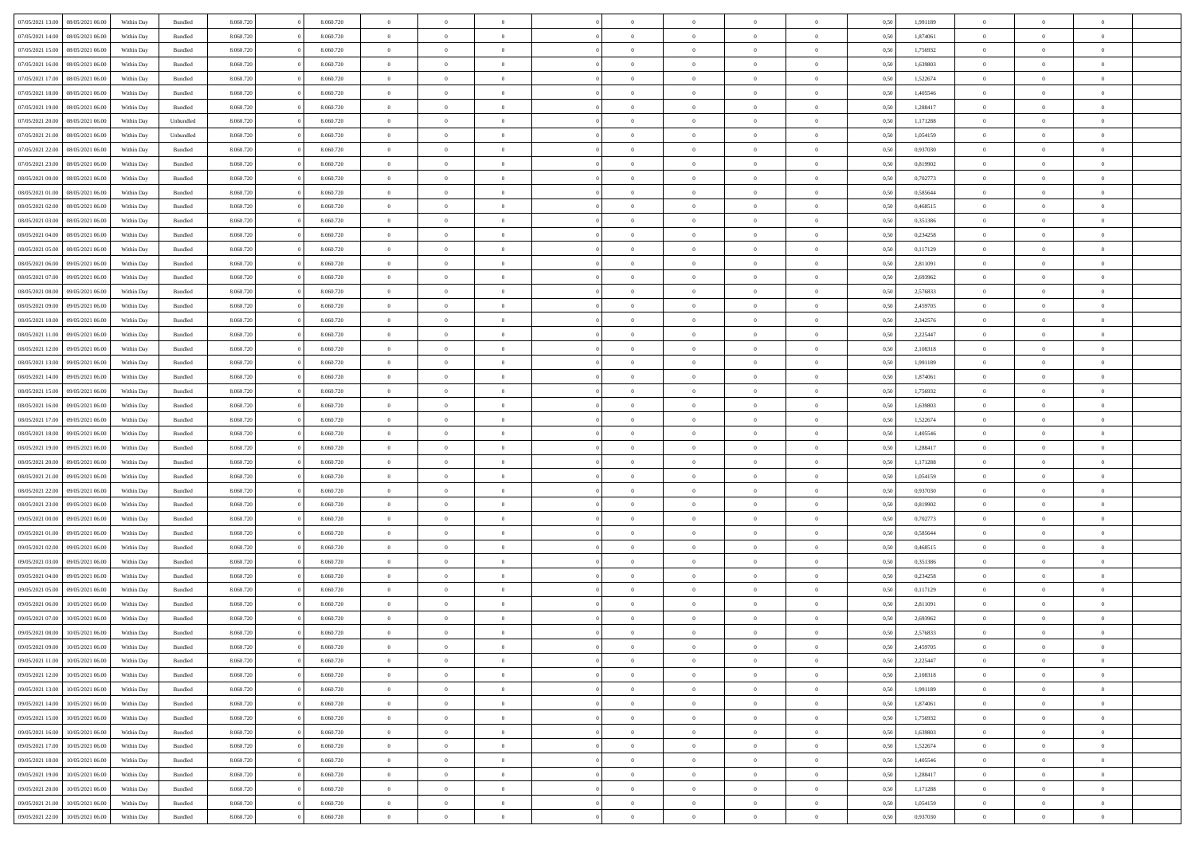| 07/05/2021 13:00 | 08/05/2021 06:00 | Within Day | Bundled            | 8.060.720 | 8.060.720 | $\overline{0}$ | $\Omega$       |                | $\Omega$       | $\Omega$       | $\theta$       | $\theta$       | 0.50 | 1,991189 | $\theta$       | $\theta$       | $\theta$       |  |
|------------------|------------------|------------|--------------------|-----------|-----------|----------------|----------------|----------------|----------------|----------------|----------------|----------------|------|----------|----------------|----------------|----------------|--|
| 07/05/2021 14:00 | 08/05/2021 06:00 | Within Day | Bundled            | 8.060.720 | 8.060.720 | $\overline{0}$ | $\theta$       | $\overline{0}$ | $\overline{0}$ | $\bf{0}$       | $\overline{0}$ | $\overline{0}$ | 0,50 | 1,874061 | $\theta$       | $\theta$       | $\overline{0}$ |  |
| 07/05/2021 15:00 | 08/05/2021 06:00 | Within Day | Bundled            | 8.060.720 | 8.060.720 | $\overline{0}$ | $\overline{0}$ | $\overline{0}$ | $\bf{0}$       | $\bf{0}$       | $\bf{0}$       | $\bf{0}$       | 0,50 | 1,756932 | $\bf{0}$       | $\overline{0}$ | $\overline{0}$ |  |
| 07/05/2021 16:00 | 08/05/2021 06:00 | Within Dav | Bundled            | 8.060.720 | 8.060.720 | $\overline{0}$ | $\overline{0}$ | $\overline{0}$ | $\overline{0}$ | $\bf{0}$       | $\overline{0}$ | $\overline{0}$ | 0.50 | 1.639803 | $\theta$       | $\theta$       | $\overline{0}$ |  |
| 07/05/2021 17:00 | 08/05/2021 06:00 | Within Day | Bundled            | 8.060.720 | 8.060.720 | $\overline{0}$ | $\theta$       | $\overline{0}$ | $\overline{0}$ | $\bf{0}$       | $\overline{0}$ | $\bf{0}$       | 0,50 | 1,522674 | $\theta$       | $\theta$       | $\overline{0}$ |  |
|                  |                  |            |                    |           |           |                |                |                |                |                |                |                |      |          |                |                |                |  |
| 07/05/2021 18:00 | 08/05/2021 06:00 | Within Day | Bundled            | 8.060.720 | 8.060.720 | $\overline{0}$ | $\bf{0}$       | $\overline{0}$ | $\bf{0}$       | $\overline{0}$ | $\overline{0}$ | $\mathbf{0}$   | 0,50 | 1,405546 | $\bf{0}$       | $\overline{0}$ | $\bf{0}$       |  |
| 07/05/2021 19:00 | 08/05/2021 06:00 | Within Dav | Bundled            | 8.060.720 | 8.060.720 | $\overline{0}$ | $\overline{0}$ | $\overline{0}$ | $\overline{0}$ | $\overline{0}$ | $\overline{0}$ | $\overline{0}$ | 0.50 | 1,288417 | $\theta$       | $\overline{0}$ | $\overline{0}$ |  |
| 07/05/2021 20:00 | 08/05/2021 06:00 | Within Day | Unbundled          | 8.060.720 | 8.060.720 | $\overline{0}$ | $\theta$       | $\overline{0}$ | $\overline{0}$ | $\bf{0}$       | $\overline{0}$ | $\bf{0}$       | 0,50 | 1,171288 | $\theta$       | $\theta$       | $\overline{0}$ |  |
| 07/05/2021 21:00 | 08/05/2021 06:00 | Within Day | Unbundled          | 8.060.720 | 8.060.720 | $\overline{0}$ | $\overline{0}$ | $\overline{0}$ | $\bf{0}$       | $\bf{0}$       | $\bf{0}$       | $\bf{0}$       | 0,50 | 1,054159 | $\,0\,$        | $\overline{0}$ | $\overline{0}$ |  |
| 07/05/2021 22:00 | 08/05/2021 06:00 | Within Dav | Bundled            | 8.060.720 | 8.060.720 | $\overline{0}$ | $\overline{0}$ | $\overline{0}$ | $\overline{0}$ | $\overline{0}$ | $\overline{0}$ | $\overline{0}$ | 0.50 | 0,937030 | $\theta$       | $\overline{0}$ | $\overline{0}$ |  |
| 07/05/2021 23:00 | 08/05/2021 06:00 | Within Day | Bundled            | 8.060.720 | 8.060.720 | $\overline{0}$ | $\theta$       | $\overline{0}$ | $\overline{0}$ | $\bf{0}$       | $\overline{0}$ | $\bf{0}$       | 0,50 | 0,819902 | $\,$ 0 $\,$    | $\theta$       | $\overline{0}$ |  |
|                  |                  |            |                    |           |           |                |                |                |                |                |                |                |      |          |                |                |                |  |
| 08/05/2021 00:00 | 08/05/2021 06:00 | Within Day | Bundled            | 8.060.720 | 8.060.720 | $\overline{0}$ | $\overline{0}$ | $\overline{0}$ | $\bf{0}$       | $\bf{0}$       | $\bf{0}$       | $\bf{0}$       | 0,50 | 0,702773 | $\bf{0}$       | $\overline{0}$ | $\overline{0}$ |  |
| 08/05/2021 01:00 | 08/05/2021 06:00 | Within Dav | Bundled            | 8.060.720 | 8.060.720 | $\overline{0}$ | $\overline{0}$ | $\overline{0}$ | $\overline{0}$ | $\bf{0}$       | $\overline{0}$ | $\overline{0}$ | 0.50 | 0.585644 | $\theta$       | $\theta$       | $\overline{0}$ |  |
| 08/05/2021 02:00 | 08/05/2021 06:00 | Within Day | Bundled            | 8.060.720 | 8.060.720 | $\overline{0}$ | $\theta$       | $\overline{0}$ | $\overline{0}$ | $\bf{0}$       | $\overline{0}$ | $\overline{0}$ | 0,50 | 0,468515 | $\theta$       | $\theta$       | $\overline{0}$ |  |
| 08/05/2021 03:00 | 08/05/2021 06:00 | Within Day | Bundled            | 8.060.720 | 8.060.720 | $\overline{0}$ | $\bf{0}$       | $\overline{0}$ | $\bf{0}$       | $\overline{0}$ | $\overline{0}$ | $\mathbf{0}$   | 0,50 | 0,351386 | $\bf{0}$       | $\overline{0}$ | $\bf{0}$       |  |
| 08/05/2021 04:00 | 08/05/2021 06:00 | Within Dav | Bundled            | 8.060.720 | 8.060.720 | $\overline{0}$ | $\overline{0}$ | $\overline{0}$ | $\overline{0}$ | $\overline{0}$ | $\overline{0}$ | $\overline{0}$ | 0.50 | 0,234258 | $\theta$       | $\overline{0}$ | $\overline{0}$ |  |
| 08/05/2021 05:00 | 08/05/2021 06:00 | Within Day | Bundled            | 8.060.720 | 8.060.720 | $\overline{0}$ | $\theta$       | $\overline{0}$ | $\overline{0}$ | $\bf{0}$       | $\overline{0}$ | $\bf{0}$       | 0,50 | 0,117129 | $\theta$       | $\theta$       | $\overline{0}$ |  |
| 08/05/2021 06:00 | 09/05/2021 06:00 | Within Day | Bundled            | 8.060.720 | 8.060.720 | $\overline{0}$ | $\overline{0}$ | $\overline{0}$ | $\bf{0}$       | $\bf{0}$       | $\bf{0}$       | $\bf{0}$       | 0,50 | 2,811091 | $\,0\,$        | $\overline{0}$ | $\overline{0}$ |  |
| 08/05/2021 07:00 | 09/05/2021 06:00 | Within Dav | Bundled            | 8.060.720 | 8.060.720 | $\overline{0}$ | $\overline{0}$ | $\overline{0}$ | $\overline{0}$ | $\overline{0}$ | $\overline{0}$ | $\overline{0}$ | 0.50 | 2,693962 | $\theta$       | $\overline{0}$ | $\overline{0}$ |  |
|                  |                  |            |                    |           |           |                |                |                |                |                |                |                |      |          |                |                |                |  |
| 08/05/2021 08:00 | 09/05/2021 06:00 | Within Day | Bundled            | 8.060.720 | 8.060.720 | $\overline{0}$ | $\theta$       | $\overline{0}$ | $\overline{0}$ | $\bf{0}$       | $\overline{0}$ | $\bf{0}$       | 0,50 | 2,576833 | $\,$ 0 $\,$    | $\theta$       | $\overline{0}$ |  |
| 08/05/2021 09:00 | 09/05/2021 06:00 | Within Day | Bundled            | 8.060.720 | 8.060.720 | $\overline{0}$ | $\overline{0}$ | $\overline{0}$ | $\bf{0}$       | $\bf{0}$       | $\bf{0}$       | $\bf{0}$       | 0,50 | 2,459705 | $\,0\,$        | $\overline{0}$ | $\overline{0}$ |  |
| 08/05/2021 10:00 | 09/05/2021 06:00 | Within Day | Bundled            | 8.060.720 | 8.060.720 | $\overline{0}$ | $\overline{0}$ | $\overline{0}$ | $\overline{0}$ | $\bf{0}$       | $\overline{0}$ | $\overline{0}$ | 0.50 | 2,342576 | $\theta$       | $\theta$       | $\overline{0}$ |  |
| 08/05/2021 11:00 | 09/05/2021 06:00 | Within Day | Bundled            | 8.060.720 | 8.060.720 | $\overline{0}$ | $\theta$       | $\overline{0}$ | $\overline{0}$ | $\bf{0}$       | $\overline{0}$ | $\bf{0}$       | 0,50 | 2,225447 | $\,$ 0 $\,$    | $\overline{0}$ | $\overline{0}$ |  |
| 08/05/2021 12:00 | 09/05/2021 06:00 | Within Day | Bundled            | 8.060.720 | 8.060.720 | $\overline{0}$ | $\bf{0}$       | $\overline{0}$ | $\bf{0}$       | $\overline{0}$ | $\overline{0}$ | $\mathbf{0}$   | 0,50 | 2,108318 | $\overline{0}$ | $\overline{0}$ | $\bf{0}$       |  |
| 08/05/2021 13:00 | 09/05/2021 06:00 | Within Dav | Bundled            | 8.060.720 | 8.060.720 | $\overline{0}$ | $\overline{0}$ | $\overline{0}$ | $\overline{0}$ | $\overline{0}$ | $\overline{0}$ | $\overline{0}$ | 0.50 | 1,991189 | $\theta$       | $\theta$       | $\overline{0}$ |  |
|                  |                  |            |                    |           |           | $\overline{0}$ | $\theta$       | $\overline{0}$ |                | $\bf{0}$       | $\overline{0}$ |                |      |          | $\theta$       | $\theta$       | $\overline{0}$ |  |
| 08/05/2021 14:00 | 09/05/2021 06:00 | Within Day | Bundled            | 8.060.720 | 8.060.720 |                |                |                | $\overline{0}$ |                |                | $\bf{0}$       | 0,50 | 1,874061 |                |                |                |  |
| 08/05/2021 15:00 | 09/05/2021 06:00 | Within Day | Bundled            | 8.060.720 | 8.060.720 | $\overline{0}$ | $\overline{0}$ | $\overline{0}$ | $\bf{0}$       | $\bf{0}$       | $\bf{0}$       | $\bf{0}$       | 0,50 | 1,756932 | $\,0\,$        | $\overline{0}$ | $\overline{0}$ |  |
| 08/05/2021 16:00 | 09/05/2021 06:00 | Within Day | Bundled            | 8.060.720 | 8.060.720 | $\overline{0}$ | $\overline{0}$ | $\overline{0}$ | $\overline{0}$ | $\overline{0}$ | $\overline{0}$ | $\overline{0}$ | 0.50 | 1,639803 | $\theta$       | $\overline{0}$ | $\overline{0}$ |  |
| 08/05/2021 17:00 | 09/05/2021 06:00 | Within Day | Bundled            | 8.060.720 | 8.060.720 | $\overline{0}$ | $\theta$       | $\overline{0}$ | $\overline{0}$ | $\bf{0}$       | $\overline{0}$ | $\bf{0}$       | 0,50 | 1,522674 | $\,$ 0 $\,$    | $\overline{0}$ | $\overline{0}$ |  |
| 08/05/2021 18:00 | 09/05/2021 06:00 | Within Day | Bundled            | 8.060.720 | 8.060.720 | $\overline{0}$ | $\overline{0}$ | $\overline{0}$ | $\bf{0}$       | $\bf{0}$       | $\bf{0}$       | $\bf{0}$       | 0,50 | 1,405546 | $\bf{0}$       | $\overline{0}$ | $\overline{0}$ |  |
| 08/05/2021 19:00 | 09/05/2021 06:00 | Within Day | Bundled            | 8.060.720 | 8.060.720 | $\overline{0}$ | $\Omega$       | $\Omega$       | $\Omega$       | $\Omega$       | $\Omega$       | $\overline{0}$ | 0.50 | 1,288417 | $\,0\,$        | $\theta$       | $\theta$       |  |
| 08/05/2021 20:00 | 09/05/2021 06:00 | Within Day | Bundled            | 8.060.720 | 8.060.720 | $\overline{0}$ | $\theta$       | $\overline{0}$ | $\overline{0}$ | $\bf{0}$       | $\overline{0}$ | $\bf{0}$       | 0,50 | 1,171288 | $\theta$       | $\theta$       | $\overline{0}$ |  |
|                  |                  |            |                    |           |           |                |                |                |                |                |                |                |      |          |                |                |                |  |
| 08/05/2021 21.00 | 09/05/2021 06:00 | Within Day | Bundled            | 8.060.720 | 8.060.720 | $\overline{0}$ | $\overline{0}$ | $\overline{0}$ | $\bf{0}$       | $\bf{0}$       | $\overline{0}$ | $\mathbf{0}$   | 0,50 | 1,054159 | $\overline{0}$ | $\overline{0}$ | $\bf{0}$       |  |
| 08/05/2021 22.00 | 09/05/2021 06:00 | Within Day | Bundled            | 8.060.720 | 8.060.720 | $\overline{0}$ | $\Omega$       | $\Omega$       | $\Omega$       | $\bf{0}$       | $\overline{0}$ | $\overline{0}$ | 0.50 | 0,937030 | $\theta$       | $\theta$       | $\theta$       |  |
| 08/05/2021 23:00 | 09/05/2021 06:00 | Within Day | Bundled            | 8.060.720 | 8.060.720 | $\overline{0}$ | $\theta$       | $\overline{0}$ | $\overline{0}$ | $\bf{0}$       | $\overline{0}$ | $\bf{0}$       | 0,50 | 0,819902 | $\theta$       | $\theta$       | $\overline{0}$ |  |
| 09/05/2021 00:00 | 09/05/2021 06:00 | Within Day | Bundled            | 8.060.720 | 8.060.720 | $\overline{0}$ | $\overline{0}$ | $\overline{0}$ | $\bf{0}$       | $\bf{0}$       | $\bf{0}$       | $\bf{0}$       | 0,50 | 0,702773 | $\,0\,$        | $\overline{0}$ | $\overline{0}$ |  |
| 09/05/2021 01:00 | 09/05/2021 06:00 | Within Day | Bundled            | 8.060.720 | 8.060.720 | $\overline{0}$ | $\Omega$       | $\Omega$       | $\Omega$       | $\theta$       | $\theta$       | $\overline{0}$ | 0.50 | 0.585644 | $\theta$       | $\theta$       | $\theta$       |  |
| 09/05/2021 02:00 | 09/05/2021 06:00 | Within Day | Bundled            | 8.060.720 | 8.060.720 | $\overline{0}$ | $\theta$       | $\overline{0}$ | $\overline{0}$ | $\bf{0}$       | $\overline{0}$ | $\bf{0}$       | 0,50 | 0,468515 | $\,$ 0 $\,$    | $\overline{0}$ | $\overline{0}$ |  |
| 09/05/2021 03:00 | 09/05/2021 06:00 | Within Day | Bundled            | 8.060.720 | 8.060.720 | $\overline{0}$ | $\overline{0}$ | $\overline{0}$ | $\bf{0}$       | $\bf{0}$       | $\bf{0}$       | $\bf{0}$       | 0,50 | 0,351386 | $\bf{0}$       | $\overline{0}$ | $\overline{0}$ |  |
|                  |                  |            |                    |           |           | $\overline{0}$ | $\Omega$       | $\Omega$       | $\Omega$       | $\Omega$       | $\overline{0}$ | $\overline{0}$ | 0.50 |          | $\,0\,$        | $\theta$       | $\theta$       |  |
| 09/05/2021 04:00 | 09/05/2021 06:00 | Within Day | Bundled            | 8.060.720 | 8.060.720 |                |                |                |                |                |                |                |      | 0,234258 |                |                |                |  |
| 09/05/2021 05:00 | 09/05/2021 06:00 | Within Day | Bundled            | 8.060.720 | 8.060.720 | $\overline{0}$ | $\theta$       | $\overline{0}$ | $\overline{0}$ | $\bf{0}$       | $\overline{0}$ | $\bf{0}$       | 0,50 | 0,117129 | $\,$ 0 $\,$    | $\overline{0}$ | $\overline{0}$ |  |
| 09/05/2021 06:00 | 10/05/2021 06:00 | Within Day | Bundled            | 8.060.720 | 8.060.720 | $\overline{0}$ | $\overline{0}$ | $\overline{0}$ | $\bf{0}$       | $\bf{0}$       | $\bf{0}$       | $\mathbf{0}$   | 0,50 | 2,811091 | $\bf{0}$       | $\overline{0}$ | $\bf{0}$       |  |
| 09/05/2021 07:00 | 10/05/2021 06:00 | Within Day | Bundled            | 8.060.720 | 8.060.720 | $\overline{0}$ | $\Omega$       | $\Omega$       | $\Omega$       | $\Omega$       | $\Omega$       | $\overline{0}$ | 0.50 | 2.693962 | $\theta$       | $\theta$       | $\theta$       |  |
| 09/05/2021 08:00 | 10/05/2021 06:00 | Within Day | Bundled            | 8.060.720 | 8.060.720 | $\overline{0}$ | $\overline{0}$ | $\bf{0}$       | $\bf{0}$       | $\,$ 0         | $\bf{0}$       | $\bf{0}$       | 0,50 | 2,576833 | $\,0\,$        | $\,$ 0 $\,$    | $\overline{0}$ |  |
| 09/05/2021 09:00 | 10/05/2021 06:00 | Within Day | $\mathbf B$ undled | 8.060.720 | 8.060.720 | $\bf{0}$       | $\bf{0}$       |                |                | $\bf{0}$       |                |                | 0,50 | 2,459705 | $\bf{0}$       | $\overline{0}$ |                |  |
| 09/05/2021 11:00 | 10/05/2021 06:00 | Within Day | Bundled            | 8.060.720 | 8.060.720 | $\overline{0}$ | $\overline{0}$ | $\overline{0}$ | $\Omega$       | $\overline{0}$ | $\overline{0}$ | $\overline{0}$ | 0.50 | 2,225447 | $\theta$       | $\theta$       | $\theta$       |  |
| 09/05/2021 12:00 | 10/05/2021 06:00 | Within Day | Bundled            | 8.060.720 | 8.060.720 | $\overline{0}$ | $\,$ 0         | $\overline{0}$ | $\bf{0}$       | $\,$ 0 $\,$    | $\overline{0}$ | $\mathbf{0}$   | 0,50 | 2,108318 | $\,$ 0 $\,$    | $\,$ 0 $\,$    | $\,$ 0         |  |
|                  |                  |            |                    |           |           |                |                |                |                |                |                |                |      |          |                |                |                |  |
| 09/05/2021 13:00 | 10/05/2021 06:00 | Within Day | Bundled            | 8.060.720 | 8.060.720 | $\overline{0}$ | $\overline{0}$ | $\overline{0}$ | $\overline{0}$ | $\overline{0}$ | $\overline{0}$ | $\mathbf{0}$   | 0,50 | 1,991189 | $\overline{0}$ | $\bf{0}$       | $\bf{0}$       |  |
| 09/05/2021 14:00 | 10/05/2021 06:00 | Within Day | Bundled            | 8.060.720 | 8.060.720 | $\overline{0}$ | $\overline{0}$ | $\overline{0}$ | $\Omega$       | $\overline{0}$ | $\overline{0}$ | $\overline{0}$ | 0,50 | 1,874061 | $\overline{0}$ | $\theta$       | $\overline{0}$ |  |
| 09/05/2021 15:00 | 10/05/2021 06:00 | Within Day | Bundled            | 8.060.720 | 8.060.720 | $\overline{0}$ | $\,$ 0         | $\overline{0}$ | $\overline{0}$ | $\,$ 0 $\,$    | $\overline{0}$ | $\mathbf{0}$   | 0,50 | 1,756932 | $\,$ 0 $\,$    | $\overline{0}$ | $\overline{0}$ |  |
| 09/05/2021 16:00 | 10/05/2021 06:00 | Within Day | Bundled            | 8.060.720 | 8.060.720 | $\overline{0}$ | $\overline{0}$ | $\overline{0}$ | $\overline{0}$ | $\overline{0}$ | $\overline{0}$ | $\mathbf{0}$   | 0,50 | 1,639803 | $\overline{0}$ | $\overline{0}$ | $\bf{0}$       |  |
| 09/05/2021 17:00 | 10/05/2021 06:00 | Within Day | Bundled            | 8.060.720 | 8.060.720 | $\overline{0}$ | $\overline{0}$ | $\overline{0}$ | $\overline{0}$ | $\overline{0}$ | $\overline{0}$ | $\bf{0}$       | 0.50 | 1,522674 | $\overline{0}$ | $\theta$       | $\overline{0}$ |  |
| 09/05/2021 18:00 | 10/05/2021 06:00 | Within Day | Bundled            | 8.060.720 | 8.060.720 | $\overline{0}$ | $\,$ 0         | $\overline{0}$ | $\bf{0}$       | $\bf{0}$       | $\bf{0}$       | $\bf{0}$       | 0,50 | 1,405546 | $\,$ 0 $\,$    | $\overline{0}$ | $\overline{0}$ |  |
| 09/05/2021 19:00 | 10/05/2021 06:00 | Within Day | Bundled            | 8.060.720 | 8.060.720 | $\overline{0}$ | $\bf{0}$       | $\overline{0}$ | $\overline{0}$ | $\overline{0}$ | $\overline{0}$ | $\mathbf{0}$   | 0,50 | 1,288417 | $\overline{0}$ | $\overline{0}$ | $\bf{0}$       |  |
|                  |                  |            |                    |           |           |                |                |                |                |                |                |                |      |          |                |                |                |  |
| 09/05/2021 20:00 | 10/05/2021 06:00 | Within Day | Bundled            | 8.060.720 | 8.060.720 | $\overline{0}$ | $\overline{0}$ | $\overline{0}$ | $\Omega$       | $\overline{0}$ | $\overline{0}$ | $\overline{0}$ | 0.50 | 1,171288 | $\overline{0}$ | $\overline{0}$ | $\overline{0}$ |  |
| 09/05/2021 21:00 | 10/05/2021 06:00 | Within Day | Bundled            | 8.060.720 | 8.060.720 | $\overline{0}$ | $\bf{0}$       | $\overline{0}$ | $\overline{0}$ | $\bf{0}$       | $\bf{0}$       | $\bf{0}$       | 0,50 | 1,054159 | $\,$ 0 $\,$    | $\,$ 0 $\,$    | $\bf{0}$       |  |
| 09/05/2021 22.00 | 10/05/2021 06:00 | Within Day | Bundled            | 8.060.720 | 8.060.720 | $\overline{0}$ | $\bf{0}$       | $\overline{0}$ | $\bf{0}$       | $\bf{0}$       | $\bf{0}$       | $\bf{0}$       | 0,50 | 0,937030 | $\overline{0}$ | $\overline{0}$ | $\bf{0}$       |  |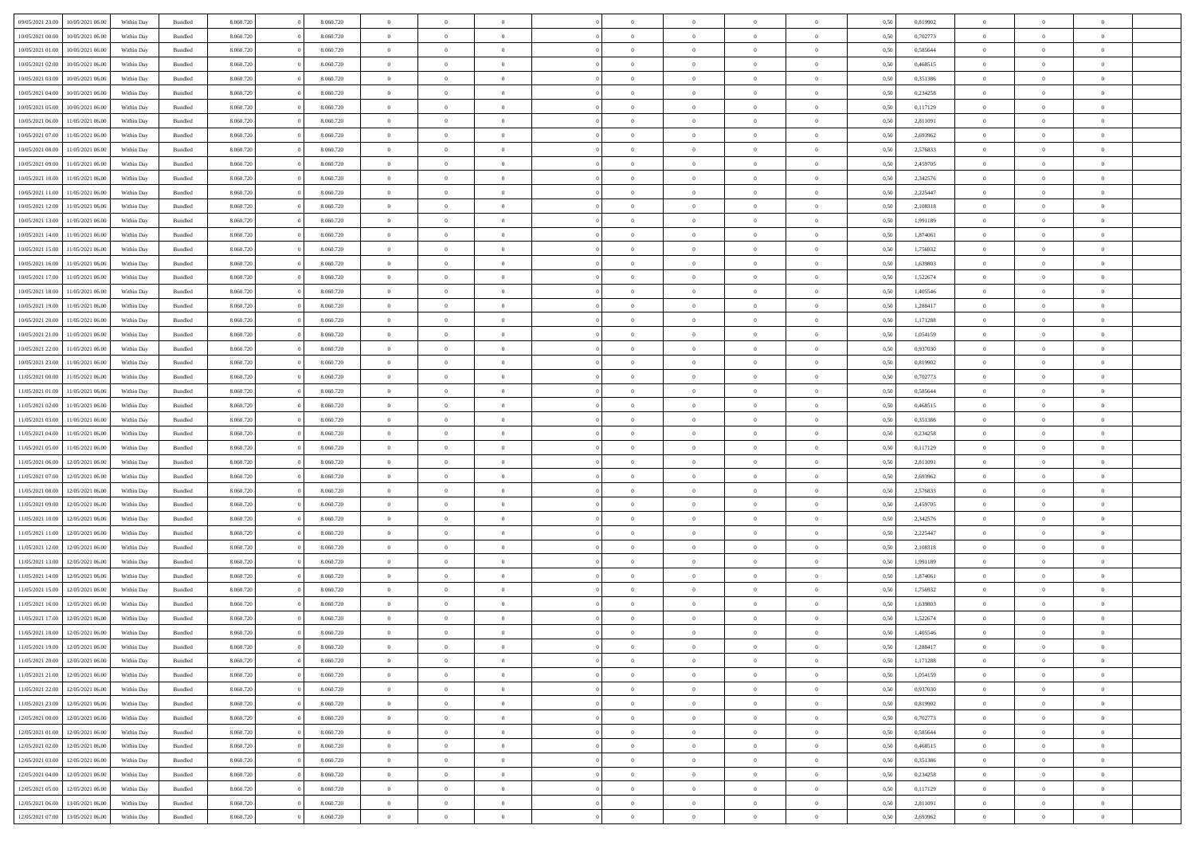| 09/05/2021 23:00 | 10/05/2021 06:00 | Within Day | Bundled            | 8.060.720 | 8.060.720 | $\overline{0}$ | $\Omega$       |                | $\Omega$       | $\Omega$       | $\theta$       | $\theta$       | 0,50 | 0,819902 | $\theta$       | $\theta$       | $\overline{0}$ |  |
|------------------|------------------|------------|--------------------|-----------|-----------|----------------|----------------|----------------|----------------|----------------|----------------|----------------|------|----------|----------------|----------------|----------------|--|
| 10/05/2021 00:00 | 10/05/2021 06:00 | Within Day | Bundled            | 8.060.720 | 8.060.720 | $\overline{0}$ | $\theta$       | $\overline{0}$ | $\overline{0}$ | $\bf{0}$       | $\overline{0}$ | $\bf{0}$       | 0,50 | 0,702773 | $\theta$       | $\overline{0}$ | $\overline{0}$ |  |
| 10/05/2021 01:00 | 10/05/2021 06:00 | Within Day | Bundled            | 8.060.720 | 8.060.720 | $\overline{0}$ | $\bf{0}$       | $\overline{0}$ | $\bf{0}$       | $\bf{0}$       | $\bf{0}$       | $\mathbf{0}$   | 0,50 | 0,585644 | $\bf{0}$       | $\overline{0}$ | $\bf{0}$       |  |
| 10/05/2021 02:00 | 10/05/2021 06:00 | Within Day | Bundled            | 8.060.720 | 8.060.720 | $\overline{0}$ | $\overline{0}$ | $\overline{0}$ | $\overline{0}$ | $\bf{0}$       | $\overline{0}$ | $\overline{0}$ | 0.50 | 0,468515 | $\theta$       | $\theta$       | $\overline{0}$ |  |
| 10/05/2021 03:00 | 10/05/2021 06:00 | Within Day | Bundled            | 8.060.720 | 8.060.720 | $\overline{0}$ | $\theta$       | $\overline{0}$ | $\overline{0}$ | $\bf{0}$       | $\overline{0}$ | $\bf{0}$       | 0,50 | 0,351386 | $\theta$       | $\overline{0}$ | $\overline{0}$ |  |
|                  |                  |            |                    |           |           |                |                |                |                |                |                |                |      |          |                |                |                |  |
| 10/05/2021 04:00 | 10/05/2021 06:00 | Within Day | Bundled            | 8.060.720 | 8.060.720 | $\overline{0}$ | $\overline{0}$ | $\overline{0}$ | $\bf{0}$       | $\overline{0}$ | $\overline{0}$ | $\mathbf{0}$   | 0,50 | 0,234258 | $\overline{0}$ | $\overline{0}$ | $\bf{0}$       |  |
| 10/05/2021 05:00 | 10/05/2021 06:00 | Within Dav | Bundled            | 8.060.720 | 8.060.720 | $\overline{0}$ | $\overline{0}$ | $\overline{0}$ | $\overline{0}$ | $\overline{0}$ | $\overline{0}$ | $\overline{0}$ | 0.50 | 0,117129 | $\theta$       | $\overline{0}$ | $\overline{0}$ |  |
| 10/05/2021 06:00 | 11/05/2021 06:00 | Within Day | Bundled            | 8.060.720 | 8.060.720 | $\overline{0}$ | $\theta$       | $\overline{0}$ | $\overline{0}$ | $\bf{0}$       | $\overline{0}$ | $\bf{0}$       | 0,50 | 2,811091 | $\theta$       | $\theta$       | $\overline{0}$ |  |
| 10/05/2021 07:00 | 11/05/2021 06:00 | Within Day | Bundled            | 8.060.720 | 8.060.720 | $\overline{0}$ | $\overline{0}$ | $\overline{0}$ | $\bf{0}$       | $\bf{0}$       | $\bf{0}$       | $\bf{0}$       | 0,50 | 2,693962 | $\,0\,$        | $\overline{0}$ | $\overline{0}$ |  |
| 10/05/2021 08:00 | 11/05/2021 06:00 | Within Dav | Bundled            | 8.060.720 | 8.060.720 | $\overline{0}$ | $\overline{0}$ | $\overline{0}$ | $\overline{0}$ | $\overline{0}$ | $\overline{0}$ | $\overline{0}$ | 0.50 | 2,576833 | $\theta$       | $\overline{0}$ | $\overline{0}$ |  |
| 10/05/2021 09:00 | 11/05/2021 06:00 | Within Day | Bundled            | 8.060.720 | 8.060.720 | $\overline{0}$ | $\theta$       | $\overline{0}$ | $\overline{0}$ | $\bf{0}$       | $\overline{0}$ | $\bf{0}$       | 0,50 | 2,459705 | $\,$ 0 $\,$    | $\overline{0}$ | $\overline{0}$ |  |
| 10/05/2021 10:00 | 11/05/2021 06:00 | Within Day | Bundled            | 8.060.720 | 8.060.720 | $\overline{0}$ | $\bf{0}$       | $\overline{0}$ | $\bf{0}$       | $\bf{0}$       | $\bf{0}$       | $\mathbf{0}$   | 0,50 | 2,342576 | $\overline{0}$ | $\overline{0}$ | $\bf{0}$       |  |
|                  |                  |            |                    |           |           |                |                |                |                |                |                |                |      |          |                |                |                |  |
| 10/05/2021 11:00 | 11/05/2021 06:00 | Within Dav | Bundled            | 8.060.720 | 8.060.720 | $\overline{0}$ | $\overline{0}$ | $\overline{0}$ | $\overline{0}$ | $\bf{0}$       | $\overline{0}$ | $\overline{0}$ | 0.50 | 2.225447 | $\theta$       | $\theta$       | $\overline{0}$ |  |
| 10/05/2021 12:00 | 11/05/2021 06:00 | Within Day | Bundled            | 8.060.720 | 8.060.720 | $\overline{0}$ | $\theta$       | $\overline{0}$ | $\overline{0}$ | $\bf{0}$       | $\overline{0}$ | $\overline{0}$ | 0,50 | 2,108318 | $\theta$       | $\overline{0}$ | $\overline{0}$ |  |
| 10/05/2021 13:00 | 11/05/2021 06:00 | Within Day | Bundled            | 8.060.720 | 8.060.720 | $\overline{0}$ | $\overline{0}$ | $\overline{0}$ | $\bf{0}$       | $\overline{0}$ | $\overline{0}$ | $\mathbf{0}$   | 0,50 | 1,991189 | $\overline{0}$ | $\overline{0}$ | $\bf{0}$       |  |
| 10/05/2021 14:00 | 11/05/2021 06:00 | Within Dav | Bundled            | 8.060.720 | 8.060.720 | $\overline{0}$ | $\overline{0}$ | $\overline{0}$ | $\overline{0}$ | $\overline{0}$ | $\overline{0}$ | $\overline{0}$ | 0.50 | 1,874061 | $\theta$       | $\overline{0}$ | $\overline{0}$ |  |
| 10/05/2021 15:00 | 11/05/2021 06:00 | Within Day | Bundled            | 8.060.720 | 8.060.720 | $\overline{0}$ | $\theta$       | $\overline{0}$ | $\overline{0}$ | $\bf{0}$       | $\overline{0}$ | $\bf{0}$       | 0,50 | 1,756932 | $\theta$       | $\theta$       | $\overline{0}$ |  |
| 10/05/2021 16:00 | 11/05/2021 06:00 | Within Day | Bundled            | 8.060.720 | 8.060.720 | $\overline{0}$ | $\overline{0}$ | $\overline{0}$ | $\bf{0}$       | $\bf{0}$       | $\bf{0}$       | $\bf{0}$       | 0,50 | 1,639803 | $\bf{0}$       | $\overline{0}$ | $\overline{0}$ |  |
| 10/05/2021 17:00 | 11/05/2021 06:00 | Within Dav | Bundled            | 8.060.720 | 8.060.720 | $\overline{0}$ | $\overline{0}$ | $\overline{0}$ | $\overline{0}$ | $\overline{0}$ | $\overline{0}$ | $\overline{0}$ | 0.50 | 1,522674 | $\theta$       | $\overline{0}$ | $\overline{0}$ |  |
| 10/05/2021 18:00 | 11/05/2021 06:00 | Within Day | Bundled            | 8.060.720 | 8.060.720 | $\overline{0}$ | $\theta$       | $\overline{0}$ | $\overline{0}$ | $\bf{0}$       | $\overline{0}$ | $\bf{0}$       | 0,50 | 1,405546 | $\,$ 0 $\,$    | $\overline{0}$ | $\overline{0}$ |  |
|                  |                  |            |                    |           |           |                |                |                |                |                |                |                |      |          |                |                |                |  |
| 10/05/2021 19:00 | 11/05/2021 06:00 | Within Day | Bundled            | 8.060.720 | 8.060.720 | $\overline{0}$ | $\overline{0}$ | $\overline{0}$ | $\bf{0}$       | $\bf{0}$       | $\bf{0}$       | $\bf{0}$       | 0,50 | 1,288417 | $\bf{0}$       | $\overline{0}$ | $\bf{0}$       |  |
| 10/05/2021 20:00 | 11/05/2021 06:00 | Within Day | Bundled            | 8.060.720 | 8.060.720 | $\overline{0}$ | $\overline{0}$ | $\overline{0}$ | $\overline{0}$ | $\bf{0}$       | $\overline{0}$ | $\overline{0}$ | 0.50 | 1,171288 | $\theta$       | $\overline{0}$ | $\overline{0}$ |  |
| 10/05/2021 21:00 | 11/05/2021 06:00 | Within Day | Bundled            | 8.060.720 | 8.060.720 | $\overline{0}$ | $\theta$       | $\overline{0}$ | $\overline{0}$ | $\bf{0}$       | $\overline{0}$ | $\bf{0}$       | 0,50 | 1,054159 | $\,$ 0 $\,$    | $\overline{0}$ | $\overline{0}$ |  |
| 10/05/2021 22:00 | 11/05/2021 06:00 | Within Day | Bundled            | 8.060.720 | 8.060.720 | $\overline{0}$ | $\overline{0}$ | $\overline{0}$ | $\bf{0}$       | $\overline{0}$ | $\overline{0}$ | $\mathbf{0}$   | 0,50 | 0,937030 | $\bf{0}$       | $\overline{0}$ | $\bf{0}$       |  |
| 10/05/2021 23:00 | 11/05/2021 06:00 | Within Dav | Bundled            | 8.060.720 | 8.060.720 | $\overline{0}$ | $\overline{0}$ | $\overline{0}$ | $\overline{0}$ | $\overline{0}$ | $\overline{0}$ | $\overline{0}$ | 0.50 | 0,819902 | $\theta$       | $\overline{0}$ | $\overline{0}$ |  |
| 11/05/2021 00:00 | 11/05/2021 06:00 | Within Day | Bundled            | 8.060.720 | 8.060.720 | $\overline{0}$ | $\theta$       | $\overline{0}$ | $\overline{0}$ | $\bf{0}$       | $\overline{0}$ | $\bf{0}$       | 0,50 | 0,702773 | $\theta$       | $\theta$       | $\overline{0}$ |  |
| 11/05/2021 01:00 | 11/05/2021 06:00 | Within Day | Bundled            | 8.060.720 | 8.060.720 | $\overline{0}$ | $\overline{0}$ | $\overline{0}$ | $\bf{0}$       | $\bf{0}$       | $\bf{0}$       | $\bf{0}$       | 0,50 | 0,585644 | $\,0\,$        | $\overline{0}$ | $\overline{0}$ |  |
| 11/05/2021 02:00 | 11/05/2021 06:00 |            | Bundled            | 8.060.720 | 8.060.720 | $\overline{0}$ | $\overline{0}$ | $\overline{0}$ | $\overline{0}$ | $\overline{0}$ | $\overline{0}$ | $\overline{0}$ | 0.50 | 0,468515 | $\theta$       | $\overline{0}$ | $\overline{0}$ |  |
|                  |                  | Within Day |                    |           |           |                |                |                |                |                |                |                |      |          |                |                |                |  |
| 11/05/2021 03:00 | 11/05/2021 06:00 | Within Day | Bundled            | 8.060.720 | 8.060.720 | $\overline{0}$ | $\theta$       | $\overline{0}$ | $\overline{0}$ | $\bf{0}$       | $\overline{0}$ | $\bf{0}$       | 0,50 | 0,351386 | $\,$ 0 $\,$    | $\overline{0}$ | $\overline{0}$ |  |
| 11/05/2021 04:00 | 11/05/2021 06:00 | Within Day | Bundled            | 8.060.720 | 8.060.720 | $\overline{0}$ | $\overline{0}$ | $\overline{0}$ | $\bf{0}$       | $\bf{0}$       | $\bf{0}$       | $\bf{0}$       | 0,50 | 0,234258 | $\overline{0}$ | $\overline{0}$ | $\bf{0}$       |  |
| 11/05/2021 05:00 | 11/05/2021 06.00 | Within Day | Bundled            | 8.060.720 | 8.060.720 | $\overline{0}$ | $\Omega$       | $\Omega$       | $\Omega$       | $\Omega$       | $\overline{0}$ | $\overline{0}$ | 0,50 | 0,117129 | $\,0\,$        | $\theta$       | $\theta$       |  |
| 11/05/2021 06:00 | 12/05/2021 06:00 | Within Day | Bundled            | 8.060.720 | 8.060.720 | $\overline{0}$ | $\theta$       | $\overline{0}$ | $\overline{0}$ | $\bf{0}$       | $\overline{0}$ | $\bf{0}$       | 0,50 | 2,811091 | $\theta$       | $\overline{0}$ | $\overline{0}$ |  |
| 11/05/2021 07:00 | 12/05/2021 06:00 | Within Day | Bundled            | 8.060.720 | 8.060.720 | $\overline{0}$ | $\overline{0}$ | $\overline{0}$ | $\bf{0}$       | $\overline{0}$ | $\overline{0}$ | $\mathbf{0}$   | 0,50 | 2,693962 | $\overline{0}$ | $\overline{0}$ | $\bf{0}$       |  |
| 11/05/2021 08:00 | 12/05/2021 06:00 | Within Day | Bundled            | 8.060.720 | 8.060.720 | $\overline{0}$ | $\Omega$       | $\Omega$       | $\Omega$       | $\bf{0}$       | $\overline{0}$ | $\overline{0}$ | 0.50 | 2,576833 | $\,0\,$        | $\theta$       | $\theta$       |  |
| 11/05/2021 09:00 | 12/05/2021 06:00 | Within Day | Bundled            | 8.060.720 | 8.060.720 | $\overline{0}$ | $\theta$       | $\overline{0}$ | $\overline{0}$ | $\bf{0}$       | $\overline{0}$ | $\bf{0}$       | 0,50 | 2,459705 | $\,$ 0 $\,$    | $\overline{0}$ | $\overline{0}$ |  |
|                  |                  |            |                    |           |           |                | $\overline{0}$ |                |                | $\bf{0}$       |                |                |      |          | $\bf{0}$       | $\overline{0}$ | $\bf{0}$       |  |
| 11/05/2021 10:00 | 12/05/2021 06:00 | Within Day | Bundled            | 8.060.720 | 8.060.720 | $\overline{0}$ |                | $\overline{0}$ | $\bf{0}$       |                | $\bf{0}$       | $\bf{0}$       | 0,50 | 2,342576 |                |                |                |  |
| 11/05/2021 11:00 | 12/05/2021 06:00 | Within Day | Bundled            | 8.060.720 | 8.060.720 | $\overline{0}$ | $\Omega$       | $\Omega$       | $\Omega$       | $\theta$       | $\theta$       | $\overline{0}$ | 0.50 | 2,225447 | $\theta$       | $\theta$       | $\theta$       |  |
| 11/05/2021 12:00 | 12/05/2021 06:00 | Within Day | Bundled            | 8.060.720 | 8.060.720 | $\overline{0}$ | $\theta$       | $\overline{0}$ | $\overline{0}$ | $\bf{0}$       | $\overline{0}$ | $\bf{0}$       | 0,50 | 2,108318 | $\,$ 0 $\,$    | $\overline{0}$ | $\overline{0}$ |  |
| 11/05/2021 13:00 | 12/05/2021 06:00 | Within Day | Bundled            | 8.060.720 | 8.060.720 | $\overline{0}$ | $\bf{0}$       | $\overline{0}$ | $\bf{0}$       | $\bf{0}$       | $\bf{0}$       | $\mathbf{0}$   | 0,50 | 1,991189 | $\overline{0}$ | $\overline{0}$ | $\bf{0}$       |  |
| 11/05/2021 14:00 | 12/05/2021 06:00 | Within Day | Bundled            | 8.060.720 | 8.060.720 | $\overline{0}$ | $\Omega$       | $\Omega$       | $\Omega$       | $\overline{0}$ | $\overline{0}$ | $\overline{0}$ | 0,50 | 1,874061 | $\,0\,$        | $\theta$       | $\theta$       |  |
| 11/05/2021 15:00 | 12/05/2021 06:00 | Within Day | Bundled            | 8.060.720 | 8.060.720 | $\overline{0}$ | $\overline{0}$ | $\overline{0}$ | $\overline{0}$ | $\bf{0}$       | $\overline{0}$ | $\bf{0}$       | 0,50 | 1,756932 | $\,$ 0 $\,$    | $\overline{0}$ | $\overline{0}$ |  |
| 11/05/2021 16:00 | 12/05/2021 06:00 | Within Day | Bundled            | 8.060.720 | 8.060.720 | $\overline{0}$ | $\overline{0}$ | $\overline{0}$ | $\bf{0}$       | $\bf{0}$       | $\bf{0}$       | $\mathbf{0}$   | 0,50 | 1,639803 | $\overline{0}$ | $\overline{0}$ | $\bf{0}$       |  |
| 11/05/2021 17:00 | 12/05/2021 06:00 | Within Day | Bundled            | 8.060.720 | 8.060.720 | $\overline{0}$ | $\Omega$       | $\Omega$       | $\Omega$       | $\Omega$       | $\Omega$       | $\overline{0}$ | 0.50 | 1,522674 | $\theta$       | $\theta$       | $\theta$       |  |
| 11/05/2021 18:00 | 12/05/2021 06:00 | Within Day | Bundled            | 8.060.720 | 8.060.720 | $\overline{0}$ | $\bf{0}$       | $\bf{0}$       | $\bf{0}$       | $\,$ 0         | $\bf{0}$       | $\bf{0}$       | 0,50 | 1,405546 | $\,0\,$        | $\,0\,$        | $\overline{0}$ |  |
| 11/05/2021 19:00 | 12/05/2021 06:00 | Within Day | $\mathbf B$ undled | 8.060.720 |           |                |                |                |                |                |                |                |      |          |                |                |                |  |
|                  |                  |            |                    |           | 8.060.720 | $\bf{0}$       | $\bf{0}$       |                |                | $\bf{0}$       |                |                | 0,50 | 1,288417 | $\bf{0}$       | $\overline{0}$ |                |  |
| 11/05/2021 20:00 | 12/05/2021 06:00 | Within Day | Bundled            | 8.060.720 | 8.060.720 | $\overline{0}$ | $\overline{0}$ | $\overline{0}$ | $\Omega$       | $\overline{0}$ | $\overline{0}$ | $\overline{0}$ | 0.50 | 1,171288 | $\theta$       | $\theta$       | $\theta$       |  |
| 11/05/2021 21:00 | 12/05/2021 06:00 | Within Day | Bundled            | 8.060.720 | 8.060.720 | $\overline{0}$ | $\,$ 0         | $\overline{0}$ | $\bf{0}$       | $\,$ 0 $\,$    | $\overline{0}$ | $\mathbf{0}$   | 0,50 | 1,054159 | $\,$ 0 $\,$    | $\,$ 0 $\,$    | $\,$ 0         |  |
| 11/05/2021 22.00 | 12/05/2021 06:00 | Within Day | Bundled            | 8.060.720 | 8.060.720 | $\overline{0}$ | $\overline{0}$ | $\overline{0}$ | $\overline{0}$ | $\overline{0}$ | $\overline{0}$ | $\mathbf{0}$   | 0,50 | 0,937030 | $\overline{0}$ | $\bf{0}$       | $\bf{0}$       |  |
| 11/05/2021 23:00 | 12/05/2021 06:00 | Within Day | Bundled            | 8.060.720 | 8.060.720 | $\overline{0}$ | $\overline{0}$ | $\overline{0}$ | $\Omega$       | $\overline{0}$ | $\overline{0}$ | $\overline{0}$ | 0,50 | 0,819902 | $\overline{0}$ | $\theta$       | $\overline{0}$ |  |
| 12/05/2021 00:00 | 12/05/2021 06:00 | Within Day | Bundled            | 8.060.720 | 8.060.720 | $\overline{0}$ | $\,$ 0         | $\overline{0}$ | $\overline{0}$ | $\,$ 0 $\,$    | $\overline{0}$ | $\mathbf{0}$   | 0,50 | 0,702773 | $\,$ 0 $\,$    | $\overline{0}$ | $\overline{0}$ |  |
| 12/05/2021 01:00 | 12/05/2021 06:00 | Within Day | Bundled            | 8.060.720 | 8.060.720 | $\overline{0}$ | $\overline{0}$ | $\overline{0}$ | $\overline{0}$ | $\overline{0}$ | $\overline{0}$ | $\mathbf{0}$   | 0,50 | 0,585644 | $\overline{0}$ | $\overline{0}$ | $\bf{0}$       |  |
| 12/05/2021 02:00 | 12/05/2021 06:00 | Within Day | Bundled            | 8.060.720 | 8.060.720 | $\overline{0}$ | $\overline{0}$ | $\overline{0}$ | $\Omega$       | $\overline{0}$ | $\overline{0}$ | $\bf{0}$       | 0.50 | 0,468515 | $\overline{0}$ | $\theta$       | $\overline{0}$ |  |
| 12/05/2021 03:00 | 12/05/2021 06:00 | Within Day | Bundled            | 8.060.720 | 8.060.720 | $\overline{0}$ | $\,$ 0         | $\overline{0}$ | $\overline{0}$ | $\bf{0}$       | $\overline{0}$ | $\bf{0}$       | 0,50 | 0,351386 | $\,$ 0 $\,$    | $\overline{0}$ | $\overline{0}$ |  |
|                  |                  |            |                    |           |           |                |                |                |                |                |                |                |      |          |                |                |                |  |
| 12/05/2021 04:00 | 12/05/2021 06:00 | Within Day | Bundled            | 8.060.720 | 8.060.720 | $\overline{0}$ | $\bf{0}$       | $\overline{0}$ | $\overline{0}$ | $\overline{0}$ | $\overline{0}$ | $\mathbf{0}$   | 0,50 | 0,234258 | $\overline{0}$ | $\overline{0}$ | $\bf{0}$       |  |
| 12/05/2021 05:00 | 12/05/2021 06:00 | Within Day | Bundled            | 8.060.720 | 8.060.720 | $\overline{0}$ | $\overline{0}$ | $\overline{0}$ | $\Omega$       | $\overline{0}$ | $\overline{0}$ | $\overline{0}$ | 0.50 | 0,117129 | $\overline{0}$ | $\overline{0}$ | $\overline{0}$ |  |
| 12/05/2021 06:00 | 13/05/2021 06:00 | Within Day | Bundled            | 8.060.720 | 8.060.720 | $\overline{0}$ | $\bf{0}$       | $\overline{0}$ | $\overline{0}$ | $\bf{0}$       | $\overline{0}$ | $\bf{0}$       | 0,50 | 2,811091 | $\,$ 0 $\,$    | $\,$ 0 $\,$    | $\bf{0}$       |  |
| 12/05/2021 07:00 | 13/05/2021 06:00 | Within Day | Bundled            | 8.060.720 | 8.060.720 | $\overline{0}$ | $\bf{0}$       | $\overline{0}$ | $\bf{0}$       | $\bf{0}$       | $\overline{0}$ | $\bf{0}$       | 0,50 | 2,693962 | $\overline{0}$ | $\overline{0}$ | $\bf{0}$       |  |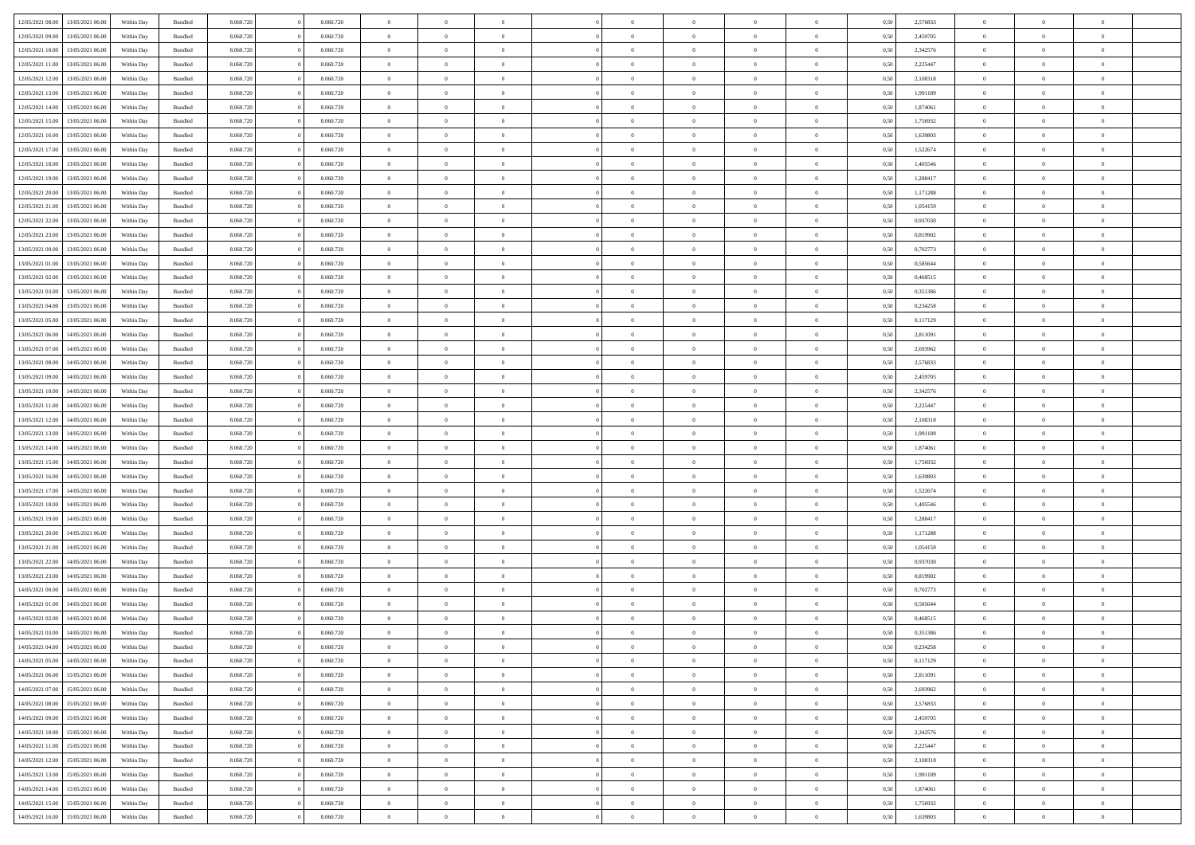|                  |                  |            |                    |           |           | $\overline{0}$ | $\Omega$       |                |                | $\Omega$       | $\theta$       | $\theta$       |      |          | $\theta$       |                | $\theta$       |  |
|------------------|------------------|------------|--------------------|-----------|-----------|----------------|----------------|----------------|----------------|----------------|----------------|----------------|------|----------|----------------|----------------|----------------|--|
| 12/05/2021 08:00 | 13/05/2021 06:00 | Within Day | Bundled            | 8.060.720 | 8.060.720 |                |                |                | $\Omega$       |                |                |                | 0.50 | 2,576833 |                | $\theta$       |                |  |
| 12/05/2021 09:00 | 13/05/2021 06:00 | Within Day | Bundled            | 8.060.720 | 8.060.720 | $\overline{0}$ | $\theta$       | $\overline{0}$ | $\overline{0}$ | $\bf{0}$       | $\overline{0}$ | $\bf{0}$       | 0,50 | 2,459705 | $\theta$       | $\theta$       | $\overline{0}$ |  |
| 12/05/2021 10:00 | 13/05/2021 06:00 | Within Day | Bundled            | 8.060.720 | 8.060.720 | $\overline{0}$ | $\overline{0}$ | $\overline{0}$ | $\overline{0}$ | $\bf{0}$       | $\overline{0}$ | $\bf{0}$       | 0,50 | 2,342576 | $\overline{0}$ | $\overline{0}$ | $\overline{0}$ |  |
| 12/05/2021 11:00 | 13/05/2021 06:00 | Within Dav | Bundled            | 8.060.720 | 8.060.720 | $\overline{0}$ | $\overline{0}$ | $\overline{0}$ | $\overline{0}$ | $\bf{0}$       | $\overline{0}$ | $\overline{0}$ | 0.50 | 2.225447 | $\theta$       | $\theta$       | $\overline{0}$ |  |
|                  |                  |            |                    |           |           | $\overline{0}$ | $\theta$       | $\overline{0}$ |                | $\bf{0}$       | $\overline{0}$ |                |      |          | $\theta$       | $\theta$       | $\overline{0}$ |  |
| 12/05/2021 12:00 | 13/05/2021 06:00 | Within Day | Bundled            | 8.060.720 | 8.060.720 |                |                |                | $\overline{0}$ |                |                | $\bf{0}$       | 0,50 | 2,108318 |                |                |                |  |
| 12/05/2021 13:00 | 13/05/2021 06:00 | Within Day | Bundled            | 8.060.720 | 8.060.720 | $\overline{0}$ | $\bf{0}$       | $\overline{0}$ | $\overline{0}$ | $\overline{0}$ | $\overline{0}$ | $\mathbf{0}$   | 0,50 | 1,991189 | $\overline{0}$ | $\overline{0}$ | $\bf{0}$       |  |
| 12/05/2021 14:00 | 13/05/2021 06:00 | Within Dav | Bundled            | 8.060.720 | 8.060.720 | $\overline{0}$ | $\overline{0}$ | $\overline{0}$ | $\overline{0}$ | $\overline{0}$ | $\overline{0}$ | $\overline{0}$ | 0.50 | 1,874061 | $\theta$       | $\overline{0}$ | $\overline{0}$ |  |
| 12/05/2021 15:00 | 13/05/2021 06:00 | Within Day | Bundled            | 8.060.720 | 8.060.720 | $\overline{0}$ | $\theta$       | $\overline{0}$ | $\overline{0}$ | $\bf{0}$       | $\overline{0}$ | $\bf{0}$       | 0,50 | 1,756932 | $\theta$       | $\theta$       | $\overline{0}$ |  |
|                  | 13/05/2021 06:00 | Within Day | Bundled            | 8.060.720 | 8.060.720 | $\overline{0}$ | $\overline{0}$ | $\overline{0}$ | $\overline{0}$ | $\bf{0}$       | $\overline{0}$ | $\bf{0}$       | 0,50 | 1,639803 | $\,0\,$        | $\overline{0}$ | $\overline{0}$ |  |
| 12/05/2021 16:00 |                  |            |                    |           |           |                |                |                |                |                |                |                |      |          |                |                |                |  |
| 12/05/2021 17:00 | 13/05/2021 06:00 | Within Dav | Bundled            | 8.060.720 | 8.060.720 | $\overline{0}$ | $\overline{0}$ | $\overline{0}$ | $\overline{0}$ | $\overline{0}$ | $\overline{0}$ | $\overline{0}$ | 0.50 | 1,522674 | $\theta$       | $\overline{0}$ | $\overline{0}$ |  |
| 12/05/2021 18:00 | 13/05/2021 06:00 | Within Day | Bundled            | 8.060.720 | 8.060.720 | $\overline{0}$ | $\theta$       | $\overline{0}$ | $\overline{0}$ | $\bf{0}$       | $\overline{0}$ | $\bf{0}$       | 0,50 | 1,405546 | $\,$ 0 $\,$    | $\theta$       | $\overline{0}$ |  |
| 12/05/2021 19:00 | 13/05/2021 06:00 | Within Day | Bundled            | 8.060.720 | 8.060.720 | $\overline{0}$ | $\overline{0}$ | $\overline{0}$ | $\overline{0}$ | $\bf{0}$       | $\overline{0}$ | $\bf{0}$       | 0,50 | 1,288417 | $\bf{0}$       | $\overline{0}$ | $\overline{0}$ |  |
| 12/05/2021 20:00 | 13/05/2021 06:00 | Within Dav | Bundled            | 8.060.720 | 8.060.720 | $\overline{0}$ | $\overline{0}$ | $\overline{0}$ | $\overline{0}$ | $\bf{0}$       | $\overline{0}$ | $\overline{0}$ | 0.50 | 1,171288 | $\theta$       | $\theta$       | $\overline{0}$ |  |
| 12/05/2021 21:00 | 13/05/2021 06:00 | Within Day | Bundled            | 8.060.720 | 8.060.720 | $\overline{0}$ | $\theta$       | $\overline{0}$ | $\overline{0}$ | $\bf{0}$       | $\overline{0}$ | $\overline{0}$ | 0,50 | 1,054159 | $\theta$       | $\overline{0}$ | $\overline{0}$ |  |
|                  |                  |            |                    |           |           |                |                |                |                |                |                |                |      |          |                |                |                |  |
| 12/05/2021 22:00 | 13/05/2021 06:00 | Within Day | Bundled            | 8.060.720 | 8.060.720 | $\overline{0}$ | $\bf{0}$       | $\overline{0}$ | $\overline{0}$ | $\overline{0}$ | $\overline{0}$ | $\mathbf{0}$   | 0,50 | 0,937030 | $\bf{0}$       | $\overline{0}$ | $\bf{0}$       |  |
| 12/05/2021 23:00 | 13/05/2021 06:00 | Within Dav | Bundled            | 8.060.720 | 8.060.720 | $\overline{0}$ | $\overline{0}$ | $\overline{0}$ | $\overline{0}$ | $\overline{0}$ | $\overline{0}$ | $\overline{0}$ | 0.50 | 0,819902 | $\theta$       | $\overline{0}$ | $\overline{0}$ |  |
| 13/05/2021 00:00 | 13/05/2021 06:00 | Within Day | Bundled            | 8.060.720 | 8.060.720 | $\overline{0}$ | $\theta$       | $\overline{0}$ | $\overline{0}$ | $\bf{0}$       | $\overline{0}$ | $\bf{0}$       | 0,50 | 0,702773 | $\theta$       | $\theta$       | $\overline{0}$ |  |
| 13/05/2021 01:00 | 13/05/2021 06:00 | Within Day | Bundled            | 8.060.720 | 8.060.720 | $\overline{0}$ | $\overline{0}$ | $\overline{0}$ | $\overline{0}$ | $\bf{0}$       | $\overline{0}$ | $\bf{0}$       | 0,50 | 0,585644 | $\,0\,$        | $\overline{0}$ | $\overline{0}$ |  |
| 13/05/2021 02:00 | 13/05/2021 06:00 | Within Dav | Bundled            | 8.060.720 | 8.060.720 | $\overline{0}$ | $\overline{0}$ | $\overline{0}$ | $\overline{0}$ | $\overline{0}$ | $\overline{0}$ | $\overline{0}$ | 0.50 | 0,468515 | $\theta$       | $\overline{0}$ | $\overline{0}$ |  |
|                  |                  |            |                    |           |           |                |                |                |                |                |                |                |      |          |                |                |                |  |
| 13/05/2021 03:00 | 13/05/2021 06:00 | Within Day | Bundled            | 8.060.720 | 8.060.720 | $\overline{0}$ | $\theta$       | $\overline{0}$ | $\overline{0}$ | $\bf{0}$       | $\overline{0}$ | $\bf{0}$       | 0,50 | 0,351386 | $\,$ 0 $\,$    | $\theta$       | $\overline{0}$ |  |
| 13/05/2021 04:00 | 13/05/2021 06:00 | Within Day | Bundled            | 8.060.720 | 8.060.720 | $\overline{0}$ | $\overline{0}$ | $\overline{0}$ | $\overline{0}$ | $\bf{0}$       | $\overline{0}$ | $\bf{0}$       | 0,50 | 0,234258 | $\bf{0}$       | $\overline{0}$ | $\overline{0}$ |  |
| 13/05/2021 05:00 | 13/05/2021 06:00 | Within Day | Bundled            | 8.060.720 | 8.060.720 | $\overline{0}$ | $\overline{0}$ | $\overline{0}$ | $\overline{0}$ | $\bf{0}$       | $\overline{0}$ | $\overline{0}$ | 0.50 | 0,117129 | $\theta$       | $\theta$       | $\overline{0}$ |  |
| 13/05/2021 06:00 | 14/05/2021 06:00 | Within Day | Bundled            | 8.060.720 | 8.060.720 | $\overline{0}$ | $\theta$       | $\overline{0}$ | $\overline{0}$ | $\bf{0}$       | $\overline{0}$ | $\bf{0}$       | 0,50 | 2,811091 | $\,$ 0 $\,$    | $\overline{0}$ | $\overline{0}$ |  |
|                  |                  |            |                    |           |           |                |                |                |                |                |                |                |      |          |                |                |                |  |
| 13/05/2021 07:00 | 14/05/2021 06:00 | Within Day | Bundled            | 8.060.720 | 8.060.720 | $\overline{0}$ | $\bf{0}$       | $\overline{0}$ | $\bf{0}$       | $\overline{0}$ | $\overline{0}$ | $\mathbf{0}$   | 0,50 | 2,693962 | $\overline{0}$ | $\overline{0}$ | $\bf{0}$       |  |
| 13/05/2021 08:00 | 14/05/2021 06:00 | Within Dav | Bundled            | 8.060.720 | 8.060.720 | $\overline{0}$ | $\overline{0}$ | $\overline{0}$ | $\overline{0}$ | $\overline{0}$ | $\overline{0}$ | $\overline{0}$ | 0.50 | 2,576833 | $\theta$       | $\overline{0}$ | $\overline{0}$ |  |
| 13/05/2021 09:00 | 14/05/2021 06:00 | Within Day | Bundled            | 8.060.720 | 8.060.720 | $\overline{0}$ | $\theta$       | $\overline{0}$ | $\overline{0}$ | $\bf{0}$       | $\overline{0}$ | $\bf{0}$       | 0,50 | 2,459705 | $\theta$       | $\theta$       | $\overline{0}$ |  |
| 13/05/2021 10:00 | 14/05/2021 06:00 | Within Day | Bundled            | 8.060.720 | 8.060.720 | $\overline{0}$ | $\overline{0}$ | $\overline{0}$ | $\bf{0}$       | $\bf{0}$       | $\bf{0}$       | $\bf{0}$       | 0,50 | 2,342576 | $\,0\,$        | $\overline{0}$ | $\overline{0}$ |  |
| 13/05/2021 11:00 | 14/05/2021 06:00 | Within Day | Bundled            | 8.060.720 | 8.060.720 | $\overline{0}$ | $\overline{0}$ | $\overline{0}$ | $\overline{0}$ | $\overline{0}$ | $\overline{0}$ | $\overline{0}$ | 0.50 | 2,225447 | $\theta$       | $\overline{0}$ | $\overline{0}$ |  |
|                  |                  |            |                    |           |           |                |                |                |                |                |                |                |      |          |                |                |                |  |
| 13/05/2021 12:00 | 14/05/2021 06:00 | Within Day | Bundled            | 8.060.720 | 8.060.720 | $\overline{0}$ | $\theta$       | $\overline{0}$ | $\overline{0}$ | $\bf{0}$       | $\overline{0}$ | $\bf{0}$       | 0,50 | 2,108318 | $\,$ 0 $\,$    | $\overline{0}$ | $\overline{0}$ |  |
| 13/05/2021 13:00 | 14/05/2021 06:00 | Within Day | Bundled            | 8.060.720 | 8.060.720 | $\overline{0}$ | $\overline{0}$ | $\overline{0}$ | $\bf{0}$       | $\bf{0}$       | $\bf{0}$       | $\bf{0}$       | 0,50 | 1,991189 | $\bf{0}$       | $\overline{0}$ | $\overline{0}$ |  |
| 13/05/2021 14:00 | 14/05/2021 06:00 | Within Day | Bundled            | 8.060.720 | 8.060.720 | $\overline{0}$ | $\Omega$       | $\Omega$       | $\Omega$       | $\Omega$       | $\Omega$       | $\overline{0}$ | 0,50 | 1,874061 | $\,0\,$        | $\theta$       | $\theta$       |  |
| 13/05/2021 15:00 | 14/05/2021 06:00 | Within Day | Bundled            | 8.060.720 | 8.060.720 | $\overline{0}$ | $\theta$       | $\overline{0}$ | $\overline{0}$ | $\bf{0}$       | $\overline{0}$ | $\bf{0}$       | 0,50 | 1,756932 | $\theta$       | $\theta$       | $\overline{0}$ |  |
| 13/05/2021 16:00 | 14/05/2021 06:00 | Within Day | Bundled            | 8.060.720 | 8.060.720 | $\overline{0}$ | $\overline{0}$ | $\overline{0}$ | $\bf{0}$       | $\bf{0}$       | $\overline{0}$ | $\mathbf{0}$   | 0,50 | 1,639803 | $\overline{0}$ | $\overline{0}$ | $\bf{0}$       |  |
|                  |                  |            |                    |           |           |                |                |                |                |                |                |                |      |          |                |                |                |  |
| 13/05/2021 17:00 | 14/05/2021 06:00 | Within Day | Bundled            | 8.060.720 | 8.060.720 | $\overline{0}$ | $\Omega$       | $\Omega$       | $\Omega$       | $\bf{0}$       | $\overline{0}$ | $\overline{0}$ | 0.50 | 1,522674 | $\,0\,$        | $\theta$       | $\theta$       |  |
| 13/05/2021 18:00 | 14/05/2021 06:00 | Within Day | Bundled            | 8.060.720 | 8.060.720 | $\overline{0}$ | $\theta$       | $\overline{0}$ | $\overline{0}$ | $\bf{0}$       | $\overline{0}$ | $\bf{0}$       | 0,50 | 1,405546 | $\,$ 0 $\,$    | $\theta$       | $\overline{0}$ |  |
| 13/05/2021 19:00 | 14/05/2021 06:00 | Within Day | Bundled            | 8.060.720 | 8.060.720 | $\overline{0}$ | $\overline{0}$ | $\overline{0}$ | $\bf{0}$       | $\bf{0}$       | $\bf{0}$       | $\bf{0}$       | 0,50 | 1,288417 | $\bf{0}$       | $\overline{0}$ | $\overline{0}$ |  |
| 13/05/2021 20:00 | 14/05/2021 06:00 | Within Day | Bundled            | 8.060.720 | 8.060.720 | $\overline{0}$ | $\Omega$       | $\Omega$       | $\Omega$       | $\theta$       | $\theta$       | $\overline{0}$ | 0.50 | 1,171288 | $\theta$       | $\theta$       | $\theta$       |  |
| 13/05/2021 21:00 | 14/05/2021 06:00 | Within Day | Bundled            | 8.060.720 | 8.060.720 | $\overline{0}$ | $\theta$       | $\overline{0}$ | $\overline{0}$ | $\bf{0}$       | $\overline{0}$ | $\bf{0}$       | 0,50 | 1,054159 | $\,$ 0 $\,$    | $\overline{0}$ | $\overline{0}$ |  |
|                  |                  |            |                    |           |           |                |                |                |                |                |                |                |      |          |                |                |                |  |
| 13/05/2021 22.00 | 14/05/2021 06:00 | Within Day | Bundled            | 8.060.720 | 8.060.720 | $\overline{0}$ | $\overline{0}$ | $\overline{0}$ | $\bf{0}$       | $\bf{0}$       | $\bf{0}$       | $\bf{0}$       | 0,50 | 0,937030 | $\overline{0}$ | $\overline{0}$ | $\overline{0}$ |  |
| 13/05/2021 23:00 | 14/05/2021 06:00 | Within Day | Bundled            | 8.060.720 | 8.060.720 | $\overline{0}$ | $\Omega$       | $\Omega$       | $\Omega$       | $\Omega$       | $\overline{0}$ | $\overline{0}$ | 0.50 | 0,819902 | $\,0\,$        | $\theta$       | $\theta$       |  |
| 14/05/2021 00:00 | 14/05/2021 06:00 | Within Day | Bundled            | 8.060.720 | 8.060.720 | $\overline{0}$ | $\theta$       | $\overline{0}$ | $\overline{0}$ | $\bf{0}$       | $\overline{0}$ | $\bf{0}$       | 0,50 | 0,702773 | $\,$ 0 $\,$    | $\overline{0}$ | $\overline{0}$ |  |
| 14/05/2021 01:00 | 14/05/2021 06:00 | Within Day | Bundled            | 8.060.720 | 8.060.720 | $\overline{0}$ | $\overline{0}$ | $\overline{0}$ | $\bf{0}$       | $\bf{0}$       | $\bf{0}$       | $\mathbf{0}$   | 0,50 | 0,585644 | $\overline{0}$ | $\overline{0}$ | $\bf{0}$       |  |
| 14/05/2021 02:00 | 14/05/2021 06:00 | Within Day | Bundled            | 8.060.720 | 8.060.720 | $\overline{0}$ | $\Omega$       | $\Omega$       | $\Omega$       | $\Omega$       | $\Omega$       | $\overline{0}$ | 0.50 | 0.468515 | $\theta$       | $\theta$       | $\theta$       |  |
| 14/05/2021 03:00 | 14/05/2021 06:00 | Within Day | Bundled            | 8.060.720 | 8.060.720 | $\overline{0}$ | $\overline{0}$ | $\overline{0}$ | $\bf{0}$       | $\,$ 0         | $\bf{0}$       | $\bf{0}$       | 0,50 | 0,351386 | $\,0\,$        | $\,$ 0 $\,$    | $\overline{0}$ |  |
|                  |                  |            |                    |           |           |                |                |                |                |                |                |                |      |          |                |                |                |  |
| 14/05/2021 04:00 | 14/05/2021 06:00 | Within Day | $\mathbf B$ undled | 8.060.720 | 8.060.720 | $\bf{0}$       | $\bf{0}$       |                |                | $\bf{0}$       |                |                | 0,50 | 0,234258 | $\bf{0}$       | $\overline{0}$ |                |  |
| 14/05/2021 05:00 | 14/05/2021 06:00 | Within Day | Bundled            | 8.060.720 | 8.060.720 | $\overline{0}$ | $\overline{0}$ | $\overline{0}$ | $\Omega$       | $\overline{0}$ | $\overline{0}$ | $\overline{0}$ | 0,50 | 0,117129 | $\theta$       | $\theta$       | $\Omega$       |  |
| 14/05/2021 06:00 | 15/05/2021 06:00 | Within Day | Bundled            | 8.060.720 | 8.060.720 | $\overline{0}$ | $\,$ 0         | $\overline{0}$ | $\bf{0}$       | $\,$ 0 $\,$    | $\overline{0}$ | $\mathbf{0}$   | 0,50 | 2,811091 | $\,$ 0 $\,$    | $\,$ 0 $\,$    | $\,$ 0         |  |
| 14/05/2021 07:00 | 15/05/2021 06:00 | Within Day | Bundled            | 8.060.720 | 8.060.720 | $\overline{0}$ | $\overline{0}$ | $\overline{0}$ | $\overline{0}$ | $\overline{0}$ | $\overline{0}$ | $\mathbf{0}$   | 0,50 | 2,693962 | $\overline{0}$ | $\bf{0}$       | $\bf{0}$       |  |
|                  |                  |            |                    |           |           |                |                |                |                |                |                |                |      |          |                |                |                |  |
| 14/05/2021 08:00 | 15/05/2021 06:00 | Within Day | Bundled            | 8.060.720 | 8.060.720 | $\overline{0}$ | $\overline{0}$ | $\overline{0}$ | $\Omega$       | $\overline{0}$ | $\overline{0}$ | $\overline{0}$ | 0,50 | 2,576833 | $\overline{0}$ | $\theta$       | $\overline{0}$ |  |
| 14/05/2021 09:00 | 15/05/2021 06:00 | Within Day | Bundled            | 8.060.720 | 8.060.720 | $\overline{0}$ | $\,$ 0         | $\overline{0}$ | $\overline{0}$ | $\,$ 0 $\,$    | $\overline{0}$ | $\mathbf{0}$   | 0,50 | 2,459705 | $\,$ 0 $\,$    | $\overline{0}$ | $\overline{0}$ |  |
| 14/05/2021 10:00 | 15/05/2021 06:00 | Within Day | Bundled            | 8.060.720 | 8.060.720 | $\overline{0}$ | $\overline{0}$ | $\overline{0}$ | $\overline{0}$ | $\overline{0}$ | $\overline{0}$ | $\mathbf{0}$   | 0,50 | 2,342576 | $\overline{0}$ | $\overline{0}$ | $\bf{0}$       |  |
| 14/05/2021 11:00 | 15/05/2021 06:00 | Within Day | Bundled            | 8.060.720 | 8.060.720 | $\overline{0}$ | $\overline{0}$ | $\overline{0}$ | $\Omega$       | $\overline{0}$ | $\overline{0}$ | $\bf{0}$       | 0.50 | 2,225447 | $\overline{0}$ | $\theta$       | $\overline{0}$ |  |
| 14/05/2021 12:00 | 15/05/2021 06:00 | Within Day | Bundled            | 8.060.720 | 8.060.720 | $\overline{0}$ | $\,$ 0         | $\overline{0}$ | $\bf{0}$       | $\bf{0}$       | $\bf{0}$       | $\bf{0}$       | 0,50 | 2,108318 | $\,$ 0 $\,$    | $\overline{0}$ | $\overline{0}$ |  |
|                  |                  |            |                    |           |           |                |                |                |                |                |                |                |      |          |                |                |                |  |
| 14/05/2021 13:00 | 15/05/2021 06:00 | Within Day | Bundled            | 8.060.720 | 8.060.720 | $\overline{0}$ | $\bf{0}$       | $\overline{0}$ | $\overline{0}$ | $\overline{0}$ | $\overline{0}$ | $\mathbf{0}$   | 0,50 | 1,991189 | $\overline{0}$ | $\overline{0}$ | $\bf{0}$       |  |
| 14/05/2021 14:00 | 15/05/2021 06:00 | Within Day | Bundled            | 8.060.720 | 8.060.720 | $\overline{0}$ | $\overline{0}$ | $\overline{0}$ | $\Omega$       | $\overline{0}$ | $\overline{0}$ | $\overline{0}$ | 0.50 | 1,874061 | $\overline{0}$ | $\overline{0}$ | $\overline{0}$ |  |
| 14/05/2021 15:00 | 15/05/2021 06:00 | Within Day | Bundled            | 8.060.720 | 8.060.720 | $\overline{0}$ | $\bf{0}$       | $\overline{0}$ | $\overline{0}$ | $\bf{0}$       | $\bf{0}$       | $\bf{0}$       | 0,50 | 1,756932 | $\,$ 0 $\,$    | $\,$ 0 $\,$    | $\bf{0}$       |  |
| 14/05/2021 16:00 | 15/05/2021 06:00 | Within Day | Bundled            | 8.060.720 | 8.060.720 | $\overline{0}$ | $\bf{0}$       | $\overline{0}$ | $\bf{0}$       | $\bf{0}$       | $\bf{0}$       | $\bf{0}$       | 0,50 | 1,639803 | $\overline{0}$ | $\overline{0}$ | $\bf{0}$       |  |
|                  |                  |            |                    |           |           |                |                |                |                |                |                |                |      |          |                |                |                |  |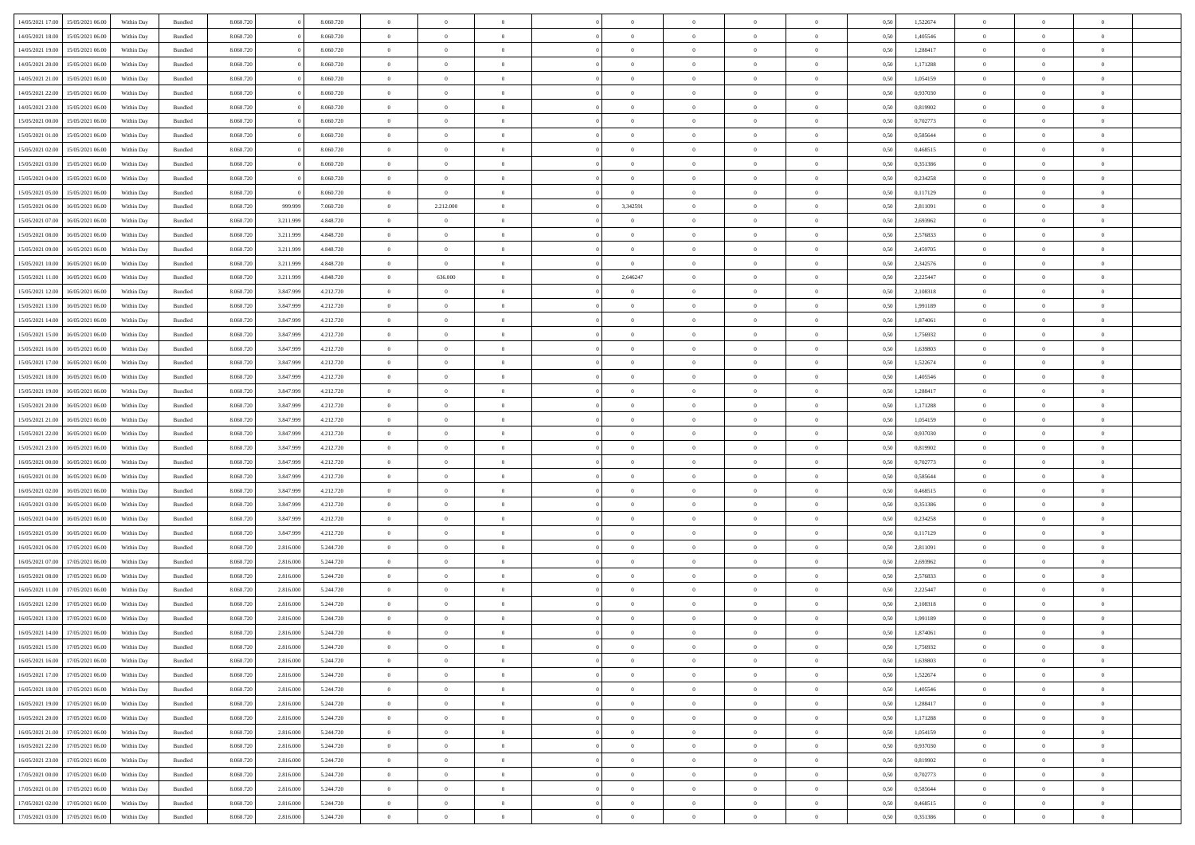|                  |                                   |            |                    |           |           |           | $\overline{0}$ | $\Omega$       |                |                | $\Omega$       | $\Omega$       | $\theta$       |      |          | $\theta$       | $\theta$       |                |  |
|------------------|-----------------------------------|------------|--------------------|-----------|-----------|-----------|----------------|----------------|----------------|----------------|----------------|----------------|----------------|------|----------|----------------|----------------|----------------|--|
| 14/05/2021 17:00 | 15/05/2021 06:00                  | Within Day | Bundled            | 8.060.720 |           | 8.060.720 |                |                |                | $\Omega$       |                |                |                | 0.50 | 1,522674 |                |                | $\theta$       |  |
| 14/05/2021 18:00 | 15/05/2021 06:00                  | Within Day | Bundled            | 8.060.720 |           | 8.060.720 | $\overline{0}$ | $\theta$       | $\overline{0}$ | $\overline{0}$ | $\bf{0}$       | $\overline{0}$ | $\overline{0}$ | 0,50 | 1,405546 | $\theta$       | $\theta$       | $\overline{0}$ |  |
| 14/05/2021 19:00 | 15/05/2021 06:00                  | Within Day | Bundled            | 8.060.720 |           | 8.060.720 | $\overline{0}$ | $\overline{0}$ | $\overline{0}$ | $\bf{0}$       | $\bf{0}$       | $\bf{0}$       | $\bf{0}$       | 0,50 | 1,288417 | $\bf{0}$       | $\overline{0}$ | $\overline{0}$ |  |
| 14/05/2021 20:00 | 15/05/2021 06:00                  | Within Dav | Bundled            | 8.060.720 |           | 8.060.720 | $\overline{0}$ | $\overline{0}$ | $\overline{0}$ | $\overline{0}$ | $\bf{0}$       | $\overline{0}$ | $\overline{0}$ | 0.50 | 1,171288 | $\theta$       | $\theta$       | $\overline{0}$ |  |
|                  |                                   |            |                    |           |           |           |                |                |                |                |                |                |                |      |          |                |                |                |  |
| 14/05/2021 21:00 | 15/05/2021 06:00                  | Within Day | Bundled            | 8.060.720 |           | 8.060.720 | $\overline{0}$ | $\theta$       | $\overline{0}$ | $\overline{0}$ | $\bf{0}$       | $\overline{0}$ | $\bf{0}$       | 0,50 | 1,054159 | $\theta$       | $\theta$       | $\overline{0}$ |  |
| 14/05/2021 22:00 | 15/05/2021 06:00                  | Within Day | Bundled            | 8.060.720 |           | 8.060.720 | $\overline{0}$ | $\bf{0}$       | $\overline{0}$ | $\bf{0}$       | $\overline{0}$ | $\overline{0}$ | $\mathbf{0}$   | 0,50 | 0,937030 | $\overline{0}$ | $\overline{0}$ | $\bf{0}$       |  |
| 14/05/2021 23:00 | 15/05/2021 06:00                  | Within Dav | Bundled            | 8.060.720 |           | 8.060.720 | $\overline{0}$ | $\overline{0}$ | $\overline{0}$ | $\overline{0}$ | $\overline{0}$ | $\overline{0}$ | $\overline{0}$ | 0.50 | 0,819902 | $\theta$       | $\overline{0}$ | $\overline{0}$ |  |
| 15/05/2021 00:00 | 15/05/2021 06:00                  | Within Day | Bundled            | 8.060.720 |           | 8.060.720 | $\overline{0}$ | $\theta$       | $\overline{0}$ | $\overline{0}$ | $\bf{0}$       | $\overline{0}$ | $\bf{0}$       | 0,50 | 0,702773 | $\theta$       | $\theta$       | $\overline{0}$ |  |
|                  |                                   |            |                    |           |           |           |                | $\overline{0}$ |                | $\bf{0}$       | $\bf{0}$       |                |                |      |          | $\,0\,$        | $\overline{0}$ | $\overline{0}$ |  |
| 15/05/2021 01:00 | 15/05/2021 06:00                  | Within Day | Bundled            | 8.060.720 |           | 8.060.720 | $\overline{0}$ |                | $\overline{0}$ |                |                | $\bf{0}$       | $\bf{0}$       | 0,50 | 0,585644 |                |                |                |  |
| 15/05/2021 02:00 | 15/05/2021 06:00                  | Within Dav | Bundled            | 8.060.720 |           | 8.060.720 | $\overline{0}$ | $\overline{0}$ | $\overline{0}$ | $\overline{0}$ | $\overline{0}$ | $\overline{0}$ | $\overline{0}$ | 0.50 | 0,468515 | $\theta$       | $\overline{0}$ | $\overline{0}$ |  |
| 15/05/2021 03:00 | 15/05/2021 06:00                  | Within Day | Bundled            | 8.060.720 |           | 8.060.720 | $\overline{0}$ | $\theta$       | $\overline{0}$ | $\overline{0}$ | $\bf{0}$       | $\overline{0}$ | $\bf{0}$       | 0,50 | 0,351386 | $\theta$       | $\theta$       | $\overline{0}$ |  |
| 15/05/2021 04:00 | 15/05/2021 06:00                  | Within Day | Bundled            | 8.060.720 |           | 8.060.720 | $\overline{0}$ | $\overline{0}$ | $\overline{0}$ | $\bf{0}$       | $\bf{0}$       | $\bf{0}$       | $\mathbf{0}$   | 0,50 | 0,234258 | $\overline{0}$ | $\overline{0}$ | $\overline{0}$ |  |
| 15/05/2021 05:00 | 15/05/2021 06:00                  | Within Dav | Bundled            | 8.060.720 |           | 8.060.720 | $\overline{0}$ | $\overline{0}$ | $\overline{0}$ | $\overline{0}$ | $\bf{0}$       | $\overline{0}$ | $\overline{0}$ | 0.50 | 0,117129 | $\theta$       | $\theta$       | $\overline{0}$ |  |
|                  |                                   |            |                    |           |           |           | $\overline{0}$ |                | $\overline{0}$ |                | $\bf{0}$       | $\overline{0}$ |                |      |          | $\theta$       | $\overline{0}$ | $\overline{0}$ |  |
| 15/05/2021 06:00 | 16/05/2021 06:00                  | Within Day | Bundled            | 8.060.720 | 999.999   | 7.060.720 |                | 2.212.000      |                | 3,342591       |                |                | $\bf{0}$       | 0,50 | 2,811091 |                |                |                |  |
| 15/05/2021 07:00 | 16/05/2021 06:00                  | Within Day | Bundled            | 8.060.720 | 3.211.999 | 4.848.720 | $\overline{0}$ | $\overline{0}$ | $\overline{0}$ | $\bf{0}$       | $\overline{0}$ | $\overline{0}$ | $\mathbf{0}$   | 0,50 | 2,693962 | $\overline{0}$ | $\overline{0}$ | $\bf{0}$       |  |
| 15/05/2021 08:00 | 16/05/2021 06:00                  | Within Dav | Bundled            | 8.060.720 | 3.211.999 | 4.848.720 | $\overline{0}$ | $\overline{0}$ | $\overline{0}$ | $\overline{0}$ | $\bf{0}$       | $\overline{0}$ | $\overline{0}$ | 0.50 | 2,576833 | $\theta$       | $\overline{0}$ | $\overline{0}$ |  |
| 15/05/2021 09:00 | 16/05/2021 06:00                  | Within Day | Bundled            | 8.060.720 | 3.211.999 | 4.848.720 | $\overline{0}$ | $\theta$       | $\overline{0}$ | $\overline{0}$ | $\bf{0}$       | $\overline{0}$ | $\bf{0}$       | 0,50 | 2,459705 | $\theta$       | $\theta$       | $\overline{0}$ |  |
| 15/05/2021 10:00 | 16/05/2021 06:00                  | Within Day | Bundled            | 8.060.720 | 3.211.999 | 4.848.720 | $\overline{0}$ | $\bf{0}$       | $\overline{0}$ | $\bf{0}$       | $\bf{0}$       | $\bf{0}$       | $\mathbf{0}$   | 0,50 | 2,342576 | $\,0\,$        | $\overline{0}$ | $\overline{0}$ |  |
|                  |                                   |            |                    |           |           |           |                |                |                |                | $\overline{0}$ |                |                |      |          | $\theta$       | $\overline{0}$ | $\overline{0}$ |  |
| 15/05/2021 11:00 | 16/05/2021 06:00                  | Within Dav | Bundled            | 8.060.720 | 3.211.999 | 4.848.720 | $\overline{0}$ | 636.000        | $\overline{0}$ | 2,646247       |                | $\overline{0}$ | $\overline{0}$ | 0.50 | 2,225447 |                |                |                |  |
| 15/05/2021 12:00 | 16/05/2021 06:00                  | Within Day | Bundled            | 8.060.720 | 3.847.999 | 4.212.720 | $\overline{0}$ | $\theta$       | $\overline{0}$ | $\overline{0}$ | $\bf{0}$       | $\overline{0}$ | $\bf{0}$       | 0,50 | 2,108318 | $\,$ 0 $\,$    | $\theta$       | $\overline{0}$ |  |
| 15/05/2021 13:00 | 16/05/2021 06:00                  | Within Day | Bundled            | 8.060.720 | 3.847.999 | 4.212.720 | $\overline{0}$ | $\overline{0}$ | $\overline{0}$ | $\bf{0}$       | $\bf{0}$       | $\bf{0}$       | $\bf{0}$       | 0,50 | 1,991189 | $\bf{0}$       | $\overline{0}$ | $\overline{0}$ |  |
| 15/05/2021 14:00 | 16/05/2021 06:00                  | Within Dav | Bundled            | 8.060.720 | 3.847.999 | 4.212.720 | $\overline{0}$ | $\overline{0}$ | $\overline{0}$ | $\overline{0}$ | $\bf{0}$       | $\overline{0}$ | $\overline{0}$ | 0.50 | 1.874061 | $\theta$       | $\overline{0}$ | $\overline{0}$ |  |
| 15/05/2021 15:00 | 16/05/2021 06:00                  | Within Day | Bundled            | 8.060.720 | 3.847.999 | 4.212.720 | $\overline{0}$ | $\theta$       | $\overline{0}$ | $\overline{0}$ | $\bf{0}$       | $\overline{0}$ | $\bf{0}$       | 0,50 | 1,756932 | $\theta$       | $\overline{0}$ | $\overline{0}$ |  |
|                  |                                   |            |                    |           |           |           |                |                |                |                |                |                |                |      |          |                |                |                |  |
| 15/05/2021 16:00 | 16/05/2021 06:00                  | Within Day | Bundled            | 8.060.720 | 3.847.999 | 4.212.720 | $\overline{0}$ | $\bf{0}$       | $\overline{0}$ | $\bf{0}$       | $\overline{0}$ | $\overline{0}$ | $\mathbf{0}$   | 0,50 | 1,639803 | $\overline{0}$ | $\overline{0}$ | $\bf{0}$       |  |
| 15/05/2021 17:00 | 16/05/2021 06:00                  | Within Dav | Bundled            | 8.060.720 | 3.847.999 | 4.212.720 | $\overline{0}$ | $\overline{0}$ | $\overline{0}$ | $\overline{0}$ | $\overline{0}$ | $\overline{0}$ | $\overline{0}$ | 0.50 | 1,522674 | $\theta$       | $\overline{0}$ | $\overline{0}$ |  |
| 15/05/2021 18:00 | 16/05/2021 06:00                  | Within Day | Bundled            | 8.060.720 | 3.847.999 | 4.212.720 | $\overline{0}$ | $\theta$       | $\overline{0}$ | $\overline{0}$ | $\bf{0}$       | $\overline{0}$ | $\bf{0}$       | 0,50 | 1,405546 | $\theta$       | $\theta$       | $\overline{0}$ |  |
| 15/05/2021 19:00 | 16/05/2021 06:00                  | Within Day | Bundled            | 8.060.720 | 3.847.999 | 4.212.720 | $\overline{0}$ | $\overline{0}$ | $\overline{0}$ | $\bf{0}$       | $\bf{0}$       | $\bf{0}$       | $\bf{0}$       | 0,50 | 1,288417 | $\,0\,$        | $\overline{0}$ | $\overline{0}$ |  |
| 15/05/2021 20:00 | 16/05/2021 06:00                  | Within Day | Bundled            | 8.060.720 | 3.847.999 | 4.212.720 | $\overline{0}$ | $\overline{0}$ | $\overline{0}$ | $\overline{0}$ | $\overline{0}$ | $\overline{0}$ | $\overline{0}$ | 0.50 | 1,171288 | $\theta$       | $\overline{0}$ | $\overline{0}$ |  |
|                  |                                   |            |                    |           |           |           |                |                |                |                |                |                |                |      |          |                |                |                |  |
| 15/05/2021 21:00 | 16/05/2021 06:00                  | Within Day | Bundled            | 8.060.720 | 3.847.999 | 4.212.720 | $\overline{0}$ | $\theta$       | $\overline{0}$ | $\overline{0}$ | $\bf{0}$       | $\overline{0}$ | $\bf{0}$       | 0,50 | 1,054159 | $\,$ 0 $\,$    | $\theta$       | $\overline{0}$ |  |
| 15/05/2021 22.00 | 16/05/2021 06:00                  | Within Day | Bundled            | 8.060.720 | 3.847.999 | 4.212.720 | $\overline{0}$ | $\overline{0}$ | $\overline{0}$ | $\bf{0}$       | $\bf{0}$       | $\bf{0}$       | $\bf{0}$       | 0,50 | 0,937030 | $\bf{0}$       | $\overline{0}$ | $\overline{0}$ |  |
| 15/05/2021 23:00 | 16/05/2021 06:00                  | Within Day | Bundled            | 8.060.720 | 3.847.999 | 4.212.720 | $\overline{0}$ | $\Omega$       | $\Omega$       | $\Omega$       | $\Omega$       | $\overline{0}$ | $\overline{0}$ | 0.50 | 0,819902 | $\,0\,$        | $\theta$       | $\theta$       |  |
| 16/05/2021 00:00 | 16/05/2021 06:00                  | Within Day | Bundled            | 8.060.720 | 3.847.999 | 4.212.720 | $\overline{0}$ | $\theta$       | $\overline{0}$ | $\overline{0}$ | $\bf{0}$       | $\overline{0}$ | $\bf{0}$       | 0,50 | 0,702773 | $\theta$       | $\theta$       | $\overline{0}$ |  |
|                  |                                   |            |                    |           |           |           |                |                |                |                | $\bf{0}$       |                |                |      |          |                | $\overline{0}$ | $\bf{0}$       |  |
| 16/05/2021 01:00 | 16/05/2021 06:00                  | Within Day | Bundled            | 8.060.720 | 3.847.999 | 4.212.720 | $\overline{0}$ | $\overline{0}$ | $\overline{0}$ | $\bf{0}$       |                | $\overline{0}$ | $\mathbf{0}$   | 0,50 | 0,585644 | $\overline{0}$ |                |                |  |
| 16/05/2021 02:00 | 16/05/2021 06:00                  | Within Day | Bundled            | 8.060.720 | 3.847.999 | 4.212.720 | $\overline{0}$ | $\Omega$       | $\Omega$       | $\Omega$       | $\bf{0}$       | $\overline{0}$ | $\overline{0}$ | 0.50 | 0.468515 | $\theta$       | $\theta$       | $\theta$       |  |
| 16/05/2021 03:00 | 16/05/2021 06:00                  | Within Day | Bundled            | 8.060.720 | 3.847.999 | 4.212.720 | $\overline{0}$ | $\theta$       | $\overline{0}$ | $\overline{0}$ | $\bf{0}$       | $\overline{0}$ | $\bf{0}$       | 0,50 | 0,351386 | $\theta$       | $\theta$       | $\overline{0}$ |  |
| 16/05/2021 04:00 | 16/05/2021 06:00                  | Within Day | Bundled            | 8.060.720 | 3.847.999 | 4.212.720 | $\overline{0}$ | $\overline{0}$ | $\overline{0}$ | $\bf{0}$       | $\bf{0}$       | $\bf{0}$       | $\bf{0}$       | 0,50 | 0,234258 | $\,0\,$        | $\overline{0}$ | $\overline{0}$ |  |
| 16/05/2021 05:00 | 16/05/2021 06:00                  | Within Day | Bundled            | 8.060.72  | 3.847.999 | 4.212.720 | $\overline{0}$ | $\Omega$       | $\Omega$       | $\Omega$       | $\Omega$       | $\theta$       | $\overline{0}$ | 0.50 | 0,117129 | $\theta$       | $\theta$       | $\theta$       |  |
| 16/05/2021 06:00 | 17/05/2021 06:00                  | Within Day | Bundled            | 8.060.720 | 2.816.000 | 5.244.720 | $\overline{0}$ | $\theta$       | $\overline{0}$ | $\overline{0}$ | $\bf{0}$       | $\overline{0}$ | $\bf{0}$       | 0,50 | 2,811091 | $\,$ 0 $\,$    | $\overline{0}$ | $\overline{0}$ |  |
|                  |                                   |            |                    |           |           |           |                |                |                |                |                |                |                |      |          |                |                |                |  |
| 16/05/2021 07:00 | 17/05/2021 06:00                  | Within Day | Bundled            | 8.060.720 | 2.816.000 | 5.244.720 | $\overline{0}$ | $\overline{0}$ | $\overline{0}$ | $\bf{0}$       | $\bf{0}$       | $\bf{0}$       | $\bf{0}$       | 0,50 | 2,693962 | $\overline{0}$ | $\overline{0}$ | $\overline{0}$ |  |
| 16/05/2021 08:00 | 17/05/2021 06:00                  | Within Day | Bundled            | 8.060.720 | 2.816.000 | 5.244.720 | $\overline{0}$ | $\Omega$       | $\overline{0}$ | $\Omega$       | $\overline{0}$ | $\overline{0}$ | $\overline{0}$ | 0.50 | 2,576833 | $\,0\,$        | $\theta$       | $\theta$       |  |
| 16/05/2021 11:00 | 17/05/2021 06:00                  | Within Day | Bundled            | 8.060.720 | 2.816.000 | 5.244.720 | $\overline{0}$ | $\theta$       | $\overline{0}$ | $\overline{0}$ | $\bf{0}$       | $\overline{0}$ | $\bf{0}$       | 0,50 | 2,225447 | $\,$ 0 $\,$    | $\overline{0}$ | $\overline{0}$ |  |
| 16/05/2021 12:00 | 17/05/2021 06:00                  | Within Day | Bundled            | 8.060.720 | 2.816.000 | 5.244.720 | $\overline{0}$ | $\overline{0}$ | $\overline{0}$ | $\bf{0}$       | $\bf{0}$       | $\bf{0}$       | $\mathbf{0}$   | 0,50 | 2,108318 | $\bf{0}$       | $\overline{0}$ | $\bf{0}$       |  |
|                  |                                   |            |                    |           |           |           | $\overline{0}$ | $\Omega$       | $\Omega$       | $\Omega$       | $\Omega$       | $\Omega$       | $\overline{0}$ | 0.50 |          | $\theta$       | $\theta$       | $\theta$       |  |
| 16/05/2021 13:00 | 17/05/2021 06:00                  | Within Day | Bundled            | 8.060.720 | 2.816.000 | 5.244.720 |                |                |                |                |                |                |                |      | 1,991189 |                |                |                |  |
| 16/05/2021 14:00 | 17/05/2021 06:00                  | Within Day | Bundled            | 8.060.720 | 2.816.000 | 5.244.720 | $\overline{0}$ | $\overline{0}$ | $\overline{0}$ | $\bf{0}$       | $\,$ 0         | $\bf{0}$       | $\bf{0}$       | 0,50 | 1,874061 | $\,0\,$        | $\,$ 0 $\,$    | $\overline{0}$ |  |
|                  | 16/05/2021 15:00 17/05/2021 06:00 | Within Day | $\mathbf B$ undled | 8.060.720 | 2.816.000 | 5.244.720 | $\bf{0}$       | $\bf{0}$       |                |                |                |                |                | 0,50 | 1,756932 | $\bf{0}$       | $\overline{0}$ |                |  |
| 16/05/2021 16:00 | 17/05/2021 06:00                  | Within Day | Bundled            | 8.060.720 | 2.816.000 | 5.244.720 | $\overline{0}$ | $\Omega$       | $\overline{0}$ | $\Omega$       | $\overline{0}$ | $\overline{0}$ | $\overline{0}$ | 0.50 | 1.639803 | $\theta$       | $\theta$       | $\Omega$       |  |
| 16/05/2021 17:00 | 17/05/2021 06:00                  | Within Day | Bundled            | 8.060.720 | 2.816.000 | 5.244.720 | $\overline{0}$ | $\bf{0}$       | $\overline{0}$ | $\bf{0}$       | $\,$ 0 $\,$    | $\overline{0}$ | $\mathbf{0}$   | 0,50 | 1,522674 | $\,$ 0 $\,$    | $\,$ 0 $\,$    | $\,$ 0         |  |
|                  |                                   |            |                    |           |           |           |                |                |                |                |                |                |                |      |          |                |                |                |  |
| 16/05/2021 18:00 | 17/05/2021 06:00                  | Within Day | Bundled            | 8.060.720 | 2.816.000 | 5.244.720 | $\overline{0}$ | $\overline{0}$ | $\overline{0}$ | $\overline{0}$ | $\overline{0}$ | $\overline{0}$ | $\mathbf{0}$   | 0,50 | 1,405546 | $\overline{0}$ | $\bf{0}$       | $\bf{0}$       |  |
| 16/05/2021 19:00 | 17/05/2021 06:00                  | Within Day | Bundled            | 8.060.720 | 2.816.000 | 5.244.720 | $\overline{0}$ | $\overline{0}$ | $\overline{0}$ | $\Omega$       | $\overline{0}$ | $\overline{0}$ | $\overline{0}$ | 0,50 | 1,288417 | $\overline{0}$ | $\theta$       | $\overline{0}$ |  |
| 16/05/2021 20:00 | 17/05/2021 06:00                  | Within Day | Bundled            | 8.060.720 | 2.816.000 | 5.244.720 | $\overline{0}$ | $\,$ 0         | $\overline{0}$ | $\overline{0}$ | $\,$ 0 $\,$    | $\overline{0}$ | $\mathbf{0}$   | 0,50 | 1,171288 | $\,$ 0 $\,$    | $\overline{0}$ | $\overline{0}$ |  |
| 16/05/2021 21:00 | 17/05/2021 06:00                  | Within Day | Bundled            | 8.060.720 | 2.816.000 | 5.244.720 | $\overline{0}$ | $\overline{0}$ | $\overline{0}$ | $\overline{0}$ | $\overline{0}$ | $\overline{0}$ | $\mathbf{0}$   | 0,50 | 1,054159 | $\overline{0}$ | $\overline{0}$ | $\overline{0}$ |  |
| 16/05/2021 22:00 | 17/05/2021 06:00                  | Within Day | Bundled            | 8.060.720 | 2.816.000 | 5.244.720 | $\overline{0}$ | $\overline{0}$ | $\overline{0}$ | $\overline{0}$ | $\overline{0}$ | $\overline{0}$ | $\bf{0}$       | 0.50 | 0,937030 | $\overline{0}$ | $\theta$       | $\overline{0}$ |  |
|                  |                                   |            |                    |           |           |           |                |                | $\overline{0}$ |                |                |                |                |      |          | $\,$ 0 $\,$    |                |                |  |
| 16/05/2021 23:00 | 17/05/2021 06:00                  | Within Day | Bundled            | 8.060.720 | 2.816.000 | 5.244.720 | $\overline{0}$ | $\overline{0}$ |                | $\bf{0}$       | $\bf{0}$       | $\bf{0}$       | $\bf{0}$       | 0,50 | 0,819902 |                | $\overline{0}$ | $\overline{0}$ |  |
| 17/05/2021 00:00 | 17/05/2021 06:00                  | Within Day | Bundled            | 8.060.720 | 2.816.000 | 5.244.720 | $\overline{0}$ | $\bf{0}$       | $\overline{0}$ | $\overline{0}$ | $\overline{0}$ | $\overline{0}$ | $\mathbf{0}$   | 0,50 | 0,702773 | $\overline{0}$ | $\overline{0}$ | $\bf{0}$       |  |
| 17/05/2021 01:00 | 17/05/2021 06:00                  | Within Day | Bundled            | 8.060.720 | 2.816.000 | 5.244.720 | $\overline{0}$ | $\overline{0}$ | $\overline{0}$ | $\Omega$       | $\overline{0}$ | $\overline{0}$ | $\overline{0}$ | 0.50 | 0,585644 | $\overline{0}$ | $\theta$       | $\overline{0}$ |  |
| 17/05/2021 02:00 | 17/05/2021 06:00                  | Within Day | Bundled            | 8.060.720 | 2.816.000 | 5.244.720 | $\overline{0}$ | $\bf{0}$       | $\overline{0}$ | $\overline{0}$ | $\bf{0}$       | $\bf{0}$       | $\mathbf{0}$   | 0,50 | 0,468515 | $\,$ 0 $\,$    | $\,$ 0 $\,$    | $\bf{0}$       |  |
|                  | 17/05/2021 03:00 17/05/2021 06:00 | Within Day | Bundled            | 8.060.720 | 2.816.000 | 5.244.720 | $\overline{0}$ | $\overline{0}$ | $\overline{0}$ | $\overline{0}$ | $\overline{0}$ | $\bf{0}$       | $\mathbf{0}$   | 0,50 | 0,351386 | $\overline{0}$ | $\bf{0}$       | $\overline{0}$ |  |
|                  |                                   |            |                    |           |           |           |                |                |                |                |                |                |                |      |          |                |                |                |  |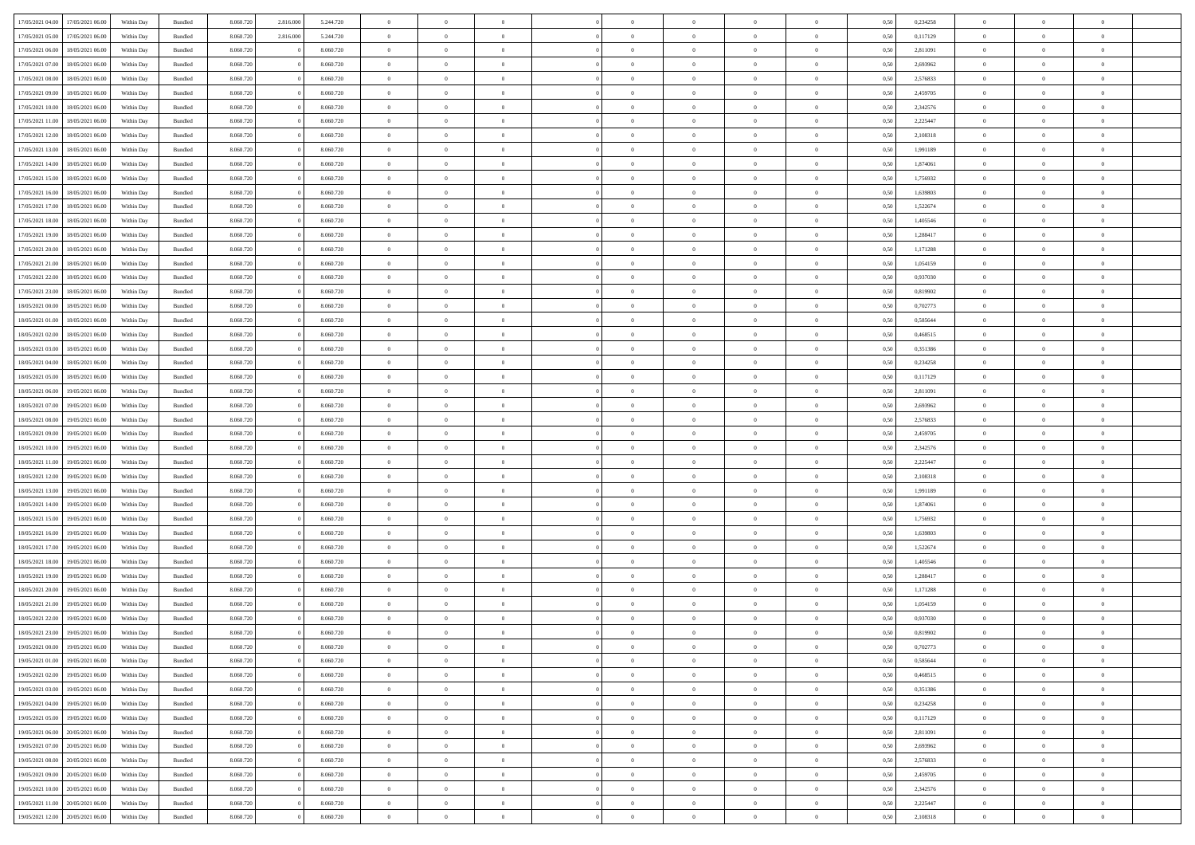| 17/05/2021 04:00 | 17/05/2021 06:00 | Within Day | Bundled            | 8.060.720 | 2.816.000 | 5.244.720 | $\overline{0}$ | $\Omega$       |                | $\Omega$       | $\Omega$       | $\theta$       | $\theta$       | 0.50 | 0,234258 | $\theta$       | $\theta$       | $\theta$       |  |
|------------------|------------------|------------|--------------------|-----------|-----------|-----------|----------------|----------------|----------------|----------------|----------------|----------------|----------------|------|----------|----------------|----------------|----------------|--|
|                  |                  |            |                    |           |           |           |                |                |                |                |                |                |                |      |          |                |                |                |  |
| 17/05/2021 05:00 | 17/05/2021 06:00 | Within Day | Bundled            | 8.060.720 | 2.816.000 | 5.244.720 | $\overline{0}$ | $\theta$       | $\overline{0}$ | $\overline{0}$ | $\bf{0}$       | $\overline{0}$ | $\bf{0}$       | 0,50 | 0,117129 | $\theta$       | $\theta$       | $\overline{0}$ |  |
| 17/05/2021 06:00 | 18/05/2021 06:00 | Within Day | Bundled            | 8.060.720 |           | 8.060.720 | $\overline{0}$ | $\overline{0}$ | $\overline{0}$ | $\bf{0}$       | $\bf{0}$       | $\bf{0}$       | $\bf{0}$       | 0,50 | 2,811091 | $\overline{0}$ | $\overline{0}$ | $\overline{0}$ |  |
| 17/05/2021 07:00 | 18/05/2021 06:00 | Within Dav | Bundled            | 8.060.720 |           | 8.060.720 | $\overline{0}$ | $\overline{0}$ | $\overline{0}$ | $\overline{0}$ | $\bf{0}$       | $\overline{0}$ | $\overline{0}$ | 0.50 | 2,693962 | $\theta$       | $\theta$       | $\overline{0}$ |  |
| 17/05/2021 08:00 | 18/05/2021 06:00 | Within Day | Bundled            | 8.060.720 |           | 8.060.720 | $\overline{0}$ | $\theta$       | $\overline{0}$ | $\overline{0}$ | $\bf{0}$       | $\overline{0}$ | $\bf{0}$       | 0,50 | 2,576833 | $\theta$       | $\theta$       | $\overline{0}$ |  |
| 17/05/2021 09:00 | 18/05/2021 06:00 | Within Day | Bundled            | 8.060.720 |           | 8.060.720 | $\overline{0}$ | $\bf{0}$       | $\overline{0}$ | $\bf{0}$       | $\overline{0}$ | $\overline{0}$ | $\mathbf{0}$   | 0,50 | 2,459705 | $\overline{0}$ | $\overline{0}$ | $\bf{0}$       |  |
| 17/05/2021 10:00 | 18/05/2021 06:00 | Within Dav | Bundled            | 8.060.720 |           | 8.060.720 | $\overline{0}$ | $\overline{0}$ | $\overline{0}$ | $\overline{0}$ | $\overline{0}$ | $\overline{0}$ | $\overline{0}$ | 0.50 | 2,342576 | $\theta$       | $\overline{0}$ | $\overline{0}$ |  |
|                  |                  |            |                    |           |           |           |                |                |                |                |                |                |                |      |          |                |                |                |  |
| 17/05/2021 11:00 | 18/05/2021 06:00 | Within Day | Bundled            | 8.060.720 |           | 8.060.720 | $\overline{0}$ | $\theta$       | $\overline{0}$ | $\overline{0}$ | $\bf{0}$       | $\overline{0}$ | $\bf{0}$       | 0,50 | 2,225447 | $\theta$       | $\theta$       | $\overline{0}$ |  |
| 17/05/2021 12:00 | 18/05/2021 06:00 | Within Day | Bundled            | 8.060.720 |           | 8.060.720 | $\overline{0}$ | $\overline{0}$ | $\overline{0}$ | $\bf{0}$       | $\bf{0}$       | $\bf{0}$       | $\bf{0}$       | 0,50 | 2,108318 | $\,0\,$        | $\overline{0}$ | $\overline{0}$ |  |
| 17/05/2021 13:00 | 18/05/2021 06:00 | Within Dav | Bundled            | 8.060.720 |           | 8.060.720 | $\overline{0}$ | $\overline{0}$ | $\overline{0}$ | $\overline{0}$ | $\overline{0}$ | $\overline{0}$ | $\overline{0}$ | 0.50 | 1,991189 | $\theta$       | $\overline{0}$ | $\overline{0}$ |  |
| 17/05/2021 14:00 | 18/05/2021 06:00 | Within Day | Bundled            | 8.060.720 |           | 8.060.720 | $\overline{0}$ | $\theta$       | $\overline{0}$ | $\overline{0}$ | $\bf{0}$       | $\overline{0}$ | $\bf{0}$       | 0,50 | 1,874061 | $\,$ 0 $\,$    | $\theta$       | $\overline{0}$ |  |
| 17/05/2021 15:00 | 18/05/2021 06:00 | Within Day | Bundled            | 8.060.720 |           | 8.060.720 | $\overline{0}$ | $\overline{0}$ | $\overline{0}$ | $\bf{0}$       | $\bf{0}$       | $\bf{0}$       | $\bf{0}$       | 0,50 | 1,756932 | $\overline{0}$ | $\overline{0}$ | $\overline{0}$ |  |
| 17/05/2021 16:00 | 18/05/2021 06:00 | Within Day | Bundled            | 8.060.720 |           | 8.060.720 | $\overline{0}$ | $\overline{0}$ | $\overline{0}$ | $\overline{0}$ | $\bf{0}$       | $\overline{0}$ | $\overline{0}$ | 0.50 | 1.639803 | $\theta$       | $\theta$       | $\overline{0}$ |  |
|                  |                  |            |                    |           |           |           | $\overline{0}$ | $\theta$       | $\overline{0}$ | $\overline{0}$ | $\bf{0}$       | $\overline{0}$ | $\overline{0}$ |      |          | $\theta$       | $\overline{0}$ | $\overline{0}$ |  |
| 17/05/2021 17:00 | 18/05/2021 06:00 | Within Day | Bundled            | 8.060.720 |           | 8.060.720 |                |                |                |                |                |                |                | 0,50 | 1,522674 |                |                |                |  |
| 17/05/2021 18:00 | 18/05/2021 06:00 | Within Day | Bundled            | 8.060.720 |           | 8.060.720 | $\overline{0}$ | $\bf{0}$       | $\overline{0}$ | $\bf{0}$       | $\overline{0}$ | $\overline{0}$ | $\mathbf{0}$   | 0,50 | 1,405546 | $\overline{0}$ | $\overline{0}$ | $\bf{0}$       |  |
| 17/05/2021 19:00 | 18/05/2021 06:00 | Within Dav | Bundled            | 8.060.720 |           | 8.060.720 | $\overline{0}$ | $\overline{0}$ | $\overline{0}$ | $\overline{0}$ | $\overline{0}$ | $\overline{0}$ | $\overline{0}$ | 0.50 | 1,288417 | $\theta$       | $\overline{0}$ | $\overline{0}$ |  |
| 17/05/2021 20:00 | 18/05/2021 06:00 | Within Day | Bundled            | 8.060.720 |           | 8.060.720 | $\overline{0}$ | $\theta$       | $\overline{0}$ | $\overline{0}$ | $\bf{0}$       | $\overline{0}$ | $\bf{0}$       | 0,50 | 1,171288 | $\theta$       | $\theta$       | $\overline{0}$ |  |
| 17/05/2021 21:00 | 18/05/2021 06:00 | Within Day | Bundled            | 8.060.720 |           | 8.060.720 | $\overline{0}$ | $\overline{0}$ | $\overline{0}$ | $\bf{0}$       | $\bf{0}$       | $\bf{0}$       | $\bf{0}$       | 0,50 | 1,054159 | $\,0\,$        | $\overline{0}$ | $\overline{0}$ |  |
| 17/05/2021 22:00 | 18/05/2021 06:00 | Within Day | Bundled            | 8.060.720 |           | 8.060.720 | $\overline{0}$ | $\overline{0}$ | $\overline{0}$ | $\overline{0}$ | $\overline{0}$ | $\overline{0}$ | $\overline{0}$ | 0.50 | 0,937030 | $\theta$       | $\overline{0}$ | $\overline{0}$ |  |
| 17/05/2021 23:00 | 18/05/2021 06:00 | Within Day | Bundled            | 8.060.720 |           | 8.060.720 | $\overline{0}$ | $\theta$       | $\overline{0}$ | $\overline{0}$ | $\bf{0}$       | $\overline{0}$ | $\bf{0}$       | 0,50 | 0,819902 | $\,$ 0 $\,$    | $\overline{0}$ | $\overline{0}$ |  |
|                  |                  |            |                    |           |           |           |                |                |                |                |                |                |                |      |          |                |                |                |  |
| 18/05/2021 00:00 | 18/05/2021 06:00 | Within Day | Bundled            | 8.060.720 |           | 8.060.720 | $\overline{0}$ | $\overline{0}$ | $\overline{0}$ | $\bf{0}$       | $\bf{0}$       | $\bf{0}$       | $\bf{0}$       | 0,50 | 0,702773 | $\bf{0}$       | $\overline{0}$ | $\overline{0}$ |  |
| 18/05/2021 01:00 | 18/05/2021 06:00 | Within Day | Bundled            | 8.060.720 |           | 8.060.720 | $\overline{0}$ | $\overline{0}$ | $\overline{0}$ | $\overline{0}$ | $\bf{0}$       | $\overline{0}$ | $\overline{0}$ | 0.50 | 0.585644 | $\theta$       | $\theta$       | $\overline{0}$ |  |
| 18/05/2021 02:00 | 18/05/2021 06:00 | Within Day | Bundled            | 8.060.720 |           | 8.060.720 | $\overline{0}$ | $\theta$       | $\overline{0}$ | $\overline{0}$ | $\bf{0}$       | $\overline{0}$ | $\bf{0}$       | 0,50 | 0,468515 | $\theta$       | $\overline{0}$ | $\overline{0}$ |  |
| 18/05/2021 03:00 | 18/05/2021 06:00 | Within Day | Bundled            | 8.060.720 |           | 8.060.720 | $\overline{0}$ | $\bf{0}$       | $\overline{0}$ | $\bf{0}$       | $\overline{0}$ | $\overline{0}$ | $\mathbf{0}$   | 0,50 | 0,351386 | $\overline{0}$ | $\overline{0}$ | $\bf{0}$       |  |
| 18/05/2021 04:00 | 18/05/2021 06:00 | Within Dav | Bundled            | 8.060.720 |           | 8.060.720 | $\overline{0}$ | $\overline{0}$ | $\overline{0}$ | $\overline{0}$ | $\overline{0}$ | $\overline{0}$ | $\overline{0}$ | 0.50 | 0,234258 | $\theta$       | $\overline{0}$ | $\overline{0}$ |  |
| 18/05/2021 05:00 | 18/05/2021 06:00 | Within Day | Bundled            | 8.060.720 |           | 8.060.720 | $\overline{0}$ | $\theta$       | $\overline{0}$ | $\overline{0}$ | $\bf{0}$       | $\overline{0}$ | $\bf{0}$       | 0,50 | 0,117129 | $\theta$       | $\theta$       | $\overline{0}$ |  |
| 18/05/2021 06:00 | 19/05/2021 06:00 | Within Day | Bundled            | 8.060.720 |           | 8.060.720 | $\overline{0}$ | $\overline{0}$ | $\overline{0}$ | $\bf{0}$       | $\bf{0}$       | $\bf{0}$       | $\bf{0}$       | 0,50 | 2,811091 | $\,0\,$        | $\overline{0}$ | $\overline{0}$ |  |
|                  |                  |            |                    |           |           |           |                |                |                |                |                |                |                |      |          |                |                |                |  |
| 18/05/2021 07:00 | 19/05/2021 06:00 | Within Day | Bundled            | 8.060.720 |           | 8.060.720 | $\overline{0}$ | $\overline{0}$ | $\overline{0}$ | $\overline{0}$ | $\overline{0}$ | $\overline{0}$ | $\overline{0}$ | 0.50 | 2,693962 | $\theta$       | $\overline{0}$ | $\overline{0}$ |  |
| 18/05/2021 08:00 | 19/05/2021 06:00 | Within Day | Bundled            | 8.060.720 |           | 8.060.720 | $\overline{0}$ | $\theta$       | $\overline{0}$ | $\overline{0}$ | $\bf{0}$       | $\overline{0}$ | $\bf{0}$       | 0,50 | 2,576833 | $\,$ 0 $\,$    | $\overline{0}$ | $\overline{0}$ |  |
| 18/05/2021 09:00 | 19/05/2021 06:00 | Within Day | Bundled            | 8.060.720 |           | 8.060.720 | $\overline{0}$ | $\overline{0}$ | $\overline{0}$ | $\bf{0}$       | $\bf{0}$       | $\bf{0}$       | $\bf{0}$       | 0,50 | 2,459705 | $\bf{0}$       | $\overline{0}$ | $\overline{0}$ |  |
| 18/05/2021 10:00 | 19/05/2021 06:00 | Within Day | Bundled            | 8.060.720 |           | 8.060.720 | $\overline{0}$ | $\Omega$       | $\Omega$       | $\Omega$       | $\Omega$       | $\overline{0}$ | $\overline{0}$ | 0,50 | 2,342576 | $\,0\,$        | $\theta$       | $\theta$       |  |
| 18/05/2021 11:00 | 19/05/2021 06:00 | Within Day | Bundled            | 8.060.720 |           | 8.060.720 | $\overline{0}$ | $\theta$       | $\overline{0}$ | $\overline{0}$ | $\bf{0}$       | $\overline{0}$ | $\bf{0}$       | 0,50 | 2,225447 | $\theta$       | $\overline{0}$ | $\overline{0}$ |  |
| 18/05/2021 12:00 | 19/05/2021 06:00 | Within Day | Bundled            | 8.060.720 |           | 8.060.720 | $\overline{0}$ | $\overline{0}$ | $\overline{0}$ | $\bf{0}$       | $\bf{0}$       | $\overline{0}$ | $\mathbf{0}$   | 0,50 | 2,108318 | $\bf{0}$       | $\overline{0}$ | $\bf{0}$       |  |
|                  | 19/05/2021 06:00 |            |                    |           |           |           | $\overline{0}$ | $\Omega$       | $\Omega$       | $\Omega$       | $\bf{0}$       |                |                |      |          |                | $\theta$       | $\theta$       |  |
| 18/05/2021 13:00 |                  | Within Day | Bundled            | 8.060.720 |           | 8.060.720 |                |                |                |                |                | $\overline{0}$ | $\overline{0}$ | 0.50 | 1,991189 | $\,0\,$        |                |                |  |
| 18/05/2021 14:00 | 19/05/2021 06:00 | Within Day | Bundled            | 8.060.720 |           | 8.060.720 | $\overline{0}$ | $\theta$       | $\overline{0}$ | $\overline{0}$ | $\bf{0}$       | $\overline{0}$ | $\bf{0}$       | 0,50 | 1,874061 | $\,$ 0 $\,$    | $\theta$       | $\overline{0}$ |  |
| 18/05/2021 15:00 | 19/05/2021 06:00 | Within Day | Bundled            | 8.060.720 |           | 8.060.720 | $\overline{0}$ | $\overline{0}$ | $\overline{0}$ | $\bf{0}$       | $\bf{0}$       | $\bf{0}$       | $\bf{0}$       | 0,50 | 1,756932 | $\,0\,$        | $\overline{0}$ | $\overline{0}$ |  |
| 18/05/2021 16:00 | 19/05/2021 06:00 | Within Day | Bundled            | 8.060.720 |           | 8.060.720 | $\overline{0}$ | $\Omega$       | $\Omega$       | $\Omega$       | $\theta$       | $\theta$       | $\overline{0}$ | 0.50 | 1,639803 | $\theta$       | $\theta$       | $\theta$       |  |
| 18/05/2021 17:00 | 19/05/2021 06:00 | Within Day | Bundled            | 8.060.720 |           | 8.060.720 | $\overline{0}$ | $\theta$       | $\overline{0}$ | $\overline{0}$ | $\bf{0}$       | $\overline{0}$ | $\bf{0}$       | 0,50 | 1,522674 | $\,$ 0 $\,$    | $\overline{0}$ | $\overline{0}$ |  |
| 18/05/2021 18:00 | 19/05/2021 06:00 | Within Day | Bundled            | 8.060.720 |           | 8.060.720 | $\overline{0}$ | $\overline{0}$ | $\overline{0}$ | $\overline{0}$ | $\bf{0}$       | $\overline{0}$ | $\bf{0}$       | 0,50 | 1,405546 | $\overline{0}$ | $\overline{0}$ | $\overline{0}$ |  |
| 18/05/2021 19:00 | 19/05/2021 06:00 | Within Day | Bundled            | 8.060.720 |           | 8.060.720 | $\overline{0}$ | $\Omega$       | $\Omega$       | $\Omega$       | $\overline{0}$ | $\overline{0}$ | $\overline{0}$ | 0,50 | 1,288417 | $\,0\,$        | $\theta$       | $\theta$       |  |
|                  |                  |            |                    |           |           |           | $\overline{0}$ | $\theta$       | $\overline{0}$ | $\overline{0}$ | $\bf{0}$       | $\overline{0}$ |                |      |          | $\,$ 0 $\,$    | $\overline{0}$ | $\overline{0}$ |  |
| 18/05/2021 20:00 | 19/05/2021 06:00 | Within Day | Bundled            | 8.060.720 |           | 8.060.720 |                |                |                |                |                |                | $\bf{0}$       | 0,50 | 1,171288 |                |                |                |  |
| 18/05/2021 21:00 | 19/05/2021 06:00 | Within Day | Bundled            | 8.060.720 |           | 8.060.720 | $\overline{0}$ | $\overline{0}$ | $\overline{0}$ | $\overline{0}$ | $\bf{0}$       | $\overline{0}$ | $\mathbf{0}$   | 0,50 | 1,054159 | $\overline{0}$ | $\overline{0}$ | $\bf{0}$       |  |
| 18/05/2021 22:00 | 19/05/2021 06:00 | Within Day | Bundled            | 8.060.720 |           | 8.060.720 | $\overline{0}$ | $\Omega$       | $\Omega$       | $\Omega$       | $\Omega$       | $\Omega$       | $\overline{0}$ | 0.50 | 0.937030 | $\theta$       | $\theta$       | $\theta$       |  |
| 18/05/2021 23:00 | 19/05/2021 06:00 | Within Day | Bundled            | 8.060.720 |           | 8.060.720 | $\overline{0}$ | $\overline{0}$ | $\bf{0}$       | $\bf{0}$       | $\,$ 0         | $\overline{0}$ | $\bf{0}$       | 0,50 | 0,819902 | $\,0\,$        | $\,0\,$        | $\overline{0}$ |  |
| 19/05/2021 00:00 | 19/05/2021 06:00 | Within Day | $\mathbf B$ undled | 8.060.720 |           | 8.060.720 | $\bf{0}$       | $\bf{0}$       |                |                | $\bf{0}$       |                |                | 0,50 | 0,702773 | $\bf{0}$       | $\overline{0}$ |                |  |
| 19/05/2021 01:00 | 19/05/2021 06:00 | Within Day | Bundled            | 8.060.720 |           | 8.060.720 | $\overline{0}$ | $\overline{0}$ | $\overline{0}$ | $\Omega$       | $\overline{0}$ | $\overline{0}$ | $\overline{0}$ | 0.50 | 0.585644 | $\theta$       | $\theta$       | $\theta$       |  |
| 19/05/2021 02:00 | 19/05/2021 06:00 | Within Day | Bundled            | 8.060.720 |           | 8.060.720 | $\overline{0}$ | $\,$ 0         | $\overline{0}$ | $\overline{0}$ | $\,$ 0 $\,$    | $\overline{0}$ | $\mathbf{0}$   | 0,50 | 0,468515 | $\,$ 0 $\,$    | $\,$ 0 $\,$    | $\,$ 0         |  |
|                  |                  |            |                    |           |           |           |                |                |                |                |                |                |                |      |          |                |                |                |  |
| 19/05/2021 03:00 | 19/05/2021 06:00 | Within Day | Bundled            | 8.060.720 |           | 8.060.720 | $\overline{0}$ | $\overline{0}$ | $\overline{0}$ | $\overline{0}$ | $\overline{0}$ | $\overline{0}$ | $\mathbf{0}$   | 0,50 | 0,351386 | $\overline{0}$ | $\bf{0}$       | $\bf{0}$       |  |
| 19/05/2021 04:00 | 19/05/2021 06:00 | Within Day | Bundled            | 8.060.720 |           | 8.060.720 | $\overline{0}$ | $\overline{0}$ | $\overline{0}$ | $\Omega$       | $\overline{0}$ | $\overline{0}$ | $\overline{0}$ | 0,50 | 0,234258 | $\overline{0}$ | $\theta$       | $\overline{0}$ |  |
| 19/05/2021 05:00 | 19/05/2021 06:00 | Within Day | Bundled            | 8.060.720 |           | 8.060.720 | $\overline{0}$ | $\,$ 0         | $\overline{0}$ | $\overline{0}$ | $\,$ 0 $\,$    | $\overline{0}$ | $\mathbf{0}$   | 0,50 | 0,117129 | $\,$ 0 $\,$    | $\overline{0}$ | $\overline{0}$ |  |
| 19/05/2021 06:00 | 20/05/2021 06:00 | Within Day | Bundled            | 8.060.720 |           | 8.060.720 | $\overline{0}$ | $\overline{0}$ | $\overline{0}$ | $\overline{0}$ | $\overline{0}$ | $\overline{0}$ | $\mathbf{0}$   | 0,50 | 2,811091 | $\overline{0}$ | $\overline{0}$ | $\bf{0}$       |  |
| 19/05/2021 07:00 | 20/05/2021 06:00 | Within Day | Bundled            | 8.060.720 |           | 8.060.720 | $\overline{0}$ | $\overline{0}$ | $\overline{0}$ | $\Omega$       | $\overline{0}$ | $\overline{0}$ | $\bf{0}$       | 0.50 | 2,693962 | $\overline{0}$ | $\theta$       | $\overline{0}$ |  |
| 19/05/2021 08:00 | 20/05/2021 06:00 | Within Day | Bundled            | 8.060.720 |           | 8.060.720 | $\overline{0}$ | $\,$ 0         | $\overline{0}$ | $\overline{0}$ | $\bf{0}$       | $\overline{0}$ | $\bf{0}$       | 0,50 | 2,576833 | $\,$ 0 $\,$    | $\overline{0}$ | $\overline{0}$ |  |
| 19/05/2021 09:00 | 20/05/2021 06:00 | Within Day | Bundled            | 8.060.720 |           | 8.060.720 | $\overline{0}$ | $\bf{0}$       | $\overline{0}$ | $\overline{0}$ | $\overline{0}$ | $\overline{0}$ | $\mathbf{0}$   | 0,50 | 2,459705 | $\overline{0}$ | $\overline{0}$ | $\bf{0}$       |  |
|                  |                  |            |                    |           |           |           |                |                |                |                |                |                |                |      |          |                |                |                |  |
| 19/05/2021 10:00 | 20/05/2021 06:00 | Within Day | Bundled            | 8.060.720 |           | 8.060.720 | $\overline{0}$ | $\overline{0}$ | $\overline{0}$ | $\Omega$       | $\overline{0}$ | $\overline{0}$ | $\overline{0}$ | 0.50 | 2,342576 | $\overline{0}$ | $\overline{0}$ | $\overline{0}$ |  |
| 19/05/2021 11:00 | 20/05/2021 06:00 | Within Day | Bundled            | 8.060.720 |           | 8.060.720 | $\overline{0}$ | $\bf{0}$       | $\overline{0}$ | $\overline{0}$ | $\bf{0}$       | $\bf{0}$       | $\mathbf{0}$   | 0,50 | 2,225447 | $\,$ 0 $\,$    | $\,$ 0 $\,$    | $\bf{0}$       |  |
| 19/05/2021 12:00 | 20/05/2021 06:00 | Within Day | Bundled            | 8.060.720 |           | 8.060.720 | $\overline{0}$ | $\overline{0}$ | $\overline{0}$ | $\overline{0}$ | $\bf{0}$       | $\bf{0}$       | $\mathbf{0}$   | 0,50 | 2,108318 | $\overline{0}$ | $\bf{0}$       | $\bf{0}$       |  |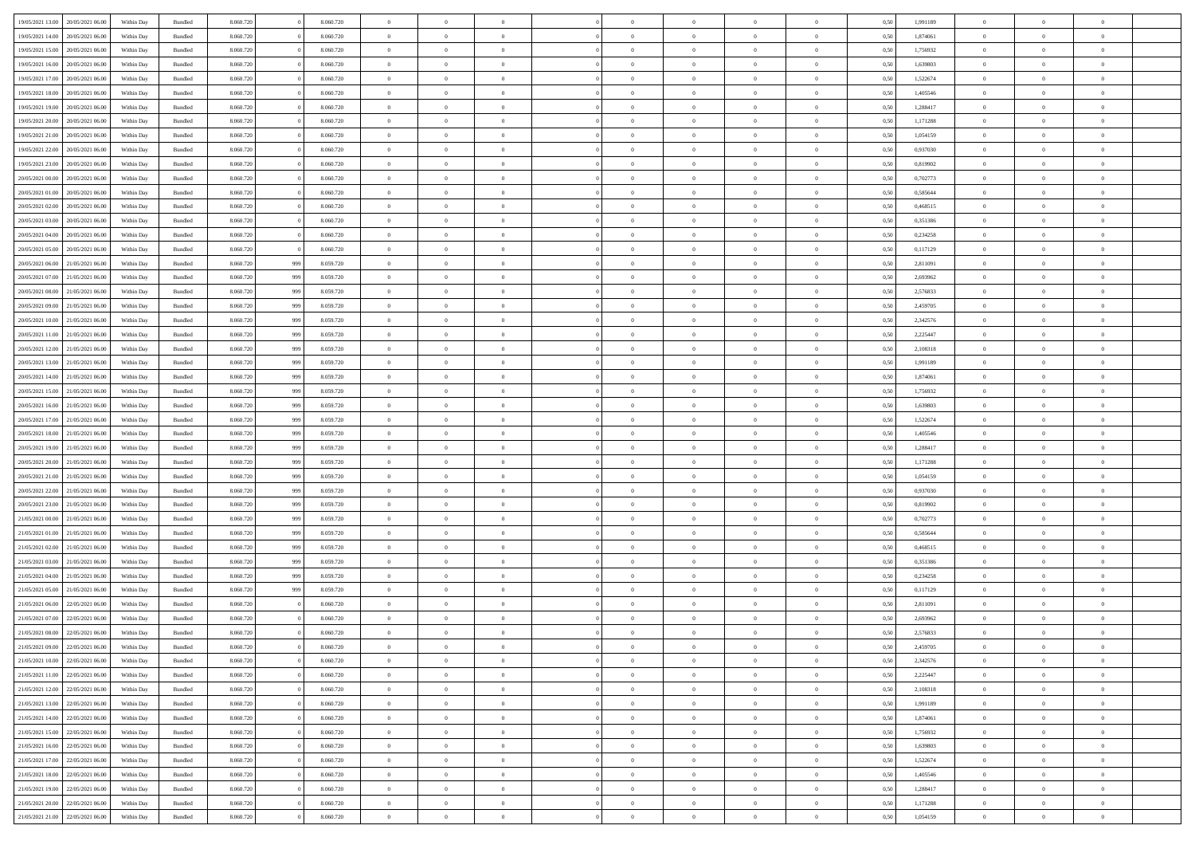| 19/05/2021 13:00                  | 20/05/2021 06:00                  | Within Day | Bundled | 8.060.720 |     | 8.060.720 | $\overline{0}$ | $\Omega$       |                | $\Omega$       | $\Omega$       | $\theta$       | $\theta$       | 0.50 | 1,991189 | $\theta$       | $\theta$       | $\theta$       |  |
|-----------------------------------|-----------------------------------|------------|---------|-----------|-----|-----------|----------------|----------------|----------------|----------------|----------------|----------------|----------------|------|----------|----------------|----------------|----------------|--|
| 19/05/2021 14:00                  | 20/05/2021 06:00                  | Within Day | Bundled | 8.060.720 |     | 8.060.720 | $\overline{0}$ | $\theta$       | $\overline{0}$ | $\overline{0}$ | $\bf{0}$       | $\overline{0}$ | $\bf{0}$       | 0,50 | 1,874061 | $\theta$       | $\theta$       | $\overline{0}$ |  |
| 19/05/2021 15:00                  | 20/05/2021 06:00                  | Within Day | Bundled | 8.060.720 |     | 8.060.720 | $\overline{0}$ | $\overline{0}$ | $\overline{0}$ | $\bf{0}$       | $\bf{0}$       | $\bf{0}$       | $\bf{0}$       | 0,50 | 1,756932 | $\overline{0}$ | $\overline{0}$ | $\overline{0}$ |  |
| 19/05/2021 16:00                  | 20/05/2021 06:00                  | Within Dav | Bundled | 8.060.720 |     | 8.060.720 | $\overline{0}$ | $\overline{0}$ | $\overline{0}$ | $\overline{0}$ | $\bf{0}$       | $\overline{0}$ | $\overline{0}$ | 0.50 | 1.639803 | $\theta$       | $\theta$       | $\overline{0}$ |  |
| 19/05/2021 17:00                  | 20/05/2021 06:00                  | Within Day | Bundled | 8.060.720 |     | 8.060.720 | $\overline{0}$ | $\theta$       | $\overline{0}$ | $\overline{0}$ | $\bf{0}$       | $\overline{0}$ | $\bf{0}$       | 0,50 | 1,522674 | $\theta$       | $\theta$       | $\overline{0}$ |  |
|                                   |                                   |            |         |           |     |           |                |                |                |                |                |                |                |      |          |                |                |                |  |
| 19/05/2021 18:00                  | 20/05/2021 06:00                  | Within Day | Bundled | 8.060.720 |     | 8.060.720 | $\overline{0}$ | $\bf{0}$       | $\overline{0}$ | $\bf{0}$       | $\overline{0}$ | $\overline{0}$ | $\mathbf{0}$   | 0,50 | 1,405546 | $\overline{0}$ | $\overline{0}$ | $\bf{0}$       |  |
| 19/05/2021 19:00                  | 20/05/2021 06:00                  | Within Dav | Bundled | 8.060.720 |     | 8.060.720 | $\overline{0}$ | $\overline{0}$ | $\overline{0}$ | $\overline{0}$ | $\overline{0}$ | $\overline{0}$ | $\overline{0}$ | 0.50 | 1,288417 | $\theta$       | $\overline{0}$ | $\overline{0}$ |  |
| 19/05/2021 20:00                  | 20/05/2021 06:00                  | Within Day | Bundled | 8.060.720 |     | 8.060.720 | $\overline{0}$ | $\theta$       | $\overline{0}$ | $\overline{0}$ | $\bf{0}$       | $\overline{0}$ | $\bf{0}$       | 0,50 | 1,171288 | $\theta$       | $\theta$       | $\overline{0}$ |  |
| 19/05/2021 21:00                  | 20/05/2021 06:00                  | Within Day | Bundled | 8.060.720 |     | 8.060.720 | $\overline{0}$ | $\overline{0}$ | $\overline{0}$ | $\bf{0}$       | $\bf{0}$       | $\bf{0}$       | $\bf{0}$       | 0,50 | 1,054159 | $\,0\,$        | $\overline{0}$ | $\overline{0}$ |  |
| 19/05/2021 22:00                  | 20/05/2021 06:00                  | Within Dav | Bundled | 8.060.720 |     | 8.060.720 | $\overline{0}$ | $\overline{0}$ | $\overline{0}$ | $\overline{0}$ | $\overline{0}$ | $\overline{0}$ | $\overline{0}$ | 0.50 | 0,937030 | $\theta$       | $\overline{0}$ | $\overline{0}$ |  |
| 19/05/2021 23:00                  | 20/05/2021 06:00                  | Within Day | Bundled | 8.060.720 |     | 8.060.720 | $\overline{0}$ | $\theta$       | $\overline{0}$ | $\overline{0}$ | $\bf{0}$       | $\overline{0}$ | $\bf{0}$       | 0,50 | 0,819902 | $\,$ 0 $\,$    | $\theta$       | $\overline{0}$ |  |
| 20/05/2021 00:00                  | 20/05/2021 06:00                  | Within Day | Bundled | 8.060.720 |     | 8.060.720 | $\overline{0}$ | $\overline{0}$ | $\overline{0}$ | $\bf{0}$       | $\bf{0}$       | $\bf{0}$       | $\bf{0}$       | 0,50 | 0,702773 | $\overline{0}$ | $\overline{0}$ | $\bf{0}$       |  |
|                                   |                                   |            |         |           |     |           |                |                |                |                |                |                |                |      |          | $\theta$       |                |                |  |
| 20/05/2021 01:00                  | 20/05/2021 06:00                  | Within Dav | Bundled | 8.060.720 |     | 8.060.720 | $\overline{0}$ | $\overline{0}$ | $\overline{0}$ | $\overline{0}$ | $\bf{0}$       | $\overline{0}$ | $\overline{0}$ | 0.50 | 0.585644 |                | $\theta$       | $\overline{0}$ |  |
| 20/05/2021 02:00                  | 20/05/2021 06:00                  | Within Day | Bundled | 8.060.720 |     | 8.060.720 | $\overline{0}$ | $\theta$       | $\overline{0}$ | $\overline{0}$ | $\bf{0}$       | $\overline{0}$ | $\overline{0}$ | 0,50 | 0,468515 | $\theta$       | $\overline{0}$ | $\overline{0}$ |  |
| 20/05/2021 03:00                  | 20/05/2021 06:00                  | Within Day | Bundled | 8.060.720 |     | 8.060.720 | $\overline{0}$ | $\overline{0}$ | $\overline{0}$ | $\bf{0}$       | $\overline{0}$ | $\overline{0}$ | $\mathbf{0}$   | 0,50 | 0,351386 | $\overline{0}$ | $\overline{0}$ | $\bf{0}$       |  |
| 20/05/2021 04:00                  | 20/05/2021 06:00                  | Within Dav | Bundled | 8.060.720 |     | 8.060.720 | $\overline{0}$ | $\overline{0}$ | $\overline{0}$ | $\overline{0}$ | $\overline{0}$ | $\overline{0}$ | $\overline{0}$ | 0.50 | 0,234258 | $\theta$       | $\overline{0}$ | $\overline{0}$ |  |
| 20/05/2021 05:00                  | 20/05/2021 06:00                  | Within Day | Bundled | 8.060.720 |     | 8.060.720 | $\overline{0}$ | $\theta$       | $\overline{0}$ | $\overline{0}$ | $\bf{0}$       | $\overline{0}$ | $\bf{0}$       | 0,50 | 0,117129 | $\theta$       | $\theta$       | $\overline{0}$ |  |
| 20/05/2021 06:00                  | 21/05/2021 06:00                  | Within Day | Bundled | 8.060.720 | 999 | 8.059.720 | $\overline{0}$ | $\overline{0}$ | $\overline{0}$ | $\bf{0}$       | $\bf{0}$       | $\bf{0}$       | $\bf{0}$       | 0,50 | 2,811091 | $\bf{0}$       | $\overline{0}$ | $\overline{0}$ |  |
| 20/05/2021 07:00                  | 21/05/2021 06:00                  | Within Dav | Bundled | 8.060.720 | 999 | 8.059.720 | $\overline{0}$ | $\overline{0}$ | $\overline{0}$ | $\overline{0}$ | $\overline{0}$ | $\overline{0}$ | $\overline{0}$ | 0.50 | 2,693962 | $\theta$       | $\overline{0}$ | $\overline{0}$ |  |
|                                   |                                   |            |         |           |     |           |                |                |                |                |                |                |                |      |          |                |                |                |  |
| 20/05/2021 08:00                  | 21/05/2021 06:00                  | Within Day | Bundled | 8.060.720 | 999 | 8.059.720 | $\overline{0}$ | $\theta$       | $\overline{0}$ | $\overline{0}$ | $\bf{0}$       | $\overline{0}$ | $\bf{0}$       | 0,50 | 2,576833 | $\,$ 0 $\,$    | $\theta$       | $\overline{0}$ |  |
| 20/05/2021 09:00                  | 21/05/2021 06:00                  | Within Day | Bundled | 8.060.720 | 999 | 8.059.720 | $\overline{0}$ | $\overline{0}$ | $\overline{0}$ | $\bf{0}$       | $\bf{0}$       | $\bf{0}$       | $\bf{0}$       | 0,50 | 2,459705 | $\bf{0}$       | $\overline{0}$ | $\overline{0}$ |  |
| 20/05/2021 10:00                  | 21/05/2021 06:00                  | Within Day | Bundled | 8.060.720 | 999 | 8.059.720 | $\overline{0}$ | $\overline{0}$ | $\overline{0}$ | $\overline{0}$ | $\bf{0}$       | $\overline{0}$ | $\overline{0}$ | 0.50 | 2,342576 | $\theta$       | $\overline{0}$ | $\overline{0}$ |  |
| 20/05/2021 11:00                  | 21/05/2021 06:00                  | Within Day | Bundled | 8.060.720 | 999 | 8.059.720 | $\overline{0}$ | $\theta$       | $\overline{0}$ | $\overline{0}$ | $\bf{0}$       | $\overline{0}$ | $\bf{0}$       | 0,50 | 2,225447 | $\,$ 0 $\,$    | $\overline{0}$ | $\overline{0}$ |  |
| 20/05/2021 12:00                  | 21/05/2021 06:00                  | Within Day | Bundled | 8.060.720 | 999 | 8.059.720 | $\overline{0}$ | $\bf{0}$       | $\overline{0}$ | $\overline{0}$ | $\overline{0}$ | $\overline{0}$ | $\mathbf{0}$   | 0,50 | 2,108318 | $\bf{0}$       | $\overline{0}$ | $\bf{0}$       |  |
| 20/05/2021 13:00                  | 21/05/2021 06:00                  | Within Dav | Bundled | 8.060.720 | 999 | 8.059.720 | $\overline{0}$ | $\overline{0}$ | $\overline{0}$ | $\overline{0}$ | $\overline{0}$ | $\overline{0}$ | $\overline{0}$ | 0.50 | 1,991189 | $\overline{0}$ | $\overline{0}$ | $\overline{0}$ |  |
| 20/05/2021 14:00                  | 21/05/2021 06:00                  |            |         | 8.060.720 |     | 8.059.720 | $\overline{0}$ | $\theta$       | $\overline{0}$ | $\overline{0}$ | $\bf{0}$       | $\overline{0}$ |                |      | 1,874061 | $\theta$       | $\theta$       | $\overline{0}$ |  |
|                                   |                                   | Within Day | Bundled |           | 999 |           |                |                |                |                |                |                | $\bf{0}$       | 0,50 |          |                |                |                |  |
| 20/05/2021 15:00                  | 21/05/2021 06:00                  | Within Day | Bundled | 8.060.720 | 999 | 8.059.720 | $\overline{0}$ | $\overline{0}$ | $\overline{0}$ | $\overline{0}$ | $\bf{0}$       | $\overline{0}$ | $\bf{0}$       | 0,50 | 1,756932 | $\,0\,$        | $\overline{0}$ | $\overline{0}$ |  |
| 20/05/2021 16:00                  | 21/05/2021 06:00                  | Within Day | Bundled | 8.060.720 | 999 | 8.059.720 | $\overline{0}$ | $\overline{0}$ | $\overline{0}$ | $\overline{0}$ | $\overline{0}$ | $\overline{0}$ | $\overline{0}$ | 0.50 | 1,639803 | $\theta$       | $\overline{0}$ | $\overline{0}$ |  |
| 20/05/2021 17:00                  | 21/05/2021 06:00                  | Within Day | Bundled | 8.060.720 | 999 | 8.059.720 | $\overline{0}$ | $\theta$       | $\overline{0}$ | $\overline{0}$ | $\bf{0}$       | $\overline{0}$ | $\bf{0}$       | 0,50 | 1,522674 | $\,$ 0 $\,$    | $\overline{0}$ | $\overline{0}$ |  |
| 20/05/2021 18:00                  | 21/05/2021 06:00                  | Within Day | Bundled | 8.060.720 | 999 | 8.059.720 | $\overline{0}$ | $\overline{0}$ | $\overline{0}$ | $\overline{0}$ | $\bf{0}$       | $\overline{0}$ | $\bf{0}$       | 0,50 | 1,405546 | $\bf{0}$       | $\overline{0}$ | $\bf{0}$       |  |
| 20/05/2021 19:00                  | 21/05/2021 06:00                  | Within Day | Bundled | 8.060.720 | 999 | 8.059.720 | $\overline{0}$ | $\Omega$       | $\Omega$       | $\Omega$       | $\Omega$       | $\Omega$       | $\overline{0}$ | 0.50 | 1,288417 | $\,0\,$        | $\theta$       | $\theta$       |  |
| 20/05/2021 20:00                  | 21/05/2021 06:00                  | Within Day | Bundled | 8.060.720 | 999 | 8.059.720 | $\overline{0}$ | $\theta$       | $\overline{0}$ | $\overline{0}$ | $\bf{0}$       | $\overline{0}$ | $\bf{0}$       | 0,50 | 1,171288 | $\,$ 0 $\,$    | $\theta$       | $\overline{0}$ |  |
|                                   |                                   |            |         |           |     |           |                |                |                |                |                |                |                |      |          |                |                |                |  |
| 20/05/2021 21:00                  | 21/05/2021 06:00                  | Within Day | Bundled | 8.060.720 | 999 | 8.059.720 | $\overline{0}$ | $\overline{0}$ | $\overline{0}$ | $\overline{0}$ | $\bf{0}$       | $\overline{0}$ | $\mathbf{0}$   | 0,50 | 1,054159 | $\bf{0}$       | $\overline{0}$ | $\bf{0}$       |  |
| 20/05/2021 22:00                  | 21/05/2021 06:00                  | Within Day | Bundled | 8.060.720 | 999 | 8.059.720 | $\overline{0}$ | $\Omega$       | $\Omega$       | $\Omega$       | $\bf{0}$       | $\overline{0}$ | $\overline{0}$ | 0.50 | 0.937030 | $\theta$       | $\theta$       | $\theta$       |  |
| 20/05/2021 23:00                  | 21/05/2021 06:00                  | Within Day | Bundled | 8.060.720 | 999 | 8.059.720 | $\overline{0}$ | $\theta$       | $\overline{0}$ | $\overline{0}$ | $\bf{0}$       | $\overline{0}$ | $\bf{0}$       | 0,50 | 0,819902 | $\,$ 0 $\,$    | $\theta$       | $\overline{0}$ |  |
| 21/05/2021 00:00                  | 21/05/2021 06:00                  | Within Day | Bundled | 8.060.720 | 999 | 8.059.720 | $\overline{0}$ | $\overline{0}$ | $\overline{0}$ | $\overline{0}$ | $\bf{0}$       | $\overline{0}$ | $\bf{0}$       | 0,50 | 0,702773 | $\,0\,$        | $\overline{0}$ | $\overline{0}$ |  |
| 21/05/2021 01:00                  | 21/05/2021 06:00                  | Within Day | Bundled | 8.060.720 | 999 | 8.059.720 | $\overline{0}$ | $\Omega$       | $\Omega$       | $\Omega$       | $\theta$       | $\theta$       | $\overline{0}$ | 0.50 | 0.585644 | $\theta$       | $\theta$       | $\theta$       |  |
| 21/05/2021 02:00                  | 21/05/2021 06:00                  | Within Day | Bundled | 8.060.720 | 999 | 8.059.720 | $\overline{0}$ | $\theta$       | $\overline{0}$ | $\overline{0}$ | $\bf{0}$       | $\overline{0}$ | $\bf{0}$       | 0,50 | 0,468515 | $\,$ 0 $\,$    | $\overline{0}$ | $\overline{0}$ |  |
| 21/05/2021 03:00                  | 21/05/2021 06:00                  | Within Day | Bundled | 8.060.720 | 999 | 8.059.720 | $\overline{0}$ | $\overline{0}$ | $\overline{0}$ | $\overline{0}$ | $\bf{0}$       | $\overline{0}$ | $\bf{0}$       | 0,50 | 0,351386 | $\bf{0}$       | $\overline{0}$ | $\overline{0}$ |  |
|                                   |                                   |            |         |           |     |           |                |                |                |                |                |                |                |      |          |                |                |                |  |
| 21/05/2021 04:00                  | 21/05/2021 06:00                  | Within Day | Bundled | 8.060.720 | 999 | 8.059.720 | $\overline{0}$ | $\Omega$       | $\overline{0}$ | $\Omega$       | $\Omega$       | $\overline{0}$ | $\overline{0}$ | 0.50 | 0,234258 | $\,0\,$        | $\theta$       | $\theta$       |  |
| 21/05/2021 05:00                  | 21/05/2021 06:00                  | Within Day | Bundled | 8.060.720 | 999 | 8.059.720 | $\overline{0}$ | $\theta$       | $\overline{0}$ | $\overline{0}$ | $\bf{0}$       | $\overline{0}$ | $\bf{0}$       | 0,50 | 0,117129 | $\,$ 0 $\,$    | $\overline{0}$ | $\overline{0}$ |  |
| 21/05/2021 06:00                  | 22/05/2021 06:00                  | Within Day | Bundled | 8.060.720 |     | 8.060.720 | $\overline{0}$ | $\overline{0}$ | $\overline{0}$ | $\overline{0}$ | $\bf{0}$       | $\overline{0}$ | $\mathbf{0}$   | 0,50 | 2,811091 | $\bf{0}$       | $\overline{0}$ | $\bf{0}$       |  |
| 21/05/2021 07:00                  | 22/05/2021 06:00                  | Within Day | Bundled | 8.060.720 |     | 8.060.720 | $\overline{0}$ | $\Omega$       | $\Omega$       | $\Omega$       | $\Omega$       | $\Omega$       | $\overline{0}$ | 0.50 | 2.693962 | $\theta$       | $\theta$       | $\theta$       |  |
| 21/05/2021 08:00                  | 22/05/2021 06:00                  | Within Day | Bundled | 8.060.720 |     | 8.060.720 | $\overline{0}$ | $\overline{0}$ | $\overline{0}$ | $\bf{0}$       | $\,$ 0         | $\overline{0}$ | $\bf{0}$       | 0,50 | 2,576833 | $\,0\,$        | $\,$ 0 $\,$    | $\overline{0}$ |  |
|                                   | 21/05/2021 09:00 22/05/2021 06:00 | Within Day | Bundled | 8.060.720 |     | 8.060.720 | $\bf{0}$       | $\bf{0}$       |                |                |                |                |                | 0,50 | 2,459705 | $\bf{0}$       | $\overline{0}$ |                |  |
| 21/05/2021 10:00                  | 22/05/2021 06:00                  | Within Day | Bundled | 8.060.720 |     | 8.060.720 | $\overline{0}$ | $\overline{0}$ | $\overline{0}$ | $\Omega$       | $\overline{0}$ | $\overline{0}$ | $\overline{0}$ | 0.50 | 2,342576 | $\theta$       | $\theta$       | $\theta$       |  |
| 21/05/2021 11:00                  | 22/05/2021 06:00                  |            | Bundled | 8.060.720 |     | 8.060.720 | $\overline{0}$ | $\,$ 0         |                |                | $\,$ 0 $\,$    | $\overline{0}$ |                |      | 2,225447 | $\,$ 0 $\,$    | $\,$ 0 $\,$    | $\,$ 0         |  |
|                                   |                                   | Within Day |         |           |     |           |                |                | $\overline{0}$ | $\overline{0}$ |                |                | $\mathbf{0}$   | 0,50 |          |                |                |                |  |
| 21/05/2021 12:00                  | 22/05/2021 06:00                  | Within Day | Bundled | 8.060.720 |     | 8.060.720 | $\overline{0}$ | $\overline{0}$ | $\overline{0}$ | $\overline{0}$ | $\overline{0}$ | $\overline{0}$ | $\mathbf{0}$   | 0,50 | 2,108318 | $\overline{0}$ | $\bf{0}$       | $\bf{0}$       |  |
| 21/05/2021 13:00                  | 22/05/2021 06:00                  | Within Day | Bundled | 8.060.720 |     | 8.060.720 | $\overline{0}$ | $\overline{0}$ | $\overline{0}$ | $\Omega$       | $\overline{0}$ | $\overline{0}$ | $\overline{0}$ | 0,50 | 1,991189 | $\overline{0}$ | $\theta$       | $\overline{0}$ |  |
| 21/05/2021 14:00                  | 22/05/2021 06:00                  | Within Day | Bundled | 8.060.720 |     | 8.060.720 | $\overline{0}$ | $\,$ 0         | $\overline{0}$ | $\overline{0}$ | $\,$ 0 $\,$    | $\overline{0}$ | $\mathbf{0}$   | 0,50 | 1,874061 | $\,$ 0 $\,$    | $\overline{0}$ | $\overline{0}$ |  |
| 21/05/2021 15:00                  | 22/05/2021 06:00                  | Within Day | Bundled | 8.060.720 |     | 8.060.720 | $\overline{0}$ | $\overline{0}$ | $\overline{0}$ | $\overline{0}$ | $\overline{0}$ | $\overline{0}$ | $\mathbf{0}$   | 0,50 | 1,756932 | $\overline{0}$ | $\overline{0}$ | $\bf{0}$       |  |
| 21/05/2021 16:00                  | 22/05/2021 06:00                  | Within Day | Bundled | 8.060.720 |     | 8.060.720 | $\overline{0}$ | $\overline{0}$ | $\overline{0}$ | $\Omega$       | $\overline{0}$ | $\overline{0}$ | $\bf{0}$       | 0.50 | 1,639803 | $\overline{0}$ | $\theta$       | $\overline{0}$ |  |
| 21/05/2021 17:00                  | 22/05/2021 06:00                  | Within Day | Bundled | 8.060.720 |     | 8.060.720 | $\overline{0}$ | $\,$ 0         | $\overline{0}$ | $\bf{0}$       | $\bf{0}$       | $\bf{0}$       | $\bf{0}$       | 0,50 | 1,522674 | $\,$ 0 $\,$    | $\overline{0}$ | $\overline{0}$ |  |
|                                   |                                   |            |         |           |     |           |                | $\bf{0}$       |                |                |                |                |                |      |          |                | $\overline{0}$ | $\bf{0}$       |  |
| 21/05/2021 18:00                  | 22/05/2021 06:00                  | Within Day | Bundled | 8.060.720 |     | 8.060.720 | $\overline{0}$ |                | $\overline{0}$ | $\overline{0}$ | $\overline{0}$ | $\overline{0}$ | $\mathbf{0}$   | 0,50 | 1,405546 | $\overline{0}$ |                |                |  |
| 21/05/2021 19:00                  | 22/05/2021 06:00                  | Within Day | Bundled | 8.060.720 |     | 8.060.720 | $\overline{0}$ | $\overline{0}$ | $\overline{0}$ | $\Omega$       | $\overline{0}$ | $\overline{0}$ | $\overline{0}$ | 0.50 | 1,288417 | $\overline{0}$ | $\theta$       | $\overline{0}$ |  |
| 21/05/2021 20:00                  | 22/05/2021 06:00                  | Within Day | Bundled | 8.060.720 |     | 8.060.720 | $\overline{0}$ | $\bf{0}$       | $\overline{0}$ | $\overline{0}$ | $\bf{0}$       | $\bf{0}$       | $\bf{0}$       | 0,50 | 1,171288 | $\,$ 0 $\,$    | $\,$ 0 $\,$    | $\bf{0}$       |  |
| 21/05/2021 21.00 22/05/2021 06:00 |                                   | Within Day | Bundled | 8.060.720 |     | 8.060.720 | $\overline{0}$ | $\bf{0}$       | $\overline{0}$ | $\bf{0}$       | $\bf{0}$       | $\bf{0}$       | $\bf{0}$       | 0,50 | 1,054159 | $\overline{0}$ | $\overline{0}$ | $\bf{0}$       |  |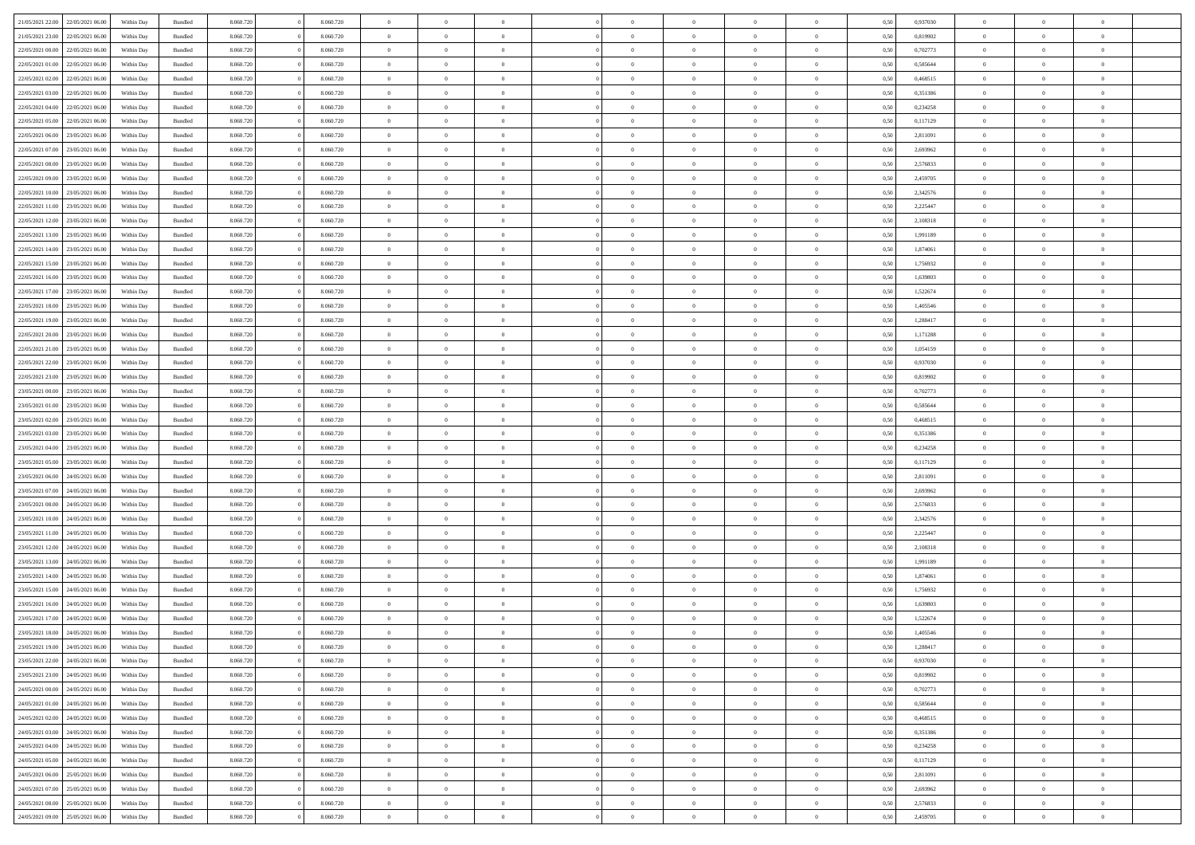| 21/05/2021 22:00                  | 22/05/2021 06:00 | Within Day | Bundled            | 8.060.720 | 8.060.720 | $\overline{0}$ | $\Omega$       |                | $\Omega$       | $\Omega$       | $\theta$       | $\theta$       | 0,50 | 0,937030 | $\theta$       | $\theta$       | $\overline{0}$ |  |
|-----------------------------------|------------------|------------|--------------------|-----------|-----------|----------------|----------------|----------------|----------------|----------------|----------------|----------------|------|----------|----------------|----------------|----------------|--|
| 21/05/2021 23:00                  | 22/05/2021 06:00 | Within Day | Bundled            | 8.060.720 | 8.060.720 | $\overline{0}$ | $\theta$       | $\overline{0}$ | $\overline{0}$ | $\bf{0}$       | $\overline{0}$ | $\bf{0}$       | 0,50 | 0,819902 | $\theta$       | $\overline{0}$ | $\overline{0}$ |  |
| 22/05/2021 00:00                  | 22/05/2021 06:00 | Within Day | Bundled            | 8.060.720 | 8.060.720 | $\overline{0}$ | $\bf{0}$       | $\overline{0}$ | $\bf{0}$       | $\bf{0}$       | $\bf{0}$       | $\mathbf{0}$   | 0,50 | 0,702773 | $\overline{0}$ | $\overline{0}$ | $\bf{0}$       |  |
|                                   |                  |            |                    |           |           |                |                |                |                |                |                |                |      |          | $\theta$       |                |                |  |
| 22/05/2021 01:00                  | 22/05/2021 06:00 | Within Dav | Bundled            | 8.060.720 | 8.060.720 | $\overline{0}$ | $\overline{0}$ | $\overline{0}$ | $\overline{0}$ | $\bf{0}$       | $\overline{0}$ | $\overline{0}$ | 0.50 | 0.585644 |                | $\theta$       | $\overline{0}$ |  |
| 22/05/2021 02:00                  | 22/05/2021 06:00 | Within Day | Bundled            | 8.060.720 | 8.060.720 | $\overline{0}$ | $\theta$       | $\overline{0}$ | $\overline{0}$ | $\bf{0}$       | $\overline{0}$ | $\bf{0}$       | 0,50 | 0,468515 | $\theta$       | $\overline{0}$ | $\overline{0}$ |  |
| 22/05/2021 03:00                  | 22/05/2021 06:00 | Within Day | Bundled            | 8.060.720 | 8.060.720 | $\overline{0}$ | $\overline{0}$ | $\overline{0}$ | $\bf{0}$       | $\overline{0}$ | $\overline{0}$ | $\mathbf{0}$   | 0,50 | 0,351386 | $\overline{0}$ | $\overline{0}$ | $\bf{0}$       |  |
| 22/05/2021 04:00                  | 22/05/2021 06:00 | Within Dav | Bundled            | 8.060.720 | 8.060.720 | $\overline{0}$ | $\overline{0}$ | $\overline{0}$ | $\overline{0}$ | $\overline{0}$ | $\overline{0}$ | $\overline{0}$ | 0.50 | 0,234258 | $\theta$       | $\overline{0}$ | $\overline{0}$ |  |
|                                   |                  |            |                    |           |           |                |                |                |                |                |                |                |      |          |                |                |                |  |
| 22/05/2021 05:00                  | 22/05/2021 06:00 | Within Day | Bundled            | 8.060.720 | 8.060.720 | $\overline{0}$ | $\theta$       | $\overline{0}$ | $\overline{0}$ | $\bf{0}$       | $\overline{0}$ | $\bf{0}$       | 0,50 | 0,117129 | $\theta$       | $\theta$       | $\overline{0}$ |  |
| 22/05/2021 06:00                  | 23/05/2021 06:00 | Within Day | Bundled            | 8.060.720 | 8.060.720 | $\overline{0}$ | $\overline{0}$ | $\overline{0}$ | $\bf{0}$       | $\bf{0}$       | $\bf{0}$       | $\bf{0}$       | 0,50 | 2,811091 | $\,0\,$        | $\overline{0}$ | $\overline{0}$ |  |
| 22/05/2021 07:00                  | 23/05/2021 06:00 | Within Dav | Bundled            | 8.060.720 | 8.060.720 | $\overline{0}$ | $\overline{0}$ | $\overline{0}$ | $\overline{0}$ | $\overline{0}$ | $\overline{0}$ | $\overline{0}$ | 0.50 | 2,693962 | $\theta$       | $\overline{0}$ | $\overline{0}$ |  |
| 22/05/2021 08:00                  | 23/05/2021 06:00 |            | Bundled            | 8.060.720 | 8.060.720 | $\overline{0}$ | $\theta$       | $\overline{0}$ | $\overline{0}$ | $\bf{0}$       | $\overline{0}$ |                |      | 2,576833 | $\,$ 0 $\,$    | $\overline{0}$ | $\overline{0}$ |  |
|                                   |                  | Within Day |                    |           |           |                |                |                |                |                |                | $\bf{0}$       | 0,50 |          |                |                |                |  |
| 22/05/2021 09:00                  | 23/05/2021 06:00 | Within Day | Bundled            | 8.060.720 | 8.060.720 | $\overline{0}$ | $\bf{0}$       | $\overline{0}$ | $\bf{0}$       | $\bf{0}$       | $\bf{0}$       | $\mathbf{0}$   | 0,50 | 2,459705 | $\overline{0}$ | $\overline{0}$ | $\bf{0}$       |  |
| 22/05/2021 10:00                  | 23/05/2021 06:00 | Within Dav | Bundled            | 8.060.720 | 8.060.720 | $\overline{0}$ | $\overline{0}$ | $\overline{0}$ | $\overline{0}$ | $\bf{0}$       | $\overline{0}$ | $\overline{0}$ | 0.50 | 2,342576 | $\theta$       | $\theta$       | $\overline{0}$ |  |
| 22/05/2021 11:00                  | 23/05/2021 06:00 | Within Day | Bundled            | 8.060.720 | 8.060.720 | $\overline{0}$ | $\theta$       | $\overline{0}$ | $\overline{0}$ | $\bf{0}$       | $\overline{0}$ | $\bf{0}$       | 0,50 | 2,225447 | $\theta$       | $\overline{0}$ | $\overline{0}$ |  |
|                                   |                  |            |                    |           |           |                |                |                |                |                |                |                |      |          |                |                |                |  |
| 22/05/2021 12:00                  | 23/05/2021 06:00 | Within Day | Bundled            | 8.060.720 | 8.060.720 | $\overline{0}$ | $\overline{0}$ | $\overline{0}$ | $\bf{0}$       | $\overline{0}$ | $\overline{0}$ | $\mathbf{0}$   | 0,50 | 2,108318 | $\overline{0}$ | $\overline{0}$ | $\bf{0}$       |  |
| 22/05/2021 13:00                  | 23/05/2021 06:00 | Within Dav | Bundled            | 8.060.720 | 8.060.720 | $\overline{0}$ | $\overline{0}$ | $\overline{0}$ | $\overline{0}$ | $\overline{0}$ | $\overline{0}$ | $\overline{0}$ | 0.50 | 1,991189 | $\theta$       | $\overline{0}$ | $\overline{0}$ |  |
| 22/05/2021 14:00                  | 23/05/2021 06:00 | Within Day | Bundled            | 8.060.720 | 8.060.720 | $\overline{0}$ | $\theta$       | $\overline{0}$ | $\overline{0}$ | $\bf{0}$       | $\overline{0}$ | $\bf{0}$       | 0,50 | 1,874061 | $\theta$       | $\theta$       | $\overline{0}$ |  |
| 22/05/2021 15:00                  | 23/05/2021 06:00 | Within Day | Bundled            | 8.060.720 | 8.060.720 | $\overline{0}$ | $\overline{0}$ | $\overline{0}$ | $\bf{0}$       | $\bf{0}$       | $\bf{0}$       | $\mathbf{0}$   | 0,50 | 1,756932 | $\bf{0}$       | $\overline{0}$ | $\overline{0}$ |  |
| 22/05/2021 16:00                  | 23/05/2021 06:00 | Within Dav | Bundled            | 8.060.720 | 8.060.720 | $\overline{0}$ | $\overline{0}$ | $\overline{0}$ | $\overline{0}$ | $\overline{0}$ | $\overline{0}$ | $\overline{0}$ | 0.50 | 1,639803 | $\theta$       | $\overline{0}$ | $\overline{0}$ |  |
|                                   |                  |            |                    |           |           |                |                |                |                |                |                |                |      |          |                |                |                |  |
| 22/05/2021 17:00                  | 23/05/2021 06:00 | Within Day | Bundled            | 8.060.720 | 8.060.720 | $\overline{0}$ | $\theta$       | $\overline{0}$ | $\overline{0}$ | $\bf{0}$       | $\overline{0}$ | $\bf{0}$       | 0,50 | 1,522674 | $\,$ 0 $\,$    | $\overline{0}$ | $\overline{0}$ |  |
| 22/05/2021 18:00                  | 23/05/2021 06:00 | Within Day | Bundled            | 8.060.720 | 8.060.720 | $\overline{0}$ | $\overline{0}$ | $\overline{0}$ | $\bf{0}$       | $\bf{0}$       | $\bf{0}$       | $\bf{0}$       | 0,50 | 1,405546 | $\bf{0}$       | $\overline{0}$ | $\bf{0}$       |  |
| 22/05/2021 19:00                  | 23/05/2021 06:00 | Within Day | Bundled            | 8.060.720 | 8.060.720 | $\overline{0}$ | $\overline{0}$ | $\overline{0}$ | $\overline{0}$ | $\bf{0}$       | $\overline{0}$ | $\overline{0}$ | 0.50 | 1.288417 | $\theta$       | $\overline{0}$ | $\overline{0}$ |  |
|                                   |                  |            |                    |           |           | $\overline{0}$ | $\theta$       | $\overline{0}$ | $\overline{0}$ | $\bf{0}$       | $\overline{0}$ |                |      |          | $\,$ 0 $\,$    | $\overline{0}$ | $\overline{0}$ |  |
| 22/05/2021 20:00                  | 23/05/2021 06:00 | Within Day | Bundled            | 8.060.720 | 8.060.720 |                |                |                |                |                |                | $\bf{0}$       | 0,50 | 1,171288 |                |                |                |  |
| 22/05/2021 21:00                  | 23/05/2021 06:00 | Within Day | Bundled            | 8.060.720 | 8.060.720 | $\overline{0}$ | $\overline{0}$ | $\overline{0}$ | $\bf{0}$       | $\overline{0}$ | $\overline{0}$ | $\mathbf{0}$   | 0,50 | 1,054159 | $\overline{0}$ | $\overline{0}$ | $\bf{0}$       |  |
| 22/05/2021 22:00                  | 23/05/2021 06:00 | Within Dav | Bundled            | 8.060.720 | 8.060.720 | $\overline{0}$ | $\overline{0}$ | $\overline{0}$ | $\overline{0}$ | $\overline{0}$ | $\overline{0}$ | $\overline{0}$ | 0.50 | 0,937030 | $\theta$       | $\overline{0}$ | $\overline{0}$ |  |
| 22/05/2021 23:00                  | 23/05/2021 06:00 | Within Day | Bundled            | 8.060.720 | 8.060.720 | $\overline{0}$ | $\theta$       | $\overline{0}$ | $\overline{0}$ | $\bf{0}$       | $\overline{0}$ | $\bf{0}$       | 0,50 | 0,819902 | $\theta$       | $\theta$       | $\overline{0}$ |  |
|                                   |                  |            |                    |           |           |                |                |                |                |                |                |                |      |          |                |                |                |  |
| 23/05/2021 00:00                  | 23/05/2021 06:00 | Within Day | Bundled            | 8.060.720 | 8.060.720 | $\overline{0}$ | $\overline{0}$ | $\overline{0}$ | $\bf{0}$       | $\bf{0}$       | $\bf{0}$       | $\bf{0}$       | 0,50 | 0,702773 | $\,0\,$        | $\overline{0}$ | $\overline{0}$ |  |
| 23/05/2021 01:00                  | 23/05/2021 06:00 | Within Day | Bundled            | 8.060.720 | 8.060.720 | $\overline{0}$ | $\overline{0}$ | $\overline{0}$ | $\overline{0}$ | $\overline{0}$ | $\overline{0}$ | $\overline{0}$ | 0.50 | 0,585644 | $\theta$       | $\overline{0}$ | $\overline{0}$ |  |
| 23/05/2021 02:00                  | 23/05/2021 06:00 | Within Day | Bundled            | 8.060.720 | 8.060.720 | $\overline{0}$ | $\theta$       | $\overline{0}$ | $\overline{0}$ | $\bf{0}$       | $\overline{0}$ | $\bf{0}$       | 0,50 | 0,468515 | $\,$ 0 $\,$    | $\overline{0}$ | $\overline{0}$ |  |
| 23/05/2021 03:00                  | 23/05/2021 06:00 | Within Day | Bundled            | 8.060.720 | 8.060.720 | $\overline{0}$ | $\overline{0}$ | $\overline{0}$ | $\bf{0}$       | $\bf{0}$       | $\bf{0}$       | $\bf{0}$       | 0,50 | 0,351386 | $\overline{0}$ | $\overline{0}$ | $\bf{0}$       |  |
|                                   |                  |            |                    |           |           |                |                |                |                |                |                |                |      |          |                |                |                |  |
| 23/05/2021 04:00                  | 23/05/2021 06:00 | Within Day | Bundled            | 8.060.720 | 8.060.720 | $\overline{0}$ | $\Omega$       | $\Omega$       | $\Omega$       | $\Omega$       | $\overline{0}$ | $\overline{0}$ | 0,50 | 0,234258 | $\,0\,$        | $\theta$       | $\theta$       |  |
| 23/05/2021 05:00                  | 23/05/2021 06:00 | Within Day | Bundled            | 8.060.720 | 8.060.720 | $\overline{0}$ | $\theta$       | $\overline{0}$ | $\overline{0}$ | $\bf{0}$       | $\overline{0}$ | $\bf{0}$       | 0,50 | 0,117129 | $\theta$       | $\overline{0}$ | $\overline{0}$ |  |
| 23/05/2021 06:00                  | 24/05/2021 06:00 | Within Day | Bundled            | 8.060.720 | 8.060.720 | $\overline{0}$ | $\overline{0}$ | $\overline{0}$ | $\bf{0}$       | $\overline{0}$ | $\overline{0}$ | $\mathbf{0}$   | 0,50 | 2,811091 | $\overline{0}$ | $\overline{0}$ | $\bf{0}$       |  |
| 23/05/2021 07:00                  | 24/05/2021 06:00 | Within Day | Bundled            | 8.060.720 | 8.060.720 | $\overline{0}$ | $\Omega$       | $\Omega$       | $\Omega$       | $\bf{0}$       | $\overline{0}$ | $\overline{0}$ | 0.50 | 2,693962 | $\,0\,$        | $\theta$       | $\theta$       |  |
|                                   |                  |            |                    |           |           |                |                |                |                |                |                |                |      |          |                |                |                |  |
| 23/05/2021 08:00                  | 24/05/2021 06.00 | Within Day | Bundled            | 8.060.720 | 8.060.720 | $\overline{0}$ | $\theta$       | $\overline{0}$ | $\overline{0}$ | $\bf{0}$       | $\overline{0}$ | $\bf{0}$       | 0,50 | 2,576833 | $\theta$       | $\overline{0}$ | $\overline{0}$ |  |
| 23/05/2021 10:00                  | 24/05/2021 06:00 | Within Day | Bundled            | 8.060.720 | 8.060.720 | $\overline{0}$ | $\overline{0}$ | $\overline{0}$ | $\bf{0}$       | $\bf{0}$       | $\bf{0}$       | $\bf{0}$       | 0,50 | 2,342576 | $\bf{0}$       | $\overline{0}$ | $\bf{0}$       |  |
| 23/05/2021 11:00                  | 24/05/2021 06:00 | Within Day | Bundled            | 8.060.720 | 8.060.720 | $\overline{0}$ | $\Omega$       | $\Omega$       | $\Omega$       | $\theta$       | $\theta$       | $\overline{0}$ | 0.50 | 2,225447 | $\,$ 0 $\,$    | $\theta$       | $\theta$       |  |
| 23/05/2021 12:00                  | 24/05/2021 06.00 | Within Day | Bundled            | 8.060.720 | 8.060.720 | $\overline{0}$ | $\theta$       | $\overline{0}$ | $\overline{0}$ | $\bf{0}$       | $\overline{0}$ | $\bf{0}$       | 0,50 | 2,108318 | $\,$ 0 $\,$    | $\overline{0}$ | $\overline{0}$ |  |
|                                   |                  |            |                    |           |           |                |                |                |                |                |                |                |      |          |                |                |                |  |
| 23/05/2021 13:00                  | 24/05/2021 06:00 | Within Day | Bundled            | 8.060.720 | 8.060.720 | $\overline{0}$ | $\bf{0}$       | $\overline{0}$ | $\bf{0}$       | $\bf{0}$       | $\bf{0}$       | $\mathbf{0}$   | 0,50 | 1,991189 | $\overline{0}$ | $\overline{0}$ | $\bf{0}$       |  |
| 23/05/2021 14:00                  | 24/05/2021 06.00 | Within Day | Bundled            | 8.060.720 | 8.060.720 | $\overline{0}$ | $\Omega$       | $\Omega$       | $\Omega$       | $\overline{0}$ | $\overline{0}$ | $\overline{0}$ | 0,50 | 1,874061 | $\,0\,$        | $\theta$       | $\theta$       |  |
| 23/05/2021 15:00                  | 24/05/2021 06.00 | Within Day | Bundled            | 8.060.720 | 8.060.720 | $\overline{0}$ | $\theta$       | $\overline{0}$ | $\overline{0}$ | $\bf{0}$       | $\overline{0}$ | $\bf{0}$       | 0,50 | 1,756932 | $\,$ 0 $\,$    | $\overline{0}$ | $\overline{0}$ |  |
| 23/05/2021 16:00                  | 24/05/2021 06:00 | Within Day | Bundled            | 8.060.720 | 8.060.720 | $\overline{0}$ | $\overline{0}$ | $\overline{0}$ | $\bf{0}$       | $\bf{0}$       | $\bf{0}$       | $\mathbf{0}$   | 0,50 | 1,639803 | $\overline{0}$ | $\overline{0}$ | $\bf{0}$       |  |
|                                   | 24/05/2021 06:00 |            |                    | 8.060.720 | 8.060.720 | $\overline{0}$ | $\Omega$       | $\Omega$       | $\Omega$       | $\Omega$       | $\Omega$       |                |      |          | $\theta$       |                | $\theta$       |  |
| 23/05/2021 17:00                  |                  | Within Day | Bundled            |           |           |                |                |                |                |                |                | $\overline{0}$ | 0.50 | 1,522674 |                | $\theta$       |                |  |
| 23/05/2021 18:00                  | 24/05/2021 06:00 | Within Day | Bundled            | 8.060.720 | 8.060.720 | $\overline{0}$ | $\overline{0}$ | $\overline{0}$ | $\bf{0}$       | $\,$ 0         | $\bf{0}$       | $\bf{0}$       | 0,50 | 1,405546 | $\,0\,$        | $\,$ 0 $\,$    | $\overline{0}$ |  |
| 23/05/2021 19:00 24/05/2021 06:00 |                  | Within Day | $\mathbf B$ undled | 8.060.720 | 8.060.720 | $\bf{0}$       | $\bf{0}$       |                |                | $\bf{0}$       |                |                | 0,50 | 1,288417 | $\bf{0}$       | $\overline{0}$ |                |  |
| 23/05/2021 22:00                  | 24/05/2021 06:00 | Within Day | Bundled            | 8.060.720 | 8.060.720 | $\overline{0}$ | $\overline{0}$ | $\overline{0}$ | $\Omega$       | $\overline{0}$ | $\overline{0}$ | $\overline{0}$ | 0.50 | 0.937030 | $\theta$       | $\theta$       | $\theta$       |  |
|                                   |                  |            |                    |           |           |                |                |                |                |                |                |                |      |          |                |                |                |  |
| 23/05/2021 23:00                  | 24/05/2021 06.00 | Within Day | Bundled            | 8.060.720 | 8.060.720 | $\overline{0}$ | $\,$ 0         | $\overline{0}$ | $\bf{0}$       | $\,$ 0 $\,$    | $\overline{0}$ | $\mathbf{0}$   | 0,50 | 0,819902 | $\,$ 0 $\,$    | $\,$ 0 $\,$    | $\,$ 0         |  |
| 24/05/2021 00:00                  | 24/05/2021 06:00 | Within Day | Bundled            | 8.060.720 | 8.060.720 | $\overline{0}$ | $\overline{0}$ | $\overline{0}$ | $\overline{0}$ | $\overline{0}$ | $\overline{0}$ | $\mathbf{0}$   | 0,50 | 0,702773 | $\overline{0}$ | $\bf{0}$       | $\bf{0}$       |  |
| 24/05/2021 01:00                  | 24/05/2021 06:00 | Within Day | Bundled            | 8.060.720 | 8.060.720 | $\overline{0}$ | $\overline{0}$ | $\overline{0}$ | $\Omega$       | $\overline{0}$ | $\overline{0}$ | $\overline{0}$ | 0,50 | 0,585644 | $\overline{0}$ | $\theta$       | $\overline{0}$ |  |
| 24/05/2021 02.00                  | 24/05/2021 06.00 | Within Day | Bundled            | 8.060.720 | 8.060.720 | $\overline{0}$ | $\,$ 0         | $\overline{0}$ | $\overline{0}$ | $\,$ 0 $\,$    | $\overline{0}$ | $\mathbf{0}$   | 0,50 | 0,468515 | $\,$ 0 $\,$    | $\overline{0}$ | $\overline{0}$ |  |
|                                   |                  |            |                    |           |           |                |                |                |                |                |                |                |      |          |                |                |                |  |
| 24/05/2021 03:00                  | 24/05/2021 06:00 | Within Day | Bundled            | 8.060.720 | 8.060.720 | $\overline{0}$ | $\overline{0}$ | $\overline{0}$ | $\overline{0}$ | $\overline{0}$ | $\overline{0}$ | $\mathbf{0}$   | 0,50 | 0,351386 | $\overline{0}$ | $\overline{0}$ | $\bf{0}$       |  |
| 24/05/2021 04:00                  | 24/05/2021 06:00 | Within Day | Bundled            | 8.060.720 | 8.060.720 | $\overline{0}$ | $\overline{0}$ | $\overline{0}$ | $\Omega$       | $\overline{0}$ | $\overline{0}$ | $\bf{0}$       | 0.50 | 0,234258 | $\overline{0}$ | $\theta$       | $\overline{0}$ |  |
| 24/05/2021 05:00                  | 24/05/2021 06:00 | Within Day | Bundled            | 8.060.720 | 8.060.720 | $\overline{0}$ | $\,$ 0         | $\overline{0}$ | $\bf{0}$       | $\bf{0}$       | $\bf{0}$       | $\bf{0}$       | 0,50 | 0,117129 | $\,$ 0 $\,$    | $\overline{0}$ | $\overline{0}$ |  |
| 24/05/2021 06.00                  | 25/05/2021 06:00 | Within Day | Bundled            | 8.060.720 | 8.060.720 | $\overline{0}$ | $\bf{0}$       | $\overline{0}$ | $\overline{0}$ | $\overline{0}$ | $\overline{0}$ | $\mathbf{0}$   | 0,50 | 2,811091 | $\overline{0}$ | $\overline{0}$ | $\bf{0}$       |  |
|                                   |                  |            |                    |           |           |                |                |                |                |                |                |                |      |          |                |                |                |  |
| 24/05/2021 07:00                  | 25/05/2021 06:00 | Within Day | Bundled            | 8.060.720 | 8.060.720 | $\overline{0}$ | $\overline{0}$ | $\overline{0}$ | $\Omega$       | $\overline{0}$ | $\overline{0}$ | $\overline{0}$ | 0.50 | 2,693962 | $\overline{0}$ | $\overline{0}$ | $\overline{0}$ |  |
| 24/05/2021 08:00                  | 25/05/2021 06:00 | Within Day | Bundled            | 8.060.720 | 8.060.720 | $\overline{0}$ | $\bf{0}$       | $\overline{0}$ | $\overline{0}$ | $\bf{0}$       | $\bf{0}$       | $\mathbf{0}$   | 0,50 | 2,576833 | $\,$ 0 $\,$    | $\,$ 0 $\,$    | $\bf{0}$       |  |
| 24/05/2021 09:00 25/05/2021 06:00 |                  | Within Day | Bundled            | 8.060.720 | 8.060.720 | $\overline{0}$ | $\overline{0}$ | $\overline{0}$ | $\overline{0}$ | $\overline{0}$ | $\bf{0}$       | $\mathbf{0}$   | 0,50 | 2,459705 | $\overline{0}$ | $\bf{0}$       | $\overline{0}$ |  |
|                                   |                  |            |                    |           |           |                |                |                |                |                |                |                |      |          |                |                |                |  |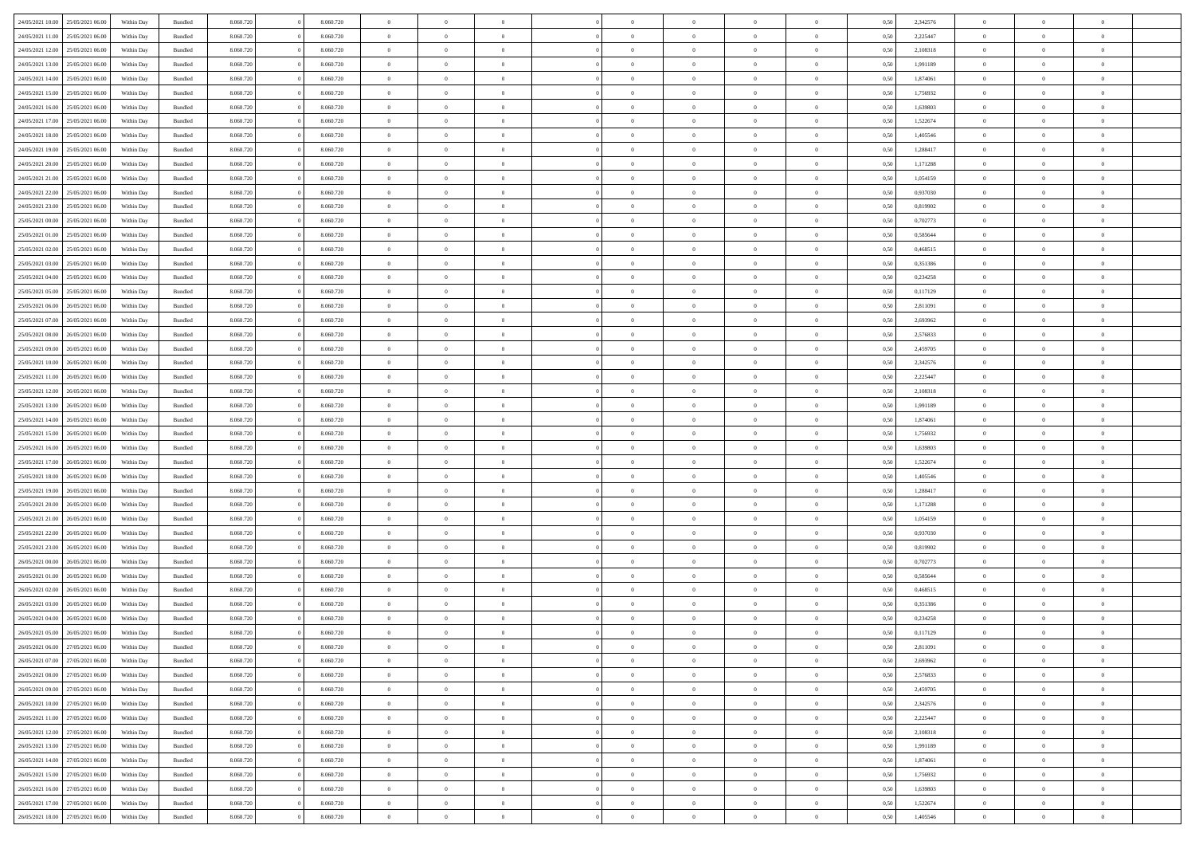| 24/05/2021 10:00                  | 25/05/2021 06:00 | Within Day | Bundled            | 8.060.720 | 8.060.720 | $\overline{0}$ | $\Omega$       |                | $\Omega$       | $\Omega$       | $\Omega$       | $\theta$       | 0.50 | 2,342576 | $\theta$       | $\theta$       | $\theta$       |  |
|-----------------------------------|------------------|------------|--------------------|-----------|-----------|----------------|----------------|----------------|----------------|----------------|----------------|----------------|------|----------|----------------|----------------|----------------|--|
| 24/05/2021 11:00                  | 25/05/2021 06:00 | Within Day | Bundled            | 8.060.720 | 8.060.720 | $\overline{0}$ | $\theta$       | $\overline{0}$ | $\overline{0}$ | $\bf{0}$       | $\overline{0}$ | $\overline{0}$ | 0,50 | 2,225447 | $\theta$       | $\theta$       | $\overline{0}$ |  |
| 24/05/2021 12:00                  | 25/05/2021 06:00 | Within Day | Bundled            | 8.060.720 | 8.060.720 | $\overline{0}$ | $\overline{0}$ | $\overline{0}$ | $\bf{0}$       | $\bf{0}$       | $\bf{0}$       | $\bf{0}$       | 0,50 | 2,108318 | $\bf{0}$       | $\overline{0}$ | $\overline{0}$ |  |
|                                   |                  |            |                    |           |           |                |                |                |                |                |                |                |      |          | $\theta$       |                |                |  |
| 24/05/2021 13:00                  | 25/05/2021 06:00 | Within Dav | Bundled            | 8.060.720 | 8.060.720 | $\overline{0}$ | $\overline{0}$ | $\overline{0}$ | $\overline{0}$ | $\bf{0}$       | $\overline{0}$ | $\overline{0}$ | 0.50 | 1.991189 |                | $\theta$       | $\overline{0}$ |  |
| 24/05/2021 14:00                  | 25/05/2021 06:00 | Within Day | Bundled            | 8.060.720 | 8.060.720 | $\overline{0}$ | $\theta$       | $\overline{0}$ | $\overline{0}$ | $\bf{0}$       | $\overline{0}$ | $\bf{0}$       | 0,50 | 1,874061 | $\theta$       | $\theta$       | $\overline{0}$ |  |
| 24/05/2021 15:00                  | 25/05/2021 06:00 | Within Day | Bundled            | 8.060.720 | 8.060.720 | $\overline{0}$ | $\bf{0}$       | $\overline{0}$ | $\overline{0}$ | $\overline{0}$ | $\overline{0}$ | $\mathbf{0}$   | 0,50 | 1,756932 | $\bf{0}$       | $\overline{0}$ | $\bf{0}$       |  |
| 24/05/2021 16:00                  | 25/05/2021 06:00 | Within Dav | Bundled            | 8.060.720 | 8.060.720 | $\overline{0}$ | $\overline{0}$ | $\overline{0}$ | $\overline{0}$ | $\overline{0}$ | $\overline{0}$ | $\overline{0}$ | 0.50 | 1,639803 | $\theta$       | $\theta$       | $\overline{0}$ |  |
|                                   |                  |            |                    |           |           |                |                |                |                |                |                |                |      |          |                |                |                |  |
| 24/05/2021 17:00                  | 25/05/2021 06:00 | Within Day | Bundled            | 8.060.720 | 8.060.720 | $\overline{0}$ | $\theta$       | $\overline{0}$ | $\overline{0}$ | $\bf{0}$       | $\overline{0}$ | $\bf{0}$       | 0,50 | 1,522674 | $\theta$       | $\theta$       | $\overline{0}$ |  |
| 24/05/2021 18:00                  | 25/05/2021 06:00 | Within Day | Bundled            | 8.060.720 | 8.060.720 | $\overline{0}$ | $\overline{0}$ | $\overline{0}$ | $\overline{0}$ | $\bf{0}$       | $\overline{0}$ | $\bf{0}$       | 0,50 | 1,405546 | $\,0\,$        | $\overline{0}$ | $\overline{0}$ |  |
| 24/05/2021 19:00                  | 25/05/2021 06:00 | Within Dav | Bundled            | 8.060.720 | 8.060.720 | $\overline{0}$ | $\overline{0}$ | $\overline{0}$ | $\overline{0}$ | $\overline{0}$ | $\overline{0}$ | $\overline{0}$ | 0.50 | 1,288417 | $\theta$       | $\overline{0}$ | $\overline{0}$ |  |
| 24/05/2021 20:00                  | 25/05/2021 06:00 |            | Bundled            | 8.060.720 | 8.060.720 | $\overline{0}$ | $\theta$       | $\overline{0}$ | $\overline{0}$ | $\bf{0}$       | $\overline{0}$ |                |      | 1,171288 | $\,$ 0 $\,$    | $\theta$       | $\overline{0}$ |  |
|                                   |                  | Within Day |                    |           |           |                |                |                |                |                |                | $\bf{0}$       | 0,50 |          |                |                |                |  |
| 24/05/2021 21:00                  | 25/05/2021 06:00 | Within Day | Bundled            | 8.060.720 | 8.060.720 | $\overline{0}$ | $\overline{0}$ | $\overline{0}$ | $\overline{0}$ | $\bf{0}$       | $\overline{0}$ | $\bf{0}$       | 0,50 | 1,054159 | $\bf{0}$       | $\overline{0}$ | $\overline{0}$ |  |
| 24/05/2021 22:00                  | 25/05/2021 06:00 | Within Dav | Bundled            | 8.060.720 | 8.060.720 | $\overline{0}$ | $\overline{0}$ | $\overline{0}$ | $\overline{0}$ | $\bf{0}$       | $\overline{0}$ | $\overline{0}$ | 0.50 | 0,937030 | $\theta$       | $\theta$       | $\overline{0}$ |  |
| 24/05/2021 23:00                  | 25/05/2021 06:00 | Within Day | Bundled            | 8.060.720 | 8.060.720 | $\overline{0}$ | $\theta$       | $\overline{0}$ | $\overline{0}$ | $\bf{0}$       | $\overline{0}$ | $\overline{0}$ | 0,50 | 0,819902 | $\theta$       | $\theta$       | $\overline{0}$ |  |
|                                   |                  |            |                    |           |           |                |                |                |                |                |                |                |      |          |                |                |                |  |
| 25/05/2021 00:00                  | 25/05/2021 06:00 | Within Day | Bundled            | 8.060.720 | 8.060.720 | $\overline{0}$ | $\overline{0}$ | $\overline{0}$ | $\overline{0}$ | $\overline{0}$ | $\overline{0}$ | $\mathbf{0}$   | 0,50 | 0,702773 | $\bf{0}$       | $\overline{0}$ | $\bf{0}$       |  |
| 25/05/2021 01:00                  | 25/05/2021 06:00 | Within Dav | Bundled            | 8.060.720 | 8.060.720 | $\overline{0}$ | $\overline{0}$ | $\overline{0}$ | $\overline{0}$ | $\overline{0}$ | $\overline{0}$ | $\overline{0}$ | 0.50 | 0.585644 | $\theta$       | $\overline{0}$ | $\overline{0}$ |  |
| 25/05/2021 02:00                  | 25/05/2021 06:00 | Within Day | Bundled            | 8.060.720 | 8.060.720 | $\overline{0}$ | $\theta$       | $\overline{0}$ | $\overline{0}$ | $\bf{0}$       | $\overline{0}$ | $\bf{0}$       | 0,50 | 0,468515 | $\theta$       | $\theta$       | $\overline{0}$ |  |
| 25/05/2021 03:00                  | 25/05/2021 06:00 | Within Day | Bundled            | 8.060.720 | 8.060.720 | $\overline{0}$ | $\overline{0}$ | $\overline{0}$ | $\overline{0}$ | $\bf{0}$       | $\overline{0}$ | $\bf{0}$       | 0,50 | 0,351386 | $\,0\,$        | $\overline{0}$ | $\overline{0}$ |  |
| 25/05/2021 04:00                  | 25/05/2021 06:00 | Within Dav | Bundled            | 8.060.720 | 8.060.720 | $\overline{0}$ | $\overline{0}$ | $\overline{0}$ | $\overline{0}$ | $\overline{0}$ | $\overline{0}$ | $\overline{0}$ | 0.50 | 0,234258 | $\theta$       | $\overline{0}$ | $\overline{0}$ |  |
|                                   |                  |            |                    |           |           |                |                |                |                |                |                |                |      |          |                |                |                |  |
| 25/05/2021 05:00                  | 25/05/2021 06:00 | Within Day | Bundled            | 8.060.720 | 8.060.720 | $\overline{0}$ | $\theta$       | $\overline{0}$ | $\overline{0}$ | $\bf{0}$       | $\overline{0}$ | $\bf{0}$       | 0,50 | 0,117129 | $\,$ 0 $\,$    | $\theta$       | $\overline{0}$ |  |
| 25/05/2021 06:00                  | 26/05/2021 06:00 | Within Day | Bundled            | 8.060.720 | 8.060.720 | $\overline{0}$ | $\overline{0}$ | $\overline{0}$ | $\overline{0}$ | $\bf{0}$       | $\overline{0}$ | $\bf{0}$       | 0,50 | 2,811091 | $\bf{0}$       | $\overline{0}$ | $\overline{0}$ |  |
| 25/05/2021 07:00                  | 26/05/2021 06:00 | Within Day | Bundled            | 8.060.720 | 8.060.720 | $\overline{0}$ | $\overline{0}$ | $\overline{0}$ | $\overline{0}$ | $\bf{0}$       | $\overline{0}$ | $\overline{0}$ | 0.50 | 2,693962 | $\theta$       | $\theta$       | $\overline{0}$ |  |
|                                   |                  |            |                    |           |           |                |                |                |                |                |                |                |      |          |                |                |                |  |
| 25/05/2021 08:00                  | 26/05/2021 06:00 | Within Day | Bundled            | 8.060.720 | 8.060.720 | $\overline{0}$ | $\theta$       | $\overline{0}$ | $\overline{0}$ | $\bf{0}$       | $\overline{0}$ | $\bf{0}$       | 0,50 | 2,576833 | $\theta$       | $\overline{0}$ | $\overline{0}$ |  |
| 25/05/2021 09:00                  | 26/05/2021 06:00 | Within Day | Bundled            | 8.060.720 | 8.060.720 | $\overline{0}$ | $\bf{0}$       | $\overline{0}$ | $\overline{0}$ | $\overline{0}$ | $\overline{0}$ | $\mathbf{0}$   | 0,50 | 2,459705 | $\bf{0}$       | $\overline{0}$ | $\bf{0}$       |  |
| 25/05/2021 10:00                  | 26/05/2021 06:00 | Within Dav | Bundled            | 8.060.720 | 8.060.720 | $\overline{0}$ | $\overline{0}$ | $\overline{0}$ | $\overline{0}$ | $\overline{0}$ | $\overline{0}$ | $\overline{0}$ | 0.50 | 2,342576 | $\theta$       | $\theta$       | $\overline{0}$ |  |
| 25/05/2021 11:00                  | 26/05/2021 06:00 | Within Day | Bundled            | 8.060.720 | 8.060.720 | $\overline{0}$ | $\theta$       | $\overline{0}$ | $\overline{0}$ | $\bf{0}$       | $\overline{0}$ | $\bf{0}$       | 0,50 | 2,225447 | $\theta$       | $\theta$       | $\overline{0}$ |  |
|                                   |                  |            |                    |           |           |                |                |                |                |                |                |                |      |          |                |                |                |  |
| 25/05/2021 12:00                  | 26/05/2021 06:00 | Within Day | Bundled            | 8.060.720 | 8.060.720 | $\overline{0}$ | $\overline{0}$ | $\overline{0}$ | $\overline{0}$ | $\bf{0}$       | $\overline{0}$ | $\bf{0}$       | 0,50 | 2,108318 | $\,0\,$        | $\overline{0}$ | $\overline{0}$ |  |
| 25/05/2021 13:00                  | 26/05/2021 06:00 | Within Day | Bundled            | 8.060.720 | 8.060.720 | $\overline{0}$ | $\overline{0}$ | $\overline{0}$ | $\overline{0}$ | $\overline{0}$ | $\overline{0}$ | $\overline{0}$ | 0.50 | 1,991189 | $\theta$       | $\overline{0}$ | $\overline{0}$ |  |
| 25/05/2021 14:00                  | 26/05/2021 06:00 | Within Day | Bundled            | 8.060.720 | 8.060.720 | $\overline{0}$ | $\theta$       | $\overline{0}$ | $\overline{0}$ | $\bf{0}$       | $\overline{0}$ | $\bf{0}$       | 0,50 | 1,874061 | $\,$ 0 $\,$    | $\overline{0}$ | $\overline{0}$ |  |
| 25/05/2021 15:00                  | 26/05/2021 06:00 | Within Day | Bundled            | 8.060.720 | 8.060.720 | $\overline{0}$ | $\overline{0}$ | $\overline{0}$ | $\bf{0}$       | $\bf{0}$       | $\bf{0}$       | $\bf{0}$       | 0,50 | 1,756932 | $\bf{0}$       | $\overline{0}$ | $\overline{0}$ |  |
|                                   |                  |            |                    |           |           |                |                |                |                |                |                |                |      |          |                |                |                |  |
| 25/05/2021 16:00                  | 26/05/2021 06:00 | Within Day | Bundled            | 8.060.720 | 8.060.720 | $\overline{0}$ | $\Omega$       | $\Omega$       | $\Omega$       | $\Omega$       | $\Omega$       | $\overline{0}$ | 0.50 | 1,639803 | $\,0\,$        | $\theta$       | $\theta$       |  |
| 25/05/2021 17:00                  | 26/05/2021 06:00 | Within Day | Bundled            | 8.060.720 | 8.060.720 | $\overline{0}$ | $\theta$       | $\overline{0}$ | $\overline{0}$ | $\bf{0}$       | $\overline{0}$ | $\bf{0}$       | 0,50 | 1,522674 | $\theta$       | $\theta$       | $\overline{0}$ |  |
| 25/05/2021 18:00                  | 26/05/2021 06:00 | Within Day | Bundled            | 8.060.720 | 8.060.720 | $\overline{0}$ | $\overline{0}$ | $\overline{0}$ | $\bf{0}$       | $\bf{0}$       | $\overline{0}$ | $\mathbf{0}$   | 0,50 | 1,405546 | $\bf{0}$       | $\overline{0}$ | $\bf{0}$       |  |
| 25/05/2021 19:00                  | 26/05/2021 06:00 | Within Day | Bundled            | 8.060.720 | 8.060.720 | $\overline{0}$ | $\Omega$       | $\Omega$       | $\Omega$       | $\bf{0}$       | $\Omega$       | $\overline{0}$ | 0.50 | 1,288417 | $\theta$       | $\theta$       | $\theta$       |  |
|                                   |                  |            |                    |           |           |                |                |                |                |                |                |                |      |          |                |                |                |  |
| 25/05/2021 20:00                  | 26/05/2021 06:00 | Within Day | Bundled            | 8.060.720 | 8.060.720 | $\overline{0}$ | $\theta$       | $\overline{0}$ | $\overline{0}$ | $\bf{0}$       | $\overline{0}$ | $\bf{0}$       | 0,50 | 1,171288 | $\theta$       | $\theta$       | $\overline{0}$ |  |
| 25/05/2021 21:00                  | 26/05/2021 06:00 | Within Day | Bundled            | 8.060.720 | 8.060.720 | $\overline{0}$ | $\overline{0}$ | $\overline{0}$ | $\bf{0}$       | $\bf{0}$       | $\bf{0}$       | $\bf{0}$       | 0,50 | 1,054159 | $\,0\,$        | $\overline{0}$ | $\overline{0}$ |  |
| 25/05/2021 22.00                  | 26/05/2021 06:00 | Within Day | Bundled            | 8.060.720 | 8.060.720 | $\overline{0}$ | $\Omega$       | $\Omega$       | $\Omega$       | $\Omega$       | $\theta$       | $\overline{0}$ | 0.50 | 0.937030 | $\theta$       | $\theta$       | $\theta$       |  |
| 25/05/2021 23:00                  | 26/05/2021 06:00 | Within Day | Bundled            | 8.060.720 | 8.060.720 | $\overline{0}$ | $\theta$       | $\overline{0}$ | $\overline{0}$ | $\bf{0}$       | $\overline{0}$ | $\bf{0}$       | 0,50 | 0,819902 | $\,$ 0 $\,$    | $\overline{0}$ | $\overline{0}$ |  |
|                                   |                  |            |                    |           |           |                |                |                |                |                |                |                |      |          |                |                |                |  |
| 26/05/2021 00:00                  | 26/05/2021 06:00 | Within Day | Bundled            | 8.060.720 | 8.060.720 | $\overline{0}$ | $\overline{0}$ | $\overline{0}$ | $\bf{0}$       | $\bf{0}$       | $\bf{0}$       | $\bf{0}$       | 0,50 | 0,702773 | $\bf{0}$       | $\overline{0}$ | $\overline{0}$ |  |
| 26/05/2021 01:00                  | 26/05/2021 06:00 | Within Day | Bundled            | 8.060.720 | 8.060.720 | $\overline{0}$ | $\Omega$       | $\Omega$       | $\Omega$       | $\Omega$       | $\overline{0}$ | $\overline{0}$ | 0.50 | 0,585644 | $\,0\,$        | $\theta$       | $\theta$       |  |
| 26/05/2021 02:00                  | 26/05/2021 06:00 | Within Day | Bundled            | 8.060.720 | 8.060.720 | $\overline{0}$ | $\theta$       | $\overline{0}$ | $\overline{0}$ | $\bf{0}$       | $\overline{0}$ | $\bf{0}$       | 0,50 | 0,468515 | $\,$ 0 $\,$    | $\overline{0}$ | $\overline{0}$ |  |
| 26/05/2021 03:00                  | 26/05/2021 06:00 | Within Day | Bundled            | 8.060.720 | 8.060.720 | $\overline{0}$ | $\overline{0}$ | $\overline{0}$ | $\bf{0}$       | $\bf{0}$       | $\overline{0}$ | $\mathbf{0}$   | 0,50 | 0,351386 | $\overline{0}$ | $\overline{0}$ | $\bf{0}$       |  |
|                                   | 26/05/2021 06:00 |            |                    | 8.060.720 | 8.060.720 | $\overline{0}$ | $\Omega$       | $\Omega$       | $\Omega$       | $\Omega$       | $\Omega$       |                |      |          | $\theta$       | $\Omega$       | $\theta$       |  |
| 26/05/2021 04:00                  |                  | Within Day | Bundled            |           |           |                |                |                |                |                |                | $\overline{0}$ | 0.50 | 0,234258 |                |                |                |  |
| 26/05/2021 05:00                  | 26/05/2021 06:00 | Within Day | Bundled            | 8.060.720 | 8.060.720 | $\overline{0}$ | $\overline{0}$ | $\overline{0}$ | $\bf{0}$       | $\,$ 0         | $\overline{0}$ | $\bf{0}$       | 0,50 | 0,117129 | $\,0\,$        | $\overline{0}$ | $\overline{0}$ |  |
| 26/05/2021 06:00 27/05/2021 06:00 |                  | Within Day | $\mathbf B$ undled | 8.060.720 | 8.060.720 | $\bf{0}$       | $\bf{0}$       |                |                | $\bf{0}$       |                |                | 0,50 | 2,811091 | $\bf{0}$       | $\overline{0}$ |                |  |
| 26/05/2021 07:00                  | 27/05/2021 06:00 | Within Day | Bundled            | 8.060.720 | 8.060.720 | $\overline{0}$ | $\overline{0}$ | $\overline{0}$ | $\Omega$       | $\overline{0}$ | $\overline{0}$ | $\overline{0}$ | 0.50 | 2,693962 | $\theta$       | $\theta$       | $\theta$       |  |
| 26/05/2021 08:00                  | 27/05/2021 06:00 | Within Day | Bundled            | 8.060.720 | 8.060.720 | $\overline{0}$ | $\,$ 0         | $\overline{0}$ | $\overline{0}$ | $\,$ 0 $\,$    | $\overline{0}$ | $\mathbf{0}$   | 0,50 | 2,576833 | $\,$ 0 $\,$    | $\,$ 0 $\,$    | $\,$ 0         |  |
|                                   |                  |            |                    |           |           |                |                |                |                |                |                |                |      |          |                |                |                |  |
| 26/05/2021 09:00                  | 27/05/2021 06:00 | Within Day | Bundled            | 8.060.720 | 8.060.720 | $\overline{0}$ | $\overline{0}$ | $\overline{0}$ | $\overline{0}$ | $\overline{0}$ | $\overline{0}$ | $\mathbf{0}$   | 0,50 | 2,459705 | $\overline{0}$ | $\bf{0}$       | $\bf{0}$       |  |
| 26/05/2021 10:00                  | 27/05/2021 06:00 | Within Day | Bundled            | 8.060.720 | 8.060.720 | $\overline{0}$ | $\overline{0}$ | $\overline{0}$ | $\Omega$       | $\overline{0}$ | $\overline{0}$ | $\overline{0}$ | 0,50 | 2,342576 | $\overline{0}$ | $\theta$       | $\overline{0}$ |  |
| 26/05/2021 11:00                  | 27/05/2021 06:00 | Within Day | Bundled            | 8.060.720 | 8.060.720 | $\overline{0}$ | $\,$ 0         | $\overline{0}$ | $\overline{0}$ | $\,$ 0 $\,$    | $\overline{0}$ | $\mathbf{0}$   | 0,50 | 2,225447 | $\,$ 0 $\,$    | $\overline{0}$ | $\overline{0}$ |  |
|                                   |                  |            |                    |           |           |                |                |                |                |                |                |                |      |          |                |                |                |  |
| 26/05/2021 12:00                  | 27/05/2021 06:00 | Within Day | Bundled            | 8.060.720 | 8.060.720 | $\overline{0}$ | $\overline{0}$ | $\overline{0}$ | $\overline{0}$ | $\overline{0}$ | $\overline{0}$ | $\mathbf{0}$   | 0,50 | 2,108318 | $\overline{0}$ | $\overline{0}$ | $\bf{0}$       |  |
| 26/05/2021 13:00                  | 27/05/2021 06:00 | Within Day | Bundled            | 8.060.720 | 8.060.720 | $\overline{0}$ | $\overline{0}$ | $\overline{0}$ | $\Omega$       | $\overline{0}$ | $\overline{0}$ | $\bf{0}$       | 0.50 | 1,991189 | $\overline{0}$ | $\theta$       | $\overline{0}$ |  |
| 26/05/2021 14:00                  | 27/05/2021 06:00 | Within Day | Bundled            | 8.060.720 | 8.060.720 | $\overline{0}$ | $\,$ 0         | $\overline{0}$ | $\overline{0}$ | $\bf{0}$       | $\overline{0}$ | $\bf{0}$       | 0,50 | 1,874061 | $\,$ 0 $\,$    | $\overline{0}$ | $\overline{0}$ |  |
| 26/05/2021 15:00                  | 27/05/2021 06:00 | Within Day | Bundled            | 8.060.720 | 8.060.720 | $\overline{0}$ | $\bf{0}$       | $\overline{0}$ | $\overline{0}$ | $\overline{0}$ | $\overline{0}$ | $\mathbf{0}$   | 0,50 | 1,756932 | $\overline{0}$ | $\overline{0}$ | $\bf{0}$       |  |
|                                   |                  |            |                    |           |           | $\overline{0}$ | $\overline{0}$ | $\overline{0}$ | $\Omega$       | $\overline{0}$ | $\overline{0}$ |                |      |          |                | $\overline{0}$ | $\overline{0}$ |  |
| 26/05/2021 16:00                  | 27/05/2021 06:00 | Within Day | Bundled            | 8.060.720 | 8.060.720 |                |                |                |                |                |                | $\overline{0}$ | 0.50 | 1,639803 | $\overline{0}$ |                |                |  |
| 26/05/2021 17:00                  | 27/05/2021 06:00 | Within Day | Bundled            | 8.060.720 | 8.060.720 | $\overline{0}$ | $\bf{0}$       | $\overline{0}$ | $\overline{0}$ | $\bf{0}$       | $\overline{0}$ | $\mathbf{0}$   | 0,50 | 1,522674 | $\,$ 0 $\,$    | $\,$ 0 $\,$    | $\bf{0}$       |  |
| 26/05/2021 18:00 27/05/2021 06:00 |                  | Within Day | Bundled            | 8.060.720 | 8.060.720 | $\overline{0}$ | $\overline{0}$ | $\overline{0}$ | $\overline{0}$ | $\overline{0}$ | $\overline{0}$ | $\mathbf{0}$   | 0,50 | 1,405546 | $\overline{0}$ | $\bf{0}$       | $\bf{0}$       |  |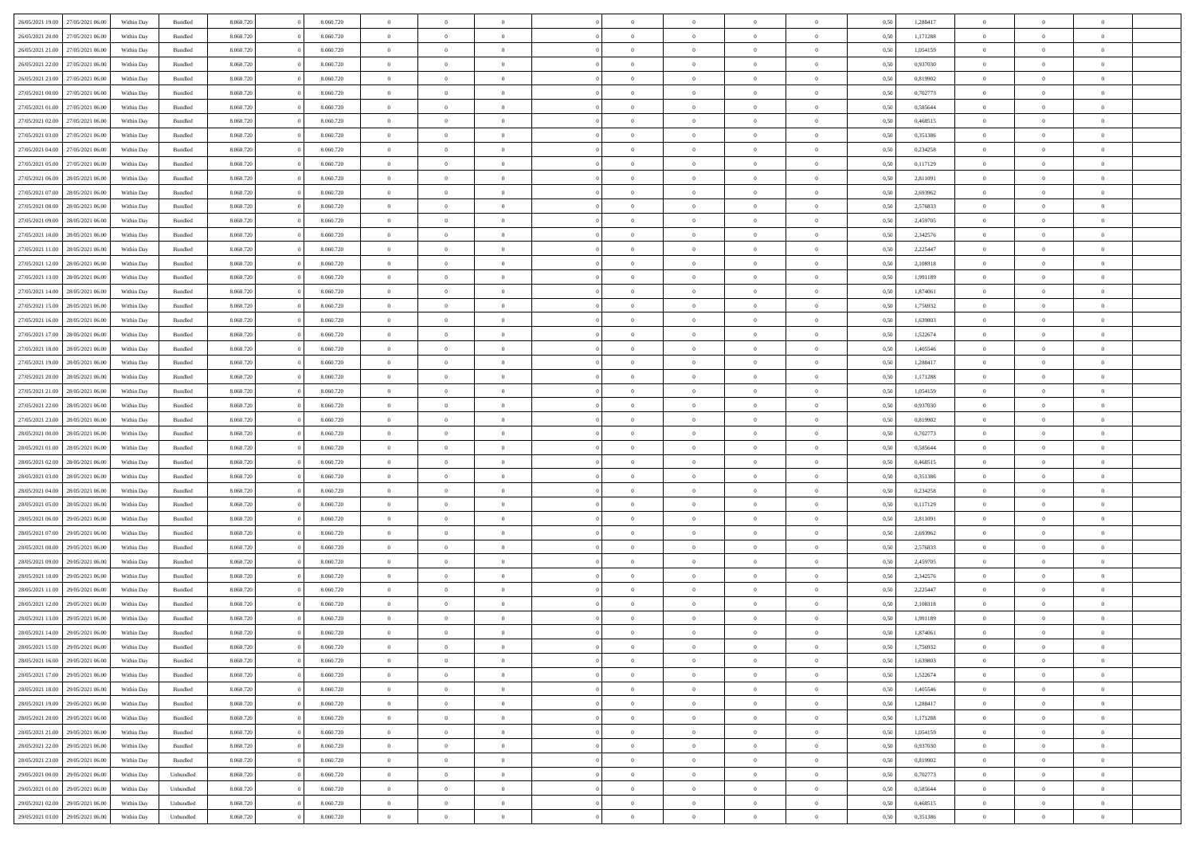| 26/05/2021 19:00 | 27/05/2021 06:00 | Within Day | Bundled            | 8.060.720 | 8.060.720 | $\overline{0}$ | $\Omega$       |                | $\Omega$       | $\Omega$       | $\Omega$       | $\theta$       | 0.50 | 1,288417 | $\theta$       | $\theta$       | $\theta$       |  |
|------------------|------------------|------------|--------------------|-----------|-----------|----------------|----------------|----------------|----------------|----------------|----------------|----------------|------|----------|----------------|----------------|----------------|--|
| 26/05/2021 20:00 | 27/05/2021 06:00 | Within Day | Bundled            | 8.060.720 | 8.060.720 | $\overline{0}$ | $\theta$       | $\overline{0}$ | $\overline{0}$ | $\bf{0}$       | $\overline{0}$ | $\overline{0}$ | 0,50 | 1,171288 | $\theta$       | $\theta$       | $\overline{0}$ |  |
| 26/05/2021 21:00 | 27/05/2021 06:00 | Within Day | Bundled            | 8.060.720 | 8.060.720 | $\overline{0}$ | $\overline{0}$ | $\overline{0}$ | $\overline{0}$ | $\bf{0}$       | $\overline{0}$ | $\bf{0}$       | 0,50 | 1,054159 | $\overline{0}$ | $\overline{0}$ | $\overline{0}$ |  |
|                  |                  |            |                    |           |           |                |                |                |                |                |                |                |      |          |                |                |                |  |
| 26/05/2021 22:00 | 27/05/2021 06:00 | Within Dav | Bundled            | 8.060.720 | 8.060.720 | $\overline{0}$ | $\overline{0}$ | $\overline{0}$ | $\overline{0}$ | $\bf{0}$       | $\overline{0}$ | $\overline{0}$ | 0.50 | 0,937030 | $\theta$       | $\theta$       | $\overline{0}$ |  |
| 26/05/2021 23:00 | 27/05/2021 06:00 | Within Day | Bundled            | 8.060.720 | 8.060.720 | $\overline{0}$ | $\theta$       | $\overline{0}$ | $\overline{0}$ | $\bf{0}$       | $\overline{0}$ | $\bf{0}$       | 0,50 | 0,819902 | $\theta$       | $\theta$       | $\overline{0}$ |  |
| 27/05/2021 00:00 | 27/05/2021 06:00 | Within Day | Bundled            | 8.060.720 | 8.060.720 | $\overline{0}$ | $\bf{0}$       | $\overline{0}$ | $\bf{0}$       | $\overline{0}$ | $\overline{0}$ | $\mathbf{0}$   | 0,50 | 0,702773 | $\overline{0}$ | $\overline{0}$ | $\bf{0}$       |  |
| 27/05/2021 01:00 | 27/05/2021 06:00 | Within Dav | Bundled            | 8.060.720 | 8.060.720 | $\overline{0}$ | $\overline{0}$ | $\overline{0}$ | $\overline{0}$ | $\overline{0}$ | $\overline{0}$ | $\overline{0}$ | 0.50 | 0.585644 | $\theta$       | $\theta$       | $\overline{0}$ |  |
|                  |                  |            |                    |           |           |                |                |                |                |                |                |                |      |          |                |                |                |  |
| 27/05/2021 02:00 | 27/05/2021 06:00 | Within Day | Bundled            | 8.060.720 | 8.060.720 | $\overline{0}$ | $\theta$       | $\overline{0}$ | $\overline{0}$ | $\bf{0}$       | $\overline{0}$ | $\bf{0}$       | 0,50 | 0,468515 | $\theta$       | $\theta$       | $\overline{0}$ |  |
| 27/05/2021 03:00 | 27/05/2021 06:00 | Within Day | Bundled            | 8.060.720 | 8.060.720 | $\overline{0}$ | $\overline{0}$ | $\overline{0}$ | $\bf{0}$       | $\bf{0}$       | $\bf{0}$       | $\bf{0}$       | 0,50 | 0,351386 | $\,0\,$        | $\overline{0}$ | $\overline{0}$ |  |
| 27/05/2021 04:00 | 27/05/2021 06:00 | Within Dav | Bundled            | 8.060.720 | 8.060.720 | $\overline{0}$ | $\overline{0}$ | $\overline{0}$ | $\overline{0}$ | $\overline{0}$ | $\overline{0}$ | $\overline{0}$ | 0.50 | 0,234258 | $\theta$       | $\overline{0}$ | $\overline{0}$ |  |
|                  |                  |            |                    |           |           |                |                |                |                |                |                |                |      |          |                |                |                |  |
| 27/05/2021 05:00 | 27/05/2021 06:00 | Within Day | Bundled            | 8.060.720 | 8.060.720 | $\overline{0}$ | $\theta$       | $\overline{0}$ | $\overline{0}$ | $\bf{0}$       | $\overline{0}$ | $\bf{0}$       | 0,50 | 0,117129 | $\,$ 0 $\,$    | $\theta$       | $\overline{0}$ |  |
| 27/05/2021 06:00 | 28/05/2021 06:00 | Within Day | Bundled            | 8.060.720 | 8.060.720 | $\overline{0}$ | $\overline{0}$ | $\overline{0}$ | $\bf{0}$       | $\bf{0}$       | $\bf{0}$       | $\bf{0}$       | 0,50 | 2,811091 | $\overline{0}$ | $\overline{0}$ | $\overline{0}$ |  |
| 27/05/2021 07:00 | 28/05/2021 06:00 | Within Dav | Bundled            | 8.060.720 | 8.060.720 | $\overline{0}$ | $\overline{0}$ | $\overline{0}$ | $\overline{0}$ | $\bf{0}$       | $\overline{0}$ | $\overline{0}$ | 0.50 | 2,693962 | $\theta$       | $\theta$       | $\overline{0}$ |  |
| 27/05/2021 08:00 | 28/05/2021 06:00 | Within Day | Bundled            | 8.060.720 | 8.060.720 | $\overline{0}$ | $\theta$       | $\overline{0}$ | $\overline{0}$ | $\bf{0}$       | $\overline{0}$ | $\overline{0}$ | 0,50 | 2,576833 | $\theta$       | $\theta$       | $\overline{0}$ |  |
|                  |                  |            |                    |           |           |                |                |                |                |                |                |                |      |          |                |                |                |  |
| 27/05/2021 09:00 | 28/05/2021 06:00 | Within Day | Bundled            | 8.060.720 | 8.060.720 | $\overline{0}$ | $\bf{0}$       | $\overline{0}$ | $\bf{0}$       | $\overline{0}$ | $\overline{0}$ | $\mathbf{0}$   | 0,50 | 2,459705 | $\overline{0}$ | $\overline{0}$ | $\bf{0}$       |  |
| 27/05/2021 10:00 | 28/05/2021 06:00 | Within Dav | Bundled            | 8.060.720 | 8.060.720 | $\overline{0}$ | $\overline{0}$ | $\overline{0}$ | $\overline{0}$ | $\overline{0}$ | $\overline{0}$ | $\overline{0}$ | 0.50 | 2,342576 | $\theta$       | $\overline{0}$ | $\overline{0}$ |  |
| 27/05/2021 11:00 | 28/05/2021 06:00 | Within Day | Bundled            | 8.060.720 | 8.060.720 | $\overline{0}$ | $\theta$       | $\overline{0}$ | $\overline{0}$ | $\bf{0}$       | $\overline{0}$ | $\bf{0}$       | 0,50 | 2,225447 | $\theta$       | $\theta$       | $\overline{0}$ |  |
|                  |                  |            |                    |           |           |                |                |                |                |                |                |                |      |          |                |                |                |  |
| 27/05/2021 12:00 | 28/05/2021 06:00 | Within Day | Bundled            | 8.060.720 | 8.060.720 | $\overline{0}$ | $\overline{0}$ | $\overline{0}$ | $\bf{0}$       | $\bf{0}$       | $\bf{0}$       | $\bf{0}$       | 0,50 | 2,108318 | $\,0\,$        | $\overline{0}$ | $\overline{0}$ |  |
| 27/05/2021 13:00 | 28/05/2021 06:00 | Within Dav | Bundled            | 8.060.720 | 8.060.720 | $\overline{0}$ | $\overline{0}$ | $\overline{0}$ | $\overline{0}$ | $\overline{0}$ | $\overline{0}$ | $\overline{0}$ | 0.50 | 1,991189 | $\theta$       | $\overline{0}$ | $\overline{0}$ |  |
| 27/05/2021 14:00 | 28/05/2021 06:00 | Within Day | Bundled            | 8.060.720 | 8.060.720 | $\overline{0}$ | $\theta$       | $\overline{0}$ | $\overline{0}$ | $\bf{0}$       | $\overline{0}$ | $\bf{0}$       | 0,50 | 1,874061 | $\,$ 0 $\,$    | $\theta$       | $\overline{0}$ |  |
| 27/05/2021 15:00 | 28/05/2021 06:00 | Within Day | Bundled            | 8.060.720 | 8.060.720 | $\overline{0}$ | $\overline{0}$ | $\overline{0}$ | $\bf{0}$       | $\bf{0}$       | $\bf{0}$       | $\bf{0}$       | 0,50 | 1,756932 | $\bf{0}$       | $\overline{0}$ | $\overline{0}$ |  |
|                  | 28/05/2021 06:00 |            | Bundled            | 8.060.720 | 8.060.720 | $\overline{0}$ | $\overline{0}$ |                |                | $\bf{0}$       | $\overline{0}$ |                | 0.50 | 1,639803 | $\theta$       | $\theta$       | $\overline{0}$ |  |
| 27/05/2021 16:00 |                  | Within Day |                    |           |           |                |                | $\overline{0}$ | $\overline{0}$ |                |                | $\overline{0}$ |      |          |                |                |                |  |
| 27/05/2021 17:00 | 28/05/2021 06:00 | Within Day | Bundled            | 8.060.720 | 8.060.720 | $\overline{0}$ | $\theta$       | $\overline{0}$ | $\overline{0}$ | $\bf{0}$       | $\overline{0}$ | $\bf{0}$       | 0,50 | 1,522674 | $\theta$       | $\overline{0}$ | $\overline{0}$ |  |
| 27/05/2021 18:00 | 28/05/2021 06:00 | Within Day | Bundled            | 8.060.720 | 8.060.720 | $\overline{0}$ | $\bf{0}$       | $\overline{0}$ | $\bf{0}$       | $\overline{0}$ | $\overline{0}$ | $\mathbf{0}$   | 0,50 | 1,405546 | $\overline{0}$ | $\overline{0}$ | $\bf{0}$       |  |
| 27/05/2021 19:00 | 28/05/2021 06:00 | Within Dav | Bundled            | 8.060.720 | 8.060.720 | $\overline{0}$ | $\overline{0}$ | $\overline{0}$ | $\overline{0}$ | $\overline{0}$ | $\overline{0}$ | $\overline{0}$ | 0.50 | 1,288417 | $\theta$       | $\theta$       | $\overline{0}$ |  |
|                  |                  |            |                    |           |           |                |                |                |                |                |                |                |      |          |                |                |                |  |
| 27/05/2021 20:00 | 28/05/2021 06:00 | Within Day | Bundled            | 8.060.720 | 8.060.720 | $\overline{0}$ | $\theta$       | $\overline{0}$ | $\overline{0}$ | $\bf{0}$       | $\overline{0}$ | $\bf{0}$       | 0,50 | 1,171288 | $\theta$       | $\theta$       | $\overline{0}$ |  |
| 27/05/2021 21:00 | 28/05/2021 06:00 | Within Day | Bundled            | 8.060.720 | 8.060.720 | $\overline{0}$ | $\overline{0}$ | $\overline{0}$ | $\bf{0}$       | $\bf{0}$       | $\bf{0}$       | $\bf{0}$       | 0,50 | 1,054159 | $\,0\,$        | $\overline{0}$ | $\overline{0}$ |  |
| 27/05/2021 22.00 | 28/05/2021 06:00 | Within Day | Bundled            | 8.060.720 | 8.060.720 | $\overline{0}$ | $\overline{0}$ | $\overline{0}$ | $\overline{0}$ | $\overline{0}$ | $\overline{0}$ | $\overline{0}$ | 0.50 | 0,937030 | $\theta$       | $\theta$       | $\overline{0}$ |  |
| 27/05/2021 23:00 | 28/05/2021 06:00 | Within Day | Bundled            | 8.060.720 | 8.060.720 | $\overline{0}$ | $\theta$       | $\overline{0}$ | $\overline{0}$ | $\bf{0}$       | $\overline{0}$ | $\bf{0}$       | 0,50 | 0,819902 | $\,$ 0 $\,$    | $\overline{0}$ | $\overline{0}$ |  |
|                  |                  |            |                    |           |           |                |                |                |                |                |                |                |      |          |                |                |                |  |
| 28/05/2021 00:00 | 28/05/2021 06:00 | Within Day | Bundled            | 8.060.720 | 8.060.720 | $\overline{0}$ | $\overline{0}$ | $\overline{0}$ | $\bf{0}$       | $\bf{0}$       | $\overline{0}$ | $\bf{0}$       | 0,50 | 0,702773 | $\bf{0}$       | $\overline{0}$ | $\overline{0}$ |  |
| 28/05/2021 01:00 | 28/05/2021 06:00 | Within Day | Bundled            | 8.060.720 | 8.060.720 | $\overline{0}$ | $\Omega$       | $\Omega$       | $\Omega$       | $\Omega$       | $\Omega$       | $\overline{0}$ | 0.50 | 0,585644 | $\,0\,$        | $\theta$       | $\theta$       |  |
| 28/05/2021 02:00 | 28/05/2021 06:00 | Within Day | Bundled            | 8.060.720 | 8.060.720 | $\overline{0}$ | $\theta$       | $\overline{0}$ | $\overline{0}$ | $\bf{0}$       | $\overline{0}$ | $\bf{0}$       | 0,50 | 0,468515 | $\theta$       | $\theta$       | $\overline{0}$ |  |
| 28/05/2021 03:00 | 28/05/2021 06:00 | Within Day | Bundled            | 8.060.720 | 8.060.720 | $\overline{0}$ | $\overline{0}$ | $\overline{0}$ | $\overline{0}$ | $\bf{0}$       | $\overline{0}$ | $\mathbf{0}$   | 0,50 | 0,351386 | $\bf{0}$       | $\overline{0}$ | $\bf{0}$       |  |
|                  |                  |            |                    |           |           |                |                |                |                |                |                |                |      |          |                |                |                |  |
| 28/05/2021 04:00 | 28/05/2021 06:00 | Within Day | Bundled            | 8.060.720 | 8.060.720 | $\overline{0}$ | $\Omega$       | $\Omega$       | $\Omega$       | $\bf{0}$       | $\Omega$       | $\overline{0}$ | 0.50 | 0,234258 | $\theta$       | $\theta$       | $\theta$       |  |
| 28/05/2021 05:00 | 28/05/2021 06:00 | Within Day | Bundled            | 8.060.720 | 8.060.720 | $\overline{0}$ | $\theta$       | $\overline{0}$ | $\overline{0}$ | $\bf{0}$       | $\overline{0}$ | $\bf{0}$       | 0,50 | 0,117129 | $\theta$       | $\theta$       | $\overline{0}$ |  |
| 28/05/2021 06:00 | 29/05/2021 06:00 | Within Day | Bundled            | 8.060.720 | 8.060.720 | $\overline{0}$ | $\overline{0}$ | $\overline{0}$ | $\overline{0}$ | $\bf{0}$       | $\overline{0}$ | $\bf{0}$       | 0,50 | 2,811091 | $\,0\,$        | $\overline{0}$ | $\overline{0}$ |  |
| 28/05/2021 07:00 | 29/05/2021 06:00 |            | Bundled            | 8.060.720 | 8.060.720 | $\overline{0}$ | $\Omega$       | $\Omega$       | $\Omega$       | $\Omega$       | $\theta$       | $\overline{0}$ | 0.50 | 2,693962 | $\theta$       | $\theta$       | $\theta$       |  |
|                  |                  | Within Day |                    |           |           |                |                |                |                |                |                |                |      |          |                |                |                |  |
| 28/05/2021 08:00 | 29/05/2021 06:00 | Within Day | Bundled            | 8.060.720 | 8.060.720 | $\overline{0}$ | $\theta$       | $\overline{0}$ | $\overline{0}$ | $\bf{0}$       | $\overline{0}$ | $\bf{0}$       | 0,50 | 2,576833 | $\,$ 0 $\,$    | $\overline{0}$ | $\overline{0}$ |  |
| 28/05/2021 09:00 | 29/05/2021 06:00 | Within Day | Bundled            | 8.060.720 | 8.060.720 | $\overline{0}$ | $\overline{0}$ | $\overline{0}$ | $\overline{0}$ | $\bf{0}$       | $\overline{0}$ | $\bf{0}$       | 0,50 | 2,459705 | $\bf{0}$       | $\overline{0}$ | $\overline{0}$ |  |
| 28/05/2021 10:00 | 29/05/2021 06:00 | Within Day | Bundled            | 8.060.720 | 8.060.720 | $\overline{0}$ | $\Omega$       | $\Omega$       | $\Omega$       | $\Omega$       | $\overline{0}$ | $\overline{0}$ | 0.50 | 2,342576 | $\,0\,$        | $\theta$       | $\theta$       |  |
| 28/05/2021 11:00 | 29/05/2021 06:00 | Within Day | Bundled            | 8.060.720 | 8.060.720 | $\overline{0}$ | $\theta$       | $\overline{0}$ | $\overline{0}$ | $\bf{0}$       | $\overline{0}$ | $\bf{0}$       | 0,50 | 2,225447 | $\,$ 0 $\,$    | $\overline{0}$ | $\overline{0}$ |  |
|                  |                  |            |                    |           |           |                |                |                |                |                |                |                |      |          |                |                |                |  |
| 28/05/2021 12:00 | 29/05/2021 06:00 | Within Day | Bundled            | 8.060.720 | 8.060.720 | $\overline{0}$ | $\overline{0}$ | $\overline{0}$ | $\overline{0}$ | $\bf{0}$       | $\overline{0}$ | $\mathbf{0}$   | 0,50 | 2,108318 | $\bf{0}$       | $\overline{0}$ | $\bf{0}$       |  |
| 28/05/2021 13:00 | 29/05/2021 06:00 | Within Day | Bundled            | 8.060.720 | 8.060.720 | $\overline{0}$ | $\Omega$       | $\Omega$       | $\Omega$       | $\Omega$       | $\Omega$       | $\overline{0}$ | 0.50 | 1,991189 | $\theta$       | $\Omega$       | $\theta$       |  |
| 28/05/2021 14:00 | 29/05/2021 06:00 | Within Day | Bundled            | 8.060.720 | 8.060.720 | $\overline{0}$ | $\overline{0}$ | $\overline{0}$ | $\bf{0}$       | $\,$ 0         | $\overline{0}$ | $\bf{0}$       | 0,50 | 1,874061 | $\,0\,$        | $\overline{0}$ | $\overline{0}$ |  |
| 28/05/2021 15:00 | 29/05/2021 06:00 | Within Day | $\mathbf B$ undled | 8.060.720 | 8.060.720 | $\bf{0}$       | $\bf{0}$       |                |                | $\bf{0}$       |                |                | 0,50 | 1,756932 | $\bf{0}$       | $\overline{0}$ |                |  |
|                  |                  |            |                    |           |           |                |                |                |                |                |                |                |      |          |                |                |                |  |
| 28/05/2021 16:00 | 29/05/2021 06:00 | Within Day | Bundled            | 8.060.720 | 8.060.720 | $\overline{0}$ | $\overline{0}$ | $\overline{0}$ | $\Omega$       | $\overline{0}$ | $\overline{0}$ | $\overline{0}$ | 0.50 | 1.639803 | $\theta$       | $\theta$       | $\theta$       |  |
| 28/05/2021 17:00 | 29/05/2021 06:00 | Within Day | Bundled            | 8.060.720 | 8.060.720 | $\overline{0}$ | $\,$ 0         | $\overline{0}$ | $\overline{0}$ | $\,$ 0 $\,$    | $\overline{0}$ | $\mathbf{0}$   | 0,50 | 1,522674 | $\,$ 0 $\,$    | $\,$ 0 $\,$    | $\,$ 0         |  |
| 28/05/2021 18:00 | 29/05/2021 06:00 | Within Day | Bundled            | 8.060.720 | 8.060.720 | $\overline{0}$ | $\overline{0}$ | $\overline{0}$ | $\overline{0}$ | $\overline{0}$ | $\overline{0}$ | $\mathbf{0}$   | 0,50 | 1,405546 | $\overline{0}$ | $\bf{0}$       | $\bf{0}$       |  |
|                  |                  |            |                    |           |           |                |                |                |                |                |                |                |      |          |                |                |                |  |
| 28/05/2021 19:00 | 29/05/2021 06:00 | Within Day | Bundled            | 8.060.720 | 8.060.720 | $\overline{0}$ | $\overline{0}$ | $\overline{0}$ | $\Omega$       | $\overline{0}$ | $\overline{0}$ | $\overline{0}$ | 0,50 | 1,288417 | $\overline{0}$ | $\theta$       | $\overline{0}$ |  |
| 28/05/2021 20:00 | 29/05/2021 06:00 | Within Day | Bundled            | 8.060.720 | 8.060.720 | $\overline{0}$ | $\,$ 0         | $\overline{0}$ | $\overline{0}$ | $\,$ 0 $\,$    | $\overline{0}$ | $\mathbf{0}$   | 0,50 | 1,171288 | $\,$ 0 $\,$    | $\overline{0}$ | $\overline{0}$ |  |
| 28/05/2021 21:00 | 29/05/2021 06:00 | Within Day | Bundled            | 8.060.720 | 8.060.720 | $\overline{0}$ | $\overline{0}$ | $\overline{0}$ | $\overline{0}$ | $\overline{0}$ | $\overline{0}$ | $\mathbf{0}$   | 0,50 | 1,054159 | $\overline{0}$ | $\overline{0}$ | $\bf{0}$       |  |
| 28/05/2021 22:00 | 29/05/2021 06:00 | Within Day | Bundled            | 8.060.720 | 8.060.720 | $\overline{0}$ | $\overline{0}$ | $\overline{0}$ | $\Omega$       | $\overline{0}$ | $\overline{0}$ | $\bf{0}$       | 0.50 | 0,937030 | $\overline{0}$ | $\theta$       | $\overline{0}$ |  |
|                  |                  |            |                    |           |           |                |                |                |                |                |                |                |      |          |                |                |                |  |
| 28/05/2021 23:00 | 29/05/2021 06:00 | Within Day | Bundled            | 8.060.720 | 8.060.720 | $\overline{0}$ | $\,$ 0         | $\overline{0}$ | $\overline{0}$ | $\bf{0}$       | $\overline{0}$ | $\bf{0}$       | 0,50 | 0,819902 | $\,$ 0 $\,$    | $\overline{0}$ | $\overline{0}$ |  |
| 29/05/2021 00:00 | 29/05/2021 06:00 | Within Day | Unbundled          | 8.060.720 | 8.060.720 | $\overline{0}$ | $\bf{0}$       | $\overline{0}$ | $\overline{0}$ | $\overline{0}$ | $\overline{0}$ | $\mathbf{0}$   | 0,50 | 0,702773 | $\overline{0}$ | $\overline{0}$ | $\bf{0}$       |  |
| 29/05/2021 01:00 | 29/05/2021 06:00 | Within Day | Unbundled          | 8.060.720 | 8.060.720 | $\overline{0}$ | $\overline{0}$ | $\overline{0}$ | $\Omega$       | $\overline{0}$ | $\overline{0}$ | $\overline{0}$ | 0.50 | 0,585644 | $\overline{0}$ | $\overline{0}$ | $\overline{0}$ |  |
| 29/05/2021 02:00 | 29/05/2021 06:00 | Within Day | Unbundled          | 8.060.720 | 8.060.720 | $\overline{0}$ | $\bf{0}$       | $\overline{0}$ | $\overline{0}$ | $\bf{0}$       | $\overline{0}$ | $\bf{0}$       | 0,50 | 0,468515 | $\,$ 0 $\,$    | $\,$ 0 $\,$    | $\bf{0}$       |  |
|                  |                  |            |                    |           |           |                |                |                |                |                |                |                |      |          |                |                |                |  |
| 29/05/2021 03:00 | 29/05/2021 06:00 | Within Day | Unbundled          | 8.060.720 | 8.060.720 | $\overline{0}$ | $\bf{0}$       | $\overline{0}$ | $\bf{0}$       | $\bf{0}$       | $\overline{0}$ | $\bf{0}$       | 0,50 | 0,351386 | $\overline{0}$ | $\overline{0}$ | $\bf{0}$       |  |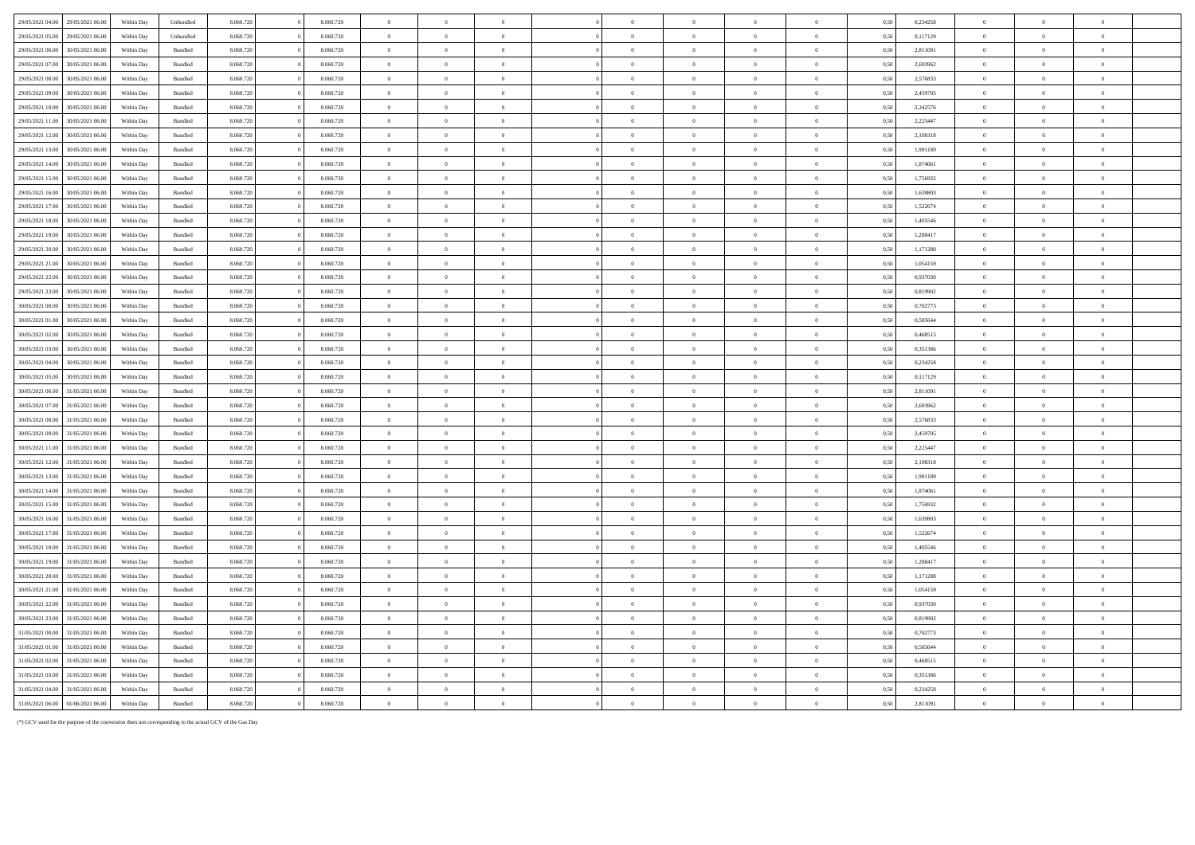| 29/05/2021 04:00 29/05/2021 06:00                        | Within Day | Unbundled          | 8.060.720 |          | 8.060.720 | $\overline{0}$ | $\Omega$       |                |          | $\Omega$       |                |                | $\Omega$                        | 0.50 | 0.234258 | $\overline{0}$ | $\Omega$       |                |  |
|----------------------------------------------------------|------------|--------------------|-----------|----------|-----------|----------------|----------------|----------------|----------|----------------|----------------|----------------|---------------------------------|------|----------|----------------|----------------|----------------|--|
| 29/05/2021 05:00<br>29/05/2021 06:00                     | Within Day | Unbundled          | 8.060.720 |          | 8.060.720 | $\overline{0}$ | $\overline{0}$ | $\overline{0}$ |          | $\overline{0}$ | $\overline{0}$ | $\overline{0}$ | $\overline{0}$                  | 0.50 | 0.117129 | $\overline{0}$ | $\theta$       | $\overline{0}$ |  |
| 30/05/2021 06:00                                         |            |                    | 8.060.720 |          | 8.060.720 | $\overline{0}$ | $\Omega$       | $\Omega$       |          | $\theta$       | $\Omega$       | $\Omega$       | $\Omega$                        | 0.50 | 2.811091 | $\Omega$       | $\Omega$       | $\Omega$       |  |
| 29/05/2021 06:00<br>29/05/2021 07:00<br>30/05/2021 06:00 | Within Day | $\mathbf B$ undled |           |          | 8.060.720 |                |                |                |          |                |                |                |                                 |      | 2.693962 |                | $\overline{0}$ |                |  |
|                                                          | Within Day | Bundled            | 8.060.720 |          |           | $\overline{0}$ | $\overline{0}$ | $\overline{0}$ |          | $\overline{0}$ | $\overline{0}$ | $\overline{0}$ | $\bf{0}$                        | 0,50 |          | $\overline{0}$ |                | $\bf{0}$       |  |
| 29/05/2021 08:00<br>30/05/2021 06:00                     | Within Day | Bundled            | 8.060.720 |          | 8.060.720 | $\overline{0}$ | $\overline{0}$ | $\overline{0}$ |          | $\overline{0}$ | $\overline{0}$ | $\overline{0}$ | $\mathbf{0}$                    | 0,50 | 2,576833 | $\overline{0}$ | $\Omega$       | $\overline{0}$ |  |
| 29/05/2021 09:00<br>30/05/2021 06:00                     | Within Day | Bundled            | 8.060.720 | $\Omega$ | 8.060.720 | $\overline{0}$ | $\overline{0}$ | $\overline{0}$ |          | $\overline{0}$ | $\,$ 0 $\,$    | $\overline{0}$ | $\,$ 0 $\,$                     | 0,50 | 2,459705 | $\overline{0}$ | $\,$ 0 $\,$    | $\,$ 0 $\,$    |  |
| 29/05/2021 10:00<br>30/05/2021 06:00                     | Within Day | Bundled            | 8.060.720 | $\Omega$ | 8.060.720 | $\overline{0}$ | $\overline{0}$ | $\overline{0}$ |          | $\overline{0}$ | $\,$ 0 $\,$    | $\overline{0}$ | $\,$ 0 $\,$                     | 0,50 | 2,342576 | $\overline{0}$ | $\overline{0}$ | $\overline{0}$ |  |
| 29/05/2021 11:00<br>30/05/2021 06:00                     | Within Dav | Bundled            | 8.060.720 |          | 8.060.720 | $\overline{0}$ | $\overline{0}$ | $\overline{0}$ |          | $\overline{0}$ | $\overline{0}$ | $\,$ 0 $\,$    | $\,$ 0 $\,$                     | 0,50 | 2,225447 | $\overline{0}$ | $\overline{0}$ | $\,$ 0 $\,$    |  |
| 29/05/2021 12:00<br>30/05/2021 06:00                     | Within Day | Bundled            | 8.060.720 |          | 8.060.720 | $\,$ 0 $\,$    | $\theta$       | $\Omega$       |          | $\Omega$       | $\theta$       | $\overline{0}$ | $\theta$                        | 0,50 | 2,108318 | $\,$ 0 $\,$    | $\Omega$       | $\theta$       |  |
| 29/05/2021 13:00<br>30/05/2021 06.0                      | Within Day | Bundled            | 8.060.720 | $\theta$ | 8.060.720 | $\overline{0}$ | $\overline{0}$ | $\overline{0}$ |          | $\,$ 0 $\,$    | $\overline{0}$ | $\,$ 0 $\,$    | $\,$ 0 $\,$                     | 0,50 | 1,991189 | $\overline{0}$ | $\overline{0}$ | $\,$ 0 $\,$    |  |
| 29/05/2021 14:00<br>30/05/2021 06:00                     | Within Day | Bundled            | 8.060.720 | $\theta$ | 8.060.720 | $\overline{0}$ | $\overline{0}$ | $\overline{0}$ | $\theta$ | $\overline{0}$ | $\theta$       | $\overline{0}$ | $\mathbf{0}$                    | 0,50 | 1,874061 | $\overline{0}$ | $\overline{0}$ | $\overline{0}$ |  |
| 29/05/2021 15:00<br>30/05/2021 06:00                     | Within Day | <b>Bundled</b>     | 8.060.720 | $\Omega$ | 8.060.720 | $\overline{0}$ | $\Omega$       | $\overline{0}$ |          | $\overline{0}$ | $\overline{0}$ | $\Omega$       | $\overline{0}$                  | 0.50 | 1.756932 | $\overline{0}$ | $\Omega$       | $\overline{0}$ |  |
| 29/05/2021 16:00<br>30/05/2021 06:00                     | Within Day | Bundled            | 8.060.720 |          | 8.060.720 | $\overline{0}$ | $\overline{0}$ | $\overline{0}$ |          | $\overline{0}$ | $\overline{0}$ | $\theta$       | $\overline{0}$                  | 0.50 | 1.639803 | $\overline{0}$ | $\overline{0}$ | $\overline{0}$ |  |
| 29/05/2021 17:00<br>30/05/2021 06:00                     | Within Day | <b>Bundled</b>     | 8.060.720 |          | 8.060.720 | $\overline{0}$ | $\Omega$       | $\Omega$       |          | $\Omega$       | $\theta$       | $\Omega$       | $\overline{0}$                  | 0.50 | 1 522674 | $\theta$       | $\theta$       | $\overline{0}$ |  |
| 29/05/2021 18:00<br>30/05/2021 06:00                     | Within Day | Bundled            | 8.060.72  |          | 8.060.720 | $\overline{0}$ | $\Omega$       | $\Omega$       |          | $\Omega$       | $\Omega$       | $\Omega$       | $\theta$                        | 0,50 | 1 405546 | $\Omega$       | $\sqrt{2}$     | $\sqrt{2}$     |  |
| 29/05/2021 19:00<br>30/05/2021 06:0                      | Within Day | Bundled            | 8.060.72  |          | 8.060.720 | $\overline{0}$ | $\Omega$       | $\overline{0}$ |          | $\Omega$       | $\theta$       | $\overline{0}$ | $\overline{0}$                  | 0.50 | 1.288417 | $\overline{0}$ | $\Omega$       | $\overline{0}$ |  |
| 29/05/2021 20:00<br>30/05/2021 06:0                      | Within Day | Bundled            | 8.060.720 |          | 8.060.720 | $\overline{0}$ | $\overline{0}$ | $\overline{0}$ |          | $\overline{0}$ | $\theta$       | $\overline{0}$ | $\hspace{0.1mm}0\hspace{0.1mm}$ | 0,50 | 1,171288 | $\overline{0}$ | $\overline{0}$ | $\overline{0}$ |  |
| 29/05/2021 21:00<br>30/05/2021 06.0                      | Within Day | Bundled            | 8.060.720 |          | 8.060.720 | $\overline{0}$ | $\overline{0}$ | $\overline{0}$ |          | $\overline{0}$ | $\overline{0}$ | $\overline{0}$ | $\,$ 0 $\,$                     | 0,50 | 1,054159 | $\overline{0}$ | $\overline{0}$ | $\overline{0}$ |  |
| 29/05/2021 22:00<br>30/05/2021 06.0                      | Within Day | Bundled            | 8.060.720 |          | 8.060.720 | $\overline{0}$ | $\overline{0}$ | $\,$ 0 $\,$    |          | $\overline{0}$ | $\overline{0}$ | $\overline{0}$ | $\,$ 0 $\,$                     | 0,50 | 0,937030 | $\overline{0}$ | $\theta$       | $\overline{0}$ |  |
| 29/05/2021 23:00<br>30/05/2021 06.0                      | Within Day | Bundled            | 8.060.720 |          | 8.060.720 | $\overline{0}$ | $\overline{0}$ | $\overline{0}$ |          | $\overline{0}$ | $\overline{0}$ | $\overline{0}$ | $\mathbf{0}$                    | 0,50 | 0,819902 | $\overline{0}$ | $\theta$       | $\overline{0}$ |  |
| 30/05/2021 00:00<br>30/05/2021 06:00                     | Within Day | Bundled            | 8.060.720 |          | 8.060.720 | $\,$ 0 $\,$    | $\overline{0}$ | $\,$ 0 $\,$    |          | $\theta$       | $\overline{0}$ | $\overline{0}$ | $\,$ 0 $\,$                     | 0,50 | 0,702773 | $\overline{0}$ | $\theta$       | $\bf{0}$       |  |
| 30/05/2021 01:00<br>30/05/2021 06.0                      | Within Day | Bundled            | 8.060.720 |          | 8.060.720 | $\,$ 0 $\,$    | $\mathbf{0}$   | $\theta$       |          | $\theta$       |                | $\overline{0}$ | $\bf{0}$                        | 0,50 | 0,585644 | $\overline{0}$ |                | $\bf{0}$       |  |
| 30/05/2021 02:00<br>30/05/2021 06:00                     | Within Dav | Bundled            | 8.060.720 |          | 8.060.720 | $\overline{0}$ | $\overline{0}$ | $\theta$       |          | $\overline{0}$ | $\Omega$       | $\overline{0}$ | $\mathbf{0}$                    | 0.50 | 0,468515 | $\overline{0}$ | $\Omega$       | $\overline{0}$ |  |
| 30/05/2021 03:00<br>30/05/2021 06:00                     | Within Dav | Bundled            | 8.060.720 |          | 8.060.720 | $\overline{0}$ | $\overline{0}$ | $\theta$       |          | $\overline{0}$ | $\Omega$       | $\overline{0}$ | $\bf{0}$                        | 0.50 | 0.351386 | $\overline{0}$ | $\Omega$       | $\overline{0}$ |  |
| 30/05/2021 04:00<br>30/05/2021 06:00                     | Within Dav | Bundled            | 8.060.720 |          | 8.060.720 | $\overline{0}$ | $\overline{0}$ | $\overline{0}$ |          | $\overline{0}$ | $\overline{0}$ | $\theta$       | $\overline{0}$                  | 0.50 | 0,234258 | $\overline{0}$ | $\overline{0}$ | $\overline{0}$ |  |
| 30/05/2021 05:00<br>30/05/2021 06:00                     | Within Day | <b>Bundled</b>     | 8.060.720 |          | 8.060.720 | $\overline{0}$ | $\Omega$       | $\Omega$       |          | $\Omega$       | $\Omega$       | $\Omega$       | $\Omega$                        | 0.50 | 0.117129 | $\Omega$       | $\Omega$       | $\theta$       |  |
| 30/05/2021 06:00<br>31/05/2021 06:00                     | Within Day | Bundled            | 8.060.720 |          | 8.060.720 | $\overline{0}$ | $\overline{0}$ | $\overline{0}$ |          | $\overline{0}$ | $\overline{0}$ | $\overline{0}$ | $\overline{0}$                  | 0.50 | 2.811091 | $\overline{0}$ | $\theta$       | $\overline{0}$ |  |
| 30/05/2021 07:00<br>31/05/2021 06:00                     | Within Day | <b>Bundled</b>     | 8.060.720 |          | 8.060.720 | $\overline{0}$ | $\Omega$       | $\Omega$       |          | $\Omega$       | $\theta$       | $\Omega$       | $\theta$                        | 0.50 | 2.693962 | $\Omega$       | $\theta$       | $\theta$       |  |
| 30/05/2021 08:00<br>31/05/2021 06:00                     | Within Day | Bundled            | 8.060.720 |          | 8.060.720 | $\overline{0}$ | $\overline{0}$ | $\overline{0}$ |          | $\overline{0}$ | $\overline{0}$ | $\overline{0}$ | $\bf{0}$                        | 0.50 | 2.576833 | $\overline{0}$ | $\theta$       | $\overline{0}$ |  |
| 30/05/2021 09:00<br>31/05/2021 06:00                     | Within Day | Bundled            | 8.060.720 |          | 8.060.720 | $\overline{0}$ | $\overline{0}$ | $\overline{0}$ |          | $\overline{0}$ | $\overline{0}$ | $\overline{0}$ | $\,$ 0 $\,$                     | 0,50 | 2,459705 | $\overline{0}$ | $\overline{0}$ | $\overline{0}$ |  |
| 30/05/2021 11:00<br>31/05/2021 06:00                     | Within Day | Bundled            | 8.060.720 |          | 8.060.720 | $\overline{0}$ | $\overline{0}$ | $\overline{0}$ |          | $\,$ 0 $\,$    | $\overline{0}$ | $\,$ 0 $\,$    | $\,$ 0 $\,$                     | 0,50 | 2,225447 | $\overline{0}$ | $\overline{0}$ | $\,$ 0 $\,$    |  |
| 30/05/2021 12:00<br>31/05/2021 06:00                     | Within Day | Bundled            | 8.060.720 | $\Omega$ | 8.060.720 | $\overline{0}$ | $\overline{0}$ | $\,$ 0 $\,$    |          | $\,$ 0 $\,$    | $\bf{0}$       | $\overline{0}$ | $\,0\,$                         | 0,50 | 2,108318 | $\overline{0}$ | $\bf{0}$       | $\,$ 0 $\,$    |  |
| 30/05/2021 13:00<br>31/05/2021 06:00                     | Within Day | Bundled            | 8.060.720 |          | 8.060.720 | $\overline{0}$ | $\overline{0}$ | $\overline{0}$ |          | $\,$ 0 $\,$    | $\overline{0}$ | $\,$ 0 $\,$    | $\,$ 0 $\,$                     | 0,50 | 1,991189 | $\overline{0}$ | $\overline{0}$ | $\,$ 0 $\,$    |  |
| 30/05/2021 14:00<br>31/05/2021 06:00                     | Within Day | Bundled            | 8.060.720 | $\theta$ | 8.060.720 | $\overline{0}$ | $\overline{0}$ | $\theta$       |          | $\Omega$       | $\theta$       | $\overline{0}$ | $\mathbf{0}$                    | 0,50 | 1,874061 | $\overline{0}$ | $\Omega$       | $\theta$       |  |
| 30/05/2021 15:00<br>31/05/2021 06:00                     | Within Day | Bundled            | 8.060.720 | $\theta$ | 8.060.720 | $\overline{0}$ | $\overline{0}$ | $\overline{0}$ |          | $\,$ 0 $\,$    | $\overline{0}$ | $\overline{0}$ | $\,$ 0 $\,$                     | 0,50 | 1,756932 | $\overline{0}$ | $\Omega$       | $\,$ 0 $\,$    |  |
| 30/05/2021 16:00<br>31/05/2021 06:00                     | Within Day | Bundled            | 8.060.720 | $\theta$ | 8.060.720 | $\overline{0}$ | $\overline{0}$ | $\overline{0}$ | $\theta$ | $\overline{0}$ | $\overline{0}$ | $\overline{0}$ | $\overline{0}$                  | 0.50 | 1,639803 | $\overline{0}$ | $\overline{0}$ | $\overline{0}$ |  |
| 30/05/2021 17:00<br>31/05/2021 06:00                     | Within Day | <b>Bundled</b>     | 8.060.720 | $\Omega$ | 8.060.720 | $\overline{0}$ | $\Omega$       | $\Omega$       |          | $\Omega$       | $\Omega$       | $\Omega$       | $\theta$                        | 0.50 | 1 522674 | $\overline{0}$ | $\Omega$       | $\theta$       |  |
| 30/05/2021 18:00<br>31/05/2021 06:00                     | Within Day | Bundled            | 8.060.720 |          | 8.060.720 | $\overline{0}$ | $\overline{0}$ | $\overline{0}$ |          | $\overline{0}$ | $\overline{0}$ | $\theta$       | $\overline{0}$                  | 0.50 | 1.405546 | $\overline{0}$ | $\overline{0}$ | $\overline{0}$ |  |
| 30/05/2021 19:00<br>31/05/2021 06:00                     | Within Day | Bundled            | 8.060.720 |          | 8.060.720 | $\overline{0}$ | $\Omega$       | $\Omega$       |          | $\Omega$       | $\theta$       | $\Omega$       | $\overline{0}$                  | 0.50 | 1.288417 | $\Omega$       | $\theta$       | $\overline{0}$ |  |
| 30/05/2021 20:00<br>31/05/2021 06:00                     | Within Day | $\mathbf B$ undled | 8.060.720 |          | 8.060.720 | $\overline{0}$ | $\Omega$       | $\Omega$       |          | $\Omega$       | $\theta$       | $\theta$       | $\theta$                        | 0,50 | 1,171288 | $\theta$       | $\theta$       | $\theta$       |  |
| 30/05/2021 21:00<br>31/05/2021 06:0                      | Within Day | Bundled            | 8.060.720 |          | 8.060.720 | $\overline{0}$ | $\overline{0}$ | $\overline{0}$ |          | $\overline{0}$ | $\Omega$       | $\overline{0}$ | $\,$ 0 $\,$                     | 0,50 | 1,054159 | $\overline{0}$ | $\overline{0}$ | $\overline{0}$ |  |
| 30/05/2021 22:00<br>31/05/2021 06.0                      | Within Day | Bundled            | 8.060.720 |          | 8.060.720 | $\overline{0}$ | $\overline{0}$ | $\overline{0}$ |          | $\overline{0}$ | $\theta$       | $\overline{0}$ | $\,$ 0 $\,$                     | 0,50 | 0,937030 | $\overline{0}$ | $\overline{0}$ | $\overline{0}$ |  |
| 30/05/2021 23:00<br>31/05/2021 06.0                      | Within Day | $\mathbf B$ undled | 8.060.720 |          | 8.060.720 | $\overline{0}$ | $\overline{0}$ | $\overline{0}$ |          | $\overline{0}$ | $\overline{0}$ | $\overline{0}$ | $\mathbf{0}$                    | 0,50 | 0,819902 | $\overline{0}$ | $\overline{0}$ | $\overline{0}$ |  |
| 31/05/2021 00:00<br>31/05/2021 06.0                      | Within Day | Bundled            | 8.060.720 |          | 8.060.720 | $\overline{0}$ | $\overline{0}$ | $\,$ 0 $\,$    |          | $\theta$       | $\overline{0}$ | $\overline{0}$ | $\,$ 0 $\,$                     | 0,50 | 0,702773 | $\overline{0}$ | $\bf{0}$       | $\overline{0}$ |  |
| 31/05/2021 01:00<br>1/05/2021 06.0                       | Within Day | Bundled            | 8.060.720 |          | 8.060.720 | $\,$ 0 $\,$    | $\overline{0}$ | $\overline{0}$ |          | $\overline{0}$ | $\overline{0}$ | $\overline{0}$ | $\overline{0}$                  | 0,50 | 0,585644 | $\overline{0}$ | $\theta$       | $\overline{0}$ |  |
| 31/05/2021 02:00<br>31/05/2021 06:00                     | Within Day | Bundled            | 8.060.720 |          | 8.060.720 | $\overline{0}$ | $\overline{0}$ | $\Omega$       |          | $\Omega$       | $\Omega$       | $\overline{0}$ | $\overline{0}$                  | 0,50 | 0,468515 | $\overline{0}$ | $\Omega$       | $\Omega$       |  |
| 31/05/2021 03:00<br>31/05/2021 06.00                     | Within Day | Bundled            | 8.060.720 |          | 8.060.720 | $\,$ 0 $\,$    | $\overline{0}$ | $\theta$       |          | $\theta$       |                | $\overline{0}$ | $\bf{0}$                        | 0,50 | 0,351386 | $\overline{0}$ | $\overline{0}$ | $\bf{0}$       |  |
| 31/05/2021 04:00<br>31/05/2021 06:00                     | Within Dav | Bundled            | 8.060.720 |          | 8.060.720 | $\overline{0}$ | $\theta$       | $\theta$       |          | $\Omega$       | $\Omega$       | $\overline{0}$ | $\mathbf{0}$                    | 0.50 | 0,234258 | $\overline{0}$ | $\Omega$       | $\mathbf{0}$   |  |
| 31/05/2021 06:00 01/06/2021 06:00                        | Within Day | $\mathbf B$ undled | 8.060.720 |          | 8.060.720 | $\theta$       | $\Omega$       | $\Omega$       |          | $\Omega$       |                | $\Omega$       | $\Omega$                        | 0,50 | 2.811091 | $\Omega$       | $\Omega$       | $\theta$       |  |
|                                                          |            |                    |           |          |           |                |                |                |          |                |                |                |                                 |      |          |                |                |                |  |

(\*) GCV used for the purpose of the conversion does not corresponding to the actual GCV of the Gas Day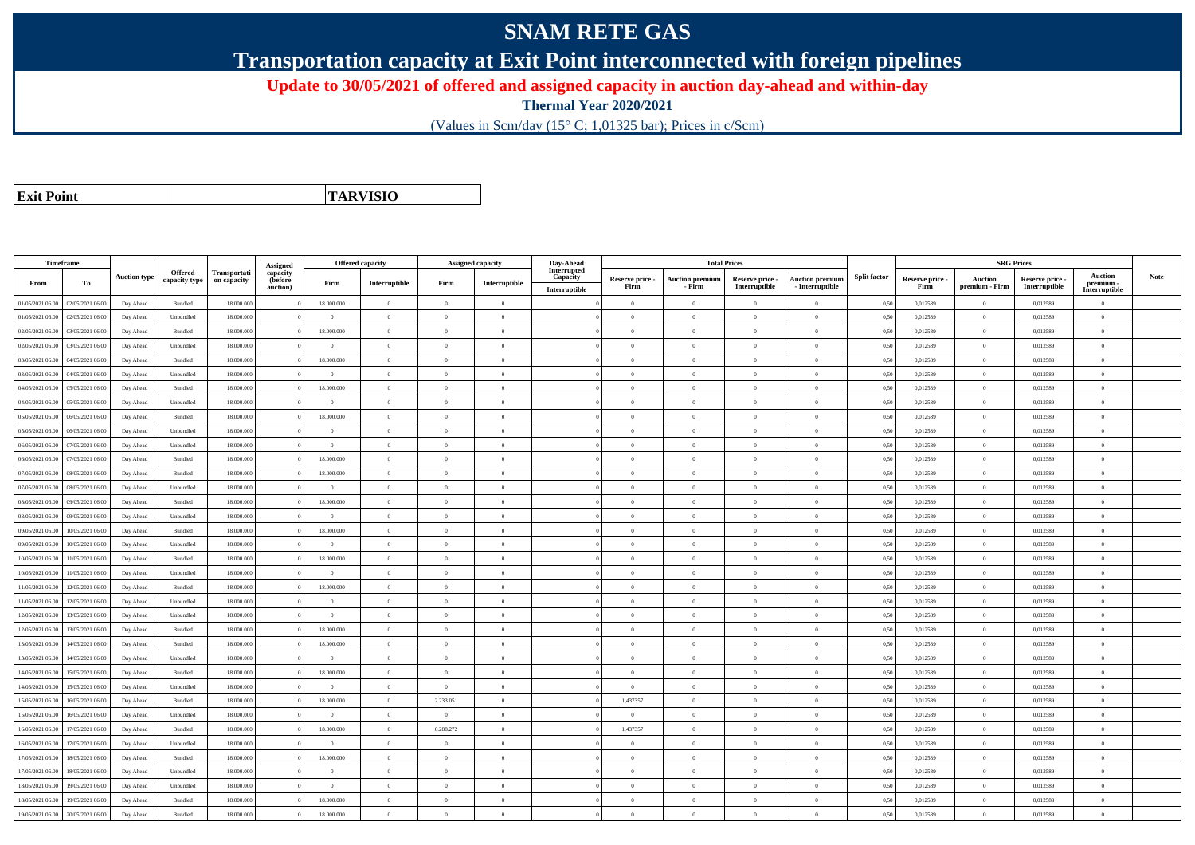## **SNAM RETE GAS**

**Transportation capacity at Exit Point interconnected with foreign pipelines**

**Update to 30/05/2021 of offered and assigned capacity in auction day-ahead and within-day**

**Thermal Year 2020/2021**

(Values in Scm/day (15° C; 1,01325 bar); Prices in c/Scm)

| <b>Exit Point</b> |
|-------------------|
|                   |

**TARVISIO**

|                  | Timeframe        |                     |                |              |                                 | <b>Offered capacity</b> |                |                | <b>Assigned capacity</b>                    | Day-Ahead               |                 | <b>Total Prices</b>    |                 |                        |                     |                 | <b>SRG Prices</b> |               |                            |      |
|------------------|------------------|---------------------|----------------|--------------|---------------------------------|-------------------------|----------------|----------------|---------------------------------------------|-------------------------|-----------------|------------------------|-----------------|------------------------|---------------------|-----------------|-------------------|---------------|----------------------------|------|
|                  |                  | <b>Auction type</b> | Offered        | Transportati | Assigned<br>capacity<br>(before |                         |                |                |                                             | Interrupted<br>Capacity | Reserve price - | <b>Auction premium</b> | Reserve price - | <b>Auction premium</b> | <b>Split factor</b> | Reserve price - | <b>Auction</b>    | Reserve price | <b>Auction</b>             | Note |
| From             | To               |                     | capacity type  | on capacity  | auction)                        | Firm                    | Interruptible  | Firm           | $\label{prop:inter} \textbf{Interruptible}$ | Interruptible           | Firm            | - Firm                 | Interruptible   | $-$ Interruptible      |                     | Firm            | premium - Firm    | Interruptible | premium -<br>Interruptible |      |
| 01/05/2021 06:00 | 02/05/2021 06:00 | Day Ahead           | Bundled        | 18.000.000   |                                 | 18.000.000              | $\overline{0}$ | $\Omega$       | $\theta$                                    |                         | $\theta$        | $\theta$               | $\theta$        | $\Omega$               | 0,50                | 0,012589        | $\Omega$          | 0,012589      | $\Omega$                   |      |
| 01/05/2021 06:00 | 02/05/2021 06:00 | Day Ahead           | Unbundled      | 18,000,000   |                                 | $\Omega$                | $\overline{0}$ | $^{\circ}$     | $\Omega$                                    |                         | $\Omega$        | $\mathbf{a}$           | $\Omega$        | $\Omega$               | 0,50                | 0,012589        | $\overline{0}$    | 0,012589      | $\Omega$                   |      |
| 02/05/2021 06:00 | 03/05/2021 06.00 | Day Ahead           | Bundled        | 18.000.00    |                                 | 18.000.000              | $\Omega$       | $\Omega$       | $\Omega$                                    |                         | $\Omega$        | $\theta$               | $\Omega$        | $\Omega$               | 0,50                | 0,012589        | $\Omega$          | 0,012589      | $\Omega$                   |      |
| 02/05/2021 06:00 | 03/05/2021 06:00 | Day Ahead           | Unbundled      | 18.000.000   |                                 | $\overline{0}$          | $\overline{0}$ | $\overline{0}$ | $\overline{0}$                              |                         | $\theta$        | $\theta$               | $\overline{0}$  | $\overline{0}$         | 0,50                | 0,012589        | $\overline{0}$    | 0,012589      | $\bf{0}$                   |      |
| 03/05/2021 06:00 | 04/05/2021 06:00 | Day Ahead           | Bundled        | 18.000.000   |                                 | 18.000.000              | $\overline{0}$ | $\Omega$       | $\theta$                                    |                         | $\theta$        | $\theta$               | $\bf{0}$        | $\mathbf{0}$           | 0,50                | 0,012589        | $\overline{0}$    | 0,012589      | $\Omega$                   |      |
| 03/05/2021 06:00 | 04/05/2021 06.00 | Day Ahead           | Unbundled      | 18.000.000   |                                 | $\theta$                | $\overline{0}$ | $\Omega$       | $\theta$                                    |                         | $\theta$        | $\theta$               | $\overline{0}$  | $\mathbf{0}$           | 0,50                | 0,012589        | $\overline{0}$    | 0,012589      | $\Omega$                   |      |
| 04/05/2021 06:00 | 05/05/2021 06:00 | Day Ahead           | Bundled        | 18,000,000   |                                 | 18,000,000              | $\Omega$       | $\overline{0}$ | $\Omega$                                    |                         | $\theta$        | $\theta$               | $\overline{0}$  | $\theta$               | 0,50                | 0,012589        | $\overline{0}$    | 0.012589      | $\theta$                   |      |
| 04/05/2021 06:00 | 05/05/2021 06:00 | Day Ahead           | Unbundled      | 18.000.000   |                                 | $\Omega$                | $\overline{0}$ | $\Omega$       | $\theta$                                    |                         | $\theta$        | $\theta$               | $\overline{0}$  | $\mathbf{0}$           | 0,50                | 0,012589        | $\overline{0}$    | 0,012589      | $\Omega$                   |      |
| 05/05/2021 06:00 | 06/05/2021 06:00 | Day Ahead           | Bundled        | 18,000,000   |                                 | 18,000,000              | $\overline{0}$ | $\Omega$       | $\Omega$                                    |                         | $\Omega$        |                        | $\Omega$        | $\theta$               | 0.50                | 0.012589        | $\overline{0}$    | 0.012589      | $\theta$                   |      |
| 05/05/2021 06:00 | 06/05/2021 06.0  | Day Ahead           | Unbundled      | 18.000.000   |                                 | $\Omega$                | $\overline{0}$ | $\overline{0}$ | $\Omega$                                    |                         | $\theta$        | $\mathbf{a}$           | $\overline{0}$  | $\overline{0}$         | 0,50                | 0,012589        | $\overline{0}$    | 0,012589      | $\Omega$                   |      |
| 06/05/2021 06:00 | 07/05/2021 06.00 | Day Ahead           | Unbundled      | 18.000.000   |                                 | $\overline{0}$          | $\overline{0}$ | $\overline{0}$ | $\theta$                                    |                         | $\theta$        | $\theta$               | $\overline{0}$  | $\mathbf{0}$           | 0,50                | 0,012589        | $\overline{0}$    | 0,012589      | $\bf{0}$                   |      |
| 06/05/2021 06:00 | 07/05/2021 06:00 | Day Ahead           | Bundled        | 18,000,000   |                                 | 18,000,000              | $\overline{0}$ | $\Omega$       | $\theta$                                    |                         | $\Omega$        | $\theta$               | $\Omega$        | $\theta$               | 0.50                | 0.012589        | $\overline{0}$    | 0.012589      | $\theta$                   |      |
| 07/05/2021 06:00 | 08/05/2021 06.0  | Day Ahead           | Bundled        | 18.000.000   |                                 | 18.000.000              | $\overline{0}$ | $\overline{0}$ | $\theta$                                    |                         | $\theta$        | $\theta$               | $\theta$        | $\mathbf{0}$           | 0,50                | 0,012589        | $\overline{0}$    | 0,012589      | $\Omega$                   |      |
| 07/05/2021 06:00 | 08/05/2021 06:00 | Day Ahead           | Unbundled      | 18.000.000   |                                 | $\overline{0}$          | $\overline{0}$ | $\overline{0}$ | $\theta$                                    |                         | $\theta$        | $\overline{0}$         | $\overline{0}$  | $\mathbf{0}$           | 0,50                | 0,012589        | $\overline{0}$    | 0,012589      | $\bf{0}$                   |      |
| 08/05/2021 06:00 | 09/05/2021 06:00 | Day Ahead           | <b>Bundled</b> | 18,000,000   |                                 | 18.000.000              | $\theta$       | $\theta$       | $\theta$                                    |                         | $\theta$        | $\mathbf{a}$           | $\theta$        | $\Omega$               | 0,50                | 0,012589        | $\overline{0}$    | 0,012589      | $\Omega$                   |      |
| 08/05/2021 06:00 | 09/05/2021 06.0  | Day Ahead           | Unbundled      | 18.000.000   |                                 | $\overline{0}$          | $\overline{0}$ | $\theta$       | $\theta$                                    |                         | $\theta$        | $\theta$               | $\overline{0}$  | $\mathbf{0}$           | 0,50                | 0,012589        | $\overline{0}$    | 0,012589      | $\Omega$                   |      |
| 09/05/2021 06:00 | 10/05/2021 06:00 | Day Ahead           | Bundled        | 18.000.000   |                                 | 18.000.000              | $\overline{0}$ | $\Omega$       | $\theta$                                    |                         | $\theta$        | $\theta$               | $\overline{0}$  | $\mathbf{0}$           | 0,50                | 0,012589        | $\overline{0}$    | 0,012589      | $\theta$                   |      |
| 09/05/2021 06:00 | 10/05/2021 06:00 | Day Ahead           | Unbundled      | 18,000,000   |                                 | $\theta$                | $\overline{0}$ | $\Omega$       | $\Omega$                                    |                         | $\Omega$        | $\theta$               | $\overline{0}$  | $\overline{0}$         | 0.50                | 0.012589        | $\overline{0}$    | 0.012589      | $\theta$                   |      |
| 10/05/2021 06:00 | 1/05/2021 06.00  | Day Ahead           | Bundled        | 18.000.000   |                                 | 18.000.000              | $\overline{0}$ | $\theta$       | $\theta$                                    |                         | $\theta$        | $\overline{0}$         | $\theta$        | $\mathbf{0}$           | 0.50                | 0,012589        | $\overline{0}$    | 0,012589      | $\bf{0}$                   |      |
| 10/05/2021 06:00 | 11/05/2021 06:00 | Day Ahead           | Unbundled      | 18.000.000   |                                 | $\Omega$                | $\overline{0}$ | $\overline{0}$ | $\theta$                                    |                         | $\theta$        | $\theta$               | $\overline{0}$  | $\mathbf{0}$           | 0,50                | 0,012589        | $\overline{0}$    | 0,012589      | $\Omega$                   |      |
| 11/05/2021 06:00 | 12/05/2021 06:00 | Day Ahead           | Bundled        | 18.000.000   |                                 | 18.000.000              | $\theta$       | $^{\circ}$     | $\Omega$                                    |                         | $\theta$        | $\mathbf{a}$           | $\Omega$        | $\Omega$               | 0,50                | 0,012589        | $\overline{0}$    | 0,012589      | $\Omega$                   |      |
| 11/05/2021 06:00 | 12/05/2021 06:00 | Day Ahead           | Unbundled      | 18.000.000   |                                 | $\theta$                | $\mathbf{0}$   | $\Omega$       | $\Omega$                                    |                         | $\Omega$        | $\theta$               | $\Omega$        | $\theta$               | 0,50                | 0,012589        | $\Omega$          | 0,012589      | $\Omega$                   |      |
| 12/05/2021 06:00 | 13/05/2021 06:00 | Day Ahead           | Unbundled      | 18,000,000   |                                 | $\theta$                | $\overline{0}$ | $\overline{0}$ | $\Omega$                                    |                         | $\theta$        | $\theta$               | $\overline{0}$  | $\theta$               | 0,50                | 0,012589        | $\Omega$          | 0.012589      | $\theta$                   |      |
| 12/05/2021 06:00 | 13/05/2021 06:00 | Day Ahead           | Bundled        | 18.000.000   |                                 | 18.000.000              | $\overline{0}$ | $\overline{0}$ | $\overline{0}$                              |                         | $\overline{0}$  | $\overline{0}$         | $\overline{0}$  | $\bf{0}$               | 0,50                | 0,012589        | $\overline{0}$    | 0,012589      | $\bf{0}$                   |      |
| 13/05/2021 06:00 | 14/05/2021 06.00 | Day Ahead           | Bundled        | 18.000.000   |                                 | 18.000.000              | $\mathbf{0}$   | $\Omega$       | $\Omega$                                    |                         | $\Omega$        |                        | $\theta$        | $\mathbf{0}$           | 0,50                | 0,012589        | $\mathbf{0}$      | 0,012589      | $\Omega$                   |      |
| 13/05/2021 06:00 | 14/05/2021 06.00 | Day Ahead           | Unbundled      | 18,000,000   |                                 | $\theta$                | $\overline{0}$ | $\overline{0}$ | $\theta$                                    |                         | $\theta$        | $\theta$               | $\overline{0}$  | $\overline{0}$         | 0,50                | 0,012589        | $\overline{0}$    | 0,012589      | $\theta$                   |      |
| 14/05/2021 06:00 | 15/05/2021 06:00 | Day Ahead           | Bundled        | 18.000.000   |                                 | 18.000.000              | $\overline{0}$ | $\Omega$       | $\theta$                                    |                         | $\theta$        | $\theta$               | $\overline{0}$  | $\mathbf{0}$           | 0,50                | 0,012589        | $\overline{0}$    | 0,012589      | $\bf{0}$                   |      |
| 14/05/2021 06:00 | 15/05/2021 06:00 | Day Ahead           | Unbundled      | 18,000,000   |                                 | $\Omega$                | $\theta$       | $\Omega$       | $\Omega$                                    |                         | $\theta$        | $\sqrt{2}$             | $\Omega$        | $\theta$               | 0.50                | 0.012589        | $\Omega$          | 0.012589      | $\Omega$                   |      |
| 15/05/2021 06:00 | 16/05/2021 06:00 | Day Ahead           | Bundled        | 18.000.000   |                                 | 18.000.000              | $\overline{0}$ | 2.233.051      | $\Omega$                                    |                         | 1,437357        | $\theta$               | $\overline{0}$  | $\overline{0}$         | 0,50                | 0,012589        | $\overline{0}$    | 0,012589      | $\Omega$                   |      |
| 15/05/2021 06:00 | 16/05/2021 06:00 | Day Ahead           | Unbundled      | 18.000.000   |                                 | $\overline{0}$          | $\overline{0}$ | $\overline{0}$ | $\theta$                                    |                         | $\overline{0}$  | $\overline{0}$         | $\overline{0}$  | $\mathbf{0}$           | 0,50                | 0,012589        | $\overline{0}$    | 0,012589      | $\bf{0}$                   |      |
| 16/05/2021 06:00 | 17/05/2021 06.00 | Day Ahead           | <b>Bundled</b> | 18,000,000   |                                 | 18,000,000              | $\overline{0}$ | 6.288.272      | $\theta$                                    |                         | 1,437357        | $\theta$               | $\theta$        | $\theta$               | 0,50                | 0,012589        | $\overline{0}$    | 0,012589      | $\Omega$                   |      |
| 16/05/2021 06:00 | 17/05/2021 06.00 | Day Ahead           | Unbundled      | 18.000.000   |                                 | $\theta$                | $\overline{0}$ | $\Omega$       | $\Omega$                                    |                         | $\Omega$        | $\theta$               | $\overline{0}$  | $\theta$               | 0,50                | 0,012589        | $\overline{0}$    | 0,012589      | $\Omega$                   |      |
| 17/05/2021 06:00 | 18/05/2021 06:00 | Day Ahead           | Bundled        | 18.000.000   |                                 | 18.000.000              | $\theta$       | $\Omega$       | $\theta$                                    |                         | $\theta$        | $\theta$               | $\Omega$        | $\theta$               | 0,50                | 0,012589        | $\Omega$          | 0,012589      | $\Omega$                   |      |
| 17/05/2021 06:00 | 18/05/2021 06:00 | Day Ahead           | Unbundled      | 18,000,000   |                                 | $\theta$                | $\overline{0}$ | $\Omega$       | $\theta$                                    |                         | $\theta$        | $\theta$               | $\overline{0}$  | $\Omega$               | 0.50                | 0.012589        | $\overline{0}$    | 0.012589      | $\Omega$                   |      |
| 18/05/2021 06:00 | 19/05/2021 06.00 | Day Ahead           | Unbundled      | 18.000.000   |                                 | $\Omega$                | $\overline{0}$ | $\Omega$       | $\Omega$                                    |                         | $\theta$        | $\mathbf{a}$           | $\Omega$        | $\Omega$               | 0,50                | 0,012589        | $\overline{0}$    | 0,012589      | $\Omega$                   |      |
| 18/05/2021 06:00 | 19/05/2021 06:00 | Day Ahead           | Bundled        | 18.000.000   |                                 | 18.000.000              | $\overline{0}$ | $\Omega$       | $\Omega$                                    |                         | $\Omega$        | $\theta$               | $\overline{0}$  | $\mathbf{0}$           | 0,50                | 0,012589        | $\overline{0}$    | 0,012589      | $\Omega$                   |      |
| 19/05/2021 06:00 | 20/05/2021 06:00 | Day Ahead           | Bundled        | 18,000,000   |                                 | 18,000,000              | $\Omega$       | $\Omega$       | $\Omega$                                    |                         | $\theta$        | $\mathbf{a}$           | $\Omega$        | $\Omega$               | 0,50                | 0,012589        | $\theta$          | 0.012589      | $\Omega$                   |      |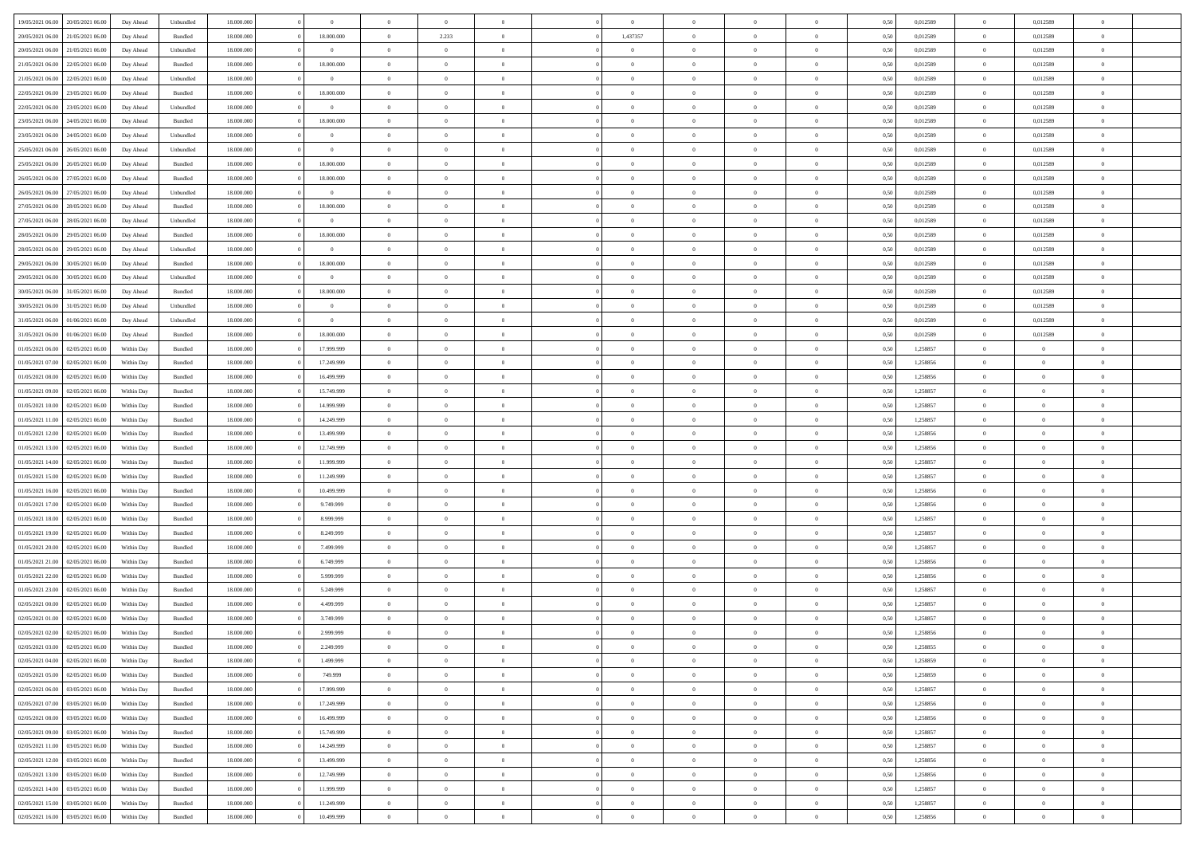| 19/05/2021 06:00 20/05/2021 06:00    | Day Ahead  | Unbundled | 18.000.000 | $\overline{0}$ | $\overline{0}$ | $\overline{0}$ | $\Omega$       | $\Omega$       | $\theta$       | $\Omega$       | $\overline{0}$ | 0,50 | 0,012589 | $\theta$       | 0,012589       | $\overline{0}$ |  |
|--------------------------------------|------------|-----------|------------|----------------|----------------|----------------|----------------|----------------|----------------|----------------|----------------|------|----------|----------------|----------------|----------------|--|
| 20/05/2021 06:00<br>21/05/2021 06:00 | Day Ahead  | Bundled   | 18.000.000 | 18.000.000     | $\overline{0}$ | 2.233          | $\overline{0}$ | 1,437357       | $\theta$       | $\overline{0}$ | $\bf{0}$       | 0,50 | 0,012589 | $\theta$       | 0,012589       | $\overline{0}$ |  |
| 20/05/2021 06:00<br>21/05/2021 06:00 | Day Ahead  | Unbundled | 18.000.000 | $\overline{0}$ | $\overline{0}$ | $\bf{0}$       | $\overline{0}$ | $\overline{0}$ | $\bf{0}$       | $\overline{0}$ | $\bf{0}$       | 0,50 | 0,012589 | $\overline{0}$ | 0,012589       | $\overline{0}$ |  |
| 21/05/2021 06:00<br>22/05/2021 06:00 | Day Ahead  | Bundled   | 18.000.000 | 18.000.000     | $\overline{0}$ | $\overline{0}$ | $\overline{0}$ | $\overline{0}$ | $\overline{0}$ | $\overline{0}$ | $\overline{0}$ | 0.50 | 0.012589 | $\overline{0}$ | 0.012589       | $\overline{0}$ |  |
| 21/05/2021 06:00<br>22/05/2021 06:00 | Day Ahead  | Unbundled | 18.000.000 | $\overline{0}$ | $\overline{0}$ | $\overline{0}$ | $\overline{0}$ | $\overline{0}$ | $\theta$       | $\overline{0}$ | $\bf{0}$       | 0,50 | 0,012589 | $\theta$       | 0,012589       | $\overline{0}$ |  |
|                                      |            |           |            |                |                | $\bf{0}$       |                |                |                |                |                |      |          |                |                | $\bf{0}$       |  |
| 22/05/2021 06:00<br>23/05/2021 06:00 | Day Ahead  | Bundled   | 18.000.000 | 18.000.000     | $\overline{0}$ |                | $\overline{0}$ | $\overline{0}$ | $\overline{0}$ | $\overline{0}$ | $\bf{0}$       | 0,50 | 0,012589 | $\overline{0}$ | 0,012589       |                |  |
| 22/05/2021 06:00<br>23/05/2021 06:00 | Day Ahead  | Unbundled | 18.000.000 | $\bf{0}$       | $\overline{0}$ | $\overline{0}$ | $\overline{0}$ | $\overline{0}$ | $\overline{0}$ | $\overline{0}$ | $\overline{0}$ | 0.5( | 0,012589 | $\overline{0}$ | 0.012589       | $\overline{0}$ |  |
| 23/05/2021 06:00<br>24/05/2021 06:00 | Day Ahead  | Bundled   | 18.000.000 | 18.000.000     | $\overline{0}$ | $\overline{0}$ | $\overline{0}$ | $\overline{0}$ | $\theta$       | $\overline{0}$ | $\bf{0}$       | 0,50 | 0,012589 | $\theta$       | 0,012589       | $\overline{0}$ |  |
| 23/05/2021 06:00<br>24/05/2021 06.00 | Day Ahead  | Unbundled | 18.000.000 | $\overline{0}$ | $\overline{0}$ | $\bf{0}$       | $\overline{0}$ | $\overline{0}$ | $\overline{0}$ | $\overline{0}$ | $\bf{0}$       | 0,50 | 0,012589 | $\overline{0}$ | 0,012589       | $\overline{0}$ |  |
| 25/05/2021 06:00<br>26/05/2021 06:00 | Day Ahead  | Unbundled | 18.000.000 | $\bf{0}$       | $\overline{0}$ | $\overline{0}$ | $\overline{0}$ | $\overline{0}$ | $\overline{0}$ | $\overline{0}$ | $\overline{0}$ | 0.5( | 0,012589 | $\overline{0}$ | 0,012589       | $\overline{0}$ |  |
| 25/05/2021 06:00<br>26/05/2021 06:00 | Day Ahead  | Bundled   | 18.000.000 | 18.000.000     | $\overline{0}$ | $\overline{0}$ | $\overline{0}$ | $\overline{0}$ | $\theta$       | $\overline{0}$ | $\bf{0}$       | 0,50 | 0,012589 | $\theta$       | 0,012589       | $\overline{0}$ |  |
| 26/05/2021 06:00<br>27/05/2021 06:00 | Day Ahead  | Bundled   | 18.000.000 | 18.000.000     | $\overline{0}$ | $\bf{0}$       | $\overline{0}$ | $\overline{0}$ | $\bf{0}$       | $\overline{0}$ | $\bf{0}$       | 0,50 | 0,012589 | $\overline{0}$ | 0,012589       | $\overline{0}$ |  |
| 26/05/2021 06:00<br>27/05/2021 06:00 | Day Ahead  | Unbundled | 18.000.000 | $\overline{0}$ | $\overline{0}$ | $\overline{0}$ | $\overline{0}$ | $\overline{0}$ | $\overline{0}$ | $\overline{0}$ | $\overline{0}$ | 0.5( | 0.012589 | $\overline{0}$ | 0.012589       | $\overline{0}$ |  |
| 27/05/2021 06:00<br>28/05/2021 06:00 | Day Ahead  | Bundled   | 18.000.000 | 18.000.000     | $\overline{0}$ | $\theta$       | $\overline{0}$ | $\overline{0}$ | $\theta$       | $\overline{0}$ | $\bf{0}$       | 0,50 | 0,012589 | $\,$ 0 $\,$    | 0,012589       | $\overline{0}$ |  |
| 27/05/2021 06:00<br>28/05/2021 06:00 | Day Ahead  | Unbundled | 18.000.000 | $\bf{0}$       | $\overline{0}$ | $\bf{0}$       | $\overline{0}$ | $\overline{0}$ | $\overline{0}$ | $\overline{0}$ | $\bf{0}$       | 0,50 | 0,012589 | $\overline{0}$ | 0,012589       | $\bf{0}$       |  |
| 28/05/2021 06:00<br>29/05/2021 06:00 | Day Ahead  | Bundled   | 18.000.000 | 18.000.000     | $\overline{0}$ | $\overline{0}$ | $\overline{0}$ | $\overline{0}$ | $\overline{0}$ | $\overline{0}$ | $\overline{0}$ | 0.5( | 0,012589 | $\overline{0}$ | 0,012589       | $\overline{0}$ |  |
| 28/05/2021 06:00<br>29/05/2021 06:00 | Day Ahead  | Unbundled | 18.000.000 | $\overline{0}$ | $\overline{0}$ | $\overline{0}$ | $\overline{0}$ | $\overline{0}$ | $\theta$       | $\overline{0}$ | $\bf{0}$       | 0,50 | 0,012589 | $\theta$       | 0,012589       | $\overline{0}$ |  |
|                                      |            |           |            |                |                |                |                |                |                |                |                |      |          |                |                |                |  |
| 29/05/2021 06:00<br>30/05/2021 06:00 | Day Ahead  | Bundled   | 18.000.000 | 18.000.000     | $\overline{0}$ | $\bf{0}$       | $\overline{0}$ | $\overline{0}$ | $\overline{0}$ | $\overline{0}$ | $\bf{0}$       | 0,50 | 0,012589 | $\overline{0}$ | 0,012589       | $\overline{0}$ |  |
| 29/05/2021 06:00<br>30/05/2021 06:00 | Day Ahead  | Unbundled | 18.000.000 | $\bf{0}$       | $\overline{0}$ | $\overline{0}$ | $\overline{0}$ | $\overline{0}$ | $\overline{0}$ | $\overline{0}$ | $\overline{0}$ | 0.5( | 0,012589 | $\overline{0}$ | 0.012589       | $\overline{0}$ |  |
| 30/05/2021 06:00<br>31/05/2021 06:00 | Day Ahead  | Bundled   | 18.000.000 | 18.000.000     | $\bf{0}$       | $\overline{0}$ | $\overline{0}$ | $\overline{0}$ | $\theta$       | $\overline{0}$ | $\bf{0}$       | 0,50 | 0,012589 | $\,$ 0 $\,$    | 0,012589       | $\overline{0}$ |  |
| 30/05/2021 06:00<br>31/05/2021 06.00 | Day Ahead  | Unbundled | 18.000.000 | $\overline{0}$ | $\overline{0}$ | $\bf{0}$       | $\overline{0}$ | $\overline{0}$ | $\bf{0}$       | $\overline{0}$ | $\bf{0}$       | 0,50 | 0,012589 | $\overline{0}$ | 0,012589       | $\overline{0}$ |  |
| 31/05/2021 06:00<br>01/06/2021 06:00 | Day Ahead  | Unbundled | 18.000.000 | $\overline{0}$ | $\overline{0}$ | $\overline{0}$ | $\overline{0}$ | $\overline{0}$ | $\overline{0}$ | $\overline{0}$ | $\overline{0}$ | 0.50 | 0.012589 | $\overline{0}$ | 0.012589       | $\overline{0}$ |  |
| 31/05/2021 06:00<br>01/06/2021 06:00 | Day Ahead  | Bundled   | 18.000.000 | 18.000.000     | $\overline{0}$ | $\theta$       | $\overline{0}$ | $\overline{0}$ | $\theta$       | $\overline{0}$ | $\bf{0}$       | 0,50 | 0,012589 | $\theta$       | 0,012589       | $\overline{0}$ |  |
| 01/05/2021 06:00<br>02/05/2021 06:00 | Within Day | Bundled   | 18.000.000 | 17.999.999     | $\overline{0}$ | $\bf{0}$       | $\overline{0}$ | $\overline{0}$ | $\overline{0}$ | $\overline{0}$ | $\bf{0}$       | 0,50 | 1,258857 | $\overline{0}$ | $\overline{0}$ | $\bf{0}$       |  |
| 01/05/2021 07:00<br>02/05/2021 06:00 | Within Dav | Bundled   | 18.000.000 | 17.249.999     | $\overline{0}$ | $\overline{0}$ | $\overline{0}$ | $\overline{0}$ | $\overline{0}$ | $\overline{0}$ | $\overline{0}$ | 0.5( | 1.258856 | $\overline{0}$ | $\overline{0}$ | $\overline{0}$ |  |
| 01/05/2021 08:00<br>02/05/2021 06:00 | Within Day | Bundled   | 18.000.000 | 16.499.999     | $\overline{0}$ | $\overline{0}$ | $\overline{0}$ | $\overline{0}$ | $\theta$       | $\overline{0}$ | $\bf{0}$       | 0,50 | 1,258856 | $\theta$       | $\theta$       | $\overline{0}$ |  |
| 01/05/2021 09:00<br>02/05/2021 06:00 | Within Day | Bundled   | 18.000.000 | 15.749.999     | $\overline{0}$ | $\bf{0}$       | $\overline{0}$ | $\overline{0}$ | $\overline{0}$ | $\bf{0}$       | $\bf{0}$       | 0,50 | 1,258857 | $\bf{0}$       | $\bf{0}$       | $\overline{0}$ |  |
| 01/05/2021 10:00<br>02/05/2021 06:00 | Within Day | Bundled   | 18.000.000 | 14.999.999     | $\overline{0}$ | $\overline{0}$ | $\overline{0}$ | $\overline{0}$ | $\overline{0}$ | $\overline{0}$ | $\overline{0}$ | 0.5( | 1,258857 | $\theta$       | $\theta$       | $\overline{0}$ |  |
| 01/05/2021 11:00<br>02/05/2021 06:00 | Within Day | Bundled   | 18.000.000 | 14.249.999     | $\bf{0}$       | $\overline{0}$ | $\overline{0}$ | $\overline{0}$ | $\theta$       | $\overline{0}$ | $\bf{0}$       | 0,50 | 1,258857 | $\theta$       | $\theta$       | $\overline{0}$ |  |
| 01/05/2021 12:00<br>02/05/2021 06:00 | Within Day | Bundled   | 18.000.000 | 13.499.999     | $\overline{0}$ | $\bf{0}$       | $\overline{0}$ | $\overline{0}$ | $\bf{0}$       | $\overline{0}$ | $\bf{0}$       | 0,50 | 1,258856 | $\bf{0}$       | $\overline{0}$ | $\bf{0}$       |  |
|                                      |            |           |            |                |                |                |                |                |                |                |                |      |          |                |                | $\theta$       |  |
| 01/05/2021 13:00<br>02/05/2021 06.00 | Within Day | Bundled   | 18,000,000 | 12.749.999     | $\overline{0}$ | $\overline{0}$ | $\Omega$       | $\Omega$       | $\Omega$       | $\Omega$       | $\overline{0}$ | 0.50 | 1,258856 | $\bf{0}$       | $\overline{0}$ |                |  |
| 01/05/2021 14:00<br>02/05/2021 06:00 | Within Day | Bundled   | 18.000.000 | 11.999.999     | $\bf{0}$       | $\overline{0}$ | $\overline{0}$ | $\overline{0}$ | $\theta$       | $\overline{0}$ | $\bf{0}$       | 0,50 | 1,258857 | $\theta$       | $\theta$       | $\overline{0}$ |  |
| 01/05/2021 15:00<br>02/05/2021 06:00 | Within Day | Bundled   | 18.000.000 | 11.249.999     | $\overline{0}$ | $\bf{0}$       | $\overline{0}$ | $\overline{0}$ | $\overline{0}$ | $\overline{0}$ | $\bf{0}$       | 0,50 | 1,258857 | $\overline{0}$ | $\overline{0}$ | $\bf{0}$       |  |
| 01/05/2021 16:00<br>02/05/2021 06.00 | Within Day | Bundled   | 18,000,000 | 10.499.999     | $\overline{0}$ | $\overline{0}$ | $\Omega$       | $\Omega$       | $\overline{0}$ | $\Omega$       | $\overline{0}$ | 0.50 | 1,258856 | $\overline{0}$ | $\Omega$       | $\theta$       |  |
| 01/05/2021 17:00<br>02/05/2021 06:00 | Within Day | Bundled   | 18.000.000 | 9.749.999      | $\bf{0}$       | $\overline{0}$ | $\overline{0}$ | $\overline{0}$ | $\theta$       | $\overline{0}$ | $\bf{0}$       | 0,50 | 1,258856 | $\theta$       | $\theta$       | $\overline{0}$ |  |
| 01/05/2021 18:00<br>02/05/2021 06:00 | Within Day | Bundled   | 18.000.000 | 8.999.999      | $\overline{0}$ | $\bf{0}$       | $\overline{0}$ | $\overline{0}$ | $\overline{0}$ | $\bf{0}$       | $\bf{0}$       | 0,50 | 1,258857 | $\bf{0}$       | $\overline{0}$ | $\bf{0}$       |  |
| 01/05/2021 19:00<br>02/05/2021 06.00 | Within Day | Bundled   | 18,000,000 | 8.249.999      | $\overline{0}$ | $\overline{0}$ | $\Omega$       | $\Omega$       | $\Omega$       | $\Omega$       | $\overline{0}$ | 0.50 | 1,258857 | $\theta$       | $\Omega$       | $\theta$       |  |
| 01/05/2021 20:00<br>02/05/2021 06:00 | Within Day | Bundled   | 18.000.000 | 7.499.999      | $\bf{0}$       | $\overline{0}$ | $\overline{0}$ | $\overline{0}$ | $\theta$       | $\overline{0}$ | $\bf{0}$       | 0,50 | 1,258857 | $\theta$       | $\theta$       | $\overline{0}$ |  |
| 01/05/2021 21:00<br>02/05/2021 06:00 | Within Day | Bundled   | 18.000.000 | 6.749.999      | $\overline{0}$ | $\bf{0}$       | $\overline{0}$ | $\overline{0}$ | $\overline{0}$ | $\overline{0}$ | $\bf{0}$       | 0,50 | 1,258856 | $\bf{0}$       | $\overline{0}$ | $\bf{0}$       |  |
| 01/05/2021 22:00<br>02/05/2021 06.00 | Within Day | Bundled   | 18,000,000 | 5.999.999      | $\overline{0}$ | $\overline{0}$ | $\Omega$       | $\Omega$       | $\theta$       | $\Omega$       | $\overline{0}$ | 0.50 | 1,258856 | $\bf{0}$       | $\overline{0}$ | $\theta$       |  |
| 01/05/2021 23:00<br>02/05/2021 06:00 | Within Day | Bundled   | 18.000.000 | 5.249.999      | $\bf{0}$       | $\overline{0}$ | $\overline{0}$ | $\overline{0}$ | $\theta$       | $\overline{0}$ | $\bf{0}$       | 0,50 | 1,258857 | $\theta$       | $\theta$       | $\overline{0}$ |  |
| 02/05/2021 00:00<br>02/05/2021 06:00 | Within Day | Bundled   | 18.000.000 | 4.499.999      | $\overline{0}$ | $\bf{0}$       | $\overline{0}$ | $\overline{0}$ | $\overline{0}$ | $\overline{0}$ | $\bf{0}$       | 0,50 | 1,258857 | $\overline{0}$ | $\overline{0}$ | $\bf{0}$       |  |
| 02/05/2021 01:00<br>02/05/2021 06.00 | Within Day | Bundled   | 18,000,000 | 3.749.999      | $\Omega$       | $\Omega$       | $\Omega$       | $\Omega$       | $\Omega$       | $\theta$       | $\overline{0}$ | 0.50 | 1.258857 | $\theta$       | $\Omega$       | $\theta$       |  |
| 02/05/2021 02:00<br>02/05/2021 06:00 | Within Day | Bundled   | 18.000.000 | 2.999.999      | $\bf{0}$       | $\bf{0}$       | $\overline{0}$ | $\overline{0}$ | $\overline{0}$ | $\bf{0}$       | $\bf{0}$       | 0,50 | 1,258856 | $\bf{0}$       | $\,$ 0 $\,$    | $\overline{0}$ |  |
| 02/05/2021 03:00 02/05/2021 06:00    |            |           |            |                |                |                |                |                |                |                |                |      |          |                |                |                |  |
|                                      | Within Day | Bundled   | 18.000.000 | 2.249.999      | $\bf{0}$       | $\bf{0}$       |                |                |                |                |                | 0,50 | 1,258855 | $\bf{0}$       | $\bf{0}$       |                |  |
| 02/05/2021 04:00 02/05/2021 06:00    | Within Day | Bundled   | 18,000,000 | 1.499.999      | $\Omega$       | $\overline{0}$ | $\Omega$       | $\theta$       | $\Omega$       | $\theta$       | $\overline{0}$ | 0.50 | 1,258859 | $\theta$       | $\theta$       | $\theta$       |  |
| 02/05/2021 05:00<br>02/05/2021 06:00 | Within Day | Bundled   | 18.000.000 | 749.999        | $\bf{0}$       | $\,$ 0         | $\overline{0}$ | $\overline{0}$ | $\overline{0}$ | $\bf{0}$       | $\bf{0}$       | 0,50 | 1,258859 | $\,$ 0 $\,$    | $\,$ 0 $\,$    | $\overline{0}$ |  |
| 03/05/2021 06:00<br>02/05/2021 06:00 | Within Day | Bundled   | 18.000.000 | 17.999.999     | $\overline{0}$ | $\overline{0}$ | $\overline{0}$ | $\overline{0}$ | $\overline{0}$ | $\overline{0}$ | $\bf{0}$       | 0,50 | 1,258857 | $\overline{0}$ | $\bf{0}$       | $\bf{0}$       |  |
| 02/05/2021 07:00<br>03/05/2021 06:00 | Within Day | Bundled   | 18,000,000 | 17.249.999     | $\overline{0}$ | $\overline{0}$ | $\overline{0}$ | $\overline{0}$ | $\overline{0}$ | $\overline{0}$ | $\bf{0}$       | 0,50 | 1,258856 | $\bf{0}$       | $\theta$       | $\overline{0}$ |  |
| 02/05/2021 08:00<br>03/05/2021 06:00 | Within Day | Bundled   | 18.000.000 | 16.499.999     | $\overline{0}$ | $\overline{0}$ | $\overline{0}$ | $\overline{0}$ | $\overline{0}$ | $\overline{0}$ | $\bf{0}$       | 0,50 | 1,258856 | $\,$ 0 $\,$    | $\,$ 0 $\,$    | $\overline{0}$ |  |
| 02/05/2021 09:00<br>03/05/2021 06:00 | Within Day | Bundled   | 18.000.000 | 15.749.999     | $\overline{0}$ | $\overline{0}$ | $\overline{0}$ | $\overline{0}$ | $\overline{0}$ | $\overline{0}$ | $\bf{0}$       | 0,50 | 1,258857 | $\overline{0}$ | $\overline{0}$ | $\overline{0}$ |  |
| 02/05/2021 11:00<br>03/05/2021 06:00 | Within Day | Bundled   | 18,000,000 | 14.249.999     | $\overline{0}$ | $\overline{0}$ | $\overline{0}$ | $\overline{0}$ | $\overline{0}$ | $\overline{0}$ | $\bf{0}$       | 0.50 | 1,258857 | $\overline{0}$ | $\theta$       | $\overline{0}$ |  |
| 02/05/2021 12:00<br>03/05/2021 06:00 | Within Day | Bundled   | 18.000.000 | 13.499.999     | $\bf{0}$       | $\bf{0}$       | $\overline{0}$ | $\overline{0}$ | $\overline{0}$ | $\overline{0}$ | $\bf{0}$       | 0,50 | 1,258856 | $\,$ 0 $\,$    | $\bf{0}$       | $\overline{0}$ |  |
| 03/05/2021 06:00<br>02/05/2021 13:00 | Within Day | Bundled   | 18.000.000 | 12.749.999     | $\overline{0}$ | $\bf{0}$       | $\overline{0}$ | $\overline{0}$ | $\overline{0}$ | $\overline{0}$ | $\bf{0}$       | 0,50 | 1,258856 | $\overline{0}$ | $\overline{0}$ | $\bf{0}$       |  |
| 02/05/2021 14:00<br>03/05/2021 06:00 | Within Day | Bundled   | 18,000,000 | 11.999.999     | $\overline{0}$ | $\overline{0}$ | $\overline{0}$ | $\overline{0}$ | $\overline{0}$ | $\overline{0}$ | $\bf{0}$       | 0.50 | 1,258857 | $\overline{0}$ | $\theta$       | $\overline{0}$ |  |
| 02/05/2021 15:00<br>03/05/2021 06:00 | Within Day | Bundled   | 18.000.000 | 11.249.999     | $\overline{0}$ | $\bf{0}$       | $\overline{0}$ | $\overline{0}$ | $\overline{0}$ | $\bf{0}$       | $\bf{0}$       | 0,50 | 1,258857 | $\,$ 0 $\,$    | $\,$ 0 $\,$    | $\overline{0}$ |  |
|                                      |            |           |            |                |                |                |                |                |                |                |                |      |          |                |                |                |  |
| 02/05/2021 16:00 03/05/2021 06:00    | Within Day | Bundled   | 18.000.000 | 10.499.999     | $\overline{0}$ | $\bf{0}$       | $\overline{0}$ | $\overline{0}$ | $\bf{0}$       | $\overline{0}$ | $\bf{0}$       | 0,50 | 1,258856 | $\overline{0}$ | $\bf{0}$       | $\overline{0}$ |  |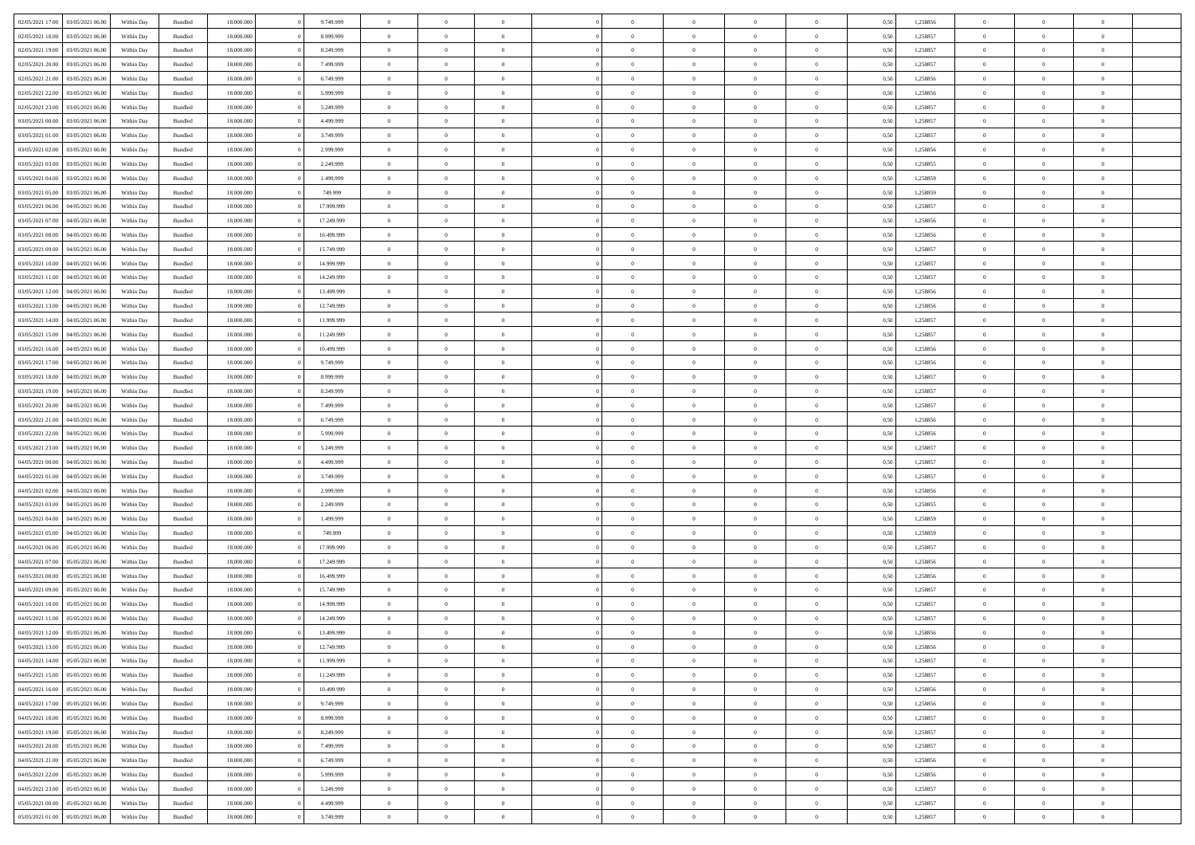|                                   |                  |            |                    |            |            | $\overline{0}$ |                |                |                | $\Omega$       | $\Omega$       | $\theta$       |      |          | $\theta$       |                | $\theta$       |  |
|-----------------------------------|------------------|------------|--------------------|------------|------------|----------------|----------------|----------------|----------------|----------------|----------------|----------------|------|----------|----------------|----------------|----------------|--|
| 02/05/2021 17:00                  | 03/05/2021 06:00 | Within Day | Bundled            | 18.000.000 | 9.749.999  |                | $\theta$       |                | $\Omega$       |                |                |                | 0.50 | 1,258856 |                | $\theta$       |                |  |
| 02/05/2021 18:00                  | 03/05/2021 06:00 | Within Day | Bundled            | 18.000.000 | 8.999.999  | $\overline{0}$ | $\theta$       | $\overline{0}$ | $\overline{0}$ | $\bf{0}$       | $\overline{0}$ | $\overline{0}$ | 0,50 | 1,258857 | $\theta$       | $\theta$       | $\overline{0}$ |  |
| 02/05/2021 19:00                  | 03/05/2021 06:00 | Within Day | Bundled            | 18.000.000 | 8.249.999  | $\overline{0}$ | $\overline{0}$ | $\overline{0}$ | $\bf{0}$       | $\bf{0}$       | $\bf{0}$       | $\bf{0}$       | 0,50 | 1,258857 | $\overline{0}$ | $\overline{0}$ | $\overline{0}$ |  |
| 02/05/2021 20:00                  | 03/05/2021 06:00 | Within Dav | Bundled            | 18.000.000 | 7.499.999  | $\overline{0}$ | $\overline{0}$ | $\overline{0}$ | $\overline{0}$ | $\bf{0}$       | $\overline{0}$ | $\overline{0}$ | 0.50 | 1.258857 | $\theta$       | $\theta$       | $\overline{0}$ |  |
|                                   |                  |            |                    |            |            |                |                |                |                |                |                |                |      |          |                |                |                |  |
| 02/05/2021 21:00                  | 03/05/2021 06:00 | Within Day | Bundled            | 18.000.000 | 6.749.999  | $\overline{0}$ | $\theta$       | $\overline{0}$ | $\overline{0}$ | $\bf{0}$       | $\overline{0}$ | $\bf{0}$       | 0,50 | 1,258856 | $\theta$       | $\theta$       | $\overline{0}$ |  |
| 02/05/2021 22.00                  | 03/05/2021 06:00 | Within Day | Bundled            | 18.000.000 | 5.999.999  | $\overline{0}$ | $\bf{0}$       | $\overline{0}$ | $\bf{0}$       | $\overline{0}$ | $\overline{0}$ | $\mathbf{0}$   | 0,50 | 1,258856 | $\overline{0}$ | $\overline{0}$ | $\bf{0}$       |  |
| 02/05/2021 23:00                  | 03/05/2021 06:00 | Within Dav | Bundled            | 18.000.000 | 5.249.999  | $\overline{0}$ | $\overline{0}$ | $\overline{0}$ | $\overline{0}$ | $\overline{0}$ | $\overline{0}$ | $\overline{0}$ | 0.50 | 1,258857 | $\theta$       | $\overline{0}$ | $\overline{0}$ |  |
| 03/05/2021 00:00                  | 03/05/2021 06:00 | Within Day | Bundled            | 18.000.000 | 4.499.999  | $\overline{0}$ | $\theta$       | $\overline{0}$ | $\overline{0}$ | $\bf{0}$       | $\overline{0}$ | $\bf{0}$       | 0,50 | 1,258857 | $\theta$       | $\theta$       | $\overline{0}$ |  |
|                                   |                  |            |                    |            |            |                |                |                |                |                |                |                |      |          |                |                |                |  |
| 03/05/2021 01:00                  | 03/05/2021 06:00 | Within Day | Bundled            | 18.000.000 | 3.749.999  | $\overline{0}$ | $\overline{0}$ | $\overline{0}$ | $\bf{0}$       | $\bf{0}$       | $\bf{0}$       | $\bf{0}$       | 0,50 | 1,258857 | $\,0\,$        | $\overline{0}$ | $\overline{0}$ |  |
| 03/05/2021 02:00                  | 03/05/2021 06:00 | Within Dav | Bundled            | 18.000.000 | 2.999.999  | $\overline{0}$ | $\overline{0}$ | $\overline{0}$ | $\overline{0}$ | $\overline{0}$ | $\overline{0}$ | $\overline{0}$ | 0.50 | 1,258856 | $\theta$       | $\overline{0}$ | $\overline{0}$ |  |
| 03/05/2021 03:00                  | 03/05/2021 06:00 | Within Day | Bundled            | 18.000.000 | 2.249.999  | $\overline{0}$ | $\theta$       | $\overline{0}$ | $\overline{0}$ | $\bf{0}$       | $\overline{0}$ | $\bf{0}$       | 0,50 | 1,258855 | $\theta$       | $\theta$       | $\overline{0}$ |  |
| 03/05/2021 04:00                  | 03/05/2021 06:00 | Within Day | Bundled            | 18.000.000 | 1.499.999  | $\overline{0}$ | $\overline{0}$ | $\overline{0}$ | $\bf{0}$       | $\bf{0}$       | $\bf{0}$       | $\bf{0}$       | 0,50 | 1,258859 | $\overline{0}$ | $\overline{0}$ | $\overline{0}$ |  |
| 03/05/2021 05:00                  | 03/05/2021 06:00 | Within Day | Bundled            | 18.000.000 | 749,999    | $\overline{0}$ | $\overline{0}$ | $\overline{0}$ | $\overline{0}$ | $\bf{0}$       | $\overline{0}$ | $\overline{0}$ | 0.50 | 1.258859 | $\theta$       | $\theta$       | $\overline{0}$ |  |
|                                   |                  |            |                    |            |            |                |                |                |                |                |                |                |      |          |                |                |                |  |
| 03/05/2021 06:00                  | 04/05/2021 06.00 | Within Day | Bundled            | 18.000.000 | 17.999.999 | $\overline{0}$ | $\theta$       | $\overline{0}$ | $\overline{0}$ | $\bf{0}$       | $\overline{0}$ | $\overline{0}$ | 0,50 | 1,258857 | $\theta$       | $\theta$       | $\overline{0}$ |  |
| 03/05/2021 07:00                  | 04/05/2021 06.00 | Within Day | Bundled            | 18.000.000 | 17.249.999 | $\overline{0}$ | $\bf{0}$       | $\overline{0}$ | $\bf{0}$       | $\overline{0}$ | $\overline{0}$ | $\mathbf{0}$   | 0,50 | 1,258856 | $\overline{0}$ | $\overline{0}$ | $\bf{0}$       |  |
| 03/05/2021 08:00                  | 04/05/2021 06:00 | Within Dav | Bundled            | 18.000.000 | 16.499.999 | $\overline{0}$ | $\overline{0}$ | $\overline{0}$ | $\overline{0}$ | $\overline{0}$ | $\overline{0}$ | $\overline{0}$ | 0.50 | 1.258856 | $\theta$       | $\overline{0}$ | $\overline{0}$ |  |
| 03/05/2021 09:00                  | 04/05/2021 06.00 | Within Day | Bundled            | 18.000.000 | 15.749.999 | $\overline{0}$ | $\theta$       | $\overline{0}$ | $\overline{0}$ | $\bf{0}$       | $\overline{0}$ | $\bf{0}$       | 0,50 | 1,258857 | $\theta$       | $\theta$       | $\overline{0}$ |  |
| 03/05/2021 10:00                  | 04/05/2021 06.00 | Within Day | Bundled            | 18.000.000 | 14.999.999 | $\overline{0}$ | $\overline{0}$ | $\overline{0}$ | $\bf{0}$       | $\bf{0}$       | $\bf{0}$       | $\bf{0}$       | 0,50 | 1,258857 | $\,0\,$        | $\overline{0}$ | $\overline{0}$ |  |
|                                   |                  |            |                    |            |            |                |                |                |                |                |                |                |      |          |                |                |                |  |
| 03/05/2021 11:00                  | 04/05/2021 06:00 | Within Dav | Bundled            | 18.000.000 | 14.249.999 | $\overline{0}$ | $\overline{0}$ | $\overline{0}$ | $\overline{0}$ | $\overline{0}$ | $\overline{0}$ | $\overline{0}$ | 0.50 | 1,258857 | $\theta$       | $\overline{0}$ | $\overline{0}$ |  |
| 03/05/2021 12:00                  | 04/05/2021 06.00 | Within Day | Bundled            | 18.000.000 | 13.499.999 | $\overline{0}$ | $\theta$       | $\overline{0}$ | $\overline{0}$ | $\bf{0}$       | $\overline{0}$ | $\bf{0}$       | 0,50 | 1,258856 | $\theta$       | $\theta$       | $\overline{0}$ |  |
| 03/05/2021 13:00                  | 04/05/2021 06.00 | Within Day | Bundled            | 18.000.000 | 12.749.999 | $\overline{0}$ | $\overline{0}$ | $\overline{0}$ | $\bf{0}$       | $\bf{0}$       | $\bf{0}$       | $\bf{0}$       | 0,50 | 1,258856 | $\,0\,$        | $\overline{0}$ | $\overline{0}$ |  |
| 03/05/2021 14:00                  | 04/05/2021 06:00 | Within Day | Bundled            | 18.000.000 | 11.999.999 | $\overline{0}$ | $\overline{0}$ | $\overline{0}$ | $\overline{0}$ | $\bf{0}$       | $\overline{0}$ | $\overline{0}$ | 0.50 | 1.258857 | $\theta$       | $\theta$       | $\overline{0}$ |  |
|                                   |                  |            |                    |            |            |                |                |                |                |                |                |                |      |          |                |                |                |  |
| 03/05/2021 15:00                  | 04/05/2021 06.00 | Within Day | Bundled            | 18.000.000 | 11.249.999 | $\overline{0}$ | $\theta$       | $\overline{0}$ | $\overline{0}$ | $\bf{0}$       | $\overline{0}$ | $\bf{0}$       | 0,50 | 1,258857 | $\theta$       | $\overline{0}$ | $\overline{0}$ |  |
| 03/05/2021 16:00                  | 04/05/2021 06.00 | Within Day | Bundled            | 18.000.000 | 10.499.999 | $\overline{0}$ | $\bf{0}$       | $\overline{0}$ | $\bf{0}$       | $\overline{0}$ | $\overline{0}$ | $\mathbf{0}$   | 0,50 | 1,258856 | $\bf{0}$       | $\overline{0}$ | $\bf{0}$       |  |
| 03/05/2021 17:00                  | 04/05/2021 06:00 | Within Dav | Bundled            | 18.000.000 | 9.749.999  | $\overline{0}$ | $\overline{0}$ | $\overline{0}$ | $\overline{0}$ | $\overline{0}$ | $\overline{0}$ | $\overline{0}$ | 0.50 | 1,258856 | $\theta$       | $\theta$       | $\overline{0}$ |  |
| 03/05/2021 18:00                  | 04/05/2021 06.00 | Within Day | Bundled            | 18.000.000 | 8.999.999  | $\overline{0}$ | $\theta$       | $\overline{0}$ | $\overline{0}$ | $\bf{0}$       | $\overline{0}$ | $\bf{0}$       | 0,50 | 1,258857 | $\theta$       | $\theta$       | $\overline{0}$ |  |
| 03/05/2021 19:00                  | 04/05/2021 06.00 | Within Day | Bundled            | 18.000.000 | 8.249.999  | $\overline{0}$ | $\overline{0}$ | $\overline{0}$ | $\bf{0}$       | $\bf{0}$       | $\bf{0}$       | $\bf{0}$       | 0,50 | 1,258857 | $\,0\,$        | $\overline{0}$ | $\overline{0}$ |  |
|                                   |                  |            |                    |            |            |                |                |                |                |                |                |                |      |          |                |                |                |  |
| 03/05/2021 20:00                  | 04/05/2021 06:00 | Within Day | Bundled            | 18.000.000 | 7.499.999  | $\overline{0}$ | $\overline{0}$ | $\overline{0}$ | $\overline{0}$ | $\overline{0}$ | $\overline{0}$ | $\overline{0}$ | 0.50 | 1,258857 | $\theta$       | $\overline{0}$ | $\overline{0}$ |  |
| 03/05/2021 21:00                  | 04/05/2021 06.00 | Within Day | Bundled            | 18.000.000 | 6.749.999  | $\overline{0}$ | $\theta$       | $\overline{0}$ | $\overline{0}$ | $\bf{0}$       | $\overline{0}$ | $\bf{0}$       | 0,50 | 1,258856 | $\,$ 0 $\,$    | $\theta$       | $\overline{0}$ |  |
| 03/05/2021 22.00                  | 04/05/2021 06.00 | Within Day | Bundled            | 18.000.000 | 5.999.999  | $\overline{0}$ | $\overline{0}$ | $\overline{0}$ | $\bf{0}$       | $\bf{0}$       | $\bf{0}$       | $\bf{0}$       | 0,50 | 1,258856 | $\bf{0}$       | $\overline{0}$ | $\overline{0}$ |  |
| 03/05/2021 23:00                  | 04/05/2021 06.00 | Within Day | Bundled            | 18.000.000 | 5.249.999  | $\overline{0}$ | $\Omega$       | $\Omega$       | $\Omega$       | $\Omega$       | $\Omega$       | $\overline{0}$ | 0.50 | 1,258857 | $\,0\,$        | $\theta$       | $\theta$       |  |
| 04/05/2021 00:00                  | 04/05/2021 06.00 |            |                    | 18.000.000 | 4.499.999  | $\overline{0}$ | $\theta$       | $\overline{0}$ | $\overline{0}$ | $\bf{0}$       | $\overline{0}$ |                |      | 1,258857 | $\theta$       | $\theta$       | $\overline{0}$ |  |
|                                   |                  | Within Day | Bundled            |            |            |                |                |                |                |                |                | $\bf{0}$       | 0,50 |          |                |                |                |  |
| 04/05/2021 01.00                  | 04/05/2021 06.00 | Within Day | Bundled            | 18.000.000 | 3.749.999  | $\overline{0}$ | $\overline{0}$ | $\overline{0}$ | $\bf{0}$       | $\bf{0}$       | $\overline{0}$ | $\mathbf{0}$   | 0,50 | 1,258857 | $\bf{0}$       | $\overline{0}$ | $\bf{0}$       |  |
| 04/05/2021 02:00                  | 04/05/2021 06:00 | Within Day | Bundled            | 18,000,000 | 2.999.999  | $\overline{0}$ | $\Omega$       | $\Omega$       | $\Omega$       | $\Omega$       | $\Omega$       | $\overline{0}$ | 0.50 | 1,258856 | $\theta$       | $\theta$       | $\theta$       |  |
| 04/05/2021 03:00                  | 04/05/2021 06.00 | Within Day | Bundled            | 18.000.000 | 2.249.999  | $\overline{0}$ | $\theta$       | $\overline{0}$ | $\overline{0}$ | $\bf{0}$       | $\overline{0}$ | $\bf{0}$       | 0,50 | 1,258855 | $\theta$       | $\theta$       | $\overline{0}$ |  |
| 04/05/2021 04:00                  | 04/05/2021 06.00 | Within Day | Bundled            | 18.000.000 | 1.499.999  | $\overline{0}$ | $\overline{0}$ | $\overline{0}$ | $\bf{0}$       | $\bf{0}$       | $\bf{0}$       | $\bf{0}$       | 0,50 | 1,258859 | $\,0\,$        | $\overline{0}$ | $\overline{0}$ |  |
|                                   |                  |            |                    |            |            |                |                |                |                |                |                |                |      |          |                |                |                |  |
| 04/05/2021 05:00                  | 04/05/2021 06:00 | Within Day | Bundled            | 18,000,000 | 749,999    | $\overline{0}$ | $\Omega$       | $\Omega$       | $\Omega$       | $\Omega$       | $\theta$       | $\overline{0}$ | 0.50 | 1,258859 | $\theta$       | $\theta$       | $\theta$       |  |
| 04/05/2021 06:00                  | 05/05/2021 06:00 | Within Day | Bundled            | 18.000.000 | 17.999.999 | $\overline{0}$ | $\theta$       | $\overline{0}$ | $\overline{0}$ | $\bf{0}$       | $\overline{0}$ | $\bf{0}$       | 0,50 | 1,258857 | $\,$ 0 $\,$    | $\overline{0}$ | $\overline{0}$ |  |
| 04/05/2021 07:00                  | 05/05/2021 06:00 | Within Day | Bundled            | 18.000.000 | 17.249.999 | $\overline{0}$ | $\overline{0}$ | $\overline{0}$ | $\bf{0}$       | $\bf{0}$       | $\bf{0}$       | $\bf{0}$       | 0,50 | 1,258856 | $\overline{0}$ | $\overline{0}$ | $\overline{0}$ |  |
| 04/05/2021 08:00                  | 05/05/2021 06:00 | Within Day | Bundled            | 18.000.000 | 16.499.999 | $\overline{0}$ | $\Omega$       | $\Omega$       | $\Omega$       | $\Omega$       | $\overline{0}$ | $\overline{0}$ | 0.50 | 1,258856 | $\,0\,$        | $\theta$       | $\theta$       |  |
| 04/05/2021 09:00                  | 05/05/2021 06:00 | Within Day | Bundled            | 18.000.000 | 15.749.999 | $\overline{0}$ | $\theta$       | $\overline{0}$ | $\overline{0}$ | $\bf{0}$       | $\overline{0}$ | $\bf{0}$       | 0,50 | 1,258857 | $\,$ 0 $\,$    | $\theta$       | $\overline{0}$ |  |
|                                   |                  |            |                    |            |            |                |                |                |                |                |                |                |      |          |                |                |                |  |
| 04/05/2021 10:00                  | 05/05/2021 06:00 | Within Day | Bundled            | 18.000.000 | 14.999.999 | $\overline{0}$ | $\overline{0}$ | $\overline{0}$ | $\overline{0}$ | $\bf{0}$       | $\overline{0}$ | $\mathbf{0}$   | 0,50 | 1,258857 | $\overline{0}$ | $\overline{0}$ | $\bf{0}$       |  |
| 04/05/2021 11:00                  | 05/05/2021 06:00 | Within Day | Bundled            | 18,000,000 | 14.249.999 | $\overline{0}$ | $\Omega$       | $\Omega$       | $\Omega$       | $\Omega$       | $\Omega$       | $\overline{0}$ | 0.50 | 1,258857 | $\theta$       | $\theta$       | $\theta$       |  |
| 04/05/2021 12:00                  | 05/05/2021 06:00 | Within Day | Bundled            | 18.000.000 | 13.499.999 | $\overline{0}$ | $\overline{0}$ | $\overline{0}$ | $\bf{0}$       | $\,$ 0         | $\overline{0}$ | $\bf{0}$       | 0,50 | 1,258856 | $\,0\,$        | $\,$ 0 $\,$    | $\overline{0}$ |  |
| 04/05/2021 13:00 05/05/2021 06:00 |                  | Within Day | $\mathbf B$ undled | 18.000.000 | 12.749.999 | $\bf{0}$       | $\bf{0}$       |                |                | $\bf{0}$       |                |                | 0,50 | 1,258856 | $\bf{0}$       | $\overline{0}$ |                |  |
| 04/05/2021 14:00                  | 05/05/2021 06:00 | Within Day | Bundled            | 18,000,000 | 11.999.999 | $\overline{0}$ | $\overline{0}$ | $\overline{0}$ | $\Omega$       | $\overline{0}$ | $\overline{0}$ | $\overline{0}$ | 0.50 | 1,258857 | $\theta$       | $\theta$       | $\theta$       |  |
|                                   |                  |            |                    |            |            |                |                |                |                |                |                |                |      |          |                |                |                |  |
| 04/05/2021 15:00                  | 05/05/2021 06:00 | Within Day | Bundled            | 18.000.000 | 11.249.999 | $\overline{0}$ | $\,$ 0         | $\overline{0}$ | $\overline{0}$ | $\,$ 0 $\,$    | $\overline{0}$ | $\mathbf{0}$   | 0,50 | 1,258857 | $\,$ 0 $\,$    | $\,$ 0 $\,$    | $\,$ 0         |  |
| 04/05/2021 16:00                  | 05/05/2021 06:00 | Within Day | Bundled            | 18.000.000 | 10.499.999 | $\overline{0}$ | $\overline{0}$ | $\overline{0}$ | $\overline{0}$ | $\overline{0}$ | $\overline{0}$ | $\mathbf{0}$   | 0,50 | 1,258856 | $\overline{0}$ | $\bf{0}$       | $\bf{0}$       |  |
| 04/05/2021 17:00                  | 05/05/2021 06:00 | Within Day | Bundled            | 18,000,000 | 9.749.999  | $\overline{0}$ | $\overline{0}$ | $\overline{0}$ | $\Omega$       | $\overline{0}$ | $\overline{0}$ | $\overline{0}$ | 0,50 | 1,258856 | $\overline{0}$ | $\theta$       | $\overline{0}$ |  |
| 04/05/2021 18:00                  | 05/05/2021 06:00 | Within Day | Bundled            | 18.000.000 | 8.999.999  | $\overline{0}$ | $\,$ 0         | $\overline{0}$ | $\overline{0}$ | $\,$ 0 $\,$    | $\overline{0}$ | $\mathbf{0}$   | 0,50 | 1,258857 | $\,$ 0 $\,$    | $\overline{0}$ | $\overline{0}$ |  |
|                                   |                  |            |                    |            |            |                |                |                |                |                |                |                |      |          |                |                |                |  |
| 04/05/2021 19:00                  | 05/05/2021 06:00 | Within Day | Bundled            | 18.000.000 | 8.249.999  | $\overline{0}$ | $\overline{0}$ | $\overline{0}$ | $\overline{0}$ | $\overline{0}$ | $\overline{0}$ | $\mathbf{0}$   | 0,50 | 1,258857 | $\overline{0}$ | $\overline{0}$ | $\bf{0}$       |  |
| 04/05/2021 20:00                  | 05/05/2021 06:00 | Within Day | Bundled            | 18,000,000 | 7.499.999  | $\overline{0}$ | $\overline{0}$ | $\overline{0}$ | $\Omega$       | $\overline{0}$ | $\overline{0}$ | $\bf{0}$       | 0.50 | 1,258857 | $\overline{0}$ | $\theta$       | $\overline{0}$ |  |
| 04/05/2021 21:00                  | 05/05/2021 06:00 | Within Day | Bundled            | 18.000.000 | 6.749.999  | $\overline{0}$ | $\,$ 0         | $\overline{0}$ | $\overline{0}$ | $\bf{0}$       | $\overline{0}$ | $\bf{0}$       | 0,50 | 1,258856 | $\,$ 0 $\,$    | $\overline{0}$ | $\overline{0}$ |  |
| 04/05/2021 22.00                  | 05/05/2021 06:00 | Within Day | Bundled            | 18.000.000 | 5.999.999  | $\overline{0}$ | $\bf{0}$       | $\overline{0}$ | $\overline{0}$ | $\overline{0}$ | $\overline{0}$ | $\mathbf{0}$   | 0,50 | 1,258856 | $\overline{0}$ | $\overline{0}$ | $\bf{0}$       |  |
| 04/05/2021 23.00                  | 05/05/2021 06:00 | Within Day | Bundled            | 18,000,000 | 5.249.999  | $\overline{0}$ | $\overline{0}$ | $\overline{0}$ | $\Omega$       | $\overline{0}$ | $\overline{0}$ | $\overline{0}$ | 0.50 | 1,258857 | $\overline{0}$ | $\overline{0}$ | $\overline{0}$ |  |
|                                   |                  |            |                    |            |            |                |                |                |                |                |                |                |      |          |                |                |                |  |
| 05/05/2021 00:00                  | 05/05/2021 06:00 | Within Day | Bundled            | 18.000.000 | 4.499.999  | $\overline{0}$ | $\,$ 0 $\,$    | $\overline{0}$ | $\overline{0}$ | $\bf{0}$       | $\bf{0}$       | $\bf{0}$       | 0,50 | 1,258857 | $\,$ 0 $\,$    | $\,$ 0 $\,$    | $\bf{0}$       |  |
| 05/05/2021 01:00                  | 05/05/2021 06:00 | Within Day | Bundled            | 18.000.000 | 3.749.999  | $\overline{0}$ | $\bf{0}$       | $\overline{0}$ | $\bf{0}$       | $\bf{0}$       | $\bf{0}$       | $\bf{0}$       | 0,50 | 1,258857 | $\overline{0}$ | $\overline{0}$ | $\bf{0}$       |  |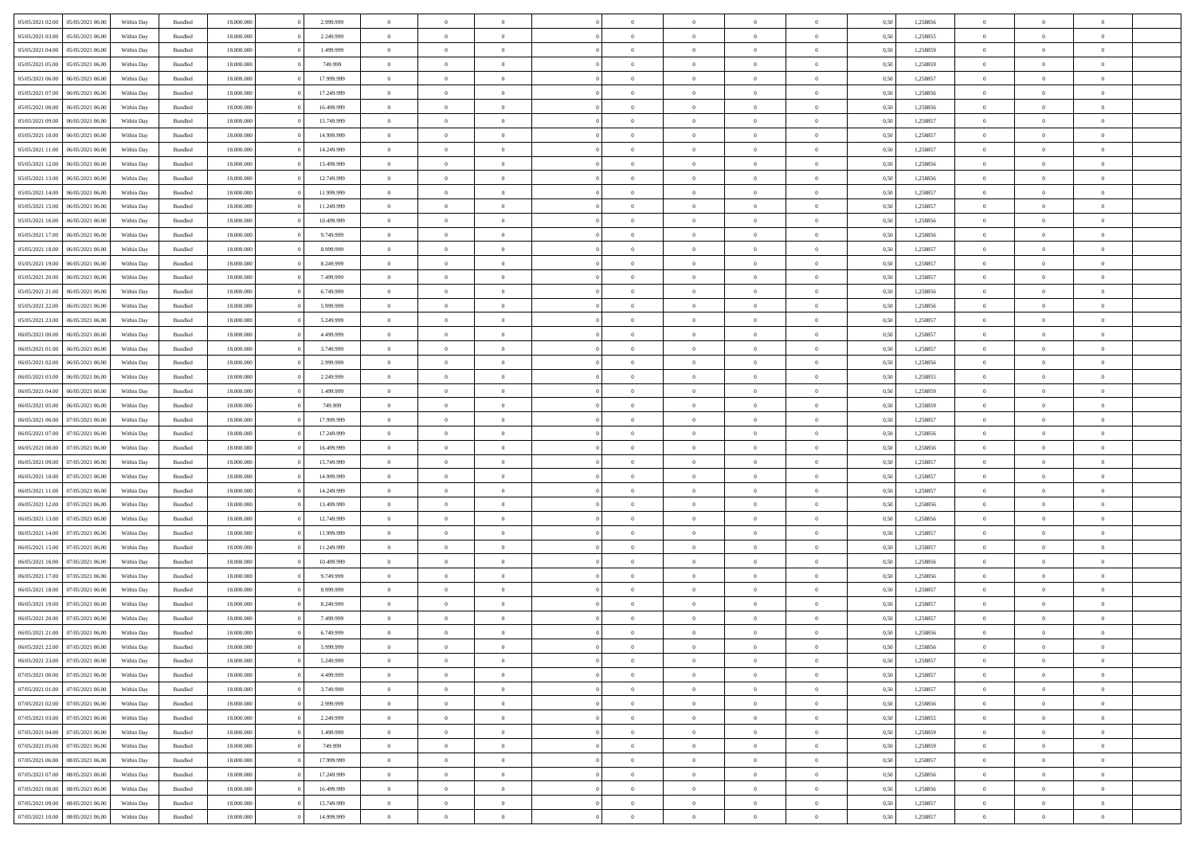| 05/05/2021 02:00                  | 05/05/2021 06:00 | Within Day | Bundled            | 18.000.000 | 2.999.999  | $\overline{0}$ | $\theta$       |                | $\Omega$       | $\Omega$       | $\Omega$       | $\theta$       | 0.50 | 1,258856 | $\theta$       | $\theta$       | $\theta$       |  |
|-----------------------------------|------------------|------------|--------------------|------------|------------|----------------|----------------|----------------|----------------|----------------|----------------|----------------|------|----------|----------------|----------------|----------------|--|
| 05/05/2021 03:00                  | 05/05/2021 06:00 | Within Day | Bundled            | 18.000.000 | 2.249.999  | $\overline{0}$ | $\theta$       | $\overline{0}$ | $\overline{0}$ | $\bf{0}$       | $\overline{0}$ | $\overline{0}$ | 0,50 | 1,258855 | $\theta$       | $\theta$       | $\overline{0}$ |  |
| 05/05/2021 04:00                  | 05/05/2021 06:00 | Within Day | Bundled            | 18.000.000 | 1.499.999  | $\overline{0}$ | $\overline{0}$ | $\overline{0}$ | $\bf{0}$       | $\bf{0}$       | $\bf{0}$       | $\bf{0}$       | 0,50 | 1,258859 | $\overline{0}$ | $\overline{0}$ | $\overline{0}$ |  |
| 05/05/2021 05:00                  | 05/05/2021 06:00 | Within Dav | Bundled            | 18.000.000 | 749,999    | $\overline{0}$ | $\theta$       | $\overline{0}$ | $\overline{0}$ | $\bf{0}$       | $\overline{0}$ | $\overline{0}$ | 0.50 | 1.258859 | $\theta$       | $\theta$       | $\overline{0}$ |  |
| 05/05/2021 06:00                  | 06/05/2021 06:00 | Within Day | Bundled            | 18.000.000 | 17.999.999 | $\overline{0}$ | $\theta$       | $\overline{0}$ | $\overline{0}$ | $\bf{0}$       | $\overline{0}$ | $\bf{0}$       | 0,50 | 1,258857 | $\theta$       | $\theta$       | $\overline{0}$ |  |
|                                   |                  |            |                    |            |            |                |                |                |                |                |                |                |      |          |                |                |                |  |
| 05/05/2021 07:00                  | 06/05/2021 06:00 | Within Day | Bundled            | 18.000.000 | 17.249.999 | $\overline{0}$ | $\bf{0}$       | $\overline{0}$ | $\bf{0}$       | $\overline{0}$ | $\overline{0}$ | $\mathbf{0}$   | 0,50 | 1,258856 | $\overline{0}$ | $\overline{0}$ | $\bf{0}$       |  |
| 05/05/2021 08:00                  | 06/05/2021 06:00 | Within Dav | Bundled            | 18.000.000 | 16.499.999 | $\overline{0}$ | $\overline{0}$ | $\overline{0}$ | $\overline{0}$ | $\bf{0}$       | $\overline{0}$ | $\overline{0}$ | 0.50 | 1,258856 | $\theta$       | $\theta$       | $\overline{0}$ |  |
| 05/05/2021 09:00                  | 06/05/2021 06:00 | Within Day | Bundled            | 18.000.000 | 15.749.999 | $\overline{0}$ | $\theta$       | $\overline{0}$ | $\overline{0}$ | $\bf{0}$       | $\overline{0}$ | $\bf{0}$       | 0,50 | 1,258857 | $\theta$       | $\theta$       | $\overline{0}$ |  |
| 05/05/2021 10:00                  | 06/05/2021 06:00 | Within Day | Bundled            | 18.000.000 | 14.999.999 | $\overline{0}$ | $\overline{0}$ | $\overline{0}$ | $\bf{0}$       | $\bf{0}$       | $\bf{0}$       | $\bf{0}$       | 0,50 | 1,258857 | $\,0\,$        | $\overline{0}$ | $\overline{0}$ |  |
| 05/05/2021 11:00                  | 06/05/2021 06:00 | Within Dav | Bundled            | 18.000.000 | 14.249.999 | $\overline{0}$ | $\overline{0}$ | $\overline{0}$ | $\overline{0}$ | $\overline{0}$ | $\overline{0}$ | $\overline{0}$ | 0.50 | 1,258857 | $\theta$       | $\overline{0}$ | $\overline{0}$ |  |
|                                   |                  |            |                    |            |            |                |                |                |                |                |                |                |      |          |                |                |                |  |
| 05/05/2021 12:00                  | 06/05/2021 06:00 | Within Day | Bundled            | 18.000.000 | 13.499.999 | $\overline{0}$ | $\theta$       | $\overline{0}$ | $\overline{0}$ | $\bf{0}$       | $\overline{0}$ | $\bf{0}$       | 0,50 | 1,258856 | $\theta$       | $\theta$       | $\overline{0}$ |  |
| 05/05/2021 13:00                  | 06/05/2021 06:00 | Within Day | Bundled            | 18.000.000 | 12.749.999 | $\overline{0}$ | $\overline{0}$ | $\overline{0}$ | $\bf{0}$       | $\bf{0}$       | $\bf{0}$       | $\bf{0}$       | 0,50 | 1,258856 | $\bf{0}$       | $\overline{0}$ | $\overline{0}$ |  |
| 05/05/2021 14:00                  | 06/05/2021 06:00 | Within Dav | Bundled            | 18.000.000 | 11.999.999 | $\overline{0}$ | $\theta$       | $\overline{0}$ | $\overline{0}$ | $\bf{0}$       | $\overline{0}$ | $\overline{0}$ | 0.50 | 1.258857 | $\theta$       | $\theta$       | $\overline{0}$ |  |
| 05/05/2021 15:00                  | 06/05/2021 06:00 | Within Day | Bundled            | 18.000.000 | 11.249.999 | $\overline{0}$ | $\theta$       | $\overline{0}$ | $\overline{0}$ | $\bf{0}$       | $\overline{0}$ | $\overline{0}$ | 0,50 | 1,258857 | $\theta$       | $\theta$       | $\overline{0}$ |  |
| 05/05/2021 16:00                  | 06/05/2021 06:00 | Within Day | Bundled            | 18.000.000 | 10.499.999 | $\overline{0}$ | $\overline{0}$ | $\overline{0}$ | $\bf{0}$       | $\overline{0}$ | $\overline{0}$ | $\mathbf{0}$   | 0,50 | 1,258856 | $\overline{0}$ | $\overline{0}$ | $\bf{0}$       |  |
|                                   |                  |            |                    |            |            |                |                |                |                |                |                |                |      |          |                |                |                |  |
| 05/05/2021 17:00                  | 06/05/2021 06:00 | Within Dav | Bundled            | 18.000.000 | 9.749.999  | $\overline{0}$ | $\overline{0}$ | $\overline{0}$ | $\overline{0}$ | $\overline{0}$ | $\overline{0}$ | $\overline{0}$ | 0.50 | 1.258856 | $\theta$       | $\overline{0}$ | $\overline{0}$ |  |
| 05/05/2021 18:00                  | 06/05/2021 06:00 | Within Day | Bundled            | 18.000.000 | 8.999.999  | $\overline{0}$ | $\theta$       | $\overline{0}$ | $\overline{0}$ | $\bf{0}$       | $\overline{0}$ | $\bf{0}$       | 0,50 | 1,258857 | $\theta$       | $\theta$       | $\overline{0}$ |  |
| 05/05/2021 19:00                  | 06/05/2021 06:00 | Within Day | Bundled            | 18.000.000 | 8.249.999  | $\overline{0}$ | $\overline{0}$ | $\overline{0}$ | $\bf{0}$       | $\bf{0}$       | $\bf{0}$       | $\bf{0}$       | 0,50 | 1,258857 | $\,0\,$        | $\overline{0}$ | $\overline{0}$ |  |
| 05/05/2021 20:00                  | 06/05/2021 06:00 | Within Dav | Bundled            | 18.000.000 | 7.499.999  | $\overline{0}$ | $\overline{0}$ | $\overline{0}$ | $\overline{0}$ | $\overline{0}$ | $\overline{0}$ | $\overline{0}$ | 0.50 | 1,258857 | $\theta$       | $\overline{0}$ | $\overline{0}$ |  |
| 05/05/2021 21:00                  | 06/05/2021 06:00 | Within Day | Bundled            | 18.000.000 | 6.749.999  | $\overline{0}$ | $\theta$       | $\overline{0}$ | $\overline{0}$ | $\bf{0}$       | $\overline{0}$ | $\bf{0}$       | 0,50 | 1,258856 | $\theta$       | $\theta$       | $\overline{0}$ |  |
|                                   |                  |            |                    |            |            |                | $\overline{0}$ |                |                | $\bf{0}$       |                |                |      |          | $\,0\,$        | $\overline{0}$ | $\overline{0}$ |  |
| 05/05/2021 22.00                  | 06/05/2021 06:00 | Within Day | Bundled            | 18.000.000 | 5.999.999  | $\overline{0}$ |                | $\overline{0}$ | $\bf{0}$       |                | $\bf{0}$       | $\bf{0}$       | 0,50 | 1,258856 |                |                |                |  |
| 05/05/2021 23:00                  | 06/05/2021 06:00 | Within Day | Bundled            | 18.000.000 | 5.249.999  | $\overline{0}$ | $\overline{0}$ | $\overline{0}$ | $\overline{0}$ | $\bf{0}$       | $\overline{0}$ | $\overline{0}$ | 0.50 | 1.258857 | $\theta$       | $\theta$       | $\overline{0}$ |  |
| 06/05/2021 00:00                  | 06/05/2021 06:00 | Within Day | Bundled            | 18.000.000 | 4.499.999  | $\overline{0}$ | $\theta$       | $\overline{0}$ | $\overline{0}$ | $\bf{0}$       | $\overline{0}$ | $\bf{0}$       | 0,50 | 1,258857 | $\theta$       | $\overline{0}$ | $\overline{0}$ |  |
| 06/05/2021 01:00                  | 06/05/2021 06:00 | Within Day | Bundled            | 18.000.000 | 3.749.999  | $\overline{0}$ | $\bf{0}$       | $\overline{0}$ | $\bf{0}$       | $\overline{0}$ | $\bf{0}$       | $\mathbf{0}$   | 0,50 | 1,258857 | $\overline{0}$ | $\overline{0}$ | $\bf{0}$       |  |
| 06/05/2021 02:00                  | 06/05/2021 06:00 | Within Dav | Bundled            | 18.000.000 | 2.999.999  | $\overline{0}$ | $\overline{0}$ | $\overline{0}$ | $\overline{0}$ | $\overline{0}$ | $\overline{0}$ | $\overline{0}$ | 0.50 | 1.258856 | $\theta$       | $\theta$       | $\overline{0}$ |  |
| 06/05/2021 03:00                  | 06/05/2021 06:00 | Within Day | Bundled            | 18.000.000 | 2.249.999  | $\overline{0}$ | $\theta$       | $\overline{0}$ | $\overline{0}$ | $\bf{0}$       | $\overline{0}$ | $\bf{0}$       | 0,50 | 1,258855 | $\theta$       | $\theta$       | $\overline{0}$ |  |
|                                   |                  |            |                    |            |            |                | $\overline{0}$ |                |                | $\bf{0}$       |                |                |      |          | $\,0\,$        | $\overline{0}$ | $\overline{0}$ |  |
| 06/05/2021 04:00                  | 06/05/2021 06:00 | Within Day | Bundled            | 18.000.000 | 1.499.999  | $\overline{0}$ |                | $\overline{0}$ | $\bf{0}$       |                | $\bf{0}$       | $\bf{0}$       | 0,50 | 1,258859 |                |                |                |  |
| 06/05/2021 05:00                  | 06/05/2021 06:00 | Within Day | Bundled            | 18.000.000 | 749.999    | $\overline{0}$ | $\overline{0}$ | $\overline{0}$ | $\overline{0}$ | $\overline{0}$ | $\overline{0}$ | $\overline{0}$ | 0.50 | 1,258859 | $\theta$       | $\theta$       | $\overline{0}$ |  |
| 06/05/2021 06:00                  | 07/05/2021 06:00 | Within Day | Bundled            | 18.000.000 | 17.999.999 | $\overline{0}$ | $\theta$       | $\overline{0}$ | $\overline{0}$ | $\bf{0}$       | $\overline{0}$ | $\bf{0}$       | 0,50 | 1,258857 | $\,$ 0 $\,$    | $\theta$       | $\overline{0}$ |  |
| 06/05/2021 07:00                  | 07/05/2021 06:00 | Within Day | Bundled            | 18.000.000 | 17.249.999 | $\overline{0}$ | $\overline{0}$ | $\overline{0}$ | $\bf{0}$       | $\bf{0}$       | $\bf{0}$       | $\bf{0}$       | 0,50 | 1,258856 | $\overline{0}$ | $\overline{0}$ | $\overline{0}$ |  |
| 06/05/2021 08:00                  | 07/05/2021 06:00 | Within Day | Bundled            | 18.000.000 | 16.499.999 | $\overline{0}$ | $\Omega$       | $\Omega$       | $\Omega$       | $\Omega$       | $\Omega$       | $\overline{0}$ | 0.50 | 1,258856 | $\,0\,$        | $\theta$       | $\theta$       |  |
| 06/05/2021 09:00                  | 07/05/2021 06.00 | Within Day | Bundled            | 18.000.000 | 15.749.999 | $\overline{0}$ | $\theta$       | $\overline{0}$ | $\overline{0}$ | $\bf{0}$       | $\overline{0}$ | $\bf{0}$       | 0,50 | 1,258857 | $\theta$       | $\theta$       | $\overline{0}$ |  |
| 06/05/2021 10:00                  | 07/05/2021 06:00 | Within Day | Bundled            | 18.000.000 | 14.999.999 | $\overline{0}$ | $\bf{0}$       | $\overline{0}$ | $\bf{0}$       | $\bf{0}$       | $\overline{0}$ | $\mathbf{0}$   | 0,50 | 1,258857 | $\overline{0}$ | $\overline{0}$ | $\bf{0}$       |  |
|                                   |                  |            |                    |            |            |                |                |                |                |                |                |                |      |          |                |                |                |  |
| 06/05/2021 11:00                  | 07/05/2021 06:00 | Within Day | Bundled            | 18,000,000 | 14.249.999 | $\overline{0}$ | $\Omega$       | $\Omega$       | $\Omega$       | $\Omega$       | $\Omega$       | $\overline{0}$ | 0.50 | 1,258857 | $\theta$       | $\theta$       | $\theta$       |  |
| 06/05/2021 12:00                  | 07/05/2021 06:00 | Within Day | Bundled            | 18.000.000 | 13.499.999 | $\overline{0}$ | $\theta$       | $\overline{0}$ | $\overline{0}$ | $\bf{0}$       | $\overline{0}$ | $\bf{0}$       | 0,50 | 1,258856 | $\theta$       | $\theta$       | $\overline{0}$ |  |
| 06/05/2021 13:00                  | 07/05/2021 06:00 | Within Day | Bundled            | 18.000.000 | 12.749.999 | $\overline{0}$ | $\overline{0}$ | $\overline{0}$ | $\bf{0}$       | $\bf{0}$       | $\bf{0}$       | $\bf{0}$       | 0,50 | 1,258856 | $\,0\,$        | $\overline{0}$ | $\overline{0}$ |  |
| 06/05/2021 14:00                  | 07/05/2021 06:00 | Within Day | Bundled            | 18,000,000 | 11.999.999 | $\overline{0}$ | $\Omega$       | $\Omega$       | $\Omega$       | $\Omega$       | $\theta$       | $\overline{0}$ | 0.50 | 1,258857 | $\theta$       | $\theta$       | $\theta$       |  |
| 06/05/2021 15:00                  | 07/05/2021 06:00 | Within Day | Bundled            | 18.000.000 | 11.249.999 | $\overline{0}$ | $\theta$       | $\overline{0}$ | $\overline{0}$ | $\bf{0}$       | $\overline{0}$ | $\bf{0}$       | 0,50 | 1,258857 | $\,$ 0 $\,$    | $\theta$       | $\overline{0}$ |  |
|                                   |                  |            |                    |            |            |                |                |                |                |                |                |                |      |          |                |                |                |  |
| 06/05/2021 16:00                  | 07/05/2021 06:00 | Within Day | Bundled            | 18.000.000 | 10.499.999 | $\overline{0}$ | $\overline{0}$ | $\overline{0}$ | $\bf{0}$       | $\bf{0}$       | $\bf{0}$       | $\bf{0}$       | 0,50 | 1,258856 | $\bf{0}$       | $\overline{0}$ | $\overline{0}$ |  |
| 06/05/2021 17:00                  | 07/05/2021 06:00 | Within Day | Bundled            | 18.000.000 | 9.749.999  | $\overline{0}$ | $\Omega$       | $\Omega$       | $\Omega$       | $\Omega$       | $\overline{0}$ | $\overline{0}$ | 0.50 | 1,258856 | $\,0\,$        | $\theta$       | $\theta$       |  |
| 06/05/2021 18:00                  | 07/05/2021 06:00 | Within Day | Bundled            | 18.000.000 | 8.999.999  | $\overline{0}$ | $\theta$       | $\overline{0}$ | $\overline{0}$ | $\bf{0}$       | $\overline{0}$ | $\bf{0}$       | 0,50 | 1,258857 | $\,$ 0 $\,$    | $\theta$       | $\overline{0}$ |  |
| 06/05/2021 19:00                  | 07/05/2021 06:00 | Within Day | Bundled            | 18.000.000 | 8.249.999  | $\overline{0}$ | $\overline{0}$ | $\overline{0}$ | $\bf{0}$       | $\bf{0}$       | $\bf{0}$       | $\mathbf{0}$   | 0,50 | 1,258857 | $\overline{0}$ | $\overline{0}$ | $\bf{0}$       |  |
| 06/05/2021 20:00                  | 07/05/2021 06:00 | Within Day | Bundled            | 18,000,000 | 7.499.999  | $\overline{0}$ | $\Omega$       | $\Omega$       | $\Omega$       | $\Omega$       | $\Omega$       | $\overline{0}$ | 0.50 | 1,258857 | $\theta$       | $\Omega$       | $\theta$       |  |
| 06/05/2021 21:00                  | 07/05/2021 06:00 | Within Day | Bundled            | 18.000.000 | 6.749.999  | $\overline{0}$ | $\overline{0}$ | $\overline{0}$ | $\bf{0}$       | $\,$ 0         | $\bf{0}$       | $\bf{0}$       | 0,50 | 1,258856 | $\,0\,$        | $\,$ 0 $\,$    | $\overline{0}$ |  |
| 06/05/2021 22:00 07/05/2021 06:00 |                  | Within Day | $\mathbf B$ undled | 18.000.000 | 5.999.999  | $\bf{0}$       | $\bf{0}$       |                |                | $\bf{0}$       |                |                | 0,50 | 1,258856 | $\bf{0}$       | $\overline{0}$ |                |  |
|                                   |                  |            |                    |            |            |                |                |                |                |                |                |                |      |          |                |                |                |  |
| 06/05/2021 23:00                  | 07/05/2021 06:00 | Within Day | Bundled            | 18,000,000 | 5.249.999  | $\overline{0}$ | $\overline{0}$ | $\overline{0}$ | $\Omega$       | $\overline{0}$ | $\overline{0}$ | $\overline{0}$ | 0.50 | 1,258857 | $\theta$       | $\theta$       | $\theta$       |  |
| 07/05/2021 00:00                  | 07/05/2021 06:00 | Within Day | Bundled            | 18.000.000 | 4.499.999  | $\overline{0}$ | $\,$ 0         | $\overline{0}$ | $\bf{0}$       | $\,$ 0 $\,$    | $\overline{0}$ | $\mathbf{0}$   | 0,50 | 1,258857 | $\,$ 0 $\,$    | $\,$ 0 $\,$    | $\,$ 0         |  |
| 07/05/2021 01:00                  | 07/05/2021 06:00 | Within Day | Bundled            | 18.000.000 | 3.749.999  | $\overline{0}$ | $\overline{0}$ | $\overline{0}$ | $\overline{0}$ | $\overline{0}$ | $\overline{0}$ | $\mathbf{0}$   | 0,50 | 1,258857 | $\overline{0}$ | $\bf{0}$       | $\bf{0}$       |  |
| 07/05/2021 02:00                  | 07/05/2021 06:00 | Within Day | Bundled            | 18,000,000 | 2.999.999  | $\overline{0}$ | $\overline{0}$ | $\overline{0}$ | $\Omega$       | $\overline{0}$ | $\overline{0}$ | $\overline{0}$ | 0,50 | 1,258856 | $\overline{0}$ | $\theta$       | $\overline{0}$ |  |
| 07/05/2021 03:00                  | 07/05/2021 06:00 | Within Day | Bundled            | 18.000.000 | 2.249.999  | $\overline{0}$ | $\,$ 0         | $\overline{0}$ | $\overline{0}$ | $\,$ 0 $\,$    | $\overline{0}$ | $\mathbf{0}$   | 0,50 | 1,258855 | $\,$ 0 $\,$    | $\overline{0}$ | $\overline{0}$ |  |
| 07/05/2021 04:00                  | 07/05/2021 06:00 | Within Day | Bundled            | 18.000.000 | 1.499.999  | $\overline{0}$ | $\overline{0}$ | $\overline{0}$ | $\overline{0}$ | $\overline{0}$ | $\overline{0}$ | $\mathbf{0}$   | 0,50 | 1,258859 | $\overline{0}$ | $\overline{0}$ | $\bf{0}$       |  |
|                                   |                  |            |                    |            |            |                |                |                |                |                |                |                |      |          |                |                |                |  |
| 07/05/2021 05:00                  | 07/05/2021 06:00 | Within Day | Bundled            | 18,000,000 | 749.999    | $\overline{0}$ | $\overline{0}$ | $\overline{0}$ | $\Omega$       | $\overline{0}$ | $\overline{0}$ | $\bf{0}$       | 0.50 | 1,258859 | $\overline{0}$ | $\theta$       | $\overline{0}$ |  |
| 07/05/2021 06:00                  | 08/05/2021 06:00 | Within Day | Bundled            | 18.000.000 | 17.999.999 | $\overline{0}$ | $\,$ 0         | $\overline{0}$ | $\bf{0}$       | $\bf{0}$       | $\bf{0}$       | $\bf{0}$       | 0,50 | 1,258857 | $\,$ 0 $\,$    | $\overline{0}$ | $\overline{0}$ |  |
| 07/05/2021 07:00                  | 08/05/2021 06:00 | Within Day | Bundled            | 18.000.000 | 17.249.999 | $\overline{0}$ | $\bf{0}$       | $\overline{0}$ | $\overline{0}$ | $\overline{0}$ | $\overline{0}$ | $\mathbf{0}$   | 0,50 | 1,258856 | $\overline{0}$ | $\overline{0}$ | $\bf{0}$       |  |
| 07/05/2021 08:00                  | 08/05/2021 06:00 | Within Day | Bundled            | 18,000,000 | 16.499.999 | $\overline{0}$ | $\overline{0}$ | $\overline{0}$ | $\Omega$       | $\overline{0}$ | $\overline{0}$ | $\overline{0}$ | 0.50 | 1,258856 | $\overline{0}$ | $\overline{0}$ | $\overline{0}$ |  |
| 07/05/2021 09:00                  | 08/05/2021 06:00 | Within Day | Bundled            | 18.000.000 | 15.749.999 | $\overline{0}$ | $\,$ 0 $\,$    | $\overline{0}$ | $\overline{0}$ | $\bf{0}$       | $\bf{0}$       | $\bf{0}$       | 0,50 | 1,258857 | $\,$ 0 $\,$    | $\,$ 0 $\,$    | $\bf{0}$       |  |
| 07/05/2021 10:00                  | 08/05/2021 06:00 | Within Day | Bundled            | 18.000.000 | 14.999.999 | $\overline{0}$ | $\bf{0}$       | $\overline{0}$ | $\bf{0}$       | $\bf{0}$       | $\bf{0}$       | $\bf{0}$       | 0,50 | 1,258857 | $\overline{0}$ | $\overline{0}$ | $\bf{0}$       |  |
|                                   |                  |            |                    |            |            |                |                |                |                |                |                |                |      |          |                |                |                |  |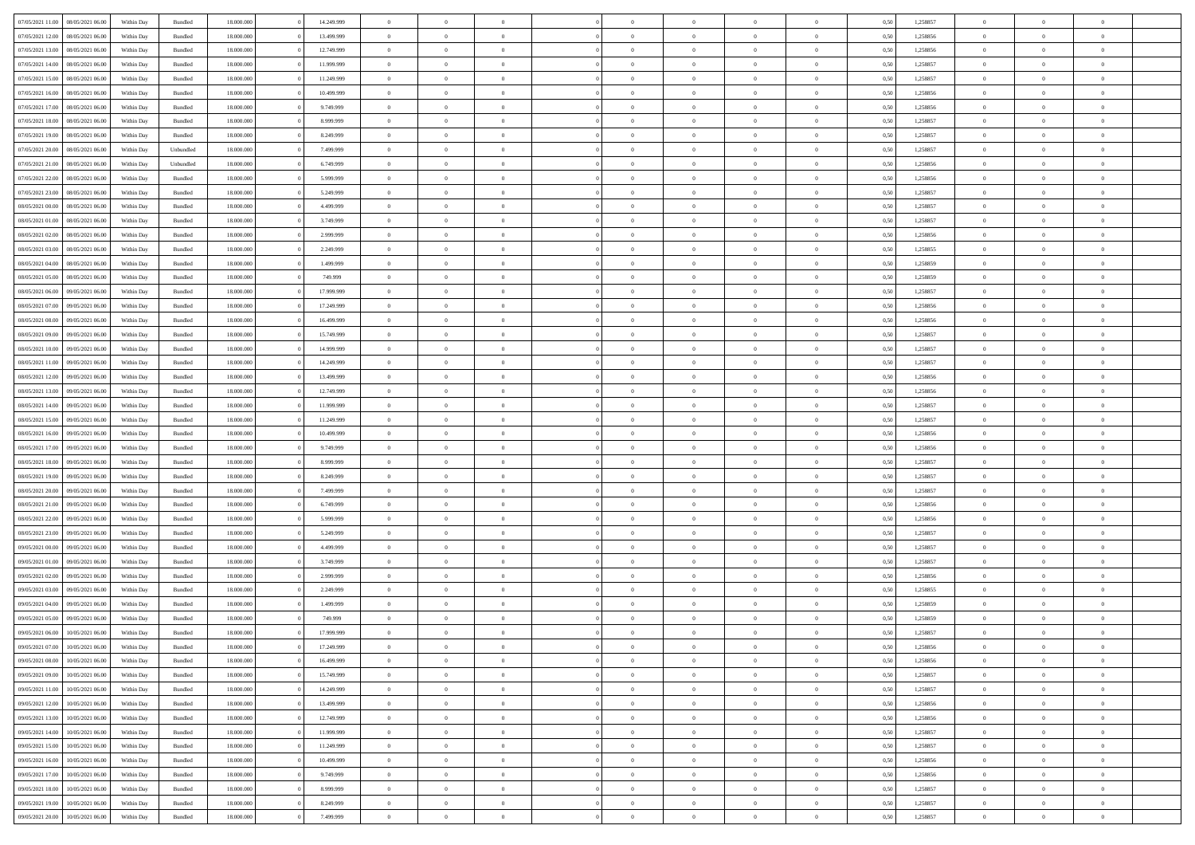| 07/05/2021 11:00 | 08/05/2021 06:00 | Within Day | Bundled            | 18.000.000 | 14.249.999 | $\overline{0}$ | $\theta$       |                | $\Omega$       | $\Omega$       | $\Omega$       | $\theta$       | 0.50 | 1,258857 | $\theta$       | $\theta$       | $\theta$       |  |
|------------------|------------------|------------|--------------------|------------|------------|----------------|----------------|----------------|----------------|----------------|----------------|----------------|------|----------|----------------|----------------|----------------|--|
| 07/05/2021 12:00 | 08/05/2021 06:00 | Within Day | Bundled            | 18.000.000 | 13.499.999 | $\overline{0}$ | $\theta$       | $\overline{0}$ | $\overline{0}$ | $\bf{0}$       | $\overline{0}$ | $\overline{0}$ | 0,50 | 1,258856 | $\theta$       | $\theta$       | $\overline{0}$ |  |
| 07/05/2021 13:00 | 08/05/2021 06:00 | Within Day | Bundled            | 18.000.000 | 12.749.999 | $\overline{0}$ | $\overline{0}$ | $\overline{0}$ | $\bf{0}$       | $\bf{0}$       | $\bf{0}$       | $\bf{0}$       | 0,50 | 1,258856 | $\bf{0}$       | $\overline{0}$ | $\overline{0}$ |  |
| 07/05/2021 14:00 | 08/05/2021 06:00 | Within Dav | Bundled            | 18.000.000 | 11.999.999 | $\overline{0}$ | $\overline{0}$ | $\overline{0}$ | $\overline{0}$ | $\bf{0}$       | $\overline{0}$ | $\overline{0}$ | 0.50 | 1.258857 | $\theta$       | $\theta$       | $\overline{0}$ |  |
| 07/05/2021 15:00 | 08/05/2021 06:00 | Within Day | Bundled            | 18.000.000 | 11.249.999 | $\overline{0}$ | $\theta$       | $\overline{0}$ | $\overline{0}$ | $\bf{0}$       | $\overline{0}$ | $\bf{0}$       | 0,50 | 1,258857 | $\theta$       | $\theta$       | $\overline{0}$ |  |
|                  |                  |            |                    |            |            |                |                |                |                |                |                |                |      |          |                |                |                |  |
| 07/05/2021 16:00 | 08/05/2021 06:00 | Within Day | Bundled            | 18.000.000 | 10.499.999 | $\overline{0}$ | $\bf{0}$       | $\overline{0}$ | $\bf{0}$       | $\overline{0}$ | $\overline{0}$ | $\mathbf{0}$   | 0,50 | 1,258856 | $\overline{0}$ | $\overline{0}$ | $\bf{0}$       |  |
| 07/05/2021 17:00 | 08/05/2021 06:00 | Within Dav | Bundled            | 18.000.000 | 9.749.999  | $\overline{0}$ | $\overline{0}$ | $\overline{0}$ | $\overline{0}$ | $\bf{0}$       | $\overline{0}$ | $\overline{0}$ | 0.50 | 1,258856 | $\theta$       | $\overline{0}$ | $\overline{0}$ |  |
| 07/05/2021 18:00 | 08/05/2021 06:00 | Within Day | Bundled            | 18.000.000 | 8.999.999  | $\overline{0}$ | $\theta$       | $\overline{0}$ | $\overline{0}$ | $\bf{0}$       | $\overline{0}$ | $\bf{0}$       | 0,50 | 1,258857 | $\theta$       | $\theta$       | $\overline{0}$ |  |
| 07/05/2021 19:00 | 08/05/2021 06:00 | Within Day | Bundled            | 18.000.000 | 8.249.999  | $\overline{0}$ | $\overline{0}$ | $\overline{0}$ | $\bf{0}$       | $\bf{0}$       | $\bf{0}$       | $\bf{0}$       | 0,50 | 1,258857 | $\,0\,$        | $\overline{0}$ | $\overline{0}$ |  |
| 07/05/2021 20:00 | 08/05/2021 06:00 | Within Dav | Unbundled          | 18.000.000 | 7.499.999  | $\overline{0}$ | $\overline{0}$ | $\overline{0}$ | $\overline{0}$ | $\overline{0}$ | $\overline{0}$ | $\overline{0}$ | 0.50 | 1,258857 | $\theta$       | $\overline{0}$ | $\overline{0}$ |  |
| 07/05/2021 21:00 | 08/05/2021 06:00 | Within Day | Unbundled          | 18.000.000 | 6.749.999  | $\overline{0}$ | $\theta$       | $\overline{0}$ | $\overline{0}$ | $\bf{0}$       | $\overline{0}$ | $\bf{0}$       | 0,50 | 1,258856 | $\theta$       | $\theta$       | $\overline{0}$ |  |
|                  |                  |            |                    |            |            |                |                |                |                |                |                |                |      |          |                |                |                |  |
| 07/05/2021 22.00 | 08/05/2021 06:00 | Within Day | Bundled            | 18.000.000 | 5.999.999  | $\overline{0}$ | $\overline{0}$ | $\overline{0}$ | $\overline{0}$ | $\bf{0}$       | $\overline{0}$ | $\bf{0}$       | 0,50 | 1,258856 | $\bf{0}$       | $\overline{0}$ | $\overline{0}$ |  |
| 07/05/2021 23:00 | 08/05/2021 06:00 | Within Dav | Bundled            | 18.000.000 | 5.249.999  | $\overline{0}$ | $\overline{0}$ | $\overline{0}$ | $\overline{0}$ | $\bf{0}$       | $\overline{0}$ | $\overline{0}$ | 0.50 | 1.258857 | $\theta$       | $\theta$       | $\overline{0}$ |  |
| 08/05/2021 00:00 | 08/05/2021 06:00 | Within Day | Bundled            | 18.000.000 | 4.499.999  | $\overline{0}$ | $\theta$       | $\overline{0}$ | $\overline{0}$ | $\bf{0}$       | $\overline{0}$ | $\overline{0}$ | 0,50 | 1,258857 | $\theta$       | $\theta$       | $\overline{0}$ |  |
| 08/05/2021 01:00 | 08/05/2021 06:00 | Within Day | Bundled            | 18.000.000 | 3.749.999  | $\overline{0}$ | $\bf{0}$       | $\overline{0}$ | $\overline{0}$ | $\overline{0}$ | $\overline{0}$ | $\mathbf{0}$   | 0,50 | 1,258857 | $\bf{0}$       | $\overline{0}$ | $\bf{0}$       |  |
| 08/05/2021 02:00 | 08/05/2021 06:00 | Within Dav | Bundled            | 18.000.000 | 2.999.999  | $\overline{0}$ | $\overline{0}$ | $\overline{0}$ | $\overline{0}$ | $\overline{0}$ | $\overline{0}$ | $\overline{0}$ | 0.50 | 1,258856 | $\theta$       | $\overline{0}$ | $\overline{0}$ |  |
| 08/05/2021 03:00 | 08/05/2021 06:00 | Within Day | Bundled            | 18.000.000 | 2.249.999  | $\overline{0}$ | $\theta$       | $\overline{0}$ | $\overline{0}$ | $\bf{0}$       | $\overline{0}$ | $\bf{0}$       | 0,50 | 1,258855 | $\theta$       | $\theta$       | $\overline{0}$ |  |
| 08/05/2021 04:00 | 08/05/2021 06:00 | Within Day | Bundled            | 18.000.000 | 1.499.999  | $\overline{0}$ | $\overline{0}$ | $\overline{0}$ | $\overline{0}$ | $\bf{0}$       | $\overline{0}$ | $\bf{0}$       | 0,50 | 1,258859 | $\,0\,$        | $\overline{0}$ | $\overline{0}$ |  |
| 08/05/2021 05:00 | 08/05/2021 06:00 | Within Dav | Bundled            | 18.000.000 | 749.999    | $\overline{0}$ | $\overline{0}$ | $\overline{0}$ | $\overline{0}$ | $\overline{0}$ | $\overline{0}$ | $\overline{0}$ | 0.50 | 1,258859 | $\theta$       | $\overline{0}$ | $\overline{0}$ |  |
|                  |                  |            |                    |            |            |                |                |                |                |                |                |                |      |          |                |                |                |  |
| 08/05/2021 06:00 | 09/05/2021 06:00 | Within Day | Bundled            | 18.000.000 | 17.999.999 | $\overline{0}$ | $\theta$       | $\overline{0}$ | $\overline{0}$ | $\bf{0}$       | $\overline{0}$ | $\bf{0}$       | 0,50 | 1,258857 | $\theta$       | $\theta$       | $\overline{0}$ |  |
| 08/05/2021 07:00 | 09/05/2021 06:00 | Within Day | Bundled            | 18.000.000 | 17.249.999 | $\overline{0}$ | $\overline{0}$ | $\overline{0}$ | $\overline{0}$ | $\bf{0}$       | $\overline{0}$ | $\bf{0}$       | 0,50 | 1,258856 | $\,0\,$        | $\overline{0}$ | $\overline{0}$ |  |
| 08/05/2021 08:00 | 09/05/2021 06:00 | Within Day | Bundled            | 18.000.000 | 16.499.999 | $\overline{0}$ | $\overline{0}$ | $\overline{0}$ | $\overline{0}$ | $\bf{0}$       | $\overline{0}$ | $\overline{0}$ | 0.50 | 1.258856 | $\theta$       | $\theta$       | $\overline{0}$ |  |
| 08/05/2021 09:00 | 09/05/2021 06:00 | Within Day | Bundled            | 18.000.000 | 15.749.999 | $\overline{0}$ | $\theta$       | $\overline{0}$ | $\overline{0}$ | $\bf{0}$       | $\overline{0}$ | $\bf{0}$       | 0,50 | 1,258857 | $\theta$       | $\overline{0}$ | $\overline{0}$ |  |
| 08/05/2021 10:00 | 09/05/2021 06:00 | Within Day | Bundled            | 18.000.000 | 14.999.999 | $\overline{0}$ | $\bf{0}$       | $\overline{0}$ | $\overline{0}$ | $\overline{0}$ | $\overline{0}$ | $\mathbf{0}$   | 0,50 | 1,258857 | $\bf{0}$       | $\overline{0}$ | $\bf{0}$       |  |
| 08/05/2021 11:00 | 09/05/2021 06:00 | Within Dav | Bundled            | 18.000.000 | 14.249.999 | $\overline{0}$ | $\overline{0}$ | $\overline{0}$ | $\overline{0}$ | $\overline{0}$ | $\overline{0}$ | $\overline{0}$ | 0.50 | 1,258857 | $\theta$       | $\theta$       | $\overline{0}$ |  |
|                  |                  |            |                    |            |            | $\overline{0}$ | $\theta$       | $\overline{0}$ |                | $\bf{0}$       | $\overline{0}$ |                |      |          | $\theta$       | $\theta$       | $\overline{0}$ |  |
| 08/05/2021 12:00 | 09/05/2021 06:00 | Within Day | Bundled            | 18.000.000 | 13.499.999 |                |                |                | $\overline{0}$ |                |                | $\bf{0}$       | 0,50 | 1,258856 |                |                |                |  |
| 08/05/2021 13:00 | 09/05/2021 06:00 | Within Day | Bundled            | 18.000.000 | 12.749.999 | $\overline{0}$ | $\overline{0}$ | $\overline{0}$ | $\overline{0}$ | $\bf{0}$       | $\overline{0}$ | $\bf{0}$       | 0,50 | 1,258856 | $\,0\,$        | $\overline{0}$ | $\overline{0}$ |  |
| 08/05/2021 14:00 | 09/05/2021 06:00 | Within Day | Bundled            | 18.000.000 | 11.999.999 | $\overline{0}$ | $\overline{0}$ | $\overline{0}$ | $\overline{0}$ | $\overline{0}$ | $\overline{0}$ | $\overline{0}$ | 0.50 | 1,258857 | $\theta$       | $\overline{0}$ | $\overline{0}$ |  |
| 08/05/2021 15:00 | 09/05/2021 06:00 | Within Day | Bundled            | 18.000.000 | 11.249.999 | $\overline{0}$ | $\theta$       | $\overline{0}$ | $\overline{0}$ | $\bf{0}$       | $\overline{0}$ | $\bf{0}$       | 0,50 | 1,258857 | $\,$ 0 $\,$    | $\theta$       | $\overline{0}$ |  |
| 08/05/2021 16:00 | 09/05/2021 06:00 | Within Day | Bundled            | 18.000.000 | 10.499.999 | $\overline{0}$ | $\overline{0}$ | $\overline{0}$ | $\overline{0}$ | $\bf{0}$       | $\overline{0}$ | $\bf{0}$       | 0,50 | 1,258856 | $\bf{0}$       | $\overline{0}$ | $\overline{0}$ |  |
| 08/05/2021 17:00 | 09/05/2021 06:00 | Within Day | Bundled            | 18.000.000 | 9.749.999  | $\overline{0}$ | $\Omega$       | $\Omega$       | $\Omega$       | $\Omega$       | $\Omega$       | $\overline{0}$ | 0.50 | 1,258856 | $\,0\,$        | $\theta$       | $\theta$       |  |
| 08/05/2021 18:00 | 09/05/2021 06:00 | Within Day | Bundled            | 18.000.000 | 8.999.999  | $\overline{0}$ | $\theta$       | $\overline{0}$ | $\overline{0}$ | $\bf{0}$       | $\overline{0}$ | $\bf{0}$       | 0,50 | 1,258857 | $\theta$       | $\theta$       | $\overline{0}$ |  |
|                  |                  |            |                    |            |            |                |                |                |                |                |                |                |      |          |                |                |                |  |
| 08/05/2021 19:00 | 09/05/2021 06:00 | Within Day | Bundled            | 18.000.000 | 8.249.999  | $\overline{0}$ | $\overline{0}$ | $\overline{0}$ | $\overline{0}$ | $\bf{0}$       | $\overline{0}$ | $\mathbf{0}$   | 0,50 | 1,258857 | $\bf{0}$       | $\overline{0}$ | $\bf{0}$       |  |
| 08/05/2021 20:00 | 09/05/2021 06:00 | Within Day | Bundled            | 18,000,000 | 7.499.999  | $\overline{0}$ | $\Omega$       | $\Omega$       | $\Omega$       | $\Omega$       | $\Omega$       | $\overline{0}$ | 0.50 | 1,258857 | $\theta$       | $\theta$       | $\theta$       |  |
| 08/05/2021 21:00 | 09/05/2021 06:00 | Within Day | Bundled            | 18.000.000 | 6.749.999  | $\overline{0}$ | $\theta$       | $\overline{0}$ | $\overline{0}$ | $\bf{0}$       | $\overline{0}$ | $\bf{0}$       | 0,50 | 1,258856 | $\theta$       | $\theta$       | $\overline{0}$ |  |
| 08/05/2021 22.00 | 09/05/2021 06:00 | Within Day | Bundled            | 18.000.000 | 5.999.999  | $\overline{0}$ | $\overline{0}$ | $\overline{0}$ | $\overline{0}$ | $\bf{0}$       | $\overline{0}$ | $\bf{0}$       | 0,50 | 1,258856 | $\,0\,$        | $\overline{0}$ | $\overline{0}$ |  |
| 08/05/2021 23:00 | 09/05/2021 06:00 | Within Day | Bundled            | 18,000,000 | 5.249.999  | $\overline{0}$ | $\Omega$       | $\Omega$       | $\Omega$       | $\Omega$       | $\theta$       | $\overline{0}$ | 0.50 | 1,258857 | $\theta$       | $\theta$       | $\theta$       |  |
| 09/05/2021 00:00 | 09/05/2021 06:00 | Within Day | Bundled            | 18.000.000 | 4.499.999  | $\overline{0}$ | $\theta$       | $\overline{0}$ | $\overline{0}$ | $\bf{0}$       | $\overline{0}$ | $\bf{0}$       | 0,50 | 1,258857 | $\,$ 0 $\,$    | $\overline{0}$ | $\overline{0}$ |  |
| 09/05/2021 01:00 | 09/05/2021 06:00 | Within Day | Bundled            | 18.000.000 | 3.749.999  | $\overline{0}$ | $\overline{0}$ | $\overline{0}$ | $\overline{0}$ | $\bf{0}$       | $\overline{0}$ | $\bf{0}$       | 0,50 | 1,258857 | $\bf{0}$       | $\overline{0}$ | $\overline{0}$ |  |
|                  | 09/05/2021 06:00 |            |                    | 18.000.000 | 2.999.999  | $\overline{0}$ | $\Omega$       | $\Omega$       | $\Omega$       | $\Omega$       | $\overline{0}$ | $\overline{0}$ | 0.50 | 1,258856 | $\,0\,$        | $\theta$       | $\theta$       |  |
| 09/05/2021 02:00 |                  | Within Day | Bundled            |            |            |                |                |                |                |                |                |                |      |          |                |                |                |  |
| 09/05/2021 03:00 | 09/05/2021 06:00 | Within Day | Bundled            | 18.000.000 | 2.249.999  | $\overline{0}$ | $\theta$       | $\overline{0}$ | $\overline{0}$ | $\bf{0}$       | $\overline{0}$ | $\bf{0}$       | 0,50 | 1,258855 | $\,$ 0 $\,$    | $\theta$       | $\overline{0}$ |  |
| 09/05/2021 04:00 | 09/05/2021 06:00 | Within Day | Bundled            | 18.000.000 | 1.499.999  | $\overline{0}$ | $\overline{0}$ | $\overline{0}$ | $\overline{0}$ | $\bf{0}$       | $\overline{0}$ | $\mathbf{0}$   | 0,50 | 1,258859 | $\overline{0}$ | $\overline{0}$ | $\bf{0}$       |  |
| 09/05/2021 05:00 | 09/05/2021 06:00 | Within Day | Bundled            | 18,000,000 | 749.999    | $\overline{0}$ | $\Omega$       | $\Omega$       | $\Omega$       | $\Omega$       | $\Omega$       | $\overline{0}$ | 0.50 | 1,258859 | $\theta$       | $\theta$       | $\theta$       |  |
| 09/05/2021 06:00 | 10/05/2021 06:00 | Within Day | Bundled            | 18.000.000 | 17.999.999 | $\overline{0}$ | $\overline{0}$ | $\overline{0}$ | $\bf{0}$       | $\,$ 0         | $\bf{0}$       | $\bf{0}$       | 0,50 | 1,258857 | $\,0\,$        | $\,$ 0 $\,$    | $\overline{0}$ |  |
| 09/05/2021 07:00 | 10/05/2021 06:00 | Within Day | $\mathbf B$ undled | 18.000.000 | 17.249.999 | $\bf{0}$       | $\bf{0}$       |                |                | $\bf{0}$       |                |                | 0,50 | 1,258856 | $\bf{0}$       | $\overline{0}$ |                |  |
| 09/05/2021 08:00 | 10/05/2021 06:00 | Within Day | Bundled            | 18,000,000 | 16.499.999 | $\overline{0}$ | $\Omega$       | $\overline{0}$ | $\Omega$       | $\theta$       | $\overline{0}$ | $\overline{0}$ | 0.50 | 1,258856 | $\theta$       | $\theta$       | $\theta$       |  |
| 09/05/2021 09:00 | 10/05/2021 06:00 | Within Day | Bundled            | 18.000.000 | 15.749.999 | $\overline{0}$ | $\,$ 0         | $\overline{0}$ | $\bf{0}$       | $\,$ 0 $\,$    | $\overline{0}$ | $\mathbf{0}$   | 0,50 | 1,258857 | $\,$ 0 $\,$    | $\overline{0}$ | $\,$ 0         |  |
| 09/05/2021 11:00 | 10/05/2021 06:00 | Within Day | Bundled            | 18.000.000 | 14.249.999 | $\overline{0}$ | $\overline{0}$ | $\overline{0}$ | $\overline{0}$ | $\overline{0}$ | $\overline{0}$ | $\mathbf{0}$   | 0,50 | 1,258857 | $\overline{0}$ | $\bf{0}$       | $\bf{0}$       |  |
|                  |                  |            |                    |            |            |                |                |                |                |                |                |                |      |          |                |                |                |  |
| 09/05/2021 12:00 | 10/05/2021 06:00 | Within Day | Bundled            | 18,000,000 | 13.499.999 | $\overline{0}$ | $\theta$       | $\overline{0}$ | $\Omega$       | $\overline{0}$ | $\overline{0}$ | $\bf{0}$       | 0,50 | 1,258856 | $\overline{0}$ | $\theta$       | $\overline{0}$ |  |
| 09/05/2021 13:00 | 10/05/2021 06:00 | Within Day | Bundled            | 18.000.000 | 12.749.999 | $\overline{0}$ | $\,$ 0         | $\overline{0}$ | $\overline{0}$ | $\overline{0}$ | $\overline{0}$ | $\bf{0}$       | 0,50 | 1,258856 | $\,$ 0 $\,$    | $\overline{0}$ | $\overline{0}$ |  |
| 09/05/2021 14:00 | 10/05/2021 06:00 | Within Day | Bundled            | 18.000.000 | 11.999.999 | $\overline{0}$ | $\overline{0}$ | $\overline{0}$ | $\overline{0}$ | $\overline{0}$ | $\overline{0}$ | $\mathbf{0}$   | 0,50 | 1,258857 | $\overline{0}$ | $\bf{0}$       | $\bf{0}$       |  |
| 09/05/2021 15:00 | 10/05/2021 06:00 | Within Day | Bundled            | 18,000,000 | 11.249.999 | $\overline{0}$ | $\overline{0}$ | $\overline{0}$ | $\Omega$       | $\overline{0}$ | $\overline{0}$ | $\bf{0}$       | 0.50 | 1,258857 | $\overline{0}$ | $\theta$       | $\overline{0}$ |  |
| 09/05/2021 16:00 | 10/05/2021 06:00 | Within Day | Bundled            | 18.000.000 | 10.499.999 | $\overline{0}$ | $\,$ 0         | $\overline{0}$ | $\bf{0}$       | $\bf{0}$       | $\bf{0}$       | $\bf{0}$       | 0,50 | 1,258856 | $\,$ 0 $\,$    | $\overline{0}$ | $\overline{0}$ |  |
| 09/05/2021 17:00 | 10/05/2021 06:00 | Within Day | Bundled            | 18.000.000 | 9.749.999  | $\overline{0}$ | $\bf{0}$       | $\overline{0}$ | $\overline{0}$ | $\overline{0}$ | $\overline{0}$ | $\mathbf{0}$   | 0,50 | 1,258856 | $\overline{0}$ | $\overline{0}$ | $\bf{0}$       |  |
| 09/05/2021 18:00 | 10/05/2021 06:00 | Within Day | Bundled            | 18,000,000 | 8.999.999  | $\overline{0}$ | $\overline{0}$ | $\overline{0}$ | $\Omega$       | $\overline{0}$ | $\overline{0}$ | $\bf{0}$       | 0.50 | 1,258857 | $\overline{0}$ | $\overline{0}$ | $\overline{0}$ |  |
|                  |                  |            |                    |            |            |                |                |                |                |                |                |                |      |          |                |                |                |  |
| 09/05/2021 19:00 | 10/05/2021 06:00 | Within Day | Bundled            | 18.000.000 | 8.249.999  | $\overline{0}$ | $\,$ 0 $\,$    | $\overline{0}$ | $\overline{0}$ | $\bf{0}$       | $\bf{0}$       | $\bf{0}$       | 0,50 | 1,258857 | $\,$ 0 $\,$    | $\overline{0}$ | $\bf{0}$       |  |
| 09/05/2021 20:00 | 10/05/2021 06:00 | Within Day | Bundled            | 18.000.000 | 7.499.999  | $\overline{0}$ | $\bf{0}$       | $\overline{0}$ | $\bf{0}$       | $\bf{0}$       | $\bf{0}$       | $\bf{0}$       | 0,50 | 1,258857 | $\overline{0}$ | $\overline{0}$ | $\bf{0}$       |  |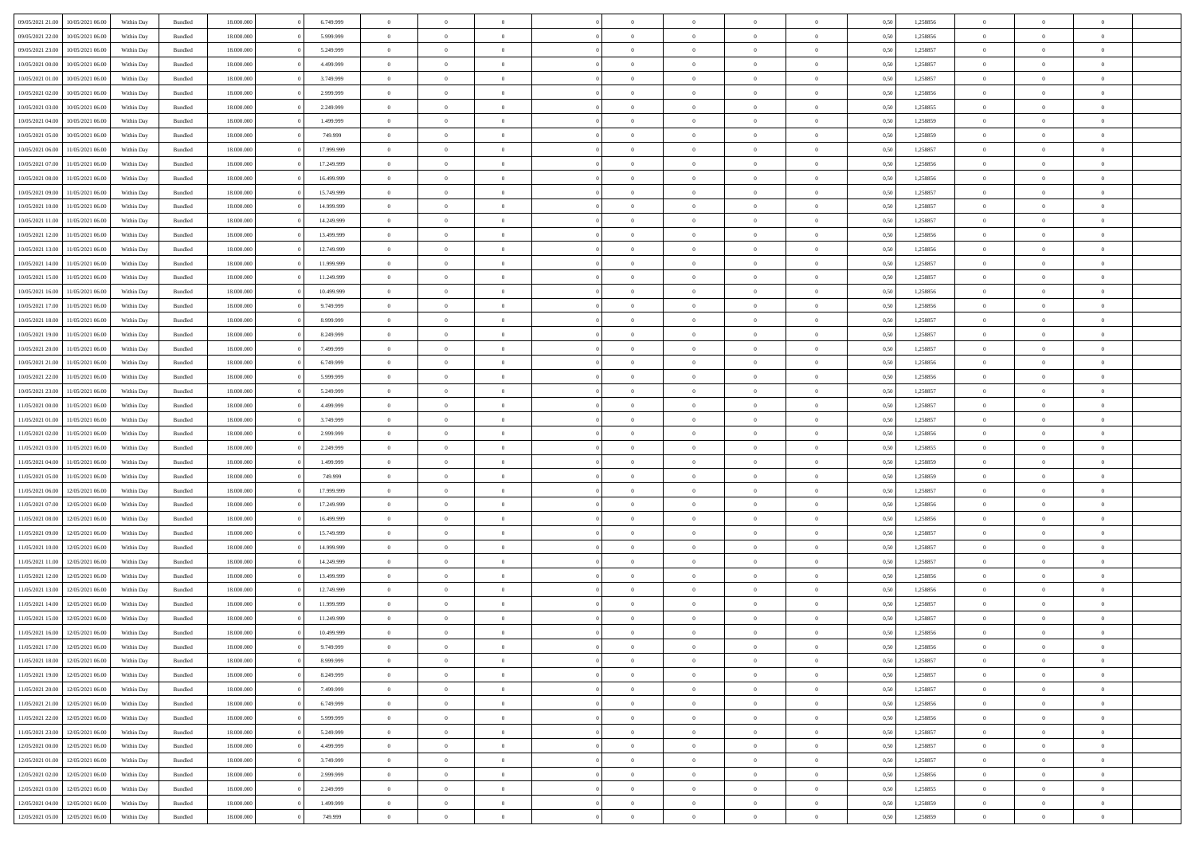|                  |                  |            |                    |            |            | $\overline{0}$ | $\Omega$       |                |                | $\Omega$       | $\Omega$       | $\theta$       |      |          | $\theta$       |                | $\theta$       |  |
|------------------|------------------|------------|--------------------|------------|------------|----------------|----------------|----------------|----------------|----------------|----------------|----------------|------|----------|----------------|----------------|----------------|--|
| 09/05/2021 21:00 | 10/05/2021 06:00 | Within Day | Bundled            | 18.000.000 | 6.749.999  |                |                |                | $\Omega$       |                |                |                | 0.50 | 1,258856 |                | $\theta$       |                |  |
| 09/05/2021 22.00 | 10/05/2021 06:00 | Within Day | Bundled            | 18.000.000 | 5.999.999  | $\overline{0}$ | $\theta$       | $\overline{0}$ | $\overline{0}$ | $\bf{0}$       | $\overline{0}$ | $\overline{0}$ | 0,50 | 1,258856 | $\theta$       | $\overline{0}$ | $\overline{0}$ |  |
| 09/05/2021 23.00 | 10/05/2021 06:00 | Within Day | Bundled            | 18.000.000 | 5.249.999  | $\overline{0}$ | $\overline{0}$ | $\overline{0}$ | $\bf{0}$       | $\bf{0}$       | $\bf{0}$       | $\bf{0}$       | 0,50 | 1,258857 | $\bf{0}$       | $\overline{0}$ | $\overline{0}$ |  |
| 10/05/2021 00:00 | 10/05/2021 06:00 | Within Dav | Bundled            | 18.000.000 | 4.499.999  | $\overline{0}$ | $\theta$       | $\overline{0}$ | $\overline{0}$ | $\bf{0}$       | $\overline{0}$ | $\overline{0}$ | 0.50 | 1.258857 | $\theta$       | $\theta$       | $\overline{0}$ |  |
| 10/05/2021 01:00 | 10/05/2021 06:00 | Within Day | Bundled            | 18.000.000 | 3.749.999  | $\overline{0}$ | $\theta$       | $\overline{0}$ | $\overline{0}$ | $\bf{0}$       | $\overline{0}$ | $\bf{0}$       | 0,50 | 1,258857 | $\theta$       | $\theta$       | $\overline{0}$ |  |
|                  |                  |            |                    |            |            |                |                |                |                |                |                |                |      |          |                |                |                |  |
| 10/05/2021 02:00 | 10/05/2021 06:00 | Within Day | Bundled            | 18.000.000 | 2.999.999  | $\overline{0}$ | $\bf{0}$       | $\overline{0}$ | $\bf{0}$       | $\overline{0}$ | $\overline{0}$ | $\mathbf{0}$   | 0,50 | 1,258856 | $\bf{0}$       | $\overline{0}$ | $\bf{0}$       |  |
| 10/05/2021 03:00 | 10/05/2021 06:00 | Within Dav | Bundled            | 18.000.000 | 2.249.999  | $\overline{0}$ | $\overline{0}$ | $\overline{0}$ | $\overline{0}$ | $\bf{0}$       | $\overline{0}$ | $\overline{0}$ | 0.50 | 1,258855 | $\theta$       | $\theta$       | $\overline{0}$ |  |
| 10/05/2021 04:00 | 10/05/2021 06:00 | Within Day | Bundled            | 18.000.000 | 1.499.999  | $\overline{0}$ | $\theta$       | $\overline{0}$ | $\overline{0}$ | $\bf{0}$       | $\overline{0}$ | $\bf{0}$       | 0,50 | 1,258859 | $\theta$       | $\theta$       | $\overline{0}$ |  |
| 10/05/2021 05:00 | 10/05/2021 06:00 | Within Day | Bundled            | 18.000.000 | 749.999    | $\overline{0}$ | $\overline{0}$ | $\overline{0}$ | $\bf{0}$       | $\bf{0}$       | $\bf{0}$       | $\bf{0}$       | 0,50 | 1,258859 | $\,0\,$        | $\overline{0}$ | $\overline{0}$ |  |
| 10/05/2021 06:00 | 11/05/2021 06:00 | Within Dav | Bundled            | 18.000.000 | 17.999.999 | $\overline{0}$ | $\overline{0}$ | $\overline{0}$ | $\overline{0}$ | $\overline{0}$ | $\overline{0}$ | $\overline{0}$ | 0.50 | 1,258857 | $\theta$       | $\overline{0}$ | $\overline{0}$ |  |
| 10/05/2021 07:00 | 11/05/2021 06:00 | Within Day | Bundled            | 18.000.000 | 17.249.999 | $\overline{0}$ | $\theta$       | $\overline{0}$ | $\overline{0}$ | $\bf{0}$       | $\overline{0}$ | $\bf{0}$       | 0,50 | 1,258856 | $\theta$       | $\theta$       | $\overline{0}$ |  |
| 10/05/2021 08:00 | 11/05/2021 06:00 | Within Day | Bundled            | 18.000.000 | 16.499.999 | $\overline{0}$ | $\overline{0}$ | $\overline{0}$ | $\overline{0}$ | $\bf{0}$       | $\overline{0}$ | $\bf{0}$       | 0,50 | 1,258856 | $\bf{0}$       | $\overline{0}$ | $\overline{0}$ |  |
|                  |                  |            |                    |            |            |                |                |                |                |                |                |                |      |          |                |                |                |  |
| 10/05/2021 09:00 | 11/05/2021 06:00 | Within Dav | Bundled            | 18.000.000 | 15.749.999 | $\overline{0}$ | $\theta$       | $\overline{0}$ | $\overline{0}$ | $\bf{0}$       | $\overline{0}$ | $\overline{0}$ | 0.50 | 1.258857 | $\theta$       | $\theta$       | $\overline{0}$ |  |
| 10/05/2021 10:00 | 11/05/2021 06:00 | Within Day | Bundled            | 18.000.000 | 14.999.999 | $\overline{0}$ | $\theta$       | $\overline{0}$ | $\overline{0}$ | $\bf{0}$       | $\overline{0}$ | $\overline{0}$ | 0,50 | 1,258857 | $\theta$       | $\theta$       | $\overline{0}$ |  |
| 10/05/2021 11:00 | 11/05/2021 06:00 | Within Day | Bundled            | 18.000.000 | 14.249.999 | $\overline{0}$ | $\overline{0}$ | $\overline{0}$ | $\overline{0}$ | $\overline{0}$ | $\overline{0}$ | $\mathbf{0}$   | 0,50 | 1,258857 | $\overline{0}$ | $\overline{0}$ | $\bf{0}$       |  |
| 10/05/2021 12:00 | 11/05/2021 06:00 | Within Dav | Bundled            | 18.000.000 | 13.499.999 | $\overline{0}$ | $\overline{0}$ | $\overline{0}$ | $\overline{0}$ | $\bf{0}$       | $\overline{0}$ | $\overline{0}$ | 0.50 | 1,258856 | $\theta$       | $\overline{0}$ | $\overline{0}$ |  |
| 10/05/2021 13:00 | 11/05/2021 06:00 | Within Day | Bundled            | 18.000.000 | 12.749.999 | $\overline{0}$ | $\theta$       | $\overline{0}$ | $\overline{0}$ | $\bf{0}$       | $\overline{0}$ | $\bf{0}$       | 0,50 | 1,258856 | $\theta$       | $\theta$       | $\overline{0}$ |  |
| 10/05/2021 14:00 | 11/05/2021 06:00 | Within Day | Bundled            | 18.000.000 | 11.999.999 | $\overline{0}$ | $\overline{0}$ | $\overline{0}$ | $\overline{0}$ | $\bf{0}$       | $\overline{0}$ | $\bf{0}$       | 0,50 | 1,258857 | $\,0\,$        | $\overline{0}$ | $\overline{0}$ |  |
| 10/05/2021 15:00 | 11/05/2021 06:00 | Within Dav | Bundled            | 18.000.000 | 11.249.999 | $\overline{0}$ | $\overline{0}$ | $\overline{0}$ | $\overline{0}$ | $\overline{0}$ | $\overline{0}$ | $\overline{0}$ | 0.50 | 1,258857 | $\theta$       | $\overline{0}$ | $\overline{0}$ |  |
|                  |                  |            |                    |            |            |                |                |                |                |                |                |                |      |          |                |                |                |  |
| 10/05/2021 16:00 | 11/05/2021 06:00 | Within Day | Bundled            | 18.000.000 | 10.499.999 | $\overline{0}$ | $\theta$       | $\overline{0}$ | $\overline{0}$ | $\bf{0}$       | $\overline{0}$ | $\bf{0}$       | 0,50 | 1,258856 | $\theta$       | $\theta$       | $\overline{0}$ |  |
| 10/05/2021 17:00 | 11/05/2021 06:00 | Within Day | Bundled            | 18.000.000 | 9.749.999  | $\overline{0}$ | $\overline{0}$ | $\overline{0}$ | $\overline{0}$ | $\bf{0}$       | $\overline{0}$ | $\bf{0}$       | 0,50 | 1,258856 | $\,0\,$        | $\overline{0}$ | $\overline{0}$ |  |
| 10/05/2021 18:00 | 11/05/2021 06:00 | Within Day | Bundled            | 18.000.000 | 8.999.999  | $\overline{0}$ | $\overline{0}$ | $\overline{0}$ | $\overline{0}$ | $\bf{0}$       | $\overline{0}$ | $\overline{0}$ | 0.50 | 1,258857 | $\theta$       | $\theta$       | $\overline{0}$ |  |
| 10/05/2021 19:00 | 11/05/2021 06:00 | Within Day | Bundled            | 18.000.000 | 8.249.999  | $\overline{0}$ | $\theta$       | $\overline{0}$ | $\overline{0}$ | $\bf{0}$       | $\overline{0}$ | $\bf{0}$       | 0,50 | 1,258857 | $\theta$       | $\overline{0}$ | $\overline{0}$ |  |
| 10/05/2021 20:00 | 11/05/2021 06:00 | Within Day | Bundled            | 18.000.000 | 7.499.999  | $\overline{0}$ | $\bf{0}$       | $\overline{0}$ | $\overline{0}$ | $\overline{0}$ | $\overline{0}$ | $\mathbf{0}$   | 0,50 | 1,258857 | $\overline{0}$ | $\overline{0}$ | $\bf{0}$       |  |
| 10/05/2021 21:00 | 11/05/2021 06:00 | Within Dav | Bundled            | 18.000.000 | 6.749.999  | $\overline{0}$ | $\overline{0}$ | $\overline{0}$ | $\overline{0}$ | $\overline{0}$ | $\overline{0}$ | $\overline{0}$ | 0.50 | 1.258856 | $\theta$       | $\theta$       | $\overline{0}$ |  |
| 10/05/2021 22:00 | 11/05/2021 06:00 |            |                    | 18.000.000 | 5.999.999  | $\overline{0}$ | $\theta$       | $\overline{0}$ | $\overline{0}$ | $\bf{0}$       | $\overline{0}$ |                |      | 1,258856 | $\theta$       | $\theta$       | $\overline{0}$ |  |
|                  |                  | Within Day | Bundled            |            |            |                |                |                |                |                |                | $\bf{0}$       | 0,50 |          |                |                |                |  |
| 10/05/2021 23:00 | 11/05/2021 06:00 | Within Day | Bundled            | 18.000.000 | 5.249.999  | $\overline{0}$ | $\overline{0}$ | $\overline{0}$ | $\overline{0}$ | $\bf{0}$       | $\overline{0}$ | $\bf{0}$       | 0,50 | 1,258857 | $\,0\,$        | $\overline{0}$ | $\overline{0}$ |  |
| 11/05/2021 00:00 | 11/05/2021 06:00 | Within Day | Bundled            | 18,000,000 | 4.499.999  | $\overline{0}$ | $\overline{0}$ | $\overline{0}$ | $\overline{0}$ | $\bf{0}$       | $\overline{0}$ | $\overline{0}$ | 0.50 | 1,258857 | $\theta$       | $\theta$       | $\overline{0}$ |  |
| 11/05/2021 01:00 | 11/05/2021 06:00 | Within Day | Bundled            | 18.000.000 | 3.749.999  | $\overline{0}$ | $\theta$       | $\overline{0}$ | $\overline{0}$ | $\bf{0}$       | $\overline{0}$ | $\bf{0}$       | 0,50 | 1,258857 | $\,$ 0 $\,$    | $\theta$       | $\overline{0}$ |  |
| 11/05/2021 02:00 | 11/05/2021 06:00 | Within Day | Bundled            | 18.000.000 | 2.999.999  | $\overline{0}$ | $\overline{0}$ | $\overline{0}$ | $\overline{0}$ | $\bf{0}$       | $\overline{0}$ | $\bf{0}$       | 0,50 | 1,258856 | $\bf{0}$       | $\overline{0}$ | $\overline{0}$ |  |
| 11/05/2021 03:00 | 11/05/2021 06.00 | Within Day | Bundled            | 18,000,000 | 2.249.999  | $\overline{0}$ | $\Omega$       | $\Omega$       | $\Omega$       | $\Omega$       | $\Omega$       | $\overline{0}$ | 0.50 | 1,258855 | $\,0\,$        | $\theta$       | $\theta$       |  |
| 11/05/2021 04:00 | 11/05/2021 06:00 | Within Day | Bundled            | 18.000.000 | 1.499.999  | $\overline{0}$ | $\theta$       | $\overline{0}$ | $\overline{0}$ | $\bf{0}$       | $\overline{0}$ | $\bf{0}$       | 0,50 | 1,258859 | $\theta$       | $\theta$       | $\overline{0}$ |  |
|                  |                  |            |                    |            |            |                |                |                |                |                |                |                |      |          |                |                |                |  |
| 11/05/2021 05:00 | 11/05/2021 06:00 | Within Day | Bundled            | 18.000.000 | 749.999    | $\overline{0}$ | $\bf{0}$       | $\overline{0}$ | $\overline{0}$ | $\bf{0}$       | $\overline{0}$ | $\mathbf{0}$   | 0,50 | 1,258859 | $\bf{0}$       | $\overline{0}$ | $\bf{0}$       |  |
| 11/05/2021 06:00 | 12/05/2021 06:00 | Within Day | Bundled            | 18,000,000 | 17.999.999 | $\overline{0}$ | $\Omega$       | $\Omega$       | $\Omega$       | $\Omega$       | $\Omega$       | $\overline{0}$ | 0.50 | 1,258857 | $\theta$       | $\theta$       | $\theta$       |  |
| 11/05/2021 07:00 | 12/05/2021 06:00 | Within Day | Bundled            | 18.000.000 | 17.249.999 | $\overline{0}$ | $\theta$       | $\overline{0}$ | $\overline{0}$ | $\bf{0}$       | $\overline{0}$ | $\bf{0}$       | 0,50 | 1,258856 | $\theta$       | $\theta$       | $\overline{0}$ |  |
| 11/05/2021 08:00 | 12/05/2021 06:00 | Within Day | Bundled            | 18.000.000 | 16.499.999 | $\overline{0}$ | $\overline{0}$ | $\overline{0}$ | $\overline{0}$ | $\bf{0}$       | $\overline{0}$ | $\bf{0}$       | 0,50 | 1,258856 | $\,0\,$        | $\overline{0}$ | $\overline{0}$ |  |
| 11/05/2021 09:00 | 12/05/2021 06:00 | Within Day | Bundled            | 18,000,000 | 15.749.999 | $\overline{0}$ | $\Omega$       | $\Omega$       | $\Omega$       | $\Omega$       | $\theta$       | $\overline{0}$ | 0.50 | 1,258857 | $\theta$       | $\theta$       | $\theta$       |  |
| 11/05/2021 10:00 | 12/05/2021 06:00 | Within Day | Bundled            | 18.000.000 | 14.999.999 | $\overline{0}$ | $\theta$       | $\overline{0}$ | $\overline{0}$ | $\bf{0}$       | $\overline{0}$ | $\bf{0}$       | 0,50 | 1,258857 | $\theta$       | $\overline{0}$ | $\overline{0}$ |  |
| 11/05/2021 11:00 | 12/05/2021 06:00 | Within Day | Bundled            | 18.000.000 | 14.249.999 | $\overline{0}$ | $\overline{0}$ | $\overline{0}$ | $\overline{0}$ | $\bf{0}$       | $\overline{0}$ | $\bf{0}$       | 0,50 | 1,258857 | $\bf{0}$       | $\overline{0}$ | $\overline{0}$ |  |
|                  |                  |            |                    | 18.000.000 |            | $\overline{0}$ | $\Omega$       | $\Omega$       | $\Omega$       | $\Omega$       | $\Omega$       | $\overline{0}$ | 0.50 |          | $\,0\,$        | $\theta$       | $\theta$       |  |
| 11/05/2021 12:00 | 12/05/2021 06:00 | Within Day | Bundled            |            | 13.499.999 |                |                |                |                |                |                |                |      | 1,258856 |                |                |                |  |
| 11/05/2021 13:00 | 12/05/2021 06:00 | Within Day | Bundled            | 18.000.000 | 12.749.999 | $\overline{0}$ | $\theta$       | $\overline{0}$ | $\overline{0}$ | $\bf{0}$       | $\overline{0}$ | $\bf{0}$       | 0,50 | 1,258856 | $\,$ 0 $\,$    | $\theta$       | $\overline{0}$ |  |
| 11/05/2021 14:00 | 12/05/2021 06:00 | Within Day | Bundled            | 18.000.000 | 11.999.999 | $\overline{0}$ | $\overline{0}$ | $\overline{0}$ | $\bf{0}$       | $\bf{0}$       | $\bf{0}$       | $\mathbf{0}$   | 0,50 | 1,258857 | $\overline{0}$ | $\overline{0}$ | $\bf{0}$       |  |
| 11/05/2021 15:00 | 12/05/2021 06:00 | Within Day | Bundled            | 18,000,000 | 11.249.999 | $\overline{0}$ | $\Omega$       | $\Omega$       | $\Omega$       | $\Omega$       | $\Omega$       | $\overline{0}$ | 0.50 | 1,258857 | $\theta$       | $\Omega$       | $\theta$       |  |
| 11/05/2021 16:00 | 12/05/2021 06:00 | Within Day | Bundled            | 18.000.000 | 10.499.999 | $\overline{0}$ | $\overline{0}$ | $\overline{0}$ | $\bf{0}$       | $\,$ 0         | $\bf{0}$       | $\bf{0}$       | 0,50 | 1,258856 | $\,0\,$        | $\overline{0}$ | $\overline{0}$ |  |
| 11/05/2021 17:00 | 12/05/2021 06:00 | Within Day | $\mathbf B$ undled | 18.000.000 | 9.749.999  | $\bf{0}$       | $\bf{0}$       |                |                | $\bf{0}$       |                |                | 0,50 | 1,258856 | $\bf{0}$       | $\overline{0}$ |                |  |
| 11/05/2021 18:00 | 12/05/2021 06:00 | Within Day | Bundled            | 18,000,000 | 8.999.999  | $\overline{0}$ | $\overline{0}$ | $\overline{0}$ | $\Omega$       | $\overline{0}$ | $\overline{0}$ | $\overline{0}$ | 0.50 | 1,258857 | $\theta$       | $\theta$       | $\theta$       |  |
| 11/05/2021 19:00 | 12/05/2021 06:00 | Within Day | Bundled            | 18.000.000 | 8.249.999  | $\overline{0}$ | $\,$ 0         | $\overline{0}$ | $\bf{0}$       | $\,$ 0 $\,$    | $\overline{0}$ | $\mathbf{0}$   | 0,50 | 1,258857 | $\,$ 0 $\,$    | $\,$ 0 $\,$    | $\,$ 0         |  |
|                  |                  |            |                    |            |            |                |                |                |                |                |                |                |      |          |                |                |                |  |
| 11/05/2021 20:00 | 12/05/2021 06:00 | Within Day | Bundled            | 18.000.000 | 7.499.999  | $\overline{0}$ | $\overline{0}$ | $\overline{0}$ | $\overline{0}$ | $\overline{0}$ | $\overline{0}$ | $\mathbf{0}$   | 0,50 | 1,258857 | $\overline{0}$ | $\bf{0}$       | $\bf{0}$       |  |
| 11/05/2021 21:00 | 12/05/2021 06:00 | Within Day | Bundled            | 18.000.000 | 6.749.999  | $\overline{0}$ | $\overline{0}$ | $\overline{0}$ | $\Omega$       | $\overline{0}$ | $\overline{0}$ | $\overline{0}$ | 0,50 | 1,258856 | $\overline{0}$ | $\theta$       | $\overline{0}$ |  |
| 11/05/2021 22:00 | 12/05/2021 06:00 | Within Day | Bundled            | 18.000.000 | 5.999.999  | $\overline{0}$ | $\,$ 0         | $\overline{0}$ | $\overline{0}$ | $\,$ 0 $\,$    | $\overline{0}$ | $\mathbf{0}$   | 0,50 | 1,258856 | $\,$ 0 $\,$    | $\overline{0}$ | $\overline{0}$ |  |
| 11/05/2021 23:00 | 12/05/2021 06:00 | Within Day | Bundled            | 18.000.000 | 5.249.999  | $\overline{0}$ | $\overline{0}$ | $\overline{0}$ | $\overline{0}$ | $\overline{0}$ | $\overline{0}$ | $\mathbf{0}$   | 0,50 | 1,258857 | $\overline{0}$ | $\overline{0}$ | $\bf{0}$       |  |
| 12/05/2021 00:00 | 12/05/2021 06:00 | Within Day | Bundled            | 18.000.000 | 4.499.999  | $\overline{0}$ | $\overline{0}$ | $\overline{0}$ | $\Omega$       | $\overline{0}$ | $\overline{0}$ | $\bf{0}$       | 0.50 | 1,258857 | $\overline{0}$ | $\theta$       | $\overline{0}$ |  |
| 12/05/2021 01:00 | 12/05/2021 06:00 | Within Day | Bundled            | 18.000.000 | 3.749.999  | $\overline{0}$ | $\,$ 0         | $\overline{0}$ | $\bf{0}$       | $\bf{0}$       | $\bf{0}$       | $\bf{0}$       | 0,50 | 1,258857 | $\,$ 0 $\,$    | $\overline{0}$ | $\overline{0}$ |  |
| 12/05/2021 02:00 | 12/05/2021 06:00 | Within Day | Bundled            | 18.000.000 | 2.999.999  | $\overline{0}$ | $\bf{0}$       | $\overline{0}$ | $\overline{0}$ | $\overline{0}$ | $\overline{0}$ | $\mathbf{0}$   | 0,50 | 1,258856 | $\overline{0}$ | $\overline{0}$ | $\bf{0}$       |  |
|                  |                  |            |                    |            |            |                |                |                |                |                |                |                |      |          |                |                |                |  |
| 12/05/2021 03:00 | 12/05/2021 06:00 | Within Day | Bundled            | 18,000,000 | 2.249.999  | $\overline{0}$ | $\overline{0}$ | $\overline{0}$ | $\Omega$       | $\overline{0}$ | $\overline{0}$ | $\overline{0}$ | 0.50 | 1,258855 | $\overline{0}$ | $\overline{0}$ | $\overline{0}$ |  |
| 12/05/2021 04:00 | 12/05/2021 06:00 | Within Day | Bundled            | 18.000.000 | 1.499.999  | $\overline{0}$ | $\bf{0}$       | $\overline{0}$ | $\overline{0}$ | $\bf{0}$       | $\bf{0}$       | $\bf{0}$       | 0,50 | 1,258859 | $\,$ 0 $\,$    | $\,$ 0 $\,$    | $\bf{0}$       |  |
| 12/05/2021 05:00 | 12/05/2021 06:00 | Within Day | Bundled            | 18.000.000 | 749.999    | $\overline{0}$ | $\bf{0}$       | $\overline{0}$ | $\bf{0}$       | $\bf{0}$       | $\bf{0}$       | $\bf{0}$       | 0,50 | 1,258859 | $\overline{0}$ | $\overline{0}$ | $\bf{0}$       |  |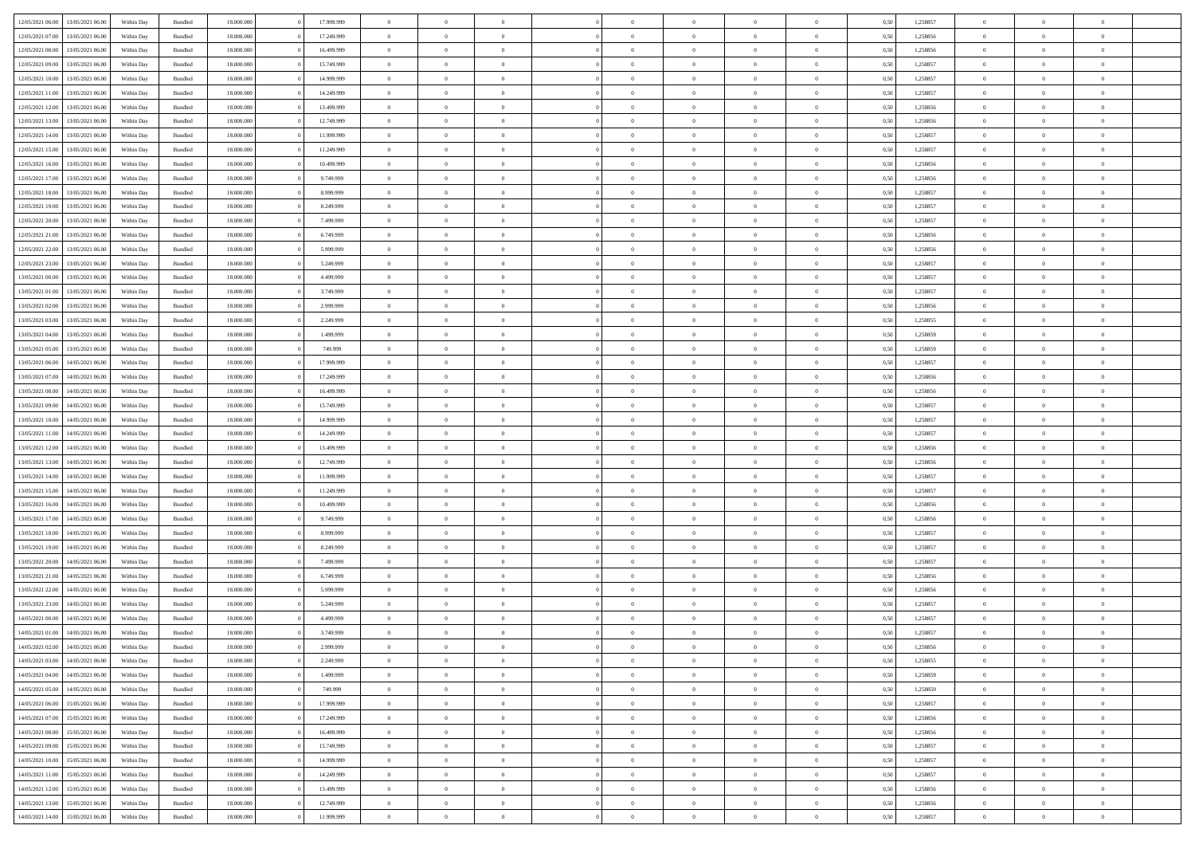| 12/05/2021 06:00 | 13/05/2021 06:00 | Within Dav | Bundled            | 18.000.000 | 17.999.999 | $\overline{0}$ | $\theta$       |                | $\Omega$       | $\Omega$       | $\Omega$       | $\theta$       | 0.50 | 1,258857 | $\theta$       | $\overline{0}$ | $\theta$       |  |
|------------------|------------------|------------|--------------------|------------|------------|----------------|----------------|----------------|----------------|----------------|----------------|----------------|------|----------|----------------|----------------|----------------|--|
|                  |                  |            |                    |            |            |                |                |                |                |                |                |                |      |          |                |                |                |  |
| 12/05/2021 07:00 | 13/05/2021 06:00 | Within Day | Bundled            | 18.000.000 | 17.249.999 | $\overline{0}$ | $\theta$       | $\overline{0}$ | $\overline{0}$ | $\bf{0}$       | $\overline{0}$ | $\overline{0}$ | 0,50 | 1,258856 | $\theta$       | $\overline{0}$ | $\overline{0}$ |  |
| 12/05/2021 08:00 | 13/05/2021 06:00 | Within Day | Bundled            | 18.000.000 | 16.499.999 | $\overline{0}$ | $\overline{0}$ | $\overline{0}$ | $\bf{0}$       | $\bf{0}$       | $\bf{0}$       | $\bf{0}$       | 0,50 | 1,258856 | $\bf{0}$       | $\overline{0}$ | $\overline{0}$ |  |
| 12/05/2021 09:00 | 13/05/2021 06:00 | Within Dav | Bundled            | 18.000.000 | 15.749.999 | $\overline{0}$ | $\overline{0}$ | $\overline{0}$ | $\overline{0}$ | $\bf{0}$       | $\overline{0}$ | $\overline{0}$ | 0.50 | 1.258857 | $\theta$       | $\theta$       | $\overline{0}$ |  |
| 12/05/2021 10:00 | 13/05/2021 06:00 | Within Day | Bundled            | 18.000.000 | 14.999.999 | $\overline{0}$ | $\theta$       | $\overline{0}$ | $\overline{0}$ | $\bf{0}$       | $\overline{0}$ | $\bf{0}$       | 0,50 | 1,258857 | $\theta$       | $\theta$       | $\overline{0}$ |  |
| 12/05/2021 11:00 | 13/05/2021 06:00 | Within Day | Bundled            | 18.000.000 | 14.249.999 | $\overline{0}$ | $\bf{0}$       | $\overline{0}$ | $\bf{0}$       | $\overline{0}$ | $\overline{0}$ | $\mathbf{0}$   | 0,50 | 1,258857 | $\bf{0}$       | $\overline{0}$ | $\bf{0}$       |  |
| 12/05/2021 12:00 | 13/05/2021 06:00 | Within Dav | Bundled            | 18.000.000 | 13.499.999 | $\overline{0}$ | $\overline{0}$ | $\overline{0}$ | $\overline{0}$ | $\bf{0}$       | $\overline{0}$ | $\overline{0}$ | 0.50 | 1.258856 | $\theta$       | $\overline{0}$ | $\overline{0}$ |  |
|                  |                  |            |                    |            |            |                |                |                |                |                |                |                |      |          |                |                |                |  |
| 12/05/2021 13:00 | 13/05/2021 06:00 | Within Day | Bundled            | 18.000.000 | 12.749.999 | $\overline{0}$ | $\theta$       | $\overline{0}$ | $\overline{0}$ | $\bf{0}$       | $\overline{0}$ | $\bf{0}$       | 0,50 | 1,258856 | $\theta$       | $\theta$       | $\overline{0}$ |  |
| 12/05/2021 14:00 | 13/05/2021 06:00 | Within Day | Bundled            | 18.000.000 | 11.999.999 | $\overline{0}$ | $\overline{0}$ | $\overline{0}$ | $\bf{0}$       | $\bf{0}$       | $\bf{0}$       | $\bf{0}$       | 0,50 | 1,258857 | $\,0\,$        | $\overline{0}$ | $\overline{0}$ |  |
| 12/05/2021 15:00 | 13/05/2021 06:00 | Within Dav | Bundled            | 18.000.000 | 11.249.999 | $\overline{0}$ | $\overline{0}$ | $\overline{0}$ | $\overline{0}$ | $\overline{0}$ | $\overline{0}$ | $\overline{0}$ | 0.50 | 1,258857 | $\theta$       | $\overline{0}$ | $\overline{0}$ |  |
| 12/05/2021 16:00 | 13/05/2021 06:00 | Within Day | Bundled            | 18.000.000 | 10.499.999 | $\overline{0}$ | $\theta$       | $\overline{0}$ | $\overline{0}$ | $\bf{0}$       | $\overline{0}$ | $\bf{0}$       | 0,50 | 1,258856 | $\theta$       | $\theta$       | $\overline{0}$ |  |
| 12/05/2021 17:00 | 13/05/2021 06:00 | Within Day | Bundled            | 18.000.000 | 9.749.999  | $\overline{0}$ | $\overline{0}$ | $\overline{0}$ | $\bf{0}$       | $\bf{0}$       | $\bf{0}$       | $\bf{0}$       | 0,50 | 1,258856 | $\bf{0}$       | $\overline{0}$ | $\overline{0}$ |  |
| 12/05/2021 18:00 | 13/05/2021 06:00 | Within Dav | Bundled            | 18.000.000 | 8.999.999  | $\overline{0}$ | $\overline{0}$ | $\overline{0}$ | $\overline{0}$ | $\bf{0}$       | $\overline{0}$ | $\overline{0}$ | 0.50 | 1.258857 | $\theta$       | $\theta$       | $\overline{0}$ |  |
| 12/05/2021 19:00 | 13/05/2021 06:00 | Within Day | Bundled            | 18.000.000 | 8.249.999  | $\overline{0}$ | $\theta$       | $\overline{0}$ | $\overline{0}$ | $\bf{0}$       | $\overline{0}$ | $\overline{0}$ | 0,50 | 1,258857 | $\theta$       | $\theta$       | $\overline{0}$ |  |
|                  |                  |            |                    |            |            |                |                |                |                |                |                |                |      |          |                |                |                |  |
| 12/05/2021 20:00 | 13/05/2021 06:00 | Within Day | Bundled            | 18.000.000 | 7.499.999  | $\overline{0}$ | $\bf{0}$       | $\overline{0}$ | $\bf{0}$       | $\overline{0}$ | $\overline{0}$ | $\mathbf{0}$   | 0,50 | 1,258857 | $\bf{0}$       | $\overline{0}$ | $\bf{0}$       |  |
| 12/05/2021 21:00 | 13/05/2021 06:00 | Within Dav | Bundled            | 18.000.000 | 6.749.999  | $\overline{0}$ | $\overline{0}$ | $\overline{0}$ | $\overline{0}$ | $\overline{0}$ | $\overline{0}$ | $\overline{0}$ | 0.50 | 1,258856 | $\theta$       | $\overline{0}$ | $\overline{0}$ |  |
| 12/05/2021 22:00 | 13/05/2021 06:00 | Within Day | Bundled            | 18.000.000 | 5.999.999  | $\overline{0}$ | $\theta$       | $\overline{0}$ | $\overline{0}$ | $\bf{0}$       | $\overline{0}$ | $\bf{0}$       | 0,50 | 1,258856 | $\theta$       | $\theta$       | $\overline{0}$ |  |
| 12/05/2021 23:00 | 13/05/2021 06:00 | Within Day | Bundled            | 18.000.000 | 5.249.999  | $\overline{0}$ | $\overline{0}$ | $\overline{0}$ | $\bf{0}$       | $\bf{0}$       | $\bf{0}$       | $\bf{0}$       | 0,50 | 1,258857 | $\,0\,$        | $\overline{0}$ | $\overline{0}$ |  |
| 13/05/2021 00:00 | 13/05/2021 06:00 | Within Dav | Bundled            | 18.000.000 | 4.499.999  | $\overline{0}$ | $\overline{0}$ | $\overline{0}$ | $\overline{0}$ | $\overline{0}$ | $\overline{0}$ | $\overline{0}$ | 0.50 | 1,258857 | $\theta$       | $\overline{0}$ | $\overline{0}$ |  |
| 13/05/2021 01:00 | 13/05/2021 06:00 | Within Day | Bundled            | 18.000.000 | 3.749.999  | $\overline{0}$ | $\theta$       | $\overline{0}$ | $\overline{0}$ | $\bf{0}$       | $\overline{0}$ | $\bf{0}$       | 0,50 | 1,258857 | $\theta$       | $\theta$       | $\overline{0}$ |  |
| 13/05/2021 02:00 | 13/05/2021 06:00 | Within Day | Bundled            | 18.000.000 | 2.999.999  | $\overline{0}$ | $\overline{0}$ | $\overline{0}$ | $\bf{0}$       | $\bf{0}$       | $\bf{0}$       | $\bf{0}$       | 0,50 | 1,258856 | $\,0\,$        | $\overline{0}$ | $\overline{0}$ |  |
| 13/05/2021 03:00 | 13/05/2021 06:00 | Within Day | Bundled            | 18.000.000 | 2.249.999  | $\overline{0}$ | $\overline{0}$ | $\overline{0}$ | $\overline{0}$ | $\bf{0}$       | $\overline{0}$ | $\overline{0}$ | 0.50 | 1.258855 | $\theta$       | $\theta$       | $\overline{0}$ |  |
|                  |                  |            |                    |            |            |                |                |                |                |                |                |                |      |          |                |                |                |  |
| 13/05/2021 04:00 | 13/05/2021 06:00 | Within Day | Bundled            | 18.000.000 | 1.499.999  | $\overline{0}$ | $\theta$       | $\overline{0}$ | $\overline{0}$ | $\bf{0}$       | $\overline{0}$ | $\bf{0}$       | 0,50 | 1,258859 | $\theta$       | $\overline{0}$ | $\overline{0}$ |  |
| 13/05/2021 05:00 | 13/05/2021 06:00 | Within Day | Bundled            | 18.000.000 | 749.999    | $\overline{0}$ | $\bf{0}$       | $\overline{0}$ | $\bf{0}$       | $\overline{0}$ | $\overline{0}$ | $\mathbf{0}$   | 0,50 | 1,258859 | $\overline{0}$ | $\overline{0}$ | $\bf{0}$       |  |
| 13/05/2021 06:00 | 14/05/2021 06:00 | Within Dav | Bundled            | 18.000.000 | 17.999.999 | $\overline{0}$ | $\overline{0}$ | $\overline{0}$ | $\overline{0}$ | $\overline{0}$ | $\overline{0}$ | $\overline{0}$ | 0.50 | 1,258857 | $\theta$       | $\overline{0}$ | $\overline{0}$ |  |
| 13/05/2021 07:00 | 14/05/2021 06:00 | Within Day | Bundled            | 18.000.000 | 17.249.999 | $\overline{0}$ | $\theta$       | $\overline{0}$ | $\overline{0}$ | $\bf{0}$       | $\overline{0}$ | $\bf{0}$       | 0,50 | 1,258856 | $\theta$       | $\theta$       | $\overline{0}$ |  |
| 13/05/2021 08:00 | 14/05/2021 06:00 | Within Day | Bundled            | 18.000.000 | 16.499.999 | $\overline{0}$ | $\overline{0}$ | $\overline{0}$ | $\bf{0}$       | $\bf{0}$       | $\bf{0}$       | $\bf{0}$       | 0,50 | 1,258856 | $\,0\,$        | $\overline{0}$ | $\overline{0}$ |  |
| 13/05/2021 09:00 | 14/05/2021 06:00 | Within Day | Bundled            | 18.000.000 | 15.749.999 | $\overline{0}$ | $\overline{0}$ | $\overline{0}$ | $\overline{0}$ | $\overline{0}$ | $\overline{0}$ | $\overline{0}$ | 0.50 | 1,258857 | $\theta$       | $\overline{0}$ | $\overline{0}$ |  |
| 13/05/2021 10:00 | 14/05/2021 06:00 | Within Day | Bundled            | 18.000.000 | 14.999.999 | $\overline{0}$ | $\theta$       | $\overline{0}$ | $\overline{0}$ | $\bf{0}$       | $\overline{0}$ | $\bf{0}$       | 0,50 | 1,258857 | $\,$ 0 $\,$    | $\theta$       | $\overline{0}$ |  |
|                  |                  |            |                    |            |            |                | $\overline{0}$ |                |                | $\bf{0}$       |                |                |      |          |                | $\overline{0}$ | $\overline{0}$ |  |
| 13/05/2021 11:00 | 14/05/2021 06:00 | Within Day | Bundled            | 18.000.000 | 14.249.999 | $\overline{0}$ |                | $\overline{0}$ | $\bf{0}$       |                | $\bf{0}$       | $\bf{0}$       | 0,50 | 1,258857 | $\overline{0}$ |                |                |  |
| 13/05/2021 12:00 | 14/05/2021 06:00 | Within Day | Bundled            | 18.000.000 | 13.499.999 | $\overline{0}$ | $\Omega$       | $\Omega$       | $\Omega$       | $\Omega$       | $\Omega$       | $\overline{0}$ | 0.50 | 1,258856 | $\,0\,$        | $\theta$       | $\theta$       |  |
| 13/05/2021 13:00 | 14/05/2021 06:00 | Within Day | Bundled            | 18.000.000 | 12.749.999 | $\overline{0}$ | $\theta$       | $\overline{0}$ | $\overline{0}$ | $\bf{0}$       | $\overline{0}$ | $\bf{0}$       | 0,50 | 1,258856 | $\theta$       | $\theta$       | $\overline{0}$ |  |
| 13/05/2021 14:00 | 14/05/2021 06:00 | Within Day | Bundled            | 18.000.000 | 11.999.999 | $\overline{0}$ | $\bf{0}$       | $\overline{0}$ | $\bf{0}$       | $\bf{0}$       | $\overline{0}$ | $\mathbf{0}$   | 0,50 | 1,258857 | $\overline{0}$ | $\overline{0}$ | $\bf{0}$       |  |
| 13/05/2021 15:00 | 14/05/2021 06:00 | Within Day | Bundled            | 18,000,000 | 11.249.999 | $\overline{0}$ | $\Omega$       | $\Omega$       | $\Omega$       | $\Omega$       | $\Omega$       | $\overline{0}$ | 0.50 | 1,258857 | $\theta$       | $\theta$       | $\theta$       |  |
| 13/05/2021 16:00 | 14/05/2021 06:00 | Within Day | Bundled            | 18.000.000 | 10.499.999 | $\overline{0}$ | $\theta$       | $\overline{0}$ | $\overline{0}$ | $\bf{0}$       | $\overline{0}$ | $\bf{0}$       | 0,50 | 1,258856 | $\theta$       | $\theta$       | $\overline{0}$ |  |
| 13/05/2021 17:00 | 14/05/2021 06:00 | Within Day | Bundled            | 18.000.000 | 9.749.999  | $\overline{0}$ | $\overline{0}$ | $\overline{0}$ | $\bf{0}$       | $\bf{0}$       | $\bf{0}$       | $\bf{0}$       | 0,50 | 1,258856 | $\,0\,$        | $\overline{0}$ | $\overline{0}$ |  |
| 13/05/2021 18:00 | 14/05/2021 06:00 | Within Day | Bundled            | 18,000,000 | 8.999.999  | $\overline{0}$ | $\Omega$       | $\Omega$       | $\Omega$       | $\Omega$       | $\theta$       | $\overline{0}$ | 0.50 | 1,258857 | $\theta$       | $\theta$       | $\theta$       |  |
| 13/05/2021 19:00 | 14/05/2021 06:00 | Within Day | Bundled            | 18.000.000 | 8.249.999  | $\overline{0}$ | $\theta$       | $\overline{0}$ | $\overline{0}$ | $\bf{0}$       | $\overline{0}$ | $\bf{0}$       | 0,50 | 1,258857 | $\,$ 0 $\,$    | $\overline{0}$ | $\overline{0}$ |  |
|                  |                  |            |                    |            |            |                |                |                |                |                |                |                |      |          |                |                |                |  |
| 13/05/2021 20:00 | 14/05/2021 06:00 | Within Day | Bundled            | 18.000.000 | 7.499.999  | $\overline{0}$ | $\overline{0}$ | $\overline{0}$ | $\bf{0}$       | $\bf{0}$       | $\bf{0}$       | $\bf{0}$       | 0,50 | 1,258857 | $\overline{0}$ | $\overline{0}$ | $\overline{0}$ |  |
| 13/05/2021 21:00 | 14/05/2021 06:00 | Within Day | Bundled            | 18.000.000 | 6.749.999  | $\overline{0}$ | $\Omega$       | $\Omega$       | $\Omega$       | $\Omega$       | $\overline{0}$ | $\overline{0}$ | 0.50 | 1,258856 | $\,0\,$        | $\theta$       | $\theta$       |  |
| 13/05/2021 22:00 | 14/05/2021 06:00 | Within Day | Bundled            | 18.000.000 | 5.999.999  | $\overline{0}$ | $\theta$       | $\overline{0}$ | $\overline{0}$ | $\bf{0}$       | $\overline{0}$ | $\bf{0}$       | 0,50 | 1,258856 | $\,$ 0 $\,$    | $\theta$       | $\overline{0}$ |  |
| 13/05/2021 23:00 | 14/05/2021 06:00 | Within Day | Bundled            | 18.000.000 | 5.249.999  | $\overline{0}$ | $\overline{0}$ | $\overline{0}$ | $\bf{0}$       | $\bf{0}$       | $\bf{0}$       | $\mathbf{0}$   | 0,50 | 1,258857 | $\overline{0}$ | $\overline{0}$ | $\bf{0}$       |  |
| 14/05/2021 00:00 | 14/05/2021 06:00 | Within Day | Bundled            | 18,000,000 | 4.499.999  | $\overline{0}$ | $\Omega$       | $\Omega$       | $\Omega$       | $\Omega$       | $\Omega$       | $\overline{0}$ | 0.50 | 1,258857 | $\theta$       | $\theta$       | $\theta$       |  |
| 14/05/2021 01:00 | 14/05/2021 06:00 | Within Day | Bundled            | 18.000.000 | 3.749.999  | $\overline{0}$ | $\overline{0}$ | $\overline{0}$ | $\bf{0}$       | $\,$ 0         | $\bf{0}$       | $\bf{0}$       | 0,50 | 1,258857 | $\,0\,$        | $\,$ 0 $\,$    | $\overline{0}$ |  |
| 14/05/2021 02:00 | 14/05/2021 06:00 | Within Day | $\mathbf B$ undled | 18.000.000 | 2.999.999  | $\bf{0}$       | $\bf{0}$       |                |                | $\bf{0}$       |                |                | 0,50 | 1,258856 | $\bf{0}$       | $\overline{0}$ |                |  |
| 14/05/2021 03:00 | 14/05/2021 06:00 | Within Day | Bundled            | 18,000,000 | 2.249.999  | $\overline{0}$ | $\overline{0}$ | $\overline{0}$ | $\Omega$       | $\theta$       | $\overline{0}$ | $\overline{0}$ | 0.50 | 1,258855 | $\theta$       | $\theta$       | $\theta$       |  |
| 14/05/2021 04:00 | 14/05/2021 06:00 | Within Day | Bundled            | 18.000.000 | 1.499.999  | $\overline{0}$ | $\,$ 0         | $\overline{0}$ | $\overline{0}$ | $\,$ 0 $\,$    | $\overline{0}$ | $\mathbf{0}$   | 0,50 | 1,258859 | $\,$ 0 $\,$    | $\,$ 0 $\,$    | $\,$ 0         |  |
|                  |                  |            |                    |            |            |                |                |                |                |                |                |                |      |          |                |                |                |  |
| 14/05/2021 05:00 | 14/05/2021 06:00 | Within Day | Bundled            | 18.000.000 | 749.999    | $\overline{0}$ | $\overline{0}$ | $\overline{0}$ | $\overline{0}$ | $\overline{0}$ | $\overline{0}$ | $\mathbf{0}$   | 0,50 | 1,258859 | $\overline{0}$ | $\bf{0}$       | $\bf{0}$       |  |
| 14/05/2021 06:00 | 15/05/2021 06:00 | Within Day | Bundled            | 18.000.000 | 17.999.999 | $\overline{0}$ | $\theta$       | $\overline{0}$ | $\Omega$       | $\overline{0}$ | $\overline{0}$ | $\bf{0}$       | 0,50 | 1,258857 | $\overline{0}$ | $\theta$       | $\overline{0}$ |  |
| 14/05/2021 07:00 | 15/05/2021 06:00 | Within Day | Bundled            | 18.000.000 | 17.249.999 | $\overline{0}$ | $\,$ 0         | $\overline{0}$ | $\overline{0}$ | $\overline{0}$ | $\overline{0}$ | $\bf{0}$       | 0,50 | 1,258856 | $\,$ 0 $\,$    | $\overline{0}$ | $\overline{0}$ |  |
| 14/05/2021 08:00 | 15/05/2021 06:00 | Within Day | Bundled            | 18.000.000 | 16.499.999 | $\overline{0}$ | $\overline{0}$ | $\overline{0}$ | $\overline{0}$ | $\overline{0}$ | $\overline{0}$ | $\mathbf{0}$   | 0,50 | 1,258856 | $\overline{0}$ | $\bf{0}$       | $\bf{0}$       |  |
| 14/05/2021 09:00 | 15/05/2021 06:00 | Within Day | Bundled            | 18.000.000 | 15.749.999 | $\overline{0}$ | $\overline{0}$ | $\overline{0}$ | $\Omega$       | $\overline{0}$ | $\overline{0}$ | $\bf{0}$       | 0.50 | 1,258857 | $\overline{0}$ | $\theta$       | $\overline{0}$ |  |
| 14/05/2021 10:00 | 15/05/2021 06:00 | Within Day | Bundled            | 18.000.000 | 14.999.999 | $\overline{0}$ | $\,$ 0         | $\overline{0}$ | $\overline{0}$ | $\bf{0}$       | $\overline{0}$ | $\bf{0}$       | 0,50 | 1,258857 | $\,$ 0 $\,$    | $\overline{0}$ | $\overline{0}$ |  |
| 14/05/2021 11:00 | 15/05/2021 06:00 | Within Day | Bundled            | 18.000.000 | 14.249.999 | $\overline{0}$ | $\bf{0}$       | $\overline{0}$ | $\overline{0}$ | $\overline{0}$ | $\overline{0}$ | $\mathbf{0}$   | 0,50 | 1,258857 | $\overline{0}$ | $\overline{0}$ | $\bf{0}$       |  |
|                  |                  |            |                    |            |            |                |                |                |                |                |                |                |      |          |                |                |                |  |
| 14/05/2021 12:00 | 15/05/2021 06:00 | Within Day | Bundled            | 18,000,000 | 13.499.999 | $\overline{0}$ | $\overline{0}$ | $\overline{0}$ | $\Omega$       | $\overline{0}$ | $\overline{0}$ | $\bf{0}$       | 0.50 | 1,258856 | $\overline{0}$ | $\theta$       | $\overline{0}$ |  |
| 14/05/2021 13:00 | 15/05/2021 06:00 | Within Day | Bundled            | 18.000.000 | 12.749.999 | $\overline{0}$ | $\,$ 0         | $\overline{0}$ | $\overline{0}$ | $\bf{0}$       | $\overline{0}$ | $\mathbf{0}$   | 0,50 | 1,258856 | $\,$ 0 $\,$    | $\,$ 0 $\,$    | $\bf{0}$       |  |
| 14/05/2021 14:00 | 15/05/2021 06:00 | Within Day | Bundled            | 18.000.000 | 11.999.999 | $\overline{0}$ | $\overline{0}$ | $\overline{0}$ | $\overline{0}$ | $\bf{0}$       | $\overline{0}$ | $\mathbf{0}$   | 0,50 | 1,258857 | $\overline{0}$ | $\bf{0}$       | $\bf{0}$       |  |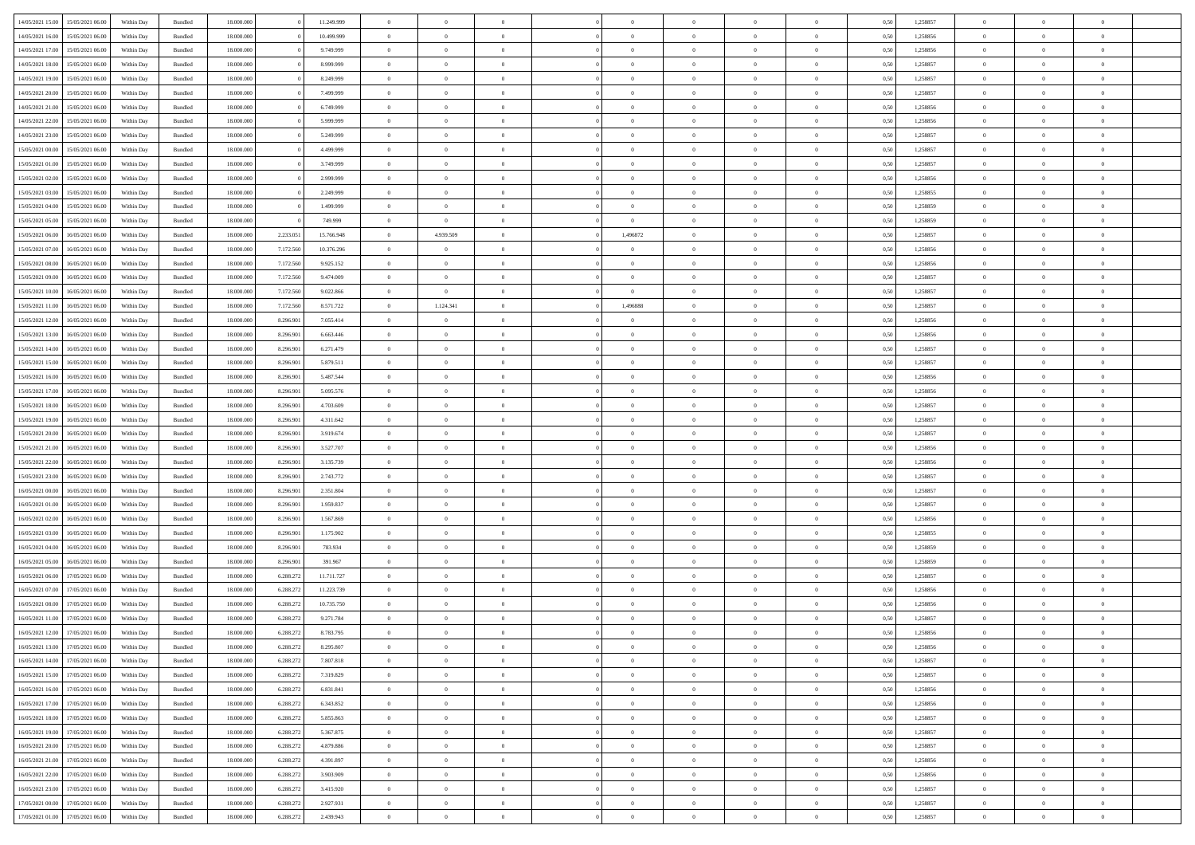| 14/05/2021 15:00 | 15/05/2021 06:00                  | Within Day | Bundled            | 18.000.000 |           | 11.249.999 | $\overline{0}$ | $\Omega$       |                | $\Omega$       | $\Omega$       | $\Omega$       | $\theta$       | 0.50 | 1,258857 | $\theta$       | $\theta$       | $\theta$       |  |
|------------------|-----------------------------------|------------|--------------------|------------|-----------|------------|----------------|----------------|----------------|----------------|----------------|----------------|----------------|------|----------|----------------|----------------|----------------|--|
|                  |                                   |            |                    |            |           |            |                |                |                |                |                |                |                |      |          |                |                |                |  |
| 14/05/2021 16:00 | 15/05/2021 06:00                  | Within Day | Bundled            | 18.000.000 |           | 10.499.999 | $\overline{0}$ | $\theta$       | $\overline{0}$ | $\overline{0}$ | $\bf{0}$       | $\overline{0}$ | $\overline{0}$ | 0,50 | 1,258856 | $\theta$       | $\theta$       | $\overline{0}$ |  |
| 14/05/2021 17:00 | 15/05/2021 06:00                  | Within Day | Bundled            | 18.000.000 |           | 9.749.999  | $\overline{0}$ | $\overline{0}$ | $\overline{0}$ | $\bf{0}$       | $\bf{0}$       | $\bf{0}$       | $\bf{0}$       | 0,50 | 1,258856 | $\bf{0}$       | $\overline{0}$ | $\overline{0}$ |  |
| 14/05/2021 18:00 | 15/05/2021 06:00                  | Within Dav | Bundled            | 18.000.000 |           | 8.999.999  | $\overline{0}$ | $\theta$       | $\overline{0}$ | $\overline{0}$ | $\bf{0}$       | $\overline{0}$ | $\overline{0}$ | 0.50 | 1.258857 | $\theta$       | $\theta$       | $\overline{0}$ |  |
| 14/05/2021 19:00 | 15/05/2021 06:00                  | Within Day | Bundled            | 18.000.000 |           | 8.249.999  | $\overline{0}$ | $\theta$       | $\overline{0}$ | $\overline{0}$ | $\bf{0}$       | $\overline{0}$ | $\bf{0}$       | 0,50 | 1,258857 | $\theta$       | $\theta$       | $\overline{0}$ |  |
| 14/05/2021 20:00 | 15/05/2021 06:00                  | Within Day | Bundled            | 18.000.000 |           | 7.499.999  | $\overline{0}$ | $\bf{0}$       | $\overline{0}$ | $\bf{0}$       | $\overline{0}$ | $\overline{0}$ | $\mathbf{0}$   | 0,50 | 1,258857 | $\bf{0}$       | $\overline{0}$ | $\bf{0}$       |  |
| 14/05/2021 21:00 | 15/05/2021 06:00                  | Within Dav | Bundled            | 18.000.000 |           | 6.749.999  | $\overline{0}$ | $\overline{0}$ | $\overline{0}$ | $\overline{0}$ | $\overline{0}$ | $\overline{0}$ | $\overline{0}$ | 0.50 | 1,258856 | $\theta$       | $\overline{0}$ | $\overline{0}$ |  |
|                  |                                   |            |                    |            |           |            |                |                |                |                |                |                |                |      |          |                |                |                |  |
| 14/05/2021 22.00 | 15/05/2021 06:00                  | Within Day | Bundled            | 18.000.000 |           | 5.999.999  | $\overline{0}$ | $\theta$       | $\overline{0}$ | $\overline{0}$ | $\bf{0}$       | $\overline{0}$ | $\bf{0}$       | 0,50 | 1,258856 | $\theta$       | $\theta$       | $\overline{0}$ |  |
| 14/05/2021 23:00 | 15/05/2021 06:00                  | Within Day | Bundled            | 18.000.000 |           | 5.249.999  | $\overline{0}$ | $\overline{0}$ | $\overline{0}$ | $\bf{0}$       | $\bf{0}$       | $\bf{0}$       | $\bf{0}$       | 0,50 | 1,258857 | $\,0\,$        | $\overline{0}$ | $\overline{0}$ |  |
| 15/05/2021 00:00 | 15/05/2021 06:00                  | Within Dav | Bundled            | 18.000.000 |           | 4.499.999  | $\overline{0}$ | $\overline{0}$ | $\overline{0}$ | $\overline{0}$ | $\overline{0}$ | $\overline{0}$ | $\overline{0}$ | 0.50 | 1,258857 | $\theta$       | $\overline{0}$ | $\overline{0}$ |  |
| 15/05/2021 01:00 | 15/05/2021 06:00                  | Within Day | Bundled            | 18.000.000 |           | 3.749.999  | $\overline{0}$ | $\theta$       | $\overline{0}$ | $\overline{0}$ | $\bf{0}$       | $\overline{0}$ | $\bf{0}$       | 0,50 | 1,258857 | $\theta$       | $\theta$       | $\overline{0}$ |  |
| 15/05/2021 02:00 | 15/05/2021 06:00                  | Within Day | Bundled            | 18.000.000 |           | 2.999.999  | $\overline{0}$ | $\overline{0}$ | $\overline{0}$ | $\bf{0}$       | $\bf{0}$       | $\bf{0}$       | $\bf{0}$       | 0,50 | 1,258856 | $\bf{0}$       | $\overline{0}$ | $\overline{0}$ |  |
| 15/05/2021 03:00 | 15/05/2021 06:00                  | Within Dav | Bundled            | 18.000.000 |           | 2.249.999  | $\overline{0}$ | $\overline{0}$ | $\overline{0}$ | $\overline{0}$ | $\bf{0}$       | $\overline{0}$ | $\overline{0}$ | 0.50 | 1.258855 | $\theta$       | $\theta$       | $\overline{0}$ |  |
| 15/05/2021 04:00 | 15/05/2021 06:00                  |            |                    | 18.000.000 |           | 1.499.999  | $\overline{0}$ | $\theta$       | $\overline{0}$ | $\overline{0}$ | $\bf{0}$       | $\overline{0}$ | $\overline{0}$ |      | 1,258859 | $\theta$       | $\overline{0}$ | $\overline{0}$ |  |
|                  |                                   | Within Day | Bundled            |            |           |            |                |                |                |                |                |                |                | 0,50 |          |                |                |                |  |
| 15/05/2021 05:00 | 15/05/2021 06:00                  | Within Day | Bundled            | 18.000.000 |           | 749.999    | $\overline{0}$ | $\overline{0}$ | $\overline{0}$ | $\bf{0}$       | $\bf{0}$       | $\overline{0}$ | $\mathbf{0}$   | 0,50 | 1,258859 | $\overline{0}$ | $\overline{0}$ | $\bf{0}$       |  |
| 15/05/2021 06:00 | 16/05/2021 06:00                  | Within Dav | Bundled            | 18.000.000 | 2.233.051 | 15.766.948 | $\overline{0}$ | 4.939.509      | $\overline{0}$ | 1,496872       | $\overline{0}$ | $\overline{0}$ | $\overline{0}$ | 0.50 | 1,258857 | $\theta$       | $\overline{0}$ | $\overline{0}$ |  |
| 15/05/2021 07:00 | 16/05/2021 06:00                  | Within Day | Bundled            | 18.000.000 | 7.172.560 | 10.376.296 | $\overline{0}$ | $\theta$       | $\overline{0}$ | $\overline{0}$ | $\bf{0}$       | $\overline{0}$ | $\bf{0}$       | 0,50 | 1,258856 | $\theta$       | $\theta$       | $\overline{0}$ |  |
| 15/05/2021 08:00 | 16/05/2021 06:00                  | Within Day | Bundled            | 18.000.000 | 7.172.560 | 9.925.152  | $\overline{0}$ | $\overline{0}$ | $\overline{0}$ | $\bf{0}$       | $\bf{0}$       | $\bf{0}$       | $\bf{0}$       | 0,50 | 1,258856 | $\,0\,$        | $\overline{0}$ | $\overline{0}$ |  |
| 15/05/2021 09:00 | 16/05/2021 06:00                  | Within Dav | Bundled            | 18.000.000 | 7.172.560 | 9.474,009  | $\overline{0}$ | $\overline{0}$ | $\overline{0}$ | $\overline{0}$ | $\overline{0}$ | $\overline{0}$ | $\overline{0}$ | 0.50 | 1,258857 | $\theta$       | $\overline{0}$ | $\overline{0}$ |  |
| 15/05/2021 10:00 | 16/05/2021 06:00                  | Within Day | Bundled            | 18.000.000 | 7.172.560 | 9.022.866  | $\overline{0}$ | $\overline{0}$ | $\overline{0}$ | $\overline{0}$ | $\bf{0}$       | $\overline{0}$ | $\bf{0}$       | 0,50 | 1,258857 | $\,$ 0 $\,$    | $\theta$       | $\overline{0}$ |  |
|                  |                                   |            |                    |            |           |            |                |                |                |                |                |                |                |      |          |                |                |                |  |
| 15/05/2021 11:00 | 16/05/2021 06:00                  | Within Day | Bundled            | 18.000.000 | 7.172.560 | 8.571.722  | $\overline{0}$ | 1.124.341      | $\overline{0}$ | 1,496888       | $\bf{0}$       | $\bf{0}$       | $\bf{0}$       | 0,50 | 1,258857 | $\,0\,$        | $\overline{0}$ | $\overline{0}$ |  |
| 15/05/2021 12:00 | 16/05/2021 06:00                  | Within Day | Bundled            | 18.000.000 | 8.296.901 | 7.055.414  | $\overline{0}$ | $\overline{0}$ | $\overline{0}$ | $\overline{0}$ | $\bf{0}$       | $\overline{0}$ | $\overline{0}$ | 0.50 | 1.258856 | $\theta$       | $\theta$       | $\overline{0}$ |  |
| 15/05/2021 13:00 | 16/05/2021 06:00                  | Within Day | Bundled            | 18.000.000 | 8.296.901 | 6.663.446  | $\overline{0}$ | $\theta$       | $\overline{0}$ | $\overline{0}$ | $\bf{0}$       | $\overline{0}$ | $\bf{0}$       | 0,50 | 1,258856 | $\theta$       | $\overline{0}$ | $\overline{0}$ |  |
| 15/05/2021 14:00 | 16/05/2021 06:00                  | Within Day | Bundled            | 18.000.000 | 8.296.901 | 6.271.479  | $\overline{0}$ | $\bf{0}$       | $\overline{0}$ | $\bf{0}$       | $\overline{0}$ | $\overline{0}$ | $\mathbf{0}$   | 0,50 | 1,258857 | $\overline{0}$ | $\overline{0}$ | $\bf{0}$       |  |
| 15/05/2021 15:00 | 16/05/2021 06:00                  | Within Dav | Bundled            | 18.000.000 | 8.296.901 | 5.879.511  | $\overline{0}$ | $\overline{0}$ | $\overline{0}$ | $\overline{0}$ | $\overline{0}$ | $\overline{0}$ | $\overline{0}$ | 0.50 | 1,258857 | $\theta$       | $\overline{0}$ | $\overline{0}$ |  |
| 15/05/2021 16:00 | 16/05/2021 06:00                  | Within Day | Bundled            | 18.000.000 | 8.296.901 | 5.487.544  | $\overline{0}$ | $\theta$       | $\overline{0}$ | $\overline{0}$ | $\bf{0}$       | $\overline{0}$ | $\bf{0}$       | 0,50 | 1,258856 | $\theta$       | $\theta$       | $\overline{0}$ |  |
| 15/05/2021 17:00 | 16/05/2021 06:00                  | Within Day | Bundled            | 18.000.000 | 8.296.901 | 5.095.576  | $\overline{0}$ | $\overline{0}$ | $\overline{0}$ | $\bf{0}$       | $\bf{0}$       | $\overline{0}$ | $\bf{0}$       | 0,50 | 1,258856 | $\,0\,$        | $\overline{0}$ | $\overline{0}$ |  |
|                  |                                   |            |                    |            |           |            |                |                |                |                |                |                |                |      |          |                |                |                |  |
| 15/05/2021 18:00 | 16/05/2021 06:00                  | Within Day | Bundled            | 18.000.000 | 8.296.901 | 4.703.609  | $\overline{0}$ | $\overline{0}$ | $\overline{0}$ | $\overline{0}$ | $\overline{0}$ | $\overline{0}$ | $\overline{0}$ | 0.50 | 1,258857 | $\theta$       | $\overline{0}$ | $\overline{0}$ |  |
| 15/05/2021 19:00 | 16/05/2021 06:00                  | Within Day | Bundled            | 18.000.000 | 8.296.901 | 4.311.642  | $\overline{0}$ | $\theta$       | $\overline{0}$ | $\overline{0}$ | $\bf{0}$       | $\overline{0}$ | $\bf{0}$       | 0,50 | 1,258857 | $\,$ 0 $\,$    | $\theta$       | $\overline{0}$ |  |
| 15/05/2021 20:00 | 16/05/2021 06:00                  | Within Day | Bundled            | 18.000.000 | 8.296.901 | 3.919.674  | $\overline{0}$ | $\overline{0}$ | $\overline{0}$ | $\overline{0}$ | $\bf{0}$       | $\overline{0}$ | $\bf{0}$       | 0,50 | 1,258857 | $\bf{0}$       | $\overline{0}$ | $\overline{0}$ |  |
| 15/05/2021 21:00 | 16/05/2021 06:00                  | Within Day | Bundled            | 18.000.000 | 8.296.901 | 3.527.707  | $\overline{0}$ | $\Omega$       | $\Omega$       | $\Omega$       | $\Omega$       | $\Omega$       | $\overline{0}$ | 0.50 | 1,258856 | $\,0\,$        | $\theta$       | $\theta$       |  |
| 15/05/2021 22:00 | 16/05/2021 06:00                  | Within Day | Bundled            | 18.000.000 | 8.296.901 | 3.135.739  | $\overline{0}$ | $\theta$       | $\overline{0}$ | $\overline{0}$ | $\bf{0}$       | $\overline{0}$ | $\bf{0}$       | 0,50 | 1,258856 | $\theta$       | $\theta$       | $\overline{0}$ |  |
| 15/05/2021 23:00 | 16/05/2021 06:00                  | Within Day | Bundled            | 18.000.000 | 8.296.901 | 2.743.772  | $\overline{0}$ | $\overline{0}$ | $\overline{0}$ | $\overline{0}$ | $\bf{0}$       | $\overline{0}$ | $\mathbf{0}$   | 0,50 | 1,258857 | $\bf{0}$       | $\overline{0}$ | $\bf{0}$       |  |
| 16/05/2021 00:00 | 16/05/2021 06:00                  |            | Bundled            | 18,000,000 | 8.296.901 | 2.351.804  | $\overline{0}$ | $\Omega$       | $\Omega$       | $\Omega$       | $\bf{0}$       | $\overline{0}$ | $\overline{0}$ | 0.50 | 1,258857 | $\theta$       | $\theta$       | $\theta$       |  |
|                  |                                   | Within Day |                    |            |           |            |                |                |                |                |                |                |                |      |          |                |                |                |  |
| 16/05/2021 01:00 | 16/05/2021 06:00                  | Within Day | Bundled            | 18.000.000 | 8.296.901 | 1.959.837  | $\overline{0}$ | $\theta$       | $\overline{0}$ | $\overline{0}$ | $\bf{0}$       | $\overline{0}$ | $\bf{0}$       | 0,50 | 1,258857 | $\theta$       | $\theta$       | $\overline{0}$ |  |
| 16/05/2021 02:00 | 16/05/2021 06:00                  | Within Day | Bundled            | 18.000.000 | 8.296.901 | 1.567.869  | $\overline{0}$ | $\overline{0}$ | $\overline{0}$ | $\bf{0}$       | $\bf{0}$       | $\overline{0}$ | $\bf{0}$       | 0,50 | 1,258856 | $\,0\,$        | $\overline{0}$ | $\overline{0}$ |  |
| 16/05/2021 03:00 | 16/05/2021 06:00                  | Within Day | Bundled            | 18,000,000 | 8.296.90  | 1.175.902  | $\overline{0}$ | $\Omega$       | $\Omega$       | $\Omega$       | $\theta$       | $\theta$       | $\overline{0}$ | 0.50 | 1,258855 | $\theta$       | $\theta$       | $\theta$       |  |
| 16/05/2021 04:00 | 16/05/2021 06:00                  | Within Day | Bundled            | 18.000.000 | 8.296.901 | 783.934    | $\overline{0}$ | $\theta$       | $\overline{0}$ | $\overline{0}$ | $\bf{0}$       | $\overline{0}$ | $\bf{0}$       | 0,50 | 1,258859 | $\,$ 0 $\,$    | $\overline{0}$ | $\overline{0}$ |  |
| 16/05/2021 05:00 | 16/05/2021 06:00                  | Within Day | Bundled            | 18.000.000 | 8.296.901 | 391.967    | $\overline{0}$ | $\overline{0}$ | $\overline{0}$ | $\overline{0}$ | $\bf{0}$       | $\overline{0}$ | $\bf{0}$       | 0,50 | 1,258859 | $\bf{0}$       | $\overline{0}$ | $\overline{0}$ |  |
| 16/05/2021 06:00 | 17/05/2021 06:00                  | Within Day | Bundled            | 18.000.000 | 6.288.272 | 11.711.727 | $\overline{0}$ | $\Omega$       | $\Omega$       | $\Omega$       | $\overline{0}$ | $\overline{0}$ | $\overline{0}$ | 0.50 | 1,258857 | $\,0\,$        | $\theta$       | $\theta$       |  |
| 16/05/2021 07:00 | 17/05/2021 06:00                  | Within Day | Bundled            | 18.000.000 | 6.288.272 | 11.223.739 | $\overline{0}$ | $\theta$       | $\overline{0}$ | $\overline{0}$ | $\bf{0}$       | $\overline{0}$ | $\bf{0}$       | 0,50 | 1,258856 | $\,$ 0 $\,$    | $\overline{0}$ | $\overline{0}$ |  |
|                  |                                   |            |                    |            |           |            |                | $\overline{0}$ |                |                | $\bf{0}$       |                |                |      |          |                | $\overline{0}$ | $\bf{0}$       |  |
| 16/05/2021 08:00 | 17/05/2021 06:00                  | Within Day | Bundled            | 18.000.000 | 6.288.272 | 10.735.750 | $\overline{0}$ |                | $\overline{0}$ | $\overline{0}$ |                | $\overline{0}$ | $\mathbf{0}$   | 0,50 | 1,258856 | $\bf{0}$       |                |                |  |
| 16/05/2021 11:00 | 17/05/2021 06:00                  | Within Day | Bundled            | 18,000,000 | 6.288.27  | 9.271.784  | $\overline{0}$ | $\Omega$       | $\Omega$       | $\Omega$       | $\Omega$       | $\Omega$       | $\overline{0}$ | 0.50 | 1,258857 | $\theta$       | $\theta$       | $\theta$       |  |
| 16/05/2021 12:00 | 17/05/2021 06:00                  | Within Day | Bundled            | 18.000.000 | 6.288.272 | 8.783.795  | $\overline{0}$ | $\overline{0}$ | $\overline{0}$ | $\bf{0}$       | $\,$ 0         | $\overline{0}$ | $\bf{0}$       | 0,50 | 1,258856 | $\,0\,$        | $\,$ 0 $\,$    | $\overline{0}$ |  |
|                  | 16/05/2021 13:00 17/05/2021 06:00 | Within Day | $\mathbf B$ undled | 18.000.000 | 6.288.272 | 8.295.807  | $\bf{0}$       | $\bf{0}$       |                |                |                |                |                | 0,50 | 1,258856 | $\bf{0}$       | $\overline{0}$ |                |  |
| 16/05/2021 14:00 | 17/05/2021 06:00                  | Within Day | Bundled            | 18,000,000 | 6.288.272 | 7.807.818  | $\overline{0}$ | $\Omega$       | $\overline{0}$ | $\Omega$       | $\overline{0}$ | $\overline{0}$ | $\overline{0}$ | 0.50 | 1,258857 | $\theta$       | $\theta$       | $\Omega$       |  |
| 16/05/2021 15:00 | 17/05/2021 06:00                  | Within Day | Bundled            | 18.000.000 | 6.288.272 | 7.319.829  | $\overline{0}$ | $\bf{0}$       | $\overline{0}$ | $\overline{0}$ | $\,$ 0 $\,$    | $\overline{0}$ | $\mathbf{0}$   | 0,50 | 1,258857 | $\,$ 0 $\,$    | $\,$ 0 $\,$    | $\,$ 0         |  |
| 16/05/2021 16:00 | 17/05/2021 06:00                  | Within Day | Bundled            | 18.000.000 | 6.288.272 | 6.831.841  | $\overline{0}$ | $\overline{0}$ | $\overline{0}$ | $\overline{0}$ | $\overline{0}$ | $\overline{0}$ | $\mathbf{0}$   | 0,50 | 1,258856 | $\overline{0}$ | $\bf{0}$       | $\bf{0}$       |  |
|                  |                                   |            |                    |            |           |            |                | $\overline{0}$ |                | $\Omega$       | $\overline{0}$ | $\overline{0}$ |                |      |          |                | $\theta$       | $\overline{0}$ |  |
| 16/05/2021 17:00 | 17/05/2021 06:00                  | Within Day | Bundled            | 18.000.000 | 6.288.272 | 6.343.852  | $\overline{0}$ |                | $\overline{0}$ |                |                |                | $\overline{0}$ | 0,50 | 1,258856 | $\bf{0}$       |                |                |  |
| 16/05/2021 18:00 | 17/05/2021 06:00                  | Within Day | Bundled            | 18.000.000 | 6.288.272 | 5.855.863  | $\overline{0}$ | $\,$ 0         | $\overline{0}$ | $\overline{0}$ | $\,$ 0 $\,$    | $\overline{0}$ | $\mathbf{0}$   | 0,50 | 1,258857 | $\,$ 0 $\,$    | $\overline{0}$ | $\overline{0}$ |  |
| 16/05/2021 19:00 | 17/05/2021 06:00                  | Within Day | Bundled            | 18.000.000 | 6.288.272 | 5.367.875  | $\overline{0}$ | $\overline{0}$ | $\overline{0}$ | $\overline{0}$ | $\overline{0}$ | $\overline{0}$ | $\mathbf{0}$   | 0,50 | 1,258857 | $\overline{0}$ | $\overline{0}$ | $\overline{0}$ |  |
| 16/05/2021 20:00 | 17/05/2021 06:00                  | Within Day | Bundled            | 18.000.000 | 6.288.272 | 4.879.886  | $\overline{0}$ | $\overline{0}$ | $\overline{0}$ | $\Omega$       | $\overline{0}$ | $\overline{0}$ | $\bf{0}$       | 0.50 | 1,258857 | $\overline{0}$ | $\theta$       | $\overline{0}$ |  |
| 16/05/2021 21:00 | 17/05/2021 06:00                  | Within Day | Bundled            | 18.000.000 | 6.288.272 | 4.391.897  | $\overline{0}$ | $\,$ 0         | $\overline{0}$ | $\overline{0}$ | $\bf{0}$       | $\overline{0}$ | $\bf{0}$       | 0,50 | 1,258856 | $\,$ 0 $\,$    | $\overline{0}$ | $\overline{0}$ |  |
| 16/05/2021 22:00 | 17/05/2021 06:00                  | Within Day | Bundled            | 18.000.000 | 6.288.272 | 3.903.909  | $\overline{0}$ | $\bf{0}$       | $\overline{0}$ | $\overline{0}$ | $\overline{0}$ | $\overline{0}$ | $\mathbf{0}$   | 0,50 | 1,258856 | $\overline{0}$ | $\overline{0}$ | $\bf{0}$       |  |
| 16/05/2021 23:00 | 17/05/2021 06:00                  | Within Day | Bundled            | 18.000.000 | 6.288.272 | 3.415.920  | $\overline{0}$ | $\overline{0}$ | $\overline{0}$ | $\Omega$       | $\overline{0}$ | $\overline{0}$ | $\overline{0}$ | 0.50 | 1,258857 | $\overline{0}$ | $\theta$       | $\overline{0}$ |  |
| 17/05/2021 00:00 | 17/05/2021 06:00                  |            |                    | 18.000.000 |           | 2.927.931  | $\overline{0}$ | $\bf{0}$       |                | $\overline{0}$ | $\bf{0}$       |                |                |      | 1,258857 | $\,$ 0 $\,$    | $\,$ 0 $\,$    | $\bf{0}$       |  |
|                  |                                   | Within Day | Bundled            |            | 6.288.272 |            |                |                | $\overline{0}$ |                |                | $\overline{0}$ | $\mathbf{0}$   | 0,50 |          |                |                |                |  |
|                  | 17/05/2021 01.00 17/05/2021 06.00 | Within Day | Bundled            | 18.000.000 | 6.288.272 | 2.439.943  | $\overline{0}$ | $\overline{0}$ | $\overline{0}$ | $\overline{0}$ | $\overline{0}$ | $\overline{0}$ | $\mathbf{0}$   | 0,50 | 1,258857 | $\overline{0}$ | $\bf{0}$       | $\overline{0}$ |  |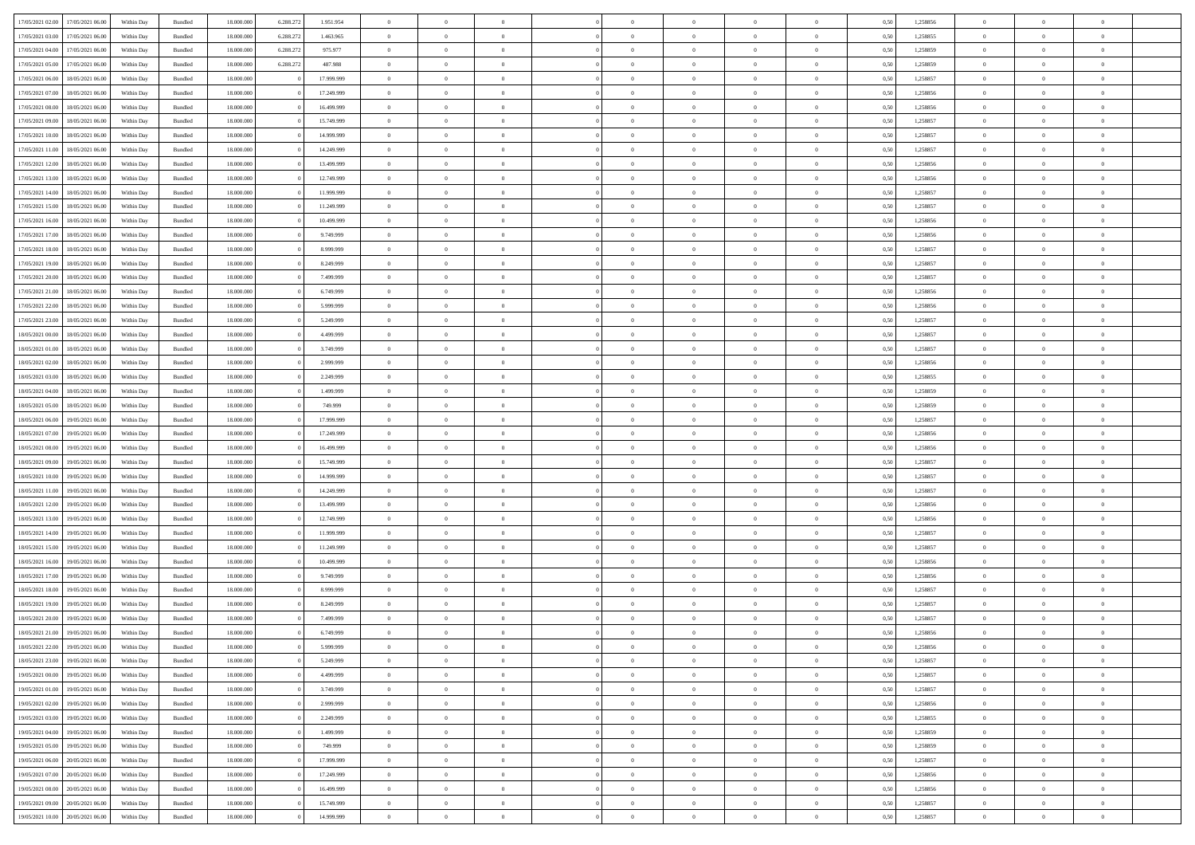|                                      |            |                    |            |           |            | $\overline{0}$ | $\overline{0}$ |                | $\overline{0}$ | $\theta$       |                | $\bf{0}$       |      |          | $\theta$       | $\theta$       | $\overline{0}$ |  |
|--------------------------------------|------------|--------------------|------------|-----------|------------|----------------|----------------|----------------|----------------|----------------|----------------|----------------|------|----------|----------------|----------------|----------------|--|
| 17/05/2021 02:00 17/05/2021 06:00    | Within Day | Bundled            | 18.000.000 | 6.288.272 | 1.951.954  |                |                |                |                |                |                |                | 0,50 | 1,258856 |                |                |                |  |
| 17/05/2021 03:00<br>17/05/2021 06:00 | Within Day | Bundled            | 18.000.00  | 6.288.27  | 1.463.965  | $\bf{0}$       | $\bf{0}$       | $\bf{0}$       | $\overline{0}$ | $\bf{0}$       | $\overline{0}$ | $\bf{0}$       | 0,50 | 1,258855 | $\,$ 0 $\,$    | $\bf{0}$       | $\overline{0}$ |  |
| 17/05/2021 04:00<br>17/05/2021 06:00 | Within Day | Bundled            | 18,000,000 | 6.288.272 | 975.977    | $\overline{0}$ | $\bf{0}$       | $\overline{0}$ | $\bf{0}$       | $\bf{0}$       | $\overline{0}$ | $\bf{0}$       | 0,50 | 1,258859 | $\bf{0}$       | $\overline{0}$ | $\overline{0}$ |  |
| 17/05/2021 05:00<br>17/05/2021 06:00 |            |                    | 18.000.000 |           |            | $\bf{0}$       | $\overline{0}$ | $\overline{0}$ | $\overline{0}$ | $\theta$       | $\overline{0}$ | $\bf{0}$       |      |          | $\theta$       | $\theta$       | $\overline{0}$ |  |
|                                      | Within Day | Bundled            |            | 6.288.272 | 487.988    |                |                |                |                |                |                |                | 0,50 | 1,258859 |                |                |                |  |
| 17/05/2021 06:00<br>18/05/2021 06:00 | Within Day | Bundled            | 18.000.00  |           | 17.999.999 | $\bf{0}$       | $\overline{0}$ | $\bf{0}$       | $\overline{0}$ | $\theta$       | $\overline{0}$ | $\bf{0}$       | 0,50 | 1,258857 | $\,$ 0 $\,$    | $\bf{0}$       | $\overline{0}$ |  |
| 17/05/2021 07:00<br>18/05/2021 06:00 | Within Day | Bundled            | 18,000,000 |           | 17.249.999 | $\overline{0}$ | $\overline{0}$ | $\overline{0}$ | $\bf{0}$       | $\overline{0}$ | $\Omega$       | $\bf{0}$       | 0.50 | 1.258856 | $\,$ 0 $\,$    | $\theta$       | $\overline{0}$ |  |
| 17/05/2021 08:00<br>18/05/2021 06:00 | Within Day | Bundled            | 18.000.000 |           | 16.499.999 | $\bf{0}$       | $\overline{0}$ | $\overline{0}$ | $\overline{0}$ | $\overline{0}$ | $\overline{0}$ | $\bf{0}$       | 0,50 | 1,258856 | $\,$ 0 $\,$    | $\theta$       | $\overline{0}$ |  |
|                                      |            |                    |            |           |            |                |                |                |                |                |                |                |      |          |                |                |                |  |
| 17/05/2021 09:00<br>18/05/2021 06:00 | Within Day | Bundled            | 18.000.00  |           | 15.749.999 | $\bf{0}$       | $\overline{0}$ | $\overline{0}$ | $\overline{0}$ | $\overline{0}$ | $\overline{0}$ | $\bf{0}$       | 0,50 | 1,258857 | $\,$ 0 $\,$    | $\bf{0}$       | $\overline{0}$ |  |
| 17/05/2021 10:00<br>18/05/2021 06:00 | Within Day | Bundled            | 18,000,000 |           | 14,999,999 | $\overline{0}$ | $\overline{0}$ | $\overline{0}$ | $\bf{0}$       | $\overline{0}$ | $\overline{0}$ | $\bf{0}$       | 0.50 | 1.258857 | $\theta$       | $\overline{0}$ | $\overline{0}$ |  |
| 17/05/2021 11:00<br>18/05/2021 06:00 | Within Day | Bundled            | 18.000.000 |           | 14.249.999 | $\bf{0}$       | $\bf{0}$       | $\overline{0}$ | $\overline{0}$ | $\overline{0}$ | $\overline{0}$ | $\bf{0}$       | 0,50 | 1,258857 | $\,$ 0 $\,$    | $\bf{0}$       | $\overline{0}$ |  |
| 17/05/2021 12:00<br>18/05/2021 06:00 | Within Day | Bundled            | 18.000.00  |           | 13.499.999 | $\bf{0}$       | $\overline{0}$ | $\bf{0}$       | $\bf{0}$       | $\bf{0}$       | $\overline{0}$ | $\bf{0}$       | 0,50 | 1,258856 | $\,$ 0 $\,$    | $\bf{0}$       | $\overline{0}$ |  |
|                                      |            |                    |            |           |            |                |                |                |                |                |                |                |      |          |                |                |                |  |
| 17/05/2021 13:00<br>18/05/2021 06:00 | Within Day | Bundled            | 18,000,000 |           | 12.749.999 | $\overline{0}$ | $\overline{0}$ | $\overline{0}$ | $\bf{0}$       | $\bf{0}$       | $\overline{0}$ | $\bf{0}$       | 0.50 | 1,258856 | $\bf{0}$       | $\overline{0}$ | $\overline{0}$ |  |
| 17/05/2021 14:00<br>18/05/2021 06:00 | Within Day | Bundled            | 18.000.000 |           | 11.999.999 | $\overline{0}$ | $\overline{0}$ | $\overline{0}$ | $\overline{0}$ | $\theta$       | $\overline{0}$ | $\bf{0}$       | 0,50 | 1,258857 | $\,$ 0 $\,$    | $\theta$       | $\overline{0}$ |  |
| 17/05/2021 15:00<br>18/05/2021 06:00 | Within Day | Bundled            | 18.000.00  |           | 11.249.999 | $\bf{0}$       | $\overline{0}$ | $\bf{0}$       | $\overline{0}$ | $\theta$       | $\overline{0}$ | $\bf{0}$       | 0,50 | 1,258857 | $\bf{0}$       | $\bf{0}$       | $\overline{0}$ |  |
|                                      |            |                    |            |           |            |                |                |                |                |                |                |                |      |          |                |                |                |  |
| 17/05/2021 16:00<br>18/05/2021 06:00 | Within Day | Bundled            | 18,000,000 |           | 10.499.999 | $\overline{0}$ | $\overline{0}$ | $\overline{0}$ | $\bf{0}$       | $\overline{0}$ | $\Omega$       | $\bf{0}$       | 0,50 | 1.258856 | $\theta$       | $\overline{0}$ | $\overline{0}$ |  |
| 17/05/2021 17:00<br>18/05/2021 06:00 | Within Day | Bundled            | 18.000.000 |           | 9.749.999  | $\overline{0}$ | $\overline{0}$ | $\overline{0}$ | $\overline{0}$ | $\overline{0}$ | $\overline{0}$ | $\bf{0}$       | 0,50 | 1,258856 | $\theta$       | $\theta$       | $\overline{0}$ |  |
| 17/05/2021 18:00<br>18/05/2021 06:00 | Within Day | Bundled            | 18.000.00  |           | 8.999.999  | $\bf{0}$       | $\overline{0}$ | $\overline{0}$ | $\overline{0}$ | $\theta$       | $\overline{0}$ | $\bf{0}$       | 0,50 | 1,258857 | $\,$ 0 $\,$    | $\bf{0}$       | $\overline{0}$ |  |
| 17/05/2021 19:00<br>18/05/2021 06:00 | Within Day | Bundled            | 18,000,000 |           | 8.249.999  | $\overline{0}$ | $\overline{0}$ | $\overline{0}$ | $\bf{0}$       | $\overline{0}$ | $\overline{0}$ | $\bf{0}$       | 0.50 | 1.258857 | $\bf{0}$       | $\overline{0}$ | $\overline{0}$ |  |
|                                      |            |                    |            |           |            |                |                | $\overline{0}$ | $\overline{0}$ |                | $\overline{0}$ |                |      |          |                |                |                |  |
| 17/05/2021 20:00<br>18/05/2021 06:00 | Within Day | Bundled            | 18.000.000 |           | 7.499.999  | $\bf{0}$       | $\bf{0}$       |                |                | $\overline{0}$ |                | $\bf{0}$       | 0,50 | 1,258857 | $\,$ 0 $\,$    | $\bf{0}$       | $\overline{0}$ |  |
| 17/05/2021 21:00<br>18/05/2021 06:00 | Within Day | Bundled            | 18.000.00  |           | 6.749.999  | $\bf{0}$       | $\bf{0}$       | $\bf{0}$       | $\bf{0}$       | $\overline{0}$ | $\overline{0}$ | $\bf{0}$       | 0,50 | 1,258856 | $\,$ 0 $\,$    | $\bf{0}$       | $\overline{0}$ |  |
| 17/05/2021 22:00<br>18/05/2021 06:00 | Within Day | Bundled            | 18,000,000 |           | 5.999.999  | $\overline{0}$ | $\overline{0}$ | $\overline{0}$ | $\bf{0}$       | $\overline{0}$ | $\overline{0}$ | $\bf{0}$       | 0.50 | 1,258856 | $\bf{0}$       | $\overline{0}$ | $\overline{0}$ |  |
| 17/05/2021 23:00<br>18/05/2021 06:00 | Within Day | Bundled            | 18.000.000 |           | 5.249.999  | $\overline{0}$ | $\overline{0}$ | $\overline{0}$ | $\overline{0}$ | $\theta$       | $\overline{0}$ | $\bf{0}$       | 0,50 | 1,258857 | $\theta$       | $\theta$       | $\overline{0}$ |  |
|                                      |            |                    |            |           |            |                | $\overline{0}$ |                |                | $\overline{0}$ | $\overline{0}$ |                |      |          | $\,$ 0 $\,$    | $\bf{0}$       | $\overline{0}$ |  |
| 18/05/2021 00:00<br>18/05/2021 06:00 | Within Day | Bundled            | 18.000.00  |           | 4.499.999  | $\bf{0}$       |                | $\bf{0}$       | $\bf{0}$       |                |                | $\bf{0}$       | 0,50 | 1,258857 |                |                |                |  |
| 18/05/2021 01:00<br>18/05/2021 06:00 | Within Day | Bundled            | 18,000,000 |           | 3.749.999  | $\overline{0}$ | $\overline{0}$ | $\overline{0}$ | $\overline{0}$ | $\overline{0}$ | $\Omega$       | $\bf{0}$       | 0.50 | 1.258857 | $\bf{0}$       | $\theta$       | $\overline{0}$ |  |
| 18/05/2021 02:00<br>18/05/2021 06:00 | Within Day | Bundled            | 18.000.000 |           | 2.999.999  | $\bf{0}$       | $\overline{0}$ | $\overline{0}$ | $\overline{0}$ | $\overline{0}$ | $\overline{0}$ | $\bf{0}$       | 0,50 | 1,258856 | $\,$ 0 $\,$    | $\theta$       | $\overline{0}$ |  |
| 18/05/2021 03:00<br>18/05/2021 06:00 | Within Day | Bundled            | 18.000.00  |           | 2.249.999  | $\bf{0}$       | $\overline{0}$ | $\bf{0}$       | $\overline{0}$ | $\bf{0}$       | $\overline{0}$ | $\bf{0}$       | 0,50 | 1,258855 | $\,$ 0 $\,$    | $\theta$       | $\overline{0}$ |  |
| 18/05/2021 04:00<br>18/05/2021 06:00 | Within Day | Bundled            | 18,000,000 |           | 1.499.999  | $\overline{0}$ | $\overline{0}$ | $\overline{0}$ | $\bf{0}$       | $\overline{0}$ | $\overline{0}$ | $\bf{0}$       | 0.50 | 1.258859 | $\theta$       | $\overline{0}$ | $\overline{0}$ |  |
|                                      |            |                    |            |           |            |                |                |                |                |                |                |                |      |          |                |                |                |  |
| 18/05/2021 05:00<br>18/05/2021 06:00 | Within Day | Bundled            | 18.000.000 |           | 749.999    | $\bf{0}$       | $\bf{0}$       | $\overline{0}$ | $\overline{0}$ | $\overline{0}$ | $\overline{0}$ | $\bf{0}$       | 0,50 | 1,258859 | $\,$ 0 $\,$    | $\bf{0}$       | $\overline{0}$ |  |
| 18/05/2021 06:00<br>19/05/2021 06:00 | Within Day | Bundled            | 18.000.00  |           | 17.999.999 | $\bf{0}$       | $\bf{0}$       | $\bf{0}$       | $\bf{0}$       | $\overline{0}$ | $\overline{0}$ | $\bf{0}$       | 0,50 | 1,258857 | $\,$ 0 $\,$    | $\bf{0}$       | $\overline{0}$ |  |
| 18/05/2021 07:00<br>19/05/2021 06:00 | Within Day | Bundled            | 18,000,000 |           | 17.249.999 | $\overline{0}$ | $\bf{0}$       | $\overline{0}$ | $\bf{0}$       | $\bf{0}$       | $\overline{0}$ | $\bf{0}$       | 0.50 | 1,258856 | $\bf{0}$       | $\overline{0}$ | $\overline{0}$ |  |
| 18/05/2021 08:00<br>19/05/2021 06:00 | Within Day | Bundled            | 18.000.000 |           | 16.499.999 | $\overline{0}$ | $\overline{0}$ | $\overline{0}$ | $\overline{0}$ | $\overline{0}$ | $\overline{0}$ | $\bf{0}$       | 0.50 | 1.258856 | $\theta$       | $\theta$       | $\overline{0}$ |  |
|                                      |            |                    |            |           |            |                |                |                |                |                |                |                |      |          |                |                |                |  |
| 18/05/2021 09:00<br>19/05/2021 06:00 | Within Day | Bundled            | 18.000.00  |           | 15.749.999 | $\bf{0}$       | $\overline{0}$ | $\bf{0}$       | $\bf{0}$       | $\overline{0}$ | $\overline{0}$ | $\bf{0}$       | 0,50 | 1,258857 | $\,$ 0 $\,$    | $\bf{0}$       | $\overline{0}$ |  |
| 18/05/2021 10:00<br>19/05/2021 06:00 | Within Day | Bundled            | 18,000,000 |           | 14,999,999 | $\overline{0}$ | $\overline{0}$ | $\overline{0}$ | $\bf{0}$       | $\theta$       | $\Omega$       | $\bf{0}$       | 0.50 | 1.258857 | $\theta$       | $\overline{0}$ | $\overline{0}$ |  |
| 18/05/2021 11:00<br>19/05/2021 06:00 | Within Day | Bundled            | 18.000.000 |           | 14.249.999 | $\overline{0}$ | $\overline{0}$ | $\overline{0}$ | $\overline{0}$ | $\overline{0}$ | $\overline{0}$ | $\overline{0}$ | 0.50 | 1,258857 | $\theta$       | $\theta$       | $\overline{0}$ |  |
| 18/05/2021 12:00<br>19/05/2021 06:00 | Within Day | Bundled            | 18.000.000 |           | 13.499.999 | $\bf{0}$       | $\overline{0}$ | $\overline{0}$ | $\bf{0}$       | $\bf{0}$       | $\overline{0}$ | $\bf{0}$       | 0,50 | 1,258856 | $\,$ 0 $\,$    | $\bf{0}$       | $\overline{0}$ |  |
|                                      |            |                    |            |           |            |                |                |                |                |                |                |                |      |          |                |                |                |  |
| 18/05/2021 13:00<br>19/05/2021 06:00 | Within Day | Bundled            | 18,000,000 |           | 12.749.999 | $\overline{0}$ | $\bf{0}$       | $\overline{0}$ | $\bf{0}$       | $\overline{0}$ | $\overline{0}$ | $\bf{0}$       | 0.50 | 1.258856 | $\bf{0}$       | $\overline{0}$ | $\overline{0}$ |  |
| 18/05/2021 14:00<br>19/05/2021 06:00 | Within Day | Bundled            | 18.000.000 |           | 11.999.999 | $\overline{0}$ | $\overline{0}$ | $\overline{0}$ | $\overline{0}$ | $\overline{0}$ | $\overline{0}$ | $\overline{0}$ | 0.50 | 1,258857 | $\theta$       | $\theta$       | $\overline{0}$ |  |
| 18/05/2021 15:00<br>19/05/2021 06:00 | Within Day | Bundled            | 18.000.00  |           | 11.249.999 | $\bf{0}$       | $\bf{0}$       | $\bf{0}$       | $\bf{0}$       | $\overline{0}$ | $\overline{0}$ | $\bf{0}$       | 0,50 | 1,258857 | $\,$ 0 $\,$    | $\bf{0}$       | $\overline{0}$ |  |
| 18/05/2021 16:00<br>19/05/2021 06:00 | Within Day | $\mathbf B$ undled | 18,000,000 |           | 10.499.999 | $\overline{0}$ | $\bf{0}$       | $\overline{0}$ | $\bf{0}$       | $\bf{0}$       | $\overline{0}$ | $\bf{0}$       | 0.50 | 1,258856 | $\bf{0}$       | $\overline{0}$ | $\overline{0}$ |  |
| 18/05/2021 17:00<br>19/05/2021 06:00 | Within Day | Bundled            | 18.000.000 |           | 9.749.999  | $\overline{0}$ | $\overline{0}$ | $\overline{0}$ | $\overline{0}$ | $\overline{0}$ | $\overline{0}$ | $\overline{0}$ | 0.50 | 1,258856 | $\theta$       | $\theta$       | $\overline{0}$ |  |
|                                      |            |                    |            |           |            |                |                |                |                |                |                |                |      |          |                |                |                |  |
| 18/05/2021 18:00<br>19/05/2021 06:00 | Within Day | Bundled            | 18.000.00  |           | 8.999.999  | $\bf{0}$       | $\overline{0}$ | $\bf{0}$       | $\bf{0}$       | $\,$ 0 $\,$    | $\overline{0}$ | $\bf{0}$       | 0,50 | 1,258857 | $\,$ 0 $\,$    | $\bf{0}$       | $\overline{0}$ |  |
| 18/05/2021 19:00<br>19/05/2021 06:00 | Within Day | Bundled            | 18,000,000 |           | 8.249.999  | $\overline{0}$ | $\overline{0}$ | $\Omega$       | $\overline{0}$ | $\overline{0}$ | $\Omega$       | $\bf{0}$       | 0.50 | 1,258857 | $\bf{0}$       | $\overline{0}$ | $\overline{0}$ |  |
| 18/05/2021 20:00<br>19/05/2021 06:00 | Within Dav | Bundled            | 18.000.000 |           | 7.499.999  | $\overline{0}$ | $\overline{0}$ | $\overline{0}$ | $\overline{0}$ | $\theta$       | $\Omega$       | $\overline{0}$ | 0.50 | 1,258857 | $\theta$       | $\theta$       | $\overline{0}$ |  |
| 18/05/2021 21:00<br>19/05/2021 06:00 | Within Day | Bundled            | 18.000.000 |           | 6.749.999  | $\bf{0}$       | $\bf{0}$       | $\bf{0}$       | $\bf{0}$       | $\bf{0}$       | $\overline{0}$ | $\bf{0}$       | 0,50 | 1,258856 | $\,$ 0 $\,$    | $\bf{0}$       | $\overline{0}$ |  |
|                                      |            |                    |            |           |            |                |                |                |                |                |                |                |      |          |                |                |                |  |
| 18/05/2021 22:00 19/05/2021 06:00    | Within Day | $\mathbf B$ undled | 18.000.000 |           | 5 999 999  | $\overline{0}$ | $\Omega$       |                | $\overline{0}$ | $\theta$       |                | $\bf{0}$       | 0,50 | 1,258856 | $\theta$       | $\bf{0}$       |                |  |
| 18/05/2021 23:00 19/05/2021 06:00    | Within Day | Bundled            | 18.000.000 |           | 5.249.999  | $\overline{0}$ | $\overline{0}$ | $\overline{0}$ | $\overline{0}$ | $\overline{0}$ | $\overline{0}$ | $\bf{0}$       | 0,50 | 1,258857 | $\theta$       | $\overline{0}$ | $\overline{0}$ |  |
| 19/05/2021 00:00<br>19/05/2021 06:00 | Within Day | Bundled            | 18.000.000 |           | 4.499.999  | $\overline{0}$ | $\bf{0}$       | $\overline{0}$ | $\overline{0}$ | $\bf{0}$       | $\overline{0}$ | $\bf{0}$       | 0,50 | 1,258857 | $\bf{0}$       | $\overline{0}$ | $\bf{0}$       |  |
| 19/05/2021 01:00 19/05/2021 06:00    | Within Day | Bundled            | 18.000.000 |           | 3.749.999  | $\overline{0}$ | $\overline{0}$ | $\overline{0}$ | $\overline{0}$ | $\mathbf{0}$   | $\overline{0}$ | $\,$ 0 $\,$    | 0.50 | 1,258857 | $\overline{0}$ | $\bf{0}$       | $\bf{0}$       |  |
|                                      |            |                    |            |           |            |                |                |                |                |                |                |                |      |          |                |                |                |  |
| 19/05/2021 02:00 19/05/2021 06:00    | Within Day | Bundled            | 18.000.000 |           | 2.999.999  | $\overline{0}$ | $\overline{0}$ | $\overline{0}$ | $\overline{0}$ | $\overline{0}$ | $\overline{0}$ | $\bf{0}$       | 0,50 | 1,258856 | $\overline{0}$ | $\theta$       | $\overline{0}$ |  |
| 19/05/2021 03:00<br>19/05/2021 06:00 | Within Day | Bundled            | 18.000.000 |           | 2.249.999  | $\overline{0}$ | $\bf{0}$       | $\overline{0}$ | $\overline{0}$ | $\bf{0}$       | $\overline{0}$ | $\bf{0}$       | 0,50 | 1,258855 | $\bf{0}$       | $\overline{0}$ | $\overline{0}$ |  |
| 19/05/2021 04:00<br>19/05/2021 06:00 | Within Day | Bundled            | 18.000.000 |           | 1.499.999  | $\overline{0}$ | $\bf{0}$       | $\overline{0}$ | $\overline{0}$ | $\bf{0}$       | $\overline{0}$ | $\bf{0}$       | 0.50 | 1.258859 | $\,$ 0 $\,$    | $\overline{0}$ | $\,$ 0         |  |
| 19/05/2021 05:00<br>19/05/2021 06:00 | Within Day | Bundled            | 18.000.000 |           | 749.999    | $\overline{0}$ | $\overline{0}$ | $\overline{0}$ | $\overline{0}$ | $\overline{0}$ | $\overline{0}$ | $\bf{0}$       | 0,50 | 1,258859 | $\overline{0}$ | $\theta$       | $\overline{0}$ |  |
|                                      |            |                    |            |           |            |                |                |                |                |                |                |                |      |          |                |                |                |  |
| 19/05/2021 06:00<br>20/05/2021 06:00 | Within Day | Bundled            | 18.000.000 |           | 17.999.999 | $\overline{0}$ | $\overline{0}$ | $\overline{0}$ | $\overline{0}$ | $\overline{0}$ | $\overline{0}$ | $\bf{0}$       | 0,50 | 1,258857 | $\bf{0}$       | $\overline{0}$ | $\,$ 0         |  |
| 19/05/2021 07:00<br>20/05/2021 06:00 | Within Day | Bundled            | 18,000,000 |           | 17.249.999 | $\overline{0}$ | $\overline{0}$ | $\overline{0}$ | $\overline{0}$ | $\overline{0}$ | $\overline{0}$ | $\bf{0}$       | 0.50 | 1.258856 | $\mathbf{0}$   | $\bf{0}$       | $\,$ 0         |  |
| 19/05/2021 08:00 20/05/2021 06:00    | Within Dav | Bundled            | 18.000.000 |           | 16.499.999 | $\overline{0}$ | $\overline{0}$ | $\overline{0}$ | $\overline{0}$ | $\overline{0}$ | $\overline{0}$ | $\bf{0}$       | 0,50 | 1,258856 | $\overline{0}$ | $\theta$       | $\overline{0}$ |  |
| 19/05/2021 09:00<br>20/05/2021 06:00 | Within Day | Bundled            | 18.000.000 |           | 15.749.999 | $\overline{0}$ | $\bf{0}$       | $\overline{0}$ | $\overline{0}$ | $\overline{0}$ | $\overline{0}$ | $\bf{0}$       | 0,50 | 1,258857 | $\bf{0}$       | $\overline{0}$ | $\bf{0}$       |  |
|                                      |            |                    |            |           |            |                |                |                |                |                |                |                |      |          |                |                |                |  |
| 19/05/2021 10:00 20/05/2021 06:00    | Within Day | Bundled            | 18.000.000 |           | 14.999.999 | $\,$ 0 $\,$    | $\bf{0}$       | $\overline{0}$ | $\overline{0}$ | $\,$ 0 $\,$    | $\overline{0}$ | $\,$ 0 $\,$    | 0,50 | 1,258857 | $\overline{0}$ | $\,$ 0 $\,$    | $\,$ 0 $\,$    |  |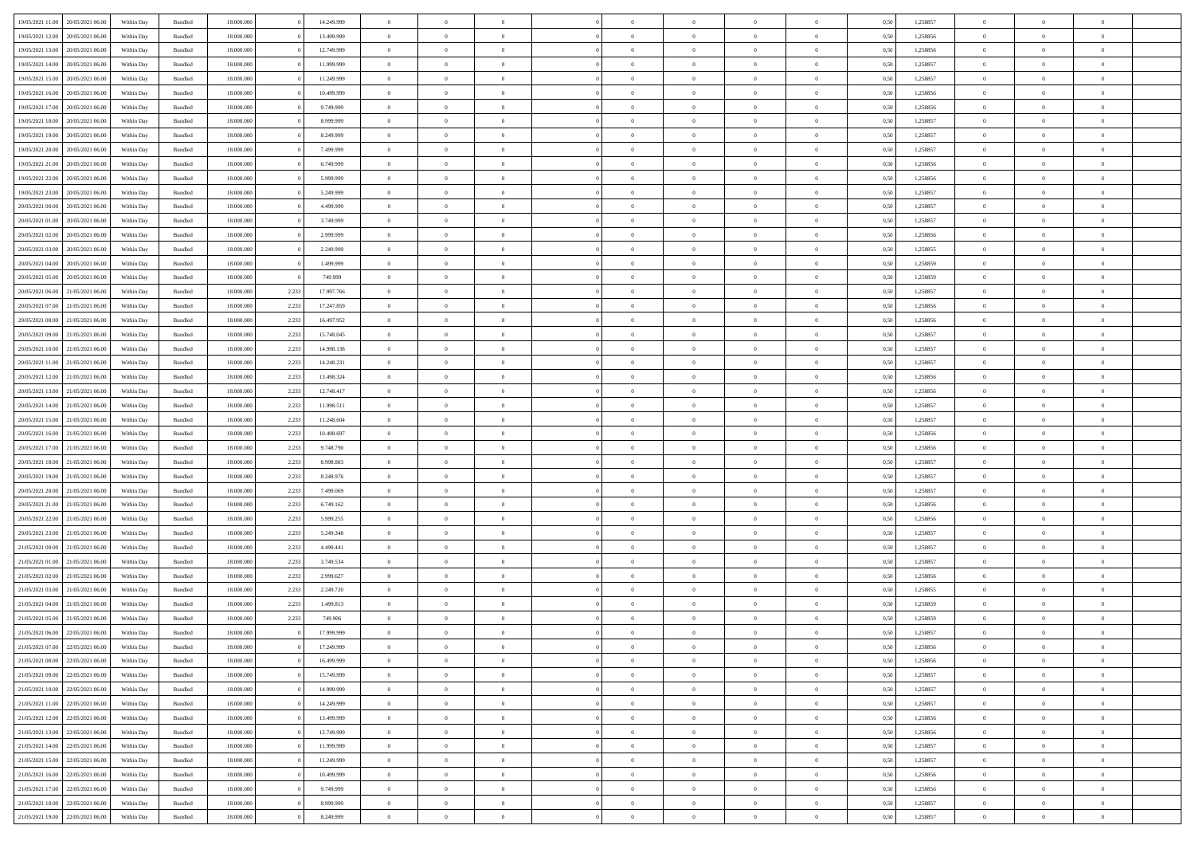| 19/05/2021 11:00                  | 20/05/2021 06:00                  | Within Day | Bundled | 18,000,000 |       | 14.249.999 | $\overline{0}$ | $\theta$       |                |                | $\Omega$       | $\Omega$       | $\overline{0}$ | 0,50 | 1,258857 | $\theta$       | $\theta$       | $\theta$       |  |
|-----------------------------------|-----------------------------------|------------|---------|------------|-------|------------|----------------|----------------|----------------|----------------|----------------|----------------|----------------|------|----------|----------------|----------------|----------------|--|
| 19/05/2021 12:00                  | 20/05/2021 06:00                  | Within Dav | Bundled | 18.000.000 |       | 13.499.999 | $\overline{0}$ | $\Omega$       |                | $\Omega$       | $\Omega$       | $\Omega$       | $\bf{0}$       | 0.50 | 1,258856 | $\theta$       | $\Omega$       | $\sqrt{ }$     |  |
| 19/05/2021 13:00                  | 20/05/2021 06:00                  | Within Day | Bundled | 18.000.000 |       | 12.749.999 | $\overline{0}$ | $\overline{0}$ | $\overline{0}$ | $\overline{0}$ | $\,$ 0 $\,$    | $\overline{0}$ | $\,$ 0 $\,$    | 0,50 | 1,258856 | $\,$ 0 $\,$    | $\overline{0}$ | $\overline{0}$ |  |
| 19/05/2021 14:00                  | 20/05/2021 06:00                  | Within Day |         | 18.000.000 |       | 11.999.999 | $\overline{0}$ | $\overline{0}$ | $\overline{0}$ | $\overline{0}$ | $\bf{0}$       | $\overline{0}$ | $\bf{0}$       | 0,50 | 1,258857 | $\bf{0}$       | $\overline{0}$ | $\overline{0}$ |  |
|                                   |                                   |            | Bundled |            |       |            |                |                |                |                |                |                |                |      |          |                |                |                |  |
| 19/05/2021 15:00                  | 20/05/2021 06:00                  | Within Day | Bundled | 18.000.000 |       | 11.249.999 | $\overline{0}$ | $\Omega$       | $^{\circ}$     | $\Omega$       | $\overline{0}$ | $\Omega$       | $\overline{0}$ | 0.50 | 1,258857 | $\theta$       | $\theta$       | $\sqrt{ }$     |  |
| 19/05/2021 16:00                  | 20/05/2021 06:00                  | Within Day | Bundled | 18.000.000 |       | 10.499.999 | $\overline{0}$ | $\overline{0}$ | $\overline{0}$ | $\overline{0}$ | $\,$ 0 $\,$    | $\overline{0}$ | $\,$ 0 $\,$    | 0,50 | 1,258856 | $\,$ 0 $\,$    | $\overline{0}$ | $\overline{0}$ |  |
| 19/05/2021 17:00                  | 20/05/2021 06:00                  | Within Day | Bundled | 18,000,000 |       | 9.749.999  | $\overline{0}$ | $\overline{0}$ | $\overline{0}$ | $\Omega$       | $\overline{0}$ | $\overline{0}$ | $\overline{0}$ | 0.50 | 1,258856 | $\,0\,$        | $\theta$       | $\overline{0}$ |  |
| 19/05/2021 18:00                  | 20/05/2021 06:00                  | Within Dav | Bundled | 18.000.000 |       | 8.999.999  | $\overline{0}$ | $\Omega$       | $^{\circ}$     | $\Omega$       | $\bf{0}$       | $\Omega$       | $\bf{0}$       | 0.50 | 1,258857 | $\theta$       | $\theta$       | $\sqrt{ }$     |  |
| 19/05/2021 19:00                  | 20/05/2021 06:00                  |            |         | 18.000.000 |       | 8.249.999  | $\overline{0}$ | $\overline{0}$ | $\overline{0}$ | $\overline{0}$ | $\overline{0}$ | $\overline{0}$ | $\,$ 0 $\,$    |      | 1,258857 | $\,$ 0 $\,$    | $\overline{0}$ | $\overline{0}$ |  |
|                                   |                                   | Within Day | Bundled |            |       |            |                |                |                |                |                |                |                | 0,50 |          |                |                |                |  |
| 19/05/2021 20:00                  | 20/05/2021 06:00                  | Within Day | Bundled | 18,000,000 |       | 7.499.999  | $\overline{0}$ | $\overline{0}$ | $\overline{0}$ | $\Omega$       | $\overline{0}$ | $\overline{0}$ | $\bf{0}$       | 0,50 | 1,258857 | $\bf{0}$       | $\theta$       | $\overline{0}$ |  |
| 19/05/2021 21:00                  | 20/05/2021 06:00                  | Within Dav | Bundled | 18.000.000 |       | 6.749.999  | $\overline{0}$ | $\Omega$       | $^{\circ}$     | $\Omega$       | $\bf{0}$       | $\Omega$       | $\overline{0}$ | 0.50 | 1,258856 | $\theta$       | $\theta$       | $\sqrt{ }$     |  |
| 19/05/2021 22:00                  | 20/05/2021 06:00                  | Within Day | Bundled | 18.000.000 |       | 5.999.999  | $\overline{0}$ | $\overline{0}$ | $\overline{0}$ | $\overline{0}$ | $\,$ 0 $\,$    | $\overline{0}$ | $\,$ 0 $\,$    | 0,50 | 1,258856 | $\,$ 0 $\,$    | $\overline{0}$ | $\overline{0}$ |  |
| 19/05/2021 23:00                  | 20/05/2021 06:00                  | Within Day | Bundled | 18.000.000 |       | 5.249.999  | $\overline{0}$ | $\overline{0}$ | $\overline{0}$ | $\overline{0}$ | $\bf{0}$       | $\overline{0}$ | $\bf{0}$       | 0,50 | 1,258857 | $\bf{0}$       | $\overline{0}$ | $\bf{0}$       |  |
| 20/05/2021 00:00                  | 20/05/2021 06:00                  | Within Day | Bundled | 18.000.000 |       | 4.499.999  | $\overline{0}$ | $\theta$       | $^{\circ}$     | $\Omega$       | $\bf{0}$       | $\Omega$       | $\bf{0}$       | 0.50 | 1,258857 | $\theta$       | $\theta$       | $\sqrt{ }$     |  |
|                                   |                                   |            |         |            |       |            |                |                |                |                |                |                |                |      |          |                |                |                |  |
| 20/05/2021 01:00                  | 20/05/2021 06:00                  | Within Day | Bundled | 18.000.000 |       | 3.749.999  | $\overline{0}$ | $\overline{0}$ | $\overline{0}$ | $\overline{0}$ | $\,$ 0 $\,$    | $\overline{0}$ | $\,$ 0 $\,$    | 0,50 | 1,258857 | $\theta$       | $\overline{0}$ | $\overline{0}$ |  |
| 20/05/2021 02:00                  | 20/05/2021 06:00                  | Within Day | Bundled | 18,000,000 |       | 2.999.999  | $\overline{0}$ | $\overline{0}$ | $\overline{0}$ | $\Omega$       | $\overline{0}$ | $\overline{0}$ | $\overline{0}$ | 0,50 | 1,258856 | $\theta$       | $\overline{0}$ | $\overline{0}$ |  |
| 20/05/2021 03:00                  | 20/05/2021 06:00                  | Within Day | Bundled | 18.000.000 |       | 2.249.999  | $\overline{0}$ | $\Omega$       | $^{\circ}$     | $\Omega$       | $\overline{0}$ | $\Omega$       | $\bf{0}$       | 0.50 | 1,258855 | $\theta$       | $\theta$       | -0             |  |
| 20/05/2021 04:00                  | 20/05/2021 06:00                  | Within Day | Bundled | 18.000.000 |       | 1.499.999  | $\overline{0}$ | $\overline{0}$ | $\overline{0}$ | $\overline{0}$ | $\,$ 0 $\,$    | $\overline{0}$ | $\,$ 0 $\,$    | 0,50 | 1,258859 | $\,$ 0 $\,$    | $\overline{0}$ | $\overline{0}$ |  |
| 20/05/2021 05:00                  | 20/05/2021 06:00                  | Within Day | Bundled | 18,000,000 |       | 749.999    | $\overline{0}$ | $\overline{0}$ | $\overline{0}$ | $\Omega$       | $\overline{0}$ | $\overline{0}$ | $\bf{0}$       | 0.50 | 1,258859 | $\bf{0}$       | $\theta$       | $\overline{0}$ |  |
| 20/05/2021 06:00                  | 21/05/2021 06:00                  | Within Dav | Bundled | 18.000.000 | 2.233 | 17.997.766 | $\overline{0}$ | $\Omega$       | $\Omega$       | $\Omega$       | $\bf{0}$       | $\Omega$       | $\overline{0}$ | 0.50 | 1,258857 | $\theta$       | $\theta$       | $\sqrt{ }$     |  |
|                                   |                                   |            |         |            |       |            |                |                |                |                |                |                |                |      |          |                |                |                |  |
| 20/05/2021 07:00                  | 21/05/2021 06:00                  | Within Day | Bundled | 18.000.000 | 2.233 | 17.247.859 | $\overline{0}$ | $\overline{0}$ | $\overline{0}$ | $\overline{0}$ | $\,$ 0 $\,$    | $\overline{0}$ | $\,$ 0 $\,$    | 0,50 | 1,258856 | $\,$ 0 $\,$    | $\overline{0}$ | $\overline{0}$ |  |
| 20/05/2021 08:00                  | 21/05/2021 06:00                  | Within Day | Bundled | 18.000.000 | 2.233 | 16.497.952 | $\overline{0}$ | $\overline{0}$ | $\overline{0}$ | $\overline{0}$ | $\bf{0}$       | $\overline{0}$ | $\bf{0}$       | 0,50 | 1,258856 | $\bf{0}$       | $\overline{0}$ | $\overline{0}$ |  |
| 20/05/2021 09:00                  | 21/05/2021 06:00                  | Within Day | Bundled | 18.000.000 | 2.233 | 15.748.045 | $\overline{0}$ | $\Omega$       | $^{\circ}$     | $\overline{0}$ | $\bf{0}$       | $\Omega$       | $\overline{0}$ | 0.50 | 1,258857 | $\theta$       | $\theta$       | $\sqrt{ }$     |  |
| 20/05/2021 10:00                  | 21/05/2021 06:00                  | Within Day | Bundled | 18.000.000 | 2.233 | 14.998.138 | $\overline{0}$ | $\overline{0}$ | $\overline{0}$ | $\overline{0}$ | $\,$ 0 $\,$    | $\overline{0}$ | $\,$ 0 $\,$    | 0,50 | 1,258857 | $\,$ 0 $\,$    | $\overline{0}$ | $\overline{0}$ |  |
| 20/05/2021 11:00                  | 21/05/2021 06:00                  | Within Day | Bundled | 18.000.000 | 2.233 | 14.248.231 | $\overline{0}$ | $\overline{0}$ | $\overline{0}$ | $\Omega$       | $\overline{0}$ | $\overline{0}$ | $\overline{0}$ | 0.50 | 1,258857 | $\bf{0}$       | $\overline{0}$ | $\overline{0}$ |  |
| 20/05/2021 12:00                  | 21/05/2021 06:00                  | Within Dav | Bundled | 18.000.000 | 2.233 | 13.498.324 | $\overline{0}$ | $\Omega$       | $\Omega$       | $\Omega$       | $\bf{0}$       | $\Omega$       | $\bf{0}$       | 0.50 | 1,258856 | $\theta$       | $\theta$       | $\sqrt{ }$     |  |
| 20/05/2021 13:00                  | 21/05/2021 06:00                  |            |         | 18.000.000 | 2.233 | 12.748.417 | $\overline{0}$ | $\overline{0}$ | $\overline{0}$ | $\overline{0}$ | $\overline{0}$ | $\overline{0}$ | $\,$ 0 $\,$    |      | 1,258856 | $\,$ 0 $\,$    | $\overline{0}$ | $\overline{0}$ |  |
|                                   |                                   | Within Day | Bundled |            |       |            |                |                |                |                |                |                |                | 0,50 |          |                |                |                |  |
| 20/05/2021 14:00                  | 21/05/2021 06:00                  | Within Day | Bundled | 18,000,000 | 2.233 | 11.998.511 | $\overline{0}$ | $\overline{0}$ | $\overline{0}$ | $\Omega$       | $\overline{0}$ | $\overline{0}$ | $\bf{0}$       | 0.50 | 1,258857 | $\bf{0}$       | $\theta$       | $\overline{0}$ |  |
| 20/05/2021 15:00                  | 21/05/2021 06:00                  | Within Dav | Bundled | 18.000.000 | 2.233 | 11.248.604 | $\overline{0}$ | $\Omega$       | $^{\circ}$     | $\Omega$       | $\overline{0}$ | $\Omega$       | $\overline{0}$ | 0.50 | 1,258857 | $\theta$       | $\theta$       | $\sqrt{ }$     |  |
| 20/05/2021 16:00                  | 21/05/2021 06:00                  | Within Day | Bundled | 18.000.000 | 2.233 | 10.498.697 | $\overline{0}$ | $\overline{0}$ | $\overline{0}$ | $\overline{0}$ | $\,$ 0 $\,$    | $\overline{0}$ | $\,$ 0 $\,$    | 0,50 | 1,258856 | $\,$ 0 $\,$    | $\overline{0}$ | $\,$ 0         |  |
| 20/05/2021 17:00                  | 21/05/2021 06:00                  | Within Day | Bundled | 18.000.000 | 2.233 | 9.748.790  | $\bf{0}$       | $\overline{0}$ | $\overline{0}$ | $\bf{0}$       | $\bf{0}$       | $\bf{0}$       | $\bf{0}$       | 0,50 | 1,258856 | $\,$ 0 $\,$    | $\overline{0}$ | $\overline{0}$ |  |
| 20/05/2021 18:00                  | 21/05/2021 06:00                  | Within Day | Bundled | 18.000.000 | 2.233 | 8.998.883  | $\overline{0}$ | $\theta$       | $\Omega$       | $\overline{0}$ | $\bf{0}$       | $\Omega$       | $\bf{0}$       | 0.50 | 1,258857 | $\theta$       | $\theta$       | $\sqrt{ }$     |  |
| 20/05/2021 19:00                  | 21/05/2021 06:00                  | Within Day | Bundled | 18.000.000 | 2.233 | 8.248.976  | $\overline{0}$ | $\overline{0}$ | $\overline{0}$ | $\overline{0}$ | $\,$ 0 $\,$    | $\overline{0}$ | $\,$ 0 $\,$    | 0,50 | 1,258857 | $\theta$       | $\overline{0}$ | $\overline{0}$ |  |
|                                   |                                   |            |         |            |       |            |                |                |                |                |                |                |                |      |          |                |                |                |  |
| 20/05/2021 20:00                  | 21/05/2021 06.00                  | Within Day | Bundled | 18.000.000 | 2.233 | 7.499.069  | $\bf{0}$       | $\theta$       | $\overline{0}$ | $\overline{0}$ | $\,$ 0         | $\bf{0}$       | $\bf{0}$       | 0,50 | 1,258857 | $\,$ 0 $\,$    | $\overline{0}$ | $\overline{0}$ |  |
| 20/05/2021 21:00                  | 21/05/2021 06:00                  | Within Day | Bundled | 18.000.000 | 2.233 | 6.749.162  | $\overline{0}$ | $\Omega$       | $^{\circ}$     | $\Omega$       | $\overline{0}$ | $\Omega$       | $\overline{0}$ | 0.50 | 1,258856 | $\theta$       | $\theta$       | $\sqrt{ }$     |  |
| 20/05/2021 22:00                  | 21/05/2021 06:00                  | Within Day | Bundled | 18.000.000 | 2.233 | 5.999.255  | $\overline{0}$ | $\overline{0}$ | $\overline{0}$ | $\overline{0}$ | $\,$ 0 $\,$    | $\overline{0}$ | $\,$ 0 $\,$    | 0,50 | 1,258856 | $\,$ 0 $\,$    | $\overline{0}$ | $\overline{0}$ |  |
| 20/05/2021 23:00                  | 21/05/2021 06.00                  | Within Day | Bundled | 18.000.000 | 2.233 | 5.249.348  | $\overline{0}$ | $\overline{0}$ | $\overline{0}$ | $\bf{0}$       | $\bf{0}$       | $\bf{0}$       | $\bf{0}$       | 0,50 | 1,258857 | $\,$ 0 $\,$    | $\overline{0}$ | $\overline{0}$ |  |
| 21/05/2021 00:00                  | 21/05/2021 06:00                  | Within Dav | Bundled | 18.000.000 | 2.233 | 4.499.441  | $\overline{0}$ | $\Omega$       | $^{\circ}$     | $\Omega$       | $\overline{0}$ | $\Omega$       | $\overline{0}$ | 0.50 | 1,258857 | $\theta$       | $\theta$       | $\sqrt{ }$     |  |
| 21/05/2021 01:00                  | 21/05/2021 06:00                  | Within Day | Bundled | 18.000.000 | 2.233 | 3.749.534  | $\overline{0}$ | $\overline{0}$ | $\overline{0}$ | $\overline{0}$ | $\,$ 0 $\,$    | $\overline{0}$ | $\,$ 0 $\,$    | 0,50 | 1,258857 | $\,$ 0 $\,$    | $\overline{0}$ | $\overline{0}$ |  |
|                                   |                                   |            |         |            |       |            |                |                |                |                |                |                |                |      |          |                |                |                |  |
| 21/05/2021 02:00                  | 21/05/2021 06.00                  | Within Day | Bundled | 18.000.000 | 2.233 | 2.999.627  | $\overline{0}$ | $\overline{0}$ | $\overline{0}$ | $\bf{0}$       | $\,$ 0         | $\bf{0}$       | $\bf{0}$       | 0,50 | 1,258856 | $\,$ 0 $\,$    | $\overline{0}$ | $\overline{0}$ |  |
| 21/05/2021 03:00                  | 21/05/2021 06:00                  | Within Day | Bundled | 18.000.000 | 2.233 | 2.249.720  | $\overline{0}$ | $\theta$       | $\Omega$       | $\Omega$       | $\bf{0}$       | $\Omega$       | $\overline{0}$ | 0.50 | 1,258855 | $\theta$       | $\theta$       | $\sqrt{ }$     |  |
| 21/05/2021 04:00                  | 21/05/2021 06:00                  | Within Day | Bundled | 18.000.000 | 2.233 | 1.499.813  | $\overline{0}$ | $\theta$       | $\overline{0}$ | $\overline{0}$ | $\,0\,$        | $\overline{0}$ | $\,$ 0 $\,$    | 0,50 | 1,258859 | $\,$ 0 $\,$    | $\overline{0}$ | $\overline{0}$ |  |
| 21/05/2021 05:00                  | 21/05/2021 06.00                  | Within Day | Bundled | 18.000.000 | 2.233 | 749.906    | $\overline{0}$ | $\theta$       | $\overline{0}$ | $\overline{0}$ | $\overline{0}$ | $\overline{0}$ | $\bf{0}$       | 0,50 | 1,258859 | $\,$ 0 $\,$    | $\overline{0}$ | $\overline{0}$ |  |
| 21/05/2021 06:00 22/05/2021 06:00 |                                   | Within Day | Bundled | 18.000.000 |       | 17.999.999 | $\overline{0}$ | $\overline{0}$ | $\Omega$       | $\overline{0}$ | $\bf{0}$       | $\overline{0}$ | $\overline{0}$ | 0.50 | 1,258857 | $\theta$       | $\theta$       | $\overline{0}$ |  |
|                                   | 21/05/2021 07:00 22/05/2021 06:00 | Within Day | Bundled | 18.000.000 |       | 17.249.999 | $\overline{0}$ | $\mathbf{0}$   |                |                |                |                |                | 0,50 | 1,258856 | $\theta$       | $\theta$       |                |  |
| 21/05/2021 08:00                  | 22/05/2021 06:00                  | Within Day | Bundled | 18.000.000 |       | 16.499.999 | $\overline{0}$ | $\overline{0}$ | $\bf{0}$       | $\bf{0}$       | $\bf{0}$       | $\bf{0}$       | $\bf{0}$       | 0,50 | 1,258856 | $\,0\,$        | $\overline{0}$ | $\bf{0}$       |  |
| 21/05/2021 09:00                  | 22/05/2021 06:00                  | Within Day | Bundled | 18.000.000 |       | 15.749.999 | $\overline{0}$ | $\overline{0}$ | $\overline{0}$ | $\overline{0}$ | $\bf{0}$       | $\overline{0}$ | $\overline{0}$ | 0,50 | 1,258857 | $\theta$       | $\theta$       | $\overline{0}$ |  |
|                                   |                                   |            |         |            |       |            |                |                |                |                |                |                |                |      |          |                |                |                |  |
| 21/05/2021 10:00                  | 22/05/2021 06:00                  | Within Day | Bundled | 18.000.000 |       | 14.999.999 | $\overline{0}$ | $\bf{0}$       | $\overline{0}$ | $\overline{0}$ | $\bf{0}$       | $\overline{0}$ | $\,$ 0 $\,$    | 0,50 | 1,258857 | $\mathbf{0}$   | $\,$ 0 $\,$    | $\bf{0}$       |  |
| 21/05/2021 11:00                  | 22/05/2021 06:00                  | Within Day | Bundled | 18.000.000 |       | 14.249.999 | $\overline{0}$ | $\overline{0}$ | $\overline{0}$ | $\bf{0}$       | $\bf{0}$       | $\bf{0}$       | $\bf{0}$       | 0,50 | 1,258857 | $\bf{0}$       | $\overline{0}$ | $\bf{0}$       |  |
| 21/05/2021 12:00                  | 22/05/2021 06:00                  | Within Day | Bundled | 18.000.000 |       | 13.499.999 | $\overline{0}$ | $\overline{0}$ | $\overline{0}$ | $\overline{0}$ | $\overline{0}$ | $\overline{0}$ | $\overline{0}$ | 0,50 | 1,258856 | $\overline{0}$ | $\overline{0}$ | $\overline{0}$ |  |
| 21/05/2021 13:00                  | 22/05/2021 06:00                  | Within Day | Bundled | 18.000.000 |       | 12.749.999 | $\overline{0}$ | $\overline{0}$ | $\overline{0}$ | $\overline{0}$ | $\bf{0}$       | $\overline{0}$ | $\,$ 0 $\,$    | 0,50 | 1,258856 | $\,$ 0 $\,$    | $\,$ 0 $\,$    | $\,$ 0         |  |
| 21/05/2021 14:00                  | 22/05/2021 06:00                  | Within Day | Bundled | 18.000.000 |       | 11.999.999 | $\overline{0}$ | $\overline{0}$ | $\overline{0}$ | $\bf{0}$       | $\bf{0}$       | $\bf{0}$       | $\bf{0}$       | 0,50 | 1,258857 | $\bf{0}$       | $\overline{0}$ | $\bf{0}$       |  |
| 21/05/2021 15:00                  | 22/05/2021 06:00                  | Within Day | Bundled | 18.000.000 |       | 11.249.999 | $\overline{0}$ | $\overline{0}$ | $\overline{0}$ | $\overline{0}$ | $\overline{0}$ | $\overline{0}$ | $\mathbf{0}$   | 0,50 | 1,258857 | $\theta$       | $\overline{0}$ | $\overline{0}$ |  |
|                                   |                                   |            |         |            |       |            |                |                |                |                |                |                |                |      |          |                |                |                |  |
| 21/05/2021 16:00                  | 22/05/2021 06:00                  | Within Day | Bundled | 18.000.000 |       | 10.499.999 | $\overline{0}$ | $\bf{0}$       | $\overline{0}$ | $\bf{0}$       | $\,$ 0 $\,$    | $\overline{0}$ | $\,$ 0 $\,$    | 0,50 | 1,258856 | $\overline{0}$ | $\,$ 0 $\,$    | $\,$ 0         |  |
| 21/05/2021 17:00                  | 22/05/2021 06:00                  | Within Day | Bundled | 18.000.000 |       | 9.749.999  | $\overline{0}$ | $\overline{0}$ | $\overline{0}$ | $\bf{0}$       | $\bf{0}$       | $\bf{0}$       | $\bf{0}$       | 0,50 | 1,258856 | $\bf{0}$       | $\overline{0}$ | $\overline{0}$ |  |
| 21/05/2021 18:00                  | 22/05/2021 06:00                  | Within Day | Bundled | 18.000.000 |       | 8.999.999  | $\overline{0}$ | $\overline{0}$ | $\overline{0}$ | $\overline{0}$ | $\bf{0}$       | $\overline{0}$ | $\overline{0}$ | 0.50 | 1,258857 | $\overline{0}$ | $\overline{0}$ | $\overline{0}$ |  |
| 21/05/2021 19:00 22/05/2021 06:00 |                                   | Within Day | Bundled | 18.000.000 |       | 8.249.999  | $\mathbf{0}$   | $\bf{0}$       | $\overline{0}$ | $\overline{0}$ | $\,$ 0 $\,$    | $\overline{0}$ | $\,$ 0 $\,$    | 0,50 | 1,258857 | $\mathbf{0}$   | $\,$ 0 $\,$    | $\,$ 0 $\,$    |  |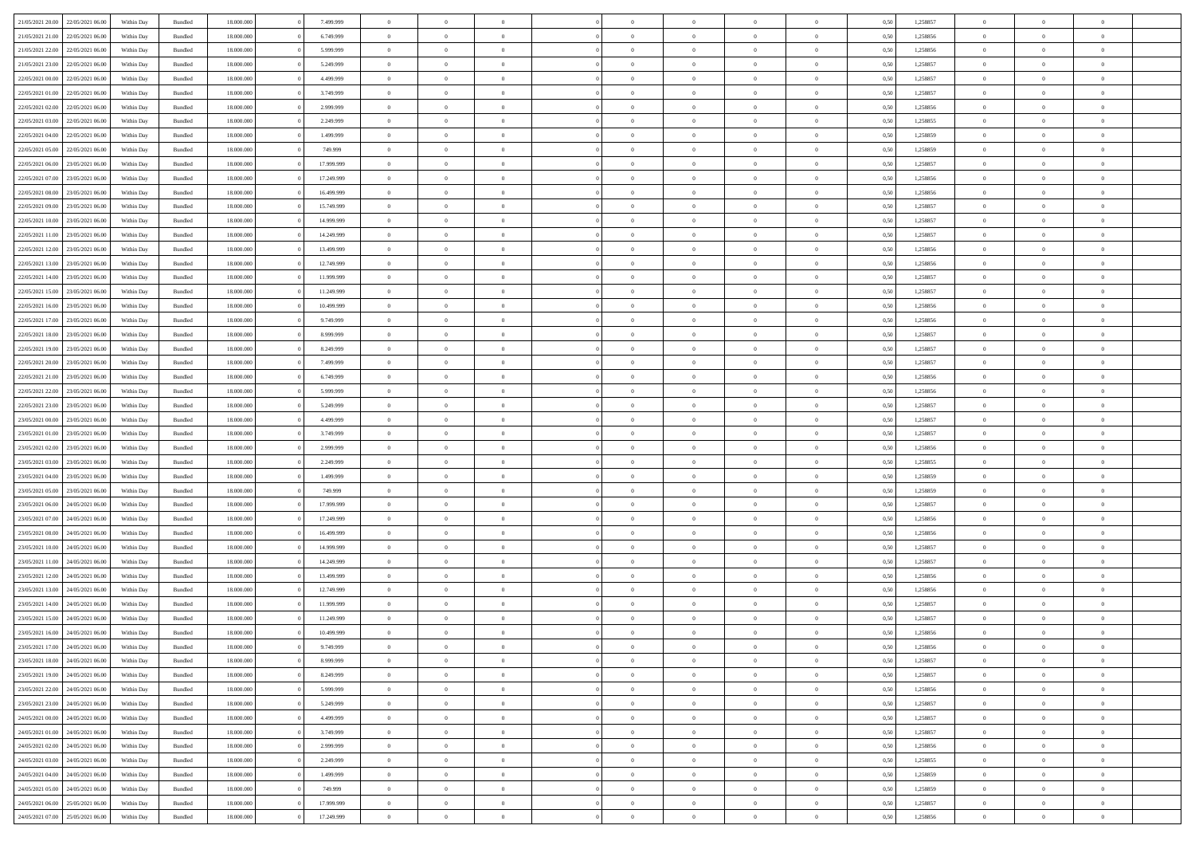|                                   |                                   |            |                    |            |            | $\Omega$       |                |                |                |                |                |                |      |          |                |                |                |  |
|-----------------------------------|-----------------------------------|------------|--------------------|------------|------------|----------------|----------------|----------------|----------------|----------------|----------------|----------------|------|----------|----------------|----------------|----------------|--|
| 21/05/2021 20:00                  | 22/05/2021 06:00                  | Within Dav | Bundled            | 18.000.000 | 7.499.999  |                | $\Omega$       |                | $\Omega$       | $\Omega$       | $\Omega$       | $\theta$       | 0.50 | 1,258857 | $\theta$       | $\theta$       | $\theta$       |  |
| 21/05/2021 21:00                  | 22/05/2021 06:00                  | Within Day | Bundled            | 18.000.000 | 6.749.999  | $\overline{0}$ | $\theta$       | $\overline{0}$ | $\overline{0}$ | $\bf{0}$       | $\overline{0}$ | $\overline{0}$ | 0,50 | 1,258856 | $\theta$       | $\theta$       | $\overline{0}$ |  |
| 21/05/2021 22:00                  | 22/05/2021 06:00                  | Within Day | Bundled            | 18.000.000 | 5.999.999  | $\overline{0}$ | $\overline{0}$ | $\overline{0}$ | $\bf{0}$       | $\bf{0}$       | $\bf{0}$       | $\bf{0}$       | 0,50 | 1,258856 | $\bf{0}$       | $\overline{0}$ | $\overline{0}$ |  |
| 21/05/2021 23:00                  | 22/05/2021 06:00                  | Within Dav | Bundled            | 18.000.000 | 5.249.999  | $\overline{0}$ | $\theta$       | $\overline{0}$ | $\overline{0}$ | $\bf{0}$       | $\overline{0}$ | $\overline{0}$ | 0.50 | 1.258857 | $\theta$       | $\theta$       | $\overline{0}$ |  |
| 22/05/2021 00:00                  | 22/05/2021 06:00                  | Within Day | Bundled            | 18.000.000 | 4.499.999  | $\overline{0}$ | $\theta$       | $\overline{0}$ | $\overline{0}$ | $\bf{0}$       | $\overline{0}$ | $\bf{0}$       | 0,50 | 1,258857 | $\theta$       | $\theta$       | $\overline{0}$ |  |
|                                   |                                   |            |                    |            |            |                |                |                |                |                |                |                |      |          |                |                |                |  |
| 22/05/2021 01:00                  | 22/05/2021 06:00                  | Within Day | Bundled            | 18.000.000 | 3.749.999  | $\overline{0}$ | $\bf{0}$       | $\overline{0}$ | $\bf{0}$       | $\overline{0}$ | $\bf{0}$       | $\mathbf{0}$   | 0,50 | 1,258857 | $\overline{0}$ | $\overline{0}$ | $\bf{0}$       |  |
| 22/05/2021 02:00                  | 22/05/2021 06:00                  | Within Dav | Bundled            | 18.000.000 | 2.999.999  | $\overline{0}$ | $\overline{0}$ | $\overline{0}$ | $\overline{0}$ | $\bf{0}$       | $\overline{0}$ | $\overline{0}$ | 0.50 | 1,258856 | $\theta$       | $\theta$       | $\overline{0}$ |  |
| 22/05/2021 03:00                  | 22/05/2021 06:00                  | Within Day | Bundled            | 18.000.000 | 2.249.999  | $\overline{0}$ | $\theta$       | $\overline{0}$ | $\overline{0}$ | $\bf{0}$       | $\overline{0}$ | $\bf{0}$       | 0,50 | 1,258855 | $\theta$       | $\theta$       | $\overline{0}$ |  |
| 22/05/2021 04:00                  | 22/05/2021 06:00                  | Within Day | Bundled            | 18.000.000 | 1.499.999  | $\overline{0}$ | $\overline{0}$ | $\overline{0}$ | $\bf{0}$       | $\bf{0}$       | $\bf{0}$       | $\bf{0}$       | 0,50 | 1,258859 | $\,0\,$        | $\overline{0}$ | $\overline{0}$ |  |
| 22/05/2021 05:00                  | 22/05/2021 06:00                  | Within Dav | Bundled            | 18.000.000 | 749.999    | $\overline{0}$ | $\overline{0}$ | $\overline{0}$ | $\overline{0}$ | $\overline{0}$ | $\overline{0}$ | $\overline{0}$ | 0.50 | 1,258859 | $\theta$       | $\overline{0}$ | $\overline{0}$ |  |
| 22/05/2021 06:00                  | 23/05/2021 06:00                  | Within Day | Bundled            | 18.000.000 | 17.999.999 | $\overline{0}$ | $\theta$       | $\overline{0}$ | $\overline{0}$ | $\bf{0}$       | $\overline{0}$ | $\bf{0}$       | 0,50 | 1,258857 | $\theta$       | $\theta$       | $\overline{0}$ |  |
| 22/05/2021 07:00                  | 23/05/2021 06:00                  | Within Day | Bundled            | 18.000.000 | 17.249.999 | $\overline{0}$ | $\overline{0}$ | $\overline{0}$ | $\bf{0}$       | $\bf{0}$       | $\bf{0}$       | $\bf{0}$       | 0,50 | 1,258856 | $\bf{0}$       | $\overline{0}$ | $\overline{0}$ |  |
|                                   |                                   |            |                    |            |            |                |                |                |                |                |                |                |      |          |                |                |                |  |
| 22/05/2021 08:00                  | 23/05/2021 06:00                  | Within Dav | Bundled            | 18.000.000 | 16.499.999 | $\overline{0}$ | $\theta$       | $\overline{0}$ | $\overline{0}$ | $\bf{0}$       | $\overline{0}$ | $\overline{0}$ | 0.50 | 1.258856 | $\theta$       | $\theta$       | $\overline{0}$ |  |
| 22/05/2021 09:00                  | 23/05/2021 06:00                  | Within Day | Bundled            | 18.000.000 | 15.749.999 | $\overline{0}$ | $\theta$       | $\overline{0}$ | $\overline{0}$ | $\bf{0}$       | $\overline{0}$ | $\overline{0}$ | 0,50 | 1,258857 | $\theta$       | $\theta$       | $\overline{0}$ |  |
| 22/05/2021 10:00                  | 23/05/2021 06:00                  | Within Day | Bundled            | 18.000.000 | 14.999.999 | $\overline{0}$ | $\overline{0}$ | $\overline{0}$ | $\bf{0}$       | $\overline{0}$ | $\bf{0}$       | $\mathbf{0}$   | 0,50 | 1,258857 | $\bf{0}$       | $\overline{0}$ | $\bf{0}$       |  |
| 22/05/2021 11:00                  | 23/05/2021 06:00                  | Within Dav | Bundled            | 18.000.000 | 14.249.999 | $\overline{0}$ | $\overline{0}$ | $\overline{0}$ | $\overline{0}$ | $\bf{0}$       | $\overline{0}$ | $\overline{0}$ | 0.50 | 1,258857 | $\theta$       | $\overline{0}$ | $\overline{0}$ |  |
| 22/05/2021 12:00                  | 23/05/2021 06:00                  | Within Day | Bundled            | 18.000.000 | 13.499.999 | $\overline{0}$ | $\theta$       | $\overline{0}$ | $\overline{0}$ | $\bf{0}$       | $\overline{0}$ | $\bf{0}$       | 0,50 | 1,258856 | $\theta$       | $\theta$       | $\overline{0}$ |  |
| 22/05/2021 13:00                  | 23/05/2021 06:00                  | Within Day | Bundled            | 18.000.000 | 12.749.999 | $\overline{0}$ | $\overline{0}$ | $\overline{0}$ | $\bf{0}$       | $\bf{0}$       | $\bf{0}$       | $\bf{0}$       | 0,50 | 1,258856 | $\,0\,$        | $\overline{0}$ | $\overline{0}$ |  |
| 22/05/2021 14:00                  | 23/05/2021 06:00                  | Within Day | Bundled            | 18.000.000 | 11.999.999 | $\overline{0}$ | $\overline{0}$ | $\overline{0}$ | $\overline{0}$ | $\overline{0}$ | $\overline{0}$ | $\overline{0}$ | 0.50 | 1,258857 | $\theta$       | $\overline{0}$ | $\overline{0}$ |  |
|                                   |                                   |            |                    |            |            |                |                |                |                |                |                |                |      |          |                |                |                |  |
| 22/05/2021 15:00                  | 23/05/2021 06:00                  | Within Day | Bundled            | 18.000.000 | 11.249.999 | $\overline{0}$ | $\theta$       | $\overline{0}$ | $\overline{0}$ | $\bf{0}$       | $\overline{0}$ | $\bf{0}$       | 0,50 | 1,258857 | $\theta$       | $\theta$       | $\overline{0}$ |  |
| 22/05/2021 16:00                  | 23/05/2021 06:00                  | Within Day | Bundled            | 18.000.000 | 10.499.999 | $\overline{0}$ | $\overline{0}$ | $\overline{0}$ | $\bf{0}$       | $\bf{0}$       | $\bf{0}$       | $\bf{0}$       | 0,50 | 1,258856 | $\,0\,$        | $\overline{0}$ | $\overline{0}$ |  |
| 22/05/2021 17:00                  | 23/05/2021 06:00                  | Within Day | Bundled            | 18.000.000 | 9.749.999  | $\overline{0}$ | $\overline{0}$ | $\overline{0}$ | $\overline{0}$ | $\bf{0}$       | $\overline{0}$ | $\overline{0}$ | 0.50 | 1.258856 | $\theta$       | $\theta$       | $\overline{0}$ |  |
| 22/05/2021 18:00                  | 23/05/2021 06:00                  | Within Day | Bundled            | 18.000.000 | 8.999.999  | $\overline{0}$ | $\theta$       | $\overline{0}$ | $\overline{0}$ | $\bf{0}$       | $\overline{0}$ | $\bf{0}$       | 0,50 | 1,258857 | $\theta$       | $\theta$       | $\overline{0}$ |  |
| 22/05/2021 19:00                  | 23/05/2021 06:00                  | Within Day | Bundled            | 18.000.000 | 8.249.999  | $\overline{0}$ | $\bf{0}$       | $\overline{0}$ | $\bf{0}$       | $\overline{0}$ | $\bf{0}$       | $\mathbf{0}$   | 0,50 | 1,258857 | $\overline{0}$ | $\overline{0}$ | $\bf{0}$       |  |
| 22/05/2021 20:00                  | 23/05/2021 06:00                  | Within Dav | Bundled            | 18.000.000 | 7.499.999  | $\overline{0}$ | $\overline{0}$ | $\overline{0}$ | $\overline{0}$ | $\overline{0}$ | $\overline{0}$ | $\overline{0}$ | 0.50 | 1,258857 | $\theta$       | $\theta$       | $\overline{0}$ |  |
|                                   |                                   |            |                    |            |            | $\overline{0}$ | $\theta$       | $\overline{0}$ |                | $\bf{0}$       | $\overline{0}$ |                |      |          | $\theta$       | $\theta$       | $\overline{0}$ |  |
| 22/05/2021 21:00                  | 23/05/2021 06:00                  | Within Day | Bundled            | 18.000.000 | 6.749.999  |                |                |                | $\overline{0}$ |                |                | $\bf{0}$       | 0,50 | 1,258856 |                |                |                |  |
| 22/05/2021 22:00                  | 23/05/2021 06:00                  | Within Day | Bundled            | 18.000.000 | 5.999.999  | $\overline{0}$ | $\overline{0}$ | $\overline{0}$ | $\bf{0}$       | $\bf{0}$       | $\bf{0}$       | $\bf{0}$       | 0,50 | 1,258856 | $\,0\,$        | $\overline{0}$ | $\overline{0}$ |  |
| 22/05/2021 23:00                  | 23/05/2021 06:00                  | Within Day | Bundled            | 18.000.000 | 5.249.999  | $\overline{0}$ | $\overline{0}$ | $\overline{0}$ | $\overline{0}$ | $\overline{0}$ | $\overline{0}$ | $\overline{0}$ | 0.50 | 1,258857 | $\theta$       | $\theta$       | $\overline{0}$ |  |
| 23/05/2021 00:00                  | 23/05/2021 06:00                  | Within Day | Bundled            | 18.000.000 | 4.499.999  | $\overline{0}$ | $\theta$       | $\overline{0}$ | $\overline{0}$ | $\bf{0}$       | $\overline{0}$ | $\bf{0}$       | 0,50 | 1,258857 | $\,$ 0 $\,$    | $\theta$       | $\overline{0}$ |  |
| 23/05/2021 01:00                  | 23/05/2021 06:00                  | Within Day | Bundled            | 18.000.000 | 3.749.999  | $\overline{0}$ | $\overline{0}$ | $\overline{0}$ | $\bf{0}$       | $\bf{0}$       | $\bf{0}$       | $\bf{0}$       | 0,50 | 1,258857 | $\bf{0}$       | $\overline{0}$ | $\overline{0}$ |  |
| 23/05/2021 02:00                  | 23/05/2021 06:00                  | Within Day | Bundled            | 18.000.000 | 2.999.999  | $\overline{0}$ | $\Omega$       | $\Omega$       | $\Omega$       | $\Omega$       | $\Omega$       | $\overline{0}$ | 0.50 | 1,258856 | $\,0\,$        | $\Omega$       | $\theta$       |  |
| 23/05/2021 03:00                  | 23/05/2021 06:00                  | Within Day | Bundled            | 18.000.000 | 2.249.999  | $\overline{0}$ | $\theta$       | $\overline{0}$ | $\overline{0}$ | $\bf{0}$       | $\overline{0}$ | $\bf{0}$       | 0,50 | 1,258855 | $\theta$       | $\theta$       | $\overline{0}$ |  |
|                                   |                                   |            |                    |            |            |                |                |                |                |                |                |                |      |          |                |                |                |  |
| 23/05/2021 04:00                  | 23/05/2021 06:00                  | Within Day | Bundled            | 18.000.000 | 1.499.999  | $\overline{0}$ | $\overline{0}$ | $\overline{0}$ | $\bf{0}$       | $\bf{0}$       | $\bf{0}$       | $\mathbf{0}$   | 0,50 | 1,258859 | $\overline{0}$ | $\overline{0}$ | $\bf{0}$       |  |
| 23/05/2021 05:00                  | 23/05/2021 06:00                  | Within Day | Bundled            | 18,000,000 | 749.999    | $\overline{0}$ | $\Omega$       | $\Omega$       | $\Omega$       | $\Omega$       | $\Omega$       | $\overline{0}$ | 0.50 | 1,258859 | $\theta$       | $\theta$       | $\theta$       |  |
| 23/05/2021 06:00                  | 24/05/2021 06.00                  | Within Day | Bundled            | 18.000.000 | 17.999.999 | $\overline{0}$ | $\theta$       | $\overline{0}$ | $\overline{0}$ | $\bf{0}$       | $\overline{0}$ | $\bf{0}$       | 0,50 | 1,258857 | $\theta$       | $\theta$       | $\overline{0}$ |  |
| 23/05/2021 07:00                  | 24/05/2021 06:00                  | Within Day | Bundled            | 18.000.000 | 17.249.999 | $\overline{0}$ | $\overline{0}$ | $\overline{0}$ | $\bf{0}$       | $\bf{0}$       | $\bf{0}$       | $\bf{0}$       | 0,50 | 1,258856 | $\,0\,$        | $\overline{0}$ | $\overline{0}$ |  |
| 23/05/2021 08:00                  | 24/05/2021 06:00                  | Within Day | Bundled            | 18,000,000 | 16.499.999 | $\overline{0}$ | $\Omega$       | $\Omega$       | $\Omega$       | $\Omega$       | $\theta$       | $\overline{0}$ | 0.50 | 1,258856 | $\theta$       | $\theta$       | $\theta$       |  |
| 23/05/2021 10:00                  | 24/05/2021 06.00                  | Within Day | Bundled            | 18.000.000 | 14.999.999 | $\overline{0}$ | $\theta$       | $\overline{0}$ | $\overline{0}$ | $\bf{0}$       | $\overline{0}$ | $\bf{0}$       | 0,50 | 1,258857 | $\theta$       | $\theta$       | $\overline{0}$ |  |
| 23/05/2021 11:00                  | 24/05/2021 06:00                  | Within Day | Bundled            | 18.000.000 | 14.249.999 | $\overline{0}$ | $\overline{0}$ | $\overline{0}$ | $\bf{0}$       | $\bf{0}$       | $\bf{0}$       | $\bf{0}$       | 0,50 | 1,258857 | $\bf{0}$       | $\overline{0}$ | $\overline{0}$ |  |
| 23/05/2021 12:00                  | 24/05/2021 06.00                  |            |                    | 18.000.000 | 13.499.999 | $\overline{0}$ | $\Omega$       | $\Omega$       | $\Omega$       | $\Omega$       | $\overline{0}$ | $\overline{0}$ | 0.50 | 1,258856 | $\,0\,$        | $\theta$       | $\theta$       |  |
|                                   |                                   | Within Day | Bundled            |            |            |                |                |                |                |                |                |                |      |          |                |                |                |  |
| 23/05/2021 13:00                  | 24/05/2021 06.00                  | Within Day | Bundled            | 18.000.000 | 12.749.999 | $\overline{0}$ | $\theta$       | $\overline{0}$ | $\overline{0}$ | $\bf{0}$       | $\overline{0}$ | $\bf{0}$       | 0,50 | 1,258856 | $\,$ 0 $\,$    | $\theta$       | $\overline{0}$ |  |
| 23/05/2021 14:00                  | 24/05/2021 06:00                  | Within Day | Bundled            | 18.000.000 | 11.999.999 | $\overline{0}$ | $\overline{0}$ | $\overline{0}$ | $\bf{0}$       | $\bf{0}$       | $\bf{0}$       | $\mathbf{0}$   | 0,50 | 1,258857 | $\bf{0}$       | $\overline{0}$ | $\bf{0}$       |  |
| 23/05/2021 15:00                  | 24/05/2021 06:00                  | Within Day | Bundled            | 18,000,000 | 11.249.999 | $\overline{0}$ | $\Omega$       | $\Omega$       | $\Omega$       | $\Omega$       | $\Omega$       | $\overline{0}$ | 0.50 | 1,258857 | $\theta$       | $\Omega$       | $\theta$       |  |
| 23/05/2021 16:00                  | 24/05/2021 06:00                  | Within Day | Bundled            | 18.000.000 | 10.499.999 | $\overline{0}$ | $\overline{0}$ | $\overline{0}$ | $\bf{0}$       | $\,$ 0         | $\bf{0}$       | $\bf{0}$       | 0,50 | 1,258856 | $\,0\,$        | $\overline{0}$ | $\overline{0}$ |  |
|                                   | 23/05/2021 17:00 24/05/2021 06:00 | Within Day | $\mathbf B$ undled | 18.000.000 | 9.749.999  | $\bf{0}$       | $\bf{0}$       |                |                | $\bf{0}$       |                |                | 0,50 | 1,258856 | $\bf{0}$       | $\overline{0}$ |                |  |
| 23/05/2021 18:00                  | 24/05/2021 06:00                  | Within Day | Bundled            | 18,000,000 | 8.999.999  | $\overline{0}$ | $\overline{0}$ | $\overline{0}$ | $\Omega$       | $\overline{0}$ | $\overline{0}$ | $\overline{0}$ | 0.50 | 1,258857 | $\theta$       | $\theta$       | $\theta$       |  |
| 23/05/2021 19:00                  | 24/05/2021 06.00                  | Within Day | Bundled            | 18.000.000 | 8.249.999  | $\overline{0}$ | $\,$ 0         | $\overline{0}$ | $\bf{0}$       | $\,$ 0 $\,$    | $\overline{0}$ | $\mathbf{0}$   | 0,50 | 1,258857 | $\,$ 0 $\,$    | $\,$ 0 $\,$    | $\,$ 0         |  |
|                                   |                                   |            |                    |            |            |                |                |                |                |                |                |                |      |          |                |                |                |  |
| 23/05/2021 22.00                  | 24/05/2021 06:00                  | Within Day | Bundled            | 18.000.000 | 5.999.999  | $\overline{0}$ | $\overline{0}$ | $\overline{0}$ | $\overline{0}$ | $\overline{0}$ | $\overline{0}$ | $\mathbf{0}$   | 0,50 | 1,258856 | $\overline{0}$ | $\bf{0}$       | $\bf{0}$       |  |
| 23/05/2021 23:00                  | 24/05/2021 06:00                  | Within Day | Bundled            | 18,000,000 | 5.249.999  | $\overline{0}$ | $\overline{0}$ | $\overline{0}$ | $\Omega$       | $\overline{0}$ | $\overline{0}$ | $\overline{0}$ | 0,50 | 1,258857 | $\overline{0}$ | $\theta$       | $\overline{0}$ |  |
| 24/05/2021 00:00                  | 24/05/2021 06.00                  | Within Day | Bundled            | 18.000.000 | 4.499.999  | $\overline{0}$ | $\,$ 0         | $\overline{0}$ | $\overline{0}$ | $\,$ 0 $\,$    | $\overline{0}$ | $\mathbf{0}$   | 0,50 | 1,258857 | $\,$ 0 $\,$    | $\overline{0}$ | $\overline{0}$ |  |
| 24/05/2021 01:00                  | 24/05/2021 06:00                  | Within Day | Bundled            | 18.000.000 | 3.749.999  | $\overline{0}$ | $\overline{0}$ | $\overline{0}$ | $\overline{0}$ | $\overline{0}$ | $\overline{0}$ | $\mathbf{0}$   | 0,50 | 1,258857 | $\overline{0}$ | $\overline{0}$ | $\bf{0}$       |  |
| 24/05/2021 02:00                  | 24/05/2021 06:00                  | Within Day | Bundled            | 18,000,000 | 2.999.999  | $\overline{0}$ | $\overline{0}$ | $\overline{0}$ | $\Omega$       | $\overline{0}$ | $\overline{0}$ | $\bf{0}$       | 0.50 | 1,258856 | $\overline{0}$ | $\theta$       | $\overline{0}$ |  |
| 24/05/2021 03:00                  | 24/05/2021 06.00                  | Within Day | Bundled            | 18.000.000 | 2.249.999  | $\overline{0}$ | $\,$ 0         | $\overline{0}$ | $\bf{0}$       | $\bf{0}$       | $\bf{0}$       | $\bf{0}$       | 0,50 | 1,258855 | $\,$ 0 $\,$    | $\overline{0}$ | $\overline{0}$ |  |
| 24/05/2021 04:00                  | 24/05/2021 06:00                  | Within Day | Bundled            | 18.000.000 | 1.499.999  | $\overline{0}$ | $\bf{0}$       | $\overline{0}$ | $\overline{0}$ | $\overline{0}$ | $\overline{0}$ | $\mathbf{0}$   | 0,50 | 1,258859 | $\overline{0}$ | $\overline{0}$ | $\bf{0}$       |  |
|                                   |                                   |            |                    |            |            |                |                |                |                |                |                |                |      |          |                |                |                |  |
| 24/05/2021 05:00                  | 24/05/2021 06:00                  | Within Day | Bundled            | 18,000,000 | 749.999    | $\overline{0}$ | $\overline{0}$ | $\overline{0}$ | $\Omega$       | $\overline{0}$ | $\overline{0}$ | $\overline{0}$ | 0.50 | 1,258859 | $\overline{0}$ | $\overline{0}$ | $\overline{0}$ |  |
| 24/05/2021 06:00                  | 25/05/2021 06:00                  | Within Day | Bundled            | 18.000.000 | 17.999.999 | $\overline{0}$ | $\bf{0}$       | $\overline{0}$ | $\overline{0}$ | $\bf{0}$       | $\bf{0}$       | $\bf{0}$       | 0,50 | 1,258857 | $\,$ 0 $\,$    | $\,$ 0 $\,$    | $\bf{0}$       |  |
| 24/05/2021 07:00 25/05/2021 06:00 |                                   | Within Day | Bundled            | 18.000.000 | 17.249.999 | $\overline{0}$ | $\bf{0}$       | $\overline{0}$ | $\bf{0}$       | $\bf{0}$       | $\bf{0}$       | $\bf{0}$       | 0,50 | 1,258856 | $\overline{0}$ | $\overline{0}$ | $\bf{0}$       |  |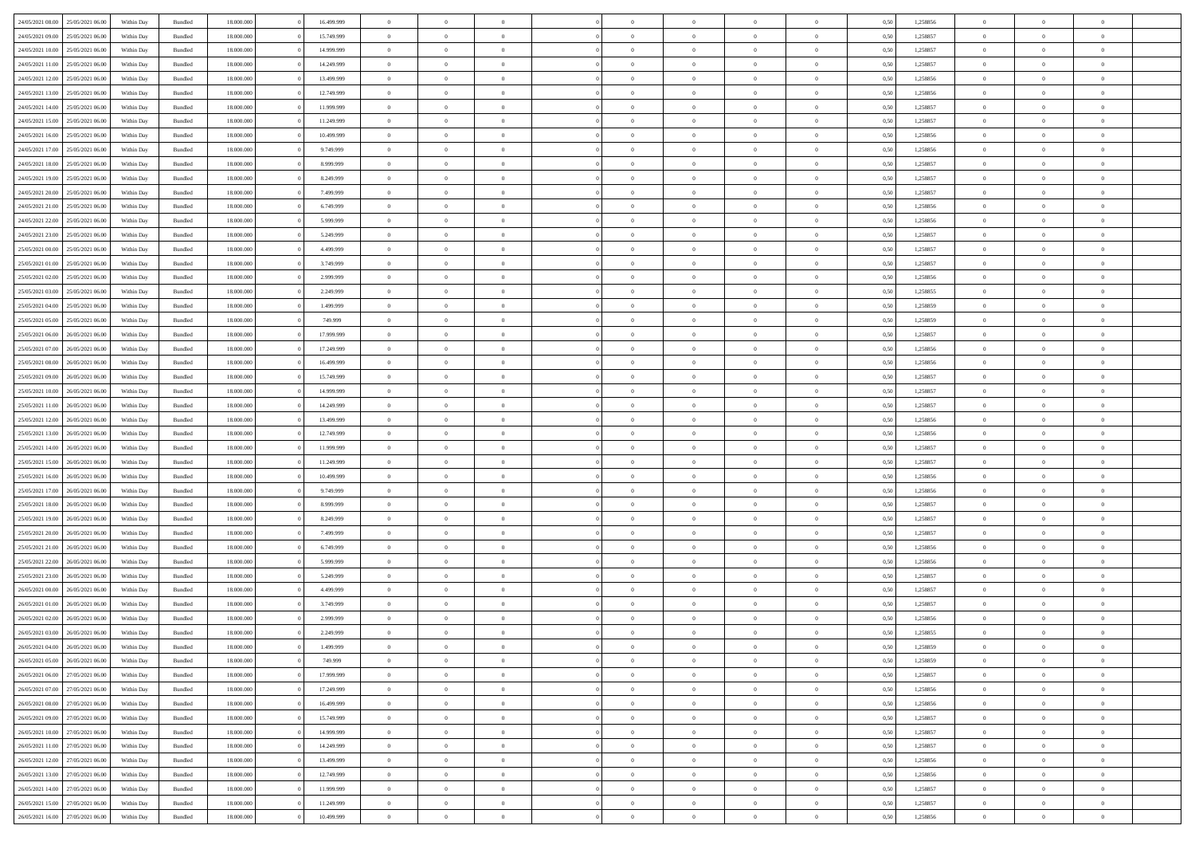| 24/05/2021 08:00                  | 25/05/2021 06:00 | Within Day | Bundled            | 18.000.000 | 16.499.999 | $\overline{0}$ | $\Omega$       |                | $\Omega$       | $\Omega$       | $\Omega$       | $\theta$       | 0.50 | 1,258856 | $\theta$       | $\theta$       | $\theta$       |  |
|-----------------------------------|------------------|------------|--------------------|------------|------------|----------------|----------------|----------------|----------------|----------------|----------------|----------------|------|----------|----------------|----------------|----------------|--|
|                                   |                  |            |                    |            |            |                |                |                |                |                |                |                |      |          |                |                |                |  |
| 24/05/2021 09:00                  | 25/05/2021 06:00 | Within Day | Bundled            | 18.000.000 | 15.749.999 | $\overline{0}$ | $\theta$       | $\overline{0}$ | $\overline{0}$ | $\bf{0}$       | $\overline{0}$ | $\overline{0}$ | 0,50 | 1,258857 | $\theta$       | $\theta$       | $\overline{0}$ |  |
| 24/05/2021 10:00                  | 25/05/2021 06:00 | Within Day | Bundled            | 18.000.000 | 14.999.999 | $\overline{0}$ | $\overline{0}$ | $\overline{0}$ | $\bf{0}$       | $\bf{0}$       | $\bf{0}$       | $\bf{0}$       | 0,50 | 1,258857 | $\bf{0}$       | $\overline{0}$ | $\overline{0}$ |  |
| 24/05/2021 11:00                  | 25/05/2021 06:00 | Within Dav | Bundled            | 18.000.000 | 14.249.999 | $\overline{0}$ | $\theta$       | $\overline{0}$ | $\overline{0}$ | $\bf{0}$       | $\overline{0}$ | $\overline{0}$ | 0.50 | 1.258857 | $\theta$       | $\theta$       | $\overline{0}$ |  |
|                                   |                  |            |                    |            |            | $\overline{0}$ | $\theta$       | $\overline{0}$ |                | $\bf{0}$       | $\overline{0}$ |                |      |          | $\theta$       | $\theta$       | $\overline{0}$ |  |
| 24/05/2021 12:00                  | 25/05/2021 06:00 | Within Day | Bundled            | 18.000.000 | 13.499.999 |                |                |                | $\overline{0}$ |                |                | $\bf{0}$       | 0,50 | 1,258856 |                |                |                |  |
| 24/05/2021 13:00                  | 25/05/2021 06:00 | Within Day | Bundled            | 18.000.000 | 12.749.999 | $\overline{0}$ | $\bf{0}$       | $\overline{0}$ | $\bf{0}$       | $\overline{0}$ | $\bf{0}$       | $\mathbf{0}$   | 0,50 | 1,258856 | $\overline{0}$ | $\overline{0}$ | $\bf{0}$       |  |
| 24/05/2021 14:00                  | 25/05/2021 06:00 | Within Dav | Bundled            | 18.000.000 | 11.999.999 | $\overline{0}$ | $\overline{0}$ | $\overline{0}$ | $\overline{0}$ | $\bf{0}$       | $\overline{0}$ | $\overline{0}$ | 0.50 | 1,258857 | $\theta$       | $\theta$       | $\overline{0}$ |  |
| 24/05/2021 15:00                  | 25/05/2021 06:00 | Within Day | Bundled            | 18.000.000 | 11.249.999 | $\overline{0}$ | $\theta$       | $\overline{0}$ | $\overline{0}$ | $\bf{0}$       | $\overline{0}$ | $\bf{0}$       | 0,50 | 1,258857 | $\theta$       | $\theta$       | $\overline{0}$ |  |
|                                   | 25/05/2021 06:00 | Within Day | Bundled            | 18.000.000 | 10.499.999 | $\overline{0}$ | $\overline{0}$ | $\overline{0}$ | $\bf{0}$       | $\bf{0}$       | $\bf{0}$       | $\bf{0}$       | 0,50 | 1,258856 | $\,0\,$        | $\overline{0}$ | $\overline{0}$ |  |
| 24/05/2021 16:00                  |                  |            |                    |            |            |                |                |                |                |                |                |                |      |          |                |                |                |  |
| 24/05/2021 17:00                  | 25/05/2021 06:00 | Within Dav | Bundled            | 18.000.000 | 9.749.999  | $\overline{0}$ | $\overline{0}$ | $\overline{0}$ | $\overline{0}$ | $\overline{0}$ | $\overline{0}$ | $\overline{0}$ | 0.50 | 1,258856 | $\theta$       | $\overline{0}$ | $\overline{0}$ |  |
| 24/05/2021 18:00                  | 25/05/2021 06:00 | Within Day | Bundled            | 18.000.000 | 8.999.999  | $\overline{0}$ | $\theta$       | $\overline{0}$ | $\overline{0}$ | $\bf{0}$       | $\overline{0}$ | $\bf{0}$       | 0,50 | 1,258857 | $\theta$       | $\theta$       | $\overline{0}$ |  |
| 24/05/2021 19:00                  | 25/05/2021 06:00 | Within Day | Bundled            | 18.000.000 | 8.249.999  | $\overline{0}$ | $\overline{0}$ | $\overline{0}$ | $\bf{0}$       | $\bf{0}$       | $\bf{0}$       | $\bf{0}$       | 0,50 | 1,258857 | $\bf{0}$       | $\overline{0}$ | $\overline{0}$ |  |
| 24/05/2021 20:00                  | 25/05/2021 06:00 | Within Dav | Bundled            | 18.000.000 | 7.499.999  | $\overline{0}$ | $\theta$       | $\overline{0}$ | $\overline{0}$ | $\bf{0}$       | $\overline{0}$ | $\overline{0}$ | 0.50 | 1.258857 | $\theta$       | $\theta$       | $\overline{0}$ |  |
|                                   |                  |            |                    |            |            |                |                |                |                |                |                |                |      |          |                |                |                |  |
| 24/05/2021 21:00                  | 25/05/2021 06:00 | Within Day | Bundled            | 18.000.000 | 6.749.999  | $\overline{0}$ | $\theta$       | $\overline{0}$ | $\overline{0}$ | $\bf{0}$       | $\overline{0}$ | $\overline{0}$ | 0,50 | 1,258856 | $\theta$       | $\theta$       | $\overline{0}$ |  |
| 24/05/2021 22:00                  | 25/05/2021 06:00 | Within Day | Bundled            | 18.000.000 | 5.999.999  | $\overline{0}$ | $\overline{0}$ | $\overline{0}$ | $\bf{0}$       | $\overline{0}$ | $\bf{0}$       | $\mathbf{0}$   | 0,50 | 1,258856 | $\overline{0}$ | $\overline{0}$ | $\bf{0}$       |  |
| 24/05/2021 23:00                  | 25/05/2021 06:00 | Within Dav | Bundled            | 18.000.000 | 5.249.999  | $\overline{0}$ | $\overline{0}$ | $\overline{0}$ | $\overline{0}$ | $\bf{0}$       | $\overline{0}$ | $\overline{0}$ | 0.50 | 1,258857 | $\theta$       | $\theta$       | $\overline{0}$ |  |
| 25/05/2021 00:00                  | 25/05/2021 06:00 | Within Day | Bundled            | 18.000.000 | 4.499.999  | $\overline{0}$ | $\theta$       | $\overline{0}$ | $\overline{0}$ | $\bf{0}$       | $\overline{0}$ | $\bf{0}$       | 0,50 | 1,258857 | $\theta$       | $\theta$       | $\overline{0}$ |  |
| 25/05/2021 01:00                  | 25/05/2021 06:00 | Within Day | Bundled            | 18.000.000 | 3.749.999  | $\overline{0}$ | $\overline{0}$ | $\overline{0}$ | $\bf{0}$       | $\bf{0}$       | $\bf{0}$       | $\bf{0}$       | 0,50 | 1,258857 | $\,0\,$        | $\overline{0}$ | $\overline{0}$ |  |
|                                   |                  |            |                    |            |            |                |                |                |                |                |                |                |      |          |                |                |                |  |
| 25/05/2021 02:00                  | 25/05/2021 06:00 | Within Dav | Bundled            | 18.000.000 | 2.999.999  | $\overline{0}$ | $\overline{0}$ | $\overline{0}$ | $\overline{0}$ | $\overline{0}$ | $\overline{0}$ | $\overline{0}$ | 0.50 | 1,258856 | $\theta$       | $\overline{0}$ | $\overline{0}$ |  |
| 25/05/2021 03:00                  | 25/05/2021 06:00 | Within Day | Bundled            | 18.000.000 | 2.249.999  | $\overline{0}$ | $\theta$       | $\overline{0}$ | $\overline{0}$ | $\bf{0}$       | $\overline{0}$ | $\bf{0}$       | 0,50 | 1,258855 | $\theta$       | $\theta$       | $\overline{0}$ |  |
| 25/05/2021 04:00                  | 25/05/2021 06:00 | Within Day | Bundled            | 18.000.000 | 1.499.999  | $\overline{0}$ | $\overline{0}$ | $\overline{0}$ | $\bf{0}$       | $\bf{0}$       | $\bf{0}$       | $\bf{0}$       | 0,50 | 1,258859 | $\,0\,$        | $\overline{0}$ | $\overline{0}$ |  |
| 25/05/2021 05:00                  | 25/05/2021 06:00 | Within Day | Bundled            | 18.000.000 | 749,999    | $\overline{0}$ | $\overline{0}$ | $\overline{0}$ | $\overline{0}$ | $\bf{0}$       | $\overline{0}$ | $\overline{0}$ | 0.50 | 1.258859 | $\theta$       | $\theta$       | $\overline{0}$ |  |
|                                   |                  |            |                    |            |            |                |                |                |                |                |                |                |      |          |                |                |                |  |
| 25/05/2021 06:00                  | 26/05/2021 06:00 | Within Day | Bundled            | 18.000.000 | 17.999.999 | $\overline{0}$ | $\theta$       | $\overline{0}$ | $\overline{0}$ | $\bf{0}$       | $\overline{0}$ | $\bf{0}$       | 0,50 | 1,258857 | $\theta$       | $\theta$       | $\overline{0}$ |  |
| 25/05/2021 07:00                  | 26/05/2021 06:00 | Within Day | Bundled            | 18.000.000 | 17.249.999 | $\overline{0}$ | $\overline{0}$ | $\overline{0}$ | $\bf{0}$       | $\overline{0}$ | $\bf{0}$       | $\mathbf{0}$   | 0,50 | 1,258856 | $\overline{0}$ | $\overline{0}$ | $\bf{0}$       |  |
| 25/05/2021 08:00                  | 26/05/2021 06:00 | Within Dav | Bundled            | 18.000.000 | 16.499.999 | $\overline{0}$ | $\overline{0}$ | $\overline{0}$ | $\overline{0}$ | $\overline{0}$ | $\overline{0}$ | $\overline{0}$ | 0.50 | 1,258856 | $\theta$       | $\theta$       | $\overline{0}$ |  |
| 25/05/2021 09:00                  | 26/05/2021 06:00 | Within Day | Bundled            | 18.000.000 | 15.749.999 | $\overline{0}$ | $\theta$       | $\overline{0}$ | $\overline{0}$ | $\bf{0}$       | $\overline{0}$ | $\bf{0}$       | 0,50 | 1,258857 | $\theta$       | $\theta$       | $\overline{0}$ |  |
| 25/05/2021 10:00                  | 26/05/2021 06:00 | Within Day | Bundled            | 18.000.000 | 14.999.999 | $\overline{0}$ | $\overline{0}$ | $\overline{0}$ | $\bf{0}$       | $\bf{0}$       | $\bf{0}$       | $\bf{0}$       | 0,50 | 1,258857 | $\,0\,$        | $\overline{0}$ | $\overline{0}$ |  |
|                                   |                  |            |                    |            |            |                |                |                |                |                |                |                |      |          |                |                |                |  |
| 25/05/2021 11:00                  | 26/05/2021 06:00 | Within Day | Bundled            | 18,000,000 | 14.249.999 | $\overline{0}$ | $\overline{0}$ | $\overline{0}$ | $\overline{0}$ | $\bf{0}$       | $\overline{0}$ | $\overline{0}$ | 0.50 | 1,258857 | $\theta$       | $\theta$       | $\overline{0}$ |  |
| 25/05/2021 12:00                  | 26/05/2021 06:00 | Within Day | Bundled            | 18.000.000 | 13.499.999 | $\overline{0}$ | $\theta$       | $\overline{0}$ | $\overline{0}$ | $\bf{0}$       | $\overline{0}$ | $\bf{0}$       | 0,50 | 1,258856 | $\,$ 0 $\,$    | $\theta$       | $\overline{0}$ |  |
| 25/05/2021 13:00                  | 26/05/2021 06:00 | Within Day | Bundled            | 18.000.000 | 12.749.999 | $\overline{0}$ | $\overline{0}$ | $\overline{0}$ | $\bf{0}$       | $\bf{0}$       | $\bf{0}$       | $\bf{0}$       | 0,50 | 1,258856 | $\bf{0}$       | $\overline{0}$ | $\overline{0}$ |  |
| 25/05/2021 14:00                  | 26/05/2021 06:00 | Within Day | Bundled            | 18.000.000 | 11.999.999 | $\overline{0}$ | $\Omega$       | $\Omega$       | $\Omega$       | $\Omega$       | $\Omega$       | $\overline{0}$ | 0.50 | 1,258857 | $\,0\,$        | $\Omega$       | $\theta$       |  |
| 25/05/2021 15:00                  | 26/05/2021 06:00 |            |                    | 18.000.000 | 11.249.999 | $\overline{0}$ | $\theta$       | $\overline{0}$ | $\overline{0}$ | $\bf{0}$       | $\overline{0}$ |                |      | 1,258857 | $\theta$       | $\theta$       | $\overline{0}$ |  |
|                                   |                  | Within Day | Bundled            |            |            |                |                |                |                |                |                | $\bf{0}$       | 0,50 |          |                |                |                |  |
| 25/05/2021 16:00                  | 26/05/2021 06:00 | Within Day | Bundled            | 18.000.000 | 10.499.999 | $\overline{0}$ | $\bf{0}$       | $\overline{0}$ | $\bf{0}$       | $\bf{0}$       | $\bf{0}$       | $\mathbf{0}$   | 0,50 | 1,258856 | $\overline{0}$ | $\overline{0}$ | $\bf{0}$       |  |
| 25/05/2021 17:00                  | 26/05/2021 06:00 | Within Day | Bundled            | 18,000,000 | 9.749.999  | $\overline{0}$ | $\Omega$       | $\Omega$       | $\Omega$       | $\Omega$       | $\Omega$       | $\overline{0}$ | 0.50 | 1,258856 | $\theta$       | $\theta$       | $\theta$       |  |
| 25/05/2021 18:00                  | 26/05/2021 06:00 | Within Day | Bundled            | 18.000.000 | 8.999.999  | $\overline{0}$ | $\theta$       | $\overline{0}$ | $\overline{0}$ | $\bf{0}$       | $\overline{0}$ | $\bf{0}$       | 0,50 | 1,258857 | $\theta$       | $\theta$       | $\overline{0}$ |  |
| 25/05/2021 19:00                  | 26/05/2021 06:00 | Within Day | Bundled            | 18.000.000 | 8.249.999  | $\overline{0}$ | $\overline{0}$ | $\overline{0}$ | $\bf{0}$       | $\bf{0}$       | $\bf{0}$       | $\bf{0}$       | 0,50 | 1,258857 | $\,0\,$        | $\overline{0}$ | $\overline{0}$ |  |
|                                   |                  |            |                    |            |            |                |                |                |                |                |                |                |      |          |                |                |                |  |
| 25/05/2021 20:00                  | 26/05/2021 06:00 | Within Day | Bundled            | 18,000,000 | 7.499.999  | $\overline{0}$ | $\Omega$       | $\Omega$       | $\Omega$       | $\Omega$       | $\Omega$       | $\overline{0}$ | 0.50 | 1,258857 | $\theta$       | $\theta$       | $\theta$       |  |
| 25/05/2021 21:00                  | 26/05/2021 06:00 | Within Day | Bundled            | 18.000.000 | 6.749.999  | $\overline{0}$ | $\theta$       | $\overline{0}$ | $\overline{0}$ | $\bf{0}$       | $\overline{0}$ | $\bf{0}$       | 0,50 | 1,258856 | $\,$ 0 $\,$    | $\theta$       | $\overline{0}$ |  |
| 25/05/2021 22.00                  | 26/05/2021 06:00 | Within Day | Bundled            | 18.000.000 | 5.999.999  | $\overline{0}$ | $\overline{0}$ | $\overline{0}$ | $\bf{0}$       | $\bf{0}$       | $\bf{0}$       | $\bf{0}$       | 0,50 | 1,258856 | $\bf{0}$       | $\overline{0}$ | $\overline{0}$ |  |
| 25/05/2021 23:00                  | 26/05/2021 06:00 | Within Day | Bundled            | 18.000.000 | 5.249.999  | $\overline{0}$ | $\Omega$       | $\Omega$       | $\Omega$       | $\Omega$       | $\Omega$       | $\overline{0}$ | 0.50 | 1,258857 | $\,0\,$        | $\Omega$       | $\theta$       |  |
| 26/05/2021 00:00                  | 26/05/2021 06:00 | Within Day | Bundled            | 18.000.000 | 4.499.999  | $\overline{0}$ | $\theta$       | $\overline{0}$ | $\overline{0}$ | $\bf{0}$       | $\overline{0}$ | $\bf{0}$       | 0,50 | 1,258857 | $\,$ 0 $\,$    | $\theta$       | $\overline{0}$ |  |
|                                   |                  |            |                    |            |            |                |                |                |                |                |                |                |      |          |                |                |                |  |
| 26/05/2021 01:00                  | 26/05/2021 06:00 | Within Day | Bundled            | 18.000.000 | 3.749.999  | $\overline{0}$ | $\overline{0}$ | $\overline{0}$ | $\bf{0}$       | $\bf{0}$       | $\bf{0}$       | $\mathbf{0}$   | 0,50 | 1,258857 | $\bf{0}$       | $\overline{0}$ | $\bf{0}$       |  |
| 26/05/2021 02:00                  | 26/05/2021 06:00 | Within Day | Bundled            | 18,000,000 | 2.999.999  | $\overline{0}$ | $\Omega$       | $\Omega$       | $\Omega$       | $\Omega$       | $\Omega$       | $\overline{0}$ | 0.50 | 1,258856 | $\theta$       | $\Omega$       | $\theta$       |  |
| 26/05/2021 03:00                  | 26/05/2021 06:00 | Within Day | Bundled            | 18.000.000 | 2.249.999  | $\overline{0}$ | $\overline{0}$ | $\overline{0}$ | $\bf{0}$       | $\,$ 0         | $\bf{0}$       | $\bf{0}$       | 0,50 | 1,258855 | $\,0\,$        | $\overline{0}$ | $\overline{0}$ |  |
| 26/05/2021 04:00                  | 26/05/2021 06:00 | Within Day | $\mathbf B$ undled | 18.000.000 | 1.499.999  | $\bf{0}$       | $\bf{0}$       |                |                | $\bf{0}$       |                |                | 0,50 | 1,258859 | $\bf{0}$       | $\overline{0}$ |                |  |
| 26/05/2021 05:00                  | 26/05/2021 06:00 | Within Day | Bundled            | 18,000,000 | 749.999    | $\overline{0}$ | $\overline{0}$ | $\overline{0}$ | $\Omega$       | $\overline{0}$ | $\overline{0}$ | $\overline{0}$ | 0.50 | 1,258859 | $\theta$       | $\theta$       | $\theta$       |  |
|                                   |                  |            |                    |            |            |                |                |                |                |                |                |                |      |          |                |                |                |  |
| 26/05/2021 06:00                  | 27/05/2021 06:00 | Within Day | Bundled            | 18.000.000 | 17.999.999 | $\overline{0}$ | $\,$ 0         | $\overline{0}$ | $\bf{0}$       | $\,$ 0 $\,$    | $\overline{0}$ | $\mathbf{0}$   | 0,50 | 1,258857 | $\,$ 0 $\,$    | $\overline{0}$ | $\,$ 0         |  |
| 26/05/2021 07:00                  | 27/05/2021 06:00 | Within Day | Bundled            | 18.000.000 | 17.249.999 | $\overline{0}$ | $\overline{0}$ | $\overline{0}$ | $\overline{0}$ | $\overline{0}$ | $\overline{0}$ | $\mathbf{0}$   | 0,50 | 1,258856 | $\overline{0}$ | $\bf{0}$       | $\bf{0}$       |  |
| 26/05/2021 08:00                  | 27/05/2021 06:00 | Within Day | Bundled            | 18.000.000 | 16.499.999 | $\overline{0}$ | $\theta$       | $\overline{0}$ | $\Omega$       | $\overline{0}$ | $\overline{0}$ | $\bf{0}$       | 0,50 | 1,258856 | $\overline{0}$ | $\theta$       | $\overline{0}$ |  |
| 26/05/2021 09:00                  | 27/05/2021 06:00 | Within Day | Bundled            | 18.000.000 | 15.749.999 | $\overline{0}$ | $\,$ 0         | $\overline{0}$ | $\overline{0}$ | $\overline{0}$ | $\overline{0}$ | $\bf{0}$       | 0,50 | 1,258857 | $\,$ 0 $\,$    | $\overline{0}$ | $\overline{0}$ |  |
|                                   |                  |            |                    |            |            |                |                |                |                |                |                |                |      |          |                |                |                |  |
| 26/05/2021 10:00                  | 27/05/2021 06:00 | Within Day | Bundled            | 18.000.000 | 14.999.999 | $\overline{0}$ | $\overline{0}$ | $\overline{0}$ | $\overline{0}$ | $\overline{0}$ | $\overline{0}$ | $\mathbf{0}$   | 0,50 | 1,258857 | $\overline{0}$ | $\bf{0}$       | $\bf{0}$       |  |
| 26/05/2021 11:00                  | 27/05/2021 06:00 | Within Day | Bundled            | 18.000.000 | 14.249.999 | $\overline{0}$ | $\overline{0}$ | $\overline{0}$ | $\Omega$       | $\overline{0}$ | $\overline{0}$ | $\bf{0}$       | 0.50 | 1,258857 | $\overline{0}$ | $\theta$       | $\overline{0}$ |  |
| 26/05/2021 12:00                  | 27/05/2021 06:00 | Within Day | Bundled            | 18.000.000 | 13.499.999 | $\overline{0}$ | $\,$ 0         | $\overline{0}$ | $\bf{0}$       | $\bf{0}$       | $\bf{0}$       | $\bf{0}$       | 0,50 | 1,258856 | $\,$ 0 $\,$    | $\overline{0}$ | $\overline{0}$ |  |
| 26/05/2021 13:00                  | 27/05/2021 06:00 | Within Day | Bundled            | 18.000.000 | 12.749.999 | $\overline{0}$ | $\bf{0}$       | $\overline{0}$ | $\overline{0}$ | $\overline{0}$ | $\overline{0}$ | $\mathbf{0}$   | 0,50 | 1,258856 | $\overline{0}$ | $\overline{0}$ | $\bf{0}$       |  |
|                                   |                  |            |                    | 18,000,000 |            | $\overline{0}$ | $\overline{0}$ | $\overline{0}$ | $\Omega$       | $\overline{0}$ | $\overline{0}$ |                | 0.50 |          | $\overline{0}$ | $\overline{0}$ | $\overline{0}$ |  |
| 26/05/2021 14:00                  | 27/05/2021 06:00 | Within Day | Bundled            |            | 11.999.999 |                |                |                |                |                |                | $\bf{0}$       |      | 1,258857 |                |                |                |  |
| 26/05/2021 15:00                  | 27/05/2021 06:00 | Within Day | Bundled            | 18.000.000 | 11.249.999 | $\overline{0}$ | $\,$ 0 $\,$    | $\overline{0}$ | $\overline{0}$ | $\bf{0}$       | $\bf{0}$       | $\bf{0}$       | 0,50 | 1,258857 | $\,$ 0 $\,$    | $\overline{0}$ | $\overline{0}$ |  |
| 26/05/2021 16:00 27/05/2021 06:00 |                  | Within Day | Bundled            | 18.000.000 | 10.499.999 | $\overline{0}$ | $\bf{0}$       | $\overline{0}$ | $\bf{0}$       | $\bf{0}$       | $\bf{0}$       | $\bf{0}$       | 0,50 | 1,258856 | $\overline{0}$ | $\overline{0}$ | $\bf{0}$       |  |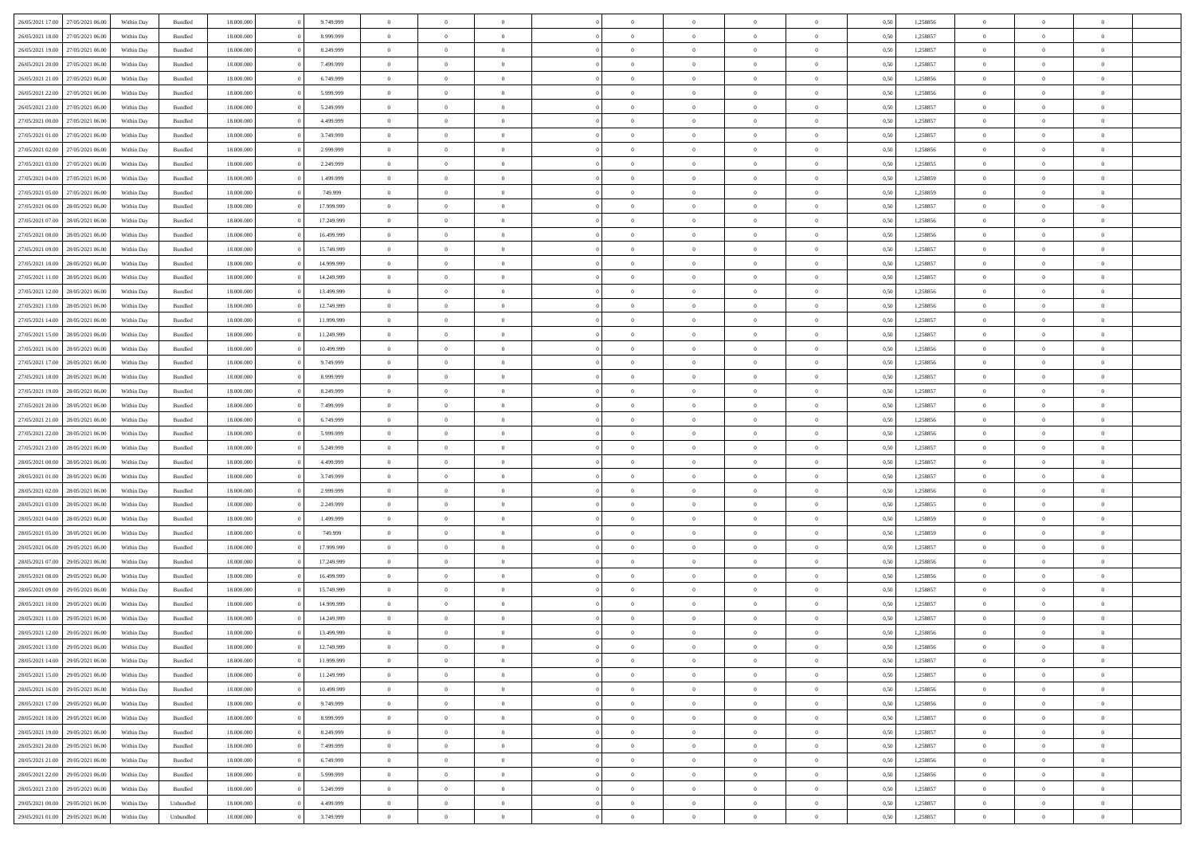| 26/05/2021 17:00 | 27/05/2021 06:00 | Within Day | Bundled            | 18.000.000 | 9.749.999  | $\Omega$       | $\Omega$       |                | $\Omega$       | $\Omega$       | $\Omega$       | $\theta$       | 0.50 | 1,258856 | $\theta$       | $\theta$       | $\theta$       |  |
|------------------|------------------|------------|--------------------|------------|------------|----------------|----------------|----------------|----------------|----------------|----------------|----------------|------|----------|----------------|----------------|----------------|--|
|                  |                  |            |                    |            |            |                |                |                |                |                |                |                |      |          |                |                |                |  |
| 26/05/2021 18:00 | 27/05/2021 06:00 | Within Day | Bundled            | 18.000.000 | 8.999.999  | $\overline{0}$ | $\theta$       | $\overline{0}$ | $\overline{0}$ | $\bf{0}$       | $\overline{0}$ | $\overline{0}$ | 0,50 | 1,258857 | $\theta$       | $\theta$       | $\overline{0}$ |  |
| 26/05/2021 19:00 | 27/05/2021 06:00 | Within Day | Bundled            | 18.000.000 | 8.249.999  | $\overline{0}$ | $\overline{0}$ | $\overline{0}$ | $\bf{0}$       | $\bf{0}$       | $\bf{0}$       | $\bf{0}$       | 0,50 | 1,258857 | $\overline{0}$ | $\overline{0}$ | $\overline{0}$ |  |
| 26/05/2021 20:00 | 27/05/2021 06:00 | Within Dav | Bundled            | 18.000.000 | 7.499.999  | $\overline{0}$ | $\theta$       | $\overline{0}$ | $\overline{0}$ | $\bf{0}$       | $\overline{0}$ | $\overline{0}$ | 0.50 | 1.258857 | $\theta$       | $\theta$       | $\overline{0}$ |  |
| 26/05/2021 21:00 | 27/05/2021 06:00 |            |                    | 18.000.000 | 6.749.999  | $\overline{0}$ | $\theta$       | $\overline{0}$ | $\overline{0}$ | $\bf{0}$       | $\overline{0}$ |                |      | 1,258856 | $\theta$       | $\theta$       | $\overline{0}$ |  |
|                  |                  | Within Day | Bundled            |            |            |                |                |                |                |                |                | $\bf{0}$       | 0,50 |          |                |                |                |  |
| 26/05/2021 22.00 | 27/05/2021 06:00 | Within Day | Bundled            | 18.000.000 | 5.999.999  | $\overline{0}$ | $\bf{0}$       | $\overline{0}$ | $\bf{0}$       | $\overline{0}$ | $\overline{0}$ | $\mathbf{0}$   | 0,50 | 1,258856 | $\overline{0}$ | $\overline{0}$ | $\bf{0}$       |  |
| 26/05/2021 23:00 | 27/05/2021 06:00 | Within Dav | Bundled            | 18.000.000 | 5.249.999  | $\overline{0}$ | $\overline{0}$ | $\overline{0}$ | $\overline{0}$ | $\bf{0}$       | $\overline{0}$ | $\overline{0}$ | 0.50 | 1,258857 | $\theta$       | $\theta$       | $\overline{0}$ |  |
| 27/05/2021 00:00 | 27/05/2021 06:00 | Within Day | Bundled            | 18.000.000 | 4.499.999  | $\overline{0}$ | $\theta$       | $\overline{0}$ | $\overline{0}$ | $\bf{0}$       | $\overline{0}$ | $\bf{0}$       | 0,50 | 1,258857 | $\theta$       | $\theta$       | $\overline{0}$ |  |
| 27/05/2021 01:00 | 27/05/2021 06:00 | Within Day | Bundled            | 18.000.000 | 3.749.999  | $\overline{0}$ | $\overline{0}$ | $\overline{0}$ | $\bf{0}$       | $\bf{0}$       | $\bf{0}$       | $\bf{0}$       | 0,50 | 1,258857 | $\,0\,$        | $\overline{0}$ | $\overline{0}$ |  |
|                  |                  |            |                    |            |            |                |                |                |                |                |                |                |      |          |                |                |                |  |
| 27/05/2021 02:00 | 27/05/2021 06:00 | Within Dav | Bundled            | 18.000.000 | 2.999.999  | $\overline{0}$ | $\overline{0}$ | $\overline{0}$ | $\overline{0}$ | $\overline{0}$ | $\overline{0}$ | $\overline{0}$ | 0.50 | 1,258856 | $\theta$       | $\overline{0}$ | $\overline{0}$ |  |
| 27/05/2021 03:00 | 27/05/2021 06:00 | Within Day | Bundled            | 18.000.000 | 2.249.999  | $\overline{0}$ | $\theta$       | $\overline{0}$ | $\overline{0}$ | $\bf{0}$       | $\overline{0}$ | $\bf{0}$       | 0,50 | 1,258855 | $\theta$       | $\theta$       | $\overline{0}$ |  |
| 27/05/2021 04:00 | 27/05/2021 06:00 | Within Day | Bundled            | 18.000.000 | 1.499.999  | $\overline{0}$ | $\overline{0}$ | $\overline{0}$ | $\bf{0}$       | $\bf{0}$       | $\bf{0}$       | $\bf{0}$       | 0,50 | 1,258859 | $\bf{0}$       | $\overline{0}$ | $\overline{0}$ |  |
| 27/05/2021 05:00 | 27/05/2021 06:00 | Within Day | Bundled            | 18.000.000 | 749,999    | $\overline{0}$ | $\theta$       | $\overline{0}$ | $\overline{0}$ | $\bf{0}$       | $\overline{0}$ | $\overline{0}$ | 0.50 | 1.258859 | $\theta$       | $\theta$       | $\overline{0}$ |  |
| 27/05/2021 06:00 | 28/05/2021 06:00 | Within Day | Bundled            | 18.000.000 | 17.999.999 | $\overline{0}$ | $\theta$       | $\overline{0}$ | $\overline{0}$ | $\bf{0}$       | $\overline{0}$ | $\overline{0}$ | 0,50 | 1,258857 | $\theta$       | $\theta$       | $\overline{0}$ |  |
|                  |                  |            |                    |            |            |                |                |                |                |                |                |                |      |          |                |                |                |  |
| 27/05/2021 07:00 | 28/05/2021 06:00 | Within Day | Bundled            | 18.000.000 | 17.249.999 | $\overline{0}$ | $\overline{0}$ | $\overline{0}$ | $\bf{0}$       | $\overline{0}$ | $\overline{0}$ | $\mathbf{0}$   | 0,50 | 1,258856 | $\overline{0}$ | $\overline{0}$ | $\bf{0}$       |  |
| 27/05/2021 08:00 | 28/05/2021 06:00 | Within Dav | Bundled            | 18.000.000 | 16.499.999 | $\overline{0}$ | $\overline{0}$ | $\overline{0}$ | $\overline{0}$ | $\overline{0}$ | $\overline{0}$ | $\overline{0}$ | 0.50 | 1.258856 | $\theta$       | $\overline{0}$ | $\overline{0}$ |  |
| 27/05/2021 09:00 | 28/05/2021 06:00 | Within Day | Bundled            | 18.000.000 | 15.749.999 | $\overline{0}$ | $\theta$       | $\overline{0}$ | $\overline{0}$ | $\bf{0}$       | $\overline{0}$ | $\bf{0}$       | 0,50 | 1,258857 | $\theta$       | $\theta$       | $\overline{0}$ |  |
| 27/05/2021 10:00 | 28/05/2021 06:00 | Within Day | Bundled            | 18.000.000 | 14.999.999 | $\overline{0}$ | $\overline{0}$ | $\overline{0}$ | $\bf{0}$       | $\bf{0}$       | $\bf{0}$       | $\bf{0}$       | 0,50 | 1,258857 | $\,0\,$        | $\overline{0}$ | $\overline{0}$ |  |
| 27/05/2021 11:00 | 28/05/2021 06:00 | Within Day | Bundled            | 18.000.000 | 14.249.999 | $\overline{0}$ | $\overline{0}$ | $\overline{0}$ | $\overline{0}$ | $\overline{0}$ | $\overline{0}$ | $\overline{0}$ | 0.50 | 1,258857 | $\theta$       | $\overline{0}$ | $\overline{0}$ |  |
| 27/05/2021 12:00 | 28/05/2021 06:00 | Within Day | Bundled            | 18.000.000 | 13.499.999 | $\overline{0}$ | $\theta$       | $\overline{0}$ | $\overline{0}$ | $\bf{0}$       | $\overline{0}$ | $\bf{0}$       | 0,50 | 1,258856 | $\theta$       | $\theta$       | $\overline{0}$ |  |
|                  |                  |            |                    |            |            |                |                |                |                |                |                |                |      |          |                |                |                |  |
| 27/05/2021 13:00 | 28/05/2021 06:00 | Within Day | Bundled            | 18.000.000 | 12.749.999 | $\overline{0}$ | $\overline{0}$ | $\overline{0}$ | $\bf{0}$       | $\bf{0}$       | $\bf{0}$       | $\bf{0}$       | 0,50 | 1,258856 | $\,0\,$        | $\overline{0}$ | $\overline{0}$ |  |
| 27/05/2021 14:00 | 28/05/2021 06:00 | Within Day | Bundled            | 18.000.000 | 11.999.999 | $\overline{0}$ | $\overline{0}$ | $\overline{0}$ | $\overline{0}$ | $\bf{0}$       | $\overline{0}$ | $\overline{0}$ | 0.50 | 1.258857 | $\theta$       | $\theta$       | $\overline{0}$ |  |
| 27/05/2021 15:00 | 28/05/2021 06:00 | Within Day | Bundled            | 18.000.000 | 11.249.999 | $\overline{0}$ | $\theta$       | $\overline{0}$ | $\overline{0}$ | $\bf{0}$       | $\overline{0}$ | $\bf{0}$       | 0,50 | 1,258857 | $\theta$       | $\overline{0}$ | $\overline{0}$ |  |
| 27/05/2021 16:00 | 28/05/2021 06:00 | Within Day | Bundled            | 18.000.000 | 10.499.999 | $\overline{0}$ | $\bf{0}$       | $\overline{0}$ | $\bf{0}$       | $\overline{0}$ | $\bf{0}$       | $\mathbf{0}$   | 0,50 | 1,258856 | $\overline{0}$ | $\overline{0}$ | $\bf{0}$       |  |
| 27/05/2021 17:00 | 28/05/2021 06:00 | Within Dav | Bundled            | 18.000.000 | 9.749.999  | $\overline{0}$ | $\overline{0}$ | $\overline{0}$ | $\overline{0}$ | $\overline{0}$ | $\overline{0}$ | $\overline{0}$ | 0.50 | 1,258856 | $\theta$       | $\theta$       | $\overline{0}$ |  |
| 27/05/2021 18:00 | 28/05/2021 06:00 | Within Day | Bundled            | 18.000.000 | 8.999.999  | $\overline{0}$ | $\theta$       | $\overline{0}$ | $\overline{0}$ | $\bf{0}$       | $\overline{0}$ | $\bf{0}$       | 0,50 | 1,258857 | $\theta$       | $\theta$       | $\overline{0}$ |  |
|                  |                  |            |                    |            |            |                |                |                |                |                |                |                |      |          |                |                |                |  |
| 27/05/2021 19:00 | 28/05/2021 06:00 | Within Day | Bundled            | 18.000.000 | 8.249.999  | $\overline{0}$ | $\overline{0}$ | $\overline{0}$ | $\bf{0}$       | $\bf{0}$       | $\bf{0}$       | $\bf{0}$       | 0,50 | 1,258857 | $\,0\,$        | $\overline{0}$ | $\overline{0}$ |  |
| 27/05/2021 20:00 | 28/05/2021 06:00 | Within Day | Bundled            | 18.000.000 | 7.499.999  | $\overline{0}$ | $\overline{0}$ | $\overline{0}$ | $\overline{0}$ | $\overline{0}$ | $\overline{0}$ | $\overline{0}$ | 0.50 | 1,258857 | $\theta$       | $\theta$       | $\overline{0}$ |  |
| 27/05/2021 21:00 | 28/05/2021 06:00 | Within Day | Bundled            | 18.000.000 | 6.749.999  | $\overline{0}$ | $\theta$       | $\overline{0}$ | $\overline{0}$ | $\bf{0}$       | $\overline{0}$ | $\bf{0}$       | 0,50 | 1,258856 | $\,$ 0 $\,$    | $\theta$       | $\overline{0}$ |  |
| 27/05/2021 22:00 | 28/05/2021 06:00 | Within Day | Bundled            | 18.000.000 | 5.999.999  | $\overline{0}$ | $\overline{0}$ | $\overline{0}$ | $\bf{0}$       | $\bf{0}$       | $\bf{0}$       | $\bf{0}$       | 0,50 | 1,258856 | $\bf{0}$       | $\overline{0}$ | $\overline{0}$ |  |
| 27/05/2021 23:00 | 28/05/2021 06:00 | Within Day | Bundled            | 18.000.000 | 5.249.999  | $\overline{0}$ | $\Omega$       | $\Omega$       | $\Omega$       | $\Omega$       | $\Omega$       | $\overline{0}$ | 0.50 | 1,258857 | $\,0\,$        | $\Omega$       | $\theta$       |  |
|                  |                  |            |                    |            |            | $\overline{0}$ |                |                |                |                |                |                |      |          | $\theta$       |                |                |  |
| 28/05/2021 00:00 | 28/05/2021 06:00 | Within Day | Bundled            | 18.000.000 | 4.499.999  |                | $\theta$       | $\overline{0}$ | $\overline{0}$ | $\bf{0}$       | $\overline{0}$ | $\bf{0}$       | 0,50 | 1,258857 |                | $\theta$       | $\overline{0}$ |  |
| 28/05/2021 01:00 | 28/05/2021 06:00 | Within Day | Bundled            | 18.000.000 | 3.749.999  | $\overline{0}$ | $\bf{0}$       | $\overline{0}$ | $\bf{0}$       | $\bf{0}$       | $\overline{0}$ | $\mathbf{0}$   | 0,50 | 1,258857 | $\overline{0}$ | $\overline{0}$ | $\bf{0}$       |  |
| 28/05/2021 02:00 | 28/05/2021 06:00 | Within Day | Bundled            | 18,000,000 | 2.999.999  | $\overline{0}$ | $\Omega$       | $\Omega$       | $\Omega$       | $\Omega$       | $\Omega$       | $\overline{0}$ | 0.50 | 1,258856 | $\theta$       | $\theta$       | $\theta$       |  |
| 28/05/2021 03:00 | 28/05/2021 06:00 | Within Day | Bundled            | 18.000.000 | 2.249.999  | $\overline{0}$ | $\theta$       | $\overline{0}$ | $\overline{0}$ | $\bf{0}$       | $\overline{0}$ | $\bf{0}$       | 0,50 | 1,258855 | $\theta$       | $\theta$       | $\overline{0}$ |  |
| 28/05/2021 04:00 | 28/05/2021 06:00 | Within Day | Bundled            | 18.000.000 | 1.499.999  | $\overline{0}$ | $\overline{0}$ | $\overline{0}$ | $\bf{0}$       | $\bf{0}$       | $\bf{0}$       | $\bf{0}$       | 0,50 | 1,258859 | $\,0\,$        | $\overline{0}$ | $\overline{0}$ |  |
| 28/05/2021 05:00 | 28/05/2021 06:00 |            |                    | 18,000,000 | 749,999    | $\overline{0}$ | $\Omega$       | $\Omega$       | $\Omega$       | $\Omega$       | $\theta$       | $\overline{0}$ | 0.50 | 1,258859 | $\theta$       | $\theta$       | $\theta$       |  |
|                  |                  | Within Day | Bundled            |            |            |                |                |                |                |                |                |                |      |          |                |                |                |  |
| 28/05/2021 06:00 | 29/05/2021 06:00 | Within Day | Bundled            | 18.000.000 | 17.999.999 | $\overline{0}$ | $\theta$       | $\overline{0}$ | $\overline{0}$ | $\bf{0}$       | $\overline{0}$ | $\bf{0}$       | 0,50 | 1,258857 | $\,$ 0 $\,$    | $\overline{0}$ | $\overline{0}$ |  |
| 28/05/2021 07:00 | 29/05/2021 06:00 | Within Day | Bundled            | 18.000.000 | 17.249.999 | $\overline{0}$ | $\overline{0}$ | $\overline{0}$ | $\bf{0}$       | $\bf{0}$       | $\bf{0}$       | $\bf{0}$       | 0,50 | 1,258856 | $\overline{0}$ | $\overline{0}$ | $\overline{0}$ |  |
| 28/05/2021 08:00 | 29/05/2021 06:00 | Within Day | Bundled            | 18.000.000 | 16.499.999 | $\overline{0}$ | $\Omega$       | $\Omega$       | $\Omega$       | $\Omega$       | $\overline{0}$ | $\overline{0}$ | 0.50 | 1,258856 | $\,0\,$        | $\theta$       | $\theta$       |  |
| 28/05/2021 09:00 | 29/05/2021 06:00 | Within Day | Bundled            | 18.000.000 | 15.749.999 | $\overline{0}$ | $\theta$       | $\overline{0}$ | $\overline{0}$ | $\bf{0}$       | $\overline{0}$ | $\bf{0}$       | 0,50 | 1,258857 | $\,$ 0 $\,$    | $\theta$       | $\overline{0}$ |  |
| 28/05/2021 10:00 | 29/05/2021 06:00 | Within Day | Bundled            | 18.000.000 | 14.999.999 | $\overline{0}$ | $\overline{0}$ | $\overline{0}$ | $\bf{0}$       | $\bf{0}$       | $\bf{0}$       | $\mathbf{0}$   | 0,50 | 1,258857 | $\bf{0}$       | $\overline{0}$ | $\bf{0}$       |  |
| 28/05/2021 11:00 | 29/05/2021 06:00 |            | Bundled            | 18,000,000 | 14.249.999 | $\overline{0}$ | $\Omega$       | $\Omega$       | $\Omega$       | $\Omega$       | $\Omega$       | $\overline{0}$ | 0.50 | 1,258857 | $\theta$       | $\Omega$       | $\theta$       |  |
|                  |                  | Within Day |                    |            |            |                |                |                |                |                |                |                |      |          |                |                |                |  |
| 28/05/2021 12:00 | 29/05/2021 06:00 | Within Day | Bundled            | 18.000.000 | 13.499.999 | $\overline{0}$ | $\overline{0}$ | $\overline{0}$ | $\bf{0}$       | $\,$ 0         | $\bf{0}$       | $\bf{0}$       | 0,50 | 1,258856 | $\,0\,$        | $\overline{0}$ | $\overline{0}$ |  |
| 28/05/2021 13:00 | 29/05/2021 06:00 | Within Day | $\mathbf B$ undled | 18.000.000 | 12.749.999 | $\bf{0}$       | $\bf{0}$       |                |                | $\bf{0}$       |                |                | 0,50 | 1,258856 | $\bf{0}$       | $\overline{0}$ |                |  |
| 28/05/2021 14:00 | 29/05/2021 06:00 | Within Day | Bundled            | 18,000,000 | 11.999.999 | $\overline{0}$ | $\Omega$       | $\overline{0}$ | $\Omega$       | $\theta$       | $\overline{0}$ | $\overline{0}$ | 0.50 | 1,258857 | $\theta$       | $\theta$       | $\theta$       |  |
| 28/05/2021 15:00 | 29/05/2021 06:00 | Within Day | Bundled            | 18.000.000 | 11.249.999 | $\overline{0}$ | $\,$ 0         | $\overline{0}$ | $\bf{0}$       | $\,$ 0 $\,$    | $\overline{0}$ | $\mathbf{0}$   | 0,50 | 1,258857 | $\,$ 0 $\,$    | $\,$ 0 $\,$    | $\,$ 0         |  |
| 28/05/2021 16:00 | 29/05/2021 06:00 | Within Day | Bundled            | 18.000.000 | 10.499.999 | $\overline{0}$ | $\overline{0}$ | $\overline{0}$ | $\overline{0}$ | $\overline{0}$ | $\overline{0}$ | $\mathbf{0}$   | 0,50 | 1,258856 | $\overline{0}$ | $\bf{0}$       | $\bf{0}$       |  |
| 28/05/2021 17:00 | 29/05/2021 06:00 | Within Day | Bundled            | 18,000,000 | 9.749.999  | $\overline{0}$ | $\overline{0}$ | $\overline{0}$ | $\Omega$       | $\overline{0}$ | $\overline{0}$ | $\overline{0}$ | 0,50 | 1,258856 | $\overline{0}$ | $\theta$       | $\overline{0}$ |  |
|                  |                  |            |                    |            |            |                | $\,$ 0         | $\overline{0}$ | $\overline{0}$ | $\,$ 0 $\,$    |                |                |      |          | $\,$ 0 $\,$    | $\overline{0}$ | $\overline{0}$ |  |
| 28/05/2021 18:00 | 29/05/2021 06:00 | Within Day | Bundled            | 18.000.000 | 8.999.999  | $\overline{0}$ |                |                |                |                | $\overline{0}$ | $\mathbf{0}$   | 0,50 | 1,258857 |                |                |                |  |
| 28/05/2021 19:00 | 29/05/2021 06:00 | Within Day | Bundled            | 18.000.000 | 8.249.999  | $\overline{0}$ | $\overline{0}$ | $\overline{0}$ | $\overline{0}$ | $\overline{0}$ | $\overline{0}$ | $\mathbf{0}$   | 0,50 | 1,258857 | $\overline{0}$ | $\overline{0}$ | $\bf{0}$       |  |
| 28/05/2021 20:00 | 29/05/2021 06:00 | Within Day | Bundled            | 18,000,000 | 7.499.999  | $\overline{0}$ | $\overline{0}$ | $\overline{0}$ | $\Omega$       | $\overline{0}$ | $\overline{0}$ | $\bf{0}$       | 0.50 | 1,258857 | $\overline{0}$ | $\theta$       | $\overline{0}$ |  |
| 28/05/2021 21:00 | 29/05/2021 06:00 | Within Day | Bundled            | 18.000.000 | 6.749.999  | $\overline{0}$ | $\,$ 0         | $\overline{0}$ | $\bf{0}$       | $\bf{0}$       | $\bf{0}$       | $\bf{0}$       | 0,50 | 1,258856 | $\,$ 0 $\,$    | $\overline{0}$ | $\overline{0}$ |  |
| 28/05/2021 22:00 | 29/05/2021 06:00 | Within Day | Bundled            | 18.000.000 | 5.999.999  | $\overline{0}$ | $\bf{0}$       | $\overline{0}$ | $\overline{0}$ | $\overline{0}$ | $\overline{0}$ | $\mathbf{0}$   | 0,50 | 1,258856 | $\overline{0}$ | $\overline{0}$ | $\bf{0}$       |  |
| 28/05/2021 23:00 | 29/05/2021 06:00 | Within Day | Bundled            | 18,000,000 | 5.249.999  | $\overline{0}$ | $\overline{0}$ | $\overline{0}$ | $\Omega$       | $\overline{0}$ | $\overline{0}$ | $\bf{0}$       | 0.50 | 1,258857 | $\overline{0}$ | $\overline{0}$ | $\overline{0}$ |  |
| 29/05/2021 00:00 | 29/05/2021 06:00 |            |                    | 18.000.000 | 4.499.999  | $\overline{0}$ | $\bf{0}$       |                | $\overline{0}$ | $\bf{0}$       |                |                |      | 1,258857 | $\,$ 0 $\,$    | $\,$ 0 $\,$    | $\bf{0}$       |  |
|                  |                  | Within Day | Unbundled          |            |            |                |                | $\overline{0}$ |                |                | $\bf{0}$       | $\mathbf{0}$   | 0,50 |          |                |                |                |  |
| 29/05/2021 01:00 | 29/05/2021 06:00 | Within Day | Unbundled          | 18.000.000 | 3.749.999  | $\overline{0}$ | $\overline{0}$ | $\overline{0}$ | $\overline{0}$ | $\bf{0}$       | $\bf{0}$       | $\mathbf{0}$   | 0,50 | 1,258857 | $\overline{0}$ | $\bf{0}$       | $\bf{0}$       |  |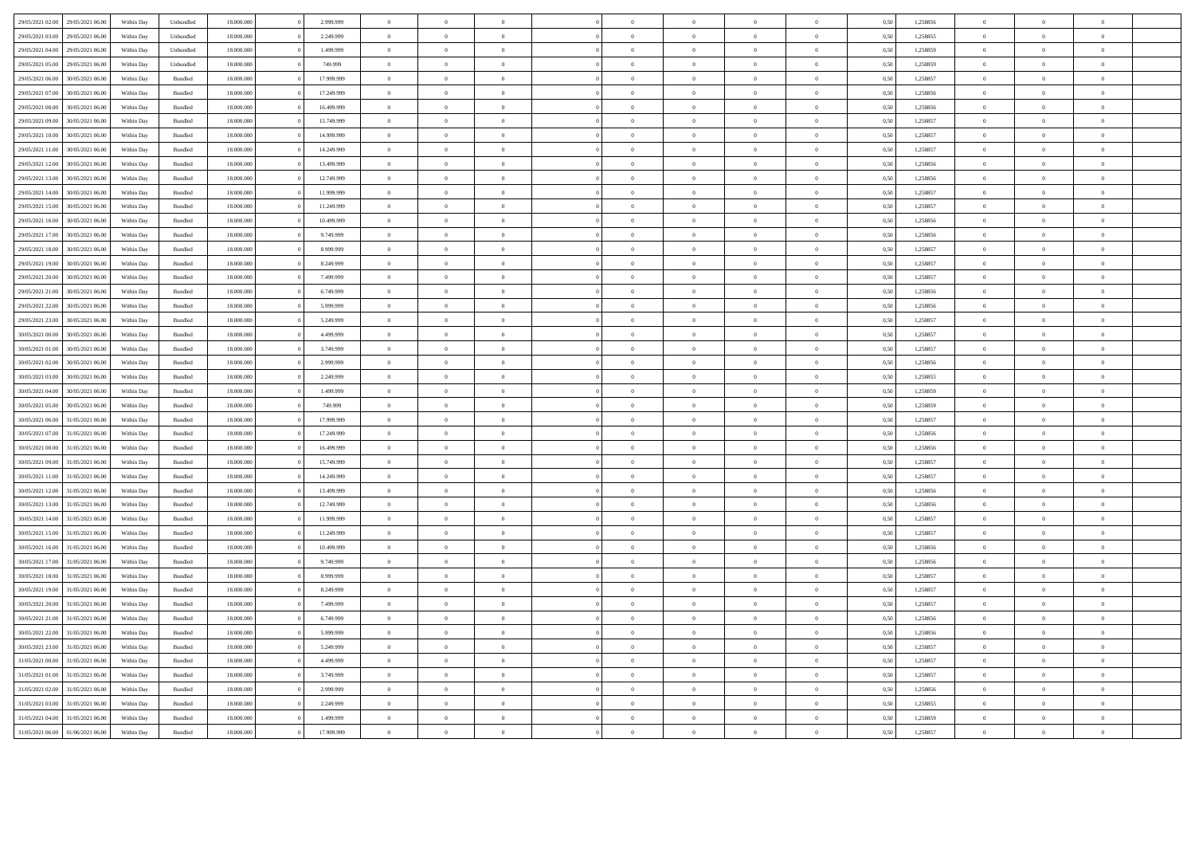| 29/05/2021 02.00 | 29/05/2021 06:00 | Within Day | Unbundled          | 18.000.000 | 2.999.999  | $\overline{0}$    |                |                |                |                |                |                | 0,50 | 1,258856 | $\theta$       |                |                |  |
|------------------|------------------|------------|--------------------|------------|------------|-------------------|----------------|----------------|----------------|----------------|----------------|----------------|------|----------|----------------|----------------|----------------|--|
| 29/05/2021 03:00 | 29/05/2021 06.0  | Within Day | Unbundled          | 18.000.000 | 2.249.999  | $\,$ 0 $\,$       | $\bf{0}$       | $\overline{0}$ |                | $\bf{0}$       | $\,$ 0 $\,$    |                | 0,50 | 1,258855 | $\,$ 0 $\,$    | $\overline{0}$ |                |  |
| 29/05/2021 04:00 | 29/05/2021 06.00 | Within Day | Unbundled          | 18.000.000 | 1.499.999  | $\bf{0}$          | $\bf{0}$       | $\overline{0}$ | $\overline{0}$ | $\bf{0}$       | $\bf{0}$       | $\bf{0}$       | 0,50 | 1,258859 | $\overline{0}$ | $\bf{0}$       | $\overline{0}$ |  |
| 29/05/2021 05:00 | 29/05/2021 06:00 | Within Dav | Unbundled          | 18 000 000 | 749 999    | $\overline{0}$    | $\overline{0}$ | $\Omega$       | $\Omega$       | $\theta$       | $\Omega$       | $\theta$       | 0.50 | 1.258859 | $\theta$       | $\theta$       | $\sqrt{2}$     |  |
| 29/05/2021 06:00 | 30/05/2021 06:00 | Within Day | <b>Bundled</b>     | 18.000.000 | 17 999 999 | $\overline{0}$    | $\overline{0}$ | $\Omega$       | $\Omega$       | $\mathbf{0}$   | $\Omega$       | $\overline{0}$ | 0.50 | 1.258857 | $\overline{0}$ | $\theta$       | $\theta$       |  |
| 29/05/2021 07:00 | 30/05/2021 06:00 | Within Day | <b>Bundled</b>     | 18 000 000 | 17 249 999 | $\theta$          | $\overline{0}$ | $\theta$       | $\Omega$       | $\theta$       | $\Omega$       | $\theta$       | 0.50 | 1.258856 | $\Omega$       | $\Omega$       | $\theta$       |  |
| 29/05/2021 08:00 | 30/05/2021 06:00 | Within Day | $\mathbf B$ undled | 18.000.000 | 16.499.999 | $\hspace{0.1cm}0$ | $\overline{0}$ | $\overline{0}$ | $\overline{0}$ | $\,$ 0 $\,$    | $\overline{0}$ | $\,$ 0 $\,$    | 0,50 | 1,258856 | $\overline{0}$ | $\,$ 0 $\,$    | $\,$ 0 $\,$    |  |
| 29/05/2021 09:00 | 30/05/2021 06.00 | Within Day | $\mathbf B$ undled | 18.000.000 | 15.749.999 | $\overline{0}$    | $\overline{0}$ | $\theta$       | $\overline{0}$ | $\overline{0}$ | $\theta$       |                | 0,50 | 1,258857 | $\overline{0}$ | $\overline{0}$ | $\overline{0}$ |  |
| 29/05/2021 10:00 | 30/05/2021 06:00 | Within Day | <b>Bundled</b>     | 18.000.000 | 14.999.999 | $\hspace{0.1cm}0$ | $\overline{0}$ | $\overline{0}$ | $\overline{0}$ | $\,$ 0 $\,$    | $\overline{0}$ | $\overline{0}$ | 0,50 | 1,258857 | $\,$ 0 $\,$    | $\overline{0}$ | $\overline{0}$ |  |
| 29/05/2021 11:00 | 30/05/2021 06:00 | Within Day | Bundled            | 18,000,000 | 14.249.999 | $\overline{0}$    | $\theta$       | $\Omega$       | $\Omega$       | $\mathbf{0}$   | $\theta$       | $\theta$       | 0.50 | 1.258857 | $\overline{0}$ | $\Omega$       | $\theta$       |  |
| 29/05/2021 12:00 | 30/05/2021 06:00 | Within Day | Bundled            | 18,000,000 | 13,499,999 | $\overline{0}$    | $\overline{0}$ | $\overline{0}$ | $\overline{0}$ | $\bf{0}$       | $\overline{0}$ | $\overline{0}$ | 0.50 | 1.258856 | $\overline{0}$ | $\Omega$       | $\overline{0}$ |  |
| 29/05/2021 13:00 | 30/05/2021 06:00 | Within Day | <b>Bundled</b>     | 18 000 000 | 12.749.999 | $\theta$          | $\Omega$       | $\theta$       | $\Omega$       | $\theta$       | $\Omega$       | $\theta$       | 0.50 | 1.258856 | $\overline{0}$ | $\Omega$       | $\theta$       |  |
| 29/05/2021 14:00 | 30/05/2021 06:00 | Within Dav | Bundled            | 18.000.000 | 11.999.999 | $\overline{0}$    | $\overline{0}$ | $\overline{0}$ | $\theta$       | $\overline{0}$ | $\theta$       | $\theta$       | 0.50 | 1.258857 | $\overline{0}$ | $\Omega$       | $\theta$       |  |
| 29/05/2021 15:00 | 30/05/2021 06:00 | Within Day | Bundled            | 18.000.000 | 11.249.999 | $\,$ 0 $\,$       | $\overline{0}$ | $\overline{0}$ | $\Omega$       | $\overline{0}$ | $\theta$       | $\theta$       | 0,50 | 1,258857 | $\overline{0}$ | $\overline{0}$ | $\theta$       |  |
| 29/05/2021 16:00 | 30/05/2021 06:00 | Within Day | $\mathbf B$ undled | 18.000.000 | 10.499.999 | $\,$ 0 $\,$       | $\overline{0}$ | $\overline{0}$ |                | $\bf{0}$       | $\theta$       | $\overline{0}$ | 0,50 | 1,258856 | $\overline{0}$ | $\overline{0}$ |                |  |
| 29/05/2021 17:00 | 30/05/2021 06.0  | Within Day | Bundled            | 18.000.000 | 9.749.999  | $\bf{0}$          | $\bf{0}$       | $\overline{0}$ | $\overline{0}$ | $\bf{0}$       | $\,$ 0 $\,$    | $\bf{0}$       | 0,50 | 1,258856 | $\overline{0}$ | $\bf{0}$       |                |  |
| 29/05/2021 18:00 | 30/05/2021 06.0  | Within Day | $\mathbf B$ undled | 18.000.000 | 8.999.999  | $\bf{0}$          | $\overline{0}$ | $\overline{0}$ | $\sqrt{2}$     | $\overline{0}$ | $\theta$       | $\overline{0}$ | 0,50 | 1,258857 | $\overline{0}$ | $\Omega$       |                |  |
| 29/05/2021 19:00 | 30/05/2021 06:0  | Within Day | Bundled            | 18,000,000 | 8.249.999  | $\,$ 0 $\,$       | $\overline{0}$ | $\Omega$       | $\Omega$       | $\mathbf{0}$   | $\theta$       | $\overline{0}$ | 0.50 | 1,258857 | $\overline{0}$ | $\Omega$       | $\theta$       |  |
| 29/05/2021 20:00 | 30/05/2021 06:00 | Within Day | Bundled            | 18,000,000 | 7.499.999  | $\overline{0}$    | $\overline{0}$ | $\overline{0}$ | $\overline{0}$ | $\mathbf{0}$   | $\overline{0}$ | $\overline{0}$ | 0.50 | 1.258857 | $\overline{0}$ | $\overline{0}$ | $\Omega$       |  |
| 29/05/2021 21:00 | 30/05/2021 06:00 | Within Dav | Bundled            | 18,000,000 | 6.749.999  | $\overline{0}$    | $\overline{0}$ | $\overline{0}$ | $\overline{0}$ | $\overline{0}$ | $\overline{0}$ | $\overline{0}$ | 0.50 | 1.258856 | $\overline{0}$ | $\overline{0}$ | $\overline{0}$ |  |
| 29/05/2021 22:00 | 30/05/2021 06:00 | Within Dav | Bundled            | 18,000,000 | 5.999.999  | $\overline{0}$    | $\overline{0}$ | $\theta$       | $\Omega$       | $\overline{0}$ | $\theta$       | $\theta$       | 0.50 | 1.258856 | $\overline{0}$ | $\Omega$       | $\theta$       |  |
| 29/05/2021 23:00 | 30/05/2021 06:00 | Within Day | $\mathbf B$ undled | 18.000.000 | 5.249.999  | $\hspace{0.1cm}0$ | $\overline{0}$ | $\overline{0}$ | $\overline{0}$ | $\,$ 0 $\,$    | $\,$ 0         | $\overline{0}$ | 0,50 | 1,258857 | $\,$ 0 $\,$    | $\overline{0}$ | $\overline{0}$ |  |
| 30/05/2021 00:00 | 30/05/2021 06:00 | Within Day | Bundled            | 18.000.000 | 4.499.999  | $\,$ 0 $\,$       | $\theta$       | $\theta$       | $\overline{0}$ | $\,$ 0 $\,$    | $\,0\,$        | $\overline{0}$ | 0,50 | 1,258857 | $\overline{0}$ | $\,$ 0 $\,$    | $\overline{0}$ |  |
| 30/05/2021 01:00 | 30/05/2021 06:00 | Within Day | Bundled            | 18.000.000 | 3.749.999  | $\overline{0}$    | $\bf{0}$       | $\overline{0}$ | $\overline{0}$ | $\bf{0}$       | $\overline{0}$ | $\bf{0}$       | 0,50 | 1,258857 | $\overline{0}$ | $\overline{0}$ | $\mathbf{0}$   |  |
| 30/05/2021 02:00 | 30/05/2021 06:00 | Within Day | <b>Bundled</b>     | 18 000 000 | 2.999.999  | $\theta$          | $\Omega$       | $\theta$       | $\Omega$       | $\theta$       | $\Omega$       | $\theta$       | 0.50 | 1.258856 | $\Omega$       | $\theta$       | $\theta$       |  |
| 30/05/2021 03:00 | 30/05/2021 06:00 | Within Day | <b>Bundled</b>     | 18 000 000 | 2.249.999  | $\Omega$          | $\theta$       | $\theta$       | $\Omega$       | $\theta$       | $\Omega$       | $\theta$       | 0.50 | 1.258855 | $\overline{0}$ | $\Omega$       | $\theta$       |  |
| 30/05/2021 04:00 | 30/05/2021 06:00 | Within Dav | Bundled            | 18,000,000 | 1.499.999  | $\overline{0}$    | $\overline{0}$ | $\overline{0}$ | $\sqrt{2}$     | $\bf{0}$       | $\overline{0}$ | $\mathbf{a}$   | 0.50 | 1.258859 | $\overline{0}$ | $\overline{0}$ | $\theta$       |  |
| 30/05/2021 05:00 | 30/05/2021 06:00 | Within Day | $\mathbf B$ undled | 18.000.000 | 749.999    | $\overline{0}$    | $\overline{0}$ | $\overline{0}$ |                | $\bf{0}$       | $\theta$       | $\bf{0}$       | 0,50 | 1,258859 | $\overline{0}$ | $\overline{0}$ |                |  |
| 30/05/2021 06:00 | 31/05/2021 06:00 | Within Day | Bundled            | 18.000.000 | 17.999.999 | $\overline{0}$    | $\overline{0}$ | $\theta$       | $\overline{0}$ | $\overline{0}$ | $\theta$       | $\overline{0}$ | 0,50 | 1,258857 | $\overline{0}$ | $\overline{0}$ | $\overline{0}$ |  |
| 30/05/2021 07:00 | 31/05/2021 06.0  | Within Day | $\mathbf B$ undled | 18.000.000 | 17.249.999 | $\overline{0}$    | $\overline{0}$ | $\theta$       |                | $\bf{0}$       | $\theta$       | $\overline{0}$ | 0,50 | 1,258856 | $\mathbf{0}$   | $\theta$       |                |  |
| 30/05/2021 08:00 | 1/05/2021 06.0   | Within Day | Bundled            | 18.000.000 | 16.499.999 | $\,$ 0 $\,$       | $\bf{0}$       | $\overline{0}$ | $\overline{0}$ | $\bf{0}$       | $\,$ 0 $\,$    | $\,$ 0         | 0,50 | 1,258856 | $\,$ 0 $\,$    | $\overline{0}$ |                |  |
| 30/05/2021 09:00 | 31/05/2021 06:00 | Within Day | Bundled            | 18,000,000 | 15,749,999 | $\theta$          | $\theta$       | $\theta$       | $\Omega$       | $\theta$       | $\theta$       | $\theta$       | 0.50 | 1.258857 | $\overline{0}$ | $\theta$       | $\sqrt{2}$     |  |
| 30/05/2021 11:00 | 31/05/2021 06:00 | Within Day | <b>Bundled</b>     | 18.000.000 | 14.249.999 | $\overline{0}$    | $\overline{0}$ | $\theta$       | $\Omega$       | $\overline{0}$ | $\overline{0}$ | $\overline{0}$ | 0.50 | 1.258857 | $\overline{0}$ | $\Omega$       | $\theta$       |  |
| 30/05/2021 12:00 | 31/05/2021 06:00 | Within Day | <b>Bundled</b>     | 18.000.000 | 13 499 999 | $\Omega$          | $\overline{0}$ | $\theta$       | $\Omega$       | $\theta$       | $\Omega$       | $\theta$       | 0.50 | 1.258856 | $\theta$       | $\theta$       | $\theta$       |  |
| 30/05/2021 13:00 | 31/05/2021 06:00 | Within Day | $\mathbf B$ undled | 18.000.000 | 12.749.999 | $\overline{0}$    | $\overline{0}$ | $\overline{0}$ | $\overline{0}$ | $\,$ 0 $\,$    | $\overline{0}$ | $\,$ 0 $\,$    | 0,50 | 1,258856 | $\overline{0}$ | $\overline{0}$ | $\,$ 0 $\,$    |  |
| 30/05/2021 14:00 | 31/05/2021 06:00 | Within Day | $\mathbf B$ undled | 18.000.000 | 11.999.999 | $\,$ 0 $\,$       | $\overline{0}$ | $\overline{0}$ | $\overline{0}$ | $\,$ 0 $\,$    | $\theta$       | $\overline{0}$ | 0,50 | 1,258857 | $\overline{0}$ | $\overline{0}$ | $\overline{0}$ |  |
| 30/05/2021 15:00 | 31/05/2021 06:00 | Within Day | Bundled            | 18.000.000 | 11.249.999 | $\,$ 0 $\,$       | $\theta$       | $\overline{0}$ | $\overline{0}$ | $\,$ 0 $\,$    | $\overline{0}$ | $\,$ 0 $\,$    | 0,50 | 1,258857 | $\overline{0}$ | $\overline{0}$ | $\overline{0}$ |  |
| 30/05/2021 16:00 | 31/05/2021 06:00 | Within Day | $\mathbf B$ undled | 18.000.000 | 10.499.999 | $\overline{0}$    | $\theta$       | $\Omega$       | $\Omega$       | $\bf{0}$       | $\theta$       | $\theta$       | 0.50 | 1,258856 | $\overline{0}$ | $\overline{0}$ | $\theta$       |  |
| 30/05/2021 17:00 | 31/05/2021 06:00 | Within Day | <b>Bundled</b>     | 18 000 000 | 9 749 999  | $\overline{0}$    | $\theta$       | $\overline{0}$ | $\overline{0}$ | $\mathbf 0$    | $\overline{0}$ | $\bf{0}$       | 0.50 | 1,258856 | $\overline{0}$ | $\Omega$       | $\theta$       |  |
| 30/05/2021 18:00 | 31/05/2021 06:00 | Within Day | Bundled            | 18 000 000 | 8 999 999  | $\theta$          | $\Omega$       | $\theta$       | $\Omega$       | $\overline{0}$ | $\Omega$       | $\theta$       | 0.50 | 1.258857 | $\overline{0}$ | $\Omega$       | $\theta$       |  |
| 30/05/2021 19:00 | 31/05/2021 06:00 | Within Dav | Bundled            | 18,000,000 | 8.249.999  | $\overline{0}$    | $\overline{0}$ | $\overline{0}$ | $\theta$       | $\overline{0}$ | $\theta$       | $\overline{0}$ | 0.50 | 1.258857 | $\overline{0}$ | $\overline{0}$ | $\theta$       |  |
| 30/05/2021 20:00 | 31/05/2021 06:00 | Within Dav | Bundled            | 18.000.000 | 7.499.999  | $\overline{0}$    | $\overline{0}$ | $\overline{0}$ | $\theta$       | $\overline{0}$ | $\overline{0}$ | $\theta$       | 0.50 | 1,258857 | $\overline{0}$ | $\overline{0}$ | $\theta$       |  |
| 30/05/2021 21:00 | 31/05/2021 06:00 | Within Day | $\mathbf B$ undled | 18.000.000 | 6.749.999  | $\,$ 0 $\,$       | $\bf{0}$       | $\overline{0}$ | $\Omega$       | $\,$ 0 $\,$    | $\,$ 0 $\,$    | $\mathbf{0}$   | 0,50 | 1,258856 | $\overline{0}$ | $^{\circ}$     |                |  |
| 30/05/2021 22.00 | 31/05/2021 06.00 | Within Day | Bundled            | 18.000.000 | 5.999.999  | $\,$ 0 $\,$       | $\theta$       | $\overline{0}$ | $\,$ 0 $\,$    | $\bf{0}$       | $\,$ 0 $\,$    | $\,$ 0         | 0,50 | 1,258856 | $\,$ 0 $\,$    | $\,$ 0 $\,$    |                |  |
| 30/05/2021 23:00 | 31/05/2021 06.0  | Within Day | Bundled            | 18.000.000 | 5.249.999  | $\bf{0}$          | $\overline{0}$ | $\overline{0}$ | $\Omega$       | $\bf{0}$       | $\theta$       | $\theta$       | 0,50 | 1,258857 | $\overline{0}$ | $\Omega$       |                |  |
| 31/05/2021 00:00 | 31/05/2021 06.00 | Within Day | Bundled            | 18.000.000 | 4.499.999  | $\overline{0}$    | $\overline{0}$ | $\overline{0}$ | $\Omega$       | $\,$ 0 $\,$    | $\theta$       | $\overline{0}$ | 0.50 | 1,258857 | $\overline{0}$ | $\overline{0}$ | $\theta$       |  |
| 31/05/2021 01:00 | 31/05/2021 06:00 | Within Day | <b>Bundled</b>     | 18.000.000 | 3 749 999  | $\overline{0}$    | $\theta$       | $\Omega$       | $\Omega$       | $\theta$       | $\overline{0}$ | $\theta$       | 0.50 | 1.258857 | $\theta$       | $\Omega$       | $\Omega$       |  |
| 31/05/2021 02.00 | 31/05/2021 06:00 | Within Day | Bundled            | 18,000,000 | 2.999.999  | $\overline{0}$    | $\overline{0}$ | $\overline{0}$ | $\overline{0}$ | $\overline{0}$ | $\overline{0}$ | $\overline{0}$ | 0.50 | 1.258856 | $\overline{0}$ | $\overline{0}$ | $\overline{0}$ |  |
| 31/05/2021 03:00 | 31/05/2021 06:00 | Within Dav | Bundled            | 18,000,000 | 2.249.999  | $\overline{0}$    | $\overline{0}$ | $\Omega$       | $\theta$       | $\overline{0}$ | $\Omega$       | $\theta$       | 0.50 | 1.258855 | $\overline{0}$ | $\Omega$       | $\theta$       |  |
| 31/05/2021 04:00 | 31/05/2021 06:00 | Within Day | Bundled            | 18.000.000 | 1.499.999  | $\,$ 0 $\,$       | $\overline{0}$ | $\overline{0}$ | $\overline{0}$ | $\,$ 0 $\,$    | $\overline{0}$ | $\overline{0}$ | 0,50 | 1,258859 | $\overline{0}$ | $\overline{0}$ | $\overline{0}$ |  |
| 31/05/2021 06:00 | 01/06/2021 06:00 | Within Day | Bundled            | 18.000.000 | 17.999.999 | $\,$ 0 $\,$       | $\overline{0}$ | $\Omega$       | $\overline{0}$ | $\mathbf{0}$   | $\theta$       |                | 0,50 | 1,258857 | $\overline{0}$ | $\overline{0}$ | $\overline{0}$ |  |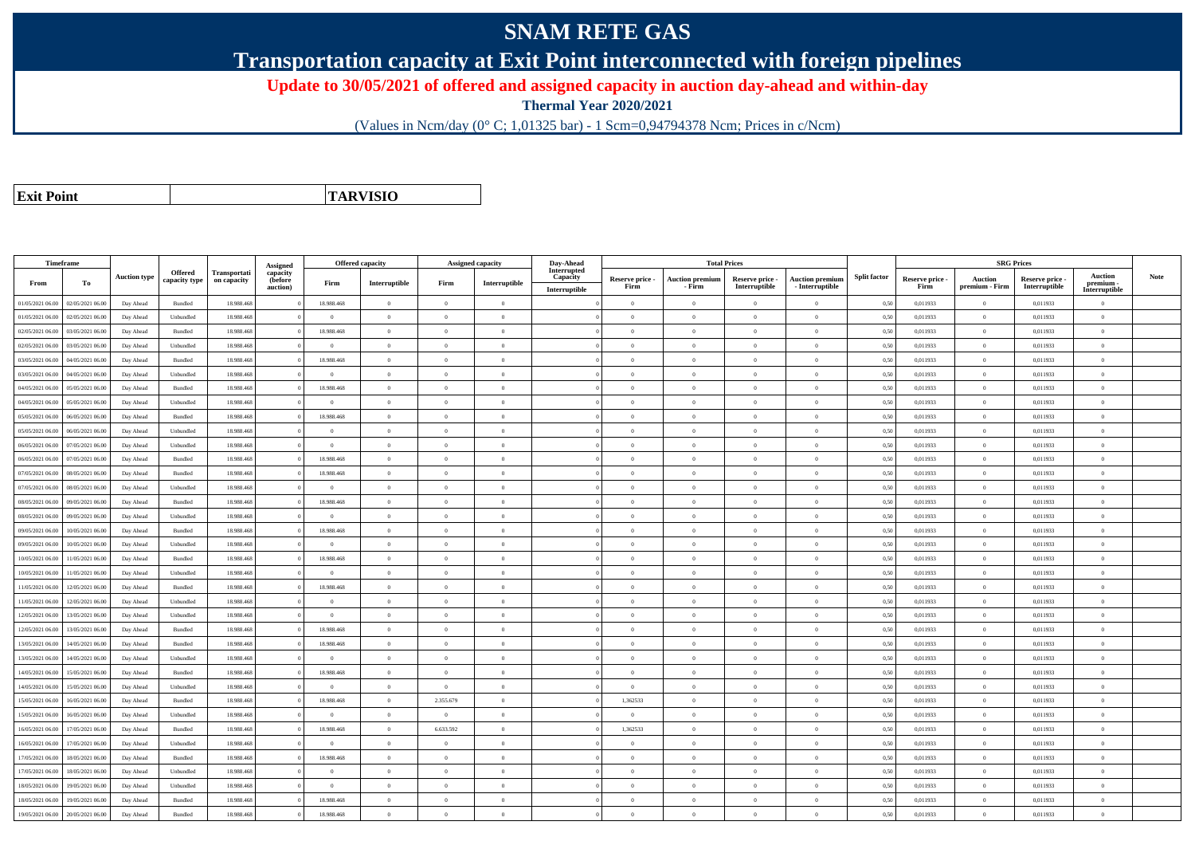## **SNAM RETE GAS**

**Transportation capacity at Exit Point interconnected with foreign pipelines**

**Update to 30/05/2021 of offered and assigned capacity in auction day-ahead and within-day**

**Thermal Year 2020/2021**

(Values in Ncm/day (0° C; 1,01325 bar) - 1 Scm=0,94794378 Ncm; Prices in c/Ncm)

**Exit Point**

**TARVISIO**

| Interrupted<br><b>Offered</b><br>Transportati<br>capacity<br><b>Split factor</b><br><b>Auction</b><br>Note<br><b>Auction type</b><br>Capacity<br>Reserve price -<br><b>Auction premium</b><br>Reserve price -<br><b>Auction premium</b><br>Reserve price -<br><b>Auction</b><br>Reserve price -<br>(before<br>capacity type<br>on capacity<br>To<br>Firm<br>Interruptible<br>Firm<br>Interruptible<br>From<br>premium -<br>- Interruptible<br>Firm<br>- Firm<br>Interruptible<br>Firm<br>premium - Firm<br>Interruptible<br>auction)<br>Interruptible<br>Interruptible<br>18.988.468<br>0.50<br>01/05/2021 06:00<br>02/05/2021 06:00<br>18.988.468<br>$\overline{0}$<br>$\overline{0}$<br>$\overline{0}$<br>$\theta$<br>$\theta$<br>0,011933<br>Day Ahead<br>Bundled<br>$\theta$<br>$\theta$<br>0,011933<br>$\Omega$<br>$\Omega$<br>01/05/2021 06:00<br>02/05/2021 06:00<br>Unbundled<br>18.988.468<br>$\overline{0}$<br>$\theta$<br>$\theta$<br>$\Omega$<br>$\Omega$<br>0,50<br>0,011933<br>$\overline{0}$<br>0,011933<br>$\theta$<br>Day Ahead<br>$\Omega$<br>$\theta$<br>$\theta$<br>03/05/2021 06:00<br>18.988.468<br>18.988.468<br>$\overline{0}$<br>$\Omega$<br>0,011933<br>$\overline{0}$<br>0,011933<br>02/05/2021 06:00<br>Bundled<br>$\Omega$<br>$\theta$<br>$\Omega$<br>$\theta$<br>0,50<br>$\Omega$<br>Day Ahead<br>$\theta$<br>$\overline{0}$<br>$\Omega$<br>$\Omega$<br>0,50<br>$\overline{0}$<br>02/05/2021 06.00<br>03/05/2021 06.0<br>Unbundled<br>18.988.468<br>$\Omega$<br>$\Omega$<br>$\overline{0}$<br>$\theta$<br>0,011933<br>0,011933<br>$\Omega$<br>Day Ahead<br>$\Omega$<br>03/05/2021 06:00<br>04/05/2021 06.00<br>Bundled<br>18.988.468<br>18.988.468<br>$\overline{0}$<br>$\overline{0}$<br>$\overline{0}$<br>$\overline{0}$<br>$\overline{0}$<br>0,50<br>0,011933<br>$\overline{0}$<br>0,011933<br>Day Ahead<br>$\Omega$<br>$\theta$<br>$\Omega$<br>03/05/2021 06:00<br>04/05/2021 06:00<br>18,988,468<br>$\theta$<br>$\overline{0}$<br>$\overline{0}$<br>$\theta$<br>$\overline{0}$<br>0.011933<br>$\overline{0}$<br>0.011933<br>Unbundled<br>$\theta$<br>$\overline{0}$<br>0.50<br>$\theta$<br>Day Ahead<br>$\theta$<br>18.988.468<br>$\overline{0}$<br>$\overline{0}$<br>$\overline{0}$<br>$\overline{0}$<br>$\theta$<br>$\overline{0}$<br>0,50<br>$\overline{0}$<br>04/05/2021 06.00<br>05/05/2021 06.00<br>Bundled<br>18.988.468<br>0,011933<br>0,011933<br>Day Ahead<br>$\Omega$<br>$\Omega$<br>18.988.468<br>$\overline{0}$<br>$\overline{0}$<br>$\overline{0}$<br>$\overline{0}$<br>0,50<br>0,011933<br>$\overline{0}$<br>0,011933<br>04/05/2021 06:00<br>05/05/2021 06.00<br>Day Ahead<br>Unbundled<br>$\Omega$<br>$\Omega$<br>$\theta$<br>$\overline{0}$<br>$\Omega$<br>18.988.468<br>05/05/2021 06:00<br>06/05/2021 06:00<br>Bundled<br>18,988,468<br>$\Omega$<br>$\sqrt{2}$<br>$\overline{0}$<br>$\Omega$<br>$\theta$<br>0.50<br>0,011933<br>$\overline{0}$<br>0.011933<br>Day Ahead<br>$\Omega$<br>$\theta$<br>$\Omega$<br>05/05/2021 06.00<br>06/05/2021 06.00<br>Day Ahead<br>Unbundled<br>18.988.46<br>$\overline{0}$<br>$\overline{0}$<br>$\overline{0}$<br>$\theta$<br>$\overline{0}$<br>$\mathbf{0}$<br>0,50<br>0,011933<br>$\overline{0}$<br>0,011933<br>$\bf{0}$<br>$\bf{0}$<br>06/05/2021 06:00<br>07/05/2021 06.00<br>18.988.468<br>$\bf{0}$<br>$\overline{0}$<br>$\overline{0}$<br>$\overline{0}$<br>$\overline{0}$<br>0,011933<br>$\overline{0}$<br>0,011933<br>Day Ahead<br>Unbundled<br>$\overline{0}$<br>$\theta$<br>$\overline{0}$<br>0,50<br>$\Omega$<br>$\overline{0}$<br>06/05/2021 06:00<br>07/05/2021 06.00<br>Bundled<br>18,988,468<br>18,988,468<br>$\overline{0}$<br>$\Omega$<br>$\overline{0}$<br>$\overline{0}$<br>$\theta$<br>$\overline{0}$<br>0.011933<br>0.011933<br>Day Ahead<br>0.50<br>$\Omega$<br>$\Omega$<br>07/05/2021 06:00<br>08/05/2021 06:00<br>Day Ahead<br>Bundled<br>18.988.468<br>18.988.468<br>$\overline{0}$<br>$\theta$<br>$\overline{0}$<br>$\Omega$<br>$\theta$<br>$\overline{0}$<br>0,50<br>0,011933<br>$\overline{0}$<br>0,011933<br>$\theta$<br>$\theta$<br>$\overline{0}$<br>$\overline{0}$<br>$\overline{0}$<br>07/05/2021 06.00<br>08/05/2021 06:00<br>Day Ahead<br>Unbundled<br>18.988.468<br>$\bf{0}$<br>$\overline{0}$<br>$\overline{0}$<br>$\theta$<br>$\overline{0}$<br>$\overline{0}$<br>0,50<br>0,011933<br>0,011933<br>$\bf{0}$<br>18.988.468<br>08/05/2021 06:00<br>18.988.468<br>$\overline{0}$<br>0,50<br>0,011933<br>$\overline{0}$<br>0,011933<br>09/05/2021 06.00<br>Day Ahead<br>Bundled<br>$\Omega$<br>$\theta$<br>$\theta$<br>$\Omega$<br>$\theta$<br>$\Omega$<br>$\Omega$<br>08/05/2021 06:00<br>09/05/2021 06:00<br>Day Ahead<br>Unbundled<br>18.988.468<br>$\overline{0}$<br>$\theta$<br>$\theta$<br>$\Omega$<br>$\Omega$<br>$\theta$<br>0,50<br>0,011933<br>$\overline{0}$<br>0,011933<br>$\Omega$<br>$\Omega$<br>10/05/2021 06:00<br>18.988.468<br>18.988.468<br>$\overline{0}$<br>$\overline{0}$<br>$\overline{0}$<br>$\overline{0}$<br>0,011933<br>$\overline{0}$<br>0,011933<br>09/05/2021 06:00<br>Day Ahead<br>Bundled<br>$\overline{0}$<br>$\theta$<br>$\overline{0}$<br>0,50<br>$\bf{0}$<br>$\overline{0}$<br>$\overline{0}$<br>$\overline{0}$<br>$\,$ 0<br>0,011933<br>$\overline{0}$<br>0,011933<br>09/05/2021 06.00<br>10/05/2021 06:00<br>Day Ahead<br>Unbundled<br>18.988.468<br>$\overline{0}$<br>$\overline{0}$<br>$\overline{0}$<br>0,50<br>$\bf{0}$<br>$\Omega$<br>0/05/2021 06:00<br>11/05/2021 06.00<br>Bundled<br>18.988.468<br>18.988.468<br>$\overline{0}$<br>$\overline{0}$<br>$\Omega$<br>$\overline{0}$<br>0,011933<br>$\overline{0}$<br>0,011933<br>Day Ahead<br>$\overline{0}$<br>$\overline{0}$<br>0,50<br>$\Omega$<br>$\overline{0}$<br>$\overline{0}$<br>10/05/2021 06:00<br>11/05/2021 06:00<br>Unbundled<br>18,988,468<br>$\bf{0}$<br>$\overline{0}$<br>$\overline{0}$<br>$\overline{0}$<br>$\theta$<br>$\theta$<br>$\overline{0}$<br>0.50<br>0.011933<br>0.011933<br>$\bf{0}$<br>Day Ahead<br>18.988.468<br>11/05/2021 06:00<br>12/05/2021 06:00<br>Bundled<br>18.988.468<br>$\theta$<br>$\overline{0}$<br>$\overline{0}$<br>$\overline{0}$<br>0,50<br>0,011933<br>$\overline{0}$<br>0,011933<br>Day Ahead<br>$\overline{0}$<br>$\Omega$<br>$\overline{0}$<br>$\Omega$<br>1/05/2021 06:00<br>12/05/2021 06:00<br>Unbundled<br>18.988.468<br>0,011933<br>$\Omega$<br>0,011933<br>Day Ahead<br>$\theta$<br>$\Omega$<br>$\Omega$<br>$\Omega$<br>$\Omega$<br>$\Omega$<br>$\theta$<br>0,50<br>$\theta$<br>13/05/2021 06:00<br>$\theta$<br>$\Omega$<br>$\overline{0}$<br>$\overline{0}$<br>12/05/2021 06:00<br>Unbundled<br>18,988,468<br>$\overline{0}$<br>$\theta$<br>$\overline{0}$<br>$\Omega$<br>0,50<br>0,011933<br>0.011933<br>$\theta$<br>Day Ahead<br>$\theta$<br>12/05/2021 06:00<br>13/05/2021 06:00<br>Bundled<br>18.988.468<br>18.988.468<br>$\overline{0}$<br>$\overline{0}$<br>$\overline{0}$<br>$\overline{0}$<br>$\bf{0}$<br>$\bf{0}$<br>0,50<br>0,011933<br>$\overline{0}$<br>0,011933<br>Day Ahead<br>$\overline{0}$<br>$\,$ 0<br>18.988.468<br>0,011933<br>$\overline{0}$<br>13/05/2021 06.00<br>14/05/2021 06.00<br>Day Ahead<br>Bundled<br>18.988.468<br>$\overline{0}$<br>$\overline{0}$<br>$\overline{0}$<br>$\theta$<br>$\overline{0}$<br>$\overline{0}$<br>0,50<br>0,011933<br>$\Omega$<br>$\overline{0}$<br>13/05/2021 06:00<br>14/05/2021 06.00<br>Unbundled<br>18,988,468<br>$\theta$<br>$\overline{0}$<br>$\theta$<br>$\overline{0}$<br>$\Omega$<br>$\Omega$<br>$\theta$<br>0.50<br>0.011933<br>0.011933<br>$\theta$<br>Day Ahead<br>$\theta$<br>18.988.468<br>18.988.468<br>$\overline{0}$<br>0,50<br>$\overline{0}$<br>14/05/2021 06:00<br>15/05/2021 06:00<br>Day Ahead<br>Bundled<br>$\Omega$<br>$\theta$<br>$\overline{0}$<br>$\theta$<br>$\overline{0}$<br>$\Omega$<br>0,011933<br>0,011933<br>$\Omega$<br>15/05/2021 06:00<br>18.988.468<br>14/05/2021 06.00<br>Day Ahead<br>Unbundled<br>$\Omega$<br>$\overline{0}$<br>$\overline{0}$<br>$\overline{0}$<br>$\overline{0}$<br>$\Omega$<br>$\theta$<br>0,50<br>0,011933<br>$\overline{0}$<br>0,011933<br>$\theta$<br>1,362533<br>$\overline{0}$<br>$\overline{0}$<br>15/05/2021 06:00<br>16/05/2021 06:00<br>Bundled<br>18.988.468<br>18.988.468<br>$\overline{0}$<br>2.355.679<br>$\overline{0}$<br>$\theta$<br>0,50<br>0,011933<br>0,011933<br>$\theta$<br>Day Ahead<br>$\theta$<br>$\overline{0}$<br>$\overline{0}$<br>$\theta$<br>$\overline{0}$<br>$\overline{0}$<br>15/05/2021 06:00<br>16/05/2021 06:00<br>Day Ahead<br>Unbundled<br>18.988.468<br>$\overline{0}$<br>$\overline{0}$<br>$\overline{0}$<br>$\theta$<br>0,50<br>0,011933<br>0,011933<br>$\bf{0}$<br>18,988,468<br>6.633.592<br>1.362533<br>$\overline{0}$<br>6/05/2021 06:00<br>17/05/2021 06:00<br>Day Ahead<br>Bundled<br>18,988,468<br>$\overline{0}$<br>$\overline{0}$<br>$\overline{0}$<br>$\overline{0}$<br>0.50<br>0.011933<br>0.011933<br>$\theta$<br>18,988,468<br>$\theta$<br>$\overline{0}$<br>$\theta$<br>$\overline{0}$<br>$\Omega$<br>$\Omega$<br>$\overline{0}$<br>0.50<br>0,011933<br>$\overline{0}$<br>0,011933<br>16/05/2021 06:00<br>17/05/2021 06.00<br>Unbundled<br>$\theta$<br>$\Omega$<br>Day Ahead<br>18.988.468<br>0,50<br>17/05/2021 06:00<br>18/05/2021 06:00<br>Day Ahead<br>Bundled<br>18.988.468<br>$\theta$<br>$\overline{0}$<br>$\overline{0}$<br>$\overline{0}$<br>$\overline{0}$<br>$\Omega$<br>0,011933<br>$\overline{0}$<br>0,011933<br>$\Omega$<br>$\Omega$<br>17/05/2021 06:00<br>18/05/2021 06:00<br>Unbundled<br>18,988,468<br>$\overline{0}$<br>$\theta$<br>$\theta$<br>$\Omega$<br>$\Omega$<br>$\theta$<br>0.50<br>0.011933<br>$\theta$<br>0.011933<br>$\theta$<br>Day Ahead<br>$\theta$<br>$\Omega$<br>19/05/2021 06.0<br>18.988.468<br>$\overline{0}$<br>$\overline{0}$<br>$\overline{0}$<br>$\overline{0}$<br>$\overline{0}$<br>$\theta$<br>$\hspace{0.1mm}0\hspace{0.1mm}$<br>0,50<br>0,011933<br>$\overline{0}$<br>0,011933<br>$\bf{0}$<br>18/05/2021 06:00<br>Unbundled<br>$\theta$<br>Day Ahead<br>18/05/2021 06:00<br>19/05/2021 06:00<br>Day Ahead<br>Bundled<br>18.988.468<br>18.988.468<br>$\overline{0}$<br>$\overline{0}$<br>$\overline{0}$<br>$\overline{0}$<br>$\overline{0}$<br>$\overline{0}$<br>0,50<br>0,011933<br>$\overline{0}$<br>0,011933<br>$\bf{0}$<br>$\Omega$ | Timeframe |  |          | Offered capacity | Assigned capacity | Day-Ahead | <b>Total Prices</b> |  |  | <b>SRG Prices</b> |  |  |
|---------------------------------------------------------------------------------------------------------------------------------------------------------------------------------------------------------------------------------------------------------------------------------------------------------------------------------------------------------------------------------------------------------------------------------------------------------------------------------------------------------------------------------------------------------------------------------------------------------------------------------------------------------------------------------------------------------------------------------------------------------------------------------------------------------------------------------------------------------------------------------------------------------------------------------------------------------------------------------------------------------------------------------------------------------------------------------------------------------------------------------------------------------------------------------------------------------------------------------------------------------------------------------------------------------------------------------------------------------------------------------------------------------------------------------------------------------------------------------------------------------------------------------------------------------------------------------------------------------------------------------------------------------------------------------------------------------------------------------------------------------------------------------------------------------------------------------------------------------------------------------------------------------------------------------------------------------------------------------------------------------------------------------------------------------------------------------------------------------------------------------------------------------------------------------------------------------------------------------------------------------------------------------------------------------------------------------------------------------------------------------------------------------------------------------------------------------------------------------------------------------------------------------------------------------------------------------------------------------------------------------------------------------------------------------------------------------------------------------------------------------------------------------------------------------------------------------------------------------------------------------------------------------------------------------------------------------------------------------------------------------------------------------------------------------------------------------------------------------------------------------------------------------------------------------------------------------------------------------------------------------------------------------------------------------------------------------------------------------------------------------------------------------------------------------------------------------------------------------------------------------------------------------------------------------------------------------------------------------------------------------------------------------------------------------------------------------------------------------------------------------------------------------------------------------------------------------------------------------------------------------------------------------------------------------------------------------------------------------------------------------------------------------------------------------------------------------------------------------------------------------------------------------------------------------------------------------------------------------------------------------------------------------------------------------------------------------------------------------------------------------------------------------------------------------------------------------------------------------------------------------------------------------------------------------------------------------------------------------------------------------------------------------------------------------------------------------------------------------------------------------------------------------------------------------------------------------------------------------------------------------------------------------------------------------------------------------------------------------------------------------------------------------------------------------------------------------------------------------------------------------------------------------------------------------------------------------------------------------------------------------------------------------------------------------------------------------------------------------------------------------------------------------------------------------------------------------------------------------------------------------------------------------------------------------------------------------------------------------------------------------------------------------------------------------------------------------------------------------------------------------------------------------------------------------------------------------------------------------------------------------------------------------------------------------------------------------------------------------------------------------------------------------------------------------------------------------------------------------------------------------------------------------------------------------------------------------------------------------------------------------------------------------------------------------------------------------------------------------------------------------------------------------------------------------------------------------------------------------------------------------------------------------------------------------------------------------------------------------------------------------------------------------------------------------------------------------------------------------------------------------------------------------------------------------------------------------------------------------------------------------------------------------------------------------------------------------------------------------------------------------------------------------------------------------------------------------------------------------------------------------------------------------------------------------------------------------------------------------------------------------------------------------------------------------------------------------------------------------------------------------------------------------------------------------------------------------------------------------------------------------------------------------------------------------------------------------------------------------------------------------------------------------------------------------------------------------------------------------------------------------------------------------------------------------------------------------------------------------------------------------------------------------------------------------------------------------------------------------------------------------------------------------------------------------------------------------------------------------------------------------------------------------------------------------------------------------------------------------------------------------------------------------------------------------------------------------------------------------------------------------------------------------------------------------------------------------------------------------------------------------------------------------------------------------------------------------------------------------------------------------------------------------------------------------------------------------------------------------------------------------------------------------------------------------------------------------------------------------------------------------------------------------------------------------------------------------------------------------------------------------------------------------------------------------------------------------------------------------------------------------------------------------------------------------------------------------------------------------------------------------------------------------------------------------------------------------------------------------------------------------------------------------------------------------------------------------------------------------------------------------------------------------------------------------------------------------------------------------------------------------------------------------------------------------------------------------------------------------------------------------------------------------------------------------------------------------------------------------------------------------------------------------------------------------------------------------------------------------------------------------------------------------------------------------------------------------------------------------------------------------------------------------------------------------------------------------------------------------------------|-----------|--|----------|------------------|-------------------|-----------|---------------------|--|--|-------------------|--|--|
|                                                                                                                                                                                                                                                                                                                                                                                                                                                                                                                                                                                                                                                                                                                                                                                                                                                                                                                                                                                                                                                                                                                                                                                                                                                                                                                                                                                                                                                                                                                                                                                                                                                                                                                                                                                                                                                                                                                                                                                                                                                                                                                                                                                                                                                                                                                                                                                                                                                                                                                                                                                                                                                                                                                                                                                                                                                                                                                                                                                                                                                                                                                                                                                                                                                                                                                                                                                                                                                                                                                                                                                                                                                                                                                                                                                                                                                                                                                                                                                                                                                                                                                                                                                                                                                                                                                                                                                                                                                                                                                                                                                                                                                                                                                                                                                                                                                                                                                                                                                                                                                                                                                                                                                                                                                                                                                                                                                                                                                                                                                                                                                                                                                                                                                                                                                                                                                                                                                                                                                                                                                                                                                                                                                                                                                                                                                                                                                                                                                                                                                                                                                                                                                                                                                                                                                                                                                                                                                                                                                                                                                                                                                                                                                                                                                                                                                                                                                                                                                                                                                                                                                                                                                                                                                                                                                                                                                                                                                                                                                                                                                                                                                                                                                                                                                                                                                                                                                                                                                                                                                                                                                                                                                                                                                                                                                                                                                                                                                                                                                                                                                                                                                                                                                                                                                                                                                                                                                                                                                                                                                                                                                                                                                                                                                                                                                                                                                                                                                                                                                                                                                                                                                                                                                                                                             |           |  | Assigned |                  |                   |           |                     |  |  |                   |  |  |
|                                                                                                                                                                                                                                                                                                                                                                                                                                                                                                                                                                                                                                                                                                                                                                                                                                                                                                                                                                                                                                                                                                                                                                                                                                                                                                                                                                                                                                                                                                                                                                                                                                                                                                                                                                                                                                                                                                                                                                                                                                                                                                                                                                                                                                                                                                                                                                                                                                                                                                                                                                                                                                                                                                                                                                                                                                                                                                                                                                                                                                                                                                                                                                                                                                                                                                                                                                                                                                                                                                                                                                                                                                                                                                                                                                                                                                                                                                                                                                                                                                                                                                                                                                                                                                                                                                                                                                                                                                                                                                                                                                                                                                                                                                                                                                                                                                                                                                                                                                                                                                                                                                                                                                                                                                                                                                                                                                                                                                                                                                                                                                                                                                                                                                                                                                                                                                                                                                                                                                                                                                                                                                                                                                                                                                                                                                                                                                                                                                                                                                                                                                                                                                                                                                                                                                                                                                                                                                                                                                                                                                                                                                                                                                                                                                                                                                                                                                                                                                                                                                                                                                                                                                                                                                                                                                                                                                                                                                                                                                                                                                                                                                                                                                                                                                                                                                                                                                                                                                                                                                                                                                                                                                                                                                                                                                                                                                                                                                                                                                                                                                                                                                                                                                                                                                                                                                                                                                                                                                                                                                                                                                                                                                                                                                                                                                                                                                                                                                                                                                                                                                                                                                                                                                                                                                             |           |  |          |                  |                   |           |                     |  |  |                   |  |  |
|                                                                                                                                                                                                                                                                                                                                                                                                                                                                                                                                                                                                                                                                                                                                                                                                                                                                                                                                                                                                                                                                                                                                                                                                                                                                                                                                                                                                                                                                                                                                                                                                                                                                                                                                                                                                                                                                                                                                                                                                                                                                                                                                                                                                                                                                                                                                                                                                                                                                                                                                                                                                                                                                                                                                                                                                                                                                                                                                                                                                                                                                                                                                                                                                                                                                                                                                                                                                                                                                                                                                                                                                                                                                                                                                                                                                                                                                                                                                                                                                                                                                                                                                                                                                                                                                                                                                                                                                                                                                                                                                                                                                                                                                                                                                                                                                                                                                                                                                                                                                                                                                                                                                                                                                                                                                                                                                                                                                                                                                                                                                                                                                                                                                                                                                                                                                                                                                                                                                                                                                                                                                                                                                                                                                                                                                                                                                                                                                                                                                                                                                                                                                                                                                                                                                                                                                                                                                                                                                                                                                                                                                                                                                                                                                                                                                                                                                                                                                                                                                                                                                                                                                                                                                                                                                                                                                                                                                                                                                                                                                                                                                                                                                                                                                                                                                                                                                                                                                                                                                                                                                                                                                                                                                                                                                                                                                                                                                                                                                                                                                                                                                                                                                                                                                                                                                                                                                                                                                                                                                                                                                                                                                                                                                                                                                                                                                                                                                                                                                                                                                                                                                                                                                                                                                                                             |           |  |          |                  |                   |           |                     |  |  |                   |  |  |
|                                                                                                                                                                                                                                                                                                                                                                                                                                                                                                                                                                                                                                                                                                                                                                                                                                                                                                                                                                                                                                                                                                                                                                                                                                                                                                                                                                                                                                                                                                                                                                                                                                                                                                                                                                                                                                                                                                                                                                                                                                                                                                                                                                                                                                                                                                                                                                                                                                                                                                                                                                                                                                                                                                                                                                                                                                                                                                                                                                                                                                                                                                                                                                                                                                                                                                                                                                                                                                                                                                                                                                                                                                                                                                                                                                                                                                                                                                                                                                                                                                                                                                                                                                                                                                                                                                                                                                                                                                                                                                                                                                                                                                                                                                                                                                                                                                                                                                                                                                                                                                                                                                                                                                                                                                                                                                                                                                                                                                                                                                                                                                                                                                                                                                                                                                                                                                                                                                                                                                                                                                                                                                                                                                                                                                                                                                                                                                                                                                                                                                                                                                                                                                                                                                                                                                                                                                                                                                                                                                                                                                                                                                                                                                                                                                                                                                                                                                                                                                                                                                                                                                                                                                                                                                                                                                                                                                                                                                                                                                                                                                                                                                                                                                                                                                                                                                                                                                                                                                                                                                                                                                                                                                                                                                                                                                                                                                                                                                                                                                                                                                                                                                                                                                                                                                                                                                                                                                                                                                                                                                                                                                                                                                                                                                                                                                                                                                                                                                                                                                                                                                                                                                                                                                                                                                             |           |  |          |                  |                   |           |                     |  |  |                   |  |  |
|                                                                                                                                                                                                                                                                                                                                                                                                                                                                                                                                                                                                                                                                                                                                                                                                                                                                                                                                                                                                                                                                                                                                                                                                                                                                                                                                                                                                                                                                                                                                                                                                                                                                                                                                                                                                                                                                                                                                                                                                                                                                                                                                                                                                                                                                                                                                                                                                                                                                                                                                                                                                                                                                                                                                                                                                                                                                                                                                                                                                                                                                                                                                                                                                                                                                                                                                                                                                                                                                                                                                                                                                                                                                                                                                                                                                                                                                                                                                                                                                                                                                                                                                                                                                                                                                                                                                                                                                                                                                                                                                                                                                                                                                                                                                                                                                                                                                                                                                                                                                                                                                                                                                                                                                                                                                                                                                                                                                                                                                                                                                                                                                                                                                                                                                                                                                                                                                                                                                                                                                                                                                                                                                                                                                                                                                                                                                                                                                                                                                                                                                                                                                                                                                                                                                                                                                                                                                                                                                                                                                                                                                                                                                                                                                                                                                                                                                                                                                                                                                                                                                                                                                                                                                                                                                                                                                                                                                                                                                                                                                                                                                                                                                                                                                                                                                                                                                                                                                                                                                                                                                                                                                                                                                                                                                                                                                                                                                                                                                                                                                                                                                                                                                                                                                                                                                                                                                                                                                                                                                                                                                                                                                                                                                                                                                                                                                                                                                                                                                                                                                                                                                                                                                                                                                                                             |           |  |          |                  |                   |           |                     |  |  |                   |  |  |
|                                                                                                                                                                                                                                                                                                                                                                                                                                                                                                                                                                                                                                                                                                                                                                                                                                                                                                                                                                                                                                                                                                                                                                                                                                                                                                                                                                                                                                                                                                                                                                                                                                                                                                                                                                                                                                                                                                                                                                                                                                                                                                                                                                                                                                                                                                                                                                                                                                                                                                                                                                                                                                                                                                                                                                                                                                                                                                                                                                                                                                                                                                                                                                                                                                                                                                                                                                                                                                                                                                                                                                                                                                                                                                                                                                                                                                                                                                                                                                                                                                                                                                                                                                                                                                                                                                                                                                                                                                                                                                                                                                                                                                                                                                                                                                                                                                                                                                                                                                                                                                                                                                                                                                                                                                                                                                                                                                                                                                                                                                                                                                                                                                                                                                                                                                                                                                                                                                                                                                                                                                                                                                                                                                                                                                                                                                                                                                                                                                                                                                                                                                                                                                                                                                                                                                                                                                                                                                                                                                                                                                                                                                                                                                                                                                                                                                                                                                                                                                                                                                                                                                                                                                                                                                                                                                                                                                                                                                                                                                                                                                                                                                                                                                                                                                                                                                                                                                                                                                                                                                                                                                                                                                                                                                                                                                                                                                                                                                                                                                                                                                                                                                                                                                                                                                                                                                                                                                                                                                                                                                                                                                                                                                                                                                                                                                                                                                                                                                                                                                                                                                                                                                                                                                                                                                             |           |  |          |                  |                   |           |                     |  |  |                   |  |  |
|                                                                                                                                                                                                                                                                                                                                                                                                                                                                                                                                                                                                                                                                                                                                                                                                                                                                                                                                                                                                                                                                                                                                                                                                                                                                                                                                                                                                                                                                                                                                                                                                                                                                                                                                                                                                                                                                                                                                                                                                                                                                                                                                                                                                                                                                                                                                                                                                                                                                                                                                                                                                                                                                                                                                                                                                                                                                                                                                                                                                                                                                                                                                                                                                                                                                                                                                                                                                                                                                                                                                                                                                                                                                                                                                                                                                                                                                                                                                                                                                                                                                                                                                                                                                                                                                                                                                                                                                                                                                                                                                                                                                                                                                                                                                                                                                                                                                                                                                                                                                                                                                                                                                                                                                                                                                                                                                                                                                                                                                                                                                                                                                                                                                                                                                                                                                                                                                                                                                                                                                                                                                                                                                                                                                                                                                                                                                                                                                                                                                                                                                                                                                                                                                                                                                                                                                                                                                                                                                                                                                                                                                                                                                                                                                                                                                                                                                                                                                                                                                                                                                                                                                                                                                                                                                                                                                                                                                                                                                                                                                                                                                                                                                                                                                                                                                                                                                                                                                                                                                                                                                                                                                                                                                                                                                                                                                                                                                                                                                                                                                                                                                                                                                                                                                                                                                                                                                                                                                                                                                                                                                                                                                                                                                                                                                                                                                                                                                                                                                                                                                                                                                                                                                                                                                                                             |           |  |          |                  |                   |           |                     |  |  |                   |  |  |
|                                                                                                                                                                                                                                                                                                                                                                                                                                                                                                                                                                                                                                                                                                                                                                                                                                                                                                                                                                                                                                                                                                                                                                                                                                                                                                                                                                                                                                                                                                                                                                                                                                                                                                                                                                                                                                                                                                                                                                                                                                                                                                                                                                                                                                                                                                                                                                                                                                                                                                                                                                                                                                                                                                                                                                                                                                                                                                                                                                                                                                                                                                                                                                                                                                                                                                                                                                                                                                                                                                                                                                                                                                                                                                                                                                                                                                                                                                                                                                                                                                                                                                                                                                                                                                                                                                                                                                                                                                                                                                                                                                                                                                                                                                                                                                                                                                                                                                                                                                                                                                                                                                                                                                                                                                                                                                                                                                                                                                                                                                                                                                                                                                                                                                                                                                                                                                                                                                                                                                                                                                                                                                                                                                                                                                                                                                                                                                                                                                                                                                                                                                                                                                                                                                                                                                                                                                                                                                                                                                                                                                                                                                                                                                                                                                                                                                                                                                                                                                                                                                                                                                                                                                                                                                                                                                                                                                                                                                                                                                                                                                                                                                                                                                                                                                                                                                                                                                                                                                                                                                                                                                                                                                                                                                                                                                                                                                                                                                                                                                                                                                                                                                                                                                                                                                                                                                                                                                                                                                                                                                                                                                                                                                                                                                                                                                                                                                                                                                                                                                                                                                                                                                                                                                                                                                             |           |  |          |                  |                   |           |                     |  |  |                   |  |  |
|                                                                                                                                                                                                                                                                                                                                                                                                                                                                                                                                                                                                                                                                                                                                                                                                                                                                                                                                                                                                                                                                                                                                                                                                                                                                                                                                                                                                                                                                                                                                                                                                                                                                                                                                                                                                                                                                                                                                                                                                                                                                                                                                                                                                                                                                                                                                                                                                                                                                                                                                                                                                                                                                                                                                                                                                                                                                                                                                                                                                                                                                                                                                                                                                                                                                                                                                                                                                                                                                                                                                                                                                                                                                                                                                                                                                                                                                                                                                                                                                                                                                                                                                                                                                                                                                                                                                                                                                                                                                                                                                                                                                                                                                                                                                                                                                                                                                                                                                                                                                                                                                                                                                                                                                                                                                                                                                                                                                                                                                                                                                                                                                                                                                                                                                                                                                                                                                                                                                                                                                                                                                                                                                                                                                                                                                                                                                                                                                                                                                                                                                                                                                                                                                                                                                                                                                                                                                                                                                                                                                                                                                                                                                                                                                                                                                                                                                                                                                                                                                                                                                                                                                                                                                                                                                                                                                                                                                                                                                                                                                                                                                                                                                                                                                                                                                                                                                                                                                                                                                                                                                                                                                                                                                                                                                                                                                                                                                                                                                                                                                                                                                                                                                                                                                                                                                                                                                                                                                                                                                                                                                                                                                                                                                                                                                                                                                                                                                                                                                                                                                                                                                                                                                                                                                                                             |           |  |          |                  |                   |           |                     |  |  |                   |  |  |
|                                                                                                                                                                                                                                                                                                                                                                                                                                                                                                                                                                                                                                                                                                                                                                                                                                                                                                                                                                                                                                                                                                                                                                                                                                                                                                                                                                                                                                                                                                                                                                                                                                                                                                                                                                                                                                                                                                                                                                                                                                                                                                                                                                                                                                                                                                                                                                                                                                                                                                                                                                                                                                                                                                                                                                                                                                                                                                                                                                                                                                                                                                                                                                                                                                                                                                                                                                                                                                                                                                                                                                                                                                                                                                                                                                                                                                                                                                                                                                                                                                                                                                                                                                                                                                                                                                                                                                                                                                                                                                                                                                                                                                                                                                                                                                                                                                                                                                                                                                                                                                                                                                                                                                                                                                                                                                                                                                                                                                                                                                                                                                                                                                                                                                                                                                                                                                                                                                                                                                                                                                                                                                                                                                                                                                                                                                                                                                                                                                                                                                                                                                                                                                                                                                                                                                                                                                                                                                                                                                                                                                                                                                                                                                                                                                                                                                                                                                                                                                                                                                                                                                                                                                                                                                                                                                                                                                                                                                                                                                                                                                                                                                                                                                                                                                                                                                                                                                                                                                                                                                                                                                                                                                                                                                                                                                                                                                                                                                                                                                                                                                                                                                                                                                                                                                                                                                                                                                                                                                                                                                                                                                                                                                                                                                                                                                                                                                                                                                                                                                                                                                                                                                                                                                                                                                             |           |  |          |                  |                   |           |                     |  |  |                   |  |  |
|                                                                                                                                                                                                                                                                                                                                                                                                                                                                                                                                                                                                                                                                                                                                                                                                                                                                                                                                                                                                                                                                                                                                                                                                                                                                                                                                                                                                                                                                                                                                                                                                                                                                                                                                                                                                                                                                                                                                                                                                                                                                                                                                                                                                                                                                                                                                                                                                                                                                                                                                                                                                                                                                                                                                                                                                                                                                                                                                                                                                                                                                                                                                                                                                                                                                                                                                                                                                                                                                                                                                                                                                                                                                                                                                                                                                                                                                                                                                                                                                                                                                                                                                                                                                                                                                                                                                                                                                                                                                                                                                                                                                                                                                                                                                                                                                                                                                                                                                                                                                                                                                                                                                                                                                                                                                                                                                                                                                                                                                                                                                                                                                                                                                                                                                                                                                                                                                                                                                                                                                                                                                                                                                                                                                                                                                                                                                                                                                                                                                                                                                                                                                                                                                                                                                                                                                                                                                                                                                                                                                                                                                                                                                                                                                                                                                                                                                                                                                                                                                                                                                                                                                                                                                                                                                                                                                                                                                                                                                                                                                                                                                                                                                                                                                                                                                                                                                                                                                                                                                                                                                                                                                                                                                                                                                                                                                                                                                                                                                                                                                                                                                                                                                                                                                                                                                                                                                                                                                                                                                                                                                                                                                                                                                                                                                                                                                                                                                                                                                                                                                                                                                                                                                                                                                                                             |           |  |          |                  |                   |           |                     |  |  |                   |  |  |
|                                                                                                                                                                                                                                                                                                                                                                                                                                                                                                                                                                                                                                                                                                                                                                                                                                                                                                                                                                                                                                                                                                                                                                                                                                                                                                                                                                                                                                                                                                                                                                                                                                                                                                                                                                                                                                                                                                                                                                                                                                                                                                                                                                                                                                                                                                                                                                                                                                                                                                                                                                                                                                                                                                                                                                                                                                                                                                                                                                                                                                                                                                                                                                                                                                                                                                                                                                                                                                                                                                                                                                                                                                                                                                                                                                                                                                                                                                                                                                                                                                                                                                                                                                                                                                                                                                                                                                                                                                                                                                                                                                                                                                                                                                                                                                                                                                                                                                                                                                                                                                                                                                                                                                                                                                                                                                                                                                                                                                                                                                                                                                                                                                                                                                                                                                                                                                                                                                                                                                                                                                                                                                                                                                                                                                                                                                                                                                                                                                                                                                                                                                                                                                                                                                                                                                                                                                                                                                                                                                                                                                                                                                                                                                                                                                                                                                                                                                                                                                                                                                                                                                                                                                                                                                                                                                                                                                                                                                                                                                                                                                                                                                                                                                                                                                                                                                                                                                                                                                                                                                                                                                                                                                                                                                                                                                                                                                                                                                                                                                                                                                                                                                                                                                                                                                                                                                                                                                                                                                                                                                                                                                                                                                                                                                                                                                                                                                                                                                                                                                                                                                                                                                                                                                                                                                             |           |  |          |                  |                   |           |                     |  |  |                   |  |  |
|                                                                                                                                                                                                                                                                                                                                                                                                                                                                                                                                                                                                                                                                                                                                                                                                                                                                                                                                                                                                                                                                                                                                                                                                                                                                                                                                                                                                                                                                                                                                                                                                                                                                                                                                                                                                                                                                                                                                                                                                                                                                                                                                                                                                                                                                                                                                                                                                                                                                                                                                                                                                                                                                                                                                                                                                                                                                                                                                                                                                                                                                                                                                                                                                                                                                                                                                                                                                                                                                                                                                                                                                                                                                                                                                                                                                                                                                                                                                                                                                                                                                                                                                                                                                                                                                                                                                                                                                                                                                                                                                                                                                                                                                                                                                                                                                                                                                                                                                                                                                                                                                                                                                                                                                                                                                                                                                                                                                                                                                                                                                                                                                                                                                                                                                                                                                                                                                                                                                                                                                                                                                                                                                                                                                                                                                                                                                                                                                                                                                                                                                                                                                                                                                                                                                                                                                                                                                                                                                                                                                                                                                                                                                                                                                                                                                                                                                                                                                                                                                                                                                                                                                                                                                                                                                                                                                                                                                                                                                                                                                                                                                                                                                                                                                                                                                                                                                                                                                                                                                                                                                                                                                                                                                                                                                                                                                                                                                                                                                                                                                                                                                                                                                                                                                                                                                                                                                                                                                                                                                                                                                                                                                                                                                                                                                                                                                                                                                                                                                                                                                                                                                                                                                                                                                                                             |           |  |          |                  |                   |           |                     |  |  |                   |  |  |
|                                                                                                                                                                                                                                                                                                                                                                                                                                                                                                                                                                                                                                                                                                                                                                                                                                                                                                                                                                                                                                                                                                                                                                                                                                                                                                                                                                                                                                                                                                                                                                                                                                                                                                                                                                                                                                                                                                                                                                                                                                                                                                                                                                                                                                                                                                                                                                                                                                                                                                                                                                                                                                                                                                                                                                                                                                                                                                                                                                                                                                                                                                                                                                                                                                                                                                                                                                                                                                                                                                                                                                                                                                                                                                                                                                                                                                                                                                                                                                                                                                                                                                                                                                                                                                                                                                                                                                                                                                                                                                                                                                                                                                                                                                                                                                                                                                                                                                                                                                                                                                                                                                                                                                                                                                                                                                                                                                                                                                                                                                                                                                                                                                                                                                                                                                                                                                                                                                                                                                                                                                                                                                                                                                                                                                                                                                                                                                                                                                                                                                                                                                                                                                                                                                                                                                                                                                                                                                                                                                                                                                                                                                                                                                                                                                                                                                                                                                                                                                                                                                                                                                                                                                                                                                                                                                                                                                                                                                                                                                                                                                                                                                                                                                                                                                                                                                                                                                                                                                                                                                                                                                                                                                                                                                                                                                                                                                                                                                                                                                                                                                                                                                                                                                                                                                                                                                                                                                                                                                                                                                                                                                                                                                                                                                                                                                                                                                                                                                                                                                                                                                                                                                                                                                                                                                             |           |  |          |                  |                   |           |                     |  |  |                   |  |  |
|                                                                                                                                                                                                                                                                                                                                                                                                                                                                                                                                                                                                                                                                                                                                                                                                                                                                                                                                                                                                                                                                                                                                                                                                                                                                                                                                                                                                                                                                                                                                                                                                                                                                                                                                                                                                                                                                                                                                                                                                                                                                                                                                                                                                                                                                                                                                                                                                                                                                                                                                                                                                                                                                                                                                                                                                                                                                                                                                                                                                                                                                                                                                                                                                                                                                                                                                                                                                                                                                                                                                                                                                                                                                                                                                                                                                                                                                                                                                                                                                                                                                                                                                                                                                                                                                                                                                                                                                                                                                                                                                                                                                                                                                                                                                                                                                                                                                                                                                                                                                                                                                                                                                                                                                                                                                                                                                                                                                                                                                                                                                                                                                                                                                                                                                                                                                                                                                                                                                                                                                                                                                                                                                                                                                                                                                                                                                                                                                                                                                                                                                                                                                                                                                                                                                                                                                                                                                                                                                                                                                                                                                                                                                                                                                                                                                                                                                                                                                                                                                                                                                                                                                                                                                                                                                                                                                                                                                                                                                                                                                                                                                                                                                                                                                                                                                                                                                                                                                                                                                                                                                                                                                                                                                                                                                                                                                                                                                                                                                                                                                                                                                                                                                                                                                                                                                                                                                                                                                                                                                                                                                                                                                                                                                                                                                                                                                                                                                                                                                                                                                                                                                                                                                                                                                                                             |           |  |          |                  |                   |           |                     |  |  |                   |  |  |
|                                                                                                                                                                                                                                                                                                                                                                                                                                                                                                                                                                                                                                                                                                                                                                                                                                                                                                                                                                                                                                                                                                                                                                                                                                                                                                                                                                                                                                                                                                                                                                                                                                                                                                                                                                                                                                                                                                                                                                                                                                                                                                                                                                                                                                                                                                                                                                                                                                                                                                                                                                                                                                                                                                                                                                                                                                                                                                                                                                                                                                                                                                                                                                                                                                                                                                                                                                                                                                                                                                                                                                                                                                                                                                                                                                                                                                                                                                                                                                                                                                                                                                                                                                                                                                                                                                                                                                                                                                                                                                                                                                                                                                                                                                                                                                                                                                                                                                                                                                                                                                                                                                                                                                                                                                                                                                                                                                                                                                                                                                                                                                                                                                                                                                                                                                                                                                                                                                                                                                                                                                                                                                                                                                                                                                                                                                                                                                                                                                                                                                                                                                                                                                                                                                                                                                                                                                                                                                                                                                                                                                                                                                                                                                                                                                                                                                                                                                                                                                                                                                                                                                                                                                                                                                                                                                                                                                                                                                                                                                                                                                                                                                                                                                                                                                                                                                                                                                                                                                                                                                                                                                                                                                                                                                                                                                                                                                                                                                                                                                                                                                                                                                                                                                                                                                                                                                                                                                                                                                                                                                                                                                                                                                                                                                                                                                                                                                                                                                                                                                                                                                                                                                                                                                                                                                             |           |  |          |                  |                   |           |                     |  |  |                   |  |  |
|                                                                                                                                                                                                                                                                                                                                                                                                                                                                                                                                                                                                                                                                                                                                                                                                                                                                                                                                                                                                                                                                                                                                                                                                                                                                                                                                                                                                                                                                                                                                                                                                                                                                                                                                                                                                                                                                                                                                                                                                                                                                                                                                                                                                                                                                                                                                                                                                                                                                                                                                                                                                                                                                                                                                                                                                                                                                                                                                                                                                                                                                                                                                                                                                                                                                                                                                                                                                                                                                                                                                                                                                                                                                                                                                                                                                                                                                                                                                                                                                                                                                                                                                                                                                                                                                                                                                                                                                                                                                                                                                                                                                                                                                                                                                                                                                                                                                                                                                                                                                                                                                                                                                                                                                                                                                                                                                                                                                                                                                                                                                                                                                                                                                                                                                                                                                                                                                                                                                                                                                                                                                                                                                                                                                                                                                                                                                                                                                                                                                                                                                                                                                                                                                                                                                                                                                                                                                                                                                                                                                                                                                                                                                                                                                                                                                                                                                                                                                                                                                                                                                                                                                                                                                                                                                                                                                                                                                                                                                                                                                                                                                                                                                                                                                                                                                                                                                                                                                                                                                                                                                                                                                                                                                                                                                                                                                                                                                                                                                                                                                                                                                                                                                                                                                                                                                                                                                                                                                                                                                                                                                                                                                                                                                                                                                                                                                                                                                                                                                                                                                                                                                                                                                                                                                                                             |           |  |          |                  |                   |           |                     |  |  |                   |  |  |
|                                                                                                                                                                                                                                                                                                                                                                                                                                                                                                                                                                                                                                                                                                                                                                                                                                                                                                                                                                                                                                                                                                                                                                                                                                                                                                                                                                                                                                                                                                                                                                                                                                                                                                                                                                                                                                                                                                                                                                                                                                                                                                                                                                                                                                                                                                                                                                                                                                                                                                                                                                                                                                                                                                                                                                                                                                                                                                                                                                                                                                                                                                                                                                                                                                                                                                                                                                                                                                                                                                                                                                                                                                                                                                                                                                                                                                                                                                                                                                                                                                                                                                                                                                                                                                                                                                                                                                                                                                                                                                                                                                                                                                                                                                                                                                                                                                                                                                                                                                                                                                                                                                                                                                                                                                                                                                                                                                                                                                                                                                                                                                                                                                                                                                                                                                                                                                                                                                                                                                                                                                                                                                                                                                                                                                                                                                                                                                                                                                                                                                                                                                                                                                                                                                                                                                                                                                                                                                                                                                                                                                                                                                                                                                                                                                                                                                                                                                                                                                                                                                                                                                                                                                                                                                                                                                                                                                                                                                                                                                                                                                                                                                                                                                                                                                                                                                                                                                                                                                                                                                                                                                                                                                                                                                                                                                                                                                                                                                                                                                                                                                                                                                                                                                                                                                                                                                                                                                                                                                                                                                                                                                                                                                                                                                                                                                                                                                                                                                                                                                                                                                                                                                                                                                                                                                             |           |  |          |                  |                   |           |                     |  |  |                   |  |  |
|                                                                                                                                                                                                                                                                                                                                                                                                                                                                                                                                                                                                                                                                                                                                                                                                                                                                                                                                                                                                                                                                                                                                                                                                                                                                                                                                                                                                                                                                                                                                                                                                                                                                                                                                                                                                                                                                                                                                                                                                                                                                                                                                                                                                                                                                                                                                                                                                                                                                                                                                                                                                                                                                                                                                                                                                                                                                                                                                                                                                                                                                                                                                                                                                                                                                                                                                                                                                                                                                                                                                                                                                                                                                                                                                                                                                                                                                                                                                                                                                                                                                                                                                                                                                                                                                                                                                                                                                                                                                                                                                                                                                                                                                                                                                                                                                                                                                                                                                                                                                                                                                                                                                                                                                                                                                                                                                                                                                                                                                                                                                                                                                                                                                                                                                                                                                                                                                                                                                                                                                                                                                                                                                                                                                                                                                                                                                                                                                                                                                                                                                                                                                                                                                                                                                                                                                                                                                                                                                                                                                                                                                                                                                                                                                                                                                                                                                                                                                                                                                                                                                                                                                                                                                                                                                                                                                                                                                                                                                                                                                                                                                                                                                                                                                                                                                                                                                                                                                                                                                                                                                                                                                                                                                                                                                                                                                                                                                                                                                                                                                                                                                                                                                                                                                                                                                                                                                                                                                                                                                                                                                                                                                                                                                                                                                                                                                                                                                                                                                                                                                                                                                                                                                                                                                                                             |           |  |          |                  |                   |           |                     |  |  |                   |  |  |
|                                                                                                                                                                                                                                                                                                                                                                                                                                                                                                                                                                                                                                                                                                                                                                                                                                                                                                                                                                                                                                                                                                                                                                                                                                                                                                                                                                                                                                                                                                                                                                                                                                                                                                                                                                                                                                                                                                                                                                                                                                                                                                                                                                                                                                                                                                                                                                                                                                                                                                                                                                                                                                                                                                                                                                                                                                                                                                                                                                                                                                                                                                                                                                                                                                                                                                                                                                                                                                                                                                                                                                                                                                                                                                                                                                                                                                                                                                                                                                                                                                                                                                                                                                                                                                                                                                                                                                                                                                                                                                                                                                                                                                                                                                                                                                                                                                                                                                                                                                                                                                                                                                                                                                                                                                                                                                                                                                                                                                                                                                                                                                                                                                                                                                                                                                                                                                                                                                                                                                                                                                                                                                                                                                                                                                                                                                                                                                                                                                                                                                                                                                                                                                                                                                                                                                                                                                                                                                                                                                                                                                                                                                                                                                                                                                                                                                                                                                                                                                                                                                                                                                                                                                                                                                                                                                                                                                                                                                                                                                                                                                                                                                                                                                                                                                                                                                                                                                                                                                                                                                                                                                                                                                                                                                                                                                                                                                                                                                                                                                                                                                                                                                                                                                                                                                                                                                                                                                                                                                                                                                                                                                                                                                                                                                                                                                                                                                                                                                                                                                                                                                                                                                                                                                                                                                             |           |  |          |                  |                   |           |                     |  |  |                   |  |  |
|                                                                                                                                                                                                                                                                                                                                                                                                                                                                                                                                                                                                                                                                                                                                                                                                                                                                                                                                                                                                                                                                                                                                                                                                                                                                                                                                                                                                                                                                                                                                                                                                                                                                                                                                                                                                                                                                                                                                                                                                                                                                                                                                                                                                                                                                                                                                                                                                                                                                                                                                                                                                                                                                                                                                                                                                                                                                                                                                                                                                                                                                                                                                                                                                                                                                                                                                                                                                                                                                                                                                                                                                                                                                                                                                                                                                                                                                                                                                                                                                                                                                                                                                                                                                                                                                                                                                                                                                                                                                                                                                                                                                                                                                                                                                                                                                                                                                                                                                                                                                                                                                                                                                                                                                                                                                                                                                                                                                                                                                                                                                                                                                                                                                                                                                                                                                                                                                                                                                                                                                                                                                                                                                                                                                                                                                                                                                                                                                                                                                                                                                                                                                                                                                                                                                                                                                                                                                                                                                                                                                                                                                                                                                                                                                                                                                                                                                                                                                                                                                                                                                                                                                                                                                                                                                                                                                                                                                                                                                                                                                                                                                                                                                                                                                                                                                                                                                                                                                                                                                                                                                                                                                                                                                                                                                                                                                                                                                                                                                                                                                                                                                                                                                                                                                                                                                                                                                                                                                                                                                                                                                                                                                                                                                                                                                                                                                                                                                                                                                                                                                                                                                                                                                                                                                                                             |           |  |          |                  |                   |           |                     |  |  |                   |  |  |
|                                                                                                                                                                                                                                                                                                                                                                                                                                                                                                                                                                                                                                                                                                                                                                                                                                                                                                                                                                                                                                                                                                                                                                                                                                                                                                                                                                                                                                                                                                                                                                                                                                                                                                                                                                                                                                                                                                                                                                                                                                                                                                                                                                                                                                                                                                                                                                                                                                                                                                                                                                                                                                                                                                                                                                                                                                                                                                                                                                                                                                                                                                                                                                                                                                                                                                                                                                                                                                                                                                                                                                                                                                                                                                                                                                                                                                                                                                                                                                                                                                                                                                                                                                                                                                                                                                                                                                                                                                                                                                                                                                                                                                                                                                                                                                                                                                                                                                                                                                                                                                                                                                                                                                                                                                                                                                                                                                                                                                                                                                                                                                                                                                                                                                                                                                                                                                                                                                                                                                                                                                                                                                                                                                                                                                                                                                                                                                                                                                                                                                                                                                                                                                                                                                                                                                                                                                                                                                                                                                                                                                                                                                                                                                                                                                                                                                                                                                                                                                                                                                                                                                                                                                                                                                                                                                                                                                                                                                                                                                                                                                                                                                                                                                                                                                                                                                                                                                                                                                                                                                                                                                                                                                                                                                                                                                                                                                                                                                                                                                                                                                                                                                                                                                                                                                                                                                                                                                                                                                                                                                                                                                                                                                                                                                                                                                                                                                                                                                                                                                                                                                                                                                                                                                                                                                             |           |  |          |                  |                   |           |                     |  |  |                   |  |  |
|                                                                                                                                                                                                                                                                                                                                                                                                                                                                                                                                                                                                                                                                                                                                                                                                                                                                                                                                                                                                                                                                                                                                                                                                                                                                                                                                                                                                                                                                                                                                                                                                                                                                                                                                                                                                                                                                                                                                                                                                                                                                                                                                                                                                                                                                                                                                                                                                                                                                                                                                                                                                                                                                                                                                                                                                                                                                                                                                                                                                                                                                                                                                                                                                                                                                                                                                                                                                                                                                                                                                                                                                                                                                                                                                                                                                                                                                                                                                                                                                                                                                                                                                                                                                                                                                                                                                                                                                                                                                                                                                                                                                                                                                                                                                                                                                                                                                                                                                                                                                                                                                                                                                                                                                                                                                                                                                                                                                                                                                                                                                                                                                                                                                                                                                                                                                                                                                                                                                                                                                                                                                                                                                                                                                                                                                                                                                                                                                                                                                                                                                                                                                                                                                                                                                                                                                                                                                                                                                                                                                                                                                                                                                                                                                                                                                                                                                                                                                                                                                                                                                                                                                                                                                                                                                                                                                                                                                                                                                                                                                                                                                                                                                                                                                                                                                                                                                                                                                                                                                                                                                                                                                                                                                                                                                                                                                                                                                                                                                                                                                                                                                                                                                                                                                                                                                                                                                                                                                                                                                                                                                                                                                                                                                                                                                                                                                                                                                                                                                                                                                                                                                                                                                                                                                                                             |           |  |          |                  |                   |           |                     |  |  |                   |  |  |
|                                                                                                                                                                                                                                                                                                                                                                                                                                                                                                                                                                                                                                                                                                                                                                                                                                                                                                                                                                                                                                                                                                                                                                                                                                                                                                                                                                                                                                                                                                                                                                                                                                                                                                                                                                                                                                                                                                                                                                                                                                                                                                                                                                                                                                                                                                                                                                                                                                                                                                                                                                                                                                                                                                                                                                                                                                                                                                                                                                                                                                                                                                                                                                                                                                                                                                                                                                                                                                                                                                                                                                                                                                                                                                                                                                                                                                                                                                                                                                                                                                                                                                                                                                                                                                                                                                                                                                                                                                                                                                                                                                                                                                                                                                                                                                                                                                                                                                                                                                                                                                                                                                                                                                                                                                                                                                                                                                                                                                                                                                                                                                                                                                                                                                                                                                                                                                                                                                                                                                                                                                                                                                                                                                                                                                                                                                                                                                                                                                                                                                                                                                                                                                                                                                                                                                                                                                                                                                                                                                                                                                                                                                                                                                                                                                                                                                                                                                                                                                                                                                                                                                                                                                                                                                                                                                                                                                                                                                                                                                                                                                                                                                                                                                                                                                                                                                                                                                                                                                                                                                                                                                                                                                                                                                                                                                                                                                                                                                                                                                                                                                                                                                                                                                                                                                                                                                                                                                                                                                                                                                                                                                                                                                                                                                                                                                                                                                                                                                                                                                                                                                                                                                                                                                                                                                             |           |  |          |                  |                   |           |                     |  |  |                   |  |  |
|                                                                                                                                                                                                                                                                                                                                                                                                                                                                                                                                                                                                                                                                                                                                                                                                                                                                                                                                                                                                                                                                                                                                                                                                                                                                                                                                                                                                                                                                                                                                                                                                                                                                                                                                                                                                                                                                                                                                                                                                                                                                                                                                                                                                                                                                                                                                                                                                                                                                                                                                                                                                                                                                                                                                                                                                                                                                                                                                                                                                                                                                                                                                                                                                                                                                                                                                                                                                                                                                                                                                                                                                                                                                                                                                                                                                                                                                                                                                                                                                                                                                                                                                                                                                                                                                                                                                                                                                                                                                                                                                                                                                                                                                                                                                                                                                                                                                                                                                                                                                                                                                                                                                                                                                                                                                                                                                                                                                                                                                                                                                                                                                                                                                                                                                                                                                                                                                                                                                                                                                                                                                                                                                                                                                                                                                                                                                                                                                                                                                                                                                                                                                                                                                                                                                                                                                                                                                                                                                                                                                                                                                                                                                                                                                                                                                                                                                                                                                                                                                                                                                                                                                                                                                                                                                                                                                                                                                                                                                                                                                                                                                                                                                                                                                                                                                                                                                                                                                                                                                                                                                                                                                                                                                                                                                                                                                                                                                                                                                                                                                                                                                                                                                                                                                                                                                                                                                                                                                                                                                                                                                                                                                                                                                                                                                                                                                                                                                                                                                                                                                                                                                                                                                                                                                                                             |           |  |          |                  |                   |           |                     |  |  |                   |  |  |
|                                                                                                                                                                                                                                                                                                                                                                                                                                                                                                                                                                                                                                                                                                                                                                                                                                                                                                                                                                                                                                                                                                                                                                                                                                                                                                                                                                                                                                                                                                                                                                                                                                                                                                                                                                                                                                                                                                                                                                                                                                                                                                                                                                                                                                                                                                                                                                                                                                                                                                                                                                                                                                                                                                                                                                                                                                                                                                                                                                                                                                                                                                                                                                                                                                                                                                                                                                                                                                                                                                                                                                                                                                                                                                                                                                                                                                                                                                                                                                                                                                                                                                                                                                                                                                                                                                                                                                                                                                                                                                                                                                                                                                                                                                                                                                                                                                                                                                                                                                                                                                                                                                                                                                                                                                                                                                                                                                                                                                                                                                                                                                                                                                                                                                                                                                                                                                                                                                                                                                                                                                                                                                                                                                                                                                                                                                                                                                                                                                                                                                                                                                                                                                                                                                                                                                                                                                                                                                                                                                                                                                                                                                                                                                                                                                                                                                                                                                                                                                                                                                                                                                                                                                                                                                                                                                                                                                                                                                                                                                                                                                                                                                                                                                                                                                                                                                                                                                                                                                                                                                                                                                                                                                                                                                                                                                                                                                                                                                                                                                                                                                                                                                                                                                                                                                                                                                                                                                                                                                                                                                                                                                                                                                                                                                                                                                                                                                                                                                                                                                                                                                                                                                                                                                                                                                             |           |  |          |                  |                   |           |                     |  |  |                   |  |  |
|                                                                                                                                                                                                                                                                                                                                                                                                                                                                                                                                                                                                                                                                                                                                                                                                                                                                                                                                                                                                                                                                                                                                                                                                                                                                                                                                                                                                                                                                                                                                                                                                                                                                                                                                                                                                                                                                                                                                                                                                                                                                                                                                                                                                                                                                                                                                                                                                                                                                                                                                                                                                                                                                                                                                                                                                                                                                                                                                                                                                                                                                                                                                                                                                                                                                                                                                                                                                                                                                                                                                                                                                                                                                                                                                                                                                                                                                                                                                                                                                                                                                                                                                                                                                                                                                                                                                                                                                                                                                                                                                                                                                                                                                                                                                                                                                                                                                                                                                                                                                                                                                                                                                                                                                                                                                                                                                                                                                                                                                                                                                                                                                                                                                                                                                                                                                                                                                                                                                                                                                                                                                                                                                                                                                                                                                                                                                                                                                                                                                                                                                                                                                                                                                                                                                                                                                                                                                                                                                                                                                                                                                                                                                                                                                                                                                                                                                                                                                                                                                                                                                                                                                                                                                                                                                                                                                                                                                                                                                                                                                                                                                                                                                                                                                                                                                                                                                                                                                                                                                                                                                                                                                                                                                                                                                                                                                                                                                                                                                                                                                                                                                                                                                                                                                                                                                                                                                                                                                                                                                                                                                                                                                                                                                                                                                                                                                                                                                                                                                                                                                                                                                                                                                                                                                                                             |           |  |          |                  |                   |           |                     |  |  |                   |  |  |
|                                                                                                                                                                                                                                                                                                                                                                                                                                                                                                                                                                                                                                                                                                                                                                                                                                                                                                                                                                                                                                                                                                                                                                                                                                                                                                                                                                                                                                                                                                                                                                                                                                                                                                                                                                                                                                                                                                                                                                                                                                                                                                                                                                                                                                                                                                                                                                                                                                                                                                                                                                                                                                                                                                                                                                                                                                                                                                                                                                                                                                                                                                                                                                                                                                                                                                                                                                                                                                                                                                                                                                                                                                                                                                                                                                                                                                                                                                                                                                                                                                                                                                                                                                                                                                                                                                                                                                                                                                                                                                                                                                                                                                                                                                                                                                                                                                                                                                                                                                                                                                                                                                                                                                                                                                                                                                                                                                                                                                                                                                                                                                                                                                                                                                                                                                                                                                                                                                                                                                                                                                                                                                                                                                                                                                                                                                                                                                                                                                                                                                                                                                                                                                                                                                                                                                                                                                                                                                                                                                                                                                                                                                                                                                                                                                                                                                                                                                                                                                                                                                                                                                                                                                                                                                                                                                                                                                                                                                                                                                                                                                                                                                                                                                                                                                                                                                                                                                                                                                                                                                                                                                                                                                                                                                                                                                                                                                                                                                                                                                                                                                                                                                                                                                                                                                                                                                                                                                                                                                                                                                                                                                                                                                                                                                                                                                                                                                                                                                                                                                                                                                                                                                                                                                                                                                             |           |  |          |                  |                   |           |                     |  |  |                   |  |  |
|                                                                                                                                                                                                                                                                                                                                                                                                                                                                                                                                                                                                                                                                                                                                                                                                                                                                                                                                                                                                                                                                                                                                                                                                                                                                                                                                                                                                                                                                                                                                                                                                                                                                                                                                                                                                                                                                                                                                                                                                                                                                                                                                                                                                                                                                                                                                                                                                                                                                                                                                                                                                                                                                                                                                                                                                                                                                                                                                                                                                                                                                                                                                                                                                                                                                                                                                                                                                                                                                                                                                                                                                                                                                                                                                                                                                                                                                                                                                                                                                                                                                                                                                                                                                                                                                                                                                                                                                                                                                                                                                                                                                                                                                                                                                                                                                                                                                                                                                                                                                                                                                                                                                                                                                                                                                                                                                                                                                                                                                                                                                                                                                                                                                                                                                                                                                                                                                                                                                                                                                                                                                                                                                                                                                                                                                                                                                                                                                                                                                                                                                                                                                                                                                                                                                                                                                                                                                                                                                                                                                                                                                                                                                                                                                                                                                                                                                                                                                                                                                                                                                                                                                                                                                                                                                                                                                                                                                                                                                                                                                                                                                                                                                                                                                                                                                                                                                                                                                                                                                                                                                                                                                                                                                                                                                                                                                                                                                                                                                                                                                                                                                                                                                                                                                                                                                                                                                                                                                                                                                                                                                                                                                                                                                                                                                                                                                                                                                                                                                                                                                                                                                                                                                                                                                                                             |           |  |          |                  |                   |           |                     |  |  |                   |  |  |
|                                                                                                                                                                                                                                                                                                                                                                                                                                                                                                                                                                                                                                                                                                                                                                                                                                                                                                                                                                                                                                                                                                                                                                                                                                                                                                                                                                                                                                                                                                                                                                                                                                                                                                                                                                                                                                                                                                                                                                                                                                                                                                                                                                                                                                                                                                                                                                                                                                                                                                                                                                                                                                                                                                                                                                                                                                                                                                                                                                                                                                                                                                                                                                                                                                                                                                                                                                                                                                                                                                                                                                                                                                                                                                                                                                                                                                                                                                                                                                                                                                                                                                                                                                                                                                                                                                                                                                                                                                                                                                                                                                                                                                                                                                                                                                                                                                                                                                                                                                                                                                                                                                                                                                                                                                                                                                                                                                                                                                                                                                                                                                                                                                                                                                                                                                                                                                                                                                                                                                                                                                                                                                                                                                                                                                                                                                                                                                                                                                                                                                                                                                                                                                                                                                                                                                                                                                                                                                                                                                                                                                                                                                                                                                                                                                                                                                                                                                                                                                                                                                                                                                                                                                                                                                                                                                                                                                                                                                                                                                                                                                                                                                                                                                                                                                                                                                                                                                                                                                                                                                                                                                                                                                                                                                                                                                                                                                                                                                                                                                                                                                                                                                                                                                                                                                                                                                                                                                                                                                                                                                                                                                                                                                                                                                                                                                                                                                                                                                                                                                                                                                                                                                                                                                                                                                             |           |  |          |                  |                   |           |                     |  |  |                   |  |  |
|                                                                                                                                                                                                                                                                                                                                                                                                                                                                                                                                                                                                                                                                                                                                                                                                                                                                                                                                                                                                                                                                                                                                                                                                                                                                                                                                                                                                                                                                                                                                                                                                                                                                                                                                                                                                                                                                                                                                                                                                                                                                                                                                                                                                                                                                                                                                                                                                                                                                                                                                                                                                                                                                                                                                                                                                                                                                                                                                                                                                                                                                                                                                                                                                                                                                                                                                                                                                                                                                                                                                                                                                                                                                                                                                                                                                                                                                                                                                                                                                                                                                                                                                                                                                                                                                                                                                                                                                                                                                                                                                                                                                                                                                                                                                                                                                                                                                                                                                                                                                                                                                                                                                                                                                                                                                                                                                                                                                                                                                                                                                                                                                                                                                                                                                                                                                                                                                                                                                                                                                                                                                                                                                                                                                                                                                                                                                                                                                                                                                                                                                                                                                                                                                                                                                                                                                                                                                                                                                                                                                                                                                                                                                                                                                                                                                                                                                                                                                                                                                                                                                                                                                                                                                                                                                                                                                                                                                                                                                                                                                                                                                                                                                                                                                                                                                                                                                                                                                                                                                                                                                                                                                                                                                                                                                                                                                                                                                                                                                                                                                                                                                                                                                                                                                                                                                                                                                                                                                                                                                                                                                                                                                                                                                                                                                                                                                                                                                                                                                                                                                                                                                                                                                                                                                                                             |           |  |          |                  |                   |           |                     |  |  |                   |  |  |
|                                                                                                                                                                                                                                                                                                                                                                                                                                                                                                                                                                                                                                                                                                                                                                                                                                                                                                                                                                                                                                                                                                                                                                                                                                                                                                                                                                                                                                                                                                                                                                                                                                                                                                                                                                                                                                                                                                                                                                                                                                                                                                                                                                                                                                                                                                                                                                                                                                                                                                                                                                                                                                                                                                                                                                                                                                                                                                                                                                                                                                                                                                                                                                                                                                                                                                                                                                                                                                                                                                                                                                                                                                                                                                                                                                                                                                                                                                                                                                                                                                                                                                                                                                                                                                                                                                                                                                                                                                                                                                                                                                                                                                                                                                                                                                                                                                                                                                                                                                                                                                                                                                                                                                                                                                                                                                                                                                                                                                                                                                                                                                                                                                                                                                                                                                                                                                                                                                                                                                                                                                                                                                                                                                                                                                                                                                                                                                                                                                                                                                                                                                                                                                                                                                                                                                                                                                                                                                                                                                                                                                                                                                                                                                                                                                                                                                                                                                                                                                                                                                                                                                                                                                                                                                                                                                                                                                                                                                                                                                                                                                                                                                                                                                                                                                                                                                                                                                                                                                                                                                                                                                                                                                                                                                                                                                                                                                                                                                                                                                                                                                                                                                                                                                                                                                                                                                                                                                                                                                                                                                                                                                                                                                                                                                                                                                                                                                                                                                                                                                                                                                                                                                                                                                                                                                             |           |  |          |                  |                   |           |                     |  |  |                   |  |  |
|                                                                                                                                                                                                                                                                                                                                                                                                                                                                                                                                                                                                                                                                                                                                                                                                                                                                                                                                                                                                                                                                                                                                                                                                                                                                                                                                                                                                                                                                                                                                                                                                                                                                                                                                                                                                                                                                                                                                                                                                                                                                                                                                                                                                                                                                                                                                                                                                                                                                                                                                                                                                                                                                                                                                                                                                                                                                                                                                                                                                                                                                                                                                                                                                                                                                                                                                                                                                                                                                                                                                                                                                                                                                                                                                                                                                                                                                                                                                                                                                                                                                                                                                                                                                                                                                                                                                                                                                                                                                                                                                                                                                                                                                                                                                                                                                                                                                                                                                                                                                                                                                                                                                                                                                                                                                                                                                                                                                                                                                                                                                                                                                                                                                                                                                                                                                                                                                                                                                                                                                                                                                                                                                                                                                                                                                                                                                                                                                                                                                                                                                                                                                                                                                                                                                                                                                                                                                                                                                                                                                                                                                                                                                                                                                                                                                                                                                                                                                                                                                                                                                                                                                                                                                                                                                                                                                                                                                                                                                                                                                                                                                                                                                                                                                                                                                                                                                                                                                                                                                                                                                                                                                                                                                                                                                                                                                                                                                                                                                                                                                                                                                                                                                                                                                                                                                                                                                                                                                                                                                                                                                                                                                                                                                                                                                                                                                                                                                                                                                                                                                                                                                                                                                                                                                                                             |           |  |          |                  |                   |           |                     |  |  |                   |  |  |
|                                                                                                                                                                                                                                                                                                                                                                                                                                                                                                                                                                                                                                                                                                                                                                                                                                                                                                                                                                                                                                                                                                                                                                                                                                                                                                                                                                                                                                                                                                                                                                                                                                                                                                                                                                                                                                                                                                                                                                                                                                                                                                                                                                                                                                                                                                                                                                                                                                                                                                                                                                                                                                                                                                                                                                                                                                                                                                                                                                                                                                                                                                                                                                                                                                                                                                                                                                                                                                                                                                                                                                                                                                                                                                                                                                                                                                                                                                                                                                                                                                                                                                                                                                                                                                                                                                                                                                                                                                                                                                                                                                                                                                                                                                                                                                                                                                                                                                                                                                                                                                                                                                                                                                                                                                                                                                                                                                                                                                                                                                                                                                                                                                                                                                                                                                                                                                                                                                                                                                                                                                                                                                                                                                                                                                                                                                                                                                                                                                                                                                                                                                                                                                                                                                                                                                                                                                                                                                                                                                                                                                                                                                                                                                                                                                                                                                                                                                                                                                                                                                                                                                                                                                                                                                                                                                                                                                                                                                                                                                                                                                                                                                                                                                                                                                                                                                                                                                                                                                                                                                                                                                                                                                                                                                                                                                                                                                                                                                                                                                                                                                                                                                                                                                                                                                                                                                                                                                                                                                                                                                                                                                                                                                                                                                                                                                                                                                                                                                                                                                                                                                                                                                                                                                                                                                             |           |  |          |                  |                   |           |                     |  |  |                   |  |  |
|                                                                                                                                                                                                                                                                                                                                                                                                                                                                                                                                                                                                                                                                                                                                                                                                                                                                                                                                                                                                                                                                                                                                                                                                                                                                                                                                                                                                                                                                                                                                                                                                                                                                                                                                                                                                                                                                                                                                                                                                                                                                                                                                                                                                                                                                                                                                                                                                                                                                                                                                                                                                                                                                                                                                                                                                                                                                                                                                                                                                                                                                                                                                                                                                                                                                                                                                                                                                                                                                                                                                                                                                                                                                                                                                                                                                                                                                                                                                                                                                                                                                                                                                                                                                                                                                                                                                                                                                                                                                                                                                                                                                                                                                                                                                                                                                                                                                                                                                                                                                                                                                                                                                                                                                                                                                                                                                                                                                                                                                                                                                                                                                                                                                                                                                                                                                                                                                                                                                                                                                                                                                                                                                                                                                                                                                                                                                                                                                                                                                                                                                                                                                                                                                                                                                                                                                                                                                                                                                                                                                                                                                                                                                                                                                                                                                                                                                                                                                                                                                                                                                                                                                                                                                                                                                                                                                                                                                                                                                                                                                                                                                                                                                                                                                                                                                                                                                                                                                                                                                                                                                                                                                                                                                                                                                                                                                                                                                                                                                                                                                                                                                                                                                                                                                                                                                                                                                                                                                                                                                                                                                                                                                                                                                                                                                                                                                                                                                                                                                                                                                                                                                                                                                                                                                                                             |           |  |          |                  |                   |           |                     |  |  |                   |  |  |
|                                                                                                                                                                                                                                                                                                                                                                                                                                                                                                                                                                                                                                                                                                                                                                                                                                                                                                                                                                                                                                                                                                                                                                                                                                                                                                                                                                                                                                                                                                                                                                                                                                                                                                                                                                                                                                                                                                                                                                                                                                                                                                                                                                                                                                                                                                                                                                                                                                                                                                                                                                                                                                                                                                                                                                                                                                                                                                                                                                                                                                                                                                                                                                                                                                                                                                                                                                                                                                                                                                                                                                                                                                                                                                                                                                                                                                                                                                                                                                                                                                                                                                                                                                                                                                                                                                                                                                                                                                                                                                                                                                                                                                                                                                                                                                                                                                                                                                                                                                                                                                                                                                                                                                                                                                                                                                                                                                                                                                                                                                                                                                                                                                                                                                                                                                                                                                                                                                                                                                                                                                                                                                                                                                                                                                                                                                                                                                                                                                                                                                                                                                                                                                                                                                                                                                                                                                                                                                                                                                                                                                                                                                                                                                                                                                                                                                                                                                                                                                                                                                                                                                                                                                                                                                                                                                                                                                                                                                                                                                                                                                                                                                                                                                                                                                                                                                                                                                                                                                                                                                                                                                                                                                                                                                                                                                                                                                                                                                                                                                                                                                                                                                                                                                                                                                                                                                                                                                                                                                                                                                                                                                                                                                                                                                                                                                                                                                                                                                                                                                                                                                                                                                                                                                                                                                             |           |  |          |                  |                   |           |                     |  |  |                   |  |  |
|                                                                                                                                                                                                                                                                                                                                                                                                                                                                                                                                                                                                                                                                                                                                                                                                                                                                                                                                                                                                                                                                                                                                                                                                                                                                                                                                                                                                                                                                                                                                                                                                                                                                                                                                                                                                                                                                                                                                                                                                                                                                                                                                                                                                                                                                                                                                                                                                                                                                                                                                                                                                                                                                                                                                                                                                                                                                                                                                                                                                                                                                                                                                                                                                                                                                                                                                                                                                                                                                                                                                                                                                                                                                                                                                                                                                                                                                                                                                                                                                                                                                                                                                                                                                                                                                                                                                                                                                                                                                                                                                                                                                                                                                                                                                                                                                                                                                                                                                                                                                                                                                                                                                                                                                                                                                                                                                                                                                                                                                                                                                                                                                                                                                                                                                                                                                                                                                                                                                                                                                                                                                                                                                                                                                                                                                                                                                                                                                                                                                                                                                                                                                                                                                                                                                                                                                                                                                                                                                                                                                                                                                                                                                                                                                                                                                                                                                                                                                                                                                                                                                                                                                                                                                                                                                                                                                                                                                                                                                                                                                                                                                                                                                                                                                                                                                                                                                                                                                                                                                                                                                                                                                                                                                                                                                                                                                                                                                                                                                                                                                                                                                                                                                                                                                                                                                                                                                                                                                                                                                                                                                                                                                                                                                                                                                                                                                                                                                                                                                                                                                                                                                                                                                                                                                                                             |           |  |          |                  |                   |           |                     |  |  |                   |  |  |
|                                                                                                                                                                                                                                                                                                                                                                                                                                                                                                                                                                                                                                                                                                                                                                                                                                                                                                                                                                                                                                                                                                                                                                                                                                                                                                                                                                                                                                                                                                                                                                                                                                                                                                                                                                                                                                                                                                                                                                                                                                                                                                                                                                                                                                                                                                                                                                                                                                                                                                                                                                                                                                                                                                                                                                                                                                                                                                                                                                                                                                                                                                                                                                                                                                                                                                                                                                                                                                                                                                                                                                                                                                                                                                                                                                                                                                                                                                                                                                                                                                                                                                                                                                                                                                                                                                                                                                                                                                                                                                                                                                                                                                                                                                                                                                                                                                                                                                                                                                                                                                                                                                                                                                                                                                                                                                                                                                                                                                                                                                                                                                                                                                                                                                                                                                                                                                                                                                                                                                                                                                                                                                                                                                                                                                                                                                                                                                                                                                                                                                                                                                                                                                                                                                                                                                                                                                                                                                                                                                                                                                                                                                                                                                                                                                                                                                                                                                                                                                                                                                                                                                                                                                                                                                                                                                                                                                                                                                                                                                                                                                                                                                                                                                                                                                                                                                                                                                                                                                                                                                                                                                                                                                                                                                                                                                                                                                                                                                                                                                                                                                                                                                                                                                                                                                                                                                                                                                                                                                                                                                                                                                                                                                                                                                                                                                                                                                                                                                                                                                                                                                                                                                                                                                                                                                             |           |  |          |                  |                   |           |                     |  |  |                   |  |  |
| 19/05/2021 06:00<br>20/05/2021 06:00<br>Day Ahead<br>Bundled<br>18,988,468<br>18,988,468<br>$\theta$<br>$\Omega$<br>$\Omega$<br>0,50<br>0.011933<br>$\theta$<br>0.011933<br>$\theta$<br>$\Omega$<br>$\Omega$<br>$\Omega$                                                                                                                                                                                                                                                                                                                                                                                                                                                                                                                                                                                                                                                                                                                                                                                                                                                                                                                                                                                                                                                                                                                                                                                                                                                                                                                                                                                                                                                                                                                                                                                                                                                                                                                                                                                                                                                                                                                                                                                                                                                                                                                                                                                                                                                                                                                                                                                                                                                                                                                                                                                                                                                                                                                                                                                                                                                                                                                                                                                                                                                                                                                                                                                                                                                                                                                                                                                                                                                                                                                                                                                                                                                                                                                                                                                                                                                                                                                                                                                                                                                                                                                                                                                                                                                                                                                                                                                                                                                                                                                                                                                                                                                                                                                                                                                                                                                                                                                                                                                                                                                                                                                                                                                                                                                                                                                                                                                                                                                                                                                                                                                                                                                                                                                                                                                                                                                                                                                                                                                                                                                                                                                                                                                                                                                                                                                                                                                                                                                                                                                                                                                                                                                                                                                                                                                                                                                                                                                                                                                                                                                                                                                                                                                                                                                                                                                                                                                                                                                                                                                                                                                                                                                                                                                                                                                                                                                                                                                                                                                                                                                                                                                                                                                                                                                                                                                                                                                                                                                                                                                                                                                                                                                                                                                                                                                                                                                                                                                                                                                                                                                                                                                                                                                                                                                                                                                                                                                                                                                                                                                                                                                                                                                                                                                                                                                                                                                                                                                                                                                                                    |           |  |          |                  |                   |           |                     |  |  |                   |  |  |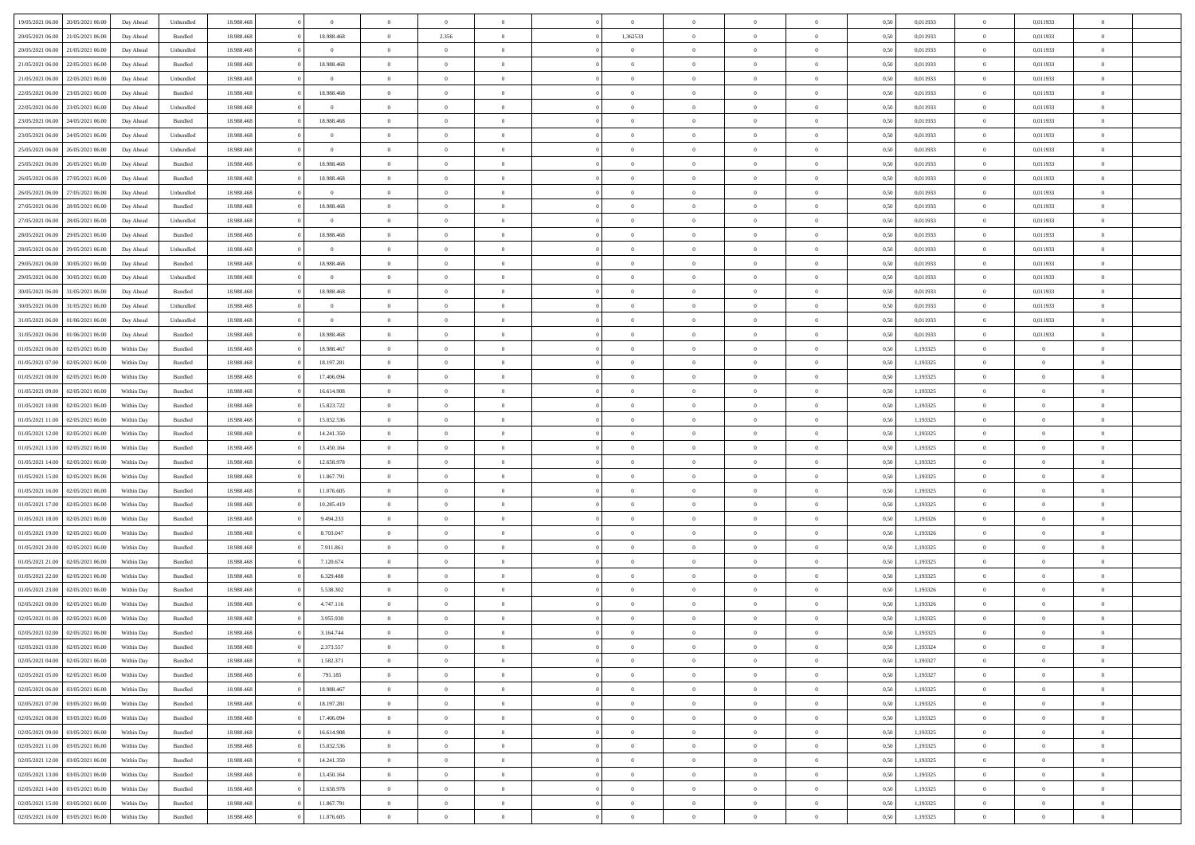| 19/05/2021 06:00 20/05/2021 06:00                                            | Day Ahead                | Unbundled          | 18.988.468               | $\overline{0}$           | $\overline{0}$                   | $\overline{0}$           | $\Omega$                         | $\Omega$                         | $\theta$                         | $\Omega$                         | $\overline{0}$       | 0,50         | 0,011933             | $\theta$                | 0,011933             | $\overline{0}$                   |  |
|------------------------------------------------------------------------------|--------------------------|--------------------|--------------------------|--------------------------|----------------------------------|--------------------------|----------------------------------|----------------------------------|----------------------------------|----------------------------------|----------------------|--------------|----------------------|-------------------------|----------------------|----------------------------------|--|
| 20/05/2021 06:00<br>21/05/2021 06:00                                         | Day Ahead                | Bundled            | 18.988.46                | 18.988.468               | $\overline{0}$                   | 2.356                    | $\overline{0}$                   | 1,362533                         | $\theta$                         | $\overline{0}$                   | $\bf{0}$             | 0,50         | 0,011933             | $\theta$                | 0,011933             | $\overline{0}$                   |  |
| 20/05/2021 06:00<br>21/05/2021 06:00                                         | Day Ahead                | Unbundled          | 18.988.468               | $\overline{0}$           | $\overline{0}$                   | $\bf{0}$                 | $\overline{0}$                   | $\overline{0}$                   | $\overline{0}$                   | $\overline{0}$                   | $\bf{0}$             | 0,50         | 0,011933             | $\bf{0}$                | 0,011933             | $\overline{0}$                   |  |
| 21/05/2021 06:00<br>22/05/2021 06:00                                         | Day Ahead                | Bundled            | 18.988.468               | 18.988.468               | $\overline{0}$                   | $\overline{0}$           | $\overline{0}$                   | $\overline{0}$                   | $\theta$                         | $\overline{0}$                   | $\overline{0}$       | 0.5(         | 0,011933             | $\theta$                | 0,011933             | $\overline{0}$                   |  |
| 21/05/2021 06:00<br>22/05/2021 06:00                                         | Day Ahead                | Unbundled          | 18.988.468               | $\overline{0}$           | $\overline{0}$                   | $\overline{0}$           | $\overline{0}$                   | $\overline{0}$                   | $\theta$                         | $\overline{0}$                   | $\bf{0}$             | 0,50         | 0,011933             | $\theta$                | 0,011933             | $\overline{0}$                   |  |
| 22/05/2021 06:00<br>23/05/2021 06:00                                         | Day Ahead                | Bundled            | 18.988.468               | 18.988.468               | $\overline{0}$                   | $\bf{0}$                 | $\overline{0}$                   | $\overline{0}$                   | $\overline{0}$                   | $\overline{0}$                   | $\bf{0}$             | 0,50         | 0,011933             | $\bf{0}$                | 0,011933             | $\bf{0}$                         |  |
| 22/05/2021 06:00<br>23/05/2021 06:00                                         | Day Ahead                | Unbundled          | 18.988.468               | $\bf{0}$                 | $\overline{0}$                   | $\overline{0}$           | $\overline{0}$                   | $\overline{0}$                   | $\overline{0}$                   | $\overline{0}$                   | $\overline{0}$       | 0.5(         | 0,011933             | $\theta$                | 0,011933             | $\overline{0}$                   |  |
|                                                                              |                          |                    |                          |                          |                                  |                          |                                  |                                  |                                  |                                  |                      |              |                      |                         |                      |                                  |  |
| 23/05/2021 06:00<br>24/05/2021 06:00                                         | Day Ahead                | Bundled            | 18.988.468               | 18.988.468               | $\overline{0}$                   | $\overline{0}$           | $\overline{0}$                   | $\overline{0}$                   | $\theta$                         | $\overline{0}$                   | $\bf{0}$             | 0,50         | 0,011933             | $\theta$                | 0,011933             | $\overline{0}$                   |  |
| 23/05/2021 06:00<br>24/05/2021 06.00                                         | Day Ahead                | Unbundled          | 18.988.468               | $\overline{0}$           | $\overline{0}$                   | $\bf{0}$                 | $\overline{0}$                   | $\overline{0}$                   | $\overline{0}$                   | $\bf{0}$                         | $\bf{0}$             | 0,50         | 0,011933             | $\bf{0}$                | 0,011933             | $\overline{0}$                   |  |
| 25/05/2021 06:00<br>26/05/2021 06:00                                         | Day Ahead                | Unbundled          | 18.988.468               | $\bf{0}$                 | $\overline{0}$                   | $\overline{0}$           | $\overline{0}$                   | $\overline{0}$                   | $\overline{0}$                   | $\overline{0}$                   | $\bf{0}$             | 0.5(         | 0,011933             | $\overline{0}$          | 0,011933             | $\overline{0}$                   |  |
| 25/05/2021 06:00<br>26/05/2021 06:00                                         | Day Ahead                | Bundled            | 18.988.468               | 18.988.468               | $\overline{0}$                   | $\overline{0}$           | $\overline{0}$                   | $\overline{0}$                   | $\theta$                         | $\overline{0}$                   | $\bf{0}$             | 0,50         | 0,011933             | $\theta$                | 0,011933             | $\overline{0}$                   |  |
| 26/05/2021 06:00<br>27/05/2021 06:00                                         | Day Ahead                | Bundled            | 18.988.468               | 18.988.468               | $\overline{0}$                   | $\bf{0}$                 | $\overline{0}$                   | $\overline{0}$                   | $\bf{0}$                         | $\overline{0}$                   | $\bf{0}$             | 0,50         | 0,011933             | $\bf{0}$                | 0,011933             | $\overline{0}$                   |  |
| 26/05/2021 06:00<br>27/05/2021 06:00                                         | Day Ahead                | Unbundled          | 18.988.468               | $\overline{0}$           | $\overline{0}$                   | $\overline{0}$           | $\overline{0}$                   | $\overline{0}$                   | $\overline{0}$                   | $\overline{0}$                   | $\overline{0}$       | 0.5(         | 0,011933             | $\overline{0}$          | 0.011933             | $\overline{0}$                   |  |
| 27/05/2021 06:00<br>28/05/2021 06:00                                         | Day Ahead                | Bundled            | 18.988.468               | 18.988.468               | $\overline{0}$                   | $\theta$                 | $\overline{0}$                   | $\overline{0}$                   | $\theta$                         | $\overline{0}$                   | $\,$ 0 $\,$          | 0,50         | 0,011933             | $\,$ 0 $\,$             | 0,011933             | $\overline{0}$                   |  |
| 27/05/2021 06:00<br>28/05/2021 06:00                                         | Day Ahead                | Unbundled          | 18.988.468               | $\bf{0}$                 | $\overline{0}$                   | $\bf{0}$                 | $\overline{0}$                   | $\overline{0}$                   | $\overline{0}$                   | $\overline{0}$                   | $\bf{0}$             | 0,50         | 0,011933             | $\overline{0}$          | 0,011933             | $\bf{0}$                         |  |
| 28/05/2021 06:00<br>29/05/2021 06:00                                         | Day Ahead                | Bundled            | 18.988.468               | 18.988.468               | $\overline{0}$                   | $\overline{0}$           | $\overline{0}$                   | $\overline{0}$                   | $\overline{0}$                   | $\overline{0}$                   | $\overline{0}$       | 0.5(         | 0,011933             | $\overline{0}$          | 0,011933             | $\overline{0}$                   |  |
| 28/05/2021 06:00<br>29/05/2021 06:00                                         | Day Ahead                | Unbundled          | 18.988.468               | $\overline{0}$           | $\bf{0}$                         | $\overline{0}$           | $\overline{0}$                   | $\overline{0}$                   | $\theta$                         | $\overline{0}$                   | $\bf{0}$             | 0,50         | 0,011933             | $\theta$                | 0,011933             | $\overline{0}$                   |  |
| 29/05/2021 06:00<br>30/05/2021 06:00                                         | Day Ahead                | Bundled            | 18.988.468               | 18.988.468               | $\overline{0}$                   | $\bf{0}$                 | $\overline{0}$                   | $\overline{0}$                   | $\overline{0}$                   | $\overline{0}$                   | $\bf{0}$             | 0,50         | 0,011933             | $\bf{0}$                | 0,011933             | $\overline{0}$                   |  |
| 29/05/2021 06:00<br>30/05/2021 06:00                                         | Day Ahead                | Unbundled          | 18.988.468               | $\bf{0}$                 | $\overline{0}$                   | $\overline{0}$           | $\overline{0}$                   | $\overline{0}$                   | $\overline{0}$                   | $\overline{0}$                   | $\overline{0}$       | 0.5(         | 0,011933             | $\overline{0}$          | 0,011933             | $\overline{0}$                   |  |
| 30/05/2021 06:00<br>31/05/2021 06:00                                         | Day Ahead                | Bundled            | 18.988.468               | 18.988.468               | $\bf{0}$                         | $\overline{0}$           | $\overline{0}$                   | $\overline{0}$                   | $\theta$                         | $\overline{0}$                   | $\bf{0}$             | 0,50         | 0,011933             | $\,$ 0 $\,$             | 0,011933             | $\overline{0}$                   |  |
| 30/05/2021 06:00<br>31/05/2021 06.00                                         | Day Ahead                | Unbundled          | 18.988.468               | $\overline{0}$           | $\overline{0}$                   | $\bf{0}$                 | $\overline{0}$                   | $\overline{0}$                   | $\overline{0}$                   | $\overline{0}$                   | $\bf{0}$             | 0,50         | 0,011933             | $\bf{0}$                | 0,011933             | $\overline{0}$                   |  |
| 31/05/2021 06:00<br>01/06/2021 06:00                                         | Day Ahead                | Unbundled          | 18.988.468               | $\overline{0}$           | $\overline{0}$                   | $\overline{0}$           | $\overline{0}$                   | $\overline{0}$                   | $\overline{0}$                   | $\overline{0}$                   | $\overline{0}$       | 0.5(         | 0,011933             | $\overline{0}$          | 0,011933             | $\overline{0}$                   |  |
| 31/05/2021 06:00<br>01/06/2021 06:00                                         | Day Ahead                | Bundled            | 18.988.468               | 18.988.468               | $\overline{0}$                   | $\theta$                 | $\overline{0}$                   | $\overline{0}$                   | $\theta$                         | $\overline{0}$                   | $\bf{0}$             | 0,50         | 0,011933             | $\theta$                | 0,011933             | $\overline{0}$                   |  |
| 01/05/2021 06:00<br>02/05/2021 06:00                                         | Within Day               | Bundled            | 18.988.468               | 18.988.467               | $\overline{0}$                   | $\bf{0}$                 | $\overline{0}$                   | $\overline{0}$                   | $\overline{0}$                   | $\overline{0}$                   | $\bf{0}$             | 0,50         | 1,193325             | $\bf{0}$                | $\overline{0}$       | $\bf{0}$                         |  |
| 01/05/2021 07:00<br>02/05/2021 06:00                                         | Within Dav               | Bundled            | 18.988.468               | 18.197.281               | $\overline{0}$                   | $\overline{0}$           | $\overline{0}$                   | $\overline{0}$                   | $\overline{0}$                   | $\overline{0}$                   | $\overline{0}$       | 0.5(         | 1,193325             | $\overline{0}$          | $\overline{0}$       | $\overline{0}$                   |  |
| 01/05/2021 08:00<br>02/05/2021 06:00                                         | Within Day               | Bundled            | 18.988.468               | 17.406.094               | $\bf{0}$                         | $\overline{0}$           | $\overline{0}$                   | $\overline{0}$                   | $\theta$                         | $\overline{0}$                   | $\bf{0}$             | 0,50         | 1,193325             | $\theta$                | $\theta$             | $\overline{0}$                   |  |
| 01/05/2021 09:00<br>02/05/2021 06:00                                         | Within Day               | Bundled            | 18.988.468               | 16.614.908               | $\overline{0}$                   | $\bf{0}$                 | $\overline{0}$                   | $\overline{0}$                   | $\overline{0}$                   | $\bf{0}$                         | $\bf{0}$             | 0,50         | 1,193325             | $\bf{0}$                | $\bf{0}$             | $\overline{0}$                   |  |
| 01/05/2021 10:00<br>02/05/2021 06:00                                         | Within Day               | Bundled            | 18.988.468               | 15.823.722               | $\overline{0}$                   | $\overline{0}$           | $\overline{0}$                   | $\overline{0}$                   | $\overline{0}$                   | $\overline{0}$                   | $\overline{0}$       | 0.5(         | 1,193325             | $\theta$                | $\theta$             | $\overline{0}$                   |  |
| 01/05/2021 11:00<br>02/05/2021 06:00                                         | Within Day               | Bundled            | 18.988.468               | 15.032.536               | $\bf{0}$                         | $\overline{0}$           | $\overline{0}$                   | $\overline{0}$                   | $\theta$                         | $\overline{0}$                   | $\bf{0}$             | 0,50         | 1,193325             | $\theta$                | $\theta$             | $\overline{0}$                   |  |
| 01/05/2021 12:00<br>02/05/2021 06:00                                         | Within Day               | Bundled            | 18.988.468               | 14.241.350               | $\overline{0}$                   | $\bf{0}$                 | $\overline{0}$                   | $\overline{0}$                   | $\bf{0}$                         | $\overline{0}$                   | $\bf{0}$             | 0,50         | 1,193325             | $\bf{0}$                | $\overline{0}$       | $\bf{0}$                         |  |
| 01/05/2021 13:00<br>02/05/2021 06.00                                         | Within Day               | Bundled            | 18.988.468               | 13.450.164               | $\overline{0}$                   | $\overline{0}$           | $\Omega$                         | $\Omega$                         | $\Omega$                         | $\Omega$                         | $\overline{0}$       | 0,50         | 1,193325             | $\bf{0}$                | $\overline{0}$       | $\theta$                         |  |
| 01/05/2021 14:00<br>02/05/2021 06:00                                         | Within Day               | Bundled            | 18.988.46                | 12.658.978               | $\bf{0}$                         | $\overline{0}$           | $\overline{0}$                   | $\overline{0}$                   | $\theta$                         | $\overline{0}$                   | $\bf{0}$             | 0,50         | 1,193325             | $\theta$                | $\theta$             | $\overline{0}$                   |  |
| 01/05/2021 15:00<br>02/05/2021 06:00                                         | Within Day               | Bundled            | 18.988.468               | 11.867.791               | $\overline{0}$                   | $\bf{0}$                 | $\overline{0}$                   | $\overline{0}$                   | $\overline{0}$                   | $\overline{0}$                   | $\bf{0}$             | 0,50         | 1,193325             | $\bf{0}$                | $\overline{0}$       | $\bf{0}$                         |  |
| 01/05/2021 16:00<br>02/05/2021 06.00                                         | Within Day               | Bundled            | 18,988,468               | 11.076.605               | $\overline{0}$                   | $\overline{0}$           | $\Omega$                         | $\Omega$                         | $\overline{0}$                   | $\Omega$                         | $\overline{0}$       | 0.50         | 1,193325             | $\bf{0}$                | $\Omega$             | $\theta$                         |  |
| 01/05/2021 17:00<br>02/05/2021 06:00                                         | Within Day               | Bundled            | 18.988.468               | 10.285.419               | $\bf{0}$                         | $\overline{0}$           | $\overline{0}$                   | $\overline{0}$                   | $\theta$                         | $\overline{0}$                   | $\bf{0}$             | 0,50         | 1,193325             | $\theta$                | $\theta$             | $\overline{0}$                   |  |
| 01/05/2021 18:00<br>02/05/2021 06:00                                         | Within Day               | Bundled            | 18.988.468               | 9.494.233                | $\overline{0}$                   | $\bf{0}$                 | $\overline{0}$                   | $\overline{0}$                   | $\overline{0}$                   | $\bf{0}$                         | $\bf{0}$             | 0,50         | 1,193326             | $\bf{0}$                | $\overline{0}$       | $\overline{0}$                   |  |
| 01/05/2021 19:00<br>02/05/2021 06.00                                         | Within Day               | Bundled            | 18,988,46                | 8,703,047                | $\overline{0}$                   | $\overline{0}$           | $\Omega$                         | $\Omega$                         | $\Omega$                         | $\Omega$                         | $\overline{0}$       | 0.50         | 1,193326             | $\overline{0}$          | $\Omega$             | $\theta$                         |  |
| 01/05/2021 20:00<br>02/05/2021 06:00                                         | Within Day               | Bundled            | 18.988.468               | 7.911.861                | $\bf{0}$                         | $\overline{0}$           | $\overline{0}$                   | $\overline{0}$                   | $\theta$                         | $\overline{0}$                   | $\bf{0}$             | 0,50         | 1,193325             | $\,$ 0 $\,$             | $\theta$             | $\overline{0}$                   |  |
| 01/05/2021 21:00<br>02/05/2021 06:00                                         | Within Day               | Bundled            | 18.988.468               | 7.120.674                | $\overline{0}$                   | $\bf{0}$                 | $\overline{0}$                   | $\overline{0}$                   | $\overline{0}$                   | $\overline{0}$                   | $\bf{0}$             | 0,50         | 1,193325             | $\bf{0}$                | $\overline{0}$       | $\overline{0}$                   |  |
| 01/05/2021 22:00<br>02/05/2021 06.00                                         | Within Day               | Bundled            | 18.988.468               | 6.329.488                | $\overline{0}$                   | $\overline{0}$           | $\Omega$                         | $\Omega$                         | $\theta$                         | $\Omega$                         | $\overline{0}$       | 0.50         | 1,193325             | $\bf{0}$                | $\overline{0}$       | $\theta$                         |  |
| 01/05/2021 23:00<br>02/05/2021 06:00                                         | Within Day               | Bundled            | 18.988.468               | 5.538.302                | $\bf{0}$                         | $\overline{0}$           | $\overline{0}$                   | $\overline{0}$                   | $\theta$                         | $\overline{0}$                   | $\bf{0}$             | 0,50         | 1,193326             | $\theta$                | $\theta$             | $\overline{0}$                   |  |
| 02/05/2021 00:00<br>02/05/2021 06:00                                         | Within Day               | Bundled            | 18.988.468               | 4.747.116                | $\overline{0}$                   | $\bf{0}$                 | $\overline{0}$                   | $\overline{0}$                   | $\bf{0}$                         | $\overline{0}$                   | $\bf{0}$             | 0,50         | 1,193326             | $\bf{0}$                | $\overline{0}$       | $\bf{0}$                         |  |
| 02/05/2021 01:00<br>02/05/2021 06.00                                         | Within Day               | Bundled            | 18,988,46                | 3.955.930                | $\overline{0}$                   | $\Omega$                 | $\Omega$                         | $\Omega$                         | $\Omega$                         | $\theta$                         | $\overline{0}$       | 0.50         | 1,193325             | $\theta$                | $\Omega$             | $\theta$                         |  |
| 02/05/2021 02:00<br>02/05/2021 06:00                                         | Within Day               | Bundled            | 18.988.468               | 3.164.744                | $\bf{0}$                         | $\bf{0}$                 | $\overline{0}$                   | $\overline{0}$                   | $\overline{0}$                   | $\bf{0}$                         | $\bf{0}$             | 0,50         | 1,193325             | $\bf{0}$                | $\bf{0}$             | $\overline{0}$                   |  |
| 02/05/2021 03:00 02/05/2021 06:00                                            | Within Day               | Bundled            | 18.988.468               | 2.373.557                |                                  |                          |                                  |                                  |                                  |                                  |                      | 0,50         | 1,193324             | $\bf{0}$                | $\bf{0}$             |                                  |  |
| 02/05/2021 04:00 02/05/2021 06:00                                            | Within Day               | Bundled            | 18,988,468               | 1.582.371                | $\Omega$                         | $\overline{0}$           | $\Omega$                         | $\theta$                         | $\Omega$                         | $\theta$                         | $\overline{0}$       | 0.50         | 1,193327             | $\theta$                | $\theta$             | $\theta$                         |  |
| 02/05/2021 05:00<br>02/05/2021 06:00                                         | Within Day               | Bundled            | 18.988.468               | 791.185                  | $\bf{0}$                         | $\,$ 0                   | $\overline{0}$                   | $\overline{0}$                   | $\overline{0}$                   | $\bf{0}$                         | $\bf{0}$             | 0,50         | 1,193327             | $\,$ 0 $\,$             | $\,$ 0 $\,$          | $\overline{0}$                   |  |
| 03/05/2021 06:00<br>02/05/2021 06:00                                         | Within Day               | Bundled            | 18.988.468               | 18.988.467               | $\overline{0}$                   | $\overline{0}$           | $\overline{0}$                   | $\overline{0}$                   | $\overline{0}$                   | $\overline{0}$                   | $\bf{0}$             | 0,50         | 1,193325             | $\bf{0}$                | $\bf{0}$             | $\bf{0}$                         |  |
|                                                                              |                          |                    |                          |                          |                                  |                          |                                  |                                  |                                  |                                  |                      |              |                      |                         |                      |                                  |  |
| 02/05/2021 07:00<br>03/05/2021 06:00<br>02/05/2021 08:00<br>03/05/2021 06:00 | Within Day<br>Within Day | Bundled<br>Bundled | 18.988.468<br>18.988.468 | 18.197.281<br>17.406.094 | $\overline{0}$<br>$\overline{0}$ | $\overline{0}$<br>$\,$ 0 | $\overline{0}$<br>$\overline{0}$ | $\overline{0}$<br>$\overline{0}$ | $\overline{0}$<br>$\overline{0}$ | $\overline{0}$<br>$\overline{0}$ | $\bf{0}$<br>$\bf{0}$ | 0,50<br>0,50 | 1,193325<br>1,193325 | $\bf{0}$<br>$\,$ 0 $\,$ | $\theta$<br>$\theta$ | $\overline{0}$<br>$\overline{0}$ |  |
|                                                                              |                          |                    |                          |                          |                                  |                          |                                  |                                  |                                  |                                  |                      |              |                      |                         |                      |                                  |  |
| 02/05/2021 09:00<br>03/05/2021 06:00                                         | Within Day               | Bundled            | 18.988.468               | 16.614.908               | $\overline{0}$                   | $\overline{0}$           | $\overline{0}$                   | $\overline{0}$                   | $\overline{0}$                   | $\overline{0}$                   | $\bf{0}$             | 0,50         | 1,193325             | $\overline{0}$          | $\overline{0}$       | $\bf{0}$                         |  |
| 02/05/2021 11:00<br>03/05/2021 06:00                                         | Within Day               | Bundled            | 18.988.468               | 15.032.536               | $\overline{0}$                   | $\overline{0}$           | $\overline{0}$                   | $\overline{0}$                   | $\overline{0}$                   | $\overline{0}$                   | $\bf{0}$             | 0.50         | 1,193325             | $\overline{0}$          | $\theta$             | $\overline{0}$                   |  |
| 02/05/2021 12:00<br>03/05/2021 06:00                                         | Within Day               | Bundled            | 18.988.468               | 14.241.350               | $\overline{0}$                   | $\bf{0}$                 | $\overline{0}$                   | $\overline{0}$                   | $\overline{0}$                   | $\overline{0}$                   | $\bf{0}$             | 0,50         | 1,193325             | $\,$ 0 $\,$             | $\bf{0}$             | $\overline{0}$                   |  |
| 03/05/2021 06:00<br>02/05/2021 13:00                                         | Within Day               | Bundled            | 18.988.468               | 13.450.164               | $\overline{0}$                   | $\bf{0}$                 | $\overline{0}$                   | $\overline{0}$                   | $\overline{0}$                   | $\overline{0}$                   | $\bf{0}$             | 0,50         | 1,193325             | $\bf{0}$                | $\overline{0}$       | $\bf{0}$                         |  |
| 02/05/2021 14:00<br>03/05/2021 06:00                                         | Within Day               | Bundled            | 18,988,468               | 12.658.978               | $\overline{0}$                   | $\overline{0}$           | $\overline{0}$                   | $\overline{0}$                   | $\overline{0}$                   | $\overline{0}$                   | $\bf{0}$             | 0.50         | 1,193325             | $\bf{0}$                | $\theta$             | $\overline{0}$                   |  |
| 02/05/2021 15:00<br>03/05/2021 06:00                                         | Within Day               | Bundled            | 18.988.468               | 11.867.791               | $\overline{0}$                   | $\bf{0}$                 | $\overline{0}$                   | $\overline{0}$                   | $\overline{0}$                   | $\bf{0}$                         | $\bf{0}$             | 0,50         | 1,193325             | $\,$ 0 $\,$             | $\,$ 0 $\,$          | $\overline{0}$                   |  |
| 02/05/2021 16:00 03/05/2021 06:00                                            | Within Day               | Bundled            | 18.988.468               | 11.076.605               | $\overline{0}$                   | $\bf{0}$                 | $\overline{0}$                   | $\overline{0}$                   | $\bf{0}$                         | $\overline{0}$                   | $\bf{0}$             | 0,50         | 1,193325             | $\bf{0}$                | $\bf{0}$             | $\overline{0}$                   |  |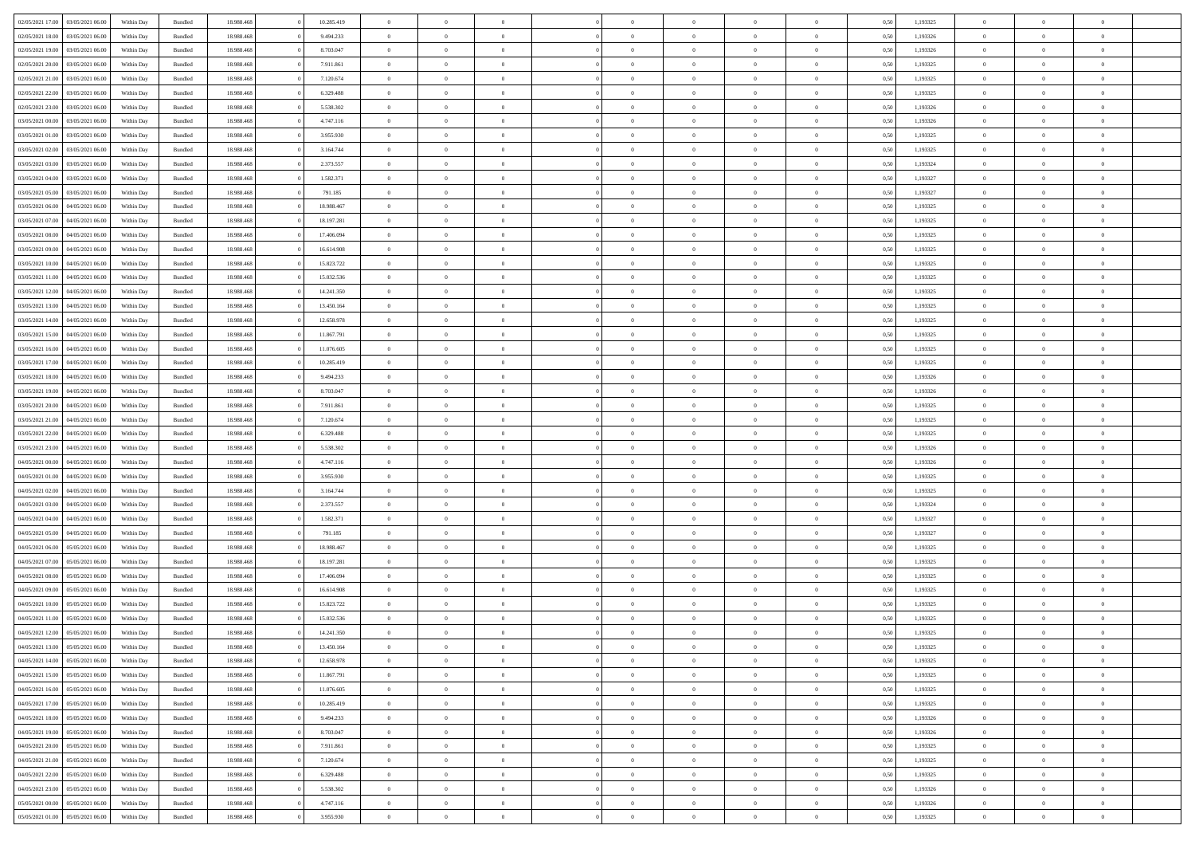| 02/05/2021 17:00 03/05/2021 06:00    | Within Day | Bundled | 18.988.468 | 10.285.419 | $\overline{0}$ | $\overline{0}$ | $\Omega$       | $\Omega$       | $\theta$       | $\Omega$       | $\overline{0}$ | 0,50 | 1,193325 | $\theta$       | $\theta$       | $\overline{0}$ |  |
|--------------------------------------|------------|---------|------------|------------|----------------|----------------|----------------|----------------|----------------|----------------|----------------|------|----------|----------------|----------------|----------------|--|
| 02/05/2021 18:00<br>03/05/2021 06:00 | Within Day | Bundled | 18.988.46  | 9.494.233  | $\overline{0}$ | $\theta$       | $\overline{0}$ | $\overline{0}$ | $\theta$       | $\overline{0}$ | $\,$ 0 $\,$    | 0,50 | 1,193326 | $\theta$       | $\theta$       | $\overline{0}$ |  |
| 02/05/2021 19:00<br>03/05/2021 06:00 | Within Day | Bundled | 18.988.468 | 8.703.047  | $\overline{0}$ | $\bf{0}$       | $\overline{0}$ | $\overline{0}$ | $\bf{0}$       | $\overline{0}$ | $\bf{0}$       | 0,50 | 1,193326 | $\bf{0}$       | $\overline{0}$ | $\overline{0}$ |  |
| 02/05/2021 20:00<br>03/05/2021 06:00 | Within Day | Bundled | 18.988.468 | 7.911.861  | $\overline{0}$ | $\overline{0}$ | $\overline{0}$ | $\overline{0}$ | $\overline{0}$ | $\overline{0}$ | $\overline{0}$ | 0.5( | 1,193325 | $\theta$       | $\theta$       | $\overline{0}$ |  |
| 02/05/2021 21:00<br>03/05/2021 06:00 | Within Day | Bundled | 18.988.468 | 7.120.674  | $\overline{0}$ | $\overline{0}$ | $\overline{0}$ | $\overline{0}$ | $\theta$       | $\overline{0}$ | $\bf{0}$       | 0,50 | 1,193325 | $\theta$       | $\theta$       | $\overline{0}$ |  |
| 02/05/2021 22:00<br>03/05/2021 06:00 | Within Day | Bundled | 18.988.468 | 6.329.488  | $\overline{0}$ | $\bf{0}$       | $\overline{0}$ | $\overline{0}$ | $\overline{0}$ | $\overline{0}$ | $\bf{0}$       | 0,50 | 1,193325 | $\bf{0}$       | $\overline{0}$ | $\bf{0}$       |  |
| 02/05/2021 23:00<br>03/05/2021 06:00 | Within Dav | Bundled | 18.988.468 | 5.538.302  | $\overline{0}$ | $\overline{0}$ |                | $\overline{0}$ | $\overline{0}$ | $\overline{0}$ | $\bf{0}$       | 0.5( | 1,193326 | $\theta$       | $\theta$       | $\overline{0}$ |  |
|                                      |            |         |            |            |                |                | $\overline{0}$ |                |                |                |                |      |          |                |                |                |  |
| 03/05/2021 00:00<br>03/05/2021 06:00 | Within Day | Bundled | 18.988.468 | 4.747.116  | $\overline{0}$ | $\theta$       | $\overline{0}$ | $\overline{0}$ | $\theta$       | $\overline{0}$ | $\bf{0}$       | 0,50 | 1,193326 | $\theta$       | $\theta$       | $\overline{0}$ |  |
| 03/05/2021 01:00<br>03/05/2021 06:00 | Within Day | Bundled | 18.988.468 | 3.955.930  | $\overline{0}$ | $\bf{0}$       | $\overline{0}$ | $\overline{0}$ | $\overline{0}$ | $\overline{0}$ | $\bf{0}$       | 0,50 | 1,193325 | $\bf{0}$       | $\bf{0}$       | $\overline{0}$ |  |
| 03/05/2021 02:00<br>03/05/2021 06:00 | Within Day | Bundled | 18.988.468 | 3.164.744  | $\overline{0}$ | $\overline{0}$ | $\overline{0}$ | $\overline{0}$ | $\overline{0}$ | $\overline{0}$ | $\bf{0}$       | 0.50 | 1,193325 | $\theta$       | $\theta$       | $\overline{0}$ |  |
| 03/05/2021 03:00<br>03/05/2021 06:00 | Within Day | Bundled | 18.988.468 | 2.373.557  | $\bf{0}$       | $\overline{0}$ | $\overline{0}$ | $\overline{0}$ | $\theta$       | $\overline{0}$ | $\bf{0}$       | 0,50 | 1,193324 | $\theta$       | $\theta$       | $\overline{0}$ |  |
| 03/05/2021 04:00<br>03/05/2021 06:00 | Within Day | Bundled | 18.988.468 | 1.582.371  | $\overline{0}$ | $\bf{0}$       | $\overline{0}$ | $\overline{0}$ | $\bf{0}$       | $\overline{0}$ | $\bf{0}$       | 0,50 | 1,193327 | $\bf{0}$       | $\overline{0}$ | $\bf{0}$       |  |
| 03/05/2021 05:00<br>03/05/2021 06:00 | Within Day | Bundled | 18.988.468 | 791.185    | $\overline{0}$ | $\overline{0}$ | $\overline{0}$ | $\overline{0}$ | $\overline{0}$ | $\overline{0}$ | $\overline{0}$ | 0.5( | 1,193327 | $\theta$       | $\theta$       | $\overline{0}$ |  |
| 03/05/2021 06:00<br>04/05/2021 06:00 | Within Day | Bundled | 18.988.468 | 18.988.467 | $\bf{0}$       | $\theta$       | $\overline{0}$ | $\overline{0}$ | $\theta$       | $\overline{0}$ | $\,$ 0 $\,$    | 0,50 | 1,193325 | $\theta$       | $\theta$       | $\overline{0}$ |  |
| 03/05/2021 07:00<br>04/05/2021 06.00 | Within Day | Bundled | 18.988.468 | 18.197.281 | $\overline{0}$ | $\bf{0}$       | $\overline{0}$ | $\overline{0}$ | $\overline{0}$ | $\overline{0}$ | $\bf{0}$       | 0,50 | 1,193325 | $\bf{0}$       | $\overline{0}$ | $\bf{0}$       |  |
| 03/05/2021 08:00<br>04/05/2021 06:00 | Within Day | Bundled | 18.988.468 | 17.406.094 | $\overline{0}$ | $\overline{0}$ | $\overline{0}$ | $\overline{0}$ | $\overline{0}$ | $\overline{0}$ | $\overline{0}$ | 0.5( | 1,193325 | $\theta$       | $\overline{0}$ | $\overline{0}$ |  |
| 03/05/2021 09:00<br>04/05/2021 06:00 | Within Day | Bundled | 18.988.468 | 16.614.908 | $\bf{0}$       | $\overline{0}$ | $\overline{0}$ | $\overline{0}$ | $\theta$       | $\overline{0}$ | $\bf{0}$       | 0,50 | 1,193325 | $\theta$       | $\theta$       | $\overline{0}$ |  |
| 03/05/2021 10:00<br>04/05/2021 06:00 | Within Day | Bundled | 18.988.468 | 15.823.722 | $\overline{0}$ | $\bf{0}$       | $\overline{0}$ | $\overline{0}$ | $\overline{0}$ | $\bf{0}$       | $\bf{0}$       | 0,50 | 1,193325 | $\bf{0}$       | $\overline{0}$ | $\overline{0}$ |  |
| 03/05/2021 11:00<br>04/05/2021 06:00 | Within Day | Bundled | 18.988.468 | 15.032.536 | $\overline{0}$ | $\overline{0}$ | $\overline{0}$ | $\overline{0}$ | $\overline{0}$ | $\overline{0}$ | $\bf{0}$       | 0.50 | 1,193325 | $\theta$       | $\theta$       | $\overline{0}$ |  |
| 03/05/2021 12:00<br>04/05/2021 06:00 | Within Day | Bundled | 18.988.468 | 14.241.350 | $\bf{0}$       | $\overline{0}$ | $\overline{0}$ | $\overline{0}$ | $\theta$       | $\overline{0}$ | $\bf{0}$       | 0,50 | 1,193325 | $\theta$       | $\theta$       | $\overline{0}$ |  |
| 03/05/2021 13:00<br>04/05/2021 06:00 | Within Day | Bundled | 18.988.468 | 13.450.164 | $\overline{0}$ | $\bf{0}$       | $\overline{0}$ | $\overline{0}$ | $\bf{0}$       | $\overline{0}$ | $\bf{0}$       | 0,50 | 1,193325 | $\bf{0}$       | $\overline{0}$ | $\overline{0}$ |  |
| 03/05/2021 14:00<br>04/05/2021 06:00 | Within Day | Bundled | 18.988.468 | 12.658.978 | $\overline{0}$ | $\overline{0}$ | $\overline{0}$ | $\overline{0}$ | $\overline{0}$ | $\overline{0}$ | $\overline{0}$ | 0.5( | 1,193325 | $\theta$       | $\theta$       | $\overline{0}$ |  |
| 03/05/2021 15:00<br>04/05/2021 06:00 |            | Bundled | 18.988.468 | 11.867.791 |                | $\theta$       | $\overline{0}$ | $\overline{0}$ | $\theta$       | $\overline{0}$ | $\bf{0}$       |      | 1,193325 | $\theta$       | $\theta$       | $\overline{0}$ |  |
|                                      | Within Day |         |            |            | $\bf{0}$       |                |                |                |                |                |                | 0,50 |          |                |                |                |  |
| 03/05/2021 16:00<br>04/05/2021 06.00 | Within Day | Bundled | 18.988.468 | 11.076.605 | $\overline{0}$ | $\bf{0}$       | $\overline{0}$ | $\overline{0}$ | $\overline{0}$ | $\overline{0}$ | $\bf{0}$       | 0,50 | 1,193325 | $\bf{0}$       | $\overline{0}$ | $\bf{0}$       |  |
| 03/05/2021 17:00<br>04/05/2021 06:00 | Within Day | Bundled | 18.988.468 | 10.285.419 | $\overline{0}$ | $\overline{0}$ | $\overline{0}$ | $\overline{0}$ | $\overline{0}$ | $\overline{0}$ | $\overline{0}$ | 0.5( | 1,193325 | $\overline{0}$ | $\theta$       | $\overline{0}$ |  |
| 03/05/2021 18:00<br>04/05/2021 06:00 | Within Day | Bundled | 18.988.468 | 9.494.233  | $\bf{0}$       | $\overline{0}$ | $\overline{0}$ | $\overline{0}$ | $\theta$       | $\overline{0}$ | $\bf{0}$       | 0,50 | 1,193326 | $\theta$       | $\theta$       | $\overline{0}$ |  |
| 03/05/2021 19:00<br>04/05/2021 06:00 | Within Day | Bundled | 18.988.468 | 8.703.047  | $\overline{0}$ | $\bf{0}$       | $\overline{0}$ | $\overline{0}$ | $\overline{0}$ | $\bf{0}$       | $\bf{0}$       | 0,50 | 1,193326 | $\bf{0}$       | $\bf{0}$       | $\overline{0}$ |  |
| 03/05/2021 20:00<br>04/05/2021 06:00 | Within Day | Bundled | 18.988.468 | 7.911.861  | $\overline{0}$ | $\overline{0}$ | $\overline{0}$ | $\overline{0}$ | $\overline{0}$ | $\overline{0}$ | $\overline{0}$ | 0.5( | 1,193325 | $\theta$       | $\theta$       | $\overline{0}$ |  |
| 03/05/2021 21:00<br>04/05/2021 06:00 | Within Day | Bundled | 18.988.468 | 7.120.674  | $\bf{0}$       | $\overline{0}$ | $\overline{0}$ | $\overline{0}$ | $\theta$       | $\overline{0}$ | $\bf{0}$       | 0,50 | 1,193325 | $\theta$       | $\theta$       | $\overline{0}$ |  |
| 03/05/2021 22.00<br>04/05/2021 06.00 | Within Day | Bundled | 18.988.468 | 6.329.488  | $\overline{0}$ | $\bf{0}$       | $\overline{0}$ | $\overline{0}$ | $\bf{0}$       | $\overline{0}$ | $\bf{0}$       | 0,50 | 1,193325 | $\bf{0}$       | $\overline{0}$ | $\bf{0}$       |  |
| 03/05/2021 23:00<br>04/05/2021 06.00 | Within Day | Bundled | 18.988.468 | 5.538.302  | $\overline{0}$ | $\overline{0}$ | $\Omega$       | $\Omega$       | $\Omega$       | $\Omega$       | $\overline{0}$ | 0,50 | 1,193326 | $\,$ 0 $\,$    | $\overline{0}$ | $\theta$       |  |
| 04/05/2021 00:00<br>04/05/2021 06:00 | Within Day | Bundled | 18.988.46  | 4.747.116  | $\bf{0}$       | $\overline{0}$ | $\overline{0}$ | $\overline{0}$ | $\theta$       | $\overline{0}$ | $\bf{0}$       | 0,50 | 1,193326 | $\theta$       | $\theta$       | $\overline{0}$ |  |
| 04/05/2021 01:00<br>04/05/2021 06:00 | Within Day | Bundled | 18.988.468 | 3.955.930  | $\overline{0}$ | $\bf{0}$       | $\overline{0}$ | $\overline{0}$ | $\bf{0}$       | $\overline{0}$ | $\bf{0}$       | 0,50 | 1,193325 | $\bf{0}$       | $\overline{0}$ | $\bf{0}$       |  |
| 04/05/2021 02:00<br>04/05/2021 06.00 | Within Day | Bundled | 18,988,468 | 3.164.744  | $\overline{0}$ | $\overline{0}$ | $\Omega$       | $\Omega$       | $\overline{0}$ | $\Omega$       | $\overline{0}$ | 0.50 | 1,193325 | $\bf{0}$       | $\theta$       | $\theta$       |  |
| 04/05/2021 03:00<br>04/05/2021 06:00 | Within Day | Bundled | 18.988.468 | 2.373.557  | $\bf{0}$       | $\overline{0}$ | $\overline{0}$ | $\overline{0}$ | $\theta$       | $\overline{0}$ | $\bf{0}$       | 0,50 | 1,193324 | $\theta$       | $\theta$       | $\overline{0}$ |  |
| 04/05/2021 04:00<br>04/05/2021 06.00 | Within Day | Bundled | 18.988.468 | 1.582.371  | $\overline{0}$ | $\bf{0}$       | $\overline{0}$ | $\overline{0}$ | $\overline{0}$ | $\bf{0}$       | $\bf{0}$       | 0,50 | 1,193327 | $\bf{0}$       | $\overline{0}$ | $\overline{0}$ |  |
| 04/05/2021 05:00<br>04/05/2021 06:00 | Within Day | Bundled | 18,988,46  | 791.185    | $\overline{0}$ | $\overline{0}$ | $\Omega$       | $\theta$       | $\Omega$       | $\theta$       | $\overline{0}$ | 0.50 | 1,193327 | $\overline{0}$ | $\theta$       | $\theta$       |  |
| 04/05/2021 06:00<br>05/05/2021 06:00 | Within Day | Bundled | 18.988.468 | 18.988.467 | $\bf{0}$       | $\bf{0}$       | $\overline{0}$ | $\bf{0}$       | $\theta$       | $\overline{0}$ | $\bf{0}$       | 0,50 | 1,193325 | $\theta$       | $\,$ 0 $\,$    | $\overline{0}$ |  |
| 04/05/2021 07:00<br>05/05/2021 06:00 | Within Day | Bundled | 18.988.468 | 18.197.281 | $\overline{0}$ | $\bf{0}$       | $\overline{0}$ | $\overline{0}$ | $\bf{0}$       | $\overline{0}$ | $\bf{0}$       | 0,50 | 1,193325 | $\bf{0}$       | $\overline{0}$ | $\overline{0}$ |  |
| 04/05/2021 08:00<br>05/05/2021 06.00 | Within Day | Bundled | 18.988.468 | 17.406.094 | $\overline{0}$ | $\overline{0}$ | $\Omega$       | $\Omega$       | $\theta$       | $\Omega$       | $\overline{0}$ | 0,50 | 1,193325 | $\bf{0}$       | $\overline{0}$ | $\theta$       |  |
| 04/05/2021 09:00<br>05/05/2021 06:00 | Within Day | Bundled | 18.988.46  | 16.614.908 | $\bf{0}$       | $\overline{0}$ | $\overline{0}$ | $\overline{0}$ | $\theta$       | $\overline{0}$ | $\bf{0}$       | 0,50 | 1,193325 | $\theta$       | $\theta$       | $\overline{0}$ |  |
| 04/05/2021 10:00<br>05/05/2021 06:00 | Within Day | Bundled | 18.988.468 | 15.823.722 | $\overline{0}$ | $\bf{0}$       | $\overline{0}$ | $\overline{0}$ | $\bf{0}$       | $\overline{0}$ | $\bf{0}$       | 0,50 | 1,193325 | $\bf{0}$       | $\overline{0}$ | $\bf{0}$       |  |
| 04/05/2021 11:00<br>05/05/2021 06.00 | Within Day | Bundled | 18,988,46  | 15.032.536 | $\overline{0}$ | $\overline{0}$ | $\Omega$       | $\Omega$       | $\Omega$       | $\theta$       | $\overline{0}$ | 0.50 | 1,193325 | $\theta$       | $\overline{0}$ | $\theta$       |  |
| 04/05/2021 12:00<br>05/05/2021 06:00 | Within Day | Bundled | 18.988.468 | 14.241.350 | $\bf{0}$       | $\bf{0}$       | $\overline{0}$ | $\overline{0}$ | $\overline{0}$ | $\bf{0}$       | $\bf{0}$       | 0,50 | 1,193325 | $\bf{0}$       | $\,$ 0 $\,$    | $\overline{0}$ |  |
| 04/05/2021 13:00 05/05/2021 06:00    | Within Day | Bundled | 18.988.468 | 13.450.164 |                |                |                |                |                |                |                | 0,50 | 1,193325 | $\bf{0}$       | $\bf{0}$       |                |  |
| 04/05/2021 14:00 05/05/2021 06:00    | Within Day | Bundled | 18,988,468 | 12.658.978 | $\Omega$       | $\overline{0}$ | $\Omega$       | $\theta$       | $\Omega$       | $\theta$       | $\overline{0}$ | 0.50 | 1,193325 | $\theta$       | $\theta$       | $\theta$       |  |
| 04/05/2021 15:00<br>05/05/2021 06:00 | Within Day | Bundled | 18.988.468 | 11.867.791 | $\bf{0}$       | $\,$ 0         | $\overline{0}$ | $\overline{0}$ | $\overline{0}$ | $\overline{0}$ | $\,$ 0 $\,$    | 0,50 | 1,193325 | $\,$ 0 $\,$    | $\,$ 0 $\,$    | $\,$ 0         |  |
| 05/05/2021 06:00<br>04/05/2021 16:00 | Within Day | Bundled | 18.988.468 | 11.076.605 | $\overline{0}$ | $\overline{0}$ | $\overline{0}$ | $\overline{0}$ | $\overline{0}$ | $\overline{0}$ | $\bf{0}$       | 0,50 | 1,193325 | $\overline{0}$ | $\bf{0}$       | $\overline{0}$ |  |
| 05/05/2021 06:00<br>04/05/2021 17:00 | Within Day | Bundled | 18.988.468 | 10.285.419 | $\overline{0}$ | $\bf{0}$       | $\overline{0}$ | $\overline{0}$ | $\overline{0}$ | $\overline{0}$ | $\bf{0}$       | 0,50 | 1,193325 | $\bf{0}$       | $\theta$       | $\overline{0}$ |  |
| 04/05/2021 18:00<br>05/05/2021 06:00 | Within Day | Bundled | 18.988.468 | 9.494.233  | $\overline{0}$ | $\,$ 0         | $\overline{0}$ | $\overline{0}$ | $\overline{0}$ | $\overline{0}$ | $\bf{0}$       | 0,50 | 1,193326 | $\,$ 0 $\,$    | $\,$ 0 $\,$    | $\overline{0}$ |  |
| 04/05/2021 19:00<br>05/05/2021 06:00 | Within Day | Bundled | 18.988.468 | 8.703.047  | $\overline{0}$ | $\overline{0}$ | $\overline{0}$ | $\overline{0}$ | $\mathbf{0}$   | $\overline{0}$ | $\bf{0}$       | 0,50 | 1,193326 | $\overline{0}$ | $\overline{0}$ | $\overline{0}$ |  |
| 04/05/2021 20:00<br>05/05/2021 06:00 | Within Day | Bundled | 18.988.468 | 7.911.861  | $\overline{0}$ | $\overline{0}$ | $\overline{0}$ | $\overline{0}$ | $\overline{0}$ | $\overline{0}$ | $\bf{0}$       | 0.50 | 1,193325 | $\overline{0}$ | $\theta$       | $\overline{0}$ |  |
| 04/05/2021 21:00<br>05/05/2021 06:00 | Within Day | Bundled | 18.988.468 | 7.120.674  | $\overline{0}$ | $\,$ 0         | $\overline{0}$ | $\overline{0}$ | $\overline{0}$ | $\overline{0}$ | $\bf{0}$       | 0,50 | 1,193325 | $\,$ 0 $\,$    | $\bf{0}$       | $\overline{0}$ |  |
| 05/05/2021 06:00<br>04/05/2021 22:00 | Within Day | Bundled | 18.988.468 | 6.329.488  | $\overline{0}$ | $\bf{0}$       | $\overline{0}$ | $\overline{0}$ | $\overline{0}$ | $\overline{0}$ | $\bf{0}$       | 0,50 | 1,193325 | $\overline{0}$ | $\overline{0}$ | $\bf{0}$       |  |
| 04/05/2021 23:00<br>05/05/2021 06:00 | Within Day | Bundled | 18.988.468 | 5.538.302  | $\overline{0}$ | $\overline{0}$ | $\overline{0}$ | $\overline{0}$ | $\overline{0}$ | $\overline{0}$ | $\bf{0}$       | 0.50 | 1,193326 | $\overline{0}$ | $\theta$       | $\overline{0}$ |  |
| 05/05/2021 00:00<br>05/05/2021 06:00 | Within Day | Bundled | 18.988.468 | 4.747.116  | $\overline{0}$ | $\,$ 0         | $\overline{0}$ | $\overline{0}$ | $\overline{0}$ | $\bf{0}$       | $\bf{0}$       | 0,50 | 1,193326 | $\,$ 0 $\,$    | $\,$ 0 $\,$    | $\overline{0}$ |  |
| 05/05/2021 01:00  05/05/2021 06:00   | Within Day | Bundled | 18.988.468 | 3.955.930  | $\overline{0}$ | $\bf{0}$       | $\overline{0}$ | $\overline{0}$ | $\bf{0}$       | $\overline{0}$ | $\bf{0}$       | 0,50 | 1,193325 | $\overline{0}$ | $\bf{0}$       | $\overline{0}$ |  |
|                                      |            |         |            |            |                |                |                |                |                |                |                |      |          |                |                |                |  |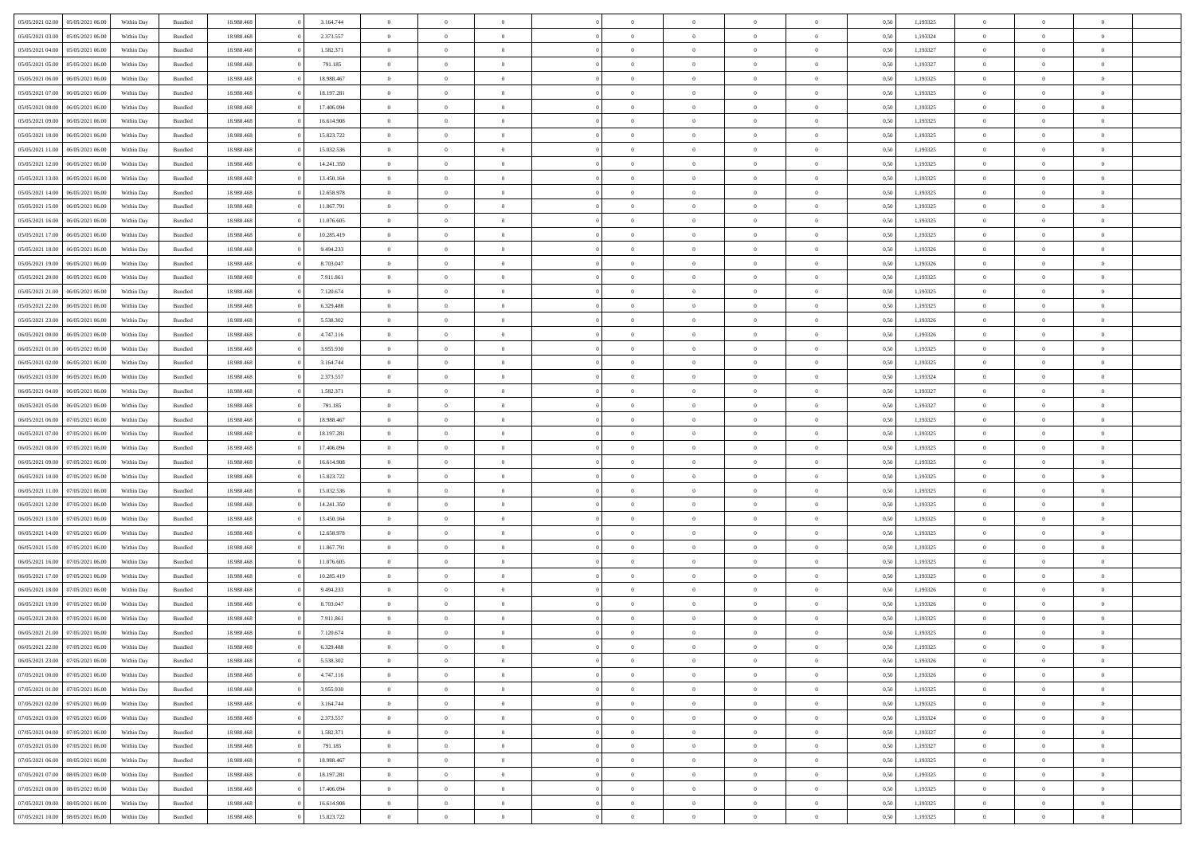| 05/05/2021 02:00 05/05/2021 06:00    | Within Day               | Bundled            | 18.988.468 | 3.164.744  | $\overline{0}$             | $\overline{0}$ | $\Omega$       | $\Omega$       | $\theta$       | $\Omega$       | $\theta$             | 0,50         | 1,193325 | $\theta$       | $\theta$       | $\theta$       |  |
|--------------------------------------|--------------------------|--------------------|------------|------------|----------------------------|----------------|----------------|----------------|----------------|----------------|----------------------|--------------|----------|----------------|----------------|----------------|--|
| 05/05/2021 03:00<br>05/05/2021 06:00 | Within Day               | Bundled            | 18.988.46  | 2.373.557  | $\overline{0}$             | $\overline{0}$ | $\overline{0}$ | $\overline{0}$ | $\theta$       | $\overline{0}$ | $\,$ 0 $\,$          | 0,50         | 1,193324 | $\theta$       | $\theta$       | $\overline{0}$ |  |
| 05/05/2021 04:00<br>05/05/2021 06:00 | Within Day               | Bundled            | 18.988.468 | 1.582.371  | $\overline{0}$             | $\bf{0}$       | $\overline{0}$ | $\overline{0}$ | $\overline{0}$ | $\overline{0}$ | $\bf{0}$             | 0,50         | 1,193327 | $\bf{0}$       | $\overline{0}$ | $\overline{0}$ |  |
| 05/05/2021 05:00<br>05/05/2021 06:00 | Within Day               | Bundled            | 18.988.468 | 791.185    | $\overline{0}$             | $\overline{0}$ | $\overline{0}$ | $\overline{0}$ | $\theta$       | $\overline{0}$ | $\overline{0}$       | 0.5(         | 1,193327 | $\theta$       | $\theta$       | $\overline{0}$ |  |
| 05/05/2021 06:00<br>06/05/2021 06:00 | Within Day               | Bundled            | 18.988.468 | 18.988.467 | $\overline{0}$             | $\overline{0}$ | $\overline{0}$ | $\overline{0}$ | $\theta$       | $\overline{0}$ | $\bf{0}$             | 0,50         | 1,193325 | $\theta$       | $\theta$       | $\overline{0}$ |  |
| 05/05/2021 07:00<br>06/05/2021 06:00 | Within Day               | Bundled            | 18.988.468 | 18.197.281 | $\overline{0}$             | $\bf{0}$       | $\overline{0}$ | $\overline{0}$ | $\bf{0}$       | $\overline{0}$ | $\bf{0}$             | 0,50         | 1,193325 | $\bf{0}$       | $\overline{0}$ | $\bf{0}$       |  |
| 05/05/2021 08:00<br>06/05/2021 06:00 | Within Day               | Bundled            | 18.988.468 | 17.406.094 | $\overline{0}$             | $\overline{0}$ | $\overline{0}$ | $\overline{0}$ | $\overline{0}$ | $\overline{0}$ | $\overline{0}$       | 0.5(         | 1,193325 | $\theta$       | $\theta$       | $\overline{0}$ |  |
|                                      |                          |                    |            |            |                            |                |                |                |                |                |                      |              |          |                |                |                |  |
| 05/05/2021 09:00<br>06/05/2021 06:00 | Within Day               | Bundled            | 18.988.468 | 16.614.908 | $\overline{0}$             | $\theta$       | $\overline{0}$ | $\overline{0}$ | $\theta$       | $\overline{0}$ | $\bf{0}$             | 0,50         | 1,193325 | $\theta$       | $\theta$       | $\overline{0}$ |  |
| 05/05/2021 10:00<br>06/05/2021 06:00 | Within Day               | Bundled            | 18.988.468 | 15.823.722 | $\overline{0}$             | $\bf{0}$       | $\bf{0}$       | $\overline{0}$ | $\overline{0}$ | $\bf{0}$       | $\bf{0}$             | 0,50         | 1,193325 | $\bf{0}$       | $\bf{0}$       | $\overline{0}$ |  |
| 05/05/2021 11:00<br>06/05/2021 06:00 | Within Day               | Bundled            | 18.988.468 | 15.032.536 | $\overline{0}$             | $\overline{0}$ | $\overline{0}$ | $\overline{0}$ | $\overline{0}$ | $\overline{0}$ | $\overline{0}$       | 0.50         | 1,193325 | $\theta$       | $\theta$       | $\overline{0}$ |  |
| 05/05/2021 12:00<br>06/05/2021 06:00 | Within Day               | Bundled            | 18.988.468 | 14.241.350 | $\bf{0}$                   | $\overline{0}$ | $\overline{0}$ | $\overline{0}$ | $\theta$       | $\overline{0}$ | $\bf{0}$             | 0,50         | 1,193325 | $\theta$       | $\theta$       | $\overline{0}$ |  |
| 05/05/2021 13:00<br>06/05/2021 06:00 | Within Day               | Bundled            | 18.988.468 | 13.450.164 | $\overline{0}$             | $\bf{0}$       | $\overline{0}$ | $\overline{0}$ | $\overline{0}$ | $\overline{0}$ | $\bf{0}$             | 0,50         | 1,193325 | $\bf{0}$       | $\overline{0}$ | $\overline{0}$ |  |
| 05/05/2021 14:00<br>06/05/2021 06:00 | Within Day               | Bundled            | 18.988.468 | 12.658.978 | $\overline{0}$             | $\overline{0}$ | $\overline{0}$ | $\overline{0}$ | $\overline{0}$ | $\overline{0}$ | $\overline{0}$       | 0.5(         | 1,193325 | $\theta$       | $\theta$       | $\overline{0}$ |  |
| 05/05/2021 15:00<br>06/05/2021 06:00 | Within Day               | Bundled            | 18.988.468 | 11.867.791 | $\overline{0}$             | $\theta$       | $\overline{0}$ | $\overline{0}$ | $\theta$       | $\overline{0}$ | $\,$ 0 $\,$          | 0,50         | 1,193325 | $\theta$       | $\theta$       | $\overline{0}$ |  |
| 05/05/2021 16:00<br>06/05/2021 06:00 | Within Day               | Bundled            | 18.988.468 | 11.076.605 | $\overline{0}$             | $\bf{0}$       | $\overline{0}$ | $\overline{0}$ | $\bf{0}$       | $\overline{0}$ | $\bf{0}$             | 0,50         | 1,193325 | $\bf{0}$       | $\overline{0}$ | $\bf{0}$       |  |
| 05/05/2021 17:00<br>06/05/2021 06:00 | Within Day               | Bundled            | 18.988.468 | 10.285.419 | $\overline{0}$             | $\overline{0}$ | $\overline{0}$ | $\overline{0}$ | $\overline{0}$ | $\overline{0}$ | $\overline{0}$       | 0.5(         | 1,193325 | $\theta$       | $\theta$       | $\overline{0}$ |  |
| 05/05/2021 18:00<br>06/05/2021 06:00 | Within Day               | Bundled            | 18.988.468 | 9.494.233  | $\bf{0}$                   | $\theta$       | $\overline{0}$ | $\overline{0}$ | $\theta$       | $\overline{0}$ | $\bf{0}$             | 0,50         | 1,193326 | $\theta$       | $\theta$       | $\overline{0}$ |  |
| 05/05/2021 19:00<br>06/05/2021 06:00 | Within Day               | Bundled            | 18.988.468 | 8.703.047  | $\overline{0}$             | $\bf{0}$       | $\bf{0}$       | $\overline{0}$ | $\overline{0}$ | $\overline{0}$ | $\bf{0}$             | 0,50         | 1,193326 | $\bf{0}$       | $\bf{0}$       | $\overline{0}$ |  |
| 05/05/2021 20:00<br>06/05/2021 06:00 | Within Day               | Bundled            | 18.988.468 | 7.911.861  | $\overline{0}$             | $\overline{0}$ | $\overline{0}$ | $\overline{0}$ | $\overline{0}$ | $\overline{0}$ | $\overline{0}$       | 0.50         | 1,193325 | $\theta$       | $\theta$       | $\overline{0}$ |  |
| 05/05/2021 21:00<br>06/05/2021 06:00 | Within Day               | Bundled            | 18.988.468 | 7.120.674  | $\bf{0}$                   | $\overline{0}$ | $\overline{0}$ | $\overline{0}$ | $\theta$       | $\overline{0}$ | $\bf{0}$             | 0,50         | 1,193325 | $\theta$       | $\theta$       | $\overline{0}$ |  |
| 05/05/2021 22.00<br>06/05/2021 06:00 | Within Day               | Bundled            | 18.988.468 | 6.329.488  | $\overline{0}$             | $\bf{0}$       | $\overline{0}$ | $\overline{0}$ | $\overline{0}$ | $\overline{0}$ | $\bf{0}$             | 0,50         | 1,193325 | $\bf{0}$       | $\bf{0}$       | $\overline{0}$ |  |
| 05/05/2021 23:00<br>06/05/2021 06:00 | Within Day               | Bundled            | 18.988.468 | 5.538.302  | $\overline{0}$             | $\overline{0}$ | $\overline{0}$ | $\overline{0}$ | $\overline{0}$ | $\overline{0}$ | $\overline{0}$       | 0.5(         | 1,193326 | $\theta$       | $\theta$       | $\overline{0}$ |  |
| 06/05/2021 00:00<br>06/05/2021 06:00 | Within Day               | Bundled            | 18.988.468 | 4.747.116  | $\overline{0}$             | $\overline{0}$ | $\overline{0}$ | $\overline{0}$ | $\theta$       | $\overline{0}$ | $\bf{0}$             | 0,50         | 1,193326 | $\theta$       | $\theta$       | $\overline{0}$ |  |
| 06/05/2021 01:00<br>06/05/2021 06:00 | Within Day               | Bundled            | 18.988.468 | 3.955.930  | $\overline{0}$             | $\bf{0}$       | $\overline{0}$ | $\overline{0}$ | $\bf{0}$       | $\overline{0}$ | $\bf{0}$             | 0,50         | 1,193325 | $\bf{0}$       | $\overline{0}$ | $\bf{0}$       |  |
| 06/05/2021 02:00<br>06/05/2021 06:00 | Within Day               | Bundled            | 18.988.468 | 3.164.744  | $\overline{0}$             | $\overline{0}$ | $\overline{0}$ | $\overline{0}$ | $\overline{0}$ | $\overline{0}$ | $\overline{0}$       | 0.5(         | 1,193325 | $\theta$       | $\theta$       | $\overline{0}$ |  |
| 06/05/2021 03:00<br>06/05/2021 06:00 | Within Day               | Bundled            | 18.988.468 | 2.373.557  | $\bf{0}$                   | $\theta$       | $\overline{0}$ | $\overline{0}$ | $\theta$       | $\overline{0}$ | $\bf{0}$             | 0,50         | 1,193324 | $\theta$       | $\theta$       | $\overline{0}$ |  |
| 06/05/2021 04:00<br>06/05/2021 06:00 | Within Day               | Bundled            | 18.988.468 | 1.582.371  | $\overline{0}$             | $\bf{0}$       | $\bf{0}$       | $\overline{0}$ | $\overline{0}$ | $\bf{0}$       | $\bf{0}$             | 0,50         | 1,193327 | $\bf{0}$       | $\bf{0}$       | $\overline{0}$ |  |
| 06/05/2021 05:00<br>06/05/2021 06:00 | Within Day               | Bundled            | 18.988.468 | 791.185    | $\overline{0}$             | $\overline{0}$ | $\overline{0}$ | $\overline{0}$ | $\overline{0}$ | $\overline{0}$ | $\overline{0}$       | 0.5(         | 1,193327 | $\theta$       | $\theta$       | $\overline{0}$ |  |
| 06/05/2021 06:00<br>07/05/2021 06:00 | Within Day               | Bundled            | 18.988.468 | 18.988.467 | $\bf{0}$                   | $\overline{0}$ | $\overline{0}$ | $\overline{0}$ | $\theta$       | $\overline{0}$ | $\bf{0}$             | 0,50         | 1,193325 | $\theta$       | $\theta$       | $\overline{0}$ |  |
| 06/05/2021 07:00<br>07/05/2021 06:00 | Within Day               | Bundled            | 18.988.468 | 18.197.281 | $\overline{0}$             | $\bf{0}$       | $\overline{0}$ | $\overline{0}$ | $\overline{0}$ | $\overline{0}$ | $\bf{0}$             | 0,50         | 1,193325 | $\bf{0}$       | $\overline{0}$ | $\overline{0}$ |  |
| 06/05/2021 08:00<br>07/05/2021 06.00 | Within Day               | Bundled            | 18.988.468 | 17.406.094 | $\overline{0}$             | $\Omega$       | $\Omega$       | $\Omega$       | $\Omega$       | $\theta$       | $\overline{0}$       | 0,50         | 1,193325 | $\,$ 0 $\,$    | $\Omega$       | $\theta$       |  |
| 06/05/2021 09:00<br>07/05/2021 06:00 | Within Day               | Bundled            | 18.988.46  | 16.614.908 | $\bf{0}$                   | $\overline{0}$ | $\overline{0}$ | $\overline{0}$ | $\theta$       | $\overline{0}$ | $\bf{0}$             | 0,50         | 1,193325 | $\theta$       | $\theta$       | $\overline{0}$ |  |
| 06/05/2021 10:00<br>07/05/2021 06:00 | Within Day               | Bundled            | 18.988.468 | 15.823.722 | $\overline{0}$             | $\bf{0}$       | $\overline{0}$ | $\overline{0}$ | $\bf{0}$       | $\overline{0}$ | $\bf{0}$             | 0,50         | 1,193325 | $\bf{0}$       | $\overline{0}$ | $\bf{0}$       |  |
| 06/05/2021 11:00<br>07/05/2021 06.00 | Within Day               | Bundled            | 18,988,46  | 15.032.536 | $\overline{0}$             | $\overline{0}$ | $\Omega$       | $\Omega$       | $\overline{0}$ | $\theta$       | $\overline{0}$       | 0.50         | 1,193325 | $\bf{0}$       | $\overline{0}$ | $\theta$       |  |
| 06/05/2021 12:00<br>07/05/2021 06:00 | Within Day               | Bundled            | 18.988.468 | 14.241.350 | $\bf{0}$                   | $\overline{0}$ | $\overline{0}$ | $\overline{0}$ | $\theta$       | $\overline{0}$ | $\bf{0}$             | 0,50         | 1,193325 | $\theta$       | $\theta$       | $\overline{0}$ |  |
| 06/05/2021 13:00<br>07/05/2021 06.00 | Within Day               | Bundled            | 18.988.468 | 13.450.164 | $\overline{0}$             | $\bf{0}$       | $\bf{0}$       | $\overline{0}$ | $\overline{0}$ | $\overline{0}$ | $\bf{0}$             | 0,50         | 1,193325 | $\bf{0}$       | $\bf{0}$       | $\overline{0}$ |  |
| 06/05/2021 14:00<br>07/05/2021 06.00 | Within Day               | Bundled            | 18,988,46  | 12.658.978 | $\overline{0}$             | $\theta$       | $\Omega$       | $\Omega$       | $\Omega$       | $\Omega$       | $\overline{0}$       | 0.50         | 1,193325 | $\theta$       | $\Omega$       | $\theta$       |  |
| 06/05/2021 15:00<br>07/05/2021 06:00 | Within Day               | Bundled            | 18.988.468 | 11.867.791 | $\bf{0}$                   | $\overline{0}$ | $\overline{0}$ | $\overline{0}$ | $\theta$       | $\overline{0}$ | $\bf{0}$             | 0,50         | 1,193325 | $\theta$       | $\theta$       | $\overline{0}$ |  |
| 06/05/2021 16:00<br>07/05/2021 06:00 | Within Day               | Bundled            | 18.988.468 | 11.076.605 | $\overline{0}$             | $\bf{0}$       | $\overline{0}$ | $\overline{0}$ | $\overline{0}$ | $\overline{0}$ | $\bf{0}$             | 0,50         | 1,193325 | $\bf{0}$       | $\overline{0}$ | $\overline{0}$ |  |
| 06/05/2021 17:00<br>07/05/2021 06.00 |                          | Bundled            | 18.988.468 | 10.285.419 | $\overline{0}$             | $\overline{0}$ | $\Omega$       | $\Omega$       | $\theta$       | $\theta$       | $\overline{0}$       | 0.50         | 1,193325 | $\,$ 0 $\,$    | $\Omega$       | $\theta$       |  |
| 06/05/2021 18:00<br>07/05/2021 06:00 | Within Day               |                    | 18.988.46  | 9.494.233  |                            | $\overline{0}$ | $\overline{0}$ | $\overline{0}$ | $\theta$       | $\overline{0}$ |                      |              | 1,193326 | $\theta$       | $\theta$       | $\overline{0}$ |  |
| 06/05/2021 19:00<br>07/05/2021 06.00 | Within Day<br>Within Day | Bundled<br>Bundled | 18.988.468 | 8.703.047  | $\bf{0}$<br>$\overline{0}$ | $\bf{0}$       | $\overline{0}$ | $\overline{0}$ | $\overline{0}$ | $\overline{0}$ | $\bf{0}$<br>$\bf{0}$ | 0,50<br>0,50 | 1,193326 | $\bf{0}$       | $\overline{0}$ | $\bf{0}$       |  |
| 06/05/2021 20:00<br>07/05/2021 06.00 |                          | Bundled            | 18,988,46  | 7.911.861  | $\overline{0}$             | $\Omega$       | $\Omega$       | $\Omega$       | $\Omega$       | $\theta$       | $\overline{0}$       | 0.50         | 1,193325 | $\theta$       | $\Omega$       | $\theta$       |  |
| 06/05/2021 21:00 07/05/2021 06:00    | Within Day<br>Within Day | Bundled            | 18.988.468 | 7.120.674  | $\bf{0}$                   | $\bf{0}$       | $\overline{0}$ | $\overline{0}$ | $\bf{0}$       | $\bf{0}$       | $\bf{0}$             | 0,50         | 1,193325 | $\bf{0}$       | $\bf{0}$       | $\overline{0}$ |  |
| 06/05/2021 22:00 07/05/2021 06:00    | Within Day               | Bundled            | 18.988.468 | 6.329.488  |                            |                |                |                |                |                |                      | 0,50         | 1,193325 | $\bf{0}$       | $\bf{0}$       |                |  |
|                                      |                          | Bundled            | 18,988,468 | 5.538.302  | $\Omega$                   | $\overline{0}$ | $\Omega$       | $\theta$       | $\Omega$       | $\theta$       | $\overline{0}$       | 0.50         |          | $\theta$       | $\theta$       | $\theta$       |  |
| 06/05/2021 23:00 07/05/2021 06:00    | Within Day               |                    |            |            |                            | $\,$ 0         |                |                | $\overline{0}$ |                |                      |              | 1,193326 | $\,$ 0 $\,$    | $\,$ 0 $\,$    | $\,$ 0         |  |
| 07/05/2021 00:00<br>07/05/2021 06:00 | Within Day               | Bundled            | 18.988.468 | 4.747.116  | $\overline{0}$             |                | $\overline{0}$ | $\overline{0}$ |                | $\overline{0}$ | $\,$ 0 $\,$          | 0,50         | 1,193326 |                |                |                |  |
| 07/05/2021 06:00<br>07/05/2021 01:00 | Within Day               | Bundled            | 18.988.468 | 3.955.930  | $\overline{0}$             | $\overline{0}$ | $\overline{0}$ | $\overline{0}$ | $\overline{0}$ | $\overline{0}$ | $\bf{0}$             | 0,50         | 1,193325 | $\overline{0}$ | $\bf{0}$       | $\overline{0}$ |  |
| 07/05/2021 02:00<br>07/05/2021 06:00 | Within Day               | Bundled            | 18.988.468 | 3.164.744  | $\overline{0}$             | $\bf{0}$       | $\overline{0}$ | $\overline{0}$ | $\overline{0}$ | $\overline{0}$ | $\bf{0}$             | 0,50         | 1,193325 | $\bf{0}$       | $\theta$       | $\overline{0}$ |  |
| 07/05/2021 03:00<br>07/05/2021 06:00 | Within Day               | Bundled            | 18.988.468 | 2.373.557  | $\overline{0}$             | $\overline{0}$ | $\overline{0}$ | $\overline{0}$ | $\overline{0}$ | $\overline{0}$ | $\bf{0}$             | 0,50         | 1,193324 | $\,$ 0 $\,$    | $\,$ 0 $\,$    | $\overline{0}$ |  |
| 07/05/2021 04:00<br>07/05/2021 06:00 | Within Day               | Bundled            | 18.988.468 | 1.582.371  | $\overline{0}$             | $\overline{0}$ | $\overline{0}$ | $\overline{0}$ | $\mathbf{0}$   | $\overline{0}$ | $\bf{0}$             | 0,50         | 1,193327 | $\overline{0}$ | $\overline{0}$ | $\overline{0}$ |  |
| 07/05/2021 05:00<br>07/05/2021 06:00 | Within Day               | Bundled            | 18.988.468 | 791.185    | $\overline{0}$             | $\overline{0}$ | $\overline{0}$ | $\overline{0}$ | $\overline{0}$ | $\overline{0}$ | $\bf{0}$             | 0.50         | 1,193327 | $\overline{0}$ | $\theta$       | $\overline{0}$ |  |
| 07/05/2021 06:00<br>08/05/2021 06:00 | Within Day               | Bundled            | 18.988.468 | 18.988.467 | $\overline{0}$             | $\,$ 0         | $\overline{0}$ | $\overline{0}$ | $\overline{0}$ | $\overline{0}$ | $\bf{0}$             | 0,50         | 1,193325 | $\,$ 0 $\,$    | $\bf{0}$       | $\overline{0}$ |  |
| 07/05/2021 07:00<br>08/05/2021 06:00 | Within Day               | Bundled            | 18.988.468 | 18.197.281 | $\overline{0}$             | $\bf{0}$       | $\overline{0}$ | $\overline{0}$ | $\overline{0}$ | $\overline{0}$ | $\bf{0}$             | 0,50         | 1,193325 | $\bf{0}$       | $\overline{0}$ | $\bf{0}$       |  |
| 07/05/2021 08:00<br>08/05/2021 06:00 | Within Day               | Bundled            | 18,988,468 | 17.406.094 | $\overline{0}$             | $\overline{0}$ | $\overline{0}$ | $\overline{0}$ | $\overline{0}$ | $\overline{0}$ | $\bf{0}$             | 0.50         | 1,193325 | $\overline{0}$ | $\overline{0}$ | $\overline{0}$ |  |
| 07/05/2021 09:00<br>08/05/2021 06:00 | Within Day               | Bundled            | 18.988.468 | 16.614.908 | $\overline{0}$             | $\,$ 0         | $\overline{0}$ | $\overline{0}$ | $\overline{0}$ | $\bf{0}$       | $\bf{0}$             | 0,50         | 1,193325 | $\,$ 0 $\,$    | $\,$ 0 $\,$    | $\overline{0}$ |  |
| 07/05/2021 10:00  08/05/2021 06:00   | Within Day               | Bundled            | 18.988.468 | 15.823.722 | $\overline{0}$             | $\bf{0}$       | $\overline{0}$ | $\overline{0}$ | $\overline{0}$ | $\overline{0}$ | $\bf{0}$             | 0,50         | 1,193325 | $\overline{0}$ | $\bf{0}$       | $\overline{0}$ |  |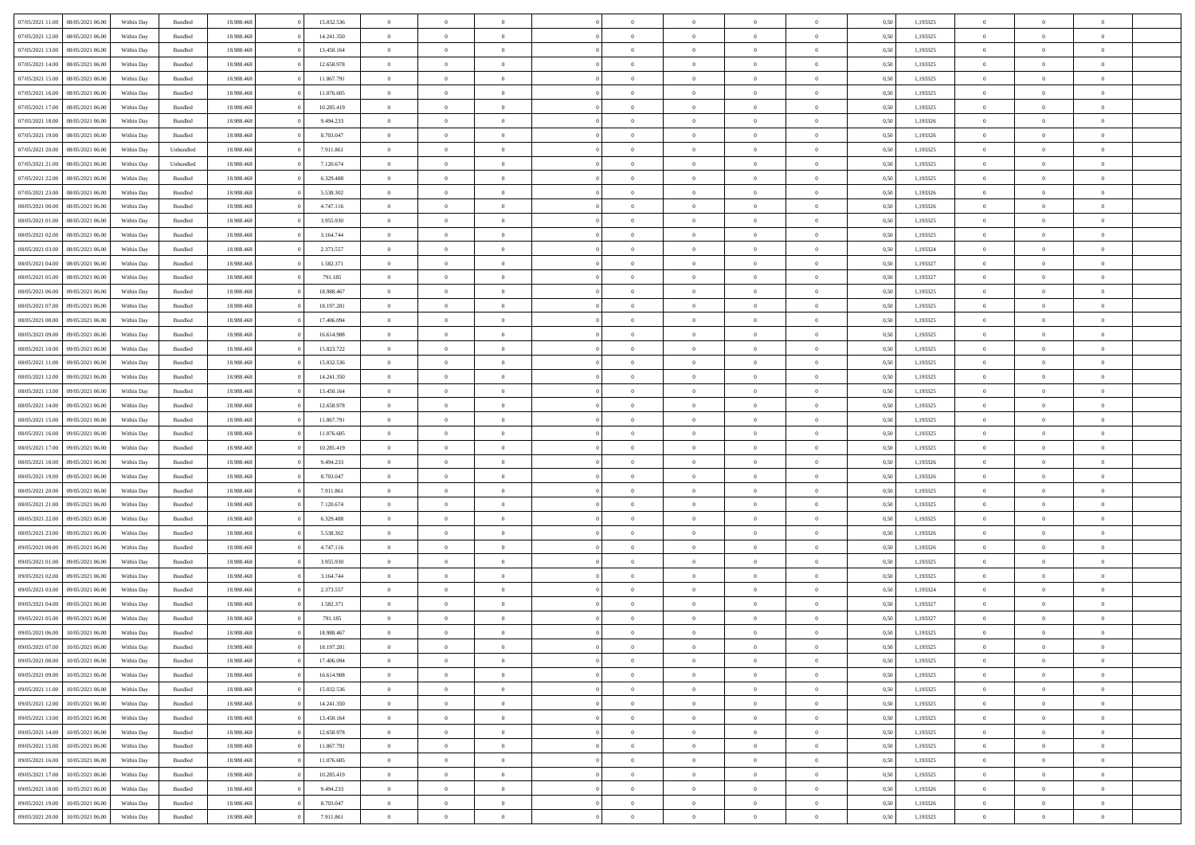| 07/05/2021 11:00 08/05/2021 06:00    | Within Day | Bundled   | 18.988.468 | 15.032.536 | $\overline{0}$ | $\overline{0}$ | $\Omega$       | $\Omega$       | $\theta$       | $\Omega$       | $\overline{0}$ | 0,50 | 1,193325 | $\theta$       | $\theta$       | $\overline{0}$ |  |
|--------------------------------------|------------|-----------|------------|------------|----------------|----------------|----------------|----------------|----------------|----------------|----------------|------|----------|----------------|----------------|----------------|--|
| 07/05/2021 12:00<br>08/05/2021 06:00 | Within Day | Bundled   | 18.988.46  | 14.241.350 | $\overline{0}$ | $\theta$       | $\overline{0}$ | $\overline{0}$ | $\theta$       | $\overline{0}$ | $\,$ 0 $\,$    | 0,50 | 1,193325 | $\theta$       | $\theta$       | $\overline{0}$ |  |
| 07/05/2021 13:00<br>08/05/2021 06:00 | Within Day | Bundled   | 18.988.468 | 13.450.164 | $\overline{0}$ | $\bf{0}$       | $\overline{0}$ | $\overline{0}$ | $\bf{0}$       | $\overline{0}$ | $\bf{0}$       | 0,50 | 1,193325 | $\bf{0}$       | $\overline{0}$ | $\overline{0}$ |  |
| 07/05/2021 14:00<br>08/05/2021 06:00 | Within Day | Bundled   | 18.988.468 | 12.658.978 | $\overline{0}$ | $\overline{0}$ | $\overline{0}$ | $\overline{0}$ | $\overline{0}$ | $\overline{0}$ | $\overline{0}$ | 0.5( | 1,193325 | $\theta$       | $\theta$       | $\overline{0}$ |  |
| 07/05/2021 15:00<br>08/05/2021 06:00 | Within Day | Bundled   | 18.988.468 | 11.867.791 | $\overline{0}$ | $\overline{0}$ | $\overline{0}$ | $\overline{0}$ | $\theta$       | $\overline{0}$ | $\bf{0}$       | 0,50 | 1,193325 | $\theta$       | $\theta$       | $\overline{0}$ |  |
| 07/05/2021 16:00<br>08/05/2021 06:00 | Within Day | Bundled   | 18.988.468 | 11.076.605 | $\overline{0}$ | $\bf{0}$       | $\overline{0}$ | $\overline{0}$ | $\overline{0}$ | $\overline{0}$ | $\bf{0}$       | 0,50 | 1,193325 | $\bf{0}$       | $\overline{0}$ | $\bf{0}$       |  |
| 07/05/2021 17:00<br>08/05/2021 06:00 | Within Dav | Bundled   | 18.988.468 | 10.285.419 | $\overline{0}$ | $\overline{0}$ |                | $\overline{0}$ | $\overline{0}$ | $\overline{0}$ | $\bf{0}$       | 0.5( | 1,193325 | $\theta$       | $\theta$       | $\overline{0}$ |  |
|                                      |            |           |            |            |                |                | $\overline{0}$ |                |                |                |                |      |          |                |                |                |  |
| 07/05/2021 18:00<br>08/05/2021 06:00 | Within Day | Bundled   | 18.988.468 | 9.494.233  | $\overline{0}$ | $\theta$       | $\overline{0}$ | $\overline{0}$ | $\theta$       | $\overline{0}$ | $\bf{0}$       | 0,50 | 1,193326 | $\theta$       | $\theta$       | $\overline{0}$ |  |
| 07/05/2021 19:00<br>08/05/2021 06:00 | Within Day | Bundled   | 18.988.468 | 8.703.047  | $\overline{0}$ | $\bf{0}$       | $\overline{0}$ | $\overline{0}$ | $\overline{0}$ | $\overline{0}$ | $\bf{0}$       | 0,50 | 1,193326 | $\bf{0}$       | $\bf{0}$       | $\overline{0}$ |  |
| 07/05/2021 20:00<br>08/05/2021 06:00 | Within Day | Unbundled | 18.988.468 | 7.911.861  | $\overline{0}$ | $\overline{0}$ | $\overline{0}$ | $\overline{0}$ | $\overline{0}$ | $\overline{0}$ | $\bf{0}$       | 0.50 | 1,193325 | $\theta$       | $\theta$       | $\overline{0}$ |  |
| 07/05/2021 21:00<br>08/05/2021 06:00 | Within Day | Unbundled | 18.988.468 | 7.120.674  | $\bf{0}$       | $\overline{0}$ | $\overline{0}$ | $\overline{0}$ | $\theta$       | $\overline{0}$ | $\bf{0}$       | 0,50 | 1,193325 | $\theta$       | $\theta$       | $\overline{0}$ |  |
| 07/05/2021 22.00<br>08/05/2021 06:00 | Within Day | Bundled   | 18.988.468 | 6.329.488  | $\overline{0}$ | $\bf{0}$       | $\overline{0}$ | $\overline{0}$ | $\bf{0}$       | $\overline{0}$ | $\bf{0}$       | 0,50 | 1,193325 | $\bf{0}$       | $\overline{0}$ | $\overline{0}$ |  |
| 07/05/2021 23:00<br>08/05/2021 06:00 | Within Day | Bundled   | 18.988.468 | 5.538.302  | $\overline{0}$ | $\overline{0}$ | $\overline{0}$ | $\overline{0}$ | $\overline{0}$ | $\overline{0}$ | $\overline{0}$ | 0.5( | 1,193326 | $\theta$       | $\theta$       | $\overline{0}$ |  |
| 08/05/2021 00:00<br>08/05/2021 06:00 | Within Day | Bundled   | 18.988.468 | 4.747.116  | $\overline{0}$ | $\theta$       | $\overline{0}$ | $\overline{0}$ | $\theta$       | $\overline{0}$ | $\,$ 0 $\,$    | 0,50 | 1,193326 | $\theta$       | $\theta$       | $\overline{0}$ |  |
| 08/05/2021 01:00<br>08/05/2021 06:00 | Within Day | Bundled   | 18.988.468 | 3.955.930  | $\overline{0}$ | $\bf{0}$       | $\overline{0}$ | $\overline{0}$ | $\overline{0}$ | $\overline{0}$ | $\bf{0}$       | 0,50 | 1,193325 | $\bf{0}$       | $\overline{0}$ | $\bf{0}$       |  |
| 08/05/2021 02:00<br>08/05/2021 06:00 | Within Day | Bundled   | 18.988.468 | 3.164.744  | $\overline{0}$ | $\overline{0}$ | $\overline{0}$ | $\overline{0}$ | $\overline{0}$ | $\overline{0}$ | $\overline{0}$ | 0.5( | 1,193325 | $\theta$       | $\overline{0}$ | $\overline{0}$ |  |
| 08/05/2021 03:00<br>08/05/2021 06:00 | Within Day | Bundled   | 18.988.468 | 2.373.557  | $\bf{0}$       | $\overline{0}$ | $\overline{0}$ | $\overline{0}$ | $\theta$       | $\overline{0}$ | $\bf{0}$       | 0,50 | 1,193324 | $\theta$       | $\theta$       | $\overline{0}$ |  |
| 08/05/2021 04:00<br>08/05/2021 06:00 | Within Day | Bundled   | 18.988.468 | 1.582.371  | $\overline{0}$ | $\bf{0}$       | $\overline{0}$ | $\overline{0}$ | $\overline{0}$ | $\bf{0}$       | $\bf{0}$       | 0,50 | 1,193327 | $\bf{0}$       | $\overline{0}$ | $\overline{0}$ |  |
| 08/05/2021 05:00<br>08/05/2021 06:00 | Within Day | Bundled   | 18.988.468 | 791.185    | $\overline{0}$ | $\overline{0}$ | $\overline{0}$ | $\overline{0}$ | $\overline{0}$ | $\overline{0}$ | $\bf{0}$       | 0.50 | 1,193327 | $\theta$       | $\theta$       | $\overline{0}$ |  |
| 08/05/2021 06:00<br>09/05/2021 06:00 | Within Day | Bundled   | 18.988.468 | 18.988.467 | $\bf{0}$       | $\overline{0}$ | $\overline{0}$ | $\overline{0}$ | $\theta$       | $\overline{0}$ | $\bf{0}$       | 0,50 | 1,193325 | $\theta$       | $\theta$       | $\overline{0}$ |  |
| 08/05/2021 07:00<br>09/05/2021 06:00 | Within Day | Bundled   | 18.988.468 | 18.197.281 | $\overline{0}$ | $\bf{0}$       | $\overline{0}$ | $\overline{0}$ | $\bf{0}$       | $\overline{0}$ | $\bf{0}$       | 0,50 | 1,193325 | $\bf{0}$       | $\overline{0}$ | $\overline{0}$ |  |
| 08/05/2021 08:00<br>09/05/2021 06:00 | Within Day | Bundled   | 18.988.468 | 17.406.094 | $\overline{0}$ | $\overline{0}$ | $\overline{0}$ | $\overline{0}$ | $\overline{0}$ | $\overline{0}$ | $\overline{0}$ | 0.5( | 1,193325 | $\theta$       | $\theta$       | $\overline{0}$ |  |
|                                      |            |           |            |            |                |                |                |                |                |                |                |      |          |                |                |                |  |
| 08/05/2021 09:00<br>09/05/2021 06:00 | Within Day | Bundled   | 18.988.468 | 16.614.908 | $\bf{0}$       | $\theta$       | $\overline{0}$ | $\overline{0}$ | $\theta$       | $\overline{0}$ | $\bf{0}$       | 0,50 | 1,193325 | $\theta$       | $\theta$       | $\overline{0}$ |  |
| 08/05/2021 10:00<br>09/05/2021 06:00 | Within Day | Bundled   | 18.988.468 | 15.823.722 | $\overline{0}$ | $\bf{0}$       | $\overline{0}$ | $\overline{0}$ | $\overline{0}$ | $\overline{0}$ | $\bf{0}$       | 0,50 | 1,193325 | $\overline{0}$ | $\overline{0}$ | $\bf{0}$       |  |
| 08/05/2021 11:00<br>09/05/2021 06:00 | Within Day | Bundled   | 18.988.468 | 15.032.536 | $\overline{0}$ | $\overline{0}$ | $\overline{0}$ | $\overline{0}$ | $\overline{0}$ | $\overline{0}$ | $\overline{0}$ | 0.5( | 1,193325 | $\overline{0}$ | $\theta$       | $\overline{0}$ |  |
| 08/05/2021 12:00<br>09/05/2021 06:00 | Within Day | Bundled   | 18.988.468 | 14.241.350 | $\bf{0}$       | $\overline{0}$ | $\overline{0}$ | $\overline{0}$ | $\theta$       | $\overline{0}$ | $\bf{0}$       | 0,50 | 1,193325 | $\theta$       | $\theta$       | $\overline{0}$ |  |
| 08/05/2021 13:00<br>09/05/2021 06:00 | Within Day | Bundled   | 18.988.468 | 13.450.164 | $\overline{0}$ | $\bf{0}$       | $\overline{0}$ | $\overline{0}$ | $\overline{0}$ | $\bf{0}$       | $\bf{0}$       | 0,50 | 1,193325 | $\bf{0}$       | $\bf{0}$       | $\overline{0}$ |  |
| 08/05/2021 14:00<br>09/05/2021 06:00 | Within Day | Bundled   | 18.988.468 | 12.658.978 | $\overline{0}$ | $\overline{0}$ | $\overline{0}$ | $\overline{0}$ | $\overline{0}$ | $\overline{0}$ | $\overline{0}$ | 0.5( | 1,193325 | $\theta$       | $\theta$       | $\overline{0}$ |  |
| 08/05/2021 15:00<br>09/05/2021 06:00 | Within Day | Bundled   | 18.988.468 | 11.867.791 | $\bf{0}$       | $\overline{0}$ | $\overline{0}$ | $\overline{0}$ | $\theta$       | $\overline{0}$ | $\bf{0}$       | 0,50 | 1,193325 | $\theta$       | $\theta$       | $\overline{0}$ |  |
| 08/05/2021 16:00<br>09/05/2021 06:00 | Within Day | Bundled   | 18.988.468 | 11.076.605 | $\overline{0}$ | $\bf{0}$       | $\overline{0}$ | $\overline{0}$ | $\bf{0}$       | $\overline{0}$ | $\bf{0}$       | 0,50 | 1,193325 | $\bf{0}$       | $\overline{0}$ | $\overline{0}$ |  |
| 08/05/2021 17:00<br>09/05/2021 06.00 | Within Day | Bundled   | 18.988.468 | 10.285.419 | $\overline{0}$ | $\overline{0}$ | $\Omega$       | $\Omega$       | $\Omega$       | $\Omega$       | $\overline{0}$ | 0,50 | 1,193325 | $\,$ 0 $\,$    | $\overline{0}$ | $\theta$       |  |
| 08/05/2021 18:00<br>09/05/2021 06:00 | Within Day | Bundled   | 18.988.46  | 9.494.233  | $\bf{0}$       | $\overline{0}$ | $\overline{0}$ | $\overline{0}$ | $\theta$       | $\overline{0}$ | $\bf{0}$       | 0,50 | 1,193326 | $\theta$       | $\theta$       | $\overline{0}$ |  |
| 08/05/2021 19:00<br>09/05/2021 06:00 | Within Day | Bundled   | 18.988.468 | 8.703.047  | $\overline{0}$ | $\bf{0}$       | $\overline{0}$ | $\overline{0}$ | $\bf{0}$       | $\overline{0}$ | $\bf{0}$       | 0,50 | 1,193326 | $\bf{0}$       | $\overline{0}$ | $\bf{0}$       |  |
| 08/05/2021 20:00<br>09/05/2021 06:00 | Within Day | Bundled   | 18,988,468 | 7.911.861  | $\overline{0}$ | $\overline{0}$ | $\Omega$       | $\Omega$       | $\overline{0}$ | $\Omega$       | $\overline{0}$ | 0.50 | 1,193325 | $\bf{0}$       | $\theta$       | $\theta$       |  |
| 08/05/2021 21:00<br>09/05/2021 06:00 | Within Day | Bundled   | 18.988.468 | 7.120.674  | $\bf{0}$       | $\overline{0}$ | $\overline{0}$ | $\overline{0}$ | $\theta$       | $\overline{0}$ | $\bf{0}$       | 0,50 | 1,193325 | $\theta$       | $\theta$       | $\overline{0}$ |  |
| 08/05/2021 22:00<br>09/05/2021 06.00 | Within Day | Bundled   | 18.988.468 | 6.329.488  | $\overline{0}$ | $\bf{0}$       | $\overline{0}$ | $\overline{0}$ | $\overline{0}$ | $\bf{0}$       | $\bf{0}$       | 0,50 | 1,193325 | $\bf{0}$       | $\overline{0}$ | $\overline{0}$ |  |
| 08/05/2021 23:00<br>09/05/2021 06:00 | Within Day | Bundled   | 18,988,46  | 5.538.302  | $\overline{0}$ | $\overline{0}$ | $\Omega$       | $\theta$       | $\Omega$       | $\theta$       | $\overline{0}$ | 0.50 | 1,193326 | $\overline{0}$ | $\theta$       | $\theta$       |  |
| 09/05/2021 00:00<br>09/05/2021 06:00 | Within Day | Bundled   | 18.988.468 | 4.747.116  | $\bf{0}$       | $\bf{0}$       | $\overline{0}$ | $\overline{0}$ | $\theta$       | $\overline{0}$ | $\bf{0}$       | 0,50 | 1,193326 | $\theta$       | $\,$ 0 $\,$    | $\overline{0}$ |  |
| 09/05/2021 01:00<br>09/05/2021 06:00 | Within Day | Bundled   | 18.988.468 | 3.955.930  | $\overline{0}$ | $\bf{0}$       | $\overline{0}$ | $\overline{0}$ | $\bf{0}$       | $\overline{0}$ | $\bf{0}$       | 0,50 | 1,193325 | $\bf{0}$       | $\overline{0}$ | $\overline{0}$ |  |
| 09/05/2021 02:00<br>09/05/2021 06.00 | Within Day | Bundled   | 18.988.468 | 3.164.744  | $\overline{0}$ | $\overline{0}$ | $\Omega$       | $\Omega$       | $\theta$       | $\Omega$       | $\overline{0}$ | 0,50 | 1,193325 | $\bf{0}$       | $\overline{0}$ | $\theta$       |  |
| 09/05/2021 03:00<br>09/05/2021 06:00 | Within Day | Bundled   | 18.988.46  | 2.373.557  | $\bf{0}$       | $\overline{0}$ | $\overline{0}$ | $\overline{0}$ | $\theta$       | $\overline{0}$ | $\bf{0}$       | 0,50 | 1,193324 | $\theta$       | $\theta$       | $\overline{0}$ |  |
| 09/05/2021 04:00<br>09/05/2021 06.00 | Within Day | Bundled   | 18.988.468 | 1.582.371  | $\overline{0}$ | $\bf{0}$       | $\overline{0}$ | $\overline{0}$ | $\bf{0}$       | $\overline{0}$ | $\bf{0}$       | 0,50 | 1,193327 | $\bf{0}$       | $\overline{0}$ | $\bf{0}$       |  |
| 09/05/2021 05:00<br>09/05/2021 06.00 | Within Day | Bundled   | 18,988,46  | 791.185    | $\overline{0}$ | $\overline{0}$ | $\Omega$       | $\Omega$       | $\Omega$       | $\theta$       | $\overline{0}$ | 0.50 | 1,193327 | $\theta$       | $\overline{0}$ | $\theta$       |  |
| 09/05/2021 06:00<br>10/05/2021 06:00 | Within Day | Bundled   | 18.988.468 | 18.988.467 | $\bf{0}$       | $\bf{0}$       | $\overline{0}$ | $\overline{0}$ | $\overline{0}$ | $\bf{0}$       | $\bf{0}$       | 0,50 | 1,193325 | $\bf{0}$       | $\,$ 0 $\,$    | $\overline{0}$ |  |
| 09/05/2021 07:00 10/05/2021 06:00    | Within Day | Bundled   | 18.988.468 | 18.197.281 |                |                |                |                |                |                |                | 0,50 | 1,193325 | $\bf{0}$       | $\bf{0}$       |                |  |
| 09/05/2021 08:00<br>10/05/2021 06:00 | Within Day | Bundled   | 18,988,468 | 17.406.094 | $\Omega$       | $\overline{0}$ | $\Omega$       | $\theta$       | $\Omega$       | $\theta$       | $\overline{0}$ | 0.50 | 1,193325 | $\theta$       | $\theta$       | $\theta$       |  |
| 09/05/2021 09:00<br>10/05/2021 06:00 | Within Day | Bundled   | 18.988.468 | 16.614.908 | $\bf{0}$       | $\,$ 0         | $\overline{0}$ | $\overline{0}$ | $\overline{0}$ | $\bf{0}$       | $\bf{0}$       | 0,50 | 1,193325 | $\,$ 0 $\,$    | $\,$ 0 $\,$    | $\overline{0}$ |  |
| 09/05/2021 11:00<br>10/05/2021 06:00 | Within Day | Bundled   | 18.988.468 | 15.032.536 | $\overline{0}$ | $\overline{0}$ | $\overline{0}$ | $\overline{0}$ | $\overline{0}$ | $\overline{0}$ | $\bf{0}$       | 0,50 | 1,193325 | $\bf{0}$       | $\bf{0}$       | $\bf{0}$       |  |
|                                      |            |           |            |            | $\overline{0}$ | $\overline{0}$ |                |                | $\overline{0}$ |                |                |      |          | $\bf{0}$       | $\theta$       | $\overline{0}$ |  |
| 09/05/2021 12:00<br>10/05/2021 06:00 | Within Day | Bundled   | 18.988.468 | 14.241.350 |                |                | $\overline{0}$ | $\overline{0}$ |                | $\overline{0}$ | $\bf{0}$       | 0,50 | 1,193325 |                |                |                |  |
| 09/05/2021 13:00<br>10/05/2021 06:00 | Within Day | Bundled   | 18.988.468 | 13.450.164 | $\overline{0}$ | $\,$ 0         | $\overline{0}$ | $\overline{0}$ | $\overline{0}$ | $\overline{0}$ | $\bf{0}$       | 0,50 | 1,193325 | $\,$ 0 $\,$    | $\,$ 0 $\,$    | $\overline{0}$ |  |
| 09/05/2021 14:00<br>10/05/2021 06:00 | Within Day | Bundled   | 18.988.468 | 12.658.978 | $\overline{0}$ | $\overline{0}$ | $\overline{0}$ | $\overline{0}$ | $\overline{0}$ | $\overline{0}$ | $\bf{0}$       | 0,50 | 1,193325 | $\overline{0}$ | $\overline{0}$ | $\bf{0}$       |  |
| 09/05/2021 15:00<br>10/05/2021 06:00 | Within Day | Bundled   | 18,988,468 | 11.867.791 | $\overline{0}$ | $\overline{0}$ | $\overline{0}$ | $\overline{0}$ | $\overline{0}$ | $\overline{0}$ | $\bf{0}$       | 0.50 | 1,193325 | $\overline{0}$ | $\theta$       | $\overline{0}$ |  |
| 09/05/2021 16:00<br>10/05/2021 06:00 | Within Day | Bundled   | 18.988.468 | 11.076.605 | $\overline{0}$ | $\,$ 0         | $\overline{0}$ | $\overline{0}$ | $\overline{0}$ | $\overline{0}$ | $\bf{0}$       | 0,50 | 1,193325 | $\,$ 0 $\,$    | $\bf{0}$       | $\overline{0}$ |  |
| 09/05/2021 17:00<br>10/05/2021 06:00 | Within Day | Bundled   | 18.988.468 | 10.285.419 | $\overline{0}$ | $\bf{0}$       | $\overline{0}$ | $\overline{0}$ | $\overline{0}$ | $\overline{0}$ | $\bf{0}$       | 0,50 | 1,193325 | $\overline{0}$ | $\overline{0}$ | $\bf{0}$       |  |
| 09/05/2021 18:00<br>10/05/2021 06:00 | Within Day | Bundled   | 18,988,468 | 9.494.233  | $\overline{0}$ | $\overline{0}$ | $\overline{0}$ | $\overline{0}$ | $\overline{0}$ | $\overline{0}$ | $\bf{0}$       | 0.50 | 1,193326 | $\bf{0}$       | $\theta$       | $\overline{0}$ |  |
| 09/05/2021 19:00<br>10/05/2021 06:00 | Within Day | Bundled   | 18.988.468 | 8.703.047  | $\overline{0}$ | $\bf{0}$       | $\overline{0}$ | $\overline{0}$ | $\bf{0}$       | $\bf{0}$       | $\bf{0}$       | 0,50 | 1,193326 | $\,$ 0 $\,$    | $\,$ 0 $\,$    | $\overline{0}$ |  |
| 09/05/2021 20:00<br>10/05/2021 06:00 | Within Day | Bundled   | 18.988.468 | 7.911.861  | $\overline{0}$ | $\bf{0}$       | $\overline{0}$ | $\overline{0}$ | $\bf{0}$       | $\overline{0}$ | $\bf{0}$       | 0,50 | 1,193325 | $\overline{0}$ | $\bf{0}$       | $\bf{0}$       |  |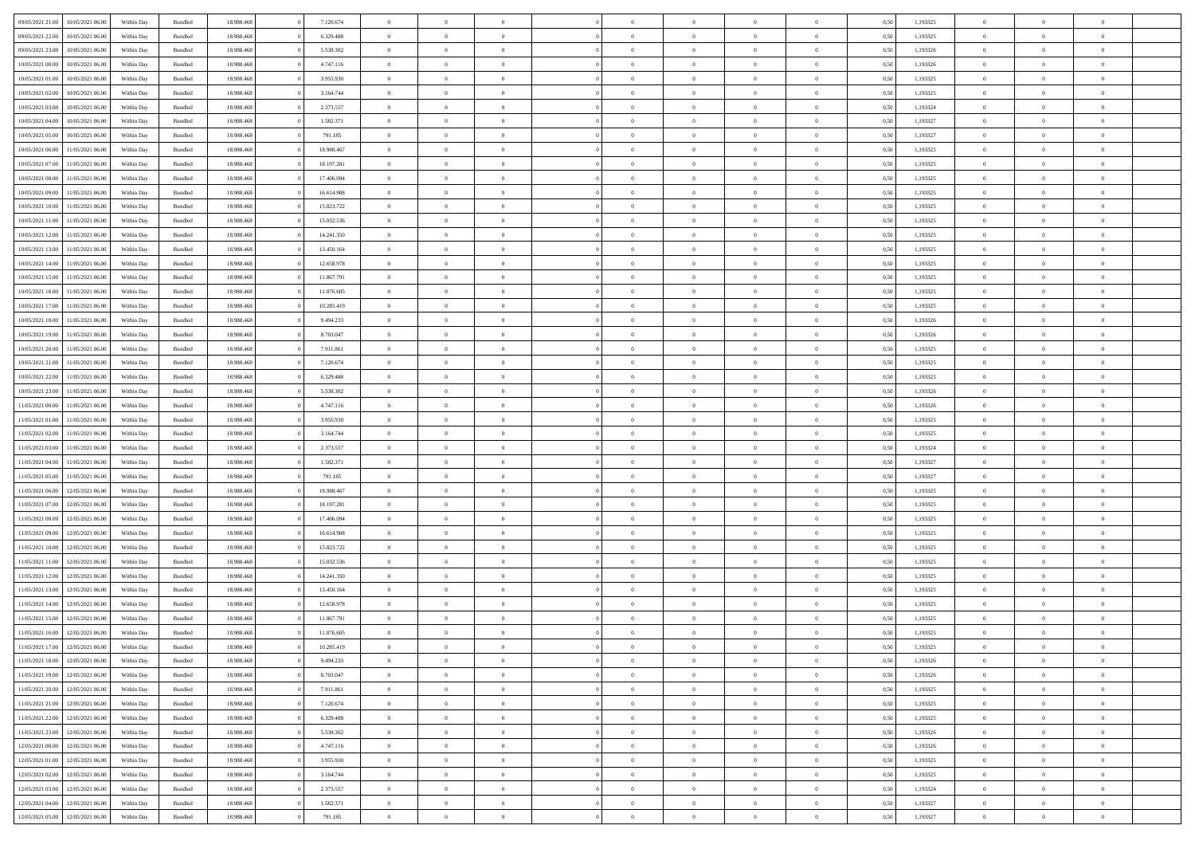|                  |                  |            |                    |            |            | $\overline{0}$ |                |                |                | $\Omega$       | $\Omega$       | $\theta$       |      |          | $\theta$       | $\overline{0}$ | $\theta$       |  |
|------------------|------------------|------------|--------------------|------------|------------|----------------|----------------|----------------|----------------|----------------|----------------|----------------|------|----------|----------------|----------------|----------------|--|
| 09/05/2021 21:00 | 10/05/2021 06:00 | Within Day | Bundled            | 18.988.468 | 7.120.674  |                | $\theta$       |                | $\Omega$       |                |                |                | 0.50 | 1,193325 |                |                |                |  |
| 09/05/2021 22.00 | 10/05/2021 06:00 | Within Day | Bundled            | 18.988.468 | 6.329.488  | $\overline{0}$ | $\theta$       | $\overline{0}$ | $\overline{0}$ | $\bf{0}$       | $\overline{0}$ | $\overline{0}$ | 0,50 | 1,193325 | $\theta$       | $\overline{0}$ | $\overline{0}$ |  |
| 09/05/2021 23.00 | 10/05/2021 06:00 | Within Day | Bundled            | 18.988.468 | 5.538.302  | $\overline{0}$ | $\overline{0}$ | $\overline{0}$ | $\bf{0}$       | $\bf{0}$       | $\bf{0}$       | $\bf{0}$       | 0,50 | 1,193326 | $\bf{0}$       | $\overline{0}$ | $\overline{0}$ |  |
| 10/05/2021 00:00 | 10/05/2021 06:00 | Within Dav | Bundled            | 18.988.468 | 4.747.116  | $\overline{0}$ | $\overline{0}$ | $\overline{0}$ | $\overline{0}$ | $\bf{0}$       | $\overline{0}$ | $\overline{0}$ | 0.50 | 1,193326 | $\theta$       | $\theta$       | $\overline{0}$ |  |
|                  |                  |            |                    |            |            |                |                |                |                |                |                |                |      |          |                |                |                |  |
| 10/05/2021 01:00 | 10/05/2021 06:00 | Within Day | Bundled            | 18.988.468 | 3.955.930  | $\overline{0}$ | $\theta$       | $\overline{0}$ | $\overline{0}$ | $\bf{0}$       | $\overline{0}$ | $\bf{0}$       | 0,50 | 1,193325 | $\theta$       | $\theta$       | $\overline{0}$ |  |
| 10/05/2021 02:00 | 10/05/2021 06:00 | Within Day | Bundled            | 18.988.468 | 3.164.744  | $\overline{0}$ | $\bf{0}$       | $\overline{0}$ | $\bf{0}$       | $\overline{0}$ | $\overline{0}$ | $\mathbf{0}$   | 0,50 | 1,193325 | $\overline{0}$ | $\overline{0}$ | $\bf{0}$       |  |
| 10/05/2021 03:00 | 10/05/2021 06:00 | Within Dav | Bundled            | 18.988.468 | 2.373.557  | $\overline{0}$ | $\overline{0}$ | $\overline{0}$ | $\overline{0}$ | $\bf{0}$       | $\overline{0}$ | $\overline{0}$ | 0.50 | 1,193324 | $\theta$       | $\overline{0}$ | $\overline{0}$ |  |
| 10/05/2021 04:00 | 10/05/2021 06:00 | Within Day | Bundled            | 18.988.468 | 1.582.371  | $\overline{0}$ | $\theta$       | $\overline{0}$ | $\overline{0}$ | $\bf{0}$       | $\overline{0}$ | $\bf{0}$       | 0,50 | 1,193327 | $\theta$       | $\theta$       | $\overline{0}$ |  |
|                  |                  |            |                    |            |            |                | $\overline{0}$ |                |                | $\bf{0}$       |                |                |      |          | $\,0\,$        | $\overline{0}$ | $\overline{0}$ |  |
| 10/05/2021 05:00 | 10/05/2021 06:00 | Within Day | Bundled            | 18.988.468 | 791.185    | $\overline{0}$ |                | $\overline{0}$ | $\bf{0}$       |                | $\bf{0}$       | $\bf{0}$       | 0,50 | 1,193327 |                |                |                |  |
| 10/05/2021 06:00 | 11/05/2021 06:00 | Within Dav | Bundled            | 18.988.468 | 18.988.467 | $\overline{0}$ | $\overline{0}$ | $\overline{0}$ | $\overline{0}$ | $\overline{0}$ | $\overline{0}$ | $\overline{0}$ | 0.50 | 1,193325 | $\theta$       | $\overline{0}$ | $\overline{0}$ |  |
| 10/05/2021 07:00 | 11/05/2021 06:00 | Within Day | Bundled            | 18.988.468 | 18.197.281 | $\overline{0}$ | $\theta$       | $\overline{0}$ | $\overline{0}$ | $\bf{0}$       | $\overline{0}$ | $\bf{0}$       | 0,50 | 1,193325 | $\theta$       | $\theta$       | $\overline{0}$ |  |
| 10/05/2021 08:00 | 11/05/2021 06:00 | Within Day | Bundled            | 18.988.468 | 17.406.094 | $\overline{0}$ | $\overline{0}$ | $\overline{0}$ | $\bf{0}$       | $\bf{0}$       | $\bf{0}$       | $\bf{0}$       | 0,50 | 1,193325 | $\bf{0}$       | $\overline{0}$ | $\overline{0}$ |  |
| 10/05/2021 09:00 | 11/05/2021 06:00 | Within Dav | Bundled            | 18.988.468 | 16.614.908 | $\overline{0}$ | $\theta$       | $\overline{0}$ | $\overline{0}$ | $\bf{0}$       | $\overline{0}$ | $\overline{0}$ | 0.50 | 1,193325 | $\theta$       | $\theta$       | $\overline{0}$ |  |
|                  |                  |            |                    |            |            |                |                |                |                |                |                |                |      |          |                |                |                |  |
| 10/05/2021 10:00 | 11/05/2021 06:00 | Within Day | Bundled            | 18.988.468 | 15.823.722 | $\overline{0}$ | $\theta$       | $\overline{0}$ | $\overline{0}$ | $\bf{0}$       | $\overline{0}$ | $\overline{0}$ | 0,50 | 1,193325 | $\theta$       | $\theta$       | $\overline{0}$ |  |
| 10/05/2021 11:00 | 11/05/2021 06:00 | Within Day | Bundled            | 18.988.468 | 15.032.536 | $\overline{0}$ | $\overline{0}$ | $\overline{0}$ | $\bf{0}$       | $\overline{0}$ | $\overline{0}$ | $\mathbf{0}$   | 0,50 | 1,193325 | $\overline{0}$ | $\overline{0}$ | $\bf{0}$       |  |
| 10/05/2021 12:00 | 11/05/2021 06:00 | Within Dav | Bundled            | 18.988.468 | 14.241.350 | $\overline{0}$ | $\overline{0}$ | $\overline{0}$ | $\overline{0}$ | $\bf{0}$       | $\overline{0}$ | $\overline{0}$ | 0.50 | 1,193325 | $\theta$       | $\overline{0}$ | $\overline{0}$ |  |
| 10/05/2021 13:00 | 11/05/2021 06:00 | Within Day | Bundled            | 18.988.468 | 13.450.164 | $\overline{0}$ | $\theta$       | $\overline{0}$ | $\overline{0}$ | $\bf{0}$       | $\overline{0}$ | $\bf{0}$       | 0,50 | 1,193325 | $\theta$       | $\theta$       | $\overline{0}$ |  |
| 10/05/2021 14:00 | 11/05/2021 06:00 | Within Day | Bundled            | 18.988.468 | 12.658.978 | $\overline{0}$ | $\overline{0}$ | $\overline{0}$ | $\bf{0}$       | $\bf{0}$       | $\bf{0}$       | $\bf{0}$       | 0,50 | 1,193325 | $\,0\,$        | $\overline{0}$ | $\overline{0}$ |  |
|                  |                  |            |                    |            |            |                |                |                |                |                |                |                |      |          |                |                |                |  |
| 10/05/2021 15:00 | 11/05/2021 06:00 | Within Dav | Bundled            | 18.988.468 | 11.867.791 | $\overline{0}$ | $\overline{0}$ | $\overline{0}$ | $\overline{0}$ | $\overline{0}$ | $\overline{0}$ | $\overline{0}$ | 0.50 | 1,193325 | $\theta$       | $\overline{0}$ | $\overline{0}$ |  |
| 10/05/2021 16:00 | 11/05/2021 06:00 | Within Day | Bundled            | 18.988.468 | 11.076.605 | $\overline{0}$ | $\theta$       | $\overline{0}$ | $\overline{0}$ | $\bf{0}$       | $\overline{0}$ | $\bf{0}$       | 0,50 | 1,193325 | $\theta$       | $\theta$       | $\overline{0}$ |  |
| 10/05/2021 17:00 | 11/05/2021 06:00 | Within Day | Bundled            | 18.988.468 | 10.285.419 | $\overline{0}$ | $\overline{0}$ | $\overline{0}$ | $\bf{0}$       | $\bf{0}$       | $\bf{0}$       | $\bf{0}$       | 0,50 | 1,193325 | $\,0\,$        | $\overline{0}$ | $\overline{0}$ |  |
| 10/05/2021 18:00 | 11/05/2021 06:00 | Within Day | Bundled            | 18.988.468 | 9.494.233  | $\overline{0}$ | $\overline{0}$ | $\overline{0}$ | $\overline{0}$ | $\bf{0}$       | $\overline{0}$ | $\overline{0}$ | 0.50 | 1,193326 | $\theta$       | $\theta$       | $\overline{0}$ |  |
| 10/05/2021 19:00 | 11/05/2021 06:00 |            |                    | 18.988.468 | 8.703.047  | $\overline{0}$ | $\theta$       | $\overline{0}$ | $\overline{0}$ | $\bf{0}$       | $\overline{0}$ |                |      | 1,193326 | $\theta$       | $\overline{0}$ | $\overline{0}$ |  |
|                  |                  | Within Day | Bundled            |            |            |                |                |                |                |                |                | $\bf{0}$       | 0,50 |          |                |                |                |  |
| 10/05/2021 20:00 | 11/05/2021 06:00 | Within Day | Bundled            | 18.988.468 | 7.911.861  | $\overline{0}$ | $\overline{0}$ | $\overline{0}$ | $\bf{0}$       | $\overline{0}$ | $\overline{0}$ | $\mathbf{0}$   | 0,50 | 1,193325 | $\overline{0}$ | $\overline{0}$ | $\bf{0}$       |  |
| 10/05/2021 21:00 | 11/05/2021 06:00 | Within Dav | Bundled            | 18.988.468 | 7.120.674  | $\overline{0}$ | $\overline{0}$ | $\overline{0}$ | $\overline{0}$ | $\overline{0}$ | $\overline{0}$ | $\overline{0}$ | 0.50 | 1,193325 | $\theta$       | $\overline{0}$ | $\overline{0}$ |  |
| 10/05/2021 22:00 | 11/05/2021 06:00 | Within Day | Bundled            | 18.988.468 | 6.329.488  | $\overline{0}$ | $\theta$       | $\overline{0}$ | $\overline{0}$ | $\bf{0}$       | $\overline{0}$ | $\bf{0}$       | 0,50 | 1,193325 | $\theta$       | $\theta$       | $\overline{0}$ |  |
| 10/05/2021 23:00 | 11/05/2021 06:00 | Within Day | Bundled            | 18.988.468 | 5.538.302  | $\overline{0}$ | $\overline{0}$ | $\overline{0}$ | $\bf{0}$       | $\bf{0}$       | $\bf{0}$       | $\bf{0}$       | 0,50 | 1,193326 | $\,0\,$        | $\overline{0}$ | $\overline{0}$ |  |
|                  | 11/05/2021 06:00 |            | Bundled            | 18.988.468 | 4.747.116  | $\overline{0}$ | $\overline{0}$ | $\overline{0}$ | $\overline{0}$ | $\bf{0}$       | $\overline{0}$ | $\overline{0}$ | 0.50 | 1,193326 | $\theta$       | $\overline{0}$ | $\overline{0}$ |  |
| 11/05/2021 00:00 |                  | Within Day |                    |            |            |                |                |                |                |                |                |                |      |          |                |                |                |  |
| 11/05/2021 01:00 | 11/05/2021 06:00 | Within Day | Bundled            | 18.988.468 | 3.955.930  | $\overline{0}$ | $\theta$       | $\overline{0}$ | $\overline{0}$ | $\bf{0}$       | $\overline{0}$ | $\bf{0}$       | 0,50 | 1,193325 | $\,$ 0 $\,$    | $\theta$       | $\overline{0}$ |  |
| 11/05/2021 02:00 | 11/05/2021 06:00 | Within Day | Bundled            | 18.988.468 | 3.164.744  | $\overline{0}$ | $\overline{0}$ | $\overline{0}$ | $\bf{0}$       | $\bf{0}$       | $\bf{0}$       | $\bf{0}$       | 0,50 | 1,193325 | $\bf{0}$       | $\overline{0}$ | $\overline{0}$ |  |
| 11/05/2021 03:00 | 11/05/2021 06.00 | Within Day | Bundled            | 18.988.468 | 2.373.557  | $\overline{0}$ | $\Omega$       | $\Omega$       | $\Omega$       | $\Omega$       | $\Omega$       | $\overline{0}$ | 0.50 | 1,193324 | $\,0\,$        | $\theta$       | $\theta$       |  |
| 11/05/2021 04:00 | 11/05/2021 06:00 | Within Day | Bundled            | 18.988.468 | 1.582.371  | $\overline{0}$ | $\theta$       | $\overline{0}$ | $\overline{0}$ | $\bf{0}$       | $\overline{0}$ | $\bf{0}$       | 0,50 | 1,193327 | $\theta$       | $\theta$       | $\overline{0}$ |  |
|                  |                  |            |                    |            |            |                |                |                |                |                |                |                |      |          |                |                |                |  |
| 11/05/2021 05:00 | 11/05/2021 06:00 | Within Day | Bundled            | 18.988.468 | 791.185    | $\overline{0}$ | $\overline{0}$ | $\overline{0}$ | $\bf{0}$       | $\bf{0}$       | $\overline{0}$ | $\mathbf{0}$   | 0,50 | 1,193327 | $\overline{0}$ | $\overline{0}$ | $\bf{0}$       |  |
| 11/05/2021 06:00 | 12/05/2021 06:00 | Within Day | Bundled            | 18.988.468 | 18.988.467 | $\overline{0}$ | $\Omega$       | $\Omega$       | $\Omega$       | $\Omega$       | $\Omega$       | $\overline{0}$ | 0.50 | 1,193325 | $\theta$       | $\theta$       | $\theta$       |  |
| 11/05/2021 07:00 | 12/05/2021 06:00 | Within Day | Bundled            | 18.988.468 | 18.197.281 | $\overline{0}$ | $\theta$       | $\overline{0}$ | $\overline{0}$ | $\bf{0}$       | $\overline{0}$ | $\bf{0}$       | 0,50 | 1,193325 | $\theta$       | $\theta$       | $\overline{0}$ |  |
| 11/05/2021 08:00 | 12/05/2021 06:00 | Within Day | Bundled            | 18.988.468 | 17.406.094 | $\overline{0}$ | $\overline{0}$ | $\overline{0}$ | $\bf{0}$       | $\bf{0}$       | $\bf{0}$       | $\bf{0}$       | 0,50 | 1,193325 | $\,0\,$        | $\overline{0}$ | $\overline{0}$ |  |
| 11/05/2021 09:00 | 12/05/2021 06:00 | Within Day | Bundled            | 18.988.468 | 16.614.908 | $\overline{0}$ | $\Omega$       | $\Omega$       | $\Omega$       | $\Omega$       | $\theta$       | $\overline{0}$ | 0.50 | 1,193325 | $\theta$       | $\theta$       | $\theta$       |  |
|                  |                  |            |                    |            |            |                |                |                |                |                |                |                |      |          |                |                |                |  |
| 11/05/2021 10:00 | 12/05/2021 06:00 | Within Day | Bundled            | 18.988.468 | 15.823.722 | $\overline{0}$ | $\theta$       | $\overline{0}$ | $\overline{0}$ | $\bf{0}$       | $\overline{0}$ | $\bf{0}$       | 0,50 | 1,193325 | $\theta$       | $\theta$       | $\overline{0}$ |  |
| 11/05/2021 11:00 | 12/05/2021 06:00 | Within Day | Bundled            | 18.988.468 | 15.032.536 | $\overline{0}$ | $\overline{0}$ | $\overline{0}$ | $\bf{0}$       | $\bf{0}$       | $\bf{0}$       | $\bf{0}$       | 0,50 | 1,193325 | $\,0\,$        | $\overline{0}$ | $\overline{0}$ |  |
| 11/05/2021 12:00 | 12/05/2021 06:00 | Within Day | Bundled            | 18.988.468 | 14.241.350 | $\overline{0}$ | $\Omega$       | $\Omega$       | $\Omega$       | $\Omega$       | $\overline{0}$ | $\overline{0}$ | 0.50 | 1,193325 | $\,0\,$        | $\theta$       | $\theta$       |  |
| 11/05/2021 13:00 | 12/05/2021 06:00 | Within Day | Bundled            | 18.988.468 | 13.450.164 | $\overline{0}$ | $\theta$       | $\overline{0}$ | $\overline{0}$ | $\bf{0}$       | $\overline{0}$ | $\bf{0}$       | 0,50 | 1,193325 | $\,$ 0 $\,$    | $\theta$       | $\overline{0}$ |  |
| 11/05/2021 14:00 | 12/05/2021 06:00 | Within Day | Bundled            | 18.988.468 | 12.658.978 | $\overline{0}$ | $\overline{0}$ | $\overline{0}$ | $\bf{0}$       | $\bf{0}$       | $\bf{0}$       | $\mathbf{0}$   | 0,50 | 1,193325 | $\overline{0}$ | $\overline{0}$ | $\bf{0}$       |  |
|                  |                  |            |                    |            |            |                |                |                |                |                |                |                |      |          |                |                |                |  |
| 11/05/2021 15:00 | 12/05/2021 06:00 | Within Day | Bundled            | 18.988.468 | 11.867.791 | $\overline{0}$ | $\Omega$       | $\Omega$       | $\Omega$       | $\Omega$       | $\Omega$       | $\overline{0}$ | 0.50 | 1,193325 | $\theta$       | $\theta$       | $\theta$       |  |
| 11/05/2021 16:00 | 12/05/2021 06:00 | Within Day | Bundled            | 18.988.468 | 11.076.605 | $\overline{0}$ | $\overline{0}$ | $\overline{0}$ | $\bf{0}$       | $\,$ 0         | $\bf{0}$       | $\bf{0}$       | 0,50 | 1,193325 | $\,0\,$        | $\overline{0}$ | $\overline{0}$ |  |
| 11/05/2021 17:00 | 12/05/2021 06:00 | Within Day | $\mathbf B$ undled | 18.988.468 | 10.285.419 | $\bf{0}$       | $\bf{0}$       |                |                |                |                |                | 0,50 | 1,193325 | $\bf{0}$       | $\overline{0}$ |                |  |
| 11/05/2021 18:00 | 12/05/2021 06:00 | Within Day | Bundled            | 18,988,468 | 9.494.233  | $\overline{0}$ | $\overline{0}$ | $\overline{0}$ | $\Omega$       | $\overline{0}$ | $\overline{0}$ | $\overline{0}$ | 0,50 | 1,193326 | $\theta$       | $\theta$       | $\theta$       |  |
| 11/05/2021 19:00 | 12/05/2021 06:00 | Within Day | Bundled            | 18.988.468 | 8.703.047  | $\overline{0}$ | $\,$ 0         | $\overline{0}$ | $\bf{0}$       | $\,$ 0 $\,$    | $\overline{0}$ | $\mathbf{0}$   | 0,50 | 1,193326 | $\,$ 0 $\,$    | $\,$ 0 $\,$    | $\,$ 0         |  |
|                  |                  |            |                    |            |            |                |                |                |                |                |                |                |      |          |                |                |                |  |
| 11/05/2021 20:00 | 12/05/2021 06:00 | Within Day | Bundled            | 18.988.468 | 7.911.861  | $\overline{0}$ | $\overline{0}$ | $\overline{0}$ | $\overline{0}$ | $\overline{0}$ | $\overline{0}$ | $\mathbf{0}$   | 0,50 | 1,193325 | $\overline{0}$ | $\bf{0}$       | $\bf{0}$       |  |
| 11/05/2021 21:00 | 12/05/2021 06:00 | Within Day | Bundled            | 18.988.468 | 7.120.674  | $\overline{0}$ | $\overline{0}$ | $\overline{0}$ | $\Omega$       | $\overline{0}$ | $\overline{0}$ | $\overline{0}$ | 0,50 | 1,193325 | $\overline{0}$ | $\theta$       | $\overline{0}$ |  |
| 11/05/2021 22:00 | 12/05/2021 06:00 | Within Day | Bundled            | 18.988.468 | 6.329.488  | $\overline{0}$ | $\,$ 0         | $\overline{0}$ | $\overline{0}$ | $\,$ 0 $\,$    | $\overline{0}$ | $\mathbf{0}$   | 0,50 | 1,193325 | $\,$ 0 $\,$    | $\overline{0}$ | $\overline{0}$ |  |
| 11/05/2021 23:00 | 12/05/2021 06:00 | Within Day | Bundled            | 18.988.468 | 5.538.302  | $\overline{0}$ | $\overline{0}$ | $\overline{0}$ | $\overline{0}$ | $\overline{0}$ | $\overline{0}$ | $\mathbf{0}$   | 0,50 | 1,193326 | $\overline{0}$ | $\overline{0}$ | $\bf{0}$       |  |
| 12/05/2021 00:00 | 12/05/2021 06:00 | Within Day | Bundled            | 18.988.468 | 4.747.116  | $\overline{0}$ | $\overline{0}$ | $\overline{0}$ | $\Omega$       | $\overline{0}$ | $\overline{0}$ | $\bf{0}$       | 0.50 | 1,193326 | $\overline{0}$ | $\theta$       | $\overline{0}$ |  |
|                  |                  |            |                    |            |            |                |                |                |                |                |                |                |      |          |                |                |                |  |
| 12/05/2021 01:00 | 12/05/2021 06:00 | Within Day | Bundled            | 18.988.468 | 3.955.930  | $\overline{0}$ | $\,$ 0         | $\overline{0}$ | $\bf{0}$       | $\bf{0}$       | $\bf{0}$       | $\bf{0}$       | 0,50 | 1,193325 | $\,$ 0 $\,$    | $\overline{0}$ | $\overline{0}$ |  |
| 12/05/2021 02:00 | 12/05/2021 06:00 | Within Day | Bundled            | 18.988.468 | 3.164.744  | $\overline{0}$ | $\bf{0}$       | $\overline{0}$ | $\overline{0}$ | $\overline{0}$ | $\overline{0}$ | $\mathbf{0}$   | 0,50 | 1,193325 | $\overline{0}$ | $\overline{0}$ | $\bf{0}$       |  |
| 12/05/2021 03:00 | 12/05/2021 06:00 | Within Day | Bundled            | 18,988,468 | 2.373.557  | $\overline{0}$ | $\overline{0}$ | $\overline{0}$ | $\Omega$       | $\overline{0}$ | $\overline{0}$ | $\bf{0}$       | 0.50 | 1,193324 | $\overline{0}$ | $\overline{0}$ | $\overline{0}$ |  |
| 12/05/2021 04:00 | 12/05/2021 06:00 | Within Day | Bundled            | 18.988.468 | 1.582.371  | $\overline{0}$ | $\bf{0}$       | $\overline{0}$ | $\overline{0}$ | $\bf{0}$       | $\bf{0}$       | $\mathbf{0}$   | 0,50 | 1,193327 | $\,$ 0 $\,$    | $\,$ 0 $\,$    | $\bf{0}$       |  |
|                  |                  |            |                    |            |            |                |                |                |                |                |                |                |      |          |                |                |                |  |
| 12/05/2021 05:00 | 12/05/2021 06:00 | Within Day | Bundled            | 18.988.468 | 791.185    | $\overline{0}$ | $\overline{0}$ | $\overline{0}$ | $\overline{0}$ | $\bf{0}$       | $\bf{0}$       | $\mathbf{0}$   | 0,50 | 1,193327 | $\overline{0}$ | $\bf{0}$       | $\bf{0}$       |  |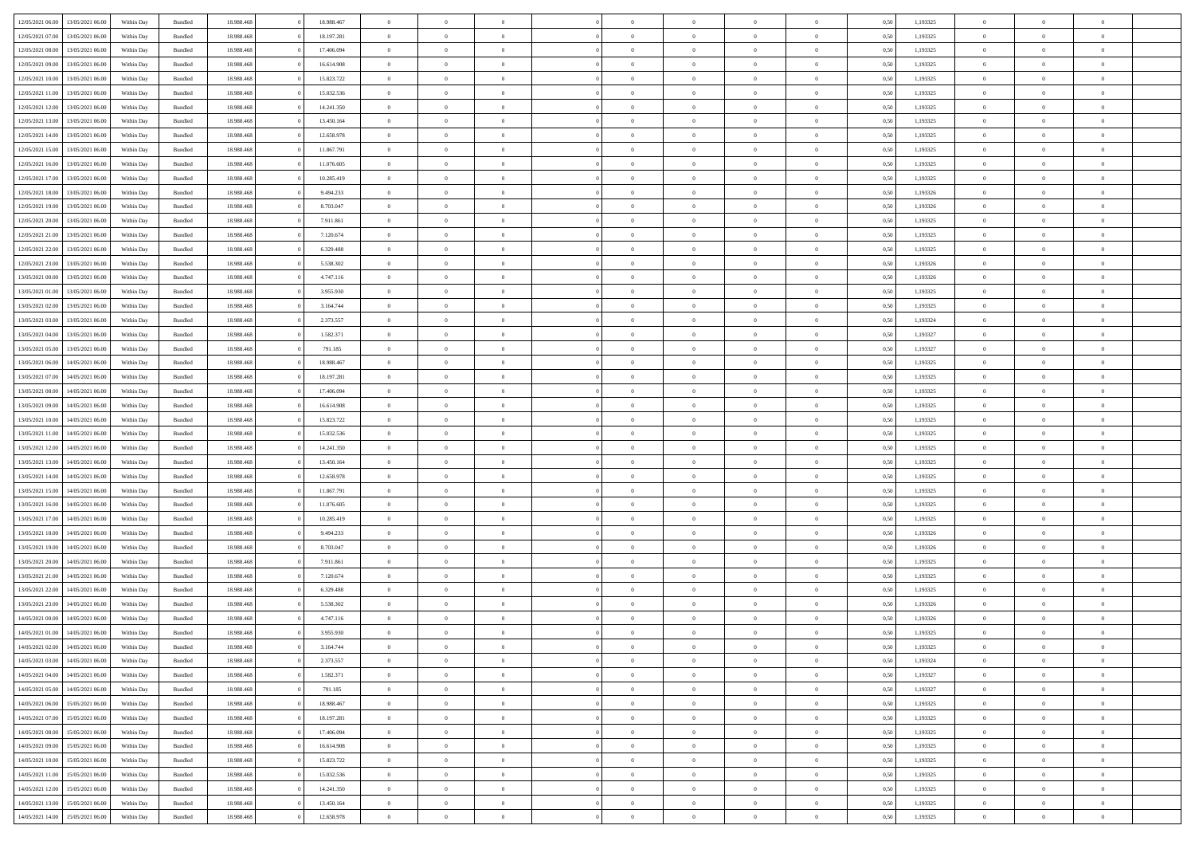|                  |                  |            |                    |            |            | $\overline{0}$ |                |                |                | $\Omega$       | $\Omega$       | $\theta$       |      |          | $\theta$       | $\overline{0}$ | $\theta$       |  |
|------------------|------------------|------------|--------------------|------------|------------|----------------|----------------|----------------|----------------|----------------|----------------|----------------|------|----------|----------------|----------------|----------------|--|
| 12/05/2021 06:00 | 13/05/2021 06:00 | Within Dav | Bundled            | 18.988.468 | 18.988.467 |                | $\theta$       |                | $\Omega$       |                |                |                | 0.50 | 1,193325 |                |                |                |  |
| 12/05/2021 07:00 | 13/05/2021 06:00 | Within Day | Bundled            | 18.988.468 | 18.197.281 | $\overline{0}$ | $\theta$       | $\overline{0}$ | $\overline{0}$ | $\bf{0}$       | $\overline{0}$ | $\overline{0}$ | 0,50 | 1,193325 | $\theta$       | $\overline{0}$ | $\overline{0}$ |  |
| 12/05/2021 08:00 | 13/05/2021 06:00 | Within Day | Bundled            | 18.988.468 | 17.406.094 | $\overline{0}$ | $\overline{0}$ | $\overline{0}$ | $\bf{0}$       | $\bf{0}$       | $\bf{0}$       | $\bf{0}$       | 0,50 | 1,193325 | $\bf{0}$       | $\overline{0}$ | $\overline{0}$ |  |
| 12/05/2021 09:00 | 13/05/2021 06:00 | Within Dav | Bundled            | 18.988.468 | 16.614.908 | $\overline{0}$ | $\overline{0}$ | $\overline{0}$ | $\overline{0}$ | $\bf{0}$       | $\overline{0}$ | $\overline{0}$ | 0.50 | 1,193325 | $\theta$       | $\theta$       | $\overline{0}$ |  |
|                  |                  |            |                    |            |            |                |                |                |                |                |                |                |      |          |                |                |                |  |
| 12/05/2021 10:00 | 13/05/2021 06:00 | Within Day | Bundled            | 18.988.468 | 15.823.722 | $\overline{0}$ | $\theta$       | $\overline{0}$ | $\overline{0}$ | $\bf{0}$       | $\overline{0}$ | $\bf{0}$       | 0,50 | 1,193325 | $\theta$       | $\theta$       | $\overline{0}$ |  |
| 12/05/2021 11:00 | 13/05/2021 06:00 | Within Day | Bundled            | 18.988.468 | 15.032.536 | $\overline{0}$ | $\bf{0}$       | $\overline{0}$ | $\bf{0}$       | $\overline{0}$ | $\overline{0}$ | $\mathbf{0}$   | 0,50 | 1,193325 | $\bf{0}$       | $\overline{0}$ | $\bf{0}$       |  |
| 12/05/2021 12:00 | 13/05/2021 06:00 | Within Dav | Bundled            | 18.988.468 | 14.241.350 | $\overline{0}$ | $\overline{0}$ | $\overline{0}$ | $\overline{0}$ | $\bf{0}$       | $\overline{0}$ | $\overline{0}$ | 0.50 | 1,193325 | $\theta$       | $\overline{0}$ | $\overline{0}$ |  |
| 12/05/2021 13:00 | 13/05/2021 06:00 | Within Day | Bundled            | 18.988.468 | 13.450.164 | $\overline{0}$ | $\theta$       | $\overline{0}$ | $\overline{0}$ | $\bf{0}$       | $\overline{0}$ | $\bf{0}$       | 0,50 | 1,193325 | $\theta$       | $\theta$       | $\overline{0}$ |  |
| 12/05/2021 14:00 | 13/05/2021 06:00 | Within Day | Bundled            | 18.988.468 | 12.658.978 | $\overline{0}$ | $\overline{0}$ | $\overline{0}$ | $\bf{0}$       | $\bf{0}$       | $\bf{0}$       | $\bf{0}$       | 0,50 | 1,193325 | $\,0\,$        | $\overline{0}$ | $\overline{0}$ |  |
|                  |                  |            |                    |            |            |                |                |                |                |                |                |                |      |          |                |                |                |  |
| 12/05/2021 15:00 | 13/05/2021 06:00 | Within Dav | Bundled            | 18.988.468 | 11.867.791 | $\overline{0}$ | $\overline{0}$ | $\overline{0}$ | $\overline{0}$ | $\overline{0}$ | $\overline{0}$ | $\overline{0}$ | 0.50 | 1,193325 | $\theta$       | $\overline{0}$ | $\overline{0}$ |  |
| 12/05/2021 16:00 | 13/05/2021 06:00 | Within Day | Bundled            | 18.988.468 | 11.076.605 | $\overline{0}$ | $\theta$       | $\overline{0}$ | $\overline{0}$ | $\bf{0}$       | $\overline{0}$ | $\bf{0}$       | 0,50 | 1,193325 | $\theta$       | $\theta$       | $\overline{0}$ |  |
| 12/05/2021 17:00 | 13/05/2021 06:00 | Within Day | Bundled            | 18.988.468 | 10.285.419 | $\overline{0}$ | $\overline{0}$ | $\overline{0}$ | $\bf{0}$       | $\bf{0}$       | $\bf{0}$       | $\bf{0}$       | 0,50 | 1,193325 | $\bf{0}$       | $\overline{0}$ | $\overline{0}$ |  |
| 12/05/2021 18:00 | 13/05/2021 06:00 | Within Dav | Bundled            | 18.988.468 | 9.494.233  | $\overline{0}$ | $\overline{0}$ | $\overline{0}$ | $\overline{0}$ | $\bf{0}$       | $\overline{0}$ | $\overline{0}$ | 0.50 | 1,193326 | $\theta$       | $\theta$       | $\overline{0}$ |  |
| 12/05/2021 19:00 | 13/05/2021 06:00 | Within Day | Bundled            | 18.988.468 | 8.703.047  | $\overline{0}$ | $\theta$       | $\overline{0}$ | $\overline{0}$ | $\bf{0}$       | $\overline{0}$ | $\overline{0}$ | 0,50 | 1,193326 | $\theta$       | $\theta$       | $\overline{0}$ |  |
|                  |                  |            |                    |            |            |                |                |                |                |                |                |                |      |          |                |                |                |  |
| 12/05/2021 20:00 | 13/05/2021 06:00 | Within Day | Bundled            | 18.988.468 | 7.911.861  | $\overline{0}$ | $\overline{0}$ | $\overline{0}$ | $\bf{0}$       | $\overline{0}$ | $\overline{0}$ | $\mathbf{0}$   | 0,50 | 1,193325 | $\overline{0}$ | $\overline{0}$ | $\bf{0}$       |  |
| 12/05/2021 21:00 | 13/05/2021 06:00 | Within Dav | Bundled            | 18.988.468 | 7.120.674  | $\overline{0}$ | $\overline{0}$ | $\overline{0}$ | $\overline{0}$ | $\bf{0}$       | $\overline{0}$ | $\overline{0}$ | 0.50 | 1,193325 | $\theta$       | $\overline{0}$ | $\overline{0}$ |  |
| 12/05/2021 22:00 | 13/05/2021 06:00 | Within Day | Bundled            | 18.988.468 | 6.329.488  | $\overline{0}$ | $\theta$       | $\overline{0}$ | $\overline{0}$ | $\bf{0}$       | $\overline{0}$ | $\bf{0}$       | 0,50 | 1,193325 | $\theta$       | $\theta$       | $\overline{0}$ |  |
| 12/05/2021 23:00 | 13/05/2021 06:00 | Within Day | Bundled            | 18.988.468 | 5.538.302  | $\overline{0}$ | $\overline{0}$ | $\overline{0}$ | $\bf{0}$       | $\bf{0}$       | $\bf{0}$       | $\bf{0}$       | 0,50 | 1,193326 | $\,0\,$        | $\overline{0}$ | $\overline{0}$ |  |
| 13/05/2021 00:00 | 13/05/2021 06:00 | Within Dav | Bundled            | 18.988.468 | 4.747.116  | $\overline{0}$ | $\overline{0}$ | $\overline{0}$ | $\overline{0}$ | $\overline{0}$ | $\overline{0}$ | $\overline{0}$ | 0.50 | 1,193326 | $\theta$       | $\overline{0}$ | $\overline{0}$ |  |
|                  |                  |            |                    |            |            |                |                |                |                |                |                |                |      |          |                |                |                |  |
| 13/05/2021 01:00 | 13/05/2021 06:00 | Within Day | Bundled            | 18.988.468 | 3.955.930  | $\overline{0}$ | $\theta$       | $\overline{0}$ | $\overline{0}$ | $\bf{0}$       | $\overline{0}$ | $\bf{0}$       | 0,50 | 1,193325 | $\theta$       | $\theta$       | $\overline{0}$ |  |
| 13/05/2021 02:00 | 13/05/2021 06:00 | Within Day | Bundled            | 18.988.468 | 3.164.744  | $\overline{0}$ | $\overline{0}$ | $\overline{0}$ | $\bf{0}$       | $\bf{0}$       | $\bf{0}$       | $\bf{0}$       | 0,50 | 1,193325 | $\,0\,$        | $\overline{0}$ | $\overline{0}$ |  |
| 13/05/2021 03:00 | 13/05/2021 06:00 | Within Day | Bundled            | 18.988.468 | 2.373.557  | $\overline{0}$ | $\overline{0}$ | $\overline{0}$ | $\overline{0}$ | $\bf{0}$       | $\overline{0}$ | $\overline{0}$ | 0.50 | 1,193324 | $\theta$       | $\theta$       | $\overline{0}$ |  |
| 13/05/2021 04:00 | 13/05/2021 06:00 | Within Day | Bundled            | 18.988.468 | 1.582.371  | $\overline{0}$ | $\theta$       | $\overline{0}$ | $\overline{0}$ | $\bf{0}$       | $\overline{0}$ | $\bf{0}$       | 0,50 | 1,193327 | $\theta$       | $\overline{0}$ | $\overline{0}$ |  |
| 13/05/2021 05:00 | 13/05/2021 06:00 | Within Day | Bundled            | 18.988.468 | 791.185    | $\overline{0}$ | $\bf{0}$       | $\overline{0}$ | $\bf{0}$       | $\overline{0}$ | $\overline{0}$ | $\mathbf{0}$   | 0,50 | 1,193327 | $\overline{0}$ | $\overline{0}$ | $\bf{0}$       |  |
|                  |                  |            |                    |            |            |                |                |                |                |                |                |                |      |          |                |                |                |  |
| 13/05/2021 06:00 | 14/05/2021 06:00 | Within Dav | Bundled            | 18.988.468 | 18.988.467 | $\overline{0}$ | $\overline{0}$ | $\overline{0}$ | $\overline{0}$ | $\overline{0}$ | $\overline{0}$ | $\overline{0}$ | 0.50 | 1,193325 | $\theta$       | $\overline{0}$ | $\overline{0}$ |  |
| 13/05/2021 07:00 | 14/05/2021 06:00 | Within Day | Bundled            | 18.988.468 | 18.197.281 | $\overline{0}$ | $\theta$       | $\overline{0}$ | $\overline{0}$ | $\bf{0}$       | $\overline{0}$ | $\bf{0}$       | 0,50 | 1,193325 | $\theta$       | $\theta$       | $\overline{0}$ |  |
| 13/05/2021 08:00 | 14/05/2021 06:00 | Within Day | Bundled            | 18.988.468 | 17.406.094 | $\overline{0}$ | $\overline{0}$ | $\overline{0}$ | $\bf{0}$       | $\bf{0}$       | $\bf{0}$       | $\bf{0}$       | 0,50 | 1,193325 | $\,0\,$        | $\overline{0}$ | $\overline{0}$ |  |
| 13/05/2021 09:00 | 14/05/2021 06:00 | Within Day | Bundled            | 18.988.468 | 16.614.908 | $\overline{0}$ | $\overline{0}$ | $\overline{0}$ | $\overline{0}$ | $\overline{0}$ | $\overline{0}$ | $\overline{0}$ | 0.50 | 1,193325 | $\theta$       | $\overline{0}$ | $\overline{0}$ |  |
| 13/05/2021 10:00 | 14/05/2021 06:00 | Within Day | Bundled            | 18.988.468 | 15.823.722 | $\overline{0}$ | $\theta$       | $\overline{0}$ | $\overline{0}$ | $\bf{0}$       | $\overline{0}$ | $\bf{0}$       | 0,50 | 1,193325 | $\,$ 0 $\,$    | $\theta$       | $\overline{0}$ |  |
| 13/05/2021 11:00 | 14/05/2021 06:00 | Within Day | Bundled            | 18.988.468 | 15.032.536 | $\overline{0}$ | $\overline{0}$ | $\overline{0}$ | $\bf{0}$       | $\bf{0}$       | $\bf{0}$       | $\bf{0}$       | 0,50 | 1,193325 | $\bf{0}$       | $\overline{0}$ | $\overline{0}$ |  |
|                  |                  |            |                    |            |            | $\overline{0}$ | $\Omega$       | $\Omega$       | $\Omega$       | $\Omega$       | $\Omega$       |                |      |          |                |                | $\theta$       |  |
| 13/05/2021 12:00 | 14/05/2021 06:00 | Within Day | Bundled            | 18.988.468 | 14.241.350 |                |                |                |                |                |                | $\overline{0}$ | 0.50 | 1,193325 | $\,0\,$        | $\theta$       |                |  |
| 13/05/2021 13:00 | 14/05/2021 06:00 | Within Day | Bundled            | 18.988.468 | 13.450.164 | $\overline{0}$ | $\theta$       | $\overline{0}$ | $\overline{0}$ | $\bf{0}$       | $\overline{0}$ | $\bf{0}$       | 0,50 | 1,193325 | $\theta$       | $\theta$       | $\overline{0}$ |  |
| 13/05/2021 14:00 | 14/05/2021 06:00 | Within Day | Bundled            | 18.988.468 | 12.658.978 | $\overline{0}$ | $\bf{0}$       | $\overline{0}$ | $\bf{0}$       | $\bf{0}$       | $\overline{0}$ | $\mathbf{0}$   | 0,50 | 1,193325 | $\overline{0}$ | $\overline{0}$ | $\bf{0}$       |  |
| 13/05/2021 15:00 | 14/05/2021 06:00 | Within Day | Bundled            | 18.988.468 | 11.867.791 | $\overline{0}$ | $\Omega$       | $\Omega$       | $\Omega$       | $\Omega$       | $\Omega$       | $\overline{0}$ | 0.50 | 1,193325 | $\theta$       | $\theta$       | $\theta$       |  |
| 13/05/2021 16:00 | 14/05/2021 06:00 | Within Day | Bundled            | 18.988.468 | 11.076.605 | $\overline{0}$ | $\theta$       | $\overline{0}$ | $\overline{0}$ | $\bf{0}$       | $\overline{0}$ | $\bf{0}$       | 0,50 | 1,193325 | $\theta$       | $\theta$       | $\overline{0}$ |  |
| 13/05/2021 17:00 | 14/05/2021 06:00 | Within Day | Bundled            | 18.988.468 | 10.285.419 | $\overline{0}$ | $\overline{0}$ | $\overline{0}$ | $\bf{0}$       | $\bf{0}$       | $\bf{0}$       | $\bf{0}$       | 0,50 | 1,193325 | $\,0\,$        | $\overline{0}$ | $\overline{0}$ |  |
|                  |                  |            |                    |            |            |                |                |                |                |                |                |                |      |          |                |                |                |  |
| 13/05/2021 18:00 | 14/05/2021 06:00 | Within Day | Bundled            | 18.988.468 | 9.494.233  | $\overline{0}$ | $\Omega$       | $\Omega$       | $\Omega$       | $\Omega$       | $\theta$       | $\overline{0}$ | 0.50 | 1,193326 | $\theta$       | $\theta$       | $\theta$       |  |
| 13/05/2021 19:00 | 14/05/2021 06:00 | Within Day | Bundled            | 18.988.468 | 8.703.047  | $\overline{0}$ | $\theta$       | $\overline{0}$ | $\overline{0}$ | $\bf{0}$       | $\overline{0}$ | $\bf{0}$       | 0,50 | 1,193326 | $\,$ 0 $\,$    | $\theta$       | $\overline{0}$ |  |
| 13/05/2021 20:00 | 14/05/2021 06:00 | Within Day | Bundled            | 18.988.468 | 7.911.861  | $\overline{0}$ | $\overline{0}$ | $\overline{0}$ | $\bf{0}$       | $\bf{0}$       | $\bf{0}$       | $\bf{0}$       | 0,50 | 1,193325 | $\overline{0}$ | $\overline{0}$ | $\overline{0}$ |  |
| 13/05/2021 21:00 | 14/05/2021 06:00 | Within Day | Bundled            | 18.988.468 | 7.120.674  | $\overline{0}$ | $\Omega$       | $\Omega$       | $\Omega$       | $\Omega$       | $\overline{0}$ | $\overline{0}$ | 0.50 | 1,193325 | $\,0\,$        | $\theta$       | $\theta$       |  |
| 13/05/2021 22:00 | 14/05/2021 06:00 | Within Day | Bundled            | 18.988.468 | 6.329.488  | $\overline{0}$ | $\theta$       | $\overline{0}$ | $\overline{0}$ | $\bf{0}$       | $\overline{0}$ | $\bf{0}$       | 0,50 | 1,193325 | $\,$ 0 $\,$    | $\theta$       | $\overline{0}$ |  |
| 13/05/2021 23:00 | 14/05/2021 06:00 | Within Day | Bundled            | 18.988.468 | 5.538.302  | $\overline{0}$ | $\overline{0}$ | $\overline{0}$ | $\bf{0}$       | $\bf{0}$       | $\bf{0}$       | $\mathbf{0}$   | 0,50 | 1,193326 | $\overline{0}$ | $\overline{0}$ | $\bf{0}$       |  |
|                  |                  |            |                    |            |            |                |                |                |                |                |                |                |      |          |                |                |                |  |
| 14/05/2021 00:00 | 14/05/2021 06:00 | Within Day | Bundled            | 18.988.468 | 4.747.116  | $\overline{0}$ | $\Omega$       | $\Omega$       | $\Omega$       | $\Omega$       | $\Omega$       | $\overline{0}$ | 0.50 | 1,193326 | $\theta$       | $\theta$       | $\theta$       |  |
| 14/05/2021 01:00 | 14/05/2021 06:00 | Within Day | Bundled            | 18.988.468 | 3.955.930  | $\overline{0}$ | $\overline{0}$ | $\overline{0}$ | $\bf{0}$       | $\,$ 0         | $\bf{0}$       | $\bf{0}$       | 0,50 | 1,193325 | $\,0\,$        | $\overline{0}$ | $\overline{0}$ |  |
| 14/05/2021 02:00 | 14/05/2021 06:00 | Within Day | $\mathbf B$ undled | 18.988.468 | 3.164.744  | $\bf{0}$       | $\bf{0}$       |                |                | $\bf{0}$       |                |                | 0,50 | 1,193325 | $\bf{0}$       | $\overline{0}$ |                |  |
| 14/05/2021 03:00 | 14/05/2021 06:00 | Within Day | Bundled            | 18,988,468 | 2.373.557  | $\overline{0}$ | $\overline{0}$ | $\overline{0}$ | $\Omega$       | $\theta$       | $\overline{0}$ | $\overline{0}$ | 0,50 | 1,193324 | $\theta$       | $\theta$       | $\theta$       |  |
| 14/05/2021 04:00 | 14/05/2021 06:00 | Within Day | Bundled            | 18.988.468 | 1.582.371  | $\overline{0}$ | $\,$ 0         | $\overline{0}$ | $\bf{0}$       | $\,$ 0 $\,$    | $\overline{0}$ | $\mathbf{0}$   | 0,50 | 1,193327 | $\,$ 0 $\,$    | $\,$ 0 $\,$    | $\,$ 0         |  |
| 14/05/2021 05:00 | 14/05/2021 06:00 | Within Day | Bundled            | 18.988.468 | 791.185    | $\overline{0}$ | $\overline{0}$ | $\overline{0}$ | $\overline{0}$ | $\overline{0}$ | $\overline{0}$ | $\mathbf{0}$   | 0,50 | 1,193327 | $\overline{0}$ | $\bf{0}$       | $\bf{0}$       |  |
|                  |                  |            |                    |            |            |                |                |                |                |                |                |                |      |          |                |                |                |  |
| 14/05/2021 06:00 | 15/05/2021 06:00 | Within Day | Bundled            | 18.988.468 | 18.988.467 | $\overline{0}$ | $\theta$       | $\overline{0}$ | $\Omega$       | $\overline{0}$ | $\overline{0}$ | $\bf{0}$       | 0,50 | 1,193325 | $\overline{0}$ | $\theta$       | $\overline{0}$ |  |
| 14/05/2021 07:00 | 15/05/2021 06:00 | Within Day | Bundled            | 18.988.468 | 18.197.281 | $\overline{0}$ | $\,$ 0         | $\overline{0}$ | $\overline{0}$ | $\overline{0}$ | $\overline{0}$ | $\bf{0}$       | 0,50 | 1,193325 | $\,$ 0 $\,$    | $\overline{0}$ | $\overline{0}$ |  |
| 14/05/2021 08:00 | 15/05/2021 06:00 | Within Day | Bundled            | 18.988.468 | 17.406.094 | $\overline{0}$ | $\overline{0}$ | $\overline{0}$ | $\overline{0}$ | $\overline{0}$ | $\overline{0}$ | $\mathbf{0}$   | 0,50 | 1,193325 | $\overline{0}$ | $\bf{0}$       | $\bf{0}$       |  |
| 14/05/2021 09:00 | 15/05/2021 06:00 | Within Day | Bundled            | 18.988.468 | 16.614.908 | $\overline{0}$ | $\overline{0}$ | $\overline{0}$ | $\Omega$       | $\overline{0}$ | $\overline{0}$ | $\bf{0}$       | 0.50 | 1,193325 | $\overline{0}$ | $\theta$       | $\overline{0}$ |  |
| 14/05/2021 10:00 | 15/05/2021 06:00 | Within Day | Bundled            | 18.988.468 | 15.823.722 | $\overline{0}$ | $\,$ 0         | $\overline{0}$ | $\overline{0}$ | $\bf{0}$       | $\overline{0}$ | $\bf{0}$       | 0,50 | 1,193325 | $\,$ 0 $\,$    | $\overline{0}$ | $\overline{0}$ |  |
|                  |                  |            |                    |            |            |                |                |                |                |                |                |                |      |          |                |                |                |  |
| 14/05/2021 11:00 | 15/05/2021 06:00 | Within Day | Bundled            | 18.988.468 | 15.032.536 | $\overline{0}$ | $\bf{0}$       | $\overline{0}$ | $\overline{0}$ | $\overline{0}$ | $\overline{0}$ | $\mathbf{0}$   | 0,50 | 1,193325 | $\overline{0}$ | $\overline{0}$ | $\bf{0}$       |  |
| 14/05/2021 12:00 | 15/05/2021 06:00 | Within Day | Bundled            | 18,988,468 | 14.241.350 | $\overline{0}$ | $\overline{0}$ | $\overline{0}$ | $\Omega$       | $\overline{0}$ | $\overline{0}$ | $\overline{0}$ | 0.50 | 1,193325 | $\overline{0}$ | $\theta$       | $\overline{0}$ |  |
| 14/05/2021 13:00 | 15/05/2021 06:00 | Within Day | Bundled            | 18.988.468 | 13.450.164 | $\overline{0}$ | $\,$ 0         | $\overline{0}$ | $\overline{0}$ | $\bf{0}$       | $\overline{0}$ | $\mathbf{0}$   | 0,50 | 1,193325 | $\,$ 0 $\,$    | $\,$ 0 $\,$    | $\bf{0}$       |  |
| 14/05/2021 14:00 | 15/05/2021 06:00 | Within Day | Bundled            | 18.988.468 | 12.658.978 | $\overline{0}$ | $\overline{0}$ | $\overline{0}$ | $\overline{0}$ | $\bf{0}$       | $\overline{0}$ | $\mathbf{0}$   | 0,50 | 1,193325 | $\overline{0}$ | $\bf{0}$       | $\bf{0}$       |  |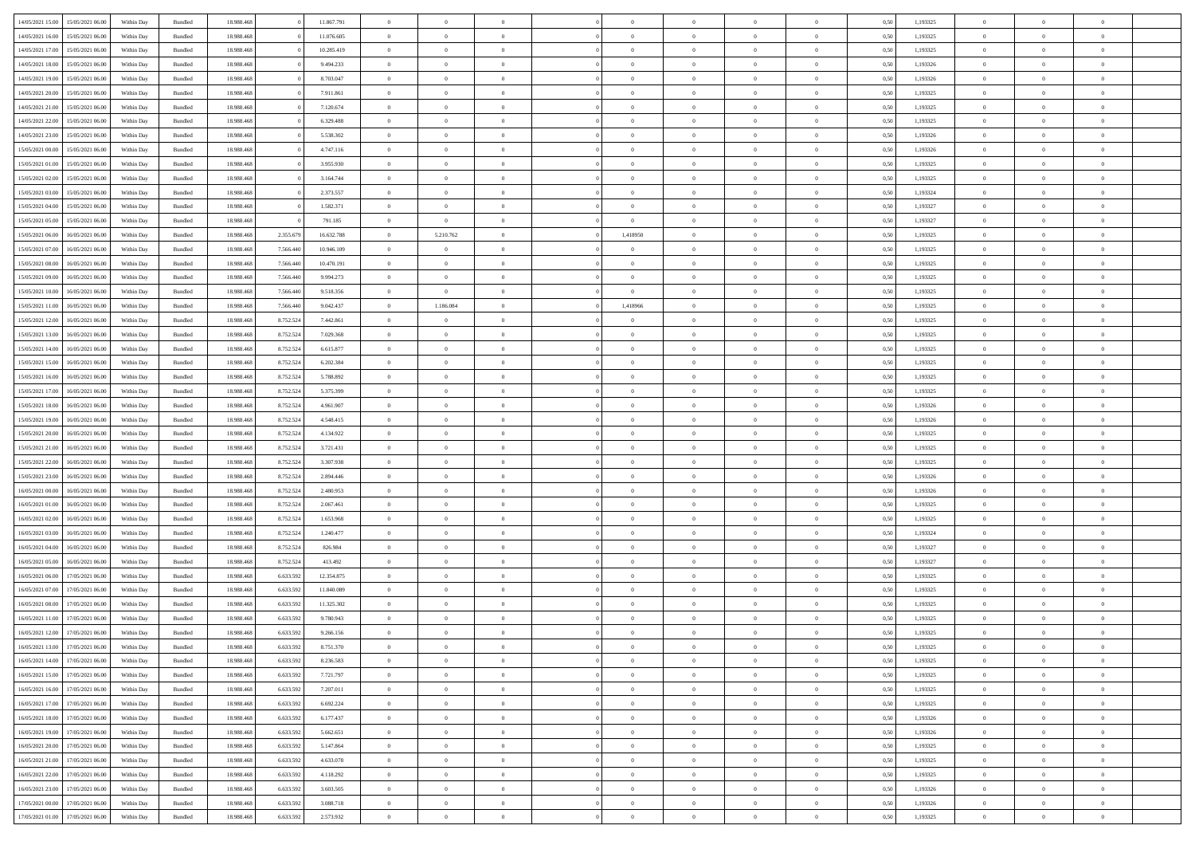| 14/05/2021 15:00 15/05/2021 06:00    | Within Day | Bundled | 18.988.468 |           | 11.867.791 | $\overline{0}$ | $\overline{0}$ | $\Omega$       | $\Omega$       | $\theta$       | $\Omega$       | $\overline{0}$ | 0,50 | 1,193325 | $\theta$             | $\theta$       | $\overline{0}$ |  |
|--------------------------------------|------------|---------|------------|-----------|------------|----------------|----------------|----------------|----------------|----------------|----------------|----------------|------|----------|----------------------|----------------|----------------|--|
| 14/05/2021 16:00<br>15/05/2021 06:00 | Within Day | Bundled | 18.988.46  |           | 11.076.605 | $\overline{0}$ | $\overline{0}$ | $\overline{0}$ | $\overline{0}$ | $\theta$       | $\overline{0}$ | $\bf{0}$       | 0,50 | 1,193325 | $\theta$             | $\theta$       | $\overline{0}$ |  |
| 14/05/2021 17:00<br>15/05/2021 06:00 | Within Day | Bundled | 18.988.468 |           | 10.285.419 | $\overline{0}$ | $\bf{0}$       | $\overline{0}$ | $\overline{0}$ | $\bf{0}$       | $\overline{0}$ | $\bf{0}$       | 0,50 | 1,193325 | $\bf{0}$             | $\overline{0}$ | $\overline{0}$ |  |
| 14/05/2021 18:00<br>15/05/2021 06:00 | Within Day | Bundled | 18.988.468 |           | 9.494.233  | $\overline{0}$ | $\overline{0}$ | $\overline{0}$ | $\overline{0}$ | $\overline{0}$ | $\overline{0}$ | $\overline{0}$ | 0.50 | 1,193326 | $\theta$             | $\theta$       | $\overline{0}$ |  |
| 14/05/2021 19:00<br>15/05/2021 06:00 | Within Day | Bundled | 18.988.468 |           | 8.703.047  | $\overline{0}$ | $\theta$       | $\overline{0}$ | $\overline{0}$ | $\theta$       | $\overline{0}$ | $\bf{0}$       | 0,50 | 1,193326 | $\theta$             | $\theta$       | $\overline{0}$ |  |
|                                      |            |         |            |           |            |                |                |                |                |                |                |                |      |          |                      |                |                |  |
| 14/05/2021 20:00<br>15/05/2021 06:00 | Within Day | Bundled | 18.988.468 |           | 7.911.861  | $\overline{0}$ | $\bf{0}$       | $\overline{0}$ | $\overline{0}$ | $\overline{0}$ | $\overline{0}$ | $\bf{0}$       | 0,50 | 1,193325 | $\overline{0}$       | $\overline{0}$ | $\bf{0}$       |  |
| 14/05/2021 21:00<br>15/05/2021 06:00 | Within Day | Bundled | 18.988.468 |           | 7.120.674  | $\overline{0}$ | $\overline{0}$ | $\overline{0}$ | $\overline{0}$ | $\overline{0}$ | $\overline{0}$ | $\bf{0}$       | 0.5( | 1,193325 | $\theta$             | $\overline{0}$ | $\overline{0}$ |  |
| 14/05/2021 22:00<br>15/05/2021 06:00 | Within Day | Bundled | 18.988.468 |           | 6.329.488  | $\bf{0}$       | $\overline{0}$ | $\overline{0}$ | $\overline{0}$ | $\theta$       | $\overline{0}$ | $\bf{0}$       | 0,50 | 1,193325 | $\theta$             | $\theta$       | $\overline{0}$ |  |
| 14/05/2021 23:00<br>15/05/2021 06:00 | Within Day | Bundled | 18.988.468 |           | 5.538.302  | $\overline{0}$ | $\bf{0}$       | $\overline{0}$ | $\overline{0}$ | $\overline{0}$ | $\overline{0}$ | $\bf{0}$       | 0,50 | 1,193326 | $\bf{0}$             | $\overline{0}$ | $\overline{0}$ |  |
| 15/05/2021 00:00<br>15/05/2021 06:00 | Within Day | Bundled | 18.988.468 |           | 4.747.116  | $\overline{0}$ | $\overline{0}$ | $\overline{0}$ | $\overline{0}$ | $\overline{0}$ | $\overline{0}$ | $\bf{0}$       | 0.5( | 1,193326 | $\overline{0}$       | $\overline{0}$ | $\overline{0}$ |  |
| 15/05/2021 01:00<br>15/05/2021 06:00 | Within Day | Bundled | 18.988.468 |           | 3.955.930  | $\bf{0}$       | $\overline{0}$ | $\overline{0}$ | $\overline{0}$ | $\theta$       | $\overline{0}$ | $\bf{0}$       | 0,50 | 1,193325 | $\theta$             | $\theta$       | $\overline{0}$ |  |
| 15/05/2021 02:00<br>15/05/2021 06:00 | Within Day | Bundled | 18.988.468 |           | 3.164.744  | $\overline{0}$ | $\bf{0}$       | $\overline{0}$ | $\overline{0}$ | $\bf{0}$       | $\overline{0}$ | $\bf{0}$       | 0,50 | 1,193325 | $\bf{0}$             | $\overline{0}$ | $\bf{0}$       |  |
| 15/05/2021 03:00<br>15/05/2021 06:00 | Within Day | Bundled | 18.988.468 |           | 2.373.557  | $\overline{0}$ | $\overline{0}$ | $\overline{0}$ | $\overline{0}$ | $\overline{0}$ | $\overline{0}$ | $\overline{0}$ | 0.5( | 1,193324 | $\theta$             | $\theta$       | $\overline{0}$ |  |
| 15/05/2021 04:00<br>15/05/2021 06:00 | Within Day | Bundled | 18.988.468 |           | 1.582.371  | $\overline{0}$ | $\theta$       | $\overline{0}$ | $\overline{0}$ | $\theta$       | $\overline{0}$ | $\bf{0}$       | 0,50 | 1,193327 | $\theta$             | $\theta$       | $\overline{0}$ |  |
| 15/05/2021 05:00<br>15/05/2021 06:00 | Within Day | Bundled | 18.988.468 |           | 791.185    | $\overline{0}$ | $\overline{0}$ | $\overline{0}$ | $\overline{0}$ | $\overline{0}$ | $\overline{0}$ | $\bf{0}$       | 0,50 | 1,193327 | $\overline{0}$       | $\overline{0}$ | $\bf{0}$       |  |
|                                      |            |         |            |           |            |                |                |                |                | $\overline{0}$ |                |                |      |          | $\overline{0}$       | $\overline{0}$ | $\overline{0}$ |  |
| 15/05/2021 06:00<br>16/05/2021 06:00 | Within Day | Bundled | 18.988.468 | 2.355.679 | 16.632.788 | $\overline{0}$ | 5.210.762      | $\overline{0}$ | 1,418950       |                | $\overline{0}$ | $\bf{0}$       | 0.5( | 1,193325 |                      |                |                |  |
| 15/05/2021 07:00<br>16/05/2021 06:00 | Within Day | Bundled | 18.988.46  | 7.566.440 | 10.946.109 | $\bf{0}$       | $\overline{0}$ | $\overline{0}$ | $\overline{0}$ | $\theta$       | $\overline{0}$ | $\bf{0}$       | 0,50 | 1,193325 | $\theta$             | $\theta$       | $\overline{0}$ |  |
| 15/05/2021 08:00<br>16/05/2021 06:00 | Within Day | Bundled | 18.988.468 | 7.566.440 | 10.470.191 | $\overline{0}$ | $\bf{0}$       | $\overline{0}$ | $\overline{0}$ | $\overline{0}$ | $\overline{0}$ | $\bf{0}$       | 0,50 | 1,193325 | $\bf{0}$             | $\overline{0}$ | $\overline{0}$ |  |
| 15/05/2021 09:00<br>16/05/2021 06:00 | Within Day | Bundled | 18.988.468 | 7,566,440 | 9.994.273  | $\overline{0}$ | $\overline{0}$ | $\overline{0}$ | $\overline{0}$ | $\overline{0}$ | $\overline{0}$ | $\bf{0}$       | 0.5( | 1,193325 | $\theta$             | $\theta$       | $\overline{0}$ |  |
| 15/05/2021 10:00<br>16/05/2021 06:00 | Within Day | Bundled | 18.988.46  | 7.566.440 | 9.518.356  | $\bf{0}$       | $\overline{0}$ | $\overline{0}$ | $\overline{0}$ | $\theta$       | $\overline{0}$ | $\bf{0}$       | 0,50 | 1,193325 | $\,$ 0 $\,$          | $\theta$       | $\overline{0}$ |  |
| 15/05/2021 11:00<br>16/05/2021 06:00 | Within Day | Bundled | 18.988.468 | 7.566.440 | 9.042.437  | $\overline{0}$ | 1.186.084      | $\overline{0}$ | 1,418966       | $\overline{0}$ | $\overline{0}$ | $\bf{0}$       | 0,50 | 1,193325 | $\bf{0}$             | $\overline{0}$ | $\overline{0}$ |  |
| 15/05/2021 12:00<br>16/05/2021 06:00 | Within Day | Bundled | 18.988.468 | 8.752.524 | 7.442.861  | $\overline{0}$ | $\overline{0}$ | $\overline{0}$ | $\overline{0}$ | $\overline{0}$ | $\overline{0}$ | $\overline{0}$ | 0.5( | 1,193325 | $\overline{0}$       | $\overline{0}$ | $\overline{0}$ |  |
| 15/05/2021 13:00<br>16/05/2021 06:00 | Within Day | Bundled | 18.988.46  | 8.752.524 | 7.029.368  | $\bf{0}$       | $\theta$       | $\overline{0}$ | $\overline{0}$ | $\theta$       | $\overline{0}$ | $\bf{0}$       | 0,50 | 1,193325 | $\theta$             | $\theta$       | $\overline{0}$ |  |
| 15/05/2021 14:00<br>16/05/2021 06:00 | Within Day | Bundled | 18.988.468 | 8.752.524 | 6.615.877  | $\overline{0}$ | $\overline{0}$ | $\overline{0}$ | $\overline{0}$ | $\overline{0}$ | $\overline{0}$ | $\bf{0}$       | 0,50 | 1,193325 | $\overline{0}$       | $\overline{0}$ | $\bf{0}$       |  |
| 15/05/2021 15:00<br>16/05/2021 06:00 | Within Day | Bundled | 18.988.468 | 8.752.524 | 6.202.384  | $\overline{0}$ | $\overline{0}$ | $\overline{0}$ | $\overline{0}$ | $\overline{0}$ | $\overline{0}$ | $\bf{0}$       | 0.5( | 1,193325 | $\overline{0}$       | $\overline{0}$ | $\overline{0}$ |  |
| 15/05/2021 16:00<br>16/05/2021 06:00 | Within Day | Bundled | 18.988.46  | 8.752.524 | 5.788.892  | $\bf{0}$       | $\overline{0}$ | $\overline{0}$ | $\overline{0}$ | $\theta$       | $\overline{0}$ | $\bf{0}$       | 0,50 | 1,193325 | $\theta$             | $\theta$       | $\overline{0}$ |  |
| 15/05/2021 17:00<br>16/05/2021 06:00 | Within Day | Bundled | 18.988.468 | 8.752.524 | 5.375.399  | $\overline{0}$ | $\bf{0}$       | $\overline{0}$ | $\overline{0}$ | $\overline{0}$ | $\overline{0}$ | $\bf{0}$       | 0,50 | 1,193325 | $\bf{0}$             | $\overline{0}$ | $\overline{0}$ |  |
|                                      |            |         |            |           |            |                | $\overline{0}$ |                |                | $\overline{0}$ |                |                |      |          | $\overline{0}$       | $\overline{0}$ | $\overline{0}$ |  |
| 15/05/2021 18:00<br>16/05/2021 06:00 | Within Day | Bundled | 18.988.468 | 8.752.524 | 4.961.907  | $\overline{0}$ |                | $\overline{0}$ | $\overline{0}$ |                | $\overline{0}$ | $\bf{0}$       | 0.5( | 1,193326 |                      |                |                |  |
| 15/05/2021 19:00<br>16/05/2021 06:00 | Within Day | Bundled | 18.988.468 | 8.752.524 | 4.548.415  | $\bf{0}$       | $\overline{0}$ | $\overline{0}$ | $\overline{0}$ | $\theta$       | $\overline{0}$ | $\bf{0}$       | 0,50 | 1,193326 | $\,$ 0 $\,$          | $\,$ 0 $\,$    | $\overline{0}$ |  |
| 15/05/2021 20:00<br>16/05/2021 06:00 | Within Day | Bundled | 18.988.468 | 8.752.524 | 4.134.922  | $\overline{0}$ | $\bf{0}$       | $\overline{0}$ | $\overline{0}$ | $\bf{0}$       | $\overline{0}$ | $\bf{0}$       | 0,50 | 1,193325 | $\bf{0}$             | $\overline{0}$ | $\bf{0}$       |  |
| 15/05/2021 21:00<br>16/05/2021 06:00 | Within Day | Bundled | 18.988.468 | 8.752.524 | 3.721.431  | $\overline{0}$ | $\overline{0}$ | $\overline{0}$ | $\Omega$       | $\theta$       | $\Omega$       | $\bf{0}$       | 0,50 | 1,193325 | $\bf{0}$             | $\theta$       | $\theta$       |  |
| 15/05/2021 22:00<br>16/05/2021 06:00 | Within Day | Bundled | 18.988.46  | 8.752.524 | 3.307.938  | $\bf{0}$       | $\theta$       | $\overline{0}$ | $\overline{0}$ | $\theta$       | $\overline{0}$ | $\bf{0}$       | 0,50 | 1,193325 | $\theta$             | $\theta$       | $\overline{0}$ |  |
| 15/05/2021 23:00<br>16/05/2021 06:00 | Within Day | Bundled | 18.988.468 | 8.752.524 | 2.894.446  | $\overline{0}$ | $\bf{0}$       | $\overline{0}$ | $\overline{0}$ | $\overline{0}$ | $\overline{0}$ | $\bf{0}$       | 0,50 | 1,193326 | $\overline{0}$       | $\overline{0}$ | $\bf{0}$       |  |
| 16/05/2021 00:00<br>16/05/2021 06:00 | Within Day | Bundled | 18.988.468 | 8.752.524 | 2.480.953  | $\overline{0}$ | $\overline{0}$ | $\Omega$       | $\Omega$       | $\overline{0}$ | $\theta$       | $\overline{0}$ | 0.5( | 1,193326 | $\bf{0}$             | $\theta$       | $\overline{0}$ |  |
| 16/05/2021 01:00<br>16/05/2021 06:00 | Within Day | Bundled | 18.988.46  | 8.752.524 | 2.067.461  | $\bf{0}$       | $\overline{0}$ | $\overline{0}$ | $\overline{0}$ | $\overline{0}$ | $\overline{0}$ | $\bf{0}$       | 0,50 | 1,193325 | $\theta$             | $\theta$       | $\overline{0}$ |  |
| 16/05/2021 02:00<br>16/05/2021 06:00 | Within Day | Bundled | 18.988.468 | 8.752.524 | 1.653.968  | $\overline{0}$ | $\bf{0}$       | $\overline{0}$ | $\overline{0}$ | $\overline{0}$ | $\overline{0}$ | $\bf{0}$       | 0,50 | 1,193325 | $\bf{0}$             | $\overline{0}$ | $\overline{0}$ |  |
| 16/05/2021 03:00<br>16/05/2021 06:00 | Within Day | Bundled | 18,988,46  | 8.752.524 | 1.240.477  | $\overline{0}$ | $\overline{0}$ | $\Omega$       | $\theta$       | $\overline{0}$ | $\theta$       | $\overline{0}$ | 0.5( | 1,193324 | $\bf{0}$             | $\theta$       | $\theta$       |  |
| 16/05/2021 04:00<br>16/05/2021 06:00 | Within Day | Bundled | 18.988.468 | 8.752.524 | 826.984    | $\bf{0}$       | $\bf{0}$       | $\overline{0}$ | $\overline{0}$ | $\theta$       | $\overline{0}$ | $\bf{0}$       | 0,50 | 1,193327 | $\,$ 0 $\,$          | $\,$ 0 $\,$    | $\overline{0}$ |  |
| 16/05/2021 05:00<br>16/05/2021 06:00 | Within Day | Bundled | 18.988.468 | 8.752.524 | 413.492    | $\overline{0}$ | $\bf{0}$       | $\overline{0}$ | $\overline{0}$ | $\bf{0}$       | $\overline{0}$ | $\bf{0}$       | 0,50 | 1,193327 | $\bf{0}$             | $\overline{0}$ | $\overline{0}$ |  |
|                                      |            |         |            |           |            | $\overline{0}$ |                |                | $\Omega$       |                |                |                |      |          |                      | $\theta$       | $\overline{0}$ |  |
| 16/05/2021 06:00<br>17/05/2021 06:00 | Within Day | Bundled | 18.988.468 | 6.633.592 | 12.354.875 |                | $\overline{0}$ | $\overline{0}$ |                | $\overline{0}$ | $\overline{0}$ | $\bf{0}$       | 0,50 | 1,193325 | $\bf{0}$<br>$\theta$ | $\theta$       |                |  |
| 16/05/2021 07:00<br>17/05/2021 06:00 | Within Day | Bundled | 18.988.46  | 6.633.592 | 11.840.089 | $\bf{0}$       | $\overline{0}$ | $\overline{0}$ | $\overline{0}$ | $\overline{0}$ | $\overline{0}$ | $\bf{0}$       | 0,50 | 1,193325 |                      |                | $\overline{0}$ |  |
| 16/05/2021 08:00<br>17/05/2021 06:00 | Within Day | Bundled | 18.988.468 | 6.633.592 | 11.325.302 | $\overline{0}$ | $\bf{0}$       | $\overline{0}$ | $\overline{0}$ | $\overline{0}$ | $\overline{0}$ | $\bf{0}$       | 0,50 | 1,193325 | $\bf{0}$             | $\overline{0}$ | $\bf{0}$       |  |
| 16/05/2021 11:00<br>17/05/2021 06:00 | Within Day | Bundled | 18.988.46  | 6.633.59  | 9.780.943  | $\overline{0}$ | $\overline{0}$ | $\Omega$       | $\Omega$       | $\overline{0}$ | $\Omega$       | $\overline{0}$ | 0.50 | 1,193325 | $\theta$             | $\theta$       | $\overline{0}$ |  |
| 16/05/2021 12:00<br>17/05/2021 06:00 | Within Day | Bundled | 18.988.468 | 6.633.592 | 9.266.156  | $\bf{0}$       | $\bf{0}$       | $\overline{0}$ | $\overline{0}$ | $\overline{0}$ | $\overline{0}$ | $\bf{0}$       | 0,50 | 1,193325 | $\bf{0}$             | $\,$ 0 $\,$    | $\overline{0}$ |  |
| 16/05/2021 13:00 17/05/2021 06:00    | Within Day | Bundled | 18.988.468 | 6.633.592 | 8.751.370  | $\bf{0}$       |                |                |                |                |                |                | 0,50 | 1,193325 | $\bf{0}$             | $\bf{0}$       |                |  |
| 16/05/2021 14:00 17/05/2021 06:00    | Within Day | Bundled | 18,988,46  | 6.633.59  | 8.236.583  | $\Omega$       | $\overline{0}$ | $\Omega$       | $\theta$       | $\Omega$       | $\theta$       | $\overline{0}$ | 0.50 | 1,193325 | $\theta$             | $\theta$       | $\theta$       |  |
| 16/05/2021 15:00<br>17/05/2021 06:00 | Within Day | Bundled | 18.988.468 | 6.633.592 | 7.721.797  | $\overline{0}$ | $\overline{0}$ | $\overline{0}$ | $\overline{0}$ | $\,$ 0 $\,$    | $\overline{0}$ | $\,$ 0 $\,$    | 0,50 | 1,193325 | $\,$ 0 $\,$          | $\,$ 0 $\,$    | $\,$ 0         |  |
| 16/05/2021 16:00<br>17/05/2021 06:00 | Within Day | Bundled | 18.988.468 | 6.633.592 | 7.207.011  | $\overline{0}$ | $\overline{0}$ | $\overline{0}$ | $\overline{0}$ | $\overline{0}$ | $\overline{0}$ | $\bf{0}$       | 0,50 | 1,193325 | $\overline{0}$       | $\bf{0}$       | $\overline{0}$ |  |
| 16/05/2021 17:00<br>17/05/2021 06:00 | Within Day | Bundled | 18.988.468 | 6.633.592 | 6.692.224  | $\overline{0}$ | $\bf{0}$       | $\overline{0}$ | $\overline{0}$ | $\overline{0}$ | $\overline{0}$ | $\bf{0}$       | 0,50 | 1,193325 | $\bf{0}$             | $\theta$       | $\overline{0}$ |  |
| 16/05/2021 18:00<br>17/05/2021 06:00 | Within Day | Bundled | 18.988.468 | 6.633.592 | 6.177.437  | $\overline{0}$ | $\overline{0}$ | $\overline{0}$ | $\overline{0}$ | $\overline{0}$ | $\overline{0}$ | $\bf{0}$       | 0,50 | 1,193326 | $\,$ 0 $\,$          | $\theta$       | $\overline{0}$ |  |
| 16/05/2021 19:00<br>17/05/2021 06:00 | Within Day | Bundled | 18.988.468 | 6.633.592 | 5.662.651  | $\overline{0}$ | $\overline{0}$ | $\overline{0}$ | $\overline{0}$ | $\mathbf{0}$   | $\overline{0}$ | $\bf{0}$       | 0,50 | 1,193326 | $\overline{0}$       | $\overline{0}$ | $\overline{0}$ |  |
|                                      |            |         |            |           |            | $\overline{0}$ |                |                |                | $\overline{0}$ | $\overline{0}$ |                | 0.50 |          |                      | $\theta$       | $\overline{0}$ |  |
| 16/05/2021 20:00<br>17/05/2021 06:00 | Within Day | Bundled | 18.988.468 | 6.633.592 | 5.147.864  |                | $\bf{0}$       | $\overline{0}$ | $\overline{0}$ |                |                | $\bf{0}$       |      | 1,193325 | $\overline{0}$       |                |                |  |
| 16/05/2021 21:00<br>17/05/2021 06:00 | Within Day | Bundled | 18.988.468 | 6.633.592 | 4.633.078  | $\overline{0}$ | $\bf{0}$       | $\overline{0}$ | $\overline{0}$ | $\overline{0}$ | $\overline{0}$ | $\bf{0}$       | 0,50 | 1,193325 | $\,$ 0 $\,$          | $\bf{0}$       | $\overline{0}$ |  |
| 16/05/2021 22:00<br>17/05/2021 06:00 | Within Day | Bundled | 18.988.468 | 6.633.592 | 4.118.292  | $\overline{0}$ | $\bf{0}$       | $\overline{0}$ | $\overline{0}$ | $\overline{0}$ | $\overline{0}$ | $\bf{0}$       | 0,50 | 1,193325 | $\bf{0}$             | $\overline{0}$ | $\bf{0}$       |  |
| 16/05/2021 23:00<br>17/05/2021 06:00 | Within Day | Bundled | 18.988.468 | 6.633.592 | 3.603.505  | $\overline{0}$ | $\overline{0}$ | $\overline{0}$ | $\overline{0}$ | $\overline{0}$ | $\overline{0}$ | $\bf{0}$       | 0.50 | 1,193326 | $\overline{0}$       | $\theta$       | $\overline{0}$ |  |
| 17/05/2021 00:00<br>17/05/2021 06:00 | Within Day | Bundled | 18.988.468 | 6.633.592 | 3.088.718  | $\overline{0}$ | $\,$ 0         | $\overline{0}$ | $\overline{0}$ | $\bf{0}$       | $\bf{0}$       | $\bf{0}$       | 0,50 | 1,193326 | $\,$ 0 $\,$          | $\,$ 0 $\,$    | $\bf{0}$       |  |
| 17/05/2021 01:00 17/05/2021 06:00    | Within Day | Bundled | 18.988.468 | 6.633.592 | 2.573.932  | $\overline{0}$ | $\bf{0}$       | $\overline{0}$ | $\overline{0}$ | $\overline{0}$ | $\overline{0}$ | $\bf{0}$       | 0,50 | 1,193325 | $\overline{0}$       | $\bf{0}$       | $\overline{0}$ |  |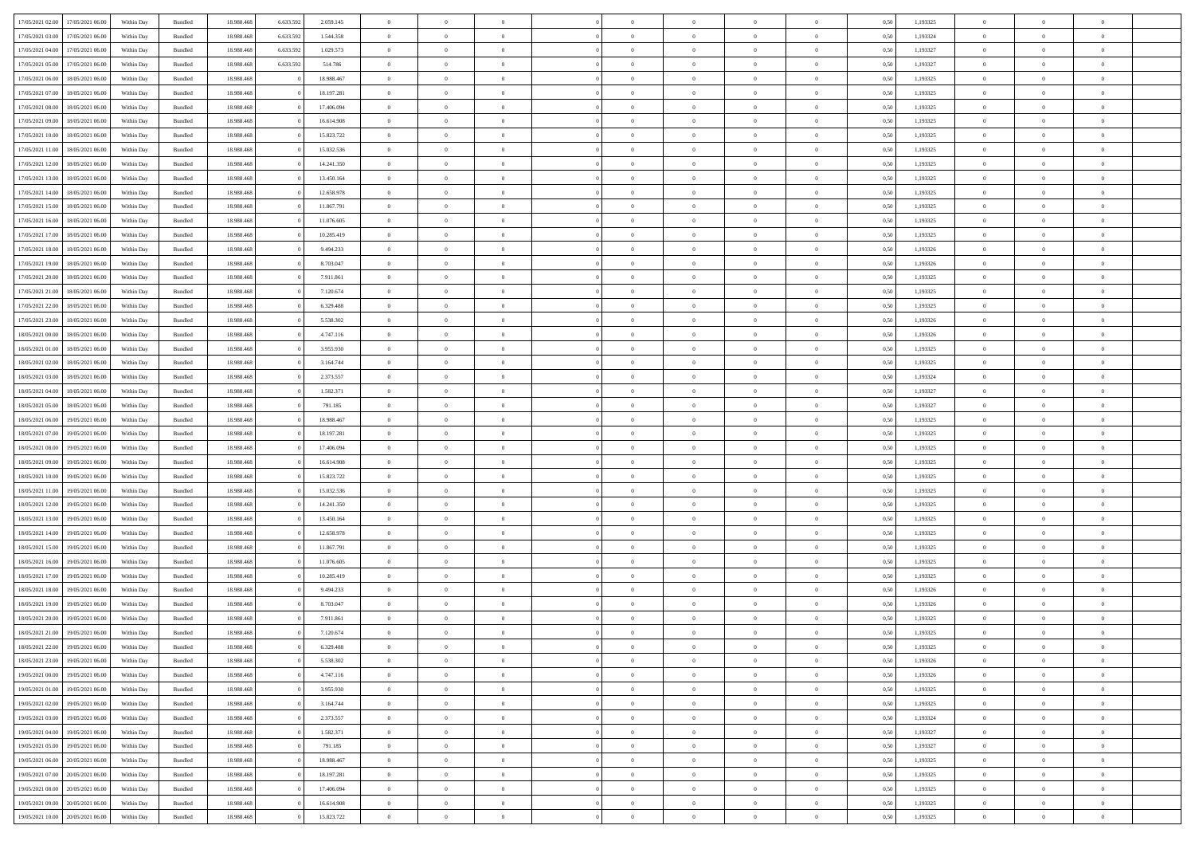|                                      |            |         |            |           |            | $\overline{0}$ | $\overline{0}$ |                | $\overline{0}$ | $\theta$       |                | $\theta$       |      |          | $\theta$       | $\theta$       | $\overline{0}$ |  |
|--------------------------------------|------------|---------|------------|-----------|------------|----------------|----------------|----------------|----------------|----------------|----------------|----------------|------|----------|----------------|----------------|----------------|--|
| 17/05/2021 02:00 17/05/2021 06:00    | Within Day | Bundled | 18.988.468 | 6.633.592 | 2.059.145  |                |                |                |                |                |                |                | 0,50 | 1,193325 |                |                |                |  |
| 17/05/2021 03:00<br>17/05/2021 06:00 | Within Day | Bundled | 18.988.46  | 6.633.59  | 1.544.358  | $\bf{0}$       | $\bf{0}$       | $\bf{0}$       | $\overline{0}$ | $\theta$       | $\overline{0}$ | $\bf{0}$       | 0,50 | 1,193324 | $\,$ 0 $\,$    | $\bf{0}$       | $\overline{0}$ |  |
| 17/05/2021 04:00<br>17/05/2021 06:00 | Within Day | Bundled | 18,988,468 | 6.633.592 | 1.029.573  | $\overline{0}$ | $\bf{0}$       | $\overline{0}$ | $\bf{0}$       | $\bf{0}$       | $\overline{0}$ | $\bf{0}$       | 0.50 | 1,193327 | $\bf{0}$       | $\overline{0}$ | $\overline{0}$ |  |
| 17/05/2021 05:00<br>17/05/2021 06:00 | Within Day | Bundled | 18.988.468 | 6.633.592 | 514.786    | $\overline{0}$ | $\overline{0}$ | $\overline{0}$ | $\overline{0}$ | $\theta$       | $\overline{0}$ | $\bf{0}$       | 0,50 | 1,193327 | $\theta$       | $\theta$       | $\overline{0}$ |  |
| 17/05/2021 06:00<br>18/05/2021 06:00 | Within Day | Bundled | 18.988.46  |           | 18.988.467 | $\bf{0}$       | $\overline{0}$ | $\overline{0}$ | $\overline{0}$ | $\theta$       | $\overline{0}$ | $\bf{0}$       | 0,50 | 1,193325 | $\theta$       | $\bf{0}$       | $\overline{0}$ |  |
|                                      |            |         |            |           |            |                |                |                |                |                |                |                |      |          |                |                |                |  |
| 17/05/2021 07:00<br>18/05/2021 06:00 | Within Day | Bundled | 18,988,468 |           | 18.197.281 | $\overline{0}$ | $\overline{0}$ | $\Omega$       | $\bf{0}$       | $\overline{0}$ | $\Omega$       | $\bf{0}$       | 0.50 | 1,193325 | $\bf{0}$       | $\theta$       | $\overline{0}$ |  |
| 17/05/2021 08:00<br>18/05/2021 06:00 | Within Day | Bundled | 18.988.468 |           | 17.406.094 | $\bf{0}$       | $\overline{0}$ | $\overline{0}$ | $\overline{0}$ | $\overline{0}$ | $\overline{0}$ | $\bf{0}$       | 0,50 | 1,193325 | $\,$ 0 $\,$    | $\theta$       | $\overline{0}$ |  |
| 17/05/2021 09:00<br>18/05/2021 06:00 | Within Day | Bundled | 18.988.46  |           | 16.614.908 | $\bf{0}$       | $\overline{0}$ | $\overline{0}$ | $\overline{0}$ | $\bf{0}$       | $\overline{0}$ | $\bf{0}$       | 0,50 | 1,193325 | $\theta$       | $\bf{0}$       | $\overline{0}$ |  |
| 17/05/2021 10:00<br>18/05/2021 06:00 | Within Day | Bundled | 18.988.468 |           | 15.823.722 | $\overline{0}$ | $\overline{0}$ | $\overline{0}$ | $\bf{0}$       | $\overline{0}$ | $\overline{0}$ | $\bf{0}$       | 0.50 | 1.193325 | $\theta$       | $\theta$       | $\overline{0}$ |  |
| 17/05/2021 11:00<br>18/05/2021 06:00 | Within Day | Bundled | 18.988.468 |           | 15.032.536 | $\bf{0}$       | $\bf{0}$       | $\overline{0}$ | $\overline{0}$ | $\overline{0}$ | $\overline{0}$ | $\bf{0}$       | 0,50 | 1,193325 | $\,$ 0 $\,$    | $\bf{0}$       | $\overline{0}$ |  |
| 17/05/2021 12:00<br>18/05/2021 06:00 | Within Day | Bundled | 18.988.46  |           | 14.241.350 | $\bf{0}$       | $\overline{0}$ | $\bf{0}$       | $\bf{0}$       | $\bf{0}$       | $\overline{0}$ | $\bf{0}$       | 0,50 | 1,193325 | $\,$ 0 $\,$    | $\bf{0}$       | $\overline{0}$ |  |
| 17/05/2021 13:00<br>18/05/2021 06:00 | Within Day | Bundled | 18,988,468 |           | 13.450.164 | $\overline{0}$ | $\overline{0}$ | $\overline{0}$ | $\bf{0}$       | $\bf{0}$       | $\overline{0}$ | $\bf{0}$       | 0.50 | 1,193325 | $\bf{0}$       | $\overline{0}$ | $\overline{0}$ |  |
|                                      |            |         |            |           |            | $\overline{0}$ | $\overline{0}$ | $\overline{0}$ | $\overline{0}$ | $\theta$       | $\overline{0}$ |                |      |          | $\,$ 0 $\,$    | $\theta$       | $\overline{0}$ |  |
| 17/05/2021 14:00<br>18/05/2021 06:00 | Within Day | Bundled | 18.988.468 |           | 12.658.978 |                |                |                |                |                |                | $\bf{0}$       | 0,50 | 1,193325 |                |                |                |  |
| 17/05/2021 15:00<br>18/05/2021 06:00 | Within Day | Bundled | 18.988.46  |           | 11.867.791 | $\overline{0}$ | $\theta$       | $\bf{0}$       | $\overline{0}$ | $\theta$       | $\overline{0}$ | $\bf{0}$       | 0,50 | 1,193325 | $\theta$       | $\bf{0}$       | $\overline{0}$ |  |
| 17/05/2021 16:00<br>18/05/2021 06:00 | Within Day | Bundled | 18.988.468 |           | 11.076.605 | $\overline{0}$ | $\overline{0}$ | $\overline{0}$ | $\bf{0}$       | $\theta$       | $\Omega$       | $\bf{0}$       | 0.50 | 1,193325 | $\theta$       | $\overline{0}$ | $\overline{0}$ |  |
| 17/05/2021 17:00<br>18/05/2021 06:00 | Within Day | Bundled | 18.988.468 |           | 10.285.419 | $\bf{0}$       | $\overline{0}$ | $\overline{0}$ | $\overline{0}$ | $\overline{0}$ | $\overline{0}$ | $\bf{0}$       | 0,50 | 1,193325 | $\theta$       | $\theta$       | $\overline{0}$ |  |
| 17/05/2021 18:00<br>18/05/2021 06:00 | Within Day | Bundled | 18.988.46  |           | 9.494.233  | $\bf{0}$       | $\overline{0}$ | $\overline{0}$ | $\overline{0}$ | $\theta$       | $\overline{0}$ | $\bf{0}$       | 0,50 | 1,193326 | $\,$ 0 $\,$    | $\theta$       | $\overline{0}$ |  |
| 17/05/2021 19:00<br>18/05/2021 06:00 | Within Day | Bundled | 18,988,468 |           | 8.703.047  | $\overline{0}$ | $\overline{0}$ | $\overline{0}$ | $\bf{0}$       | $\overline{0}$ | $\overline{0}$ | $\bf{0}$       | 0.50 | 1.193326 | $\bf{0}$       | $\overline{0}$ | $\overline{0}$ |  |
| 17/05/2021 20:00<br>18/05/2021 06:00 | Within Day | Bundled | 18.988.468 |           | 7.911.861  | $\bf{0}$       | $\bf{0}$       | $\overline{0}$ | $\overline{0}$ | $\overline{0}$ | $\overline{0}$ | $\bf{0}$       | 0,50 | 1,193325 | $\,$ 0 $\,$    | $\bf{0}$       | $\overline{0}$ |  |
| 17/05/2021 21:00<br>18/05/2021 06:00 | Within Day | Bundled | 18.988.46  |           | 7.120.674  | $\bf{0}$       | $\overline{0}$ | $\bf{0}$       | $\bf{0}$       | $\overline{0}$ | $\overline{0}$ | $\bf{0}$       | 0,50 | 1,193325 | $\,$ 0 $\,$    | $\bf{0}$       | $\overline{0}$ |  |
|                                      |            |         |            |           |            |                |                |                |                |                |                |                |      |          |                |                |                |  |
| 17/05/2021 22:00<br>18/05/2021 06:00 | Within Day | Bundled | 18,988,468 |           | 6.329.488  | $\overline{0}$ | $\overline{0}$ | $\overline{0}$ | $\bf{0}$       | $\overline{0}$ | $\overline{0}$ | $\bf{0}$       | 0.50 | 1,193325 | $\bf{0}$       | $\overline{0}$ | $\overline{0}$ |  |
| 17/05/2021 23:00<br>18/05/2021 06:00 | Within Day | Bundled | 18.988.468 |           | 5.538.302  | $\overline{0}$ | $\overline{0}$ | $\overline{0}$ | $\overline{0}$ | $\theta$       | $\overline{0}$ | $\bf{0}$       | 0,50 | 1,193326 | $\theta$       | $\theta$       | $\overline{0}$ |  |
| 18/05/2021 00:00<br>18/05/2021 06:00 | Within Day | Bundled | 18.988.46  |           | 4.747.116  | $\bf{0}$       | $\overline{0}$ | $\bf{0}$       | $\bf{0}$       | $\theta$       | $\overline{0}$ | $\bf{0}$       | 0,50 | 1,193326 | $\,$ 0 $\,$    | $\bf{0}$       | $\overline{0}$ |  |
| 18/05/2021 01:00<br>18/05/2021 06:00 | Within Day | Bundled | 18,988,468 |           | 3.955.930  | $\overline{0}$ | $\overline{0}$ | $\Omega$       | $\overline{0}$ | $\overline{0}$ | $\Omega$       | $\bf{0}$       | 0.50 | 1,193325 | $\bf{0}$       | $\theta$       | $\overline{0}$ |  |
| 18/05/2021 02:00<br>18/05/2021 06:00 | Within Day | Bundled | 18.988.468 |           | 3.164.744  | $\bf{0}$       | $\overline{0}$ | $\overline{0}$ | $\overline{0}$ | $\overline{0}$ | $\overline{0}$ | $\bf{0}$       | 0,50 | 1,193325 | $\,$ 0 $\,$    | $\theta$       | $\overline{0}$ |  |
| 18/05/2021 03:00<br>18/05/2021 06:00 | Within Day | Bundled | 18.988.46  |           | 2.373.557  | $\bf{0}$       | $\overline{0}$ | $\bf{0}$       | $\overline{0}$ | $\bf{0}$       | $\overline{0}$ | $\bf{0}$       | 0,50 | 1,193324 | $\theta$       | $\theta$       | $\overline{0}$ |  |
| 18/05/2021 04:00<br>18/05/2021 06:00 | Within Day | Bundled | 18,988,468 |           | 1.582.371  | $\overline{0}$ | $\overline{0}$ | $\overline{0}$ | $\bf{0}$       | $\overline{0}$ | $\overline{0}$ | $\bf{0}$       | 0.50 | 1,193327 | $\theta$       | $\theta$       | $\overline{0}$ |  |
| 18/05/2021 05:00<br>18/05/2021 06:00 | Within Day | Bundled | 18.988.468 |           | 791.185    | $\bf{0}$       | $\bf{0}$       | $\overline{0}$ | $\overline{0}$ | $\overline{0}$ | $\overline{0}$ | $\bf{0}$       | 0,50 | 1,193327 | $\,$ 0 $\,$    | $\bf{0}$       | $\overline{0}$ |  |
| 19/05/2021 06:00                     | Within Day | Bundled | 18.988.46  |           | 18.988.467 | $\bf{0}$       | $\bf{0}$       | $\bf{0}$       | $\bf{0}$       | $\overline{0}$ | $\overline{0}$ | $\bf{0}$       | 0,50 | 1,193325 | $\,$ 0 $\,$    | $\bf{0}$       | $\overline{0}$ |  |
| 18/05/2021 06:00                     |            |         |            |           |            |                |                |                |                |                |                |                |      |          |                |                |                |  |
| 18/05/2021 07:00<br>19/05/2021 06:00 | Within Day | Bundled | 18,988,468 |           | 18.197.281 | $\overline{0}$ | $\bf{0}$       | $\overline{0}$ | $\bf{0}$       | $\bf{0}$       | $\overline{0}$ | $\bf{0}$       | 0.50 | 1,193325 | $\bf{0}$       | $\overline{0}$ | $\overline{0}$ |  |
| 18/05/2021 08:00<br>19/05/2021 06:00 | Within Day | Bundled | 18.988.468 |           | 17.406.094 | $\overline{0}$ | $\overline{0}$ | $\overline{0}$ | $\overline{0}$ | $\overline{0}$ | $\overline{0}$ | $\bf{0}$       | 0.50 | 1,193325 | $\theta$       | $\theta$       | $\overline{0}$ |  |
| 18/05/2021 09:00<br>19/05/2021 06:00 | Within Day | Bundled | 18.988.46  |           | 16.614.908 | $\bf{0}$       | $\overline{0}$ | $\bf{0}$       | $\bf{0}$       | $\overline{0}$ | $\overline{0}$ | $\bf{0}$       | 0,50 | 1,193325 | $\,$ 0 $\,$    | $\bf{0}$       | $\overline{0}$ |  |
| 18/05/2021 10:00<br>19/05/2021 06:00 | Within Day | Bundled | 18.988.468 |           | 15.823.722 | $\overline{0}$ | $\overline{0}$ | $\overline{0}$ | $\bf{0}$       | $\theta$       | $\Omega$       | $\bf{0}$       | 0.50 | 1,193325 | $\theta$       | $\overline{0}$ | $\overline{0}$ |  |
| 18/05/2021 11:00<br>19/05/2021 06:00 | Within Day | Bundled | 18.988.468 |           | 15.032.536 | $\overline{0}$ | $\overline{0}$ | $\overline{0}$ | $\overline{0}$ | $\overline{0}$ | $\overline{0}$ | $\overline{0}$ | 0.50 | 1,193325 | $\theta$       | $\theta$       | $\overline{0}$ |  |
| 18/05/2021 12:00<br>19/05/2021 06:00 | Within Day | Bundled | 18.988.46  |           | 14.241.350 | $\bf{0}$       | $\overline{0}$ | $\overline{0}$ | $\overline{0}$ | $\bf{0}$       | $\overline{0}$ | $\bf{0}$       | 0,50 | 1,193325 | $\,$ 0 $\,$    | $\bf{0}$       | $\overline{0}$ |  |
| 18/05/2021 13:00<br>19/05/2021 06:00 | Within Day | Bundled | 18,988,468 |           | 13.450.164 | $\overline{0}$ | $\overline{0}$ | $\overline{0}$ | $\bf{0}$       | $\overline{0}$ | $\overline{0}$ | $\bf{0}$       | 0.50 | 1,193325 | $\bf{0}$       | $\overline{0}$ | $\overline{0}$ |  |
| 18/05/2021 14:00<br>19/05/2021 06:00 | Within Day | Bundled | 18.988.468 |           | 12.658.978 | $\overline{0}$ | $\overline{0}$ | $\overline{0}$ | $\overline{0}$ | $\overline{0}$ | $\overline{0}$ | $\overline{0}$ | 0.50 | 1,193325 | $\theta$       | $\theta$       | $\overline{0}$ |  |
|                                      |            |         |            |           |            |                |                |                |                |                |                |                |      |          |                |                |                |  |
| 18/05/2021 15:00<br>19/05/2021 06:00 | Within Day | Bundled | 18.988.46  |           | 11.867.791 | $\bf{0}$       | $\bf{0}$       | $\bf{0}$       | $\bf{0}$       | $\overline{0}$ | $\overline{0}$ | $\bf{0}$       | 0,50 | 1,193325 | $\,$ 0 $\,$    | $\bf{0}$       | $\overline{0}$ |  |
| 18/05/2021 16:00<br>19/05/2021 06:00 | Within Day | Bundled | 18,988,468 |           | 11.076.605 | $\overline{0}$ | $\bf{0}$       | $\overline{0}$ | $\bf{0}$       | $\overline{0}$ | $\overline{0}$ | $\bf{0}$       | 0.50 | 1,193325 | $\bf{0}$       | $\overline{0}$ | $\overline{0}$ |  |
| 18/05/2021 17:00<br>19/05/2021 06:00 | Within Day | Bundled | 18.988.468 |           | 10.285.419 | $\overline{0}$ | $\overline{0}$ | $\overline{0}$ | $\overline{0}$ | $\overline{0}$ | $\overline{0}$ | $\overline{0}$ | 0.50 | 1,193325 | $\theta$       | $\theta$       | $\overline{0}$ |  |
| 18/05/2021 18:00<br>19/05/2021 06:00 | Within Day | Bundled | 18.988.46  |           | 9.494.233  | $\bf{0}$       | $\overline{0}$ | $\bf{0}$       | $\bf{0}$       | $\overline{0}$ | $\overline{0}$ | $\bf{0}$       | 0,50 | 1,193326 | $\,$ 0 $\,$    | $\bf{0}$       | $\overline{0}$ |  |
| 18/05/2021 19:00<br>19/05/2021 06:00 | Within Day | Bundled | 18,988,468 |           | 8,703,047  | $\overline{0}$ | $\overline{0}$ | $\Omega$       | $\overline{0}$ | $\theta$       | $\theta$       | $\bf{0}$       | 0.50 | 1,193326 | $\bf{0}$       | $\overline{0}$ | $\overline{0}$ |  |
| 18/05/2021 20:00<br>19/05/2021 06:00 | Within Dav | Bundled | 18.988.468 |           | 7.911.861  | $\overline{0}$ | $\overline{0}$ | $\overline{0}$ | $\overline{0}$ | $\theta$       | $\Omega$       | $\overline{0}$ | 0.50 | 1,193325 | $\theta$       | $\theta$       | $\overline{0}$ |  |
| 18/05/2021 21:00<br>19/05/2021 06:00 | Within Day | Bundled | 18.988.46  |           | 7.120.674  | $\bf{0}$       | $\bf{0}$       | $\overline{0}$ | $\bf{0}$       | $\bf{0}$       | $\overline{0}$ | $\bf{0}$       | 0,50 | 1,193325 | $\,$ 0 $\,$    | $\bf{0}$       | $\overline{0}$ |  |
| 18/05/2021 22:00 19/05/2021 06:00    | Within Day | Bundled | 18.988.468 |           | 6.329.488  | $\overline{0}$ | $\Omega$       |                | $\Omega$       | $\Omega$       |                |                | 0,50 | 1,193325 | $\theta$       | $\overline{0}$ |                |  |
| 18/05/2021 23:00 19/05/2021 06:00    | Within Day | Bundled | 18.988.468 |           | 5.538.302  | $\overline{0}$ | $\overline{0}$ | $\overline{0}$ | $\overline{0}$ | $\overline{0}$ | $\overline{0}$ | $\bf{0}$       | 0,50 | 1,193326 | $\theta$       | $\overline{0}$ | $\overline{0}$ |  |
|                                      |            |         |            |           |            |                |                |                |                |                |                |                |      |          |                |                |                |  |
| 19/05/2021 00:00<br>19/05/2021 06:00 | Within Day | Bundled | 18.988.468 |           | 4.747.116  | $\overline{0}$ | $\bf{0}$       | $\overline{0}$ | $\overline{0}$ | $\bf{0}$       | $\overline{0}$ | $\bf{0}$       | 0,50 | 1,193326 | $\bf{0}$       | $\overline{0}$ | $\bf{0}$       |  |
| 19/05/2021 01:00 19/05/2021 06:00    | Within Day | Bundled | 18.988.468 |           | 3.955.930  | $\overline{0}$ | $\bf{0}$       | $\overline{0}$ | $\overline{0}$ | $\mathbf{0}$   | $\overline{0}$ | $\,$ 0 $\,$    | 0.50 | 1,193325 | $\overline{0}$ | $\bf{0}$       | $\,$ 0 $\,$    |  |
| 19/05/2021 02:00 19/05/2021 06:00    | Within Day | Bundled | 18.988.468 |           | 3.164.744  | $\overline{0}$ | $\overline{0}$ | $\overline{0}$ | $\overline{0}$ | $\overline{0}$ | $\overline{0}$ | $\bf{0}$       | 0,50 | 1,193325 | $\overline{0}$ | $\theta$       | $\overline{0}$ |  |
| 19/05/2021 03:00<br>19/05/2021 06:00 | Within Day | Bundled | 18.988.468 |           | 2.373.557  | $\overline{0}$ | $\bf{0}$       | $\overline{0}$ | $\overline{0}$ | $\bf{0}$       | $\overline{0}$ | $\bf{0}$       | 0,50 | 1,193324 | $\bf{0}$       | $\overline{0}$ | $\overline{0}$ |  |
| 19/05/2021 04:00<br>19/05/2021 06:00 | Within Day | Bundled | 18.988.468 |           | 1.582.371  | $\overline{0}$ | $\bf{0}$       | $\overline{0}$ | $\overline{0}$ | $\bf{0}$       | $\overline{0}$ | $\bf{0}$       | 0.50 | 1,193327 | $\,$ 0 $\,$    | $\theta$       | $\,$ 0         |  |
| 19/05/2021 05:00<br>19/05/2021 06:00 | Within Day | Bundled | 18.988.468 |           | 791.185    | $\overline{0}$ | $\overline{0}$ | $\overline{0}$ | $\overline{0}$ | $\overline{0}$ | $\overline{0}$ | $\bf{0}$       | 0,50 | 1,193327 | $\overline{0}$ | $\theta$       | $\overline{0}$ |  |
| 20/05/2021 06:00<br>19/05/2021 06:00 | Within Day | Bundled | 18.988.468 |           | 18.988.467 | $\overline{0}$ | $\overline{0}$ | $\overline{0}$ | $\overline{0}$ | $\overline{0}$ | $\overline{0}$ | $\bf{0}$       | 0,50 | 1,193325 | $\bf{0}$       | $\overline{0}$ | $\,$ 0         |  |
| 19/05/2021 07:00<br>20/05/2021 06:00 |            | Bundled | 18,988,468 |           | 18.197.281 | $\overline{0}$ | $\overline{0}$ | $\overline{0}$ |                | $\overline{0}$ | $\overline{0}$ |                | 0.50 | 1.193325 | $\overline{0}$ | $\,$ 0 $\,$    | $\,$ 0         |  |
|                                      | Within Day |         |            |           |            |                |                |                | $\overline{0}$ |                |                | $\bf{0}$       |      |          |                |                |                |  |
| 19/05/2021 08:00 20/05/2021 06:00    | Within Day | Bundled | 18.988.468 |           | 17.406.094 | $\overline{0}$ | $\overline{0}$ | $\overline{0}$ | $\overline{0}$ | $\overline{0}$ | $\overline{0}$ | $\bf{0}$       | 0,50 | 1,193325 | $\overline{0}$ | $\theta$       | $\overline{0}$ |  |
| 19/05/2021 09:00<br>20/05/2021 06:00 | Within Day | Bundled | 18.988.468 |           | 16.614.908 | $\overline{0}$ | $\bf{0}$       | $\overline{0}$ | $\overline{0}$ | $\overline{0}$ | $\overline{0}$ | $\bf{0}$       | 0,50 | 1,193325 | $\bf{0}$       | $\bf{0}$       | $\bf{0}$       |  |
| 19/05/2021 10:00 20/05/2021 06:00    | Within Day | Bundled | 18.988.468 |           | 15.823.722 | $\,$ 0 $\,$    | $\bf{0}$       | $\overline{0}$ | $\overline{0}$ | $\,$ 0 $\,$    | $\overline{0}$ | $\,$ 0 $\,$    | 0,50 | 1,193325 | $\overline{0}$ | $\,$ 0 $\,$    | $\,$ 0 $\,$    |  |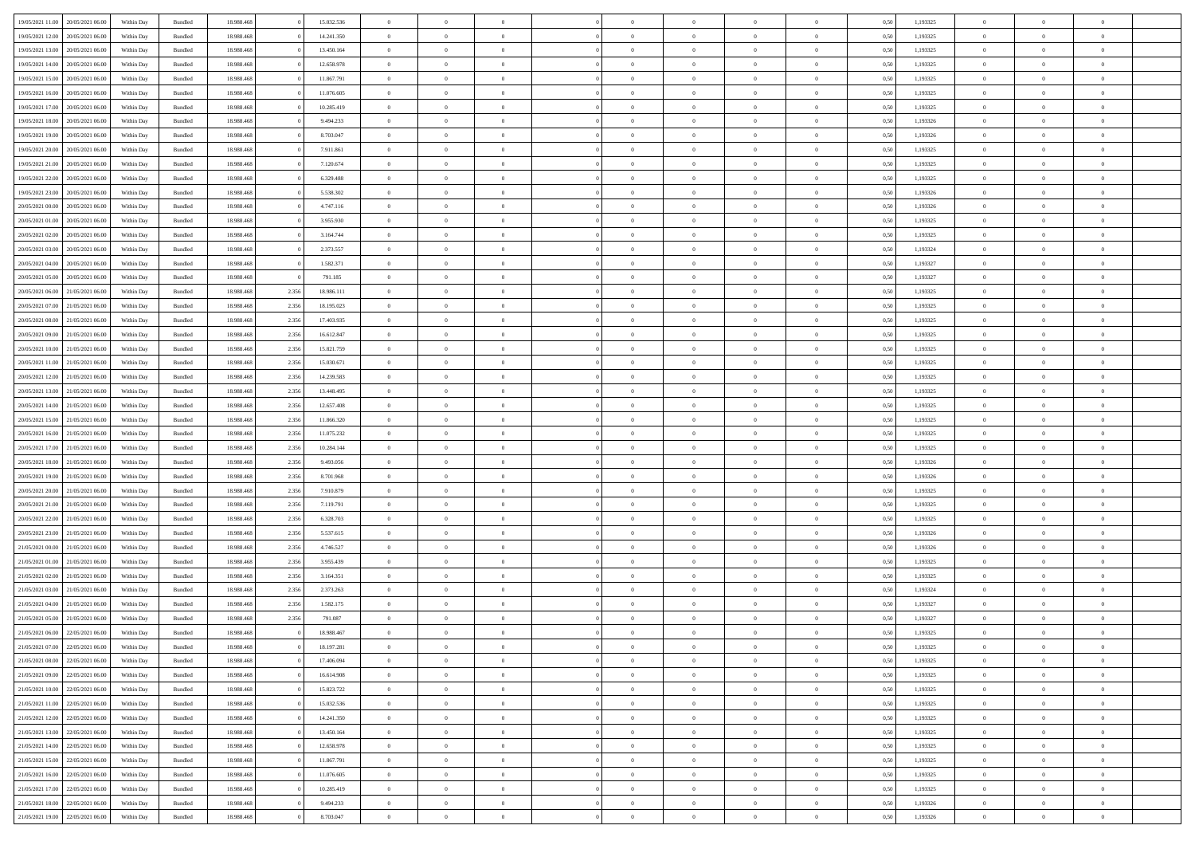| 19/05/2021 11:00 | 20/05/2021 06:00                  | Within Dav | Bundled            | 18.988.468 |       | 15.032.536 | $\overline{0}$ | $\theta$       |                | $\Omega$       | $\Omega$       | $\Omega$       | $\theta$       | 0.50 | 1,193325 | $\theta$       | $\overline{0}$ | $\theta$       |  |
|------------------|-----------------------------------|------------|--------------------|------------|-------|------------|----------------|----------------|----------------|----------------|----------------|----------------|----------------|------|----------|----------------|----------------|----------------|--|
|                  |                                   |            |                    |            |       |            |                |                |                |                |                |                |                |      |          |                |                |                |  |
| 19/05/2021 12:00 | 20/05/2021 06:00                  | Within Day | Bundled            | 18.988.468 |       | 14.241.350 | $\overline{0}$ | $\theta$       | $\overline{0}$ | $\overline{0}$ | $\bf{0}$       | $\overline{0}$ | $\overline{0}$ | 0,50 | 1,193325 | $\theta$       | $\overline{0}$ | $\overline{0}$ |  |
| 19/05/2021 13:00 | 20/05/2021 06:00                  | Within Day | Bundled            | 18.988.468 |       | 13.450.164 | $\overline{0}$ | $\overline{0}$ | $\overline{0}$ | $\bf{0}$       | $\bf{0}$       | $\overline{0}$ | $\bf{0}$       | 0,50 | 1,193325 | $\bf{0}$       | $\overline{0}$ | $\overline{0}$ |  |
| 19/05/2021 14:00 | 20/05/2021 06:00                  | Within Dav | Bundled            | 18.988.468 |       | 12.658.978 | $\overline{0}$ | $\overline{0}$ | $\overline{0}$ | $\overline{0}$ | $\bf{0}$       | $\overline{0}$ | $\overline{0}$ | 0.50 | 1,193325 | $\theta$       | $\theta$       | $\overline{0}$ |  |
|                  |                                   |            |                    |            |       |            |                |                |                |                |                |                |                |      |          |                |                |                |  |
| 19/05/2021 15:00 | 20/05/2021 06:00                  | Within Day | Bundled            | 18.988.468 |       | 11.867.791 | $\overline{0}$ | $\theta$       | $\overline{0}$ | $\overline{0}$ | $\bf{0}$       | $\overline{0}$ | $\bf{0}$       | 0,50 | 1,193325 | $\theta$       | $\theta$       | $\overline{0}$ |  |
| 19/05/2021 16:00 | 20/05/2021 06:00                  | Within Day | Bundled            | 18.988.468 |       | 11.076.605 | $\overline{0}$ | $\bf{0}$       | $\overline{0}$ | $\overline{0}$ | $\overline{0}$ | $\overline{0}$ | $\mathbf{0}$   | 0,50 | 1,193325 | $\bf{0}$       | $\overline{0}$ | $\bf{0}$       |  |
| 19/05/2021 17:00 | 20/05/2021 06:00                  | Within Dav | Bundled            | 18.988.468 |       | 10.285.419 | $\overline{0}$ | $\overline{0}$ | $\overline{0}$ | $\overline{0}$ | $\overline{0}$ | $\overline{0}$ | $\overline{0}$ | 0.50 | 1,193325 | $\theta$       | $\overline{0}$ | $\overline{0}$ |  |
| 19/05/2021 18:00 | 20/05/2021 06:00                  | Within Day | Bundled            | 18.988.468 |       | 9.494.233  | $\overline{0}$ | $\theta$       | $\overline{0}$ | $\overline{0}$ | $\bf{0}$       | $\overline{0}$ | $\bf{0}$       | 0,50 | 1,193326 | $\theta$       | $\theta$       | $\overline{0}$ |  |
| 19/05/2021 19:00 | 20/05/2021 06:00                  | Within Day | Bundled            | 18.988.468 |       | 8.703.047  | $\overline{0}$ | $\overline{0}$ | $\overline{0}$ | $\overline{0}$ | $\bf{0}$       | $\overline{0}$ | $\bf{0}$       | 0,50 | 1,193326 | $\,0\,$        | $\overline{0}$ | $\overline{0}$ |  |
|                  |                                   |            |                    |            |       |            |                |                |                |                |                |                |                |      |          |                |                |                |  |
| 19/05/2021 20:00 | 20/05/2021 06:00                  | Within Dav | Bundled            | 18.988.468 |       | 7.911.861  | $\overline{0}$ | $\overline{0}$ | $\overline{0}$ | $\overline{0}$ | $\overline{0}$ | $\overline{0}$ | $\overline{0}$ | 0.50 | 1,193325 | $\theta$       | $\overline{0}$ | $\overline{0}$ |  |
| 19/05/2021 21:00 | 20/05/2021 06:00                  | Within Day | Bundled            | 18.988.468 |       | 7.120.674  | $\overline{0}$ | $\theta$       | $\overline{0}$ | $\overline{0}$ | $\bf{0}$       | $\overline{0}$ | $\bf{0}$       | 0,50 | 1,193325 | $\theta$       | $\theta$       | $\overline{0}$ |  |
| 19/05/2021 22.00 | 20/05/2021 06:00                  | Within Day | Bundled            | 18.988.468 |       | 6.329.488  | $\overline{0}$ | $\overline{0}$ | $\overline{0}$ | $\overline{0}$ | $\bf{0}$       | $\bf{0}$       | $\bf{0}$       | 0,50 | 1,193325 | $\overline{0}$ | $\overline{0}$ | $\overline{0}$ |  |
| 19/05/2021 23:00 | 20/05/2021 06:00                  | Within Dav | Bundled            | 18.988.468 |       | 5.538.302  | $\overline{0}$ | $\overline{0}$ | $\overline{0}$ | $\overline{0}$ | $\bf{0}$       | $\overline{0}$ | $\overline{0}$ | 0.50 | 1,193326 | $\theta$       | $\theta$       | $\overline{0}$ |  |
| 20/05/2021 00:00 | 20/05/2021 06:00                  | Within Day | Bundled            | 18.988.468 |       | 4.747.116  | $\overline{0}$ | $\theta$       | $\overline{0}$ | $\overline{0}$ | $\bf{0}$       | $\overline{0}$ | $\overline{0}$ | 0,50 | 1,193326 | $\theta$       | $\overline{0}$ | $\overline{0}$ |  |
|                  |                                   |            |                    |            |       |            |                |                |                |                |                |                |                |      |          |                |                |                |  |
| 20/05/2021 01:00 | 20/05/2021 06:00                  | Within Day | Bundled            | 18.988.468 |       | 3.955.930  | $\overline{0}$ | $\bf{0}$       | $\overline{0}$ | $\bf{0}$       | $\overline{0}$ | $\overline{0}$ | $\mathbf{0}$   | 0,50 | 1,193325 | $\overline{0}$ | $\overline{0}$ | $\bf{0}$       |  |
| 20/05/2021 02:00 | 20/05/2021 06:00                  | Within Dav | Bundled            | 18.988.468 |       | 3.164.744  | $\overline{0}$ | $\overline{0}$ | $\overline{0}$ | $\overline{0}$ | $\overline{0}$ | $\overline{0}$ | $\overline{0}$ | 0.50 | 1,193325 | $\theta$       | $\overline{0}$ | $\overline{0}$ |  |
| 20/05/2021 03:00 | 20/05/2021 06:00                  | Within Day | Bundled            | 18.988.468 |       | 2.373.557  | $\overline{0}$ | $\theta$       | $\overline{0}$ | $\overline{0}$ | $\bf{0}$       | $\overline{0}$ | $\bf{0}$       | 0,50 | 1,193324 | $\theta$       | $\theta$       | $\overline{0}$ |  |
| 20/05/2021 04:00 | 20/05/2021 06:00                  | Within Day | Bundled            | 18.988.468 |       | 1.582.371  | $\overline{0}$ | $\overline{0}$ | $\overline{0}$ | $\bf{0}$       | $\bf{0}$       | $\bf{0}$       | $\bf{0}$       | 0,50 | 1,193327 | $\,0\,$        | $\overline{0}$ | $\overline{0}$ |  |
| 20/05/2021 05:00 | 20/05/2021 06:00                  | Within Dav | Bundled            | 18.988.468 |       | 791.185    | $\overline{0}$ | $\overline{0}$ | $\overline{0}$ | $\overline{0}$ | $\overline{0}$ | $\overline{0}$ | $\overline{0}$ | 0.50 | 1,193327 | $\theta$       | $\overline{0}$ | $\overline{0}$ |  |
|                  |                                   |            |                    |            |       |            |                |                |                |                |                |                |                |      |          |                |                |                |  |
| 20/05/2021 06:00 | 21/05/2021 06:00                  | Within Day | Bundled            | 18.988.468 | 2.356 | 18.986.111 | $\overline{0}$ | $\theta$       | $\overline{0}$ | $\overline{0}$ | $\bf{0}$       | $\overline{0}$ | $\bf{0}$       | 0,50 | 1,193325 | $\,$ 0 $\,$    | $\theta$       | $\overline{0}$ |  |
| 20/05/2021 07:00 | 21/05/2021 06:00                  | Within Day | Bundled            | 18.988.468 | 2.356 | 18.195.023 | $\overline{0}$ | $\overline{0}$ | $\overline{0}$ | $\bf{0}$       | $\bf{0}$       | $\bf{0}$       | $\bf{0}$       | 0,50 | 1,193325 | $\,0\,$        | $\overline{0}$ | $\overline{0}$ |  |
| 20/05/2021 08:00 | 21/05/2021 06:00                  | Within Day | Bundled            | 18.988.468 | 2.356 | 17.403.935 | $\overline{0}$ | $\overline{0}$ | $\overline{0}$ | $\overline{0}$ | $\bf{0}$       | $\overline{0}$ | $\overline{0}$ | 0.50 | 1,193325 | $\theta$       | $\theta$       | $\overline{0}$ |  |
| 20/05/2021 09:00 | 21/05/2021 06:00                  | Within Day | Bundled            | 18.988.468 | 2.356 | 16.612.847 | $\overline{0}$ | $\theta$       | $\overline{0}$ | $\overline{0}$ | $\bf{0}$       | $\overline{0}$ | $\bf{0}$       | 0,50 | 1,193325 | $\theta$       | $\overline{0}$ | $\overline{0}$ |  |
| 20/05/2021 10:00 | 21/05/2021 06:00                  | Within Day | Bundled            | 18.988.468 | 2.356 | 15.821.759 | $\overline{0}$ | $\bf{0}$       | $\overline{0}$ | $\bf{0}$       | $\overline{0}$ | $\overline{0}$ | $\mathbf{0}$   | 0,50 | 1,193325 | $\overline{0}$ | $\overline{0}$ | $\bf{0}$       |  |
|                  |                                   |            |                    |            |       |            |                |                |                |                |                |                |                |      |          |                |                |                |  |
| 20/05/2021 11:00 | 21/05/2021 06:00                  | Within Dav | Bundled            | 18.988.468 | 2.356 | 15.030.671 | $\overline{0}$ | $\overline{0}$ | $\overline{0}$ | $\overline{0}$ | $\overline{0}$ | $\overline{0}$ | $\overline{0}$ | 0.50 | 1,193325 | $\theta$       | $\overline{0}$ | $\overline{0}$ |  |
| 20/05/2021 12:00 | 21/05/2021 06:00                  | Within Day | Bundled            | 18.988.468 | 2.356 | 14.239.583 | $\overline{0}$ | $\theta$       | $\overline{0}$ | $\overline{0}$ | $\bf{0}$       | $\overline{0}$ | $\bf{0}$       | 0,50 | 1,193325 | $\theta$       | $\theta$       | $\overline{0}$ |  |
| 20/05/2021 13:00 | 21/05/2021 06:00                  | Within Day | Bundled            | 18.988.468 | 2.356 | 13.448.495 | $\overline{0}$ | $\overline{0}$ | $\overline{0}$ | $\bf{0}$       | $\bf{0}$       | $\bf{0}$       | $\bf{0}$       | 0,50 | 1,193325 | $\,0\,$        | $\overline{0}$ | $\overline{0}$ |  |
| 20/05/2021 14:00 | 21/05/2021 06:00                  | Within Day | Bundled            | 18.988.468 | 2.356 | 12.657.408 | $\overline{0}$ | $\overline{0}$ | $\overline{0}$ | $\overline{0}$ | $\overline{0}$ | $\overline{0}$ | $\overline{0}$ | 0.50 | 1,193325 | $\theta$       | $\overline{0}$ | $\overline{0}$ |  |
| 20/05/2021 15:00 | 21/05/2021 06:00                  | Within Day | Bundled            | 18.988.468 | 2.356 | 11.866.320 | $\overline{0}$ | $\theta$       | $\overline{0}$ | $\overline{0}$ | $\bf{0}$       | $\overline{0}$ | $\bf{0}$       | 0,50 | 1,193325 | $\,$ 0 $\,$    | $\theta$       | $\overline{0}$ |  |
| 20/05/2021 16:00 | 21/05/2021 06:00                  | Within Day | Bundled            | 18.988.468 | 2.356 | 11.075.232 | $\overline{0}$ | $\overline{0}$ | $\overline{0}$ | $\bf{0}$       | $\bf{0}$       | $\bf{0}$       | $\bf{0}$       | 0,50 | 1,193325 | $\bf{0}$       | $\overline{0}$ | $\overline{0}$ |  |
|                  |                                   |            |                    |            |       |            |                |                |                |                |                |                |                |      |          |                |                | $\theta$       |  |
| 20/05/2021 17:00 | 21/05/2021 06:00                  | Within Day | Bundled            | 18.988.468 | 2.356 | 10.284.144 | $\overline{0}$ | $\Omega$       | $\Omega$       | $\Omega$       | $\Omega$       | $\overline{0}$ | $\overline{0}$ | 0.50 | 1,193325 | $\,0\,$        | $\theta$       |                |  |
| 20/05/2021 18:00 | 21/05/2021 06:00                  | Within Day | Bundled            | 18.988.468 | 2.356 | 9.493.056  | $\overline{0}$ | $\theta$       | $\overline{0}$ | $\overline{0}$ | $\bf{0}$       | $\overline{0}$ | $\bf{0}$       | 0,50 | 1,193326 | $\theta$       | $\theta$       | $\overline{0}$ |  |
| 20/05/2021 19:00 | 21/05/2021 06:00                  | Within Day | Bundled            | 18.988.468 | 2.356 | 8.701.968  | $\overline{0}$ | $\bf{0}$       | $\overline{0}$ | $\bf{0}$       | $\bf{0}$       | $\overline{0}$ | $\mathbf{0}$   | 0,50 | 1,193326 | $\overline{0}$ | $\overline{0}$ | $\bf{0}$       |  |
| 20/05/2021 20:00 | 21/05/2021 06:00                  | Within Day | Bundled            | 18.988.468 | 2.356 | 7.910.879  | $\overline{0}$ | $\Omega$       | $\Omega$       | $\Omega$       | $\bf{0}$       | $\overline{0}$ | $\overline{0}$ | 0.50 | 1,193325 | $\,0\,$        | $\theta$       | $\theta$       |  |
| 20/05/2021 21:00 | 21/05/2021 06:00                  | Within Day | Bundled            | 18.988.468 | 2.356 | 7.119.791  | $\overline{0}$ | $\theta$       | $\overline{0}$ | $\overline{0}$ | $\bf{0}$       | $\overline{0}$ | $\bf{0}$       | 0,50 | 1,193325 | $\theta$       | $\theta$       | $\overline{0}$ |  |
| 20/05/2021 22:00 | 21/05/2021 06:00                  | Within Day | Bundled            | 18.988.468 | 2.356 | 6.328.703  | $\overline{0}$ | $\overline{0}$ | $\overline{0}$ | $\bf{0}$       | $\bf{0}$       | $\bf{0}$       | $\bf{0}$       | 0,50 | 1,193325 | $\,0\,$        | $\overline{0}$ | $\overline{0}$ |  |
|                  |                                   |            |                    |            |       |            |                |                |                |                |                |                |                |      |          |                |                |                |  |
| 20/05/2021 23:00 | 21/05/2021 06:00                  | Within Day | Bundled            | 18.988.468 | 2.356 | 5.537.615  | $\overline{0}$ | $\Omega$       | $\Omega$       | $\Omega$       | $\theta$       | $\theta$       | $\overline{0}$ | 0.50 | 1,193326 | $\theta$       | $\theta$       | $\theta$       |  |
| 21/05/2021 00:00 | 21/05/2021 06:00                  | Within Day | Bundled            | 18.988.468 | 2.356 | 4.746.527  | $\overline{0}$ | $\theta$       | $\overline{0}$ | $\overline{0}$ | $\bf{0}$       | $\overline{0}$ | $\bf{0}$       | 0,50 | 1,193326 | $\,$ 0 $\,$    | $\overline{0}$ | $\overline{0}$ |  |
| 21/05/2021 01:00 | 21/05/2021 06:00                  | Within Day | Bundled            | 18.988.468 | 2.356 | 3.955.439  | $\overline{0}$ | $\overline{0}$ | $\overline{0}$ | $\bf{0}$       | $\bf{0}$       | $\bf{0}$       | $\bf{0}$       | 0,50 | 1,193325 | $\overline{0}$ | $\overline{0}$ | $\overline{0}$ |  |
| 21/05/2021 02:00 | 21/05/2021 06:00                  | Within Day | Bundled            | 18.988.468 | 2.356 | 3.164.351  | $\overline{0}$ | $\Omega$       | $\Omega$       | $\Omega$       | $\overline{0}$ | $\overline{0}$ | $\overline{0}$ | 0.50 | 1,193325 | $\,0\,$        | $\theta$       | $\theta$       |  |
| 21/05/2021 03:00 | 21/05/2021 06:00                  | Within Day | Bundled            | 18.988.468 | 2.356 | 2.373.263  | $\overline{0}$ | $\theta$       | $\overline{0}$ | $\overline{0}$ | $\bf{0}$       | $\overline{0}$ | $\bf{0}$       | 0,50 | 1,193324 | $\,$ 0 $\,$    | $\overline{0}$ | $\overline{0}$ |  |
| 21/05/2021 04:00 | 21/05/2021 06:00                  | Within Day | Bundled            | 18.988.468 | 2.356 | 1.582.175  | $\overline{0}$ | $\overline{0}$ | $\overline{0}$ | $\bf{0}$       | $\bf{0}$       | $\bf{0}$       | $\mathbf{0}$   | 0,50 | 1,193327 | $\overline{0}$ | $\overline{0}$ | $\bf{0}$       |  |
|                  |                                   |            |                    |            |       |            |                |                |                |                |                |                |                |      |          |                |                |                |  |
| 21/05/2021 05:00 | 21/05/2021 06:00                  | Within Day | Bundled            | 18.988.468 | 2.356 | 791.087    | $\overline{0}$ | $\Omega$       | $\Omega$       | $\Omega$       | $\Omega$       | $\Omega$       | $\overline{0}$ | 0.50 | 1,193327 | $\theta$       | $\theta$       | $\theta$       |  |
| 21/05/2021 06:00 | 22/05/2021 06:00                  | Within Day | Bundled            | 18.988.468 |       | 18.988.467 | $\overline{0}$ | $\overline{0}$ | $\overline{0}$ | $\bf{0}$       | $\,$ 0         | $\bf{0}$       | $\bf{0}$       | 0,50 | 1,193325 | $\,0\,$        | $\overline{0}$ | $\overline{0}$ |  |
| 21/05/2021 07:00 | 22/05/2021 06:00                  | Within Day | $\mathbf B$ undled | 18.988.468 |       | 18.197.281 | $\bf{0}$       | $\bf{0}$       |                |                |                |                |                | 0,50 | 1,193325 | $\bf{0}$       | $\overline{0}$ |                |  |
| 21/05/2021 08:00 | 22/05/2021 06:00                  | Within Day | Bundled            | 18,988,468 |       | 17.406.094 | $\overline{0}$ | $\Omega$       | $\overline{0}$ | $\Omega$       | $\theta$       | $\overline{0}$ | $\overline{0}$ | 0.50 | 1,193325 | $\theta$       | $\theta$       | $\theta$       |  |
| 21/05/2021 09:00 | 22/05/2021 06:00                  | Within Day | Bundled            | 18.988.468 |       | 16.614.908 | $\overline{0}$ | $\,$ 0         | $\overline{0}$ | $\bf{0}$       | $\,$ 0 $\,$    | $\overline{0}$ | $\mathbf{0}$   | 0,50 | 1,193325 | $\,$ 0 $\,$    | $\overline{0}$ | $\,$ 0         |  |
| 21/05/2021 10:00 | 22/05/2021 06:00                  | Within Day | Bundled            | 18.988.468 |       | 15.823.722 | $\overline{0}$ | $\overline{0}$ | $\overline{0}$ | $\overline{0}$ | $\overline{0}$ | $\overline{0}$ | $\mathbf{0}$   | 0,50 | 1,193325 | $\overline{0}$ | $\bf{0}$       | $\bf{0}$       |  |
|                  |                                   |            |                    |            |       |            |                |                |                |                |                |                |                |      |          |                |                |                |  |
| 21/05/2021 11:00 | 22/05/2021 06:00                  | Within Day | Bundled            | 18.988.468 |       | 15.032.536 | $\overline{0}$ | $\theta$       | $\overline{0}$ | $\Omega$       | $\overline{0}$ | $\overline{0}$ | $\bf{0}$       | 0,50 | 1,193325 | $\overline{0}$ | $\theta$       | $\overline{0}$ |  |
| 21/05/2021 12:00 | 22/05/2021 06:00                  | Within Day | Bundled            | 18.988.468 |       | 14.241.350 | $\overline{0}$ | $\,$ 0         | $\overline{0}$ | $\overline{0}$ | $\overline{0}$ | $\bf{0}$       | $\bf{0}$       | 0,50 | 1,193325 | $\,$ 0 $\,$    | $\overline{0}$ | $\overline{0}$ |  |
| 21/05/2021 13:00 | 22/05/2021 06:00                  | Within Day | Bundled            | 18.988.468 |       | 13.450.164 | $\overline{0}$ | $\overline{0}$ | $\overline{0}$ | $\overline{0}$ | $\overline{0}$ | $\overline{0}$ | $\mathbf{0}$   | 0,50 | 1,193325 | $\overline{0}$ | $\overline{0}$ | $\bf{0}$       |  |
| 21/05/2021 14:00 | 22/05/2021 06:00                  | Within Day | Bundled            | 18.988.468 |       | 12.658.978 | $\overline{0}$ | $\overline{0}$ | $\overline{0}$ | $\Omega$       | $\overline{0}$ | $\overline{0}$ | $\bf{0}$       | 0.50 | 1,193325 | $\overline{0}$ | $\theta$       | $\overline{0}$ |  |
| 21/05/2021 15:00 | 22/05/2021 06:00                  | Within Day | Bundled            | 18.988.468 |       | 11.867.791 | $\overline{0}$ | $\,$ 0         | $\overline{0}$ | $\overline{0}$ | $\bf{0}$       | $\bf{0}$       | $\bf{0}$       | 0,50 | 1,193325 | $\,$ 0 $\,$    | $\overline{0}$ | $\overline{0}$ |  |
|                  |                                   |            |                    |            |       |            |                |                |                |                |                |                |                |      |          |                |                |                |  |
| 21/05/2021 16:00 | 22/05/2021 06:00                  | Within Day | Bundled            | 18.988.468 |       | 11.076.605 | $\overline{0}$ | $\bf{0}$       | $\overline{0}$ | $\overline{0}$ | $\overline{0}$ | $\bf{0}$       | $\mathbf{0}$   | 0,50 | 1,193325 | $\overline{0}$ | $\overline{0}$ | $\bf{0}$       |  |
| 21/05/2021 17:00 | 22/05/2021 06:00                  | Within Day | Bundled            | 18,988,468 |       | 10.285.419 | $\overline{0}$ | $\overline{0}$ | $\overline{0}$ | $\Omega$       | $\overline{0}$ | $\overline{0}$ | $\bf{0}$       | 0.50 | 1,193325 | $\overline{0}$ | $\theta$       | $\overline{0}$ |  |
| 21/05/2021 18:00 | 22/05/2021 06:00                  | Within Day | Bundled            | 18.988.468 |       | 9.494.233  | $\overline{0}$ | $\,$ 0 $\,$    | $\overline{0}$ | $\overline{0}$ | $\bf{0}$       | $\bf{0}$       | $\bf{0}$       | 0,50 | 1,193326 | $\,$ 0 $\,$    | $\overline{0}$ | $\overline{0}$ |  |
|                  | 21/05/2021 19:00 22/05/2021 06:00 | Within Day | Bundled            | 18.988.468 |       | 8.703.047  | $\overline{0}$ | $\overline{0}$ | $\overline{0}$ | $\overline{0}$ | $\bf{0}$       | $\bf{0}$       | $\mathbf{0}$   | 0,50 | 1,193326 | $\overline{0}$ | $\bf{0}$       | $\bf{0}$       |  |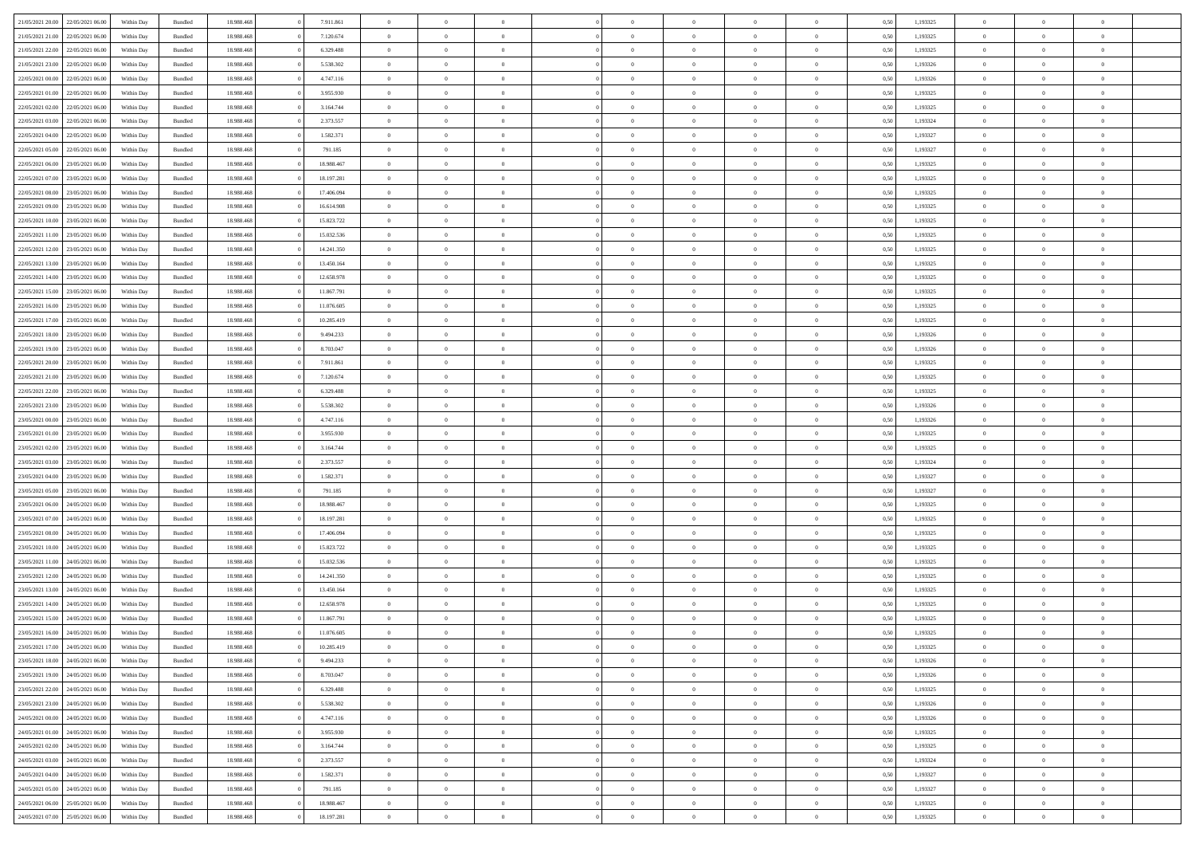|                                   |                  |            |                    |            |            | $\overline{0}$ |                |                |                | $\Omega$       | $\Omega$       | $\theta$       |      |          | $\theta$       | $\overline{0}$ | $\theta$       |  |
|-----------------------------------|------------------|------------|--------------------|------------|------------|----------------|----------------|----------------|----------------|----------------|----------------|----------------|------|----------|----------------|----------------|----------------|--|
| 21/05/2021 20:00                  | 22/05/2021 06:00 | Within Dav | Bundled            | 18.988.468 | 7.911.861  |                | $\theta$       |                | $\Omega$       |                |                |                | 0.50 | 1,193325 |                |                |                |  |
| 21/05/2021 21:00                  | 22/05/2021 06:00 | Within Day | Bundled            | 18.988.468 | 7.120.674  | $\overline{0}$ | $\theta$       | $\overline{0}$ | $\overline{0}$ | $\bf{0}$       | $\overline{0}$ | $\overline{0}$ | 0,50 | 1,193325 | $\theta$       | $\overline{0}$ | $\overline{0}$ |  |
| 21/05/2021 22:00                  | 22/05/2021 06:00 | Within Day | Bundled            | 18.988.468 | 6.329.488  | $\overline{0}$ | $\overline{0}$ | $\overline{0}$ | $\bf{0}$       | $\bf{0}$       | $\bf{0}$       | $\bf{0}$       | 0,50 | 1,193325 | $\bf{0}$       | $\overline{0}$ | $\overline{0}$ |  |
| 21/05/2021 23:00                  | 22/05/2021 06:00 | Within Dav | Bundled            | 18.988.468 | 5.538.302  | $\overline{0}$ | $\theta$       | $\overline{0}$ | $\overline{0}$ | $\bf{0}$       | $\overline{0}$ | $\overline{0}$ | 0.50 | 1,193326 | $\theta$       | $\theta$       | $\overline{0}$ |  |
|                                   |                  |            |                    |            |            |                |                |                |                |                |                |                |      |          |                |                |                |  |
| 22/05/2021 00:00                  | 22/05/2021 06:00 | Within Day | Bundled            | 18.988.468 | 4.747.116  | $\overline{0}$ | $\theta$       | $\overline{0}$ | $\overline{0}$ | $\bf{0}$       | $\overline{0}$ | $\bf{0}$       | 0,50 | 1,193326 | $\theta$       | $\theta$       | $\overline{0}$ |  |
| 22/05/2021 01:00                  | 22/05/2021 06:00 | Within Day | Bundled            | 18.988.468 | 3.955.930  | $\overline{0}$ | $\bf{0}$       | $\overline{0}$ | $\bf{0}$       | $\overline{0}$ | $\overline{0}$ | $\mathbf{0}$   | 0,50 | 1,193325 | $\bf{0}$       | $\overline{0}$ | $\bf{0}$       |  |
| 22/05/2021 02:00                  | 22/05/2021 06:00 | Within Dav | Bundled            | 18.988.468 | 3.164.744  | $\overline{0}$ | $\overline{0}$ | $\overline{0}$ | $\overline{0}$ | $\bf{0}$       | $\overline{0}$ | $\overline{0}$ | 0.50 | 1,193325 | $\theta$       | $\overline{0}$ | $\overline{0}$ |  |
| 22/05/2021 03:00                  | 22/05/2021 06:00 | Within Day | Bundled            | 18.988.468 | 2.373.557  | $\overline{0}$ | $\theta$       | $\overline{0}$ | $\overline{0}$ | $\bf{0}$       | $\overline{0}$ | $\bf{0}$       | 0,50 | 1,193324 | $\theta$       | $\theta$       | $\overline{0}$ |  |
| 22/05/2021 04:00                  | 22/05/2021 06:00 | Within Day | Bundled            | 18.988.468 | 1.582.371  | $\overline{0}$ | $\overline{0}$ | $\overline{0}$ | $\bf{0}$       | $\bf{0}$       | $\bf{0}$       | $\bf{0}$       | 0,50 | 1,193327 | $\,0\,$        | $\overline{0}$ | $\overline{0}$ |  |
|                                   |                  |            |                    |            |            |                |                |                |                |                |                |                |      |          |                |                |                |  |
| 22/05/2021 05:00                  | 22/05/2021 06:00 | Within Dav | Bundled            | 18.988.468 | 791.185    | $\overline{0}$ | $\overline{0}$ | $\overline{0}$ | $\overline{0}$ | $\overline{0}$ | $\overline{0}$ | $\overline{0}$ | 0.50 | 1,193327 | $\theta$       | $\overline{0}$ | $\overline{0}$ |  |
| 22/05/2021 06:00                  | 23/05/2021 06:00 | Within Day | Bundled            | 18.988.468 | 18.988.467 | $\overline{0}$ | $\theta$       | $\overline{0}$ | $\overline{0}$ | $\bf{0}$       | $\overline{0}$ | $\bf{0}$       | 0,50 | 1,193325 | $\theta$       | $\theta$       | $\overline{0}$ |  |
| 22/05/2021 07:00                  | 23/05/2021 06:00 | Within Day | Bundled            | 18.988.468 | 18.197.281 | $\overline{0}$ | $\overline{0}$ | $\overline{0}$ | $\bf{0}$       | $\bf{0}$       | $\bf{0}$       | $\bf{0}$       | 0,50 | 1,193325 | $\bf{0}$       | $\overline{0}$ | $\overline{0}$ |  |
| 22/05/2021 08:00                  | 23/05/2021 06:00 | Within Dav | Bundled            | 18.988.468 | 17.406.094 | $\overline{0}$ | $\theta$       | $\overline{0}$ | $\overline{0}$ | $\bf{0}$       | $\overline{0}$ | $\overline{0}$ | 0.50 | 1,193325 | $\theta$       | $\theta$       | $\overline{0}$ |  |
| 22/05/2021 09:00                  | 23/05/2021 06:00 | Within Day | Bundled            | 18.988.468 | 16.614.908 | $\overline{0}$ | $\theta$       | $\overline{0}$ | $\overline{0}$ | $\bf{0}$       | $\overline{0}$ | $\overline{0}$ | 0,50 | 1,193325 | $\theta$       | $\theta$       | $\overline{0}$ |  |
|                                   |                  |            |                    |            |            |                |                |                |                |                |                |                |      |          |                |                |                |  |
| 22/05/2021 10:00                  | 23/05/2021 06:00 | Within Day | Bundled            | 18.988.468 | 15.823.722 | $\overline{0}$ | $\overline{0}$ | $\overline{0}$ | $\bf{0}$       | $\overline{0}$ | $\overline{0}$ | $\mathbf{0}$   | 0,50 | 1,193325 | $\overline{0}$ | $\overline{0}$ | $\bf{0}$       |  |
| 22/05/2021 11:00                  | 23/05/2021 06:00 | Within Dav | Bundled            | 18.988.468 | 15.032.536 | $\overline{0}$ | $\overline{0}$ | $\overline{0}$ | $\overline{0}$ | $\bf{0}$       | $\overline{0}$ | $\overline{0}$ | 0.50 | 1,193325 | $\theta$       | $\overline{0}$ | $\overline{0}$ |  |
| 22/05/2021 12:00                  | 23/05/2021 06:00 | Within Day | Bundled            | 18.988.468 | 14.241.350 | $\overline{0}$ | $\theta$       | $\overline{0}$ | $\overline{0}$ | $\bf{0}$       | $\overline{0}$ | $\bf{0}$       | 0,50 | 1,193325 | $\theta$       | $\theta$       | $\overline{0}$ |  |
| 22/05/2021 13:00                  | 23/05/2021 06:00 | Within Day | Bundled            | 18.988.468 | 13.450.164 | $\overline{0}$ | $\overline{0}$ | $\overline{0}$ | $\bf{0}$       | $\bf{0}$       | $\bf{0}$       | $\bf{0}$       | 0,50 | 1,193325 | $\,0\,$        | $\overline{0}$ | $\overline{0}$ |  |
| 22/05/2021 14:00                  | 23/05/2021 06:00 | Within Day | Bundled            | 18.988.468 | 12.658.978 | $\overline{0}$ | $\overline{0}$ | $\overline{0}$ | $\overline{0}$ | $\overline{0}$ | $\overline{0}$ | $\overline{0}$ | 0.50 | 1,193325 | $\theta$       | $\overline{0}$ | $\overline{0}$ |  |
|                                   |                  |            |                    |            |            |                |                |                |                |                |                |                |      |          |                |                |                |  |
| 22/05/2021 15:00                  | 23/05/2021 06:00 | Within Day | Bundled            | 18.988.468 | 11.867.791 | $\overline{0}$ | $\theta$       | $\overline{0}$ | $\overline{0}$ | $\bf{0}$       | $\overline{0}$ | $\bf{0}$       | 0,50 | 1,193325 | $\theta$       | $\theta$       | $\overline{0}$ |  |
| 22/05/2021 16:00                  | 23/05/2021 06:00 | Within Day | Bundled            | 18.988.468 | 11.076.605 | $\overline{0}$ | $\overline{0}$ | $\overline{0}$ | $\bf{0}$       | $\bf{0}$       | $\bf{0}$       | $\bf{0}$       | 0,50 | 1,193325 | $\,0\,$        | $\overline{0}$ | $\overline{0}$ |  |
| 22/05/2021 17:00                  | 23/05/2021 06:00 | Within Day | Bundled            | 18.988.468 | 10.285.419 | $\overline{0}$ | $\overline{0}$ | $\overline{0}$ | $\overline{0}$ | $\bf{0}$       | $\overline{0}$ | $\overline{0}$ | 0.50 | 1,193325 | $\theta$       | $\theta$       | $\overline{0}$ |  |
| 22/05/2021 18:00                  | 23/05/2021 06:00 | Within Day | Bundled            | 18.988.468 | 9.494.233  | $\overline{0}$ | $\theta$       | $\overline{0}$ | $\overline{0}$ | $\bf{0}$       | $\overline{0}$ | $\bf{0}$       | 0,50 | 1,193326 | $\theta$       | $\overline{0}$ | $\overline{0}$ |  |
|                                   |                  |            |                    |            |            |                |                |                |                |                |                |                |      |          |                |                |                |  |
| 22/05/2021 19:00                  | 23/05/2021 06:00 | Within Day | Bundled            | 18.988.468 | 8.703.047  | $\overline{0}$ | $\overline{0}$ | $\overline{0}$ | $\bf{0}$       | $\overline{0}$ | $\bf{0}$       | $\mathbf{0}$   | 0,50 | 1,193326 | $\overline{0}$ | $\overline{0}$ | $\bf{0}$       |  |
| 22/05/2021 20:00                  | 23/05/2021 06:00 | Within Dav | Bundled            | 18.988.468 | 7.911.861  | $\overline{0}$ | $\overline{0}$ | $\overline{0}$ | $\overline{0}$ | $\overline{0}$ | $\overline{0}$ | $\overline{0}$ | 0.50 | 1,193325 | $\theta$       | $\theta$       | $\overline{0}$ |  |
| 22/05/2021 21:00                  | 23/05/2021 06:00 | Within Day | Bundled            | 18.988.468 | 7.120.674  | $\overline{0}$ | $\theta$       | $\overline{0}$ | $\overline{0}$ | $\bf{0}$       | $\overline{0}$ | $\bf{0}$       | 0,50 | 1,193325 | $\theta$       | $\theta$       | $\overline{0}$ |  |
| 22/05/2021 22:00                  | 23/05/2021 06:00 | Within Day | Bundled            | 18.988.468 | 6.329.488  | $\overline{0}$ | $\overline{0}$ | $\overline{0}$ | $\bf{0}$       | $\bf{0}$       | $\bf{0}$       | $\bf{0}$       | 0,50 | 1,193325 | $\,0\,$        | $\overline{0}$ | $\overline{0}$ |  |
| 22/05/2021 23:00                  | 23/05/2021 06:00 | Within Day | Bundled            | 18.988.468 | 5.538.302  | $\overline{0}$ | $\overline{0}$ | $\overline{0}$ | $\overline{0}$ | $\bf{0}$       | $\overline{0}$ | $\overline{0}$ | 0.50 | 1,193326 | $\theta$       | $\overline{0}$ | $\overline{0}$ |  |
|                                   |                  |            |                    |            |            |                |                |                |                |                |                |                |      |          |                |                |                |  |
| 23/05/2021 00:00                  | 23/05/2021 06:00 | Within Day | Bundled            | 18.988.468 | 4.747.116  | $\overline{0}$ | $\theta$       | $\overline{0}$ | $\overline{0}$ | $\bf{0}$       | $\overline{0}$ | $\bf{0}$       | 0,50 | 1,193326 | $\,$ 0 $\,$    | $\theta$       | $\overline{0}$ |  |
| 23/05/2021 01:00                  | 23/05/2021 06:00 | Within Day | Bundled            | 18.988.468 | 3.955.930  | $\overline{0}$ | $\overline{0}$ | $\overline{0}$ | $\bf{0}$       | $\bf{0}$       | $\bf{0}$       | $\bf{0}$       | 0,50 | 1,193325 | $\bf{0}$       | $\overline{0}$ | $\overline{0}$ |  |
| 23/05/2021 02:00                  | 23/05/2021 06:00 | Within Day | Bundled            | 18.988.468 | 3.164.744  | $\overline{0}$ | $\Omega$       | $\Omega$       | $\Omega$       | $\Omega$       | $\Omega$       | $\overline{0}$ | 0.50 | 1,193325 | $\,0\,$        | $\Omega$       | $\theta$       |  |
| 23/05/2021 03:00                  | 23/05/2021 06:00 | Within Day | Bundled            | 18.988.468 | 2.373.557  | $\overline{0}$ | $\theta$       | $\overline{0}$ | $\overline{0}$ | $\bf{0}$       | $\overline{0}$ | $\bf{0}$       | 0,50 | 1,193324 | $\theta$       | $\theta$       | $\overline{0}$ |  |
| 23/05/2021 04:00                  | 23/05/2021 06:00 | Within Day | Bundled            | 18.988.468 | 1.582.371  | $\overline{0}$ | $\overline{0}$ | $\overline{0}$ | $\bf{0}$       | $\bf{0}$       | $\overline{0}$ | $\mathbf{0}$   | 0,50 | 1,193327 | $\overline{0}$ | $\overline{0}$ | $\bf{0}$       |  |
|                                   |                  |            |                    |            |            |                |                |                |                |                |                |                |      |          |                |                |                |  |
| 23/05/2021 05:00                  | 23/05/2021 06:00 | Within Day | Bundled            | 18.988.468 | 791.185    | $\overline{0}$ | $\Omega$       | $\Omega$       | $\Omega$       | $\Omega$       | $\Omega$       | $\overline{0}$ | 0.50 | 1,193327 | $\theta$       | $\theta$       | $\theta$       |  |
| 23/05/2021 06:00                  | 24/05/2021 06.00 | Within Day | Bundled            | 18.988.468 | 18.988.467 | $\overline{0}$ | $\theta$       | $\overline{0}$ | $\overline{0}$ | $\bf{0}$       | $\overline{0}$ | $\bf{0}$       | 0,50 | 1,193325 | $\theta$       | $\theta$       | $\overline{0}$ |  |
| 23/05/2021 07:00                  | 24/05/2021 06:00 | Within Day | Bundled            | 18.988.468 | 18.197.281 | $\overline{0}$ | $\overline{0}$ | $\overline{0}$ | $\bf{0}$       | $\bf{0}$       | $\bf{0}$       | $\bf{0}$       | 0,50 | 1,193325 | $\,0\,$        | $\overline{0}$ | $\overline{0}$ |  |
| 23/05/2021 08:00                  | 24/05/2021 06:00 | Within Day | Bundled            | 18.988.468 | 17.406.094 | $\overline{0}$ | $\Omega$       | $\Omega$       | $\Omega$       | $\Omega$       | $\theta$       | $\overline{0}$ | 0.50 | 1,193325 | $\theta$       | $\theta$       | $\theta$       |  |
| 23/05/2021 10:00                  | 24/05/2021 06.00 | Within Day | Bundled            | 18.988.468 | 15.823.722 | $\overline{0}$ | $\theta$       | $\overline{0}$ | $\overline{0}$ | $\bf{0}$       | $\overline{0}$ | $\bf{0}$       | 0,50 | 1,193325 | $\theta$       | $\theta$       | $\overline{0}$ |  |
|                                   |                  |            |                    |            |            |                |                |                |                |                |                |                |      |          |                |                |                |  |
| 23/05/2021 11:00                  | 24/05/2021 06:00 | Within Day | Bundled            | 18.988.468 | 15.032.536 | $\overline{0}$ | $\overline{0}$ | $\overline{0}$ | $\bf{0}$       | $\bf{0}$       | $\bf{0}$       | $\bf{0}$       | 0,50 | 1,193325 | $\,0\,$        | $\overline{0}$ | $\overline{0}$ |  |
| 23/05/2021 12:00                  | 24/05/2021 06.00 | Within Day | Bundled            | 18.988.468 | 14.241.350 | $\overline{0}$ | $\Omega$       | $\Omega$       | $\Omega$       | $\Omega$       | $\overline{0}$ | $\overline{0}$ | 0.50 | 1,193325 | $\,0\,$        | $\theta$       | $\theta$       |  |
| 23/05/2021 13:00                  | 24/05/2021 06.00 | Within Day | Bundled            | 18.988.468 | 13.450.164 | $\overline{0}$ | $\theta$       | $\overline{0}$ | $\overline{0}$ | $\bf{0}$       | $\overline{0}$ | $\bf{0}$       | 0,50 | 1,193325 | $\,$ 0 $\,$    | $\theta$       | $\overline{0}$ |  |
| 23/05/2021 14:00                  | 24/05/2021 06:00 | Within Day | Bundled            | 18.988.468 | 12.658.978 | $\overline{0}$ | $\overline{0}$ | $\overline{0}$ | $\bf{0}$       | $\bf{0}$       | $\bf{0}$       | $\mathbf{0}$   | 0,50 | 1,193325 | $\overline{0}$ | $\overline{0}$ | $\bf{0}$       |  |
| 23/05/2021 15:00                  | 24/05/2021 06:00 | Within Day | Bundled            | 18.988.468 | 11.867.791 | $\overline{0}$ | $\Omega$       | $\Omega$       | $\Omega$       | $\Omega$       | $\Omega$       | $\overline{0}$ | 0.50 | 1,193325 | $\theta$       | $\theta$       | $\theta$       |  |
|                                   |                  |            |                    |            |            |                |                |                |                |                |                |                |      |          |                |                |                |  |
| 23/05/2021 16:00                  | 24/05/2021 06:00 | Within Day | Bundled            | 18.988.468 | 11.076.605 | $\overline{0}$ | $\,$ 0 $\,$    | $\overline{0}$ | $\bf{0}$       | $\,$ 0         | $\bf{0}$       | $\bf{0}$       | 0,50 | 1,193325 | $\,0\,$        | $\overline{0}$ | $\overline{0}$ |  |
| 23/05/2021 17:00                  | 24/05/2021 06:00 | Within Day | $\mathbf B$ undled | 18.988.468 | 10.285.419 | $\bf{0}$       | $\bf{0}$       |                |                |                |                |                | 0,50 | 1,193325 | $\bf{0}$       | $\overline{0}$ |                |  |
| 23/05/2021 18:00                  | 24/05/2021 06:00 | Within Day | Bundled            | 18.988.468 | 9.494.233  | $\overline{0}$ | $\overline{0}$ | $\overline{0}$ | $\Omega$       | $\overline{0}$ | $\overline{0}$ | $\overline{0}$ | 0,50 | 1,193326 | $\theta$       | $\theta$       | $\theta$       |  |
| 23/05/2021 19:00                  | 24/05/2021 06.00 | Within Day | Bundled            | 18.988.468 | 8.703.047  | $\overline{0}$ | $\,$ 0         | $\overline{0}$ | $\overline{0}$ | $\,$ 0 $\,$    | $\overline{0}$ | $\mathbf{0}$   | 0,50 | 1,193326 | $\,$ 0 $\,$    | $\,$ 0 $\,$    | $\,$ 0         |  |
| 23/05/2021 22.00                  | 24/05/2021 06:00 | Within Day | Bundled            | 18.988.468 | 6.329.488  | $\overline{0}$ | $\overline{0}$ | $\overline{0}$ | $\overline{0}$ | $\overline{0}$ | $\overline{0}$ | $\mathbf{0}$   | 0,50 | 1,193325 | $\overline{0}$ | $\bf{0}$       | $\bf{0}$       |  |
|                                   |                  |            |                    |            |            |                |                |                |                |                |                |                |      |          |                |                |                |  |
| 23/05/2021 23:00                  | 24/05/2021 06:00 | Within Day | Bundled            | 18.988.468 | 5.538.302  | $\overline{0}$ | $\overline{0}$ | $\overline{0}$ | $\Omega$       | $\overline{0}$ | $\overline{0}$ | $\overline{0}$ | 0,50 | 1,193326 | $\overline{0}$ | $\theta$       | $\overline{0}$ |  |
| 24/05/2021 00:00                  | 24/05/2021 06.00 | Within Day | Bundled            | 18.988.468 | 4.747.116  | $\overline{0}$ | $\,$ 0         | $\overline{0}$ | $\overline{0}$ | $\,$ 0 $\,$    | $\overline{0}$ | $\mathbf{0}$   | 0,50 | 1,193326 | $\,$ 0 $\,$    | $\overline{0}$ | $\overline{0}$ |  |
| 24/05/2021 01:00                  | 24/05/2021 06:00 | Within Day | Bundled            | 18.988.468 | 3.955.930  | $\overline{0}$ | $\overline{0}$ | $\overline{0}$ | $\overline{0}$ | $\overline{0}$ | $\overline{0}$ | $\mathbf{0}$   | 0,50 | 1,193325 | $\overline{0}$ | $\overline{0}$ | $\bf{0}$       |  |
| 24/05/2021 02:00                  | 24/05/2021 06:00 | Within Day | Bundled            | 18.988.468 | 3.164.744  | $\overline{0}$ | $\overline{0}$ | $\overline{0}$ | $\Omega$       | $\overline{0}$ | $\overline{0}$ | $\bf{0}$       | 0.50 | 1,193325 | $\overline{0}$ | $\theta$       | $\overline{0}$ |  |
| 24/05/2021 03:00                  | 24/05/2021 06.00 | Within Day | Bundled            | 18.988.468 | 2.373.557  | $\overline{0}$ | $\,$ 0         | $\overline{0}$ | $\overline{0}$ | $\bf{0}$       | $\overline{0}$ | $\bf{0}$       | 0,50 | 1,193324 | $\,$ 0 $\,$    | $\overline{0}$ | $\overline{0}$ |  |
|                                   |                  |            |                    |            |            |                |                |                |                |                |                |                |      |          |                |                |                |  |
| 24/05/2021 04:00                  | 24/05/2021 06:00 | Within Day | Bundled            | 18.988.468 | 1.582.371  | $\overline{0}$ | $\bf{0}$       | $\overline{0}$ | $\overline{0}$ | $\overline{0}$ | $\overline{0}$ | $\mathbf{0}$   | 0,50 | 1,193327 | $\overline{0}$ | $\overline{0}$ | $\bf{0}$       |  |
| 24/05/2021 05:00                  | 24/05/2021 06:00 | Within Day | Bundled            | 18,988,468 | 791.185    | $\overline{0}$ | $\overline{0}$ | $\overline{0}$ | $\Omega$       | $\overline{0}$ | $\overline{0}$ | $\bf{0}$       | 0.50 | 1,193327 | $\overline{0}$ | $\theta$       | $\overline{0}$ |  |
| 24/05/2021 06:00                  | 25/05/2021 06:00 | Within Day | Bundled            | 18.988.468 | 18.988.467 | $\overline{0}$ | $\bf{0}$       | $\overline{0}$ | $\overline{0}$ | $\bf{0}$       | $\bf{0}$       | $\mathbf{0}$   | 0,50 | 1,193325 | $\,$ 0 $\,$    | $\,$ 0 $\,$    | $\bf{0}$       |  |
| 24/05/2021 07:00 25/05/2021 06:00 |                  | Within Day | Bundled            | 18.988.468 | 18.197.281 | $\overline{0}$ | $\overline{0}$ | $\overline{0}$ | $\overline{0}$ | $\bf{0}$       | $\bf{0}$       | $\mathbf{0}$   | 0,50 | 1,193325 | $\overline{0}$ | $\bf{0}$       | $\bf{0}$       |  |
|                                   |                  |            |                    |            |            |                |                |                |                |                |                |                |      |          |                |                |                |  |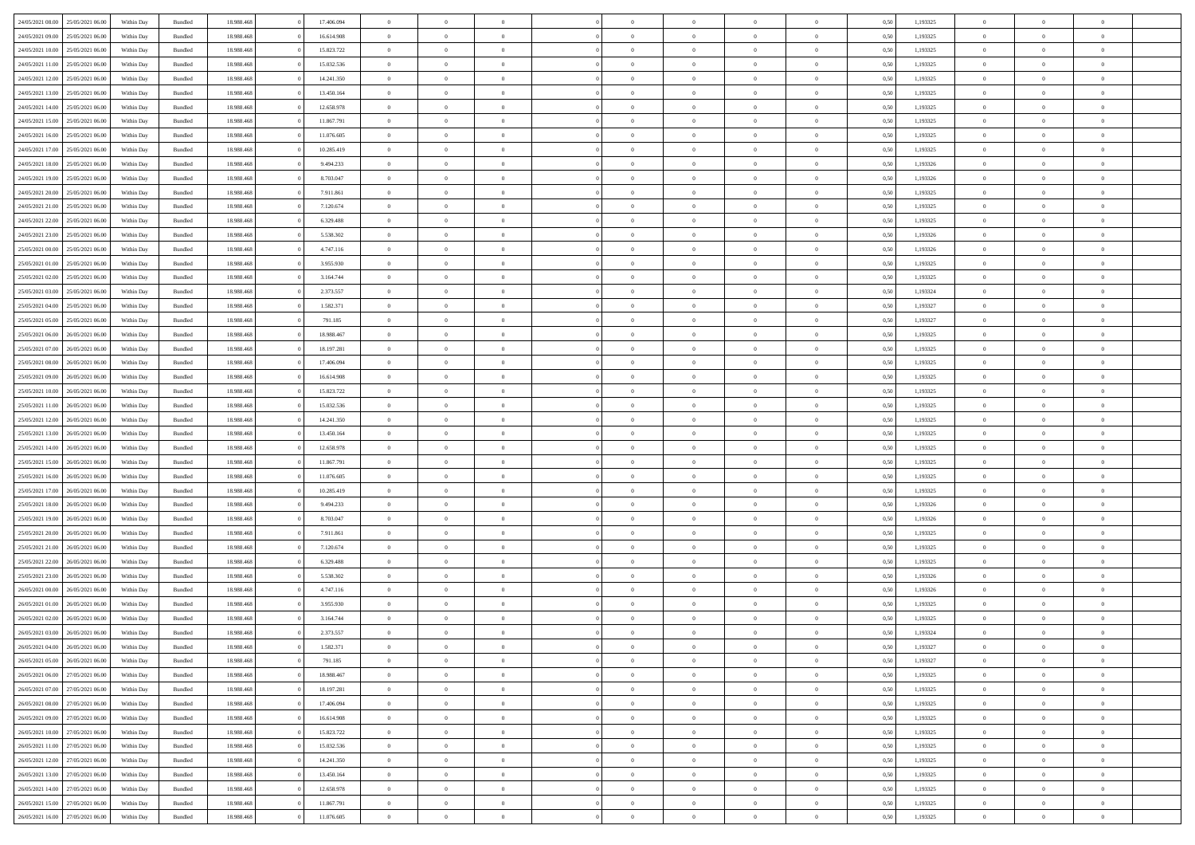| 24/05/2021 08:00                  | 25/05/2021 06:00 | Within Day | Bundled            | 18.988.468 | 17.406.094 | $\overline{0}$ | $\Omega$       |                | $\Omega$       | $\Omega$       | $\Omega$       | $\theta$       | 0.50 | 1,193325 | $\theta$       | $\overline{0}$ | $\theta$       |  |
|-----------------------------------|------------------|------------|--------------------|------------|------------|----------------|----------------|----------------|----------------|----------------|----------------|----------------|------|----------|----------------|----------------|----------------|--|
|                                   |                  |            |                    |            |            |                |                |                |                |                |                |                |      |          |                |                |                |  |
| 24/05/2021 09:00                  | 25/05/2021 06:00 | Within Day | Bundled            | 18.988.468 | 16.614.908 | $\overline{0}$ | $\theta$       | $\overline{0}$ | $\overline{0}$ | $\bf{0}$       | $\overline{0}$ | $\overline{0}$ | 0,50 | 1,193325 | $\theta$       | $\overline{0}$ | $\overline{0}$ |  |
| 24/05/2021 10:00                  | 25/05/2021 06:00 | Within Day | Bundled            | 18.988.468 | 15.823.722 | $\overline{0}$ | $\overline{0}$ | $\overline{0}$ | $\bf{0}$       | $\bf{0}$       | $\bf{0}$       | $\bf{0}$       | 0,50 | 1,193325 | $\bf{0}$       | $\overline{0}$ | $\overline{0}$ |  |
| 24/05/2021 11:00                  | 25/05/2021 06:00 | Within Dav | Bundled            | 18.988.468 | 15.032.536 | $\overline{0}$ | $\theta$       | $\overline{0}$ | $\overline{0}$ | $\bf{0}$       | $\overline{0}$ | $\overline{0}$ | 0.50 | 1,193325 | $\theta$       | $\theta$       | $\overline{0}$ |  |
|                                   |                  |            |                    |            |            |                |                |                |                |                |                |                |      |          |                |                |                |  |
| 24/05/2021 12:00                  | 25/05/2021 06:00 | Within Day | Bundled            | 18.988.468 | 14.241.350 | $\overline{0}$ | $\theta$       | $\overline{0}$ | $\overline{0}$ | $\bf{0}$       | $\overline{0}$ | $\bf{0}$       | 0,50 | 1,193325 | $\theta$       | $\theta$       | $\overline{0}$ |  |
| 24/05/2021 13:00                  | 25/05/2021 06:00 | Within Day | Bundled            | 18.988.468 | 13.450.164 | $\overline{0}$ | $\bf{0}$       | $\overline{0}$ | $\bf{0}$       | $\overline{0}$ | $\overline{0}$ | $\mathbf{0}$   | 0,50 | 1,193325 | $\overline{0}$ | $\overline{0}$ | $\bf{0}$       |  |
| 24/05/2021 14:00                  | 25/05/2021 06:00 | Within Dav | Bundled            | 18.988.468 | 12.658.978 | $\overline{0}$ | $\overline{0}$ | $\overline{0}$ | $\overline{0}$ | $\bf{0}$       | $\overline{0}$ | $\overline{0}$ | 0.50 | 1,193325 | $\theta$       | $\overline{0}$ | $\overline{0}$ |  |
| 24/05/2021 15:00                  | 25/05/2021 06:00 | Within Day | Bundled            | 18.988.468 | 11.867.791 | $\overline{0}$ | $\theta$       | $\overline{0}$ | $\overline{0}$ | $\bf{0}$       | $\overline{0}$ | $\bf{0}$       | 0,50 | 1,193325 | $\theta$       | $\theta$       | $\overline{0}$ |  |
|                                   |                  |            |                    |            |            |                | $\overline{0}$ |                |                | $\bf{0}$       |                |                |      |          | $\,0\,$        | $\overline{0}$ | $\overline{0}$ |  |
| 24/05/2021 16:00                  | 25/05/2021 06:00 | Within Day | Bundled            | 18.988.468 | 11.076.605 | $\overline{0}$ |                | $\overline{0}$ | $\bf{0}$       |                | $\bf{0}$       | $\bf{0}$       | 0,50 | 1,193325 |                |                |                |  |
| 24/05/2021 17:00                  | 25/05/2021 06:00 | Within Dav | Bundled            | 18.988.468 | 10.285.419 | $\overline{0}$ | $\overline{0}$ | $\overline{0}$ | $\overline{0}$ | $\overline{0}$ | $\overline{0}$ | $\overline{0}$ | 0.50 | 1,193325 | $\theta$       | $\overline{0}$ | $\overline{0}$ |  |
| 24/05/2021 18:00                  | 25/05/2021 06:00 | Within Day | Bundled            | 18.988.468 | 9.494.233  | $\overline{0}$ | $\theta$       | $\overline{0}$ | $\overline{0}$ | $\bf{0}$       | $\overline{0}$ | $\bf{0}$       | 0,50 | 1,193326 | $\theta$       | $\theta$       | $\overline{0}$ |  |
| 24/05/2021 19:00                  | 25/05/2021 06:00 | Within Day | Bundled            | 18.988.468 | 8.703.047  | $\overline{0}$ | $\overline{0}$ | $\overline{0}$ | $\bf{0}$       | $\bf{0}$       | $\bf{0}$       | $\bf{0}$       | 0,50 | 1,193326 | $\bf{0}$       | $\overline{0}$ | $\overline{0}$ |  |
| 24/05/2021 20:00                  | 25/05/2021 06:00 | Within Dav | Bundled            | 18.988.468 | 7.911.861  | $\overline{0}$ | $\theta$       | $\overline{0}$ | $\overline{0}$ | $\bf{0}$       | $\overline{0}$ | $\overline{0}$ | 0.50 | 1,193325 | $\theta$       | $\theta$       | $\overline{0}$ |  |
|                                   |                  |            |                    |            |            | $\overline{0}$ | $\theta$       |                |                |                |                |                |      |          | $\theta$       |                |                |  |
| 24/05/2021 21:00                  | 25/05/2021 06:00 | Within Day | Bundled            | 18.988.468 | 7.120.674  |                |                | $\overline{0}$ | $\overline{0}$ | $\bf{0}$       | $\overline{0}$ | $\overline{0}$ | 0,50 | 1,193325 |                | $\theta$       | $\overline{0}$ |  |
| 24/05/2021 22:00                  | 25/05/2021 06:00 | Within Day | Bundled            | 18.988.468 | 6.329.488  | $\overline{0}$ | $\overline{0}$ | $\overline{0}$ | $\bf{0}$       | $\overline{0}$ | $\bf{0}$       | $\mathbf{0}$   | 0,50 | 1,193325 | $\overline{0}$ | $\overline{0}$ | $\bf{0}$       |  |
| 24/05/2021 23:00                  | 25/05/2021 06:00 | Within Dav | Bundled            | 18.988.468 | 5.538.302  | $\overline{0}$ | $\overline{0}$ | $\overline{0}$ | $\overline{0}$ | $\bf{0}$       | $\overline{0}$ | $\overline{0}$ | 0.50 | 1,193326 | $\theta$       | $\overline{0}$ | $\overline{0}$ |  |
| 25/05/2021 00:00                  | 25/05/2021 06:00 | Within Day | Bundled            | 18.988.468 | 4.747.116  | $\overline{0}$ | $\theta$       | $\overline{0}$ | $\overline{0}$ | $\bf{0}$       | $\overline{0}$ | $\bf{0}$       | 0,50 | 1,193326 | $\theta$       | $\theta$       | $\overline{0}$ |  |
| 25/05/2021 01:00                  | 25/05/2021 06:00 | Within Day | Bundled            | 18.988.468 | 3.955.930  | $\overline{0}$ | $\overline{0}$ | $\overline{0}$ | $\bf{0}$       | $\bf{0}$       | $\bf{0}$       | $\bf{0}$       | 0,50 | 1,193325 | $\,0\,$        | $\overline{0}$ | $\overline{0}$ |  |
|                                   |                  |            |                    |            |            |                |                |                |                |                |                |                |      |          |                |                |                |  |
| 25/05/2021 02:00                  | 25/05/2021 06:00 | Within Dav | Bundled            | 18.988.468 | 3.164.744  | $\overline{0}$ | $\overline{0}$ | $\overline{0}$ | $\overline{0}$ | $\overline{0}$ | $\overline{0}$ | $\overline{0}$ | 0.50 | 1,193325 | $\theta$       | $\overline{0}$ | $\overline{0}$ |  |
| 25/05/2021 03:00                  | 25/05/2021 06:00 | Within Day | Bundled            | 18.988.468 | 2.373.557  | $\overline{0}$ | $\theta$       | $\overline{0}$ | $\overline{0}$ | $\bf{0}$       | $\overline{0}$ | $\bf{0}$       | 0,50 | 1,193324 | $\theta$       | $\theta$       | $\overline{0}$ |  |
| 25/05/2021 04:00                  | 25/05/2021 06:00 | Within Day | Bundled            | 18.988.468 | 1.582.371  | $\overline{0}$ | $\overline{0}$ | $\overline{0}$ | $\bf{0}$       | $\bf{0}$       | $\bf{0}$       | $\bf{0}$       | 0,50 | 1,193327 | $\,0\,$        | $\overline{0}$ | $\overline{0}$ |  |
| 25/05/2021 05:00                  | 25/05/2021 06:00 | Within Day | Bundled            | 18.988.468 | 791.185    | $\overline{0}$ | $\overline{0}$ | $\overline{0}$ | $\overline{0}$ | $\bf{0}$       | $\overline{0}$ | $\overline{0}$ | 0.50 | 1,193327 | $\theta$       | $\theta$       | $\overline{0}$ |  |
|                                   |                  |            |                    |            |            | $\overline{0}$ | $\theta$       |                |                |                |                |                |      |          | $\theta$       | $\overline{0}$ |                |  |
| 25/05/2021 06:00                  | 26/05/2021 06:00 | Within Day | Bundled            | 18.988.468 | 18.988.467 |                |                | $\overline{0}$ | $\overline{0}$ | $\bf{0}$       | $\overline{0}$ | $\bf{0}$       | 0,50 | 1,193325 |                |                | $\overline{0}$ |  |
| 25/05/2021 07:00                  | 26/05/2021 06:00 | Within Day | Bundled            | 18.988.468 | 18.197.281 | $\overline{0}$ | $\overline{0}$ | $\overline{0}$ | $\bf{0}$       | $\overline{0}$ | $\bf{0}$       | $\mathbf{0}$   | 0,50 | 1,193325 | $\overline{0}$ | $\overline{0}$ | $\bf{0}$       |  |
| 25/05/2021 08:00                  | 26/05/2021 06:00 | Within Dav | Bundled            | 18.988.468 | 17.406.094 | $\overline{0}$ | $\overline{0}$ | $\overline{0}$ | $\overline{0}$ | $\overline{0}$ | $\overline{0}$ | $\overline{0}$ | 0.50 | 1,193325 | $\theta$       | $\theta$       | $\overline{0}$ |  |
| 25/05/2021 09:00                  | 26/05/2021 06:00 | Within Day | Bundled            | 18.988.468 | 16.614.908 | $\overline{0}$ | $\theta$       | $\overline{0}$ | $\overline{0}$ | $\bf{0}$       | $\overline{0}$ | $\bf{0}$       | 0,50 | 1,193325 | $\theta$       | $\theta$       | $\overline{0}$ |  |
| 25/05/2021 10:00                  | 26/05/2021 06:00 | Within Day | Bundled            | 18.988.468 | 15.823.722 | $\overline{0}$ | $\overline{0}$ | $\overline{0}$ | $\bf{0}$       | $\bf{0}$       | $\bf{0}$       | $\bf{0}$       | 0,50 | 1,193325 | $\,0\,$        | $\overline{0}$ | $\overline{0}$ |  |
|                                   |                  |            |                    |            |            |                |                |                |                |                |                |                |      |          |                |                |                |  |
| 25/05/2021 11:00                  | 26/05/2021 06:00 | Within Day | Bundled            | 18.988.468 | 15.032.536 | $\overline{0}$ | $\overline{0}$ | $\overline{0}$ | $\overline{0}$ | $\bf{0}$       | $\overline{0}$ | $\overline{0}$ | 0.50 | 1,193325 | $\theta$       | $\overline{0}$ | $\overline{0}$ |  |
| 25/05/2021 12:00                  | 26/05/2021 06:00 | Within Day | Bundled            | 18.988.468 | 14.241.350 | $\overline{0}$ | $\theta$       | $\overline{0}$ | $\overline{0}$ | $\bf{0}$       | $\overline{0}$ | $\bf{0}$       | 0,50 | 1,193325 | $\theta$       | $\theta$       | $\overline{0}$ |  |
| 25/05/2021 13:00                  | 26/05/2021 06:00 | Within Day | Bundled            | 18.988.468 | 13.450.164 | $\overline{0}$ | $\overline{0}$ | $\overline{0}$ | $\bf{0}$       | $\bf{0}$       | $\bf{0}$       | $\bf{0}$       | 0,50 | 1,193325 | $\bf{0}$       | $\overline{0}$ | $\overline{0}$ |  |
| 25/05/2021 14:00                  | 26/05/2021 06:00 | Within Day | Bundled            | 18.988.468 | 12.658.978 | $\overline{0}$ | $\Omega$       | $\Omega$       | $\Omega$       | $\Omega$       | $\Omega$       | $\overline{0}$ | 0.50 | 1,193325 | $\,0\,$        | $\Omega$       | $\theta$       |  |
| 25/05/2021 15:00                  | 26/05/2021 06:00 | Within Day | Bundled            | 18.988.468 | 11.867.791 | $\overline{0}$ | $\theta$       | $\overline{0}$ | $\overline{0}$ | $\bf{0}$       | $\overline{0}$ | $\bf{0}$       | 0,50 | 1,193325 | $\theta$       | $\theta$       | $\overline{0}$ |  |
|                                   |                  |            |                    |            |            |                |                |                |                |                |                |                |      |          |                |                |                |  |
| 25/05/2021 16:00                  | 26/05/2021 06:00 | Within Day | Bundled            | 18.988.468 | 11.076.605 | $\overline{0}$ | $\bf{0}$       | $\overline{0}$ | $\bf{0}$       | $\bf{0}$       | $\bf{0}$       | $\mathbf{0}$   | 0,50 | 1,193325 | $\overline{0}$ | $\overline{0}$ | $\bf{0}$       |  |
| 25/05/2021 17:00                  | 26/05/2021 06:00 | Within Day | Bundled            | 18.988.468 | 10.285.419 | $\overline{0}$ | $\Omega$       | $\Omega$       | $\Omega$       | $\Omega$       | $\Omega$       | $\overline{0}$ | 0.50 | 1,193325 | $\theta$       | $\theta$       | $\theta$       |  |
| 25/05/2021 18:00                  | 26/05/2021 06:00 | Within Day | Bundled            | 18.988.468 | 9.494.233  | $\overline{0}$ | $\theta$       | $\overline{0}$ | $\overline{0}$ | $\bf{0}$       | $\overline{0}$ | $\bf{0}$       | 0,50 | 1,193326 | $\theta$       | $\theta$       | $\overline{0}$ |  |
| 25/05/2021 19:00                  | 26/05/2021 06:00 | Within Day | Bundled            | 18.988.468 | 8.703.047  | $\overline{0}$ | $\overline{0}$ | $\overline{0}$ | $\overline{0}$ | $\bf{0}$       | $\overline{0}$ | $\bf{0}$       | 0,50 | 1,193326 | $\,0\,$        | $\overline{0}$ | $\overline{0}$ |  |
|                                   |                  |            |                    |            |            |                |                |                |                |                |                |                |      |          |                |                |                |  |
| 25/05/2021 20:00                  | 26/05/2021 06:00 | Within Day | Bundled            | 18.988.468 | 7.911.861  | $\overline{0}$ | $\Omega$       | $\Omega$       | $\Omega$       | $\Omega$       | $\theta$       | $\overline{0}$ | 0.50 | 1,193325 | $\theta$       | $\theta$       | $\theta$       |  |
| 25/05/2021 21:00                  | 26/05/2021 06:00 | Within Day | Bundled            | 18.988.468 | 7.120.674  | $\overline{0}$ | $\theta$       | $\overline{0}$ | $\overline{0}$ | $\bf{0}$       | $\overline{0}$ | $\bf{0}$       | 0,50 | 1,193325 | $\theta$       | $\theta$       | $\overline{0}$ |  |
| 25/05/2021 22.00                  | 26/05/2021 06:00 | Within Day | Bundled            | 18.988.468 | 6.329.488  | $\overline{0}$ | $\overline{0}$ | $\overline{0}$ | $\overline{0}$ | $\bf{0}$       | $\overline{0}$ | $\bf{0}$       | 0,50 | 1,193325 | $\,0\,$        | $\overline{0}$ | $\overline{0}$ |  |
| 25/05/2021 23:00                  | 26/05/2021 06:00 | Within Day | Bundled            | 18.988.468 | 5.538.302  | $\overline{0}$ | $\Omega$       | $\Omega$       | $\Omega$       | $\Omega$       | $\overline{0}$ | $\overline{0}$ | 0.50 | 1,193326 | $\,0\,$        | $\theta$       | $\theta$       |  |
| 26/05/2021 00:00                  | 26/05/2021 06:00 | Within Day | Bundled            | 18.988.468 | 4.747.116  | $\overline{0}$ | $\theta$       | $\overline{0}$ | $\overline{0}$ | $\bf{0}$       | $\overline{0}$ | $\bf{0}$       | 0,50 | 1,193326 | $\theta$       | $\theta$       | $\overline{0}$ |  |
|                                   |                  |            |                    |            |            |                |                |                |                |                |                |                |      |          |                |                |                |  |
| 26/05/2021 01:00                  | 26/05/2021 06:00 | Within Day | Bundled            | 18.988.468 | 3.955.930  | $\overline{0}$ | $\overline{0}$ | $\overline{0}$ | $\overline{0}$ | $\bf{0}$       | $\overline{0}$ | $\mathbf{0}$   | 0,50 | 1,193325 | $\overline{0}$ | $\overline{0}$ | $\bf{0}$       |  |
| 26/05/2021 02:00                  | 26/05/2021 06:00 | Within Day | Bundled            | 18.988.468 | 3.164.744  | $\overline{0}$ | $\Omega$       | $\Omega$       | $\Omega$       | $\Omega$       | $\Omega$       | $\overline{0}$ | 0.50 | 1,193325 | $\theta$       | $\Omega$       | $\theta$       |  |
| 26/05/2021 03:00                  | 26/05/2021 06:00 | Within Day | Bundled            | 18.988.468 | 2.373.557  | $\overline{0}$ | $\,$ 0 $\,$    | $\overline{0}$ | $\bf{0}$       | $\,$ 0         | $\overline{0}$ | $\bf{0}$       | 0,50 | 1,193324 | $\,0\,$        | $\overline{0}$ | $\overline{0}$ |  |
| 26/05/2021 04:00                  | 26/05/2021 06:00 | Within Day | $\mathbf B$ undled | 18.988.468 | 1.582.371  | $\bf{0}$       | $\bf{0}$       |                |                |                |                |                | 0,50 | 1,193327 | $\bf{0}$       | $\overline{0}$ |                |  |
| 26/05/2021 05:00                  | 26/05/2021 06:00 | Within Day | Bundled            | 18,988,468 | 791.185    | $\overline{0}$ | $\overline{0}$ | $\overline{0}$ | $\Omega$       | $\theta$       | $\overline{0}$ | $\overline{0}$ | 0,50 | 1,193327 | $\theta$       | $\theta$       | $\theta$       |  |
|                                   |                  |            |                    |            |            |                |                |                |                |                |                |                |      |          |                |                |                |  |
| 26/05/2021 06:00                  | 27/05/2021 06:00 | Within Day | Bundled            | 18.988.468 | 18.988.467 | $\overline{0}$ | $\,$ 0         | $\overline{0}$ | $\overline{0}$ | $\,$ 0 $\,$    | $\overline{0}$ | $\mathbf{0}$   | 0,50 | 1,193325 | $\,$ 0 $\,$    | $\overline{0}$ | $\,$ 0         |  |
| 26/05/2021 07:00                  | 27/05/2021 06:00 | Within Day | Bundled            | 18.988.468 | 18.197.281 | $\overline{0}$ | $\overline{0}$ | $\overline{0}$ | $\overline{0}$ | $\overline{0}$ | $\overline{0}$ | $\mathbf{0}$   | 0,50 | 1,193325 | $\overline{0}$ | $\bf{0}$       | $\bf{0}$       |  |
| 26/05/2021 08:00                  | 27/05/2021 06:00 | Within Day | Bundled            | 18.988.468 | 17.406.094 | $\overline{0}$ | $\theta$       | $\overline{0}$ | $\Omega$       | $\overline{0}$ | $\overline{0}$ | $\bf{0}$       | 0,50 | 1,193325 | $\overline{0}$ | $\theta$       | $\overline{0}$ |  |
| 26/05/2021 09:00                  | 27/05/2021 06:00 | Within Day | Bundled            | 18.988.468 | 16.614.908 | $\overline{0}$ | $\,$ 0         | $\overline{0}$ | $\overline{0}$ | $\overline{0}$ | $\overline{0}$ | $\bf{0}$       | 0,50 | 1,193325 | $\,$ 0 $\,$    | $\overline{0}$ | $\overline{0}$ |  |
|                                   |                  |            |                    |            |            |                |                |                |                |                |                |                |      |          |                |                |                |  |
| 26/05/2021 10:00                  | 27/05/2021 06:00 | Within Day | Bundled            | 18.988.468 | 15.823.722 | $\overline{0}$ | $\overline{0}$ | $\overline{0}$ | $\overline{0}$ | $\overline{0}$ | $\overline{0}$ | $\mathbf{0}$   | 0,50 | 1,193325 | $\overline{0}$ | $\bf{0}$       | $\bf{0}$       |  |
| 26/05/2021 11:00                  | 27/05/2021 06:00 | Within Day | Bundled            | 18.988.468 | 15.032.536 | $\overline{0}$ | $\overline{0}$ | $\overline{0}$ | $\Omega$       | $\overline{0}$ | $\overline{0}$ | $\bf{0}$       | 0.50 | 1,193325 | $\overline{0}$ | $\theta$       | $\overline{0}$ |  |
| 26/05/2021 12:00                  | 27/05/2021 06:00 | Within Day | Bundled            | 18.988.468 | 14.241.350 | $\overline{0}$ | $\,$ 0         | $\overline{0}$ | $\bf{0}$       | $\bf{0}$       | $\bf{0}$       | $\bf{0}$       | 0,50 | 1,193325 | $\,$ 0 $\,$    | $\overline{0}$ | $\overline{0}$ |  |
| 26/05/2021 13:00                  | 27/05/2021 06:00 | Within Day | Bundled            | 18.988.468 | 13.450.164 | $\overline{0}$ | $\bf{0}$       | $\overline{0}$ | $\overline{0}$ | $\overline{0}$ | $\bf{0}$       | $\mathbf{0}$   | 0,50 | 1,193325 | $\overline{0}$ | $\overline{0}$ | $\bf{0}$       |  |
| 26/05/2021 14:00                  | 27/05/2021 06:00 | Within Day | Bundled            | 18,988,468 | 12.658.978 | $\overline{0}$ | $\overline{0}$ | $\overline{0}$ | $\Omega$       | $\overline{0}$ | $\overline{0}$ | $\bf{0}$       | 0.50 | 1,193325 | $\overline{0}$ | $\theta$       | $\overline{0}$ |  |
|                                   |                  |            |                    |            |            |                |                |                |                |                |                |                |      |          |                |                |                |  |
| 26/05/2021 15:00                  | 27/05/2021 06:00 | Within Day | Bundled            | 18.988.468 | 11.867.791 | $\overline{0}$ | $\,$ 0         | $\overline{0}$ | $\overline{0}$ | $\bf{0}$       | $\bf{0}$       | $\bf{0}$       | 0,50 | 1,193325 | $\,$ 0 $\,$    | $\,$ 0 $\,$    | $\overline{0}$ |  |
| 26/05/2021 16:00 27/05/2021 06:00 |                  | Within Day | Bundled            | 18.988.468 | 11.076.605 | $\overline{0}$ | $\overline{0}$ | $\overline{0}$ | $\overline{0}$ | $\bf{0}$       | $\bf{0}$       | $\mathbf{0}$   | 0,50 | 1,193325 | $\overline{0}$ | $\bf{0}$       | $\bf{0}$       |  |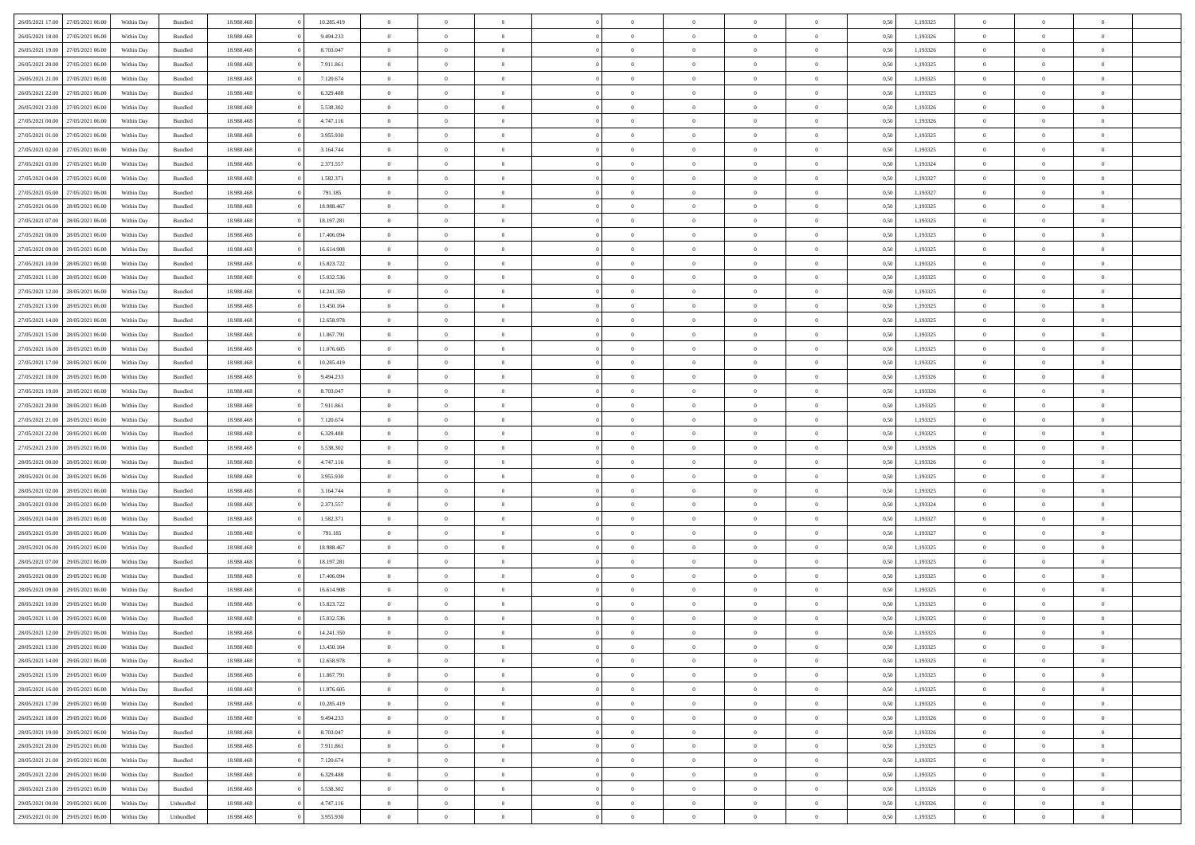| 26/05/2021 17:00 27/05/2021 06:00    | Within Day | Bundled   | 18.988.468 | 10.285.419 | $\overline{0}$                   | $\overline{0}$                   | $\Omega$                   | $\Omega$                   | $\theta$             | $\Omega$                   | $\overline{0}$ | 0,50 | 1,193325 | $\theta$                | $\theta$                   | $\overline{0}$       |  |
|--------------------------------------|------------|-----------|------------|------------|----------------------------------|----------------------------------|----------------------------|----------------------------|----------------------|----------------------------|----------------|------|----------|-------------------------|----------------------------|----------------------|--|
| 26/05/2021 18:00<br>27/05/2021 06:00 | Within Day | Bundled   | 18.988.46  | 9.494.233  | $\overline{0}$                   | $\theta$                         | $\overline{0}$             | $\overline{0}$             | $\theta$             | $\overline{0}$             | $\,$ 0 $\,$    | 0,50 | 1,193326 | $\theta$                | $\theta$                   | $\overline{0}$       |  |
| 26/05/2021 19:00<br>27/05/2021 06:00 | Within Day | Bundled   | 18.988.468 | 8.703.047  | $\overline{0}$                   | $\bf{0}$                         | $\overline{0}$             | $\overline{0}$             | $\bf{0}$             | $\overline{0}$             | $\bf{0}$       | 0,50 | 1,193326 | $\bf{0}$                | $\overline{0}$             | $\overline{0}$       |  |
| 26/05/2021 20:00<br>27/05/2021 06:00 | Within Day | Bundled   | 18.988.468 | 7.911.861  | $\overline{0}$                   | $\overline{0}$                   | $\overline{0}$             | $\overline{0}$             | $\overline{0}$       | $\overline{0}$             | $\overline{0}$ | 0.5( | 1,193325 | $\theta$                | $\theta$                   | $\overline{0}$       |  |
| 26/05/2021 21:00<br>27/05/2021 06:00 | Within Day | Bundled   | 18.988.468 | 7.120.674  | $\overline{0}$                   | $\overline{0}$                   | $\overline{0}$             | $\overline{0}$             | $\theta$             | $\overline{0}$             | $\bf{0}$       | 0,50 | 1,193325 | $\theta$                | $\theta$                   | $\overline{0}$       |  |
| 26/05/2021 22:00<br>27/05/2021 06.00 | Within Day | Bundled   | 18.988.468 | 6.329.488  | $\overline{0}$                   | $\bf{0}$                         | $\overline{0}$             | $\overline{0}$             | $\overline{0}$       | $\overline{0}$             | $\bf{0}$       | 0,50 | 1,193325 | $\overline{0}$          | $\overline{0}$             | $\bf{0}$             |  |
| 27/05/2021 06:00                     | Within Dav | Bundled   | 18.988.468 | 5.538.302  | $\overline{0}$                   | $\overline{0}$                   |                            | $\overline{0}$             | $\overline{0}$       | $\overline{0}$             | $\overline{0}$ | 0.5( | 1,193326 | $\theta$                | $\theta$                   | $\overline{0}$       |  |
| 26/05/2021 23:00                     |            |           |            |            |                                  |                                  | $\overline{0}$             |                            |                      |                            |                |      |          |                         |                            |                      |  |
| 27/05/2021 00:00<br>27/05/2021 06:00 | Within Day | Bundled   | 18.988.468 | 4.747.116  | $\overline{0}$                   | $\theta$                         | $\overline{0}$             | $\overline{0}$             | $\theta$             | $\overline{0}$             | $\bf{0}$       | 0,50 | 1,193326 | $\theta$                | $\theta$                   | $\overline{0}$       |  |
| 27/05/2021 01:00<br>27/05/2021 06:00 | Within Day | Bundled   | 18.988.468 | 3.955.930  | $\overline{0}$                   | $\bf{0}$                         | $\overline{0}$             | $\overline{0}$             | $\overline{0}$       | $\bf{0}$                   | $\bf{0}$       | 0,50 | 1,193325 | $\bf{0}$                | $\bf{0}$                   | $\overline{0}$       |  |
| 27/05/2021 02:00<br>27/05/2021 06:00 | Within Day | Bundled   | 18.988.468 | 3.164.744  | $\overline{0}$                   | $\overline{0}$                   | $\overline{0}$             | $\overline{0}$             | $\overline{0}$       | $\overline{0}$             | $\bf{0}$       | 0.50 | 1,193325 | $\theta$                | $\theta$                   | $\overline{0}$       |  |
| 27/05/2021 03:00<br>27/05/2021 06:00 | Within Day | Bundled   | 18.988.468 | 2.373.557  | $\bf{0}$                         | $\overline{0}$                   | $\overline{0}$             | $\overline{0}$             | $\theta$             | $\overline{0}$             | $\bf{0}$       | 0,50 | 1,193324 | $\theta$                | $\theta$                   | $\overline{0}$       |  |
| 27/05/2021 04:00<br>27/05/2021 06.00 | Within Day | Bundled   | 18.988.468 | 1.582.371  | $\overline{0}$                   | $\bf{0}$                         | $\overline{0}$             | $\overline{0}$             | $\bf{0}$             | $\overline{0}$             | $\bf{0}$       | 0,50 | 1,193327 | $\bf{0}$                | $\overline{0}$             | $\bf{0}$             |  |
| 27/05/2021 05:00<br>27/05/2021 06:00 | Within Day | Bundled   | 18.988.468 | 791.185    | $\overline{0}$                   | $\overline{0}$                   | $\overline{0}$             | $\overline{0}$             | $\overline{0}$       | $\overline{0}$             | $\overline{0}$ | 0.5( | 1,193327 | $\theta$                | $\theta$                   | $\overline{0}$       |  |
| 27/05/2021 06:00<br>28/05/2021 06:00 | Within Day | Bundled   | 18.988.468 | 18.988.467 | $\overline{0}$                   | $\overline{0}$                   | $\overline{0}$             | $\overline{0}$             | $\theta$             | $\overline{0}$             | $\,$ 0 $\,$    | 0,50 | 1,193325 | $\theta$                | $\theta$                   | $\overline{0}$       |  |
| 27/05/2021 07:00<br>28/05/2021 06:00 | Within Day | Bundled   | 18.988.468 | 18.197.281 | $\overline{0}$                   | $\bf{0}$                         | $\overline{0}$             | $\overline{0}$             | $\overline{0}$       | $\overline{0}$             | $\bf{0}$       | 0,50 | 1,193325 | $\bf{0}$                | $\overline{0}$             | $\bf{0}$             |  |
| 27/05/2021 08:00<br>28/05/2021 06:00 | Within Day | Bundled   | 18.988.468 | 17.406.094 | $\overline{0}$                   | $\overline{0}$                   | $\overline{0}$             | $\overline{0}$             | $\overline{0}$       | $\overline{0}$             | $\overline{0}$ | 0.5( | 1,193325 | $\theta$                | $\overline{0}$             | $\overline{0}$       |  |
| 27/05/2021 09:00<br>28/05/2021 06:00 | Within Day | Bundled   | 18.988.468 | 16.614.908 | $\bf{0}$                         | $\overline{0}$                   | $\overline{0}$             | $\overline{0}$             | $\theta$             | $\overline{0}$             | $\bf{0}$       | 0,50 | 1,193325 | $\theta$                | $\theta$                   | $\overline{0}$       |  |
| 27/05/2021 10:00<br>28/05/2021 06:00 | Within Day | Bundled   | 18.988.468 | 15.823.722 | $\overline{0}$                   | $\bf{0}$                         | $\overline{0}$             | $\overline{0}$             | $\overline{0}$       | $\overline{0}$             | $\bf{0}$       | 0,50 | 1,193325 | $\bf{0}$                | $\overline{0}$             | $\overline{0}$       |  |
| 27/05/2021 11:00<br>28/05/2021 06:00 | Within Day | Bundled   | 18.988.468 | 15.032.536 | $\overline{0}$                   | $\overline{0}$                   | $\overline{0}$             | $\overline{0}$             | $\overline{0}$       | $\overline{0}$             | $\overline{0}$ | 0.50 | 1,193325 | $\theta$                | $\theta$                   | $\overline{0}$       |  |
| 27/05/2021 12:00<br>28/05/2021 06:00 | Within Day | Bundled   | 18.988.468 | 14.241.350 | $\bf{0}$                         | $\overline{0}$                   | $\overline{0}$             | $\overline{0}$             | $\theta$             | $\overline{0}$             | $\bf{0}$       | 0,50 | 1,193325 | $\theta$                | $\theta$                   | $\overline{0}$       |  |
| 27/05/2021 13:00<br>28/05/2021 06:00 | Within Day | Bundled   | 18.988.468 | 13.450.164 | $\overline{0}$                   | $\bf{0}$                         | $\overline{0}$             | $\overline{0}$             | $\bf{0}$             | $\overline{0}$             | $\bf{0}$       | 0,50 | 1,193325 | $\bf{0}$                | $\overline{0}$             | $\overline{0}$       |  |
| 27/05/2021 14:00<br>28/05/2021 06:00 | Within Day | Bundled   | 18.988.468 | 12.658.978 | $\overline{0}$                   | $\overline{0}$                   | $\overline{0}$             | $\overline{0}$             | $\overline{0}$       | $\overline{0}$             | $\overline{0}$ | 0.5( | 1,193325 | $\theta$                | $\theta$                   | $\overline{0}$       |  |
| 27/05/2021 15:00<br>28/05/2021 06:00 | Within Day | Bundled   | 18.988.468 | 11.867.791 | $\bf{0}$                         | $\theta$                         | $\overline{0}$             | $\overline{0}$             | $\theta$             | $\overline{0}$             | $\bf{0}$       | 0,50 | 1,193325 | $\theta$                | $\theta$                   | $\overline{0}$       |  |
| 27/05/2021 16:00<br>28/05/2021 06:00 | Within Day | Bundled   | 18.988.468 | 11.076.605 | $\overline{0}$                   | $\bf{0}$                         | $\overline{0}$             | $\overline{0}$             | $\overline{0}$       | $\overline{0}$             | $\bf{0}$       | 0,50 | 1,193325 | $\overline{0}$          | $\overline{0}$             | $\bf{0}$             |  |
| 27/05/2021 17:00<br>28/05/2021 06:00 | Within Day | Bundled   | 18.988.468 | 10.285.419 | $\overline{0}$                   | $\overline{0}$                   | $\overline{0}$             | $\overline{0}$             | $\overline{0}$       | $\overline{0}$             | $\overline{0}$ | 0.5( | 1,193325 | $\overline{0}$          | $\theta$                   | $\overline{0}$       |  |
| 27/05/2021 18:00<br>28/05/2021 06:00 | Within Day | Bundled   | 18.988.468 | 9.494.233  | $\overline{0}$                   | $\overline{0}$                   | $\overline{0}$             | $\overline{0}$             | $\theta$             | $\overline{0}$             | $\bf{0}$       | 0,50 | 1,193326 | $\theta$                | $\theta$                   | $\overline{0}$       |  |
| 27/05/2021 19:00<br>28/05/2021 06:00 | Within Day | Bundled   | 18.988.468 | 8.703.047  | $\overline{0}$                   | $\bf{0}$                         | $\overline{0}$             | $\overline{0}$             | $\overline{0}$       | $\bf{0}$                   | $\bf{0}$       | 0,50 | 1,193326 | $\bf{0}$                | $\bf{0}$                   | $\overline{0}$       |  |
| 27/05/2021 20:00<br>28/05/2021 06:00 | Within Day | Bundled   | 18.988.468 | 7.911.861  | $\overline{0}$                   | $\overline{0}$                   | $\overline{0}$             | $\overline{0}$             | $\overline{0}$       | $\overline{0}$             | $\overline{0}$ | 0.5( | 1,193325 | $\theta$                | $\theta$                   | $\overline{0}$       |  |
| 27/05/2021 21:00<br>28/05/2021 06:00 |            | Bundled   | 18.988.468 | 7.120.674  |                                  | $\overline{0}$                   | $\overline{0}$             | $\overline{0}$             | $\theta$             | $\overline{0}$             |                |      | 1,193325 | $\theta$                | $\theta$                   | $\overline{0}$       |  |
|                                      | Within Day |           |            |            | $\bf{0}$                         |                                  |                            |                            |                      |                            | $\bf{0}$       | 0,50 |          |                         |                            |                      |  |
| 27/05/2021 22.00<br>28/05/2021 06:00 | Within Day | Bundled   | 18.988.468 | 6.329.488  | $\overline{0}$<br>$\overline{0}$ | $\bf{0}$                         | $\overline{0}$<br>$\Omega$ | $\overline{0}$<br>$\Omega$ | $\bf{0}$<br>$\Omega$ | $\overline{0}$<br>$\Omega$ | $\bf{0}$       | 0,50 | 1,193325 | $\bf{0}$                | $\overline{0}$             | $\bf{0}$<br>$\theta$ |  |
| 27/05/2021 23:00<br>28/05/2021 06:00 | Within Day | Bundled   | 18.988.468 | 5.538.302  |                                  | $\overline{0}$<br>$\overline{0}$ | $\overline{0}$             | $\overline{0}$             | $\theta$             | $\overline{0}$             | $\overline{0}$ | 0,50 | 1,193326 | $\,$ 0 $\,$<br>$\theta$ | $\overline{0}$<br>$\theta$ | $\overline{0}$       |  |
| 28/05/2021 00:00<br>28/05/2021 06:00 | Within Day | Bundled   | 18.988.46  | 4.747.116  | $\bf{0}$                         |                                  |                            |                            |                      |                            | $\bf{0}$       | 0,50 | 1,193326 |                         |                            |                      |  |
| 28/05/2021 01:00<br>28/05/2021 06:00 | Within Day | Bundled   | 18.988.468 | 3.955.930  | $\overline{0}$                   | $\bf{0}$                         | $\overline{0}$             | $\overline{0}$             | $\bf{0}$             | $\overline{0}$             | $\bf{0}$       | 0,50 | 1,193325 | $\overline{0}$          | $\overline{0}$             | $\bf{0}$             |  |
| 28/05/2021 02:00<br>28/05/2021 06:00 | Within Day | Bundled   | 18,988,468 | 3.164.744  | $\overline{0}$                   | $\overline{0}$                   | $\Omega$                   | $\Omega$                   | $\overline{0}$       | $\Omega$                   | $\overline{0}$ | 0.50 | 1,193325 | $\bf{0}$                | $\overline{0}$             | $\theta$             |  |
| 28/05/2021 03:00<br>28/05/2021 06:00 | Within Day | Bundled   | 18.988.468 | 2.373.557  | $\bf{0}$                         | $\overline{0}$                   | $\overline{0}$             | $\overline{0}$             | $\theta$             | $\overline{0}$             | $\bf{0}$       | 0,50 | 1,193324 | $\theta$                | $\theta$                   | $\overline{0}$       |  |
| 28/05/2021 04:00<br>28/05/2021 06:00 | Within Day | Bundled   | 18.988.468 | 1.582.371  | $\overline{0}$                   | $\bf{0}$                         | $\overline{0}$             | $\overline{0}$             | $\overline{0}$       | $\overline{0}$             | $\bf{0}$       | 0,50 | 1,193327 | $\bf{0}$                | $\bf{0}$                   | $\overline{0}$       |  |
| 28/05/2021 05:00<br>28/05/2021 06:00 | Within Day | Bundled   | 18,988,46  | 791.185    | $\overline{0}$                   | $\overline{0}$                   | $\Omega$                   | $\Omega$                   | $\Omega$             | $\theta$                   | $\overline{0}$ | 0.50 | 1,193327 | $\theta$                | $\Omega$                   | $\theta$             |  |
| 28/05/2021 06:00<br>29/05/2021 06:00 | Within Day | Bundled   | 18.988.468 | 18.988.467 | $\bf{0}$                         | $\overline{0}$                   | $\overline{0}$             | $\overline{0}$             | $\theta$             | $\overline{0}$             | $\bf{0}$       | 0,50 | 1,193325 | $\theta$                | $\theta$                   | $\overline{0}$       |  |
| 28/05/2021 07:00<br>29/05/2021 06.00 | Within Day | Bundled   | 18.988.468 | 18.197.281 | $\overline{0}$                   | $\bf{0}$                         | $\overline{0}$             | $\overline{0}$             | $\bf{0}$             | $\overline{0}$             | $\bf{0}$       | 0,50 | 1,193325 | $\bf{0}$                | $\overline{0}$             | $\overline{0}$       |  |
| 28/05/2021 08:00<br>29/05/2021 06.00 | Within Day | Bundled   | 18.988.468 | 17.406.094 | $\overline{0}$                   | $\overline{0}$                   | $\Omega$                   | $\Omega$                   | $\theta$             | $\Omega$                   | $\overline{0}$ | 0.50 | 1,193325 | $\bf{0}$                | $\overline{0}$             | $\theta$             |  |
| 28/05/2021 09:00<br>29/05/2021 06:00 | Within Day | Bundled   | 18.988.46  | 16.614.908 | $\bf{0}$                         | $\overline{0}$                   | $\overline{0}$             | $\overline{0}$             | $\theta$             | $\overline{0}$             | $\bf{0}$       | 0,50 | 1,193325 | $\theta$                | $\theta$                   | $\overline{0}$       |  |
| 28/05/2021 10:00<br>29/05/2021 06.00 | Within Day | Bundled   | 18.988.468 | 15.823.722 | $\overline{0}$                   | $\bf{0}$                         | $\overline{0}$             | $\overline{0}$             | $\bf{0}$             | $\overline{0}$             | $\bf{0}$       | 0,50 | 1,193325 | $\bf{0}$                | $\overline{0}$             | $\bf{0}$             |  |
| 28/05/2021 11:00<br>29/05/2021 06.00 | Within Day | Bundled   | 18,988,46  | 15.032.536 | $\overline{0}$                   | $\Omega$                         | $\Omega$                   | $\Omega$                   | $\Omega$             | $\theta$                   | $\overline{0}$ | 0.50 | 1,193325 | $\theta$                | $\overline{0}$             | $\theta$             |  |
| 28/05/2021 12:00<br>29/05/2021 06:00 | Within Day | Bundled   | 18.988.468 | 14.241.350 | $\bf{0}$                         | $\bf{0}$                         | $\overline{0}$             | $\overline{0}$             | $\overline{0}$       | $\overline{0}$             | $\bf{0}$       | 0,50 | 1,193325 | $\bf{0}$                | $\,$ 0 $\,$                | $\overline{0}$       |  |
| 28/05/2021 13:00 29/05/2021 06:00    | Within Day | Bundled   | 18.988.468 | 13.450.164 |                                  |                                  |                            |                            |                      |                            |                | 0,50 | 1,193325 | $\bf{0}$                | $\bf{0}$                   |                      |  |
| 28/05/2021 14:00 29/05/2021 06:00    | Within Day | Bundled   | 18,988,468 | 12.658.978 | $\Omega$                         | $\overline{0}$                   | $\Omega$                   | $\theta$                   | $\Omega$             | $\theta$                   | $\overline{0}$ | 0.50 | 1,193325 | $\theta$                | $\theta$                   | $\theta$             |  |
| 28/05/2021 15:00<br>29/05/2021 06:00 | Within Day | Bundled   | 18.988.468 | 11.867.791 | $\bf{0}$                         | $\,$ 0                           | $\overline{0}$             | $\overline{0}$             | $\overline{0}$       | $\overline{0}$             | $\,$ 0 $\,$    | 0,50 | 1,193325 | $\,$ 0 $\,$             | $\,$ 0 $\,$                | $\,$ 0               |  |
| 28/05/2021 16:00<br>29/05/2021 06:00 | Within Day | Bundled   | 18.988.468 | 11.076.605 | $\overline{0}$                   | $\overline{0}$                   | $\overline{0}$             | $\overline{0}$             | $\overline{0}$       | $\overline{0}$             | $\bf{0}$       | 0,50 | 1,193325 | $\overline{0}$          | $\bf{0}$                   | $\overline{0}$       |  |
| 28/05/2021 17:00<br>29/05/2021 06:00 | Within Day | Bundled   | 18.988.468 | 10.285.419 | $\overline{0}$                   | $\bf{0}$                         | $\overline{0}$             | $\overline{0}$             | $\overline{0}$       | $\overline{0}$             | $\bf{0}$       | 0,50 | 1,193325 | $\bf{0}$                | $\theta$                   | $\overline{0}$       |  |
| 28/05/2021 18:00<br>29/05/2021 06:00 | Within Day | Bundled   | 18.988.468 | 9.494.233  | $\overline{0}$                   | $\overline{0}$                   | $\overline{0}$             | $\overline{0}$             | $\overline{0}$       | $\overline{0}$             | $\bf{0}$       | 0,50 | 1,193326 | $\,$ 0 $\,$             | $\,$ 0 $\,$                | $\overline{0}$       |  |
| 28/05/2021 19:00<br>29/05/2021 06:00 | Within Day | Bundled   | 18.988.468 | 8.703.047  | $\overline{0}$                   | $\overline{0}$                   | $\overline{0}$             | $\overline{0}$             | $\bf{0}$             | $\overline{0}$             | $\bf{0}$       | 0,50 | 1,193326 | $\overline{0}$          | $\overline{0}$             | $\overline{0}$       |  |
| 28/05/2021 20:00<br>29/05/2021 06:00 | Within Day | Bundled   | 18.988.468 | 7.911.861  | $\overline{0}$                   | $\overline{0}$                   | $\overline{0}$             | $\overline{0}$             | $\overline{0}$       | $\overline{0}$             | $\bf{0}$       | 0.50 | 1,193325 | $\overline{0}$          | $\theta$                   | $\overline{0}$       |  |
| 28/05/2021 21:00<br>29/05/2021 06:00 | Within Day | Bundled   | 18.988.468 | 7.120.674  | $\overline{0}$                   | $\,$ 0                           | $\overline{0}$             | $\overline{0}$             | $\overline{0}$       | $\overline{0}$             | $\bf{0}$       | 0,50 | 1,193325 | $\,$ 0 $\,$             | $\bf{0}$                   | $\overline{0}$       |  |
| 28/05/2021 22:00<br>29/05/2021 06:00 | Within Day | Bundled   | 18.988.468 | 6.329.488  | $\overline{0}$                   | $\bf{0}$                         | $\overline{0}$             | $\overline{0}$             | $\overline{0}$       | $\overline{0}$             | $\bf{0}$       | 0,50 | 1,193325 | $\bf{0}$                | $\overline{0}$             | $\bf{0}$             |  |
| 28/05/2021 23:00<br>29/05/2021 06:00 | Within Day | Bundled   | 18.988.468 | 5.538.302  | $\overline{0}$                   | $\overline{0}$                   | $\overline{0}$             | $\overline{0}$             | $\overline{0}$       | $\overline{0}$             | $\bf{0}$       | 0.50 | 1,193326 | $\overline{0}$          | $\theta$                   | $\overline{0}$       |  |
| 29/05/2021 00:00<br>29/05/2021 06:00 | Within Day | Unbundled | 18.988.468 | 4.747.116  | $\overline{0}$                   | $\,$ 0                           | $\overline{0}$             | $\overline{0}$             | $\overline{0}$       | $\overline{0}$             | $\bf{0}$       | 0,50 | 1,193326 | $\,$ 0 $\,$             | $\,$ 0 $\,$                | $\overline{0}$       |  |
| 29/05/2021 01:00 29/05/2021 06:00    | Within Day | Unbundled | 18.988.468 | 3.955.930  | $\overline{0}$                   | $\bf{0}$                         | $\overline{0}$             | $\overline{0}$             | $\bf{0}$             | $\overline{0}$             | $\bf{0}$       | 0,50 | 1,193325 | $\overline{0}$          | $\bf{0}$                   | $\overline{0}$       |  |